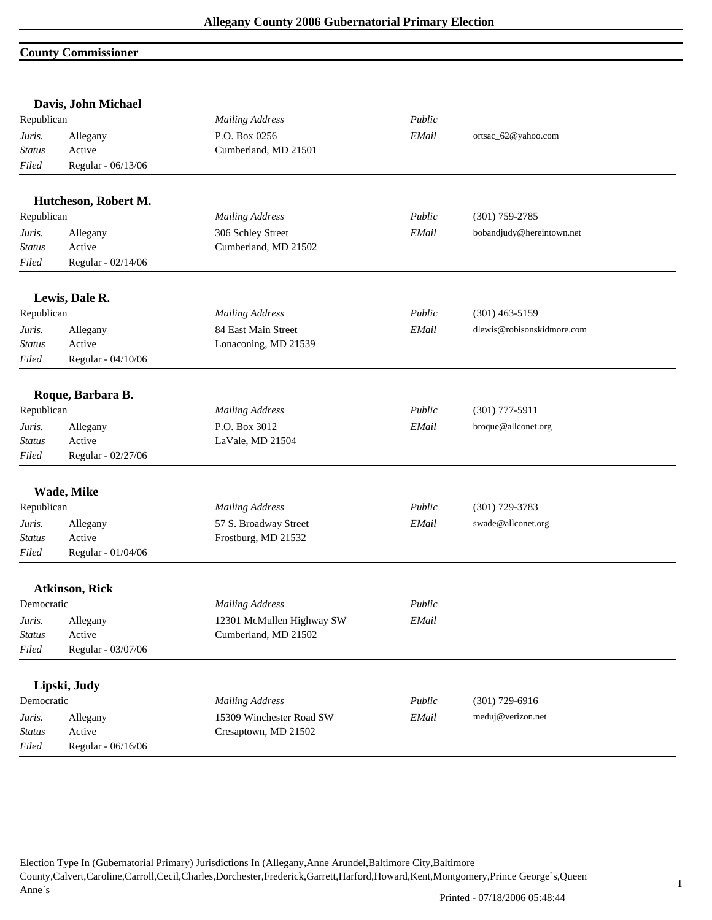### **County Commissioner**

|                                  | Davis, John Michael                      |                                       |        |                            |  |
|----------------------------------|------------------------------------------|---------------------------------------|--------|----------------------------|--|
| Republican                       |                                          | <b>Mailing Address</b>                | Public |                            |  |
| Juris.<br><b>Status</b><br>Filed | Allegany<br>Active<br>Regular - 06/13/06 | P.O. Box 0256<br>Cumberland, MD 21501 | EMail  | ortsac_62@yahoo.com        |  |
|                                  | Hutcheson, Robert M.                     |                                       |        |                            |  |
| Republican                       |                                          | <b>Mailing Address</b>                | Public | $(301)$ 759-2785           |  |
| Juris.                           | Allegany                                 | 306 Schley Street                     | EMail  | bobandjudy@hereintown.net  |  |
| <b>Status</b>                    | Active                                   | Cumberland, MD 21502                  |        |                            |  |
| Filed                            | Regular - 02/14/06                       |                                       |        |                            |  |
|                                  | Lewis, Dale R.                           |                                       |        |                            |  |
| Republican                       |                                          | <b>Mailing Address</b>                | Public | $(301)$ 463-5159           |  |
| Juris.                           | Allegany                                 | 84 East Main Street                   | EMail  | dlewis@robisonskidmore.com |  |
| <b>Status</b>                    | Active                                   | Lonaconing, MD 21539                  |        |                            |  |
| Filed                            | Regular - 04/10/06                       |                                       |        |                            |  |
|                                  | Roque, Barbara B.                        |                                       |        |                            |  |
| Republican                       |                                          | <b>Mailing Address</b>                | Public | $(301)$ 777-5911           |  |
| Juris.                           | Allegany                                 | P.O. Box 3012                         | EMail  | broque@allconet.org        |  |
| <b>Status</b>                    | Active                                   | LaVale, MD 21504                      |        |                            |  |
| Filed                            | Regular - 02/27/06                       |                                       |        |                            |  |
|                                  | Wade, Mike                               |                                       |        |                            |  |
| Republican                       |                                          | <b>Mailing Address</b>                | Public | $(301)$ 729-3783           |  |
| Juris.                           | Allegany                                 | 57 S. Broadway Street                 | EMail  | swade@allconet.org         |  |
| <b>Status</b>                    | Active                                   | Frostburg, MD 21532                   |        |                            |  |
| Filed                            | Regular - 01/04/06                       |                                       |        |                            |  |
|                                  | <b>Atkinson, Rick</b>                    |                                       |        |                            |  |
| Democratic                       |                                          | <b>Mailing Address</b>                | Public |                            |  |
| Juris.                           | Allegany                                 | 12301 McMullen Highway SW             | EMail  |                            |  |
| Status                           | Active                                   | Cumberland, MD 21502                  |        |                            |  |
| Filed                            | Regular - 03/07/06                       |                                       |        |                            |  |
|                                  | Lipski, Judy                             |                                       |        |                            |  |
| Democratic                       |                                          | <b>Mailing Address</b>                | Public | $(301)$ 729-6916           |  |
| Juris.                           | Allegany                                 | 15309 Winchester Road SW              | EMail  | meduj@verizon.net          |  |
| <b>Status</b>                    | Active                                   | Cresaptown, MD 21502                  |        |                            |  |
| Filed                            | Regular - 06/16/06                       |                                       |        |                            |  |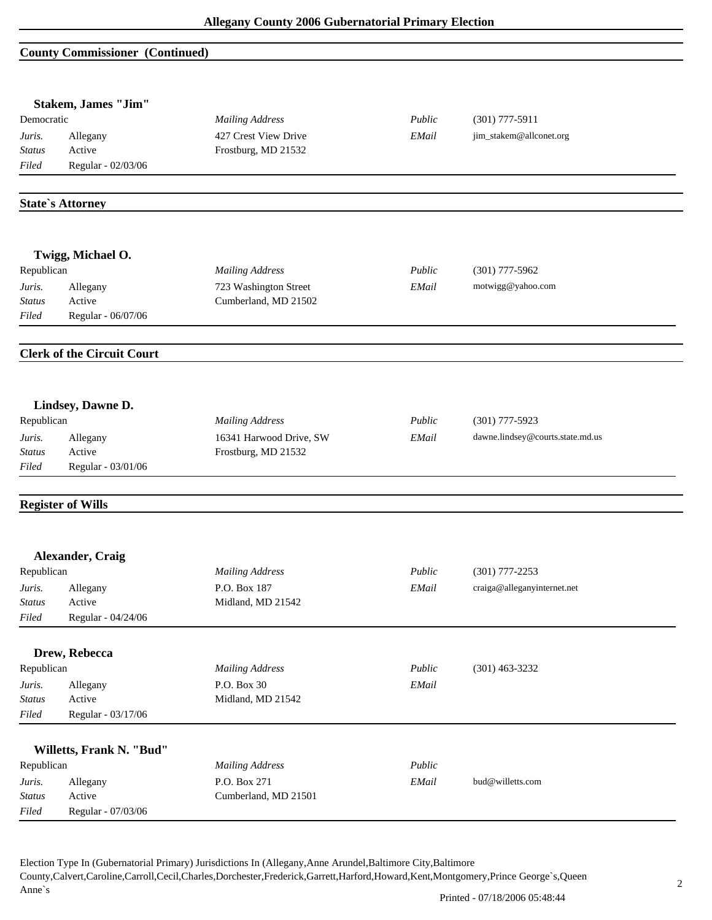#### **County Commissioner (Continued)**

|                            | <b>Stakem, James "Jim"</b>        |                                             |        |                                  |
|----------------------------|-----------------------------------|---------------------------------------------|--------|----------------------------------|
| Democratic                 |                                   | <b>Mailing Address</b>                      | Public | $(301)$ 777-5911                 |
| Juris.<br><b>Status</b>    | Allegany<br>Active                | 427 Crest View Drive<br>Frostburg, MD 21532 | EMail  | jim_stakem@allconet.org          |
| Filed                      | Regular - 02/03/06                |                                             |        |                                  |
|                            |                                   |                                             |        |                                  |
|                            | <b>State's Attorney</b>           |                                             |        |                                  |
|                            | Twigg, Michael O.                 |                                             |        |                                  |
| Republican                 |                                   | <b>Mailing Address</b>                      | Public | $(301)$ 777-5962                 |
| Juris.                     | Allegany                          | 723 Washington Street                       | EMail  | motwigg@yahoo.com                |
| <b>Status</b>              | Active                            | Cumberland, MD 21502                        |        |                                  |
| Filed                      | Regular - 06/07/06                |                                             |        |                                  |
|                            | <b>Clerk of the Circuit Court</b> |                                             |        |                                  |
|                            |                                   |                                             |        |                                  |
|                            | Lindsey, Dawne D.                 |                                             |        |                                  |
| Republican                 |                                   | <b>Mailing Address</b>                      | Public | $(301)$ 777-5923                 |
| Juris.                     | Allegany                          | 16341 Harwood Drive, SW                     | EMail  | dawne.lindsey@courts.state.md.us |
| Status<br>Filed            | Active<br>Regular - 03/01/06      | Frostburg, MD 21532                         |        |                                  |
|                            |                                   |                                             |        |                                  |
|                            | <b>Register of Wills</b>          |                                             |        |                                  |
|                            | Alexander, Craig                  |                                             |        |                                  |
| Republican                 |                                   | <b>Mailing Address</b>                      | Public | $(301)$ 777-2253                 |
| Juris.                     | Allegany                          | P.O. Box 187                                | EMail  | craiga@alleganyinternet.net      |
| $\label{eq:status} Status$ | Active                            | Midland, MD 21542                           |        |                                  |
| Filed                      | Regular - 04/24/06                |                                             |        |                                  |
|                            | Drew, Rebecca                     |                                             |        |                                  |
| Republican                 |                                   | <b>Mailing Address</b>                      | Public | $(301)$ 463-3232                 |
| Juris.                     | Allegany                          | P.O. Box 30                                 | EMail  |                                  |
| <b>Status</b>              | Active                            | Midland, MD 21542                           |        |                                  |
| Filed                      | Regular - 03/17/06                |                                             |        |                                  |
|                            | Willetts, Frank N. "Bud"          |                                             |        |                                  |
| Republican                 |                                   | <b>Mailing Address</b>                      | Public |                                  |
| Juris.                     | Allegany                          | P.O. Box 271                                | EMail  | bud@willetts.com                 |
| <b>Status</b>              | Active                            | Cumberland, MD 21501                        |        |                                  |
| Filed                      | Regular - 07/03/06                |                                             |        |                                  |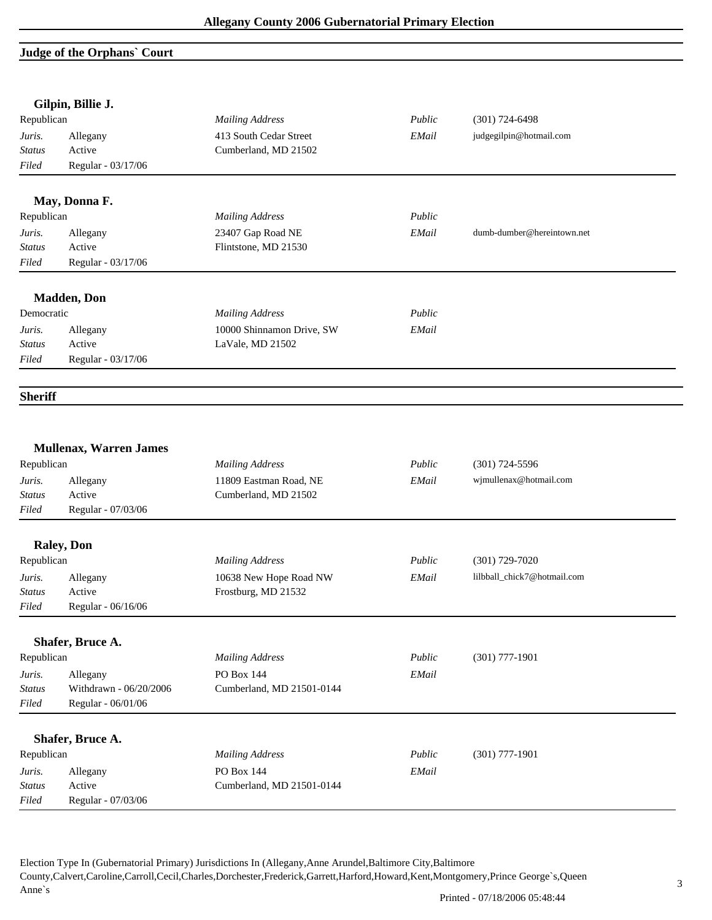## **Judge of the Orphans` Court**

|                | Gilpin, Billie J.             |                           |        |                             |
|----------------|-------------------------------|---------------------------|--------|-----------------------------|
| Republican     |                               | <b>Mailing Address</b>    | Public | $(301) 724 - 6498$          |
| Juris.         | Allegany                      | 413 South Cedar Street    | EMail  | judgegilpin@hotmail.com     |
| <b>Status</b>  | Active                        | Cumberland, MD 21502      |        |                             |
| Filed          | Regular - 03/17/06            |                           |        |                             |
|                | May, Donna F.                 |                           |        |                             |
| Republican     |                               | <b>Mailing Address</b>    | Public |                             |
| Juris.         | Allegany                      | 23407 Gap Road NE         | EMail  | dumb-dumber@hereintown.net  |
| <b>Status</b>  | Active                        | Flintstone, MD 21530      |        |                             |
| Filed          | Regular - 03/17/06            |                           |        |                             |
|                | <b>Madden</b> , Don           |                           |        |                             |
| Democratic     |                               | <b>Mailing Address</b>    | Public |                             |
| Juris.         | Allegany                      | 10000 Shinnamon Drive, SW | EMail  |                             |
| <b>Status</b>  | Active                        | LaVale, MD 21502          |        |                             |
| Filed          | Regular - 03/17/06            |                           |        |                             |
| <b>Sheriff</b> |                               |                           |        |                             |
|                |                               |                           |        |                             |
| Republican     | <b>Mullenax, Warren James</b> | <b>Mailing Address</b>    | Public | $(301)$ 724-5596            |
| Juris.         | Allegany                      | 11809 Eastman Road, NE    | EMail  | wjmullenax@hotmail.com      |
| <b>Status</b>  | Active                        | Cumberland, MD 21502      |        |                             |
| Filed          | Regular - 07/03/06            |                           |        |                             |
|                | <b>Raley</b> , Don            |                           |        |                             |
| Republican     |                               | <b>Mailing Address</b>    | Public | $(301)$ 729-7020            |
| Juris.         | Allegany                      | 10638 New Hope Road NW    | EMail  | lilbball_chick7@hotmail.com |
| <b>Status</b>  | Active                        | Frostburg, MD 21532       |        |                             |
| Filed          | Regular - 06/16/06            |                           |        |                             |
|                |                               |                           |        |                             |
|                | Shafer, Bruce A.              |                           |        |                             |
| Republican     |                               | <b>Mailing Address</b>    | Public | $(301)$ 777-1901            |
| Juris.         | Allegany                      | PO Box 144                | EMail  |                             |
| Status         | Withdrawn - 06/20/2006        | Cumberland, MD 21501-0144 |        |                             |
| Filed          | Regular - 06/01/06            |                           |        |                             |
|                | Shafer, Bruce A.              |                           |        |                             |
| Republican     |                               | <b>Mailing Address</b>    | Public | $(301)$ 777-1901            |
| Juris.         | Allegany                      | PO Box 144                | EMail  |                             |
| <b>Status</b>  | Active                        | Cumberland, MD 21501-0144 |        |                             |
| Filed          | Regular - 07/03/06            |                           |        |                             |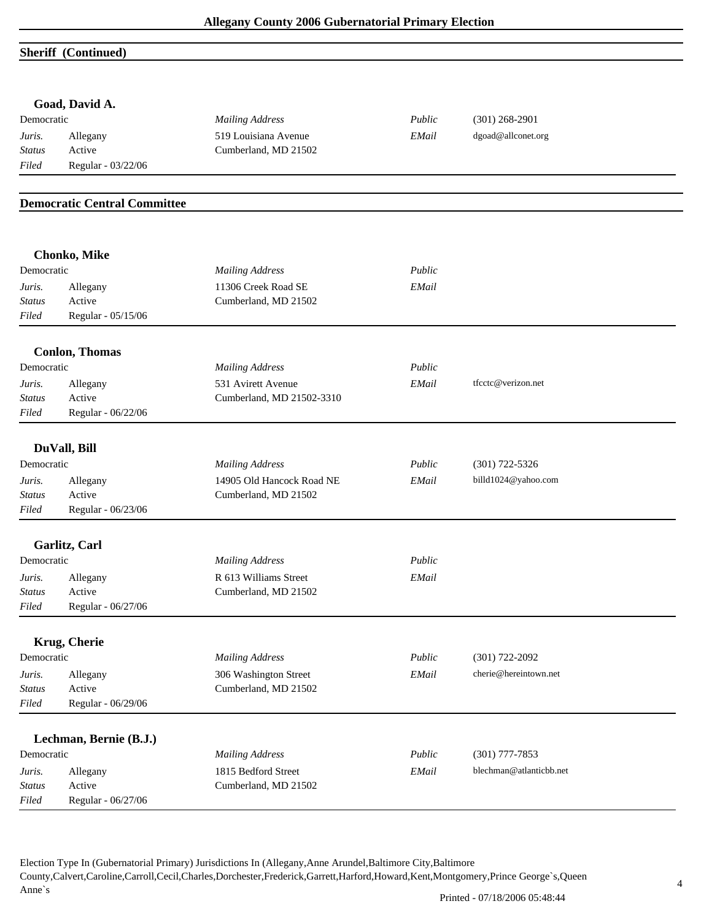#### **Sheriff (Continued)**

|                         | Goad, David A.                      |                                             |        |                         |
|-------------------------|-------------------------------------|---------------------------------------------|--------|-------------------------|
| Democratic              |                                     | <b>Mailing Address</b>                      | Public | $(301)$ 268-2901        |
| Juris.                  | Allegany                            | 519 Louisiana Avenue                        | EMail  | dgoad@allconet.org      |
| <b>Status</b><br>Filed  | Active<br>Regular - 03/22/06        | Cumberland, MD 21502                        |        |                         |
|                         |                                     |                                             |        |                         |
|                         | <b>Democratic Central Committee</b> |                                             |        |                         |
|                         |                                     |                                             |        |                         |
| Democratic              | <b>Chonko, Mike</b>                 | <b>Mailing Address</b>                      | Public |                         |
|                         |                                     |                                             |        |                         |
| Juris.<br><b>Status</b> | Allegany<br>Active                  | 11306 Creek Road SE<br>Cumberland, MD 21502 | EMail  |                         |
| Filed                   | Regular - 05/15/06                  |                                             |        |                         |
|                         | <b>Conlon, Thomas</b>               |                                             |        |                         |
| Democratic              |                                     | <b>Mailing Address</b>                      | Public |                         |
| Juris.                  | Allegany                            | 531 Avirett Avenue                          | EMail  | tfcctc@verizon.net      |
| <b>Status</b>           | Active                              | Cumberland, MD 21502-3310                   |        |                         |
| Filed                   | Regular - 06/22/06                  |                                             |        |                         |
|                         | DuVall, Bill                        |                                             |        |                         |
| Democratic              |                                     | <b>Mailing Address</b>                      | Public | $(301)$ 722-5326        |
| Juris.                  | Allegany                            | 14905 Old Hancock Road NE                   | EMail  | billd1024@yahoo.com     |
| <b>Status</b>           | Active                              | Cumberland, MD 21502                        |        |                         |
| Filed                   | Regular - 06/23/06                  |                                             |        |                         |
|                         | Garlitz, Carl                       |                                             |        |                         |
| Democratic              |                                     | <b>Mailing Address</b>                      | Public |                         |
| Juris.                  | Allegany                            | R 613 Williams Street                       | EMail  |                         |
| <b>Status</b>           | Active                              | Cumberland, MD 21502                        |        |                         |
| Filed                   | Regular - 06/27/06                  |                                             |        |                         |
|                         | <b>Krug, Cherie</b>                 |                                             |        |                         |
| Democratic              |                                     | <b>Mailing Address</b>                      | Public | $(301) 722 - 2092$      |
| Juris.                  | Allegany                            | 306 Washington Street                       | EMail  | cherie@hereintown.net   |
| <b>Status</b>           | Active                              | Cumberland, MD 21502                        |        |                         |
| Filed                   | Regular - 06/29/06                  |                                             |        |                         |
|                         | Lechman, Bernie (B.J.)              |                                             |        |                         |
| Democratic              |                                     | <b>Mailing Address</b>                      | Public | $(301)$ 777-7853        |
| Juris.                  | Allegany                            | 1815 Bedford Street                         | EMail  | blechman@atlanticbb.net |
| <b>Status</b>           | Active                              | Cumberland, MD 21502                        |        |                         |
| Filed                   | Regular - 06/27/06                  |                                             |        |                         |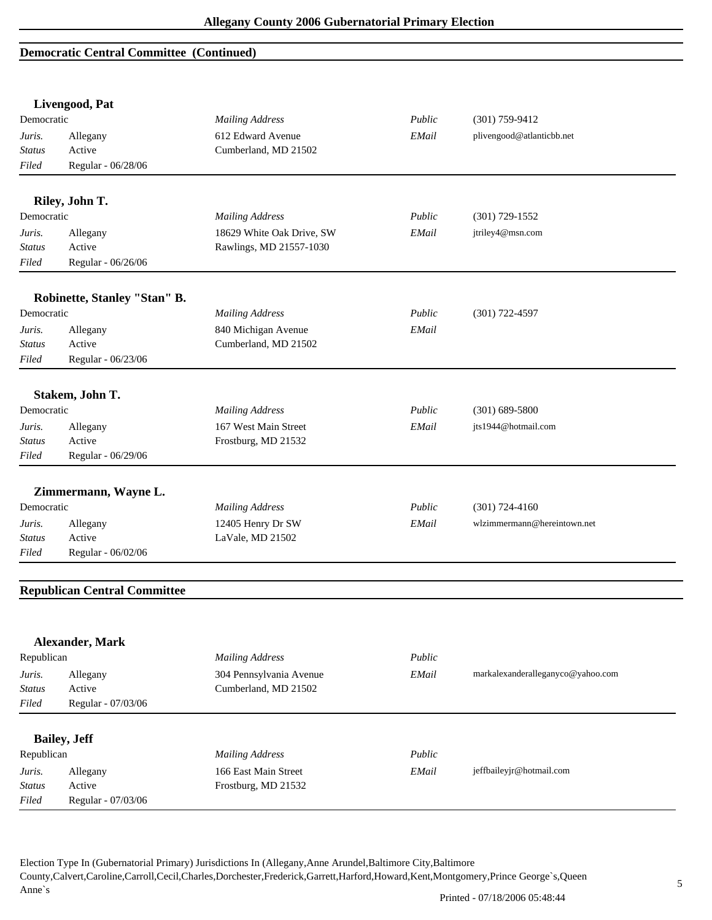#### **Democratic Central Committee (Continued)**

|               | Livengood, Pat                      |                           |        |                                   |
|---------------|-------------------------------------|---------------------------|--------|-----------------------------------|
| Democratic    |                                     | <b>Mailing Address</b>    | Public | $(301)$ 759-9412                  |
| Juris.        | Allegany                            | 612 Edward Avenue         | EMail  | plivengood@atlanticbb.net         |
| <b>Status</b> | Active                              | Cumberland, MD 21502      |        |                                   |
| Filed         | Regular - 06/28/06                  |                           |        |                                   |
|               | Riley, John T.                      |                           |        |                                   |
| Democratic    |                                     | <b>Mailing Address</b>    | Public | $(301)$ 729-1552                  |
| Juris.        | Allegany                            | 18629 White Oak Drive, SW | EMail  | jtriley4@msn.com                  |
| <b>Status</b> | Active                              | Rawlings, MD 21557-1030   |        |                                   |
| Filed         | Regular - 06/26/06                  |                           |        |                                   |
|               | Robinette, Stanley "Stan" B.        |                           |        |                                   |
| Democratic    |                                     | <b>Mailing Address</b>    | Public | $(301)$ 722-4597                  |
| Juris.        | Allegany                            | 840 Michigan Avenue       | EMail  |                                   |
| <b>Status</b> | Active                              | Cumberland, MD 21502      |        |                                   |
| Filed         | Regular - 06/23/06                  |                           |        |                                   |
|               |                                     |                           |        |                                   |
|               | Stakem, John T.                     |                           |        |                                   |
| Democratic    |                                     | <b>Mailing Address</b>    | Public | $(301) 689 - 5800$                |
| Juris.        | Allegany                            | 167 West Main Street      | EMail  | jts1944@hotmail.com               |
| Status        | Active                              | Frostburg, MD 21532       |        |                                   |
| Filed         | Regular - 06/29/06                  |                           |        |                                   |
|               | Zimmermann, Wayne L.                |                           |        |                                   |
| Democratic    |                                     | <b>Mailing Address</b>    | Public | $(301) 724 - 4160$                |
| Juris.        | Allegany                            | 12405 Henry Dr SW         | EMail  | wlzimmermann@hereintown.net       |
| <b>Status</b> | Active                              | LaVale, MD 21502          |        |                                   |
| Filed         | Regular - 06/02/06                  |                           |        |                                   |
|               |                                     |                           |        |                                   |
|               | <b>Republican Central Committee</b> |                           |        |                                   |
|               |                                     |                           |        |                                   |
| Republican    | Alexander, Mark                     | <b>Mailing Address</b>    | Public |                                   |
|               |                                     |                           |        |                                   |
| Juris.        | Allegany                            | 304 Pennsylvania Avenue   | EMail  | markalexanderalleganyco@yahoo.com |
| <b>Status</b> | Active                              | Cumberland, MD 21502      |        |                                   |
| Filed         | Regular - 07/03/06                  |                           |        |                                   |
|               | <b>Bailey</b> , Jeff                |                           |        |                                   |
| Republican    |                                     | <b>Mailing Address</b>    | Public |                                   |
| Juris.        | Allegany                            | 166 East Main Street      | EMail  | jeffbaileyjr@hotmail.com          |
| <b>Status</b> | Active                              | Frostburg, MD 21532       |        |                                   |
| Filed         | Regular - 07/03/06                  |                           |        |                                   |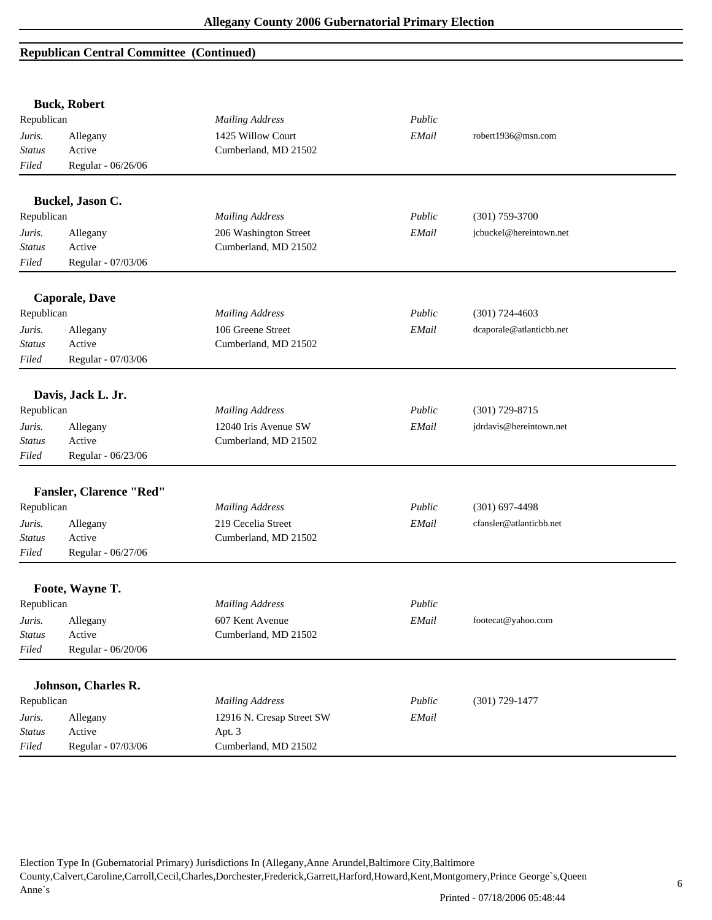## **Republican Central Committee (Continued)**

|               | <b>Buck, Robert</b>            |                           |        |                          |
|---------------|--------------------------------|---------------------------|--------|--------------------------|
| Republican    |                                | <b>Mailing Address</b>    | Public |                          |
| Juris.        | Allegany                       | 1425 Willow Court         | EMail  | robert1936@msn.com       |
| <b>Status</b> | Active                         | Cumberland, MD 21502      |        |                          |
| Filed         | Regular - 06/26/06             |                           |        |                          |
|               | Buckel, Jason C.               |                           |        |                          |
| Republican    |                                | <b>Mailing Address</b>    | Public | $(301)$ 759-3700         |
| Juris.        | Allegany                       | 206 Washington Street     | EMail  | jcbuckel@hereintown.net  |
| <b>Status</b> | Active                         | Cumberland, MD 21502      |        |                          |
| Filed         | Regular - 07/03/06             |                           |        |                          |
|               | <b>Caporale, Dave</b>          |                           |        |                          |
| Republican    |                                | <b>Mailing Address</b>    | Public | $(301) 724 - 4603$       |
| Juris.        | Allegany                       | 106 Greene Street         | EMail  | dcaporale@atlanticbb.net |
| <b>Status</b> | Active                         | Cumberland, MD 21502      |        |                          |
| Filed         | Regular - 07/03/06             |                           |        |                          |
|               | Davis, Jack L. Jr.             |                           |        |                          |
| Republican    |                                | <b>Mailing Address</b>    | Public | $(301)$ 729-8715         |
| Juris.        | Allegany                       | 12040 Iris Avenue SW      | EMail  | jdrdavis@hereintown.net  |
| <b>Status</b> | Active                         | Cumberland, MD 21502      |        |                          |
| Filed         | Regular - 06/23/06             |                           |        |                          |
|               | <b>Fansler, Clarence "Red"</b> |                           |        |                          |
| Republican    |                                | <b>Mailing Address</b>    | Public | $(301)$ 697-4498         |
| Juris.        | Allegany                       | 219 Cecelia Street        | EMail  | cfansler@atlanticbb.net  |
| <b>Status</b> | Active                         | Cumberland, MD 21502      |        |                          |
| Filed         | Regular - 06/27/06             |                           |        |                          |
|               | Foote, Wayne T.                |                           |        |                          |
| Republican    |                                | <b>Mailing Address</b>    | Public |                          |
| Juris.        | Allegany                       | 607 Kent Avenue           | EMail  | footecat@yahoo.com       |
| <b>Status</b> | Active                         | Cumberland, MD 21502      |        |                          |
| Filed         | Regular - 06/20/06             |                           |        |                          |
|               | Johnson, Charles R.            |                           |        |                          |
| Republican    |                                | <b>Mailing Address</b>    | Public | $(301) 729 - 1477$       |
| Juris.        | Allegany                       | 12916 N. Cresap Street SW | EMail  |                          |
| <b>Status</b> | Active                         | Apt. 3                    |        |                          |
| Filed         | Regular - 07/03/06             | Cumberland, MD 21502      |        |                          |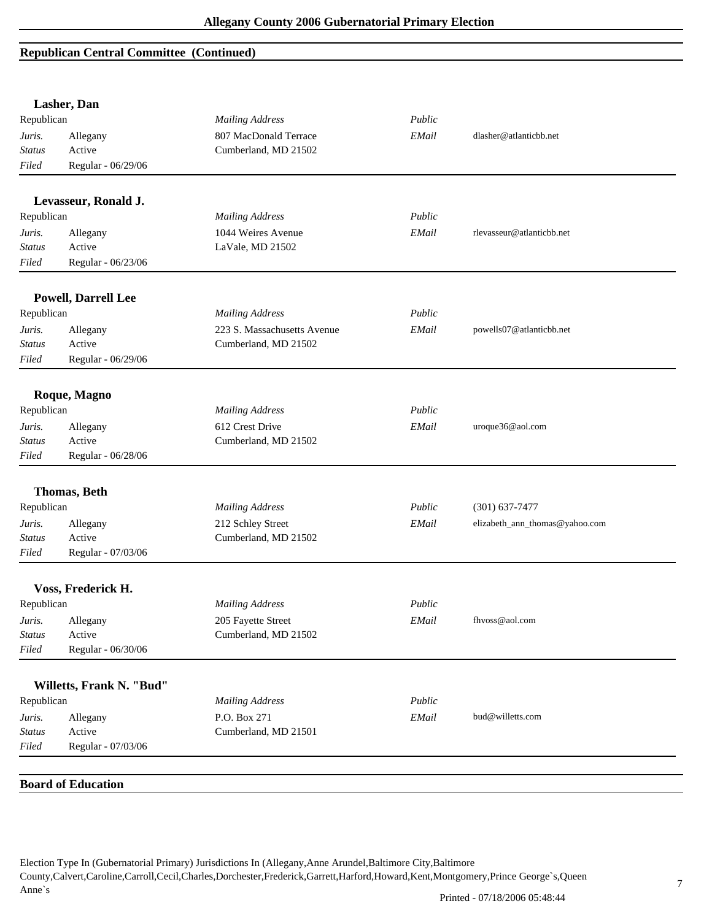## **Republican Central Committee (Continued)**

|               | Lasher, Dan                |                                      |        |                                |
|---------------|----------------------------|--------------------------------------|--------|--------------------------------|
| Republican    |                            | <b>Mailing Address</b>               | Public |                                |
| Juris.        | Allegany                   | 807 MacDonald Terrace                | EMail  | dlasher@atlanticbb.net         |
| <b>Status</b> | Active                     | Cumberland, MD 21502                 |        |                                |
| Filed         | Regular - 06/29/06         |                                      |        |                                |
|               | Levasseur, Ronald J.       |                                      |        |                                |
| Republican    |                            | <b>Mailing Address</b>               | Public |                                |
| Juris.        | Allegany                   | 1044 Weires Avenue                   | EMail  | rlevasseur@atlanticbb.net      |
| <b>Status</b> | Active                     | LaVale, MD 21502                     |        |                                |
| Filed         | Regular - 06/23/06         |                                      |        |                                |
|               | <b>Powell, Darrell Lee</b> |                                      |        |                                |
| Republican    |                            | <b>Mailing Address</b>               | Public |                                |
| Juris.        | Allegany                   | 223 S. Massachusetts Avenue          | EMail  | powells07@atlanticbb.net       |
| <b>Status</b> | Active                     | Cumberland, MD 21502                 |        |                                |
| Filed         | Regular - 06/29/06         |                                      |        |                                |
|               | Roque, Magno               |                                      |        |                                |
| Republican    |                            | <b>Mailing Address</b>               | Public |                                |
| Juris.        | Allegany                   | 612 Crest Drive                      | EMail  | uroque36@aol.com               |
| <b>Status</b> | Active                     | Cumberland, MD 21502                 |        |                                |
| Filed         | Regular - 06/28/06         |                                      |        |                                |
|               | <b>Thomas</b> , Beth       |                                      |        |                                |
| Republican    |                            | <b>Mailing Address</b>               | Public | $(301) 637 - 7477$             |
| Juris.        | Allegany                   | 212 Schley Street                    | EMail  | elizabeth_ann_thomas@yahoo.com |
| <b>Status</b> | Active                     | Cumberland, MD 21502                 |        |                                |
| Filed         | Regular - 07/03/06         |                                      |        |                                |
|               | Voss, Frederick H.         |                                      |        |                                |
| Republican    |                            | <b>Mailing Address</b>               | Public |                                |
| Juris.        | Allegany                   | 205 Fayette Street                   | EMail  | fhvoss@aol.com                 |
| <b>Status</b> | Active                     | Cumberland, MD 21502                 |        |                                |
| Filed         | Regular - 06/30/06         |                                      |        |                                |
|               |                            |                                      |        |                                |
|               | Willetts, Frank N. "Bud"   |                                      |        |                                |
| Republican    |                            | <b>Mailing Address</b>               | Public |                                |
| Juris.        | Allegany                   | P.O. Box 271<br>Cumberland, MD 21501 | EMail  | bud@willetts.com               |
| <b>Status</b> | Active                     |                                      |        |                                |
| Filed         | Regular - 07/03/06         |                                      |        |                                |
|               | <b>Board of Education</b>  |                                      |        |                                |
|               |                            |                                      |        |                                |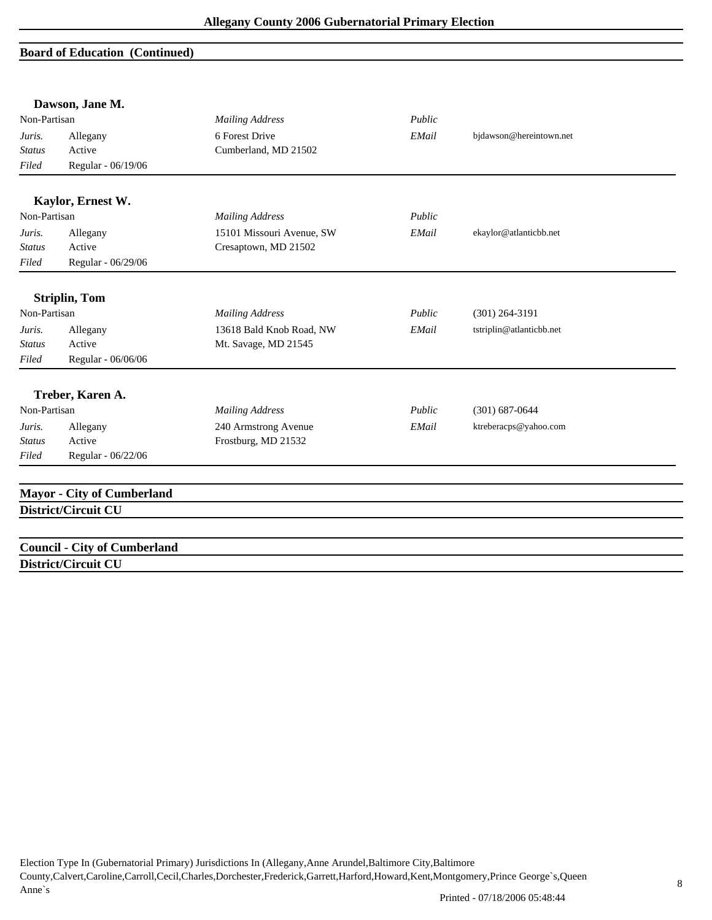#### **Board of Education (Continued)**

|               | Dawson, Jane M.                     |                           |        |                          |
|---------------|-------------------------------------|---------------------------|--------|--------------------------|
| Non-Partisan  |                                     | <b>Mailing Address</b>    | Public |                          |
| Juris.        | Allegany                            | 6 Forest Drive            | EMail  | bjdawson@hereintown.net  |
| <b>Status</b> | Active                              | Cumberland, MD 21502      |        |                          |
| Filed         | Regular - 06/19/06                  |                           |        |                          |
|               | Kaylor, Ernest W.                   |                           |        |                          |
| Non-Partisan  |                                     | <b>Mailing Address</b>    | Public |                          |
| Juris.        | Allegany                            | 15101 Missouri Avenue, SW | EMail  | ekaylor@atlanticbb.net   |
| <b>Status</b> | Active                              | Cresaptown, MD 21502      |        |                          |
| Filed         | Regular - 06/29/06                  |                           |        |                          |
|               | <b>Striplin, Tom</b>                |                           |        |                          |
| Non-Partisan  |                                     | <b>Mailing Address</b>    | Public | $(301)$ 264-3191         |
| Juris.        | Allegany                            | 13618 Bald Knob Road, NW  | EMail  | tstriplin@atlanticbb.net |
| <b>Status</b> | Active                              | Mt. Savage, MD 21545      |        |                          |
| Filed         | Regular - 06/06/06                  |                           |        |                          |
|               | Treber, Karen A.                    |                           |        |                          |
| Non-Partisan  |                                     | <b>Mailing Address</b>    | Public | $(301)$ 687-0644         |
| Juris.        | Allegany                            | 240 Armstrong Avenue      | EMail  | ktreberacps@yahoo.com    |
| <b>Status</b> | Active                              | Frostburg, MD 21532       |        |                          |
| Filed         | Regular - 06/22/06                  |                           |        |                          |
|               | <b>Mayor - City of Cumberland</b>   |                           |        |                          |
|               | District/Circuit CU                 |                           |        |                          |
|               |                                     |                           |        |                          |
|               | <b>Council - City of Cumberland</b> |                           |        |                          |
|               | District/Circuit CU                 |                           |        |                          |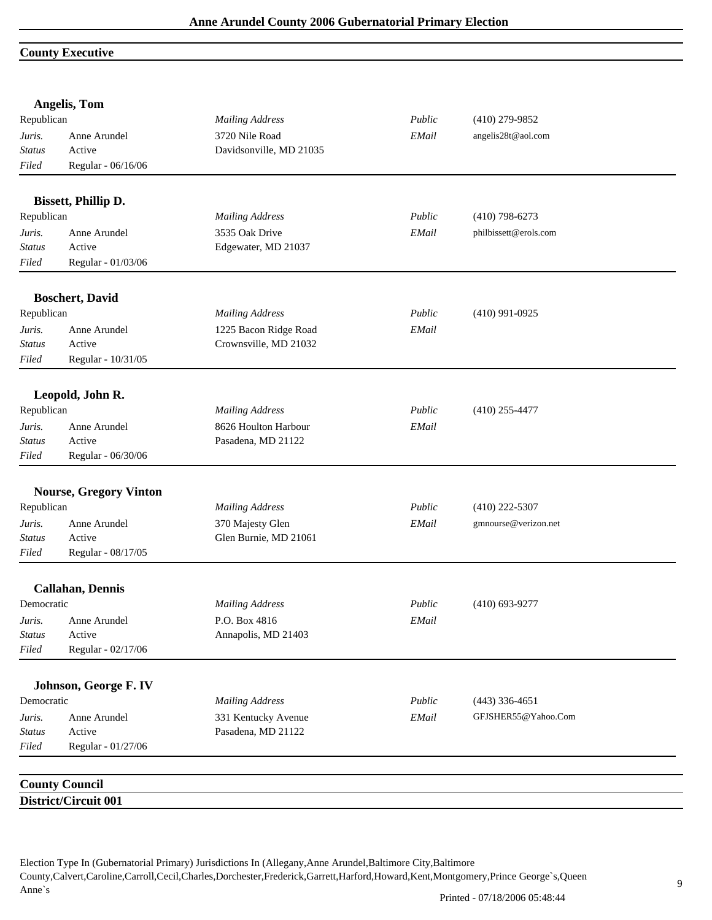#### **County Executive**

|               | Angelis, Tom                                  |                         |        |                       |
|---------------|-----------------------------------------------|-------------------------|--------|-----------------------|
| Republican    |                                               | <b>Mailing Address</b>  | Public | $(410)$ 279-9852      |
| Juris.        | Anne Arundel                                  | 3720 Nile Road          | EMail  | angelis28t@aol.com    |
| <b>Status</b> | Active                                        | Davidsonville, MD 21035 |        |                       |
| Filed         | Regular - 06/16/06                            |                         |        |                       |
|               | <b>Bissett, Phillip D.</b>                    |                         |        |                       |
| Republican    |                                               | <b>Mailing Address</b>  | Public | $(410)$ 798-6273      |
| Juris.        | Anne Arundel                                  | 3535 Oak Drive          | EMail  | philbissett@erols.com |
| <b>Status</b> | Active                                        | Edgewater, MD 21037     |        |                       |
| Filed         | Regular - 01/03/06                            |                         |        |                       |
|               | <b>Boschert, David</b>                        |                         |        |                       |
| Republican    |                                               | <b>Mailing Address</b>  | Public | $(410)$ 991-0925      |
| Juris.        | Anne Arundel                                  | 1225 Bacon Ridge Road   | EMail  |                       |
| <b>Status</b> | Active                                        | Crownsville, MD 21032   |        |                       |
| Filed         | Regular - 10/31/05                            |                         |        |                       |
|               | Leopold, John R.                              |                         |        |                       |
| Republican    |                                               | <b>Mailing Address</b>  | Public | $(410)$ 255-4477      |
| Juris.        | Anne Arundel                                  | 8626 Houlton Harbour    | EMail  |                       |
| <b>Status</b> | Active                                        | Pasadena, MD 21122      |        |                       |
| Filed         | Regular - 06/30/06                            |                         |        |                       |
|               |                                               |                         |        |                       |
|               | <b>Nourse, Gregory Vinton</b>                 |                         |        |                       |
| Republican    |                                               | <b>Mailing Address</b>  | Public | $(410)$ 222-5307      |
| Juris.        | Anne Arundel                                  | 370 Majesty Glen        | EMail  | gmnourse@verizon.net  |
| Status        | Active                                        | Glen Burnie, MD 21061   |        |                       |
| Filed         | Regular - 08/17/05                            |                         |        |                       |
|               | <b>Callahan</b> , Dennis                      |                         |        |                       |
| Democratic    |                                               | <b>Mailing Address</b>  | Public | $(410)$ 693-9277      |
| Juris.        | Anne Arundel                                  | P.O. Box 4816           | EMail  |                       |
| <b>Status</b> | Active                                        | Annapolis, MD 21403     |        |                       |
| Filed         | Regular - 02/17/06                            |                         |        |                       |
|               | Johnson, George F. IV                         |                         |        |                       |
| Democratic    |                                               | <b>Mailing Address</b>  | Public | $(443)$ 336-4651      |
| Juris.        | Anne Arundel                                  | 331 Kentucky Avenue     | EMail  | GFJSHER55@Yahoo.Com   |
| <b>Status</b> | Active                                        | Pasadena, MD 21122      |        |                       |
| $Filed$       | Regular - 01/27/06                            |                         |        |                       |
|               |                                               |                         |        |                       |
|               | <b>County Council</b><br>District/Circuit 001 |                         |        |                       |
|               |                                               |                         |        |                       |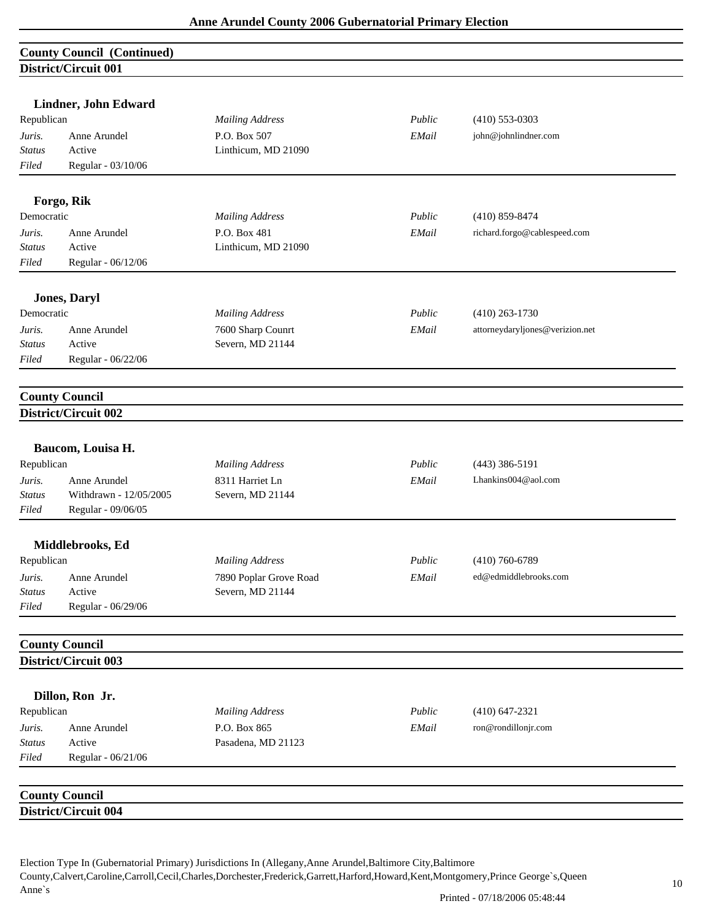### **County Council (Continued) District/Circuit 001**

|               | DISURUULUUU VVI        |                        |        |                                 |
|---------------|------------------------|------------------------|--------|---------------------------------|
|               | Lindner, John Edward   |                        |        |                                 |
| Republican    |                        | <b>Mailing Address</b> | Public | $(410)$ 553-0303                |
| Juris.        | Anne Arundel           | P.O. Box 507           | EMail  | john@johnlindner.com            |
| Status        | Active                 | Linthicum, MD 21090    |        |                                 |
| Filed         | Regular - 03/10/06     |                        |        |                                 |
|               |                        |                        |        |                                 |
|               | Forgo, Rik             |                        |        |                                 |
| Democratic    |                        | <b>Mailing Address</b> | Public | $(410)$ 859-8474                |
| Juris.        | Anne Arundel           | P.O. Box 481           | EMail  | richard.forgo@cablespeed.com    |
| <b>Status</b> | Active                 | Linthicum, MD 21090    |        |                                 |
| Filed         | Regular - 06/12/06     |                        |        |                                 |
|               | <b>Jones, Daryl</b>    |                        |        |                                 |
| Democratic    |                        | <b>Mailing Address</b> | Public | $(410)$ 263-1730                |
| Juris.        | Anne Arundel           | 7600 Sharp Counrt      | EMail  | attorneydaryljones@verizion.net |
| <b>Status</b> | Active                 | Severn, MD 21144       |        |                                 |
| Filed         | Regular - 06/22/06     |                        |        |                                 |
|               |                        |                        |        |                                 |
|               | <b>County Council</b>  |                        |        |                                 |
|               | District/Circuit 002   |                        |        |                                 |
|               |                        |                        |        |                                 |
|               | Baucom, Louisa H.      |                        |        |                                 |
| Republican    |                        | <b>Mailing Address</b> | Public | $(443)$ 386-5191                |
| Juris.        | Anne Arundel           | 8311 Harriet Ln        | EMail  | Lhankins004@aol.com             |
| <b>Status</b> | Withdrawn - 12/05/2005 | Severn, MD 21144       |        |                                 |
| Filed         | Regular - 09/06/05     |                        |        |                                 |
|               | Middlebrooks, Ed       |                        |        |                                 |
| Republican    |                        | <b>Mailing Address</b> | Public | $(410)$ 760-6789                |
| Juris.        | Anne Arundel           | 7890 Poplar Grove Road | EMail  | ed@edmiddlebrooks.com           |
| <b>Status</b> | Active                 | Severn, MD 21144       |        |                                 |
| Filed         | Regular - 06/29/06     |                        |        |                                 |
|               |                        |                        |        |                                 |
|               | <b>County Council</b>  |                        |        |                                 |
|               | District/Circuit 003   |                        |        |                                 |
|               | Dillon, Ron Jr.        |                        |        |                                 |
| Republican    |                        | <b>Mailing Address</b> | Public | $(410)$ 647-2321                |
| Juris.        | Anne Arundel           | P.O. Box 865           | EMail  | ron@rondillonjr.com             |
| <b>Status</b> | Active                 | Pasadena, MD 21123     |        |                                 |
| Filed         | Regular - 06/21/06     |                        |        |                                 |
|               |                        |                        |        |                                 |
|               | <b>County Council</b>  |                        |        |                                 |
|               | District/Circuit 004   |                        |        |                                 |
|               |                        |                        |        |                                 |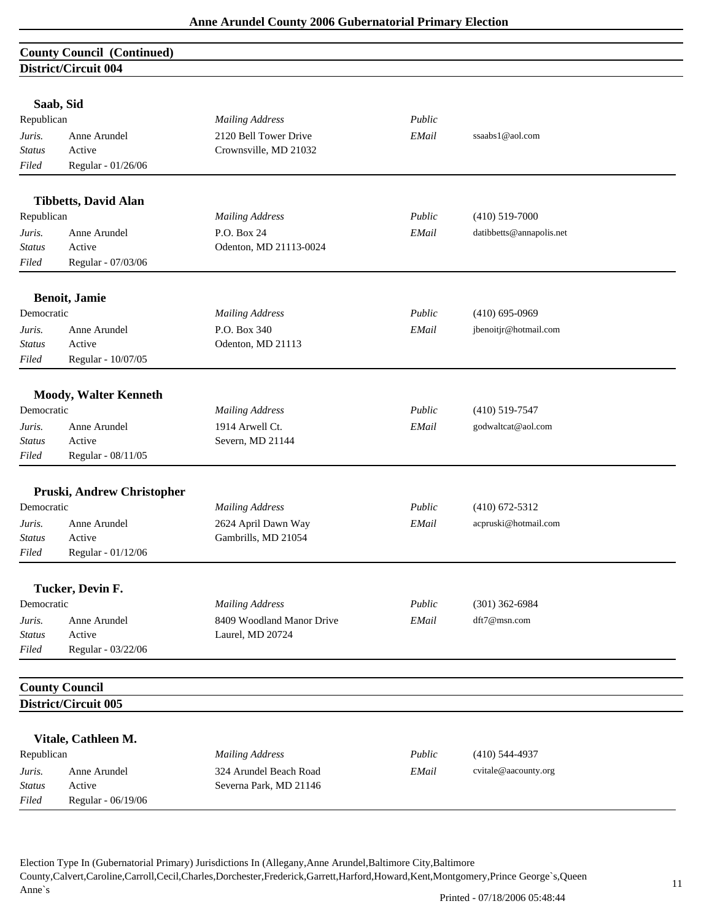### **County Council (Continued) District/Circuit 004**

|               | Saab, Sid                    |                           |        |                          |
|---------------|------------------------------|---------------------------|--------|--------------------------|
| Republican    |                              | <b>Mailing Address</b>    | Public |                          |
| Juris.        | Anne Arundel                 | 2120 Bell Tower Drive     | EMail  | ssaabs1@aol.com          |
| <b>Status</b> | Active                       | Crownsville, MD 21032     |        |                          |
| Filed         | Regular - 01/26/06           |                           |        |                          |
|               |                              |                           |        |                          |
|               | <b>Tibbetts, David Alan</b>  |                           |        |                          |
| Republican    |                              | <b>Mailing Address</b>    | Public | $(410) 519 - 7000$       |
| Juris.        | Anne Arundel                 | P.O. Box 24               | EMail  | datibbetts@annapolis.net |
| <b>Status</b> | Active                       | Odenton, MD 21113-0024    |        |                          |
| Filed         | Regular - 07/03/06           |                           |        |                          |
|               |                              |                           |        |                          |
|               | <b>Benoit</b> , Jamie        |                           |        |                          |
| Democratic    |                              | <b>Mailing Address</b>    | Public | $(410)$ 695-0969         |
| Juris.        | Anne Arundel                 | P.O. Box 340              | EMail  | jbenoitjr@hotmail.com    |
| Status        | Active                       | Odenton, MD 21113         |        |                          |
| Filed         | Regular - 10/07/05           |                           |        |                          |
|               | <b>Moody, Walter Kenneth</b> |                           |        |                          |
| Democratic    |                              | <b>Mailing Address</b>    | Public | $(410)$ 519-7547         |
| Juris.        | Anne Arundel                 | 1914 Arwell Ct.           | EMail  | godwaltcat@aol.com       |
| <b>Status</b> | Active                       | Severn, MD 21144          |        |                          |
| Filed         | Regular - 08/11/05           |                           |        |                          |
|               |                              |                           |        |                          |
|               | Pruski, Andrew Christopher   |                           |        |                          |
| Democratic    |                              | <b>Mailing Address</b>    | Public | $(410)$ 672-5312         |
| Juris.        | Anne Arundel                 | 2624 April Dawn Way       | EMail  | acpruski@hotmail.com     |
| <b>Status</b> | Active                       | Gambrills, MD 21054       |        |                          |
| Filed         | Regular - 01/12/06           |                           |        |                          |
|               | Tucker, Devin F.             |                           |        |                          |
| Democratic    |                              | <b>Mailing Address</b>    | Public | $(301)$ 362-6984         |
| Juris.        | Anne Arundel                 | 8409 Woodland Manor Drive | EMail  | dft7@msn.com             |
| <b>Status</b> | Active                       | Laurel, MD 20724          |        |                          |
| Filed         | Regular - 03/22/06           |                           |        |                          |
|               |                              |                           |        |                          |
|               | <b>County Council</b>        |                           |        |                          |
|               | District/Circuit 005         |                           |        |                          |
|               | Vitale, Cathleen M.          |                           |        |                          |
| Republican    |                              | <b>Mailing Address</b>    | Public | $(410)$ 544-4937         |
| Juris.        | Anne Arundel                 | 324 Arundel Beach Road    | EMail  | cvitale@aacounty.org     |
| <b>Status</b> | Active                       | Severna Park, MD 21146    |        |                          |
| Filed         | Regular - 06/19/06           |                           |        |                          |
|               |                              |                           |        |                          |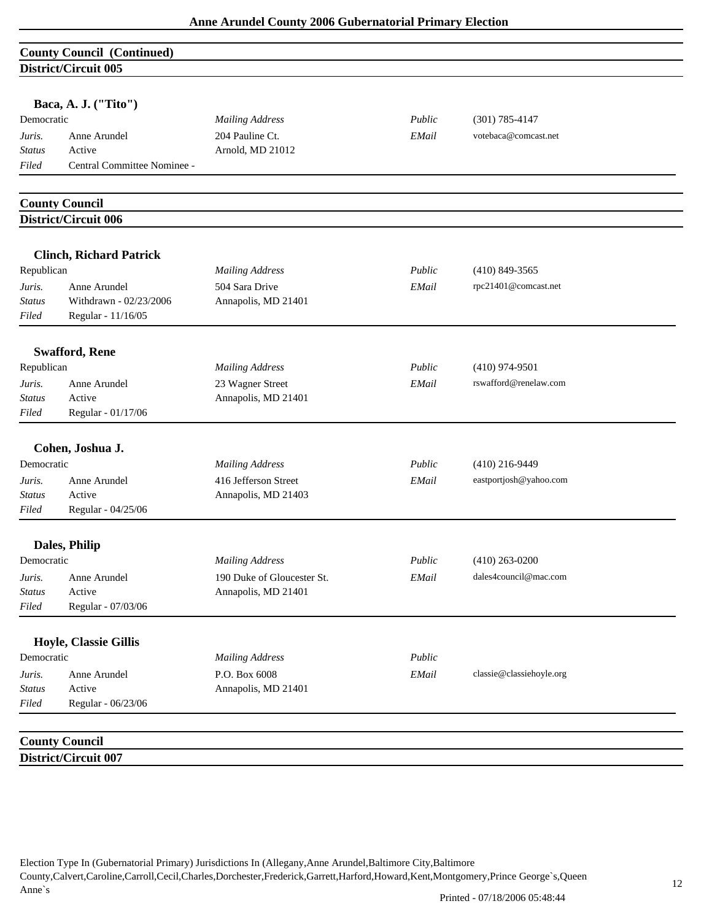### **County Council (Continued) District/Circuit 005**

|                         | Baca, A. J. ("Tito")             |                                                |                 |                                            |  |
|-------------------------|----------------------------------|------------------------------------------------|-----------------|--------------------------------------------|--|
| Democratic              |                                  | <b>Mailing Address</b>                         | Public          | $(301) 785 - 4147$                         |  |
| Juris.                  | Anne Arundel                     | 204 Pauline Ct.                                | EMail           | votebaca@comcast.net                       |  |
| <b>Status</b>           | Active                           | Arnold, MD 21012                               |                 |                                            |  |
| Filed                   | Central Committee Nominee -      |                                                |                 |                                            |  |
|                         | <b>County Council</b>            |                                                |                 |                                            |  |
|                         | District/Circuit 006             |                                                |                 |                                            |  |
|                         | <b>Clinch, Richard Patrick</b>   |                                                |                 |                                            |  |
| Republican              |                                  | <b>Mailing Address</b>                         | Public          | $(410)$ 849-3565                           |  |
| Juris.                  | Anne Arundel                     | 504 Sara Drive                                 | EMail           | rpc21401@comcast.net                       |  |
| <b>Status</b>           | Withdrawn - 02/23/2006           | Annapolis, MD 21401                            |                 |                                            |  |
| Filed                   | Regular - 11/16/05               |                                                |                 |                                            |  |
|                         | <b>Swafford, Rene</b>            |                                                |                 |                                            |  |
| Republican              |                                  | <b>Mailing Address</b>                         | Public          | $(410)$ 974-9501                           |  |
| Juris.                  | Anne Arundel                     | 23 Wagner Street                               | EMail           | rswafford@renelaw.com                      |  |
| Status                  | Active                           | Annapolis, MD 21401                            |                 |                                            |  |
| Filed                   | Regular - 01/17/06               |                                                |                 |                                            |  |
| Democratic<br>Juris.    | Cohen, Joshua J.<br>Anne Arundel | <b>Mailing Address</b><br>416 Jefferson Street | Public<br>EMail | $(410)$ 216-9449<br>eastportjosh@yahoo.com |  |
| <b>Status</b>           | Active                           | Annapolis, MD 21403                            |                 |                                            |  |
| Filed                   | Regular - 04/25/06               |                                                |                 |                                            |  |
|                         | Dales, Philip                    |                                                |                 |                                            |  |
| Democratic              |                                  | <b>Mailing Address</b>                         | Public          | $(410)$ 263-0200                           |  |
| Juris.                  | Anne Arundel                     | 190 Duke of Gloucester St.                     | EMail           | dales4council@mac.com                      |  |
| <b>Status</b>           | Active                           | Annapolis, MD 21401                            |                 |                                            |  |
| Filed                   | Regular - 07/03/06               |                                                |                 |                                            |  |
|                         | Hoyle, Classie Gillis            |                                                |                 |                                            |  |
| Democratic              |                                  | <b>Mailing Address</b>                         | Public          |                                            |  |
|                         | Anne Arundel                     | P.O. Box 6008                                  | EMail           | classie@classiehoyle.org                   |  |
|                         |                                  | Annapolis, MD 21401                            |                 |                                            |  |
| Juris.<br><b>Status</b> | Active                           |                                                |                 |                                            |  |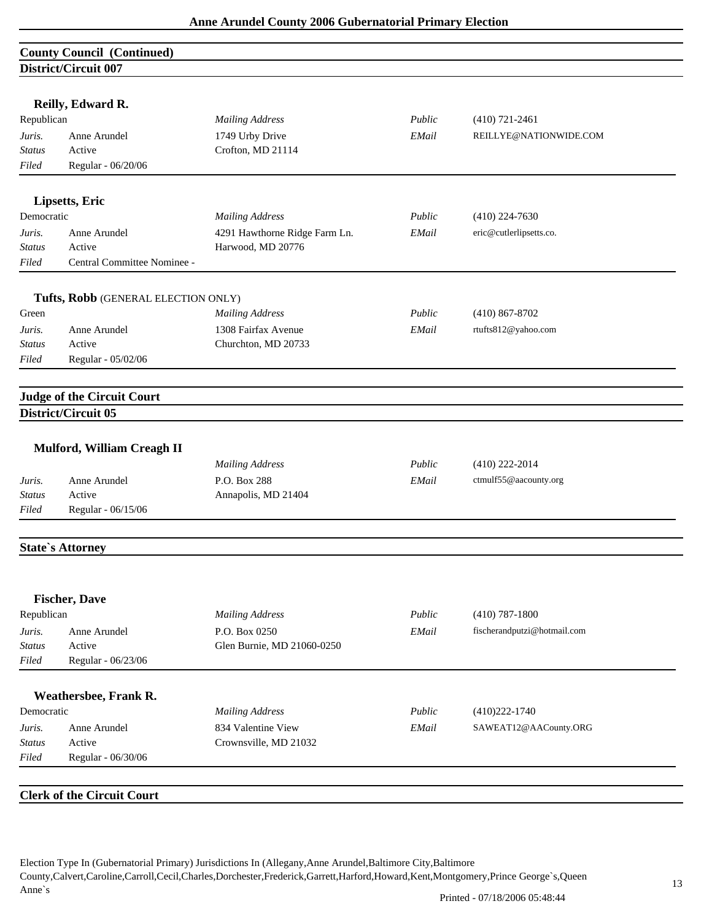|                         | <b>County Council (Continued)</b>   |                                            |        |                             |  |
|-------------------------|-------------------------------------|--------------------------------------------|--------|-----------------------------|--|
|                         | District/Circuit 007                |                                            |        |                             |  |
|                         |                                     |                                            |        |                             |  |
|                         | Reilly, Edward R.                   |                                            |        |                             |  |
| Republican              |                                     | <b>Mailing Address</b>                     | Public | $(410) 721 - 2461$          |  |
| Juris.                  | Anne Arundel<br>Active              | 1749 Urby Drive                            | EMail  | REILLYE@NATIONWIDE.COM      |  |
| <b>Status</b><br>Filed  | Regular - 06/20/06                  | Crofton, MD 21114                          |        |                             |  |
|                         |                                     |                                            |        |                             |  |
|                         | Lipsetts, Eric                      |                                            |        |                             |  |
| Democratic              |                                     | <b>Mailing Address</b>                     | Public | $(410)$ 224-7630            |  |
| Juris.                  | Anne Arundel                        | 4291 Hawthorne Ridge Farm Ln.              | EMail  | eric@cutlerlipsetts.co.     |  |
| <b>Status</b>           | Active                              | Harwood, MD 20776                          |        |                             |  |
| Filed                   | Central Committee Nominee -         |                                            |        |                             |  |
|                         |                                     |                                            |        |                             |  |
|                         | Tufts, Robb (GENERAL ELECTION ONLY) |                                            | Public | $(410) 867 - 8702$          |  |
| Green                   |                                     | <b>Mailing Address</b>                     |        |                             |  |
| Juris.<br><b>Status</b> | Anne Arundel<br>Active              | 1308 Fairfax Avenue<br>Churchton, MD 20733 | EMail  | rtufts812@yahoo.com         |  |
| Filed                   | Regular - 05/02/06                  |                                            |        |                             |  |
|                         |                                     |                                            |        |                             |  |
|                         | <b>Judge of the Circuit Court</b>   |                                            |        |                             |  |
|                         | District/Circuit 05                 |                                            |        |                             |  |
|                         |                                     |                                            |        |                             |  |
|                         | Mulford, William Creagh II          |                                            |        |                             |  |
|                         |                                     | <b>Mailing Address</b>                     | Public | $(410)$ 222-2014            |  |
| Juris.                  | Anne Arundel                        | P.O. Box 288                               | EMail  | ctmulf55@aacounty.org       |  |
| Status                  | Active                              | Annapolis, MD 21404                        |        |                             |  |
| Filed                   | Regular - 06/15/06                  |                                            |        |                             |  |
|                         |                                     |                                            |        |                             |  |
|                         | <b>State's Attorney</b>             |                                            |        |                             |  |
|                         |                                     |                                            |        |                             |  |
|                         | <b>Fischer, Dave</b>                |                                            |        |                             |  |
| Republican              |                                     | <b>Mailing Address</b>                     | Public | $(410)$ 787-1800            |  |
| Juris.                  | Anne Arundel                        | P.O. Box 0250                              | EMail  | fischerandputzi@hotmail.com |  |
| Status                  | Active                              | Glen Burnie, MD 21060-0250                 |        |                             |  |
| Filed                   | Regular - 06/23/06                  |                                            |        |                             |  |
|                         | Weathersbee, Frank R.               |                                            |        |                             |  |
| Democratic              |                                     | <b>Mailing Address</b>                     | Public | $(410)222 - 1740$           |  |
| Juris.                  | Anne Arundel                        | 834 Valentine View                         | EMail  | SAWEAT12@AACounty.ORG       |  |
| <b>Status</b>           | Active                              | Crownsville, MD 21032                      |        |                             |  |
| Filed                   | Regular - 06/30/06                  |                                            |        |                             |  |
|                         |                                     |                                            |        |                             |  |
|                         | <b>Clerk of the Circuit Court</b>   |                                            |        |                             |  |
|                         |                                     |                                            |        |                             |  |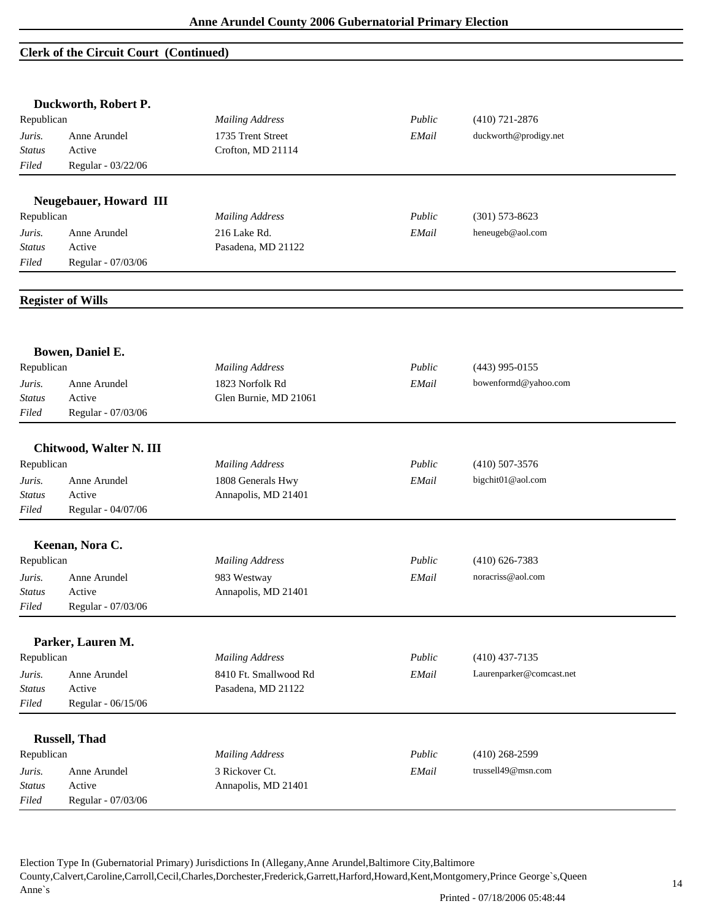#### **Clerk of the Circuit Court (Continued)**

|                        | Duckworth, Robert P.     |                        |        |                          |  |
|------------------------|--------------------------|------------------------|--------|--------------------------|--|
| Republican             |                          | <b>Mailing Address</b> | Public | $(410)$ 721-2876         |  |
| Juris.<br>Anne Arundel |                          | 1735 Trent Street      | EMail  | duckworth@prodigy.net    |  |
| Status                 | Active                   | Crofton, MD 21114      |        |                          |  |
| Filed                  | Regular - 03/22/06       |                        |        |                          |  |
|                        | Neugebauer, Howard III   |                        |        |                          |  |
| Republican             |                          | <b>Mailing Address</b> | Public | $(301)$ 573-8623         |  |
| Juris.                 | Anne Arundel             | 216 Lake Rd.           | EMail  | heneugeb@aol.com         |  |
| <b>Status</b>          | Active                   | Pasadena, MD 21122     |        |                          |  |
| Filed                  | Regular - 07/03/06       |                        |        |                          |  |
|                        | <b>Register of Wills</b> |                        |        |                          |  |
|                        | Bowen, Daniel E.         |                        |        |                          |  |
| Republican             |                          | <b>Mailing Address</b> | Public | $(443)$ 995-0155         |  |
| Juris.                 | Anne Arundel             | 1823 Norfolk Rd        | EMail  | bowenformd@yahoo.com     |  |
| Status                 | Active                   | Glen Burnie, MD 21061  |        |                          |  |
| Filed                  | Regular - 07/03/06       |                        |        |                          |  |
|                        | Chitwood, Walter N. III  |                        |        |                          |  |
| Republican             |                          | <b>Mailing Address</b> | Public | $(410)$ 507-3576         |  |
| Juris.                 | Anne Arundel             | 1808 Generals Hwy      | EMail  | bigchit01@aol.com        |  |
| Status                 | Active                   | Annapolis, MD 21401    |        |                          |  |
| Filed                  | Regular - 04/07/06       |                        |        |                          |  |
|                        | Keenan, Nora C.          |                        |        |                          |  |
| Republican             |                          | <b>Mailing Address</b> | Public | $(410)$ 626-7383         |  |
| Juris.                 | Anne Arundel             | 983 Westway            | EMail  | noracriss@aol.com        |  |
| Status                 | Active                   | Annapolis, MD 21401    |        |                          |  |
| $Filed$                | Regular - 07/03/06       |                        |        |                          |  |
|                        | Parker, Lauren M.        |                        |        |                          |  |
| Republican             |                          | <b>Mailing Address</b> | Public | $(410)$ 437-7135         |  |
| Juris.                 | Anne Arundel             | 8410 Ft. Smallwood Rd  | EMail  | Laurenparker@comcast.net |  |
| <b>Status</b>          | Active                   | Pasadena, MD 21122     |        |                          |  |
| Filed                  | Regular - 06/15/06       |                        |        |                          |  |
|                        | <b>Russell</b> , Thad    |                        |        |                          |  |
| Republican             |                          | <b>Mailing Address</b> | Public | $(410)$ 268-2599         |  |
| Juris.                 | Anne Arundel             | 3 Rickover Ct.         | EMail  | trussel149@msn.com       |  |
| <b>Status</b>          | Active                   | Annapolis, MD 21401    |        |                          |  |
| Filed                  | Regular - 07/03/06       |                        |        |                          |  |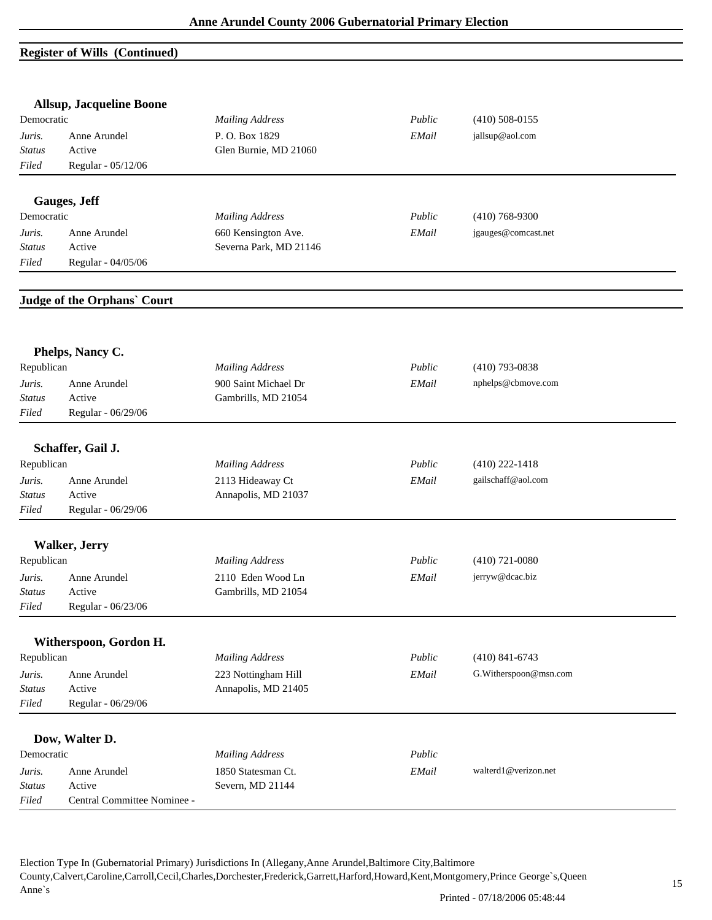## **Register of Wills (Continued)**

|                        | <b>Allsup, Jacqueline Boone</b>    |                        |        |                       |  |
|------------------------|------------------------------------|------------------------|--------|-----------------------|--|
| Democratic             |                                    | <b>Mailing Address</b> | Public | $(410)$ 508-0155      |  |
| Anne Arundel<br>Juris. |                                    | P.O. Box 1829          | EMail  | jallsup@aol.com       |  |
| <b>Status</b>          | Active                             | Glen Burnie, MD 21060  |        |                       |  |
| Filed                  | Regular - 05/12/06                 |                        |        |                       |  |
|                        | Gauges, Jeff                       |                        |        |                       |  |
| Democratic             |                                    | <b>Mailing Address</b> | Public | $(410)$ 768-9300      |  |
| Juris.                 | Anne Arundel                       | 660 Kensington Ave.    | EMail  | jgauges@comcast.net   |  |
| <b>Status</b>          | Active                             | Severna Park, MD 21146 |        |                       |  |
| Filed                  | Regular - 04/05/06                 |                        |        |                       |  |
|                        | <b>Judge of the Orphans' Court</b> |                        |        |                       |  |
|                        | Phelps, Nancy C.                   |                        |        |                       |  |
| Republican             |                                    | <b>Mailing Address</b> | Public | $(410)$ 793-0838      |  |
| Juris.                 | Anne Arundel                       | 900 Saint Michael Dr   | EMail  | nphelps@cbmove.com    |  |
| <b>Status</b>          | Active                             | Gambrills, MD 21054    |        |                       |  |
| Filed                  | Regular - 06/29/06                 |                        |        |                       |  |
|                        |                                    |                        |        |                       |  |
|                        | Schaffer, Gail J.                  |                        |        |                       |  |
| Republican             |                                    | <b>Mailing Address</b> | Public | $(410)$ 222-1418      |  |
| Juris.                 | Anne Arundel                       | 2113 Hideaway Ct       | EMail  | gailschaff@aol.com    |  |
| <b>Status</b>          | Active                             | Annapolis, MD 21037    |        |                       |  |
| Filed                  | Regular - 06/29/06                 |                        |        |                       |  |
|                        | <b>Walker, Jerry</b>               |                        |        |                       |  |
| Republican             |                                    | <b>Mailing Address</b> | Public | $(410)$ 721-0080      |  |
|                        | Anne Arundel                       | 2110 Eden Wood Ln      | EMail  | jerryw@dcac.biz       |  |
| Juris.<br>Status       | Active                             | Gambrills, MD 21054    |        |                       |  |
| Filed                  | Regular - 06/23/06                 |                        |        |                       |  |
|                        |                                    |                        |        |                       |  |
|                        | Witherspoon, Gordon H.             |                        |        |                       |  |
| Republican             |                                    | <b>Mailing Address</b> | Public | $(410)$ 841-6743      |  |
| Juris.                 | Anne Arundel                       | 223 Nottingham Hill    | EMail  | G.Witherspoon@msn.com |  |
| Status                 | Active                             | Annapolis, MD 21405    |        |                       |  |
| Filed                  | Regular - 06/29/06                 |                        |        |                       |  |
|                        | Dow, Walter D.                     |                        |        |                       |  |
| Democratic             |                                    | <b>Mailing Address</b> | Public |                       |  |
| Juris.                 | Anne Arundel                       | 1850 Statesman Ct.     | EMail  | walterd1@verizon.net  |  |
| <b>Status</b>          | Active                             | Severn, MD 21144       |        |                       |  |
| Filed                  | Central Committee Nominee -        |                        |        |                       |  |
|                        |                                    |                        |        |                       |  |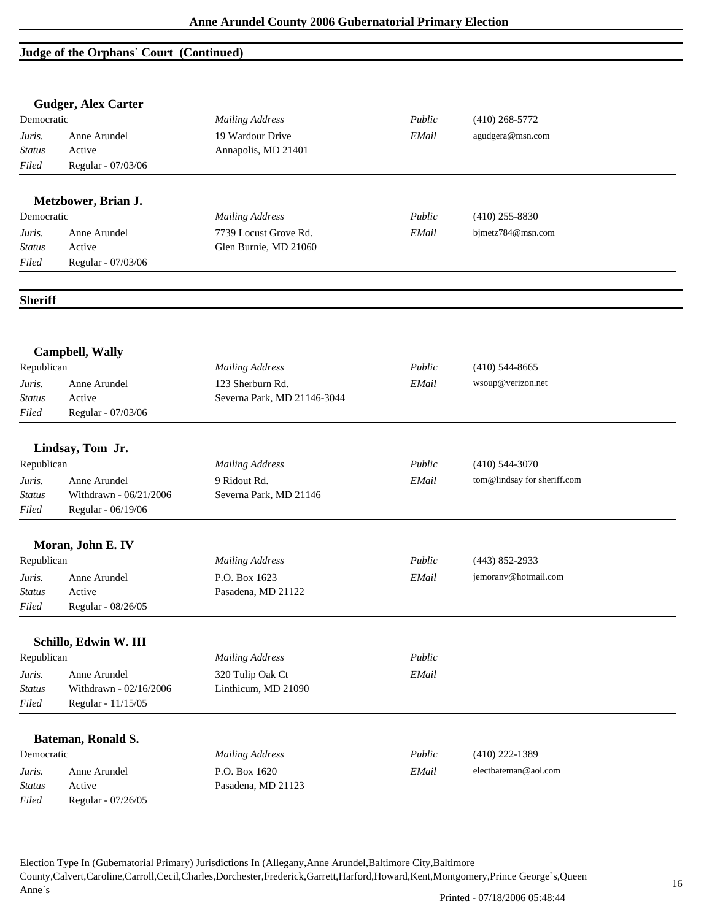## **Judge of the Orphans` Court (Continued)**

|                        | <b>Gudger, Alex Carter</b>             |                             |        |                             |  |
|------------------------|----------------------------------------|-----------------------------|--------|-----------------------------|--|
| Democratic             |                                        | <b>Mailing Address</b>      | Public | $(410)$ 268-5772            |  |
| Juris.                 | Anne Arundel                           | 19 Wardour Drive            | EMail  | agudgera@msn.com            |  |
| <b>Status</b>          | Active                                 | Annapolis, MD 21401         |        |                             |  |
| Filed                  | Regular - 07/03/06                     |                             |        |                             |  |
|                        | Metzbower, Brian J.                    |                             |        |                             |  |
| Democratic             |                                        | <b>Mailing Address</b>      | Public | $(410)$ 255-8830            |  |
| Juris.                 | Anne Arundel                           | 7739 Locust Grove Rd.       | EMail  | bjmetz784@msn.com           |  |
| <b>Status</b>          | Active                                 | Glen Burnie, MD 21060       |        |                             |  |
| Filed                  | Regular - 07/03/06                     |                             |        |                             |  |
| <b>Sheriff</b>         |                                        |                             |        |                             |  |
|                        | <b>Campbell, Wally</b>                 |                             |        |                             |  |
| Republican             |                                        | <b>Mailing Address</b>      | Public | $(410)$ 544-8665            |  |
| Juris.                 | Anne Arundel                           | 123 Sherburn Rd.            | EMail  | wsoup@verizon.net           |  |
| Status                 | Active                                 | Severna Park, MD 21146-3044 |        |                             |  |
| Filed                  | Regular - 07/03/06                     |                             |        |                             |  |
|                        | Lindsay, Tom Jr.                       |                             |        |                             |  |
| Republican             |                                        | <b>Mailing Address</b>      | Public | $(410)$ 544-3070            |  |
|                        |                                        |                             |        |                             |  |
| Juris.                 | Anne Arundel<br>Withdrawn - 06/21/2006 | 9 Ridout Rd.                | EMail  | tom@lindsay for sheriff.com |  |
| <b>Status</b><br>Filed |                                        | Severna Park, MD 21146      |        |                             |  |
|                        | Regular - 06/19/06                     |                             |        |                             |  |
|                        | Moran, John E. IV                      |                             |        |                             |  |
| Republican             |                                        | <b>Mailing Address</b>      | Public | $(443) 852 - 2933$          |  |
| Juris.                 | Anne Arundel                           | P.O. Box 1623               | EMail  | jemoranv@hotmail.com        |  |
| <b>Status</b>          | Active                                 | Pasadena, MD 21122          |        |                             |  |
| Filed                  | Regular - 08/26/05                     |                             |        |                             |  |
|                        | Schillo, Edwin W. III                  |                             |        |                             |  |
| Republican             |                                        | <b>Mailing Address</b>      | Public |                             |  |
| Juris.                 | Anne Arundel                           | 320 Tulip Oak Ct            | EMail  |                             |  |
| <b>Status</b>          | Withdrawn - 02/16/2006                 | Linthicum, MD 21090         |        |                             |  |
| Filed                  | Regular - 11/15/05                     |                             |        |                             |  |
|                        | Bateman, Ronald S.                     |                             |        |                             |  |
| Democratic             |                                        | <b>Mailing Address</b>      | Public | $(410)$ 222-1389            |  |
| Juris.                 | Anne Arundel                           | P.O. Box 1620               | EMail  | electbateman@aol.com        |  |
| <b>Status</b>          | Active                                 | Pasadena, MD 21123          |        |                             |  |
| Filed                  | Regular - 07/26/05                     |                             |        |                             |  |
|                        |                                        |                             |        |                             |  |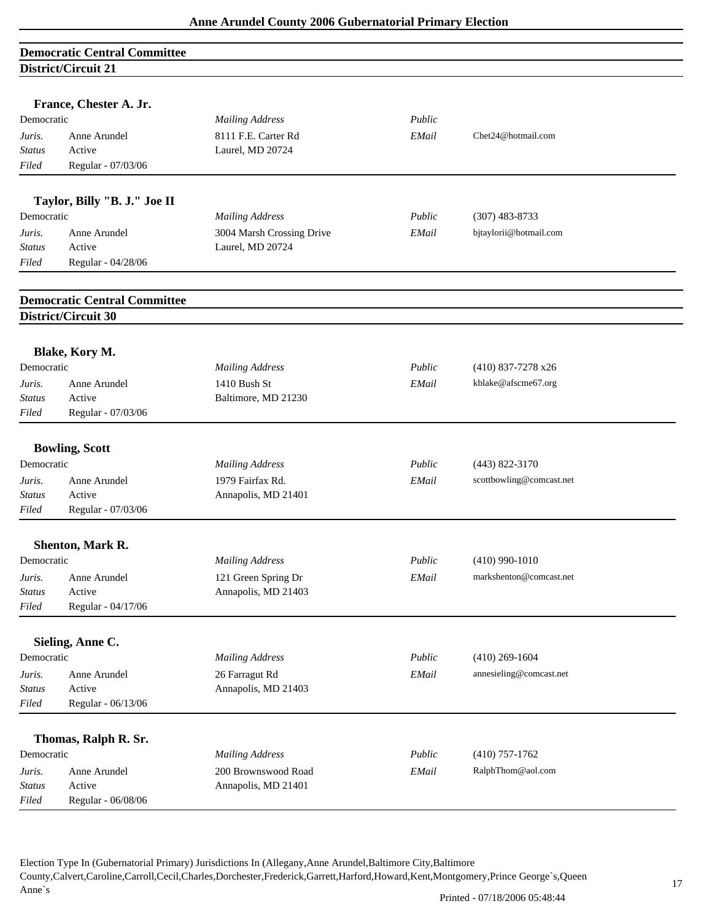# **Democratic Central Committee District/Circuit 21**

|                         | France, Chester A. Jr.              |                                               |        |                          |
|-------------------------|-------------------------------------|-----------------------------------------------|--------|--------------------------|
| Democratic              |                                     | <b>Mailing Address</b>                        | Public |                          |
| Juris.                  | Anne Arundel                        | 8111 F.E. Carter Rd                           | EMail  | Chet24@hotmail.com       |
| <b>Status</b>           | Active                              | Laurel, MD 20724                              |        |                          |
| Filed                   | Regular - 07/03/06                  |                                               |        |                          |
|                         |                                     |                                               |        |                          |
| Democratic              | Taylor, Billy "B. J." Joe II        |                                               |        |                          |
|                         |                                     | <b>Mailing Address</b>                        | Public | $(307)$ 483-8733         |
| Juris.                  | Anne Arundel<br>Active              | 3004 Marsh Crossing Drive<br>Laurel, MD 20724 | EMail  | bjtaylorii@hotmail.com   |
| <b>Status</b>           |                                     |                                               |        |                          |
| Filed                   | Regular - 04/28/06                  |                                               |        |                          |
|                         | <b>Democratic Central Committee</b> |                                               |        |                          |
|                         | District/Circuit 30                 |                                               |        |                          |
|                         | Blake, Kory M.                      |                                               |        |                          |
| Democratic              |                                     | <b>Mailing Address</b>                        | Public | $(410)$ 837-7278 x26     |
| Juris.                  | Anne Arundel                        | 1410 Bush St                                  | EMail  | kblake@afscme67.org      |
| Status                  | Active                              | Baltimore, MD 21230                           |        |                          |
| Filed                   | Regular - 07/03/06                  |                                               |        |                          |
|                         | <b>Bowling, Scott</b>               |                                               |        |                          |
| Democratic              |                                     | <b>Mailing Address</b>                        | Public | $(443) 822 - 3170$       |
|                         |                                     | 1979 Fairfax Rd.                              |        | scottbowling@comcast.net |
| Juris.<br><b>Status</b> | Anne Arundel<br>Active              | Annapolis, MD 21401                           | EMail  |                          |
| Filed                   | Regular - 07/03/06                  |                                               |        |                          |
|                         |                                     |                                               |        |                          |
|                         | Shenton, Mark R.                    |                                               |        |                          |
| Democratic              |                                     | <b>Mailing Address</b>                        | Public | $(410)$ 990-1010         |
| Juris.                  | Anne Arundel                        | 121 Green Spring Dr                           | EMail  | markshenton@comcast.net  |
| <i>Status</i>           | Active                              | Annapolis, MD 21403                           |        |                          |
| Filed                   | Regular - 04/17/06                  |                                               |        |                          |
|                         | Sieling, Anne C.                    |                                               |        |                          |
| Democratic              |                                     | <b>Mailing Address</b>                        | Public | $(410)$ 269-1604         |
| Juris.                  | Anne Arundel                        | 26 Farragut Rd                                | EMail  | annesieling@comcast.net  |
| <b>Status</b>           | Active                              | Annapolis, MD 21403                           |        |                          |
| Filed                   | Regular - 06/13/06                  |                                               |        |                          |
|                         |                                     |                                               |        |                          |
| Democratic              | Thomas, Ralph R. Sr.                |                                               | Public |                          |
|                         |                                     | <b>Mailing Address</b>                        |        | $(410)$ 757-1762         |
| Juris.                  | Anne Arundel<br>Active              | 200 Brownswood Road                           | EMail  | RalphThom@aol.com        |
| <b>Status</b>           |                                     | Annapolis, MD 21401                           |        |                          |
| Filed                   | Regular - 06/08/06                  |                                               |        |                          |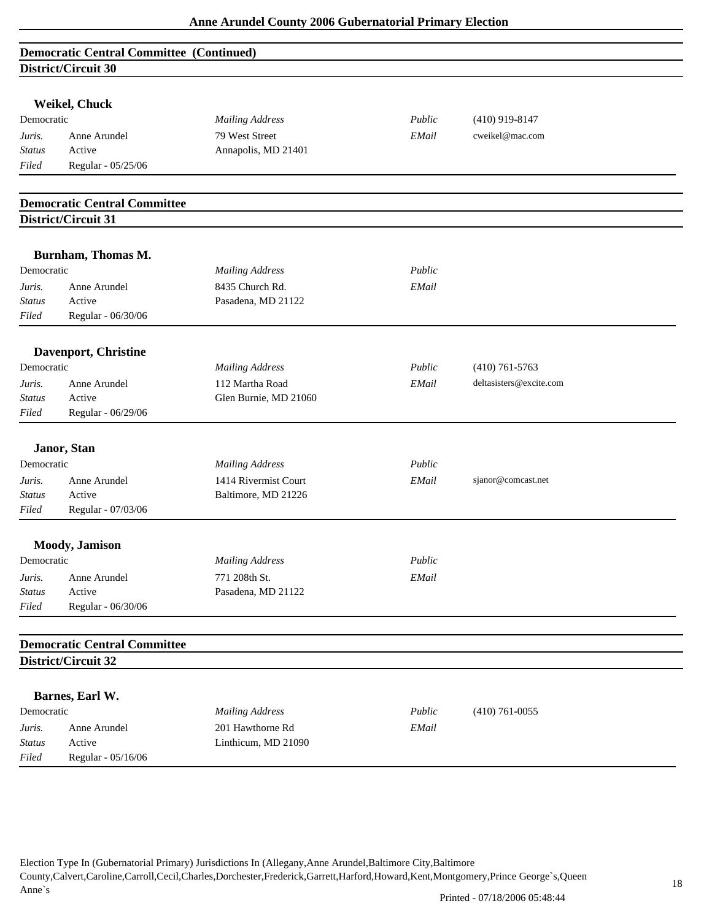|                        | <b>Democratic Central Committee (Continued)</b> |                        |        |                         |  |
|------------------------|-------------------------------------------------|------------------------|--------|-------------------------|--|
|                        | District/Circuit 30                             |                        |        |                         |  |
|                        |                                                 |                        |        |                         |  |
|                        | Weikel, Chuck                                   |                        |        |                         |  |
| Democratic             |                                                 | <b>Mailing Address</b> | Public | $(410)$ 919-8147        |  |
| Juris.                 | Anne Arundel                                    | 79 West Street         | EMail  | cweikel@mac.com         |  |
| <b>Status</b>          | Active                                          | Annapolis, MD 21401    |        |                         |  |
| Filed                  | Regular - 05/25/06                              |                        |        |                         |  |
|                        | <b>Democratic Central Committee</b>             |                        |        |                         |  |
|                        | District/Circuit 31                             |                        |        |                         |  |
|                        |                                                 |                        |        |                         |  |
| Democratic             | Burnham, Thomas M.                              |                        | Public |                         |  |
|                        |                                                 | <b>Mailing Address</b> |        |                         |  |
| Juris.                 | Anne Arundel                                    | 8435 Church Rd.        | EMail  |                         |  |
| <b>Status</b><br>Filed | Active                                          | Pasadena, MD 21122     |        |                         |  |
|                        | Regular - 06/30/06                              |                        |        |                         |  |
|                        | Davenport, Christine                            |                        |        |                         |  |
| Democratic             |                                                 | <b>Mailing Address</b> | Public | $(410)$ 761-5763        |  |
| Juris.                 | Anne Arundel                                    | 112 Martha Road        | EMail  | deltasisters@excite.com |  |
| <b>Status</b>          | Active                                          | Glen Burnie, MD 21060  |        |                         |  |
| Filed                  | Regular - 06/29/06                              |                        |        |                         |  |
|                        | Janor, Stan                                     |                        |        |                         |  |
| Democratic             |                                                 | <b>Mailing Address</b> | Public |                         |  |
| Juris.                 | Anne Arundel                                    | 1414 Rivermist Court   | EMail  | sjanor@comcast.net      |  |
| <b>Status</b>          | Active                                          | Baltimore, MD 21226    |        |                         |  |
| Filed                  | Regular - 07/03/06                              |                        |        |                         |  |
|                        | Moody, Jamison                                  |                        |        |                         |  |
| Democratic             |                                                 | <b>Mailing Address</b> | Public |                         |  |
| Juris.                 | Anne Arundel                                    | 771 208th St.          | EMail  |                         |  |
| <b>Status</b>          | Active                                          | Pasadena, MD 21122     |        |                         |  |
| Filed                  | Regular - 06/30/06                              |                        |        |                         |  |
|                        | <b>Democratic Central Committee</b>             |                        |        |                         |  |
|                        | District/Circuit 32                             |                        |        |                         |  |
|                        |                                                 |                        |        |                         |  |
|                        | Barnes, Earl W.                                 |                        |        |                         |  |
| Democratic             |                                                 | <b>Mailing Address</b> | Public | $(410)$ 761-0055        |  |
| Juris.                 | Anne Arundel                                    | 201 Hawthorne Rd       | EMail  |                         |  |
| <b>Status</b>          | Active                                          | Linthicum, MD 21090    |        |                         |  |
| Filed                  | Regular - 05/16/06                              |                        |        |                         |  |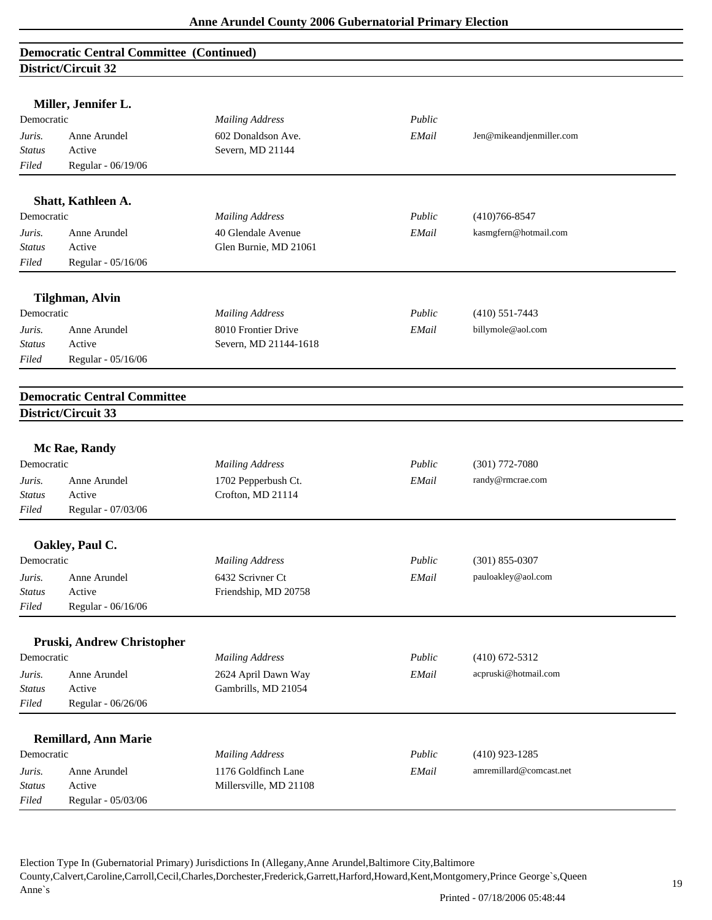|               | hou ica cair ca                     |                        |        |                          |  |
|---------------|-------------------------------------|------------------------|--------|--------------------------|--|
|               | Miller, Jennifer L.                 |                        |        |                          |  |
| Democratic    |                                     | <b>Mailing Address</b> | Public |                          |  |
| Juris.        | Anne Arundel                        | 602 Donaldson Ave.     | EMail  | Jen@mikeandjenmiller.com |  |
| <b>Status</b> | Active                              | Severn, MD 21144       |        |                          |  |
| Filed         | Regular - 06/19/06                  |                        |        |                          |  |
|               |                                     |                        |        |                          |  |
|               | Shatt, Kathleen A.                  |                        |        |                          |  |
| Democratic    |                                     | <b>Mailing Address</b> | Public | $(410)766 - 8547$        |  |
| Juris.        | Anne Arundel                        | 40 Glendale Avenue     | EMail  | kasmgfern@hotmail.com    |  |
| <b>Status</b> | Active                              | Glen Burnie, MD 21061  |        |                          |  |
| Filed         | Regular - 05/16/06                  |                        |        |                          |  |
|               | <b>Tilghman, Alvin</b>              |                        |        |                          |  |
| Democratic    |                                     | <b>Mailing Address</b> | Public | $(410)$ 551-7443         |  |
| Juris.        | Anne Arundel                        | 8010 Frontier Drive    | EMail  | billymole@aol.com        |  |
| <b>Status</b> | Active                              | Severn, MD 21144-1618  |        |                          |  |
| Filed         | Regular - 05/16/06                  |                        |        |                          |  |
|               |                                     |                        |        |                          |  |
|               | <b>Democratic Central Committee</b> |                        |        |                          |  |
|               | District/Circuit 33                 |                        |        |                          |  |
|               |                                     |                        |        |                          |  |
|               | Mc Rae, Randy                       |                        |        |                          |  |
| Democratic    |                                     | <b>Mailing Address</b> | Public | $(301)$ 772-7080         |  |
| Juris.        | Anne Arundel                        | 1702 Pepperbush Ct.    | EMail  | randy@rmcrae.com         |  |
| <b>Status</b> | Active                              | Crofton, MD 21114      |        |                          |  |
| Filed         | Regular - 07/03/06                  |                        |        |                          |  |
|               | Oakley, Paul C.                     |                        |        |                          |  |
| Democratic    |                                     | <b>Mailing Address</b> | Public | $(301)$ 855-0307         |  |
| Juris.        | Anne Arundel                        | 6432 Scrivner Ct       | EMail  | pauloakley@aol.com       |  |
| Status        | Active                              | Friendship, MD 20758   |        |                          |  |
| Filed         | Regular - 06/16/06                  |                        |        |                          |  |
|               |                                     |                        |        |                          |  |
|               | Pruski, Andrew Christopher          |                        |        |                          |  |
| Democratic    |                                     | <b>Mailing Address</b> | Public | $(410)$ 672-5312         |  |
| Juris.        | Anne Arundel                        | 2624 April Dawn Way    | EMail  | acpruski@hotmail.com     |  |
| Status        | Active                              | Gambrills, MD 21054    |        |                          |  |
| Filed         | Regular - 06/26/06                  |                        |        |                          |  |
|               | <b>Remillard, Ann Marie</b>         |                        |        |                          |  |
| Democratic    |                                     | <b>Mailing Address</b> | Public | $(410)$ 923-1285         |  |
| Juris.        | Anne Arundel                        | 1176 Goldfinch Lane    | EMail  | amremillard@comcast.net  |  |
| <b>Status</b> | Active                              | Millersville, MD 21108 |        |                          |  |
| Filed         | Regular - 05/03/06                  |                        |        |                          |  |
|               |                                     |                        |        |                          |  |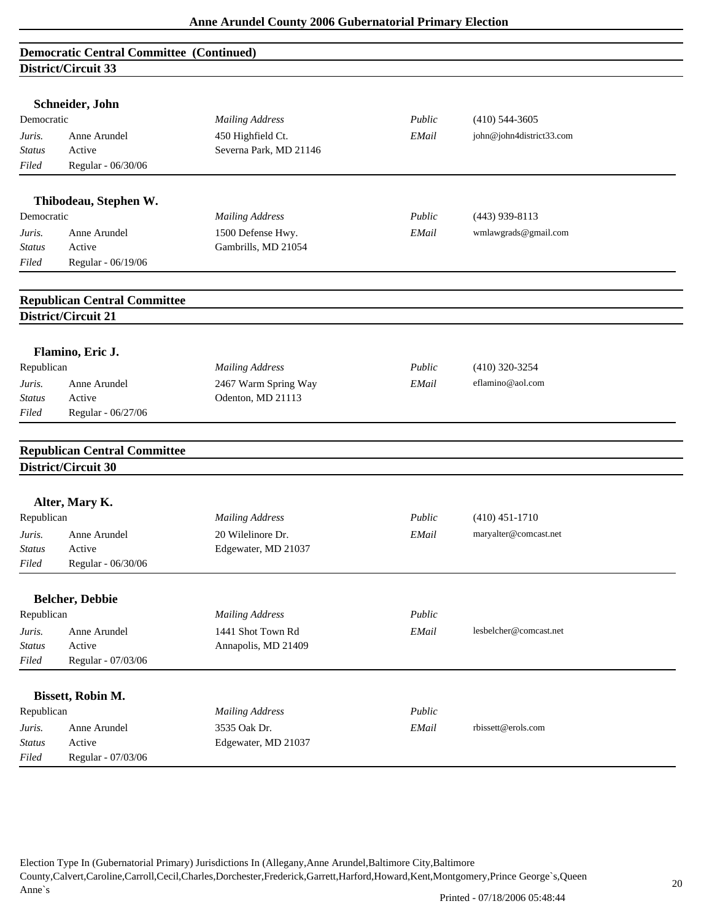| <b>Democratic Central Committee (Continued)</b><br>District/Circuit 33 |                                     |                        |        |                          |  |  |  |
|------------------------------------------------------------------------|-------------------------------------|------------------------|--------|--------------------------|--|--|--|
|                                                                        |                                     |                        |        |                          |  |  |  |
|                                                                        | Schneider, John                     |                        |        |                          |  |  |  |
| Democratic                                                             |                                     | <b>Mailing Address</b> | Public | $(410)$ 544-3605         |  |  |  |
| Juris.                                                                 | Anne Arundel                        | 450 Highfield Ct.      | EMail  | john@john4district33.com |  |  |  |
| <b>Status</b>                                                          | Active                              | Severna Park, MD 21146 |        |                          |  |  |  |
| Filed                                                                  | Regular - 06/30/06                  |                        |        |                          |  |  |  |
|                                                                        | Thibodeau, Stephen W.               |                        |        |                          |  |  |  |
| Democratic                                                             |                                     | <b>Mailing Address</b> | Public | $(443)$ 939-8113         |  |  |  |
| Juris.                                                                 | Anne Arundel                        | 1500 Defense Hwy.      | EMail  | wmlawgrads@gmail.com     |  |  |  |
| <b>Status</b>                                                          | Active                              | Gambrills, MD 21054    |        |                          |  |  |  |
| Filed                                                                  | Regular - 06/19/06                  |                        |        |                          |  |  |  |
|                                                                        |                                     |                        |        |                          |  |  |  |
|                                                                        | <b>Republican Central Committee</b> |                        |        |                          |  |  |  |
|                                                                        | District/Circuit 21                 |                        |        |                          |  |  |  |
|                                                                        |                                     |                        |        |                          |  |  |  |
|                                                                        | Flamino, Eric J.                    |                        |        |                          |  |  |  |
| Republican                                                             |                                     | <b>Mailing Address</b> | Public | $(410)$ 320-3254         |  |  |  |
| Juris.                                                                 | Anne Arundel                        | 2467 Warm Spring Way   | EMail  | eflamino@aol.com         |  |  |  |
| Status                                                                 | Active                              | Odenton, MD 21113      |        |                          |  |  |  |
| Filed                                                                  | Regular - 06/27/06                  |                        |        |                          |  |  |  |
|                                                                        | <b>Republican Central Committee</b> |                        |        |                          |  |  |  |
|                                                                        | District/Circuit 30                 |                        |        |                          |  |  |  |
|                                                                        |                                     |                        |        |                          |  |  |  |
|                                                                        | Alter, Mary K.                      |                        | Public | $(410)$ 451-1710         |  |  |  |
| Republican                                                             |                                     | <b>Mailing Address</b> |        |                          |  |  |  |
| Juris.                                                                 | Anne Arundel                        | 20 Wilelinore Dr.      | EMail  | maryalter@comcast.net    |  |  |  |
| <b>Status</b>                                                          | Active                              | Edgewater, MD 21037    |        |                          |  |  |  |
| Filed                                                                  | Regular - 06/30/06                  |                        |        |                          |  |  |  |
|                                                                        | <b>Belcher, Debbie</b>              |                        |        |                          |  |  |  |
| Republican                                                             |                                     | <b>Mailing Address</b> | Public |                          |  |  |  |
| Juris.                                                                 | Anne Arundel                        | 1441 Shot Town Rd      | EMail  | lesbelcher@comcast.net   |  |  |  |
| Status                                                                 | Active                              | Annapolis, MD 21409    |        |                          |  |  |  |
| Filed                                                                  | Regular - 07/03/06                  |                        |        |                          |  |  |  |
|                                                                        | Bissett, Robin M.                   |                        |        |                          |  |  |  |
| Republican                                                             |                                     | <b>Mailing Address</b> | Public |                          |  |  |  |
| Juris.                                                                 | Anne Arundel                        | 3535 Oak Dr.           | EMail  | rbissett@erols.com       |  |  |  |
| <b>Status</b>                                                          | Active                              | Edgewater, MD 21037    |        |                          |  |  |  |
| Filed                                                                  | Regular - 07/03/06                  |                        |        |                          |  |  |  |
|                                                                        |                                     |                        |        |                          |  |  |  |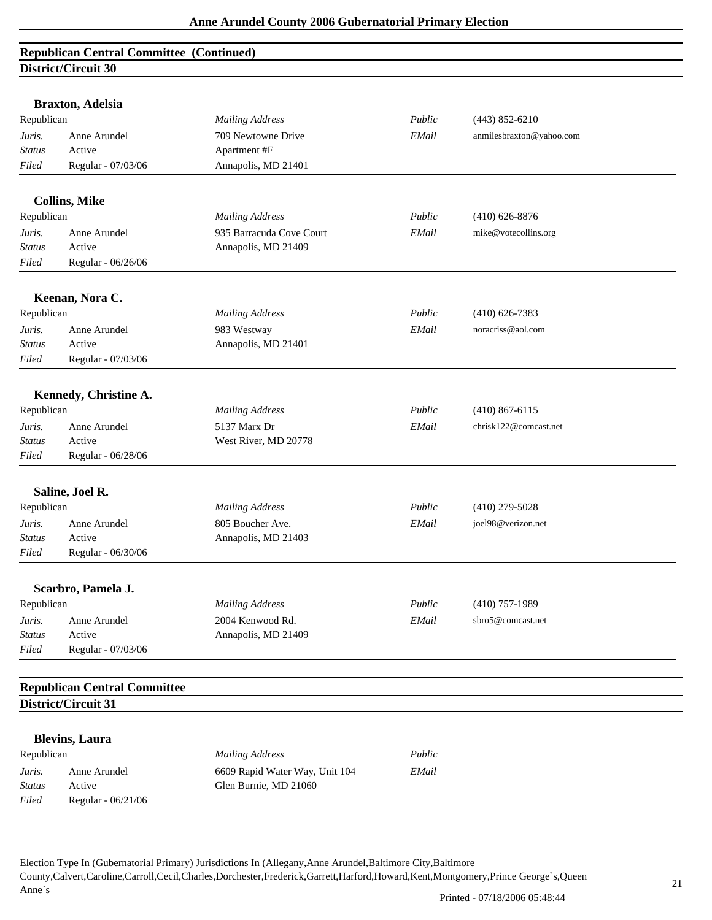|                         | <b>Braxton, Adelsia</b>             |                                                         |        |                          |  |
|-------------------------|-------------------------------------|---------------------------------------------------------|--------|--------------------------|--|
| Republican              |                                     | <b>Mailing Address</b>                                  | Public | $(443) 852 - 6210$       |  |
| Juris.                  | Anne Arundel<br>Active              | 709 Newtowne Drive                                      | EMail  | anmilesbraxton@yahoo.com |  |
| <b>Status</b>           |                                     | Apartment #F<br>Annapolis, MD 21401                     |        |                          |  |
| Filed                   | Regular - 07/03/06                  |                                                         |        |                          |  |
|                         | <b>Collins, Mike</b>                |                                                         |        |                          |  |
| Republican              |                                     | <b>Mailing Address</b>                                  | Public | $(410)$ 626-8876         |  |
| Juris.                  | Anne Arundel                        | 935 Barracuda Cove Court                                | EMail  | mike@votecollins.org     |  |
| <b>Status</b>           | Active                              | Annapolis, MD 21409                                     |        |                          |  |
| Filed                   | Regular - 06/26/06                  |                                                         |        |                          |  |
|                         |                                     |                                                         |        |                          |  |
|                         | Keenan, Nora C.                     |                                                         |        |                          |  |
| Republican              |                                     | <b>Mailing Address</b>                                  | Public | $(410)$ 626-7383         |  |
| Juris.                  | Anne Arundel                        | 983 Westway                                             | EMail  | noracriss@aol.com        |  |
| <b>Status</b>           | Active                              | Annapolis, MD 21401                                     |        |                          |  |
| Filed                   | Regular - 07/03/06                  |                                                         |        |                          |  |
|                         | Kennedy, Christine A.               |                                                         |        |                          |  |
| Republican              |                                     | <b>Mailing Address</b>                                  | Public | $(410) 867 - 6115$       |  |
|                         | Anne Arundel                        | 5137 Marx Dr                                            | EMail  | chrisk122@comcast.net    |  |
| Juris.<br><b>Status</b> | Active                              | West River, MD 20778                                    |        |                          |  |
| Filed                   | Regular - 06/28/06                  |                                                         |        |                          |  |
|                         |                                     |                                                         |        |                          |  |
|                         | Saline, Joel R.                     |                                                         |        |                          |  |
| Republican              |                                     | <b>Mailing Address</b>                                  | Public | $(410)$ 279-5028         |  |
| Juris.                  | Anne Arundel                        | 805 Boucher Ave.                                        | EMail  | joel98@verizon.net       |  |
| <b>Status</b>           | Active                              | Annapolis, MD 21403                                     |        |                          |  |
| Filed                   | Regular - 06/30/06                  |                                                         |        |                          |  |
|                         |                                     |                                                         |        |                          |  |
| Republican              | Scarbro, Pamela J.                  |                                                         | Public | $(410)$ 757-1989         |  |
|                         |                                     | <b>Mailing Address</b>                                  |        |                          |  |
| Juris.                  | Anne Arundel                        | 2004 Kenwood Rd.                                        | EMail  | sbro5@comcast.net        |  |
| <b>Status</b>           | Active                              | Annapolis, MD 21409                                     |        |                          |  |
| Filed                   | Regular - 07/03/06                  |                                                         |        |                          |  |
|                         | <b>Republican Central Committee</b> |                                                         |        |                          |  |
|                         | District/Circuit 31                 |                                                         |        |                          |  |
|                         | <b>Blevins, Laura</b>               |                                                         |        |                          |  |
| Republican              |                                     | <b>Mailing Address</b>                                  | Public |                          |  |
| Juris.                  | Anne Arundel                        |                                                         | EMail  |                          |  |
| <b>Status</b>           | Active                              | 6609 Rapid Water Way, Unit 104<br>Glen Burnie, MD 21060 |        |                          |  |
| Filed                   | Regular - 06/21/06                  |                                                         |        |                          |  |
|                         |                                     |                                                         |        |                          |  |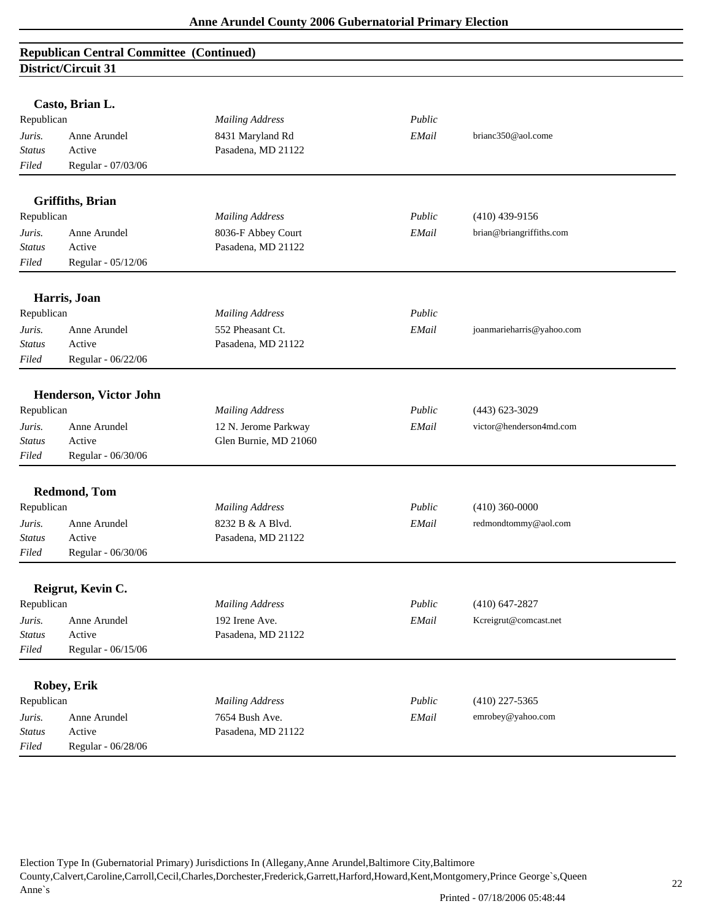|               | Casto, Brian L.          |                        |        |                           |  |
|---------------|--------------------------|------------------------|--------|---------------------------|--|
| Republican    |                          | <b>Mailing Address</b> | Public |                           |  |
| Juris.        | Anne Arundel             | 8431 Maryland Rd       | EMail  | brianc350@aol.come        |  |
| <b>Status</b> | Active                   | Pasadena, MD 21122     |        |                           |  |
| Filed         | Regular - 07/03/06       |                        |        |                           |  |
|               | <b>Griffiths</b> , Brian |                        |        |                           |  |
| Republican    |                          | <b>Mailing Address</b> | Public | $(410)$ 439-9156          |  |
| Juris.        | Anne Arundel             | 8036-F Abbey Court     | EMail  | brian@briangriffiths.com  |  |
| <b>Status</b> | Active                   | Pasadena, MD 21122     |        |                           |  |
| Filed         | Regular - 05/12/06       |                        |        |                           |  |
|               | Harris, Joan             |                        |        |                           |  |
| Republican    |                          | <b>Mailing Address</b> | Public |                           |  |
| Juris.        | Anne Arundel             | 552 Pheasant Ct.       | EMail  | joanmarieharris@yahoo.com |  |
| Status        | Active                   | Pasadena, MD 21122     |        |                           |  |
| Filed         | Regular - 06/22/06       |                        |        |                           |  |
|               |                          |                        |        |                           |  |
|               | Henderson, Victor John   |                        |        |                           |  |
| Republican    |                          | <b>Mailing Address</b> | Public | $(443) 623 - 3029$        |  |
| Juris.        | Anne Arundel             | 12 N. Jerome Parkway   | EMail  | victor@henderson4md.com   |  |
| <b>Status</b> | Active                   | Glen Burnie, MD 21060  |        |                           |  |
| Filed         | Regular - 06/30/06       |                        |        |                           |  |
|               | <b>Redmond, Tom</b>      |                        |        |                           |  |
| Republican    |                          | <b>Mailing Address</b> | Public | $(410)$ 360-0000          |  |
| Juris.        | Anne Arundel             | 8232 B & A Blvd.       | EMail  | redmondtommy@aol.com      |  |
| <b>Status</b> | Active                   | Pasadena, MD 21122     |        |                           |  |
| Filed         | Regular - 06/30/06       |                        |        |                           |  |
|               | Reigrut, Kevin C.        |                        |        |                           |  |
| Republican    |                          | <b>Mailing Address</b> | Public | $(410)$ 647-2827          |  |
| Juris.        | Anne Arundel             | 192 Irene Ave.         | EMail  | Kcreigrut@comcast.net     |  |
| <b>Status</b> | Active                   | Pasadena, MD 21122     |        |                           |  |
| Filed         | Regular - 06/15/06       |                        |        |                           |  |
|               |                          |                        |        |                           |  |
|               | Robey, Erik              |                        |        |                           |  |
| Republican    |                          | <b>Mailing Address</b> | Public | $(410)$ 227-5365          |  |
| Juris.        | Anne Arundel             | 7654 Bush Ave.         | EMail  | emrobey@yahoo.com         |  |
| <b>Status</b> | Active                   | Pasadena, MD 21122     |        |                           |  |
| Filed         | Regular - 06/28/06       |                        |        |                           |  |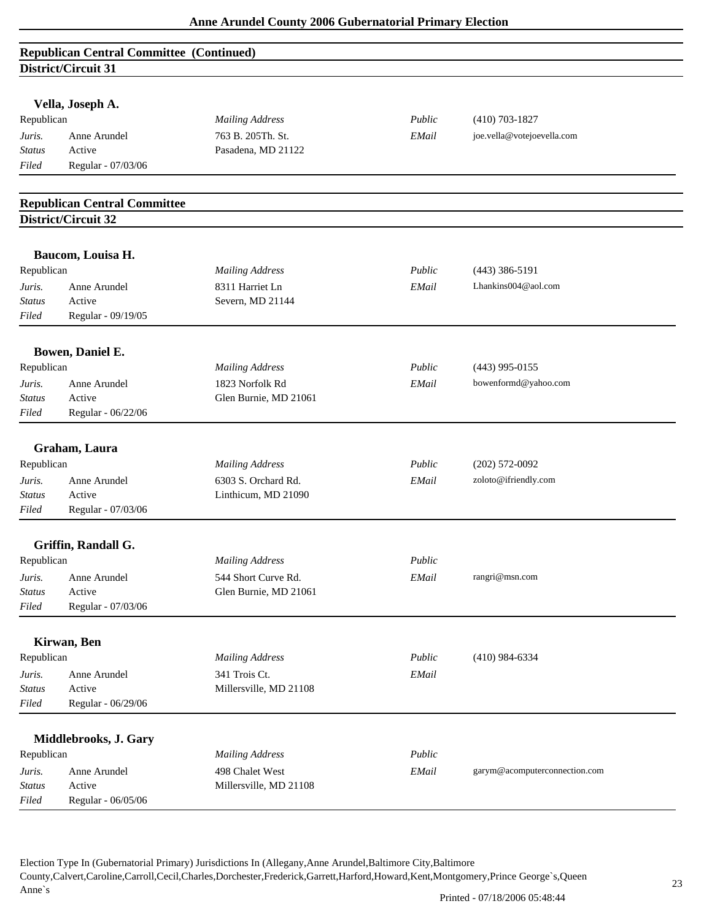|               | Vella, Joseph A.                    |                        |        |                               |
|---------------|-------------------------------------|------------------------|--------|-------------------------------|
| Republican    |                                     | <b>Mailing Address</b> | Public | $(410)$ 703-1827              |
| Juris.        | Anne Arundel                        | 763 B. 205Th. St.      | EMail  | joe.vella@votejoevella.com    |
| <b>Status</b> | Active                              | Pasadena, MD 21122     |        |                               |
| Filed         | Regular - 07/03/06                  |                        |        |                               |
|               | <b>Republican Central Committee</b> |                        |        |                               |
|               | District/Circuit 32                 |                        |        |                               |
|               | Baucom, Louisa H.                   |                        |        |                               |
| Republican    |                                     | <b>Mailing Address</b> | Public | $(443)$ 386-5191              |
| Juris.        | Anne Arundel                        | 8311 Harriet Ln        | EMail  | Lhankins004@aol.com           |
| <b>Status</b> | Active                              | Severn, MD 21144       |        |                               |
| Filed         | Regular - 09/19/05                  |                        |        |                               |
|               | Bowen, Daniel E.                    |                        |        |                               |
| Republican    |                                     | <b>Mailing Address</b> | Public | $(443)$ 995-0155              |
| Juris.        | Anne Arundel                        | 1823 Norfolk Rd        | EMail  | bowenformd@yahoo.com          |
| <b>Status</b> | Active                              | Glen Burnie, MD 21061  |        |                               |
| Filed         | Regular - 06/22/06                  |                        |        |                               |
|               | Graham, Laura                       |                        |        |                               |
| Republican    |                                     | <b>Mailing Address</b> | Public | $(202)$ 572-0092              |
| Juris.        | Anne Arundel                        | 6303 S. Orchard Rd.    | EMail  | zoloto@ifriendly.com          |
| <b>Status</b> | Active                              | Linthicum, MD 21090    |        |                               |
| Filed         | Regular - 07/03/06                  |                        |        |                               |
|               | Griffin, Randall G.                 |                        |        |                               |
| Republican    |                                     | <b>Mailing Address</b> | Public |                               |
| Juris.        | Anne Arundel                        | 544 Short Curve Rd.    | EMail  | rangri@msn.com                |
| <b>Status</b> | Active                              | Glen Burnie, MD 21061  |        |                               |
| Filed         | Regular - 07/03/06                  |                        |        |                               |
|               | Kirwan, Ben                         |                        |        |                               |
| Republican    |                                     | <b>Mailing Address</b> | Public | $(410)$ 984-6334              |
| Juris.        | Anne Arundel                        | 341 Trois Ct.          | EMail  |                               |
| <b>Status</b> | Active                              | Millersville, MD 21108 |        |                               |
| Filed         | Regular - 06/29/06                  |                        |        |                               |
|               | Middlebrooks, J. Gary               |                        |        |                               |
| Republican    |                                     | <b>Mailing Address</b> | Public |                               |
| Juris.        | Anne Arundel                        | 498 Chalet West        | EMail  | garym@acomputerconnection.com |
| <b>Status</b> | Active                              | Millersville, MD 21108 |        |                               |
| Filed         | Regular - 06/05/06                  |                        |        |                               |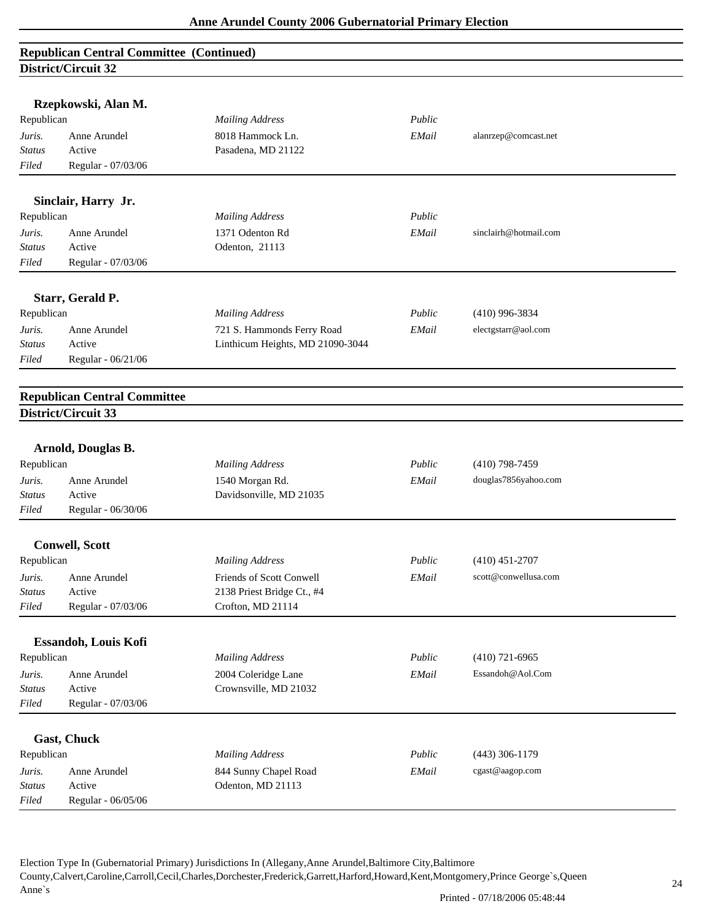| Rzepkowski, Alan M.<br>Republican |                                     | <b>Mailing Address</b>                     | Public |                       |
|-----------------------------------|-------------------------------------|--------------------------------------------|--------|-----------------------|
| Juris.                            | Anne Arundel                        | 8018 Hammock Ln.                           | EMail  | alanrzep@comcast.net  |
| <b>Status</b>                     | Active                              | Pasadena, MD 21122                         |        |                       |
| Filed                             | Regular - 07/03/06                  |                                            |        |                       |
|                                   |                                     |                                            |        |                       |
|                                   | Sinclair, Harry Jr.                 |                                            |        |                       |
| Republican                        |                                     | <b>Mailing Address</b>                     | Public |                       |
| Juris.                            | Anne Arundel                        | 1371 Odenton Rd                            | EMail  | sinclairh@hotmail.com |
| <b>Status</b>                     | Active                              | Odenton, 21113                             |        |                       |
| Filed                             | Regular - 07/03/06                  |                                            |        |                       |
|                                   |                                     |                                            |        |                       |
|                                   | Starr, Gerald P.                    |                                            |        |                       |
| Republican                        |                                     | <b>Mailing Address</b>                     | Public | $(410)$ 996-3834      |
| Juris.                            | Anne Arundel                        | 721 S. Hammonds Ferry Road                 | EMail  | electgstarr@aol.com   |
| Status                            | Active                              | Linthicum Heights, MD 21090-3044           |        |                       |
| Filed                             | Regular - 06/21/06                  |                                            |        |                       |
|                                   | <b>Republican Central Committee</b> |                                            |        |                       |
|                                   | District/Circuit 33                 |                                            |        |                       |
|                                   |                                     |                                            |        |                       |
|                                   | Arnold, Douglas B.                  |                                            |        |                       |
| Republican                        |                                     | <b>Mailing Address</b>                     | Public | $(410)$ 798-7459      |
| Juris.                            | Anne Arundel                        | 1540 Morgan Rd.                            | EMail  | douglas7856yahoo.com  |
| <b>Status</b>                     | Active                              | Davidsonville, MD 21035                    |        |                       |
| Filed                             | Regular - 06/30/06                  |                                            |        |                       |
|                                   | <b>Conwell, Scott</b>               |                                            |        |                       |
| Republican                        |                                     | <b>Mailing Address</b>                     | Public | $(410)$ 451-2707      |
| Juris.                            | Anne Arundel                        | Friends of Scott Conwell                   | EMail  | scott@conwellusa.com  |
| Status                            | Active                              | 2138 Priest Bridge Ct., #4                 |        |                       |
| Filed                             | Regular - 07/03/06                  | Crofton, MD 21114                          |        |                       |
|                                   |                                     |                                            |        |                       |
|                                   | Essandoh, Louis Kofi                |                                            |        |                       |
| Republican                        |                                     | <b>Mailing Address</b>                     | Public | $(410)$ 721-6965      |
| Juris.                            | Anne Arundel                        | 2004 Coleridge Lane                        | EMail  | Essandoh@Aol.Com      |
| <b>Status</b>                     | Active                              | Crownsville, MD 21032                      |        |                       |
| Filed                             | Regular - 07/03/06                  |                                            |        |                       |
|                                   | Gast, Chuck                         |                                            |        |                       |
| Republican                        |                                     | <b>Mailing Address</b>                     | Public | $(443)$ 306-1179      |
|                                   | Anne Arundel                        |                                            |        | cgast@aagop.com       |
| Juris.<br><b>Status</b>           | Active                              | 844 Sunny Chapel Road<br>Odenton, MD 21113 | EMail  |                       |
| Filed                             | Regular - 06/05/06                  |                                            |        |                       |
|                                   |                                     |                                            |        |                       |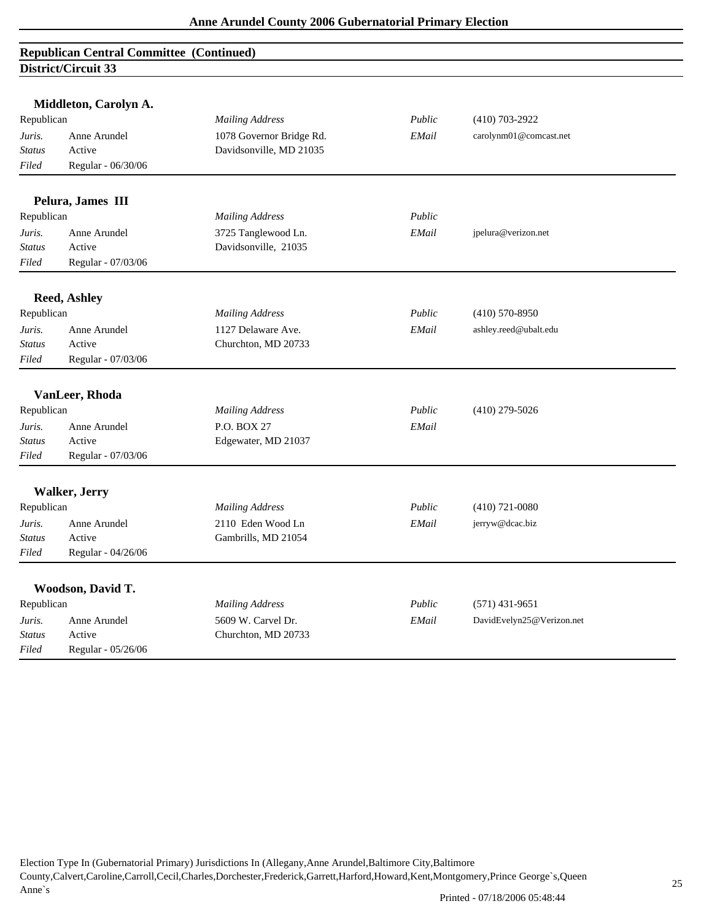|                        | Middleton, Carolyn A.  |                                           |        |                           |
|------------------------|------------------------|-------------------------------------------|--------|---------------------------|
| Republican             |                        | <b>Mailing Address</b>                    | Public | $(410)$ 703-2922          |
| Juris.                 | Anne Arundel           | 1078 Governor Bridge Rd.                  | EMail  | carolynm01@comcast.net    |
| <b>Status</b>          | Active                 | Davidsonville, MD 21035                   |        |                           |
| Filed                  | Regular - 06/30/06     |                                           |        |                           |
|                        | Pelura, James III      |                                           |        |                           |
| Republican             |                        | <b>Mailing Address</b>                    | Public |                           |
| Juris.                 | Anne Arundel           | 3725 Tanglewood Ln.                       | EMail  | jpelura@verizon.net       |
| <b>Status</b>          | Active                 | Davidsonville, 21035                      |        |                           |
| Filed                  | Regular - 07/03/06     |                                           |        |                           |
|                        |                        |                                           |        |                           |
|                        | <b>Reed, Ashley</b>    |                                           | Public |                           |
| Republican             |                        | <b>Mailing Address</b>                    |        | $(410)$ 570-8950          |
| Juris.                 | Anne Arundel<br>Active | 1127 Delaware Ave.<br>Churchton, MD 20733 | EMail  | ashley.reed@ubalt.edu     |
| <b>Status</b><br>Filed | Regular - 07/03/06     |                                           |        |                           |
|                        |                        |                                           |        |                           |
|                        | VanLeer, Rhoda         |                                           |        |                           |
| Republican             |                        | <b>Mailing Address</b>                    | Public | $(410)$ 279-5026          |
| Juris.                 | Anne Arundel           | P.O. BOX 27                               | EMail  |                           |
| <b>Status</b>          | Active                 | Edgewater, MD 21037                       |        |                           |
| Filed                  | Regular - 07/03/06     |                                           |        |                           |
|                        | Walker, Jerry          |                                           |        |                           |
| Republican             |                        | <b>Mailing Address</b>                    | Public | $(410)$ 721-0080          |
| Juris.                 | Anne Arundel           | 2110 Eden Wood Ln                         | EMail  | jerryw@dcac.biz           |
| <b>Status</b>          | Active                 | Gambrills, MD 21054                       |        |                           |
| Filed                  | Regular - 04/26/06     |                                           |        |                           |
|                        |                        |                                           |        |                           |
|                        | Woodson, David T.      |                                           |        |                           |
| Republican             |                        | <b>Mailing Address</b>                    | Public | $(571)$ 431-9651          |
| Juris.                 | Anne Arundel           | 5609 W. Carvel Dr.                        | EMail  | DavidEvelyn25@Verizon.net |
| <b>Status</b>          | Active                 | Churchton, MD 20733                       |        |                           |
| Filed                  | Regular - 05/26/06     |                                           |        |                           |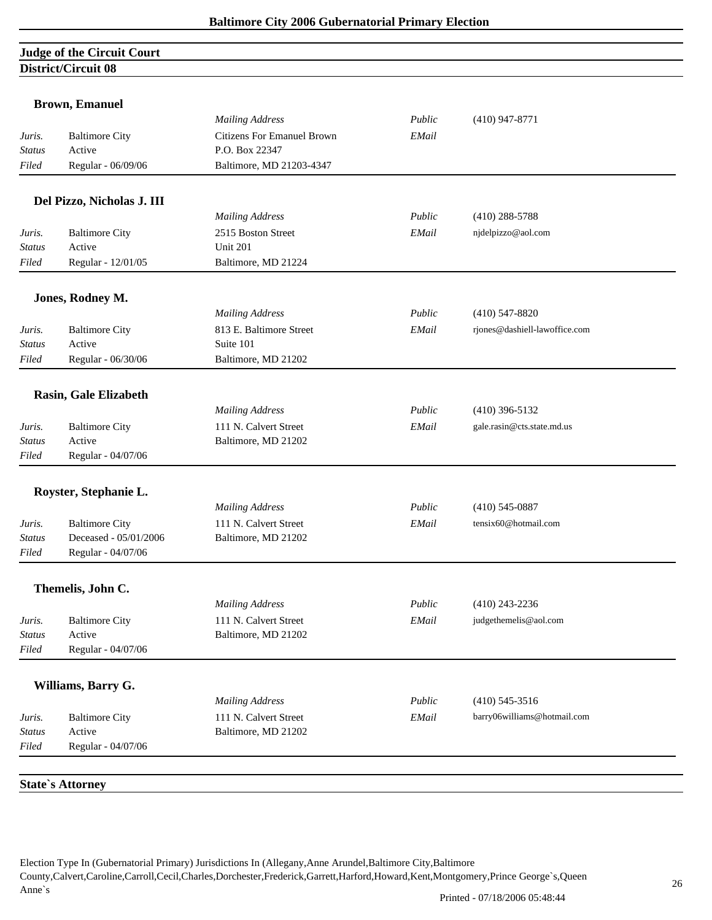# **Judge of the Circuit Court District/Circuit 08**

|                         | <b>Brown, Emanuel</b>           |                                   |        |                               |
|-------------------------|---------------------------------|-----------------------------------|--------|-------------------------------|
|                         |                                 | <b>Mailing Address</b>            | Public | $(410)$ 947-8771              |
| Juris.                  | <b>Baltimore City</b>           | <b>Citizens For Emanuel Brown</b> | EMail  |                               |
| <b>Status</b>           | Active                          | P.O. Box 22347                    |        |                               |
| Filed                   | Regular - 06/09/06              | Baltimore, MD 21203-4347          |        |                               |
|                         | Del Pizzo, Nicholas J. III      |                                   |        |                               |
|                         |                                 | <b>Mailing Address</b>            | Public | $(410)$ 288-5788              |
| Juris.                  | <b>Baltimore City</b>           | 2515 Boston Street                | EMail  | njdelpizzo@aol.com            |
| Status                  | Active                          | <b>Unit 201</b>                   |        |                               |
| Filed                   | Regular - 12/01/05              | Baltimore, MD 21224               |        |                               |
|                         | Jones, Rodney M.                |                                   |        |                               |
|                         |                                 | <b>Mailing Address</b>            | Public | $(410)$ 547-8820              |
| Juris.                  | <b>Baltimore City</b>           | 813 E. Baltimore Street           | EMail  | rjones@dashiell-lawoffice.com |
| <b>Status</b>           | Active                          | Suite 101                         |        |                               |
| Filed                   | Regular - 06/30/06              | Baltimore, MD 21202               |        |                               |
|                         |                                 |                                   |        |                               |
|                         | Rasin, Gale Elizabeth           | <b>Mailing Address</b>            | Public | $(410)$ 396-5132              |
|                         |                                 | 111 N. Calvert Street             | EMail  | gale.rasin@cts.state.md.us    |
| Juris.<br>Status        | <b>Baltimore City</b><br>Active | Baltimore, MD 21202               |        |                               |
| Filed                   | Regular - 04/07/06              |                                   |        |                               |
|                         |                                 |                                   |        |                               |
|                         | Royster, Stephanie L.           |                                   |        |                               |
|                         |                                 | <b>Mailing Address</b>            | Public | $(410)$ 545-0887              |
| Juris.                  | <b>Baltimore City</b>           | 111 N. Calvert Street             | EMail  | tensix60@hotmail.com          |
| Status                  | Deceased - 05/01/2006           | Baltimore, MD 21202               |        |                               |
| Filed                   | Regular - 04/07/06              |                                   |        |                               |
|                         | Themelis, John C.               |                                   |        |                               |
|                         |                                 | <b>Mailing Address</b>            | Public | $(410)$ 243-2236              |
| Juris.                  | <b>Baltimore City</b>           | 111 N. Calvert Street             | EMail  | judgethemelis@aol.com         |
| <b>Status</b>           | Active                          | Baltimore, MD 21202               |        |                               |
| Filed                   | Regular - 04/07/06              |                                   |        |                               |
|                         | Williams, Barry G.              |                                   |        |                               |
|                         |                                 | <b>Mailing Address</b>            | Public | $(410)$ 545-3516              |
|                         |                                 | 111 N. Calvert Street             |        |                               |
| Juris.<br><b>Status</b> | <b>Baltimore City</b><br>Active | Baltimore, MD 21202               | EMail  | barry06williams@hotmail.com   |
| Filed                   | Regular - 04/07/06              |                                   |        |                               |
|                         |                                 |                                   |        |                               |
|                         | <b>State's Attorney</b>         |                                   |        |                               |
|                         |                                 |                                   |        |                               |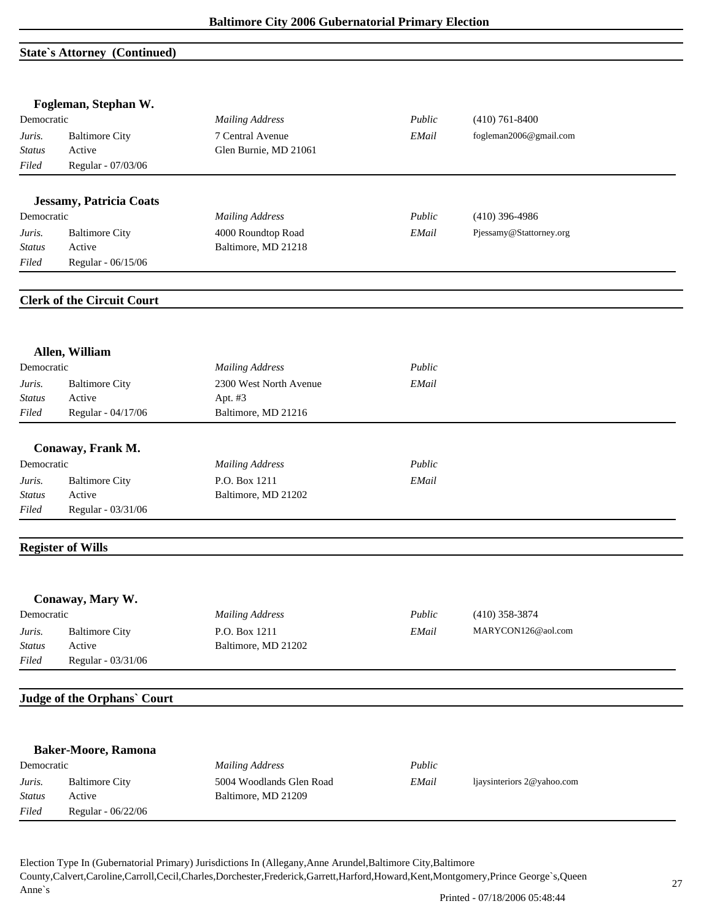#### **State`s Attorney (Continued)**

|               | Fogleman, Stephan W.              |                          |        |                            |  |
|---------------|-----------------------------------|--------------------------|--------|----------------------------|--|
| Democratic    |                                   | <b>Mailing Address</b>   | Public | $(410)$ 761-8400           |  |
| Juris.        | <b>Baltimore City</b>             | 7 Central Avenue         | EMail  | fogleman2006@gmail.com     |  |
| <b>Status</b> | Active                            | Glen Burnie, MD 21061    |        |                            |  |
| Filed         | Regular - 07/03/06                |                          |        |                            |  |
|               | <b>Jessamy, Patricia Coats</b>    |                          |        |                            |  |
| Democratic    |                                   | <b>Mailing Address</b>   | Public | $(410)$ 396-4986           |  |
| Juris.        | <b>Baltimore City</b>             | 4000 Roundtop Road       | EMail  | Pjessamy@Stattorney.org    |  |
| <b>Status</b> | Active                            | Baltimore, MD 21218      |        |                            |  |
| Filed         | Regular - 06/15/06                |                          |        |                            |  |
|               | <b>Clerk of the Circuit Court</b> |                          |        |                            |  |
|               | Allen, William                    |                          |        |                            |  |
| Democratic    |                                   | <b>Mailing Address</b>   | Public |                            |  |
| Juris.        | <b>Baltimore City</b>             | 2300 West North Avenue   | EMail  |                            |  |
| Status        | Active                            | Apt. #3                  |        |                            |  |
| Filed         | Regular - 04/17/06                | Baltimore, MD 21216      |        |                            |  |
|               | Conaway, Frank M.                 |                          |        |                            |  |
| Democratic    |                                   | <b>Mailing Address</b>   | Public |                            |  |
| Juris.        | <b>Baltimore City</b>             | P.O. Box 1211            | EMail  |                            |  |
| Status        | Active                            | Baltimore, MD 21202      |        |                            |  |
| Filed         | Regular - 03/31/06                |                          |        |                            |  |
|               | <b>Register of Wills</b>          |                          |        |                            |  |
|               | Conaway, Mary W.                  |                          |        |                            |  |
| Democratic    |                                   | <b>Mailing Address</b>   | Public | $(410)$ 358-3874           |  |
| Juris.        | <b>Baltimore City</b>             | P.O. Box 1211            | EMail  | MARYCON126@aol.com         |  |
| <b>Status</b> | Active                            | Baltimore, MD 21202      |        |                            |  |
| Filed         | Regular - 03/31/06                |                          |        |                            |  |
|               | Judge of the Orphans' Court       |                          |        |                            |  |
|               |                                   |                          |        |                            |  |
|               | <b>Baker-Moore, Ramona</b>        |                          |        |                            |  |
| Democratic    |                                   | <b>Mailing Address</b>   | Public |                            |  |
| Juris.        | <b>Baltimore City</b>             | 5004 Woodlands Glen Road | EMail  | ljaysinteriors 2@yahoo.com |  |
| <b>Status</b> | Active                            | Baltimore, MD 21209      |        |                            |  |
| Filed         | Regular - 06/22/06                |                          |        |                            |  |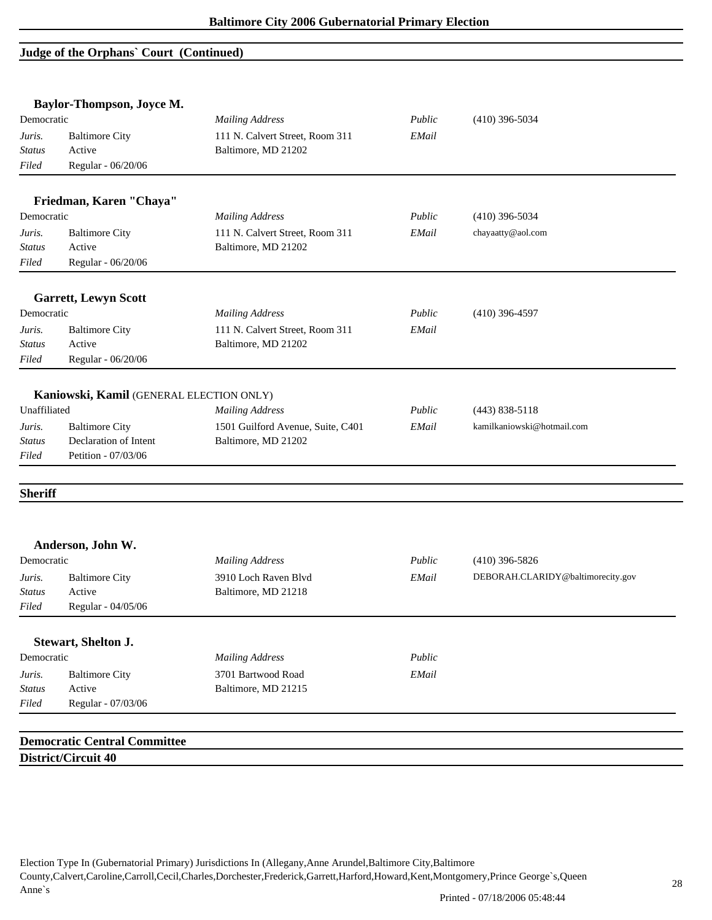## **Judge of the Orphans` Court (Continued)**

|                        | Baylor-Thompson, Joyce M.                    |                                 |        |                                   |
|------------------------|----------------------------------------------|---------------------------------|--------|-----------------------------------|
| Democratic             |                                              | <b>Mailing Address</b>          | Public | $(410)$ 396-5034                  |
| Juris.                 | <b>Baltimore City</b>                        | 111 N. Calvert Street, Room 311 | EMail  |                                   |
| <b>Status</b>          | Active                                       | Baltimore, MD 21202             |        |                                   |
| Filed                  | Regular - 06/20/06                           |                                 |        |                                   |
|                        |                                              |                                 |        |                                   |
|                        | Friedman, Karen "Chaya"                      |                                 |        |                                   |
| Democratic             |                                              | <b>Mailing Address</b>          | Public | $(410)$ 396-5034                  |
| Juris.                 | <b>Baltimore City</b>                        | 111 N. Calvert Street, Room 311 | EMail  | chayaatty@aol.com                 |
| <b>Status</b>          | Active                                       | Baltimore, MD 21202             |        |                                   |
| Filed                  | Regular - 06/20/06                           |                                 |        |                                   |
|                        | <b>Garrett, Lewyn Scott</b>                  |                                 |        |                                   |
| Democratic             |                                              | <b>Mailing Address</b>          | Public | $(410)$ 396-4597                  |
| Juris.                 | <b>Baltimore City</b>                        | 111 N. Calvert Street, Room 311 | EMail  |                                   |
| <b>Status</b>          | Active                                       | Baltimore, MD 21202             |        |                                   |
| Filed                  | Regular - 06/20/06                           |                                 |        |                                   |
| <b>Status</b><br>Filed | Declaration of Intent<br>Petition - 07/03/06 | Baltimore, MD 21202             |        |                                   |
| <b>Sheriff</b>         |                                              |                                 |        |                                   |
|                        | Anderson, John W.                            |                                 |        |                                   |
| Democratic             |                                              | <b>Mailing Address</b>          | Public | $(410)$ 396-5826                  |
| Juris.                 | <b>Baltimore City</b>                        | 3910 Loch Raven Blvd            | EMail  | DEBORAH.CLARIDY@baltimorecity.gov |
| <b>Status</b>          | Active                                       | Baltimore, MD 21218             |        |                                   |
| Filed                  | Regular - 04/05/06                           |                                 |        |                                   |
|                        | Stewart, Shelton J.                          |                                 |        |                                   |
| Democratic             |                                              | <b>Mailing Address</b>          | Public |                                   |
| Juris.                 | <b>Baltimore City</b>                        | 3701 Bartwood Road              | EMail  |                                   |
| <b>Status</b>          | Active                                       | Baltimore, MD 21215             |        |                                   |
| Filed                  | Regular - 07/03/06                           |                                 |        |                                   |
|                        |                                              |                                 |        |                                   |
|                        | <b>Democratic Central Committee</b>          |                                 |        |                                   |
|                        | District/Circuit 40                          |                                 |        |                                   |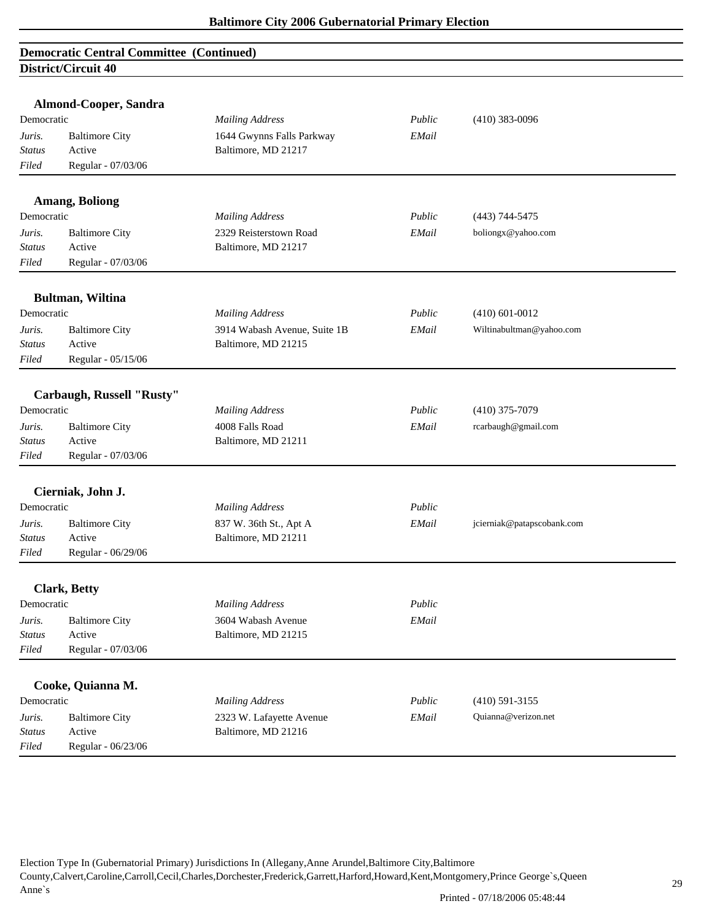|               | Almond-Cooper, Sandra     |                              |        |                            |
|---------------|---------------------------|------------------------------|--------|----------------------------|
| Democratic    |                           | <b>Mailing Address</b>       | Public | $(410)$ 383-0096           |
| Juris.        | <b>Baltimore City</b>     | 1644 Gwynns Falls Parkway    | EMail  |                            |
| Status        | Active                    | Baltimore, MD 21217          |        |                            |
| Filed         | Regular - 07/03/06        |                              |        |                            |
|               | <b>Amang, Boliong</b>     |                              |        |                            |
| Democratic    |                           | <b>Mailing Address</b>       | Public | $(443)$ 744-5475           |
| Juris.        | <b>Baltimore City</b>     | 2329 Reisterstown Road       | EMail  | boliongx@yahoo.com         |
| Status        | Active                    | Baltimore, MD 21217          |        |                            |
| Filed         | Regular - 07/03/06        |                              |        |                            |
|               | <b>Bultman, Wiltina</b>   |                              |        |                            |
| Democratic    |                           | <b>Mailing Address</b>       | Public | $(410) 601 - 0012$         |
| Juris.        | <b>Baltimore City</b>     | 3914 Wabash Avenue, Suite 1B | EMail  | Wiltinabultman@yahoo.com   |
| <b>Status</b> | Active                    | Baltimore, MD 21215          |        |                            |
| Filed         | Regular - 05/15/06        |                              |        |                            |
|               | Carbaugh, Russell "Rusty" |                              |        |                            |
| Democratic    |                           | <b>Mailing Address</b>       | Public | $(410)$ 375-7079           |
| Juris.        | <b>Baltimore City</b>     | 4008 Falls Road              | EMail  | rcarbaugh@gmail.com        |
| <b>Status</b> | Active                    | Baltimore, MD 21211          |        |                            |
| Filed         | Regular - 07/03/06        |                              |        |                            |
|               | Cierniak, John J.         |                              |        |                            |
| Democratic    |                           | <b>Mailing Address</b>       | Public |                            |
| Juris.        | <b>Baltimore City</b>     | 837 W. 36th St., Apt A       | EMail  | jcierniak@patapscobank.com |
| <b>Status</b> | Active                    | Baltimore, MD 21211          |        |                            |
| Filed         | Regular - 06/29/06        |                              |        |                            |
|               | <b>Clark, Betty</b>       |                              |        |                            |
| Democratic    |                           | <b>Mailing Address</b>       | Public |                            |
| Juris.        | <b>Baltimore City</b>     | 3604 Wabash Avenue           | EMail  |                            |
| <b>Status</b> | Active                    | Baltimore, MD 21215          |        |                            |
| Filed         | Regular - 07/03/06        |                              |        |                            |
|               | Cooke, Quianna M.         |                              |        |                            |
| Democratic    |                           | <b>Mailing Address</b>       | Public | $(410)$ 591-3155           |
| Juris.        | <b>Baltimore City</b>     | 2323 W. Lafayette Avenue     | EMail  | Quianna@verizon.net        |
| <b>Status</b> | Active                    | Baltimore, MD 21216          |        |                            |
| Filed         | Regular - 06/23/06        |                              |        |                            |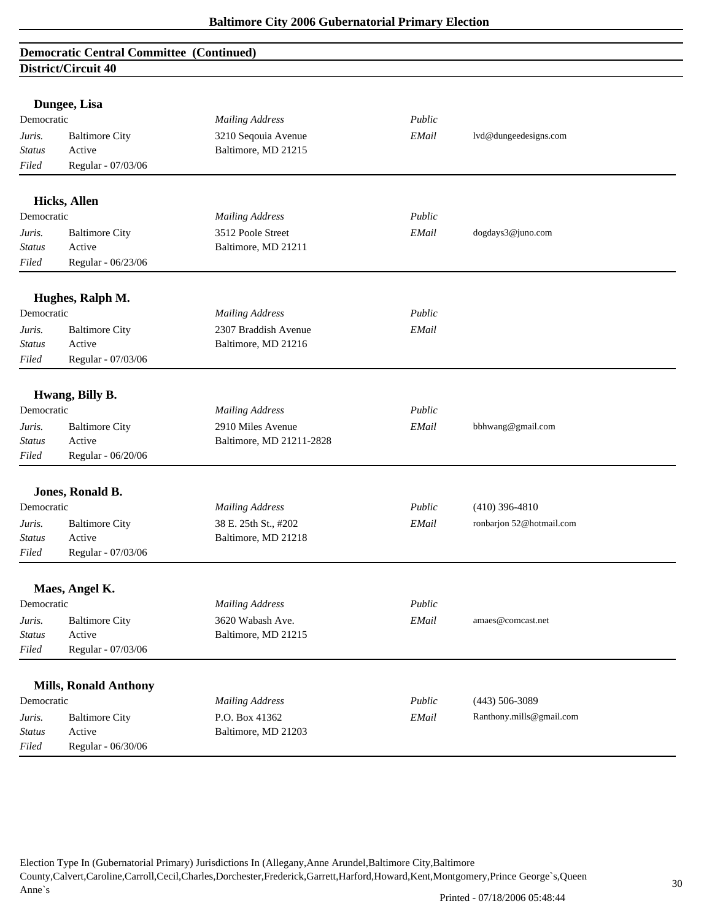|               | Dungee, Lisa                 |                          |        |                          |
|---------------|------------------------------|--------------------------|--------|--------------------------|
| Democratic    |                              | <b>Mailing Address</b>   | Public |                          |
| Juris.        | <b>Baltimore City</b>        | 3210 Seqouia Avenue      | EMail  | lvd@dungeedesigns.com    |
| <b>Status</b> | Active                       | Baltimore, MD 21215      |        |                          |
| Filed         | Regular - 07/03/06           |                          |        |                          |
|               | <b>Hicks, Allen</b>          |                          |        |                          |
| Democratic    |                              | <b>Mailing Address</b>   | Public |                          |
| Juris.        | <b>Baltimore City</b>        | 3512 Poole Street        | EMail  | dogdays3@juno.com        |
| <b>Status</b> | Active                       | Baltimore, MD 21211      |        |                          |
| Filed         | Regular - 06/23/06           |                          |        |                          |
|               | Hughes, Ralph M.             |                          |        |                          |
| Democratic    |                              | <b>Mailing Address</b>   | Public |                          |
| Juris.        | <b>Baltimore City</b>        | 2307 Braddish Avenue     | EMail  |                          |
| <b>Status</b> | Active                       | Baltimore, MD 21216      |        |                          |
| Filed         | Regular - 07/03/06           |                          |        |                          |
|               |                              |                          |        |                          |
|               | Hwang, Billy B.              |                          |        |                          |
| Democratic    |                              | <b>Mailing Address</b>   | Public |                          |
| Juris.        | <b>Baltimore City</b>        | 2910 Miles Avenue        | EMail  | bbhwang@gmail.com        |
| Status        | Active                       | Baltimore, MD 21211-2828 |        |                          |
| Filed         | Regular - 06/20/06           |                          |        |                          |
|               | Jones, Ronald B.             |                          |        |                          |
| Democratic    |                              | <b>Mailing Address</b>   | Public | $(410)$ 396-4810         |
| Juris.        | <b>Baltimore City</b>        | 38 E. 25th St., #202     | EMail  | ronbarjon 52@hotmail.com |
| Status        | Active                       | Baltimore, MD 21218      |        |                          |
| Filed         | Regular - 07/03/06           |                          |        |                          |
|               | Maes, Angel K.               |                          |        |                          |
| Democratic    |                              | <b>Mailing Address</b>   | Public |                          |
| Juris.        | <b>Baltimore City</b>        | 3620 Wabash Ave.         | EMail  | amaes@comcast.net        |
| Status        | Active                       | Baltimore, MD 21215      |        |                          |
| Filed         | Regular - 07/03/06           |                          |        |                          |
|               |                              |                          |        |                          |
|               | <b>Mills, Ronald Anthony</b> |                          |        |                          |
| Democratic    |                              | <b>Mailing Address</b>   | Public | $(443) 506 - 3089$       |
| Juris.        | <b>Baltimore City</b>        | P.O. Box 41362           | EMail  | Ranthony.mills@gmail.com |
| <b>Status</b> | Active                       | Baltimore, MD 21203      |        |                          |
| Filed         | Regular - 06/30/06           |                          |        |                          |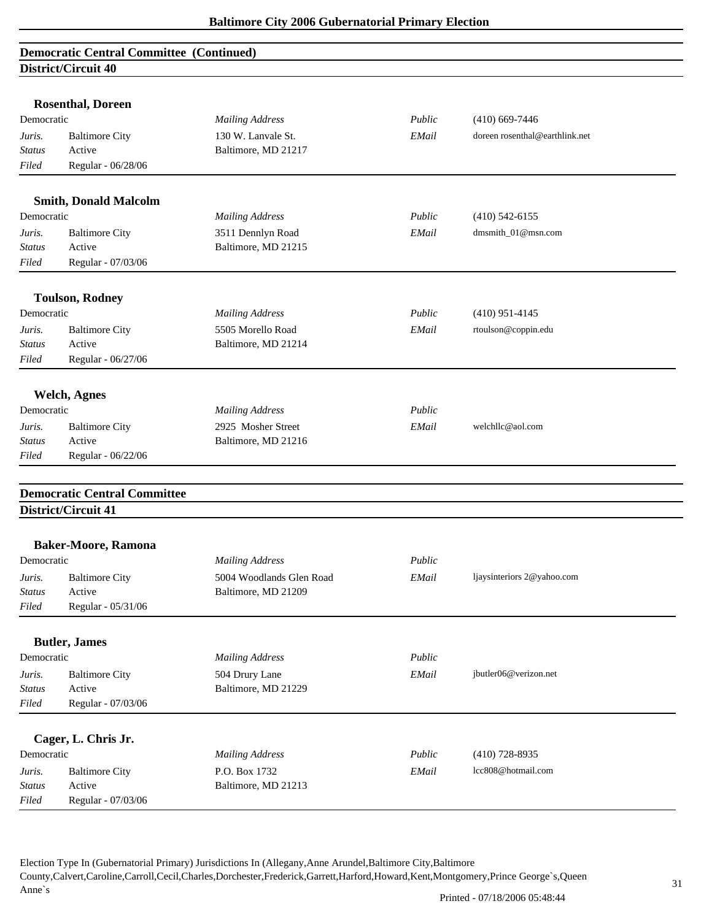|               | <b>Rosenthal, Doreen</b>            |                          |        |                                |  |
|---------------|-------------------------------------|--------------------------|--------|--------------------------------|--|
| Democratic    |                                     | <b>Mailing Address</b>   | Public | $(410)$ 669-7446               |  |
| Juris.        | <b>Baltimore City</b>               | 130 W. Lanvale St.       | EMail  | doreen rosenthal@earthlink.net |  |
| <b>Status</b> | Active                              | Baltimore, MD 21217      |        |                                |  |
| Filed         | Regular - 06/28/06                  |                          |        |                                |  |
|               |                                     |                          |        |                                |  |
|               | <b>Smith, Donald Malcolm</b>        |                          |        |                                |  |
| Democratic    |                                     | <b>Mailing Address</b>   | Public | $(410)$ 542-6155               |  |
| Juris.        | <b>Baltimore City</b>               | 3511 Dennlyn Road        | EMail  | dmsmith_01@msn.com             |  |
| Status        | Active                              | Baltimore, MD 21215      |        |                                |  |
| Filed         | Regular - 07/03/06                  |                          |        |                                |  |
|               |                                     |                          |        |                                |  |
| Democratic    | <b>Toulson, Rodney</b>              | <b>Mailing Address</b>   | Public | $(410)$ 951-4145               |  |
|               |                                     |                          |        |                                |  |
| Juris.        | <b>Baltimore City</b>               | 5505 Morello Road        | EMail  | rtoulson@coppin.edu            |  |
| <b>Status</b> | Active                              | Baltimore, MD 21214      |        |                                |  |
| Filed         | Regular - 06/27/06                  |                          |        |                                |  |
|               | <b>Welch, Agnes</b>                 |                          |        |                                |  |
| Democratic    |                                     | <b>Mailing Address</b>   | Public |                                |  |
| Juris.        | <b>Baltimore City</b>               | 2925 Mosher Street       | EMail  | welchllc@aol.com               |  |
| Status        | Active                              | Baltimore, MD 21216      |        |                                |  |
| Filed         | Regular - 06/22/06                  |                          |        |                                |  |
|               |                                     |                          |        |                                |  |
|               | <b>Democratic Central Committee</b> |                          |        |                                |  |
|               | District/Circuit 41                 |                          |        |                                |  |
|               |                                     |                          |        |                                |  |
| Democratic    | <b>Baker-Moore, Ramona</b>          | <b>Mailing Address</b>   | Public |                                |  |
|               |                                     |                          |        |                                |  |
| Juris.        | <b>Baltimore City</b>               | 5004 Woodlands Glen Road | EMail  | ljaysinteriors 2@yahoo.com     |  |
| <b>Status</b> | Active                              | Baltimore, MD 21209      |        |                                |  |
| Filed         | Regular - 05/31/06                  |                          |        |                                |  |
|               | <b>Butler</b> , James               |                          |        |                                |  |
| Democratic    |                                     | <b>Mailing Address</b>   | Public |                                |  |
| Juris.        | <b>Baltimore City</b>               | 504 Drury Lane           | EMail  | jbutler06@verizon.net          |  |
| <b>Status</b> | Active                              | Baltimore, MD 21229      |        |                                |  |
| Filed         | Regular - 07/03/06                  |                          |        |                                |  |
|               |                                     |                          |        |                                |  |
|               | Cager, L. Chris Jr.                 |                          |        |                                |  |
| Democratic    |                                     | <b>Mailing Address</b>   | Public | $(410)$ 728-8935               |  |
| Juris.        | <b>Baltimore City</b>               | P.O. Box 1732            | EMail  | lcc808@hotmail.com             |  |
| <b>Status</b> | Active                              | Baltimore, MD 21213      |        |                                |  |
| Filed         | Regular - 07/03/06                  |                          |        |                                |  |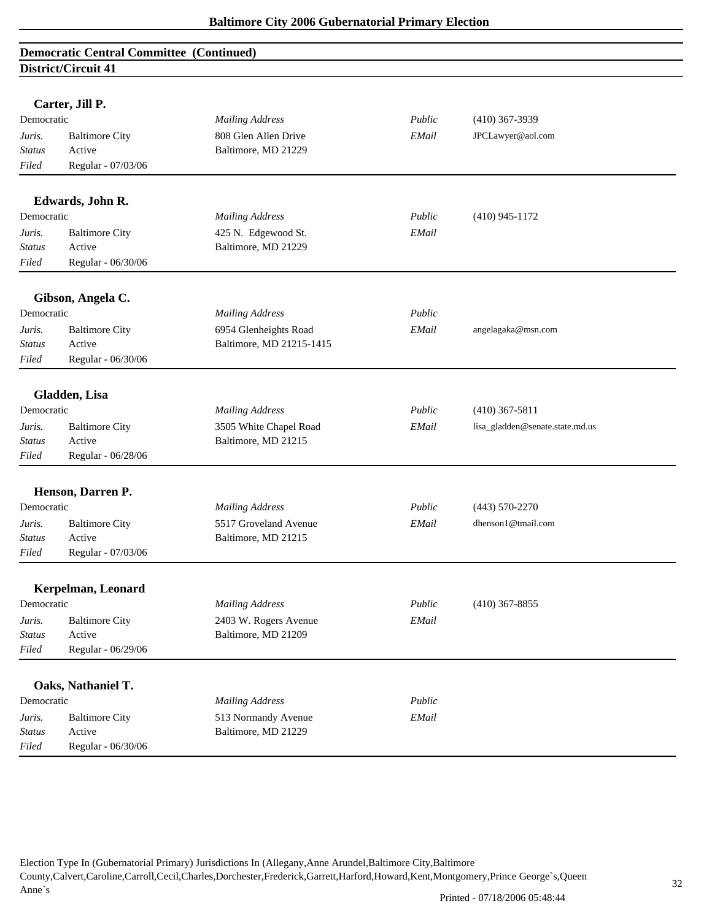|                         | <b>Democratic Central Committee (Continued)</b> |                                              |        |                                 |
|-------------------------|-------------------------------------------------|----------------------------------------------|--------|---------------------------------|
|                         | District/Circuit 41                             |                                              |        |                                 |
|                         |                                                 |                                              |        |                                 |
|                         | Carter, Jill P.                                 |                                              |        |                                 |
| Democratic              |                                                 | <b>Mailing Address</b>                       | Public | $(410)$ 367-3939                |
| Juris.                  | <b>Baltimore City</b>                           | 808 Glen Allen Drive                         | EMail  | JPCLawyer@aol.com               |
| <b>Status</b>           | Active                                          | Baltimore, MD 21229                          |        |                                 |
| Filed                   | Regular - 07/03/06                              |                                              |        |                                 |
|                         | Edwards, John R.                                |                                              |        |                                 |
| Democratic              |                                                 | <b>Mailing Address</b>                       | Public | $(410)$ 945-1172                |
| Juris.                  | <b>Baltimore City</b>                           | 425 N. Edgewood St.                          | EMail  |                                 |
| <b>Status</b>           | Active                                          | Baltimore, MD 21229                          |        |                                 |
| Filed                   | Regular - 06/30/06                              |                                              |        |                                 |
|                         |                                                 |                                              |        |                                 |
|                         | Gibson, Angela C.                               |                                              |        |                                 |
| Democratic              |                                                 | <b>Mailing Address</b>                       | Public |                                 |
| Juris.                  | <b>Baltimore City</b>                           | 6954 Glenheights Road                        | EMail  | angelagaka@msn.com              |
| <b>Status</b>           | Active                                          | Baltimore, MD 21215-1415                     |        |                                 |
| Filed                   | Regular - 06/30/06                              |                                              |        |                                 |
|                         |                                                 |                                              |        |                                 |
| Democratic              | Gladden, Lisa                                   |                                              | Public |                                 |
|                         |                                                 | <b>Mailing Address</b>                       |        | $(410)$ 367-5811                |
| Juris.                  | <b>Baltimore City</b><br>Active                 | 3505 White Chapel Road                       | EMail  | lisa_gladden@senate.state.md.us |
| <b>Status</b><br>Filed  |                                                 | Baltimore, MD 21215                          |        |                                 |
|                         | Regular - 06/28/06                              |                                              |        |                                 |
|                         | Henson, Darren P.                               |                                              |        |                                 |
| Democratic              |                                                 | <b>Mailing Address</b>                       | Public | $(443) 570 - 2270$              |
| Juris.                  | <b>Baltimore City</b>                           | 5517 Groveland Avenue                        | EMail  | dhenson1@tmail.com              |
| <b>Status</b>           | Active                                          | Baltimore, MD 21215                          |        |                                 |
| Filed                   | Regular - 07/03/06                              |                                              |        |                                 |
|                         |                                                 |                                              |        |                                 |
| Democratic              | Kerpelman, Leonard                              |                                              | Public |                                 |
|                         |                                                 | <b>Mailing Address</b>                       |        | $(410)$ 367-8855                |
| Juris.<br><b>Status</b> | <b>Baltimore City</b><br>Active                 | 2403 W. Rogers Avenue<br>Baltimore, MD 21209 | EMail  |                                 |
| Filed                   | Regular - 06/29/06                              |                                              |        |                                 |
|                         |                                                 |                                              |        |                                 |
|                         | Oaks, Nathaniel T.                              |                                              |        |                                 |
| Democratic              |                                                 | <b>Mailing Address</b>                       | Public |                                 |
| Juris.                  | <b>Baltimore City</b>                           | 513 Normandy Avenue                          | EMail  |                                 |
| <b>Status</b>           | Active                                          | Baltimore, MD 21229                          |        |                                 |
| Filed                   | Regular - 06/30/06                              |                                              |        |                                 |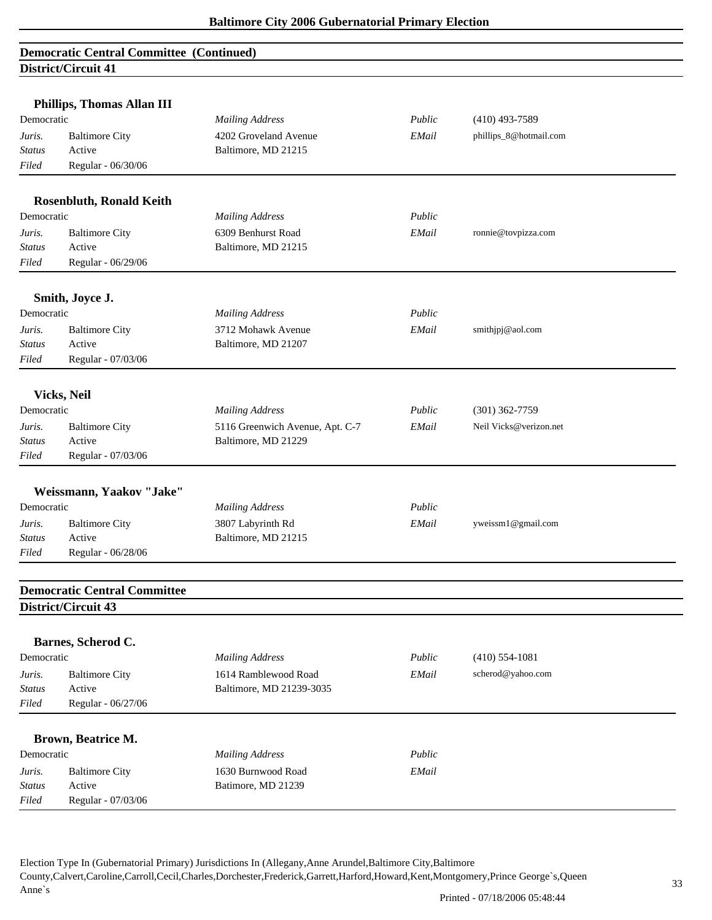|               | Phillips, Thomas Allan III          |                                 |        |                        |
|---------------|-------------------------------------|---------------------------------|--------|------------------------|
| Democratic    |                                     | <b>Mailing Address</b>          | Public | $(410)$ 493-7589       |
| Juris.        | <b>Baltimore City</b>               | 4202 Groveland Avenue           | EMail  | phillips_8@hotmail.com |
| <b>Status</b> | Active                              | Baltimore, MD 21215             |        |                        |
| Filed         | Regular - 06/30/06                  |                                 |        |                        |
|               |                                     |                                 |        |                        |
|               | <b>Rosenbluth, Ronald Keith</b>     |                                 |        |                        |
| Democratic    |                                     | <b>Mailing Address</b>          | Public |                        |
| Juris.        | <b>Baltimore City</b>               | 6309 Benhurst Road              | EMail  | ronnie@tovpizza.com    |
| <b>Status</b> | Active                              | Baltimore, MD 21215             |        |                        |
| Filed         | Regular - 06/29/06                  |                                 |        |                        |
|               |                                     |                                 |        |                        |
|               | Smith, Joyce J.                     |                                 |        |                        |
| Democratic    |                                     | <b>Mailing Address</b>          | Public |                        |
| Juris.        | <b>Baltimore City</b>               | 3712 Mohawk Avenue              | EMail  | smithjpj@aol.com       |
| <b>Status</b> | Active                              | Baltimore, MD 21207             |        |                        |
| Filed         | Regular - 07/03/06                  |                                 |        |                        |
|               | <b>Vicks, Neil</b>                  |                                 |        |                        |
| Democratic    |                                     | <b>Mailing Address</b>          | Public | $(301)$ 362-7759       |
| Juris.        | <b>Baltimore City</b>               | 5116 Greenwich Avenue, Apt. C-7 | EMail  | Neil Vicks@verizon.net |
| <b>Status</b> | Active                              | Baltimore, MD 21229             |        |                        |
| Filed         | Regular - 07/03/06                  |                                 |        |                        |
|               |                                     |                                 |        |                        |
|               | Weissmann, Yaakov "Jake"            |                                 |        |                        |
| Democratic    |                                     | <b>Mailing Address</b>          | Public |                        |
| Juris.        | <b>Baltimore City</b>               | 3807 Labyrinth Rd               | EMail  | yweissm1@gmail.com     |
| <b>Status</b> | Active                              | Baltimore, MD 21215             |        |                        |
| Filed         | Regular - 06/28/06                  |                                 |        |                        |
|               | <b>Democratic Central Committee</b> |                                 |        |                        |
|               | District/Circuit 43                 |                                 |        |                        |
|               |                                     |                                 |        |                        |
|               | Barnes, Scherod C.                  |                                 |        |                        |
| Democratic    |                                     | <b>Mailing Address</b>          | Public | $(410)$ 554-1081       |
| Juris.        | <b>Baltimore City</b>               | 1614 Ramblewood Road            | EMail  | scherod@yahoo.com      |
| Status        | Active                              | Baltimore, MD 21239-3035        |        |                        |
| Filed         | Regular - 06/27/06                  |                                 |        |                        |
|               | Brown, Beatrice M.                  |                                 |        |                        |
| Democratic    |                                     | <b>Mailing Address</b>          | Public |                        |
| Juris.        | <b>Baltimore City</b>               | 1630 Burnwood Road              | EMail  |                        |
| <b>Status</b> | Active                              | Batimore, MD 21239              |        |                        |
| Filed         | Regular - 07/03/06                  |                                 |        |                        |
|               |                                     |                                 |        |                        |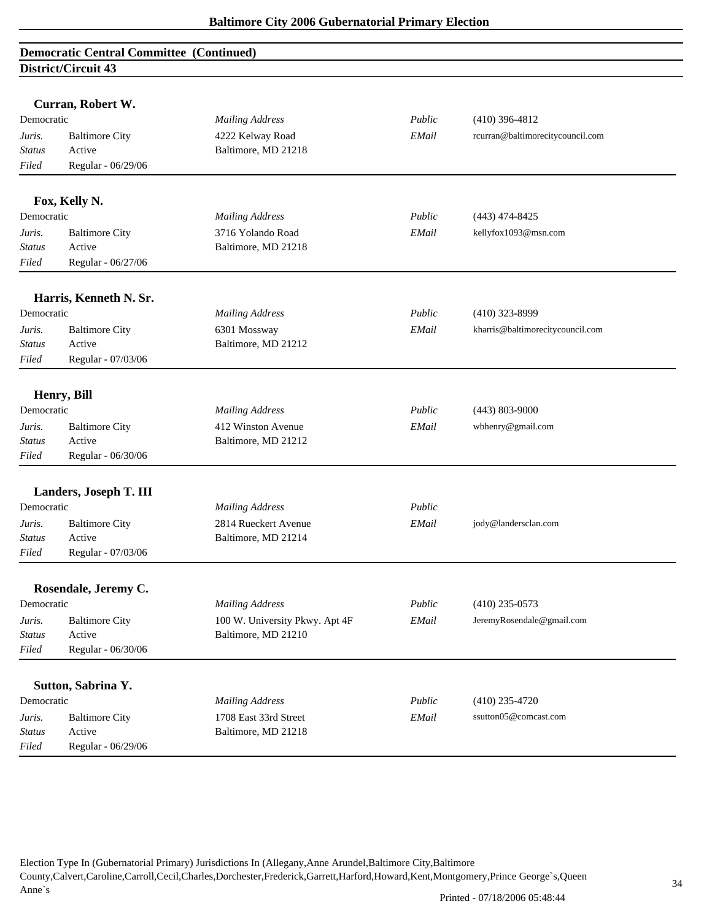|               | Curran, Robert W.      |                                |        |                                  |
|---------------|------------------------|--------------------------------|--------|----------------------------------|
| Democratic    |                        | <b>Mailing Address</b>         | Public | $(410)$ 396-4812                 |
| Juris.        | <b>Baltimore City</b>  | 4222 Kelway Road               | EMail  | rcurran@baltimorecitycouncil.com |
| <b>Status</b> | Active                 | Baltimore, MD 21218            |        |                                  |
| Filed         | Regular - 06/29/06     |                                |        |                                  |
|               |                        |                                |        |                                  |
|               | Fox, Kelly N.          |                                |        |                                  |
| Democratic    |                        | <b>Mailing Address</b>         | Public | $(443)$ 474-8425                 |
| Juris.        | <b>Baltimore City</b>  | 3716 Yolando Road              | EMail  | kellyfox1093@msn.com             |
| <b>Status</b> | Active                 | Baltimore, MD 21218            |        |                                  |
| Filed         | Regular - 06/27/06     |                                |        |                                  |
|               | Harris, Kenneth N. Sr. |                                |        |                                  |
| Democratic    |                        | <b>Mailing Address</b>         | Public | $(410)$ 323-8999                 |
| Juris.        | <b>Baltimore City</b>  | 6301 Mossway                   | EMail  | kharris@baltimorecitycouncil.com |
| <b>Status</b> | Active                 | Baltimore, MD 21212            |        |                                  |
| Filed         | Regular - 07/03/06     |                                |        |                                  |
|               |                        |                                |        |                                  |
|               | Henry, Bill            |                                |        |                                  |
| Democratic    |                        | <b>Mailing Address</b>         | Public | $(443) 803 - 9000$               |
| Juris.        | <b>Baltimore City</b>  | 412 Winston Avenue             | EMail  | wbhenry@gmail.com                |
| <b>Status</b> | Active                 | Baltimore, MD 21212            |        |                                  |
| Filed         | Regular - 06/30/06     |                                |        |                                  |
|               | Landers, Joseph T. III |                                |        |                                  |
| Democratic    |                        | <b>Mailing Address</b>         | Public |                                  |
| Juris.        | <b>Baltimore City</b>  | 2814 Rueckert Avenue           | EMail  | jody@landersclan.com             |
| <b>Status</b> | Active                 | Baltimore, MD 21214            |        |                                  |
| Filed         | Regular - 07/03/06     |                                |        |                                  |
|               | Rosendale, Jeremy C.   |                                |        |                                  |
| Democratic    |                        | <b>Mailing Address</b>         | Public | $(410)$ 235-0573                 |
| Juris.        | <b>Baltimore City</b>  | 100 W. University Pkwy. Apt 4F | EMail  | JeremyRosendale@gmail.com        |
| <b>Status</b> | Active                 | Baltimore, MD 21210            |        |                                  |
| Filed         | Regular - 06/30/06     |                                |        |                                  |
|               |                        |                                |        |                                  |
|               | Sutton, Sabrina Y.     |                                |        |                                  |
| Democratic    |                        | <b>Mailing Address</b>         | Public | $(410)$ 235-4720                 |
| Juris.        | <b>Baltimore City</b>  | 1708 East 33rd Street          | EMail  | ssutton05@comcast.com            |
| <b>Status</b> | Active                 | Baltimore, MD 21218            |        |                                  |
| Filed         | Regular - 06/29/06     |                                |        |                                  |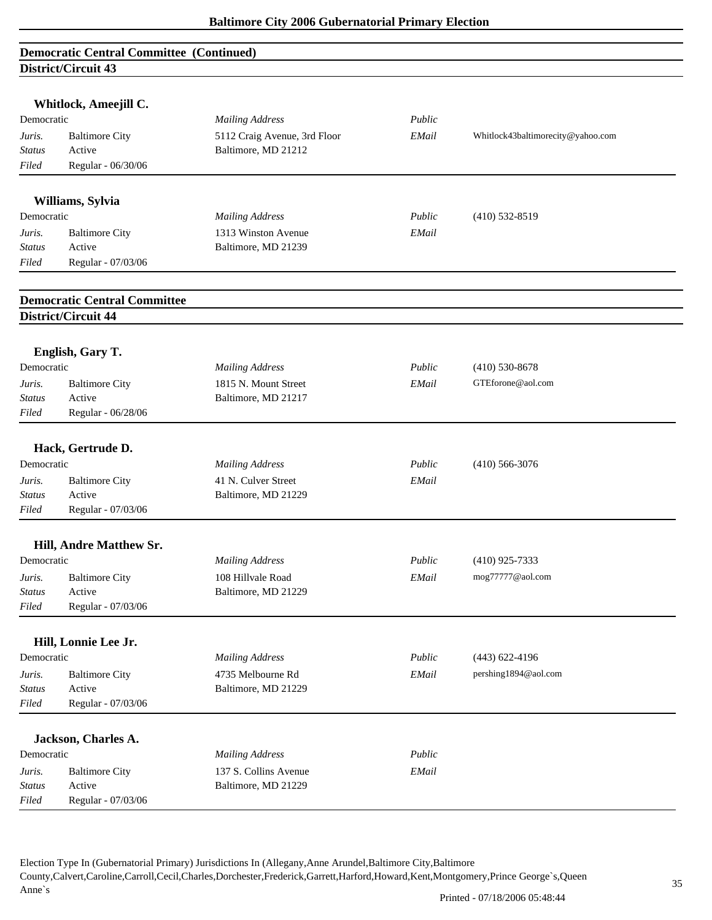| <b>Democratic Central Committee (Continued)</b> |  |
|-------------------------------------------------|--|
| District/Circuit 43                             |  |

|                  | Whitlock, Ameejill C.               |                              |        |                                   |
|------------------|-------------------------------------|------------------------------|--------|-----------------------------------|
| Democratic       |                                     | <b>Mailing Address</b>       | Public |                                   |
| Juris.           | <b>Baltimore City</b>               | 5112 Craig Avenue, 3rd Floor | EMail  | Whitlock43baltimorecity@yahoo.com |
| <b>Status</b>    | Active                              | Baltimore, MD 21212          |        |                                   |
| Filed            | Regular - 06/30/06                  |                              |        |                                   |
|                  |                                     |                              |        |                                   |
|                  | Williams, Sylvia                    |                              |        |                                   |
| Democratic       |                                     | <b>Mailing Address</b>       | Public | $(410)$ 532-8519                  |
| Juris.           | <b>Baltimore City</b>               | 1313 Winston Avenue          | EMail  |                                   |
| <b>Status</b>    | Active                              | Baltimore, MD 21239          |        |                                   |
| Filed            | Regular - 07/03/06                  |                              |        |                                   |
|                  | <b>Democratic Central Committee</b> |                              |        |                                   |
|                  | District/Circuit 44                 |                              |        |                                   |
|                  |                                     |                              |        |                                   |
| Democratic       | English, Gary T.                    | <b>Mailing Address</b>       | Public | $(410) 530 - 8678$                |
| Juris.           | <b>Baltimore City</b>               | 1815 N. Mount Street         | EMail  | GTEforone@aol.com                 |
| <b>Status</b>    | Active                              | Baltimore, MD 21217          |        |                                   |
| Filed            | Regular - 06/28/06                  |                              |        |                                   |
|                  |                                     |                              |        |                                   |
|                  | Hack, Gertrude D.                   |                              |        |                                   |
| Democratic       |                                     | <b>Mailing Address</b>       | Public | $(410)$ 566-3076                  |
| Juris.           | <b>Baltimore City</b>               | 41 N. Culver Street          | EMail  |                                   |
| <b>Status</b>    | Active                              | Baltimore, MD 21229          |        |                                   |
| Filed            | Regular - 07/03/06                  |                              |        |                                   |
|                  |                                     |                              |        |                                   |
| Democratic       | Hill, Andre Matthew Sr.             | <b>Mailing Address</b>       | Public | $(410)$ 925-7333                  |
|                  |                                     | 108 Hillvale Road            | EMail  | mog77777@aol.com                  |
| Juris.<br>Status | <b>Baltimore City</b><br>Active     | Baltimore, MD 21229          |        |                                   |
| Filed            | Regular - 07/03/06                  |                              |        |                                   |
|                  |                                     |                              |        |                                   |
|                  | Hill, Lonnie Lee Jr.                |                              |        |                                   |
| Democratic       |                                     | <b>Mailing Address</b>       | Public | $(443) 622 - 4196$                |
| Juris.           | <b>Baltimore City</b>               | 4735 Melbourne Rd            | EMail  | pershing1894@aol.com              |
| <b>Status</b>    | Active                              | Baltimore, MD 21229          |        |                                   |
| Filed            | Regular - 07/03/06                  |                              |        |                                   |
|                  | Jackson, Charles A.                 |                              |        |                                   |
| Democratic       |                                     | <b>Mailing Address</b>       | Public |                                   |
| Juris.           | <b>Baltimore City</b>               | 137 S. Collins Avenue        | EMail  |                                   |
| <b>Status</b>    | Active                              | Baltimore, MD 21229          |        |                                   |
| Filed            | Regular - 07/03/06                  |                              |        |                                   |
|                  |                                     |                              |        |                                   |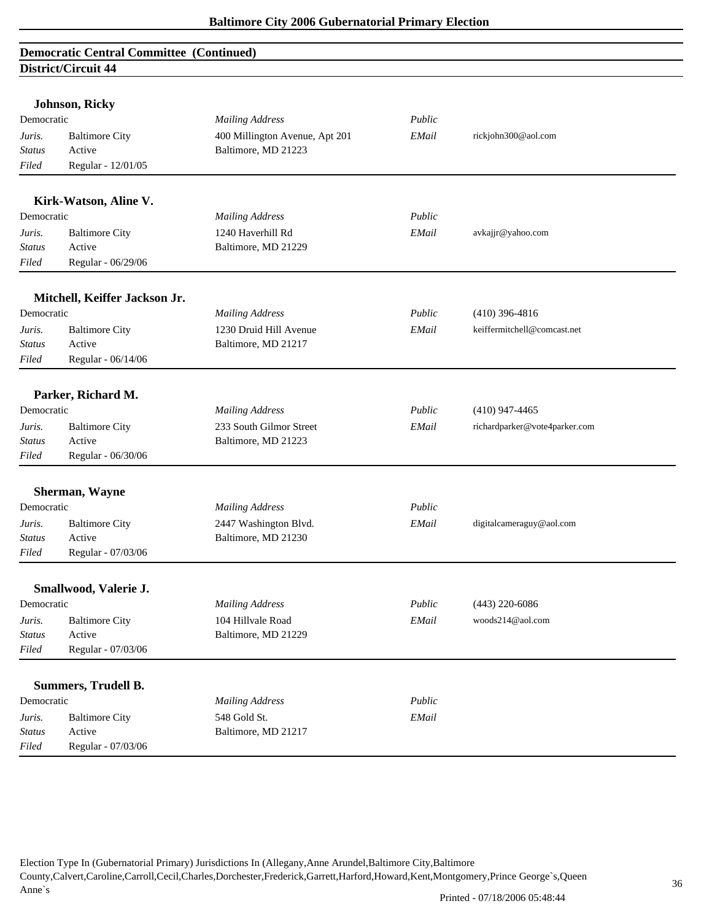|                                   | <b>Johnson, Ricky</b>         |                                |        |                               |
|-----------------------------------|-------------------------------|--------------------------------|--------|-------------------------------|
| Democratic                        |                               | <b>Mailing Address</b>         | Public |                               |
| Juris.                            | <b>Baltimore City</b>         | 400 Millington Avenue, Apt 201 | EMail  | rickjohn300@aol.com           |
| <b>Status</b>                     | Active                        | Baltimore, MD 21223            |        |                               |
| Filed                             | Regular - 12/01/05            |                                |        |                               |
|                                   | Kirk-Watson, Aline V.         |                                |        |                               |
| Democratic                        |                               | <b>Mailing Address</b>         | Public |                               |
| Juris.                            | <b>Baltimore City</b>         | 1240 Haverhill Rd              | EMail  | avkajjr@yahoo.com             |
| Status                            | Active                        | Baltimore, MD 21229            |        |                               |
| Filed                             | Regular - 06/29/06            |                                |        |                               |
|                                   | Mitchell, Keiffer Jackson Jr. |                                |        |                               |
| Democratic                        |                               | <b>Mailing Address</b>         | Public | $(410)$ 396-4816              |
| Juris.                            | <b>Baltimore City</b>         | 1230 Druid Hill Avenue         | EMail  | keiffermitchell@comcast.net   |
| <b>Status</b>                     | Active                        | Baltimore, MD 21217            |        |                               |
| Filed                             | Regular - 06/14/06            |                                |        |                               |
|                                   |                               |                                |        |                               |
|                                   | Parker, Richard M.            |                                |        |                               |
| Democratic                        |                               | <b>Mailing Address</b>         | Public | $(410)$ 947-4465              |
| Juris.                            | <b>Baltimore City</b>         | 233 South Gilmor Street        | EMail  | richardparker@vote4parker.com |
| <b>Status</b>                     | Active                        | Baltimore, MD 21223            |        |                               |
| Filed                             | Regular - 06/30/06            |                                |        |                               |
|                                   | Sherman, Wayne                |                                |        |                               |
| Democratic                        |                               | <b>Mailing Address</b>         | Public |                               |
| Juris.                            | <b>Baltimore City</b>         | 2447 Washington Blvd.          | EMail  | digitalcameraguy@aol.com      |
| Status                            | Active                        | Baltimore, MD 21230            |        |                               |
| Filed                             | Regular - 07/03/06            |                                |        |                               |
|                                   | Smallwood, Valerie J.         |                                |        |                               |
| Democratic                        |                               | <b>Mailing Address</b>         | Public | $(443)$ 220-6086              |
| Juris.                            | <b>Baltimore City</b>         | 104 Hillvale Road              | EMail  | woods214@aol.com              |
| <b>Status</b>                     | Active                        | Baltimore, MD 21229            |        |                               |
| Filed                             | Regular - 07/03/06            |                                |        |                               |
|                                   |                               |                                |        |                               |
|                                   | <b>Summers, Trudell B.</b>    |                                |        |                               |
| Democratic                        |                               | <b>Mailing Address</b>         | Public |                               |
| Juris.                            | <b>Baltimore City</b>         | 548 Gold St.                   | EMail  |                               |
| $\operatorname{{\cal S}}\! tatus$ | Active                        | Baltimore, MD 21217            |        |                               |
| $Filed$                           | Regular - 07/03/06            |                                |        |                               |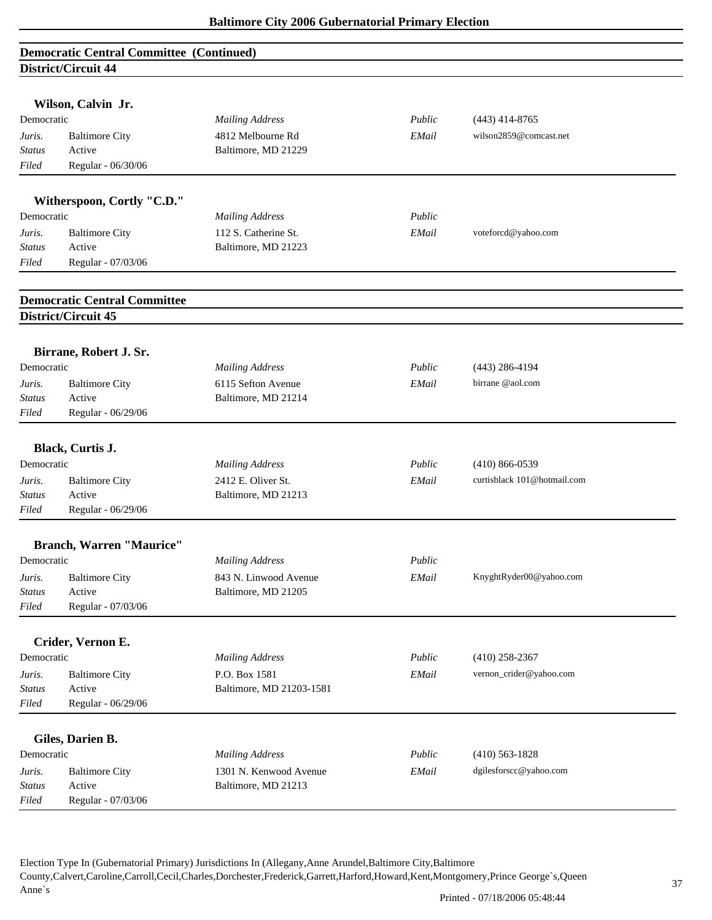|                         | Wilson, Calvin Jr.                  |                                           |        |                             |  |
|-------------------------|-------------------------------------|-------------------------------------------|--------|-----------------------------|--|
| Democratic              |                                     | <b>Mailing Address</b>                    | Public | $(443)$ 414-8765            |  |
| Juris.                  | <b>Baltimore City</b>               | 4812 Melbourne Rd                         | EMail  | wilson2859@comcast.net      |  |
| Status                  | Active                              | Baltimore, MD 21229                       |        |                             |  |
| Filed                   | Regular - 06/30/06                  |                                           |        |                             |  |
|                         |                                     |                                           |        |                             |  |
|                         | Witherspoon, Cortly "C.D."          |                                           |        |                             |  |
| Democratic              |                                     | <b>Mailing Address</b>                    | Public |                             |  |
| Juris.                  | <b>Baltimore City</b>               | 112 S. Catherine St.                      | EMail  | voteforcd@yahoo.com         |  |
| Status                  | Active                              | Baltimore, MD 21223                       |        |                             |  |
| Filed                   | Regular - 07/03/06                  |                                           |        |                             |  |
|                         | <b>Democratic Central Committee</b> |                                           |        |                             |  |
|                         | District/Circuit 45                 |                                           |        |                             |  |
|                         |                                     |                                           |        |                             |  |
| Democratic              | Birrane, Robert J. Sr.              |                                           | Public |                             |  |
|                         |                                     | <b>Mailing Address</b>                    |        | $(443)$ 286-4194            |  |
| Juris.<br><b>Status</b> | <b>Baltimore City</b><br>Active     | 6115 Sefton Avenue<br>Baltimore, MD 21214 | EMail  | birrane @aol.com            |  |
| Filed                   | Regular - 06/29/06                  |                                           |        |                             |  |
|                         |                                     |                                           |        |                             |  |
|                         | Black, Curtis J.                    |                                           |        |                             |  |
| Democratic              |                                     | <b>Mailing Address</b>                    | Public | $(410) 866 - 0539$          |  |
| Juris.                  | <b>Baltimore City</b>               | 2412 E. Oliver St.                        | EMail  | curtisblack 101@hotmail.com |  |
| <b>Status</b>           | Active                              | Baltimore, MD 21213                       |        |                             |  |
| Filed                   | Regular - 06/29/06                  |                                           |        |                             |  |
|                         | <b>Branch, Warren "Maurice"</b>     |                                           |        |                             |  |
| Democratic              |                                     | <b>Mailing Address</b>                    | Public |                             |  |
| Juris.                  | <b>Baltimore City</b>               | 843 N. Linwood Avenue                     | EMail  | KnyghtRyder00@yahoo.com     |  |
| <b>Status</b>           | Active                              | Baltimore, MD 21205                       |        |                             |  |
| Filed                   | Regular - 07/03/06                  |                                           |        |                             |  |
|                         |                                     |                                           |        |                             |  |
|                         | Crider, Vernon E.                   |                                           |        |                             |  |
| Democratic              |                                     | <b>Mailing Address</b>                    | Public | $(410)$ 258-2367            |  |
| Juris.                  | <b>Baltimore City</b>               | P.O. Box 1581                             | EMail  | vernon_crider@yahoo.com     |  |
| Status                  | Active                              | Baltimore, MD 21203-1581                  |        |                             |  |
| Filed                   | Regular - 06/29/06                  |                                           |        |                             |  |
|                         | Giles, Darien B.                    |                                           |        |                             |  |
| Democratic              |                                     | <b>Mailing Address</b>                    | Public | $(410) 563 - 1828$          |  |
| Juris.                  | <b>Baltimore City</b>               | 1301 N. Kenwood Avenue                    | EMail  | dgilesforscc@yahoo.com      |  |
| Status                  | Active                              | Baltimore, MD 21213                       |        |                             |  |
| Filed                   | Regular - 07/03/06                  |                                           |        |                             |  |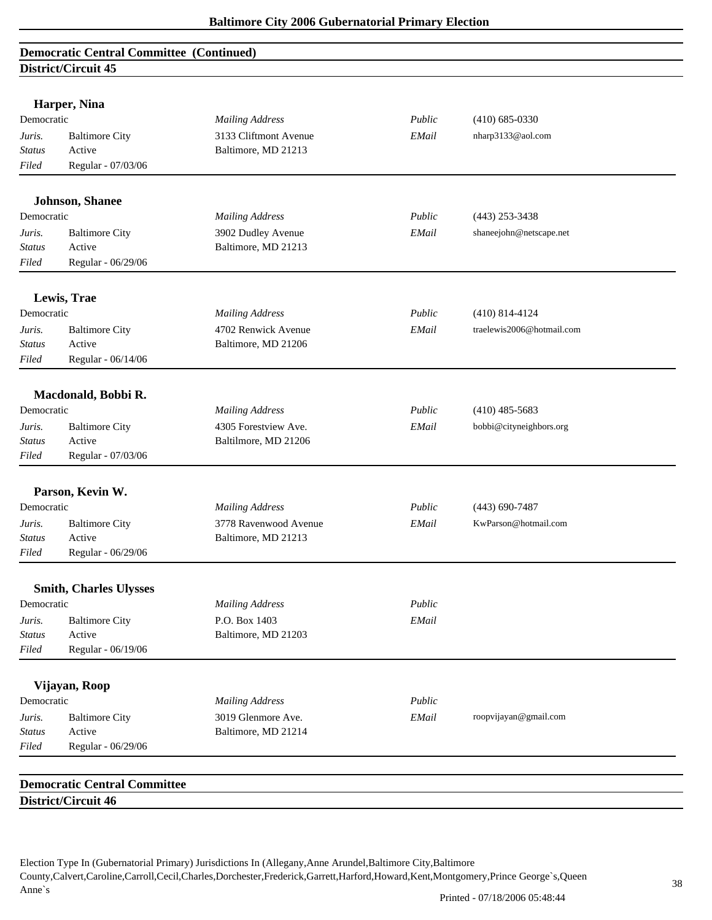|                         | Harper, Nina                        |                                           |        |                           |  |
|-------------------------|-------------------------------------|-------------------------------------------|--------|---------------------------|--|
| Democratic              |                                     | <b>Mailing Address</b>                    | Public | $(410)$ 685-0330          |  |
| Juris.                  | <b>Baltimore City</b>               | 3133 Cliftmont Avenue                     | EMail  | nharp3133@aol.com         |  |
| <b>Status</b>           | Active                              | Baltimore, MD 21213                       |        |                           |  |
| Filed                   | Regular - 07/03/06                  |                                           |        |                           |  |
|                         |                                     |                                           |        |                           |  |
|                         | <b>Johnson</b> , Shanee             |                                           |        |                           |  |
| Democratic              |                                     | <b>Mailing Address</b>                    | Public | $(443)$ 253-3438          |  |
| Juris.                  | <b>Baltimore City</b>               | 3902 Dudley Avenue                        | EMail  | shaneejohn@netscape.net   |  |
| <b>Status</b>           | Active                              | Baltimore, MD 21213                       |        |                           |  |
| Filed                   | Regular - 06/29/06                  |                                           |        |                           |  |
|                         | Lewis, Trae                         |                                           |        |                           |  |
| Democratic              |                                     | <b>Mailing Address</b>                    | Public | $(410)$ 814-4124          |  |
| Juris.                  | <b>Baltimore City</b>               | 4702 Renwick Avenue                       | EMail  | traelewis2006@hotmail.com |  |
| <b>Status</b>           | Active                              | Baltimore, MD 21206                       |        |                           |  |
| Filed                   | Regular - 06/14/06                  |                                           |        |                           |  |
|                         | Macdonald, Bobbi R.                 |                                           |        |                           |  |
| Democratic              |                                     | <b>Mailing Address</b>                    | Public | $(410)$ 485-5683          |  |
|                         | <b>Baltimore City</b>               | 4305 Forestview Ave.                      | EMail  | bobbi@cityneighbors.org   |  |
| Juris.<br><b>Status</b> | Active                              | Baltilmore, MD 21206                      |        |                           |  |
| Filed                   | Regular - 07/03/06                  |                                           |        |                           |  |
|                         |                                     |                                           |        |                           |  |
|                         | Parson, Kevin W.                    |                                           |        |                           |  |
| Democratic              |                                     | <b>Mailing Address</b>                    | Public | $(443)$ 690-7487          |  |
| Juris.                  | <b>Baltimore City</b>               | 3778 Ravenwood Avenue                     | EMail  | KwParson@hotmail.com      |  |
| <b>Status</b>           | Active                              | Baltimore, MD 21213                       |        |                           |  |
| Filed                   | Regular - 06/29/06                  |                                           |        |                           |  |
|                         | <b>Smith, Charles Ulysses</b>       |                                           |        |                           |  |
| Democratic              |                                     | <b>Mailing Address</b>                    | Public |                           |  |
| Juris.                  | <b>Baltimore City</b>               | P.O. Box 1403                             | EMail  |                           |  |
| <b>Status</b>           | Active                              | Baltimore, MD 21203                       |        |                           |  |
| Filed                   | Regular - 06/19/06                  |                                           |        |                           |  |
|                         | Vijayan, Roop                       |                                           |        |                           |  |
| Democratic              |                                     | <b>Mailing Address</b>                    | Public |                           |  |
|                         |                                     |                                           | EMail  |                           |  |
| Juris.<br><i>Status</i> | <b>Baltimore City</b><br>Active     | 3019 Glenmore Ave.<br>Baltimore, MD 21214 |        | roopvijayan@gmail.com     |  |
| Filed                   | Regular - 06/29/06                  |                                           |        |                           |  |
|                         |                                     |                                           |        |                           |  |
|                         | <b>Democratic Central Committee</b> |                                           |        |                           |  |
|                         | District/Circuit 46                 |                                           |        |                           |  |
|                         |                                     |                                           |        |                           |  |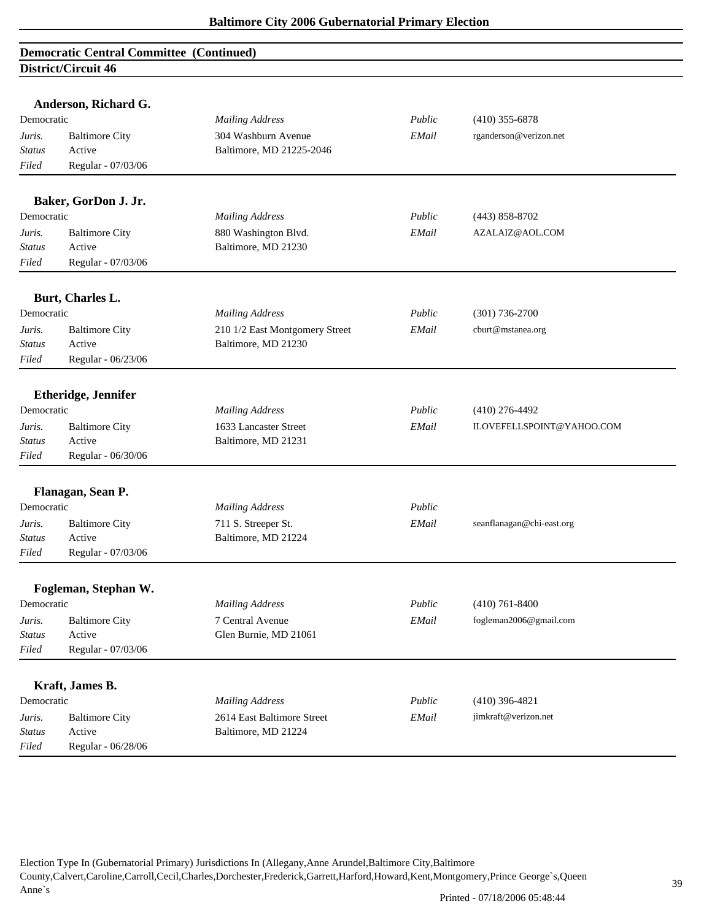|               | Anderson, Richard G.       |                                |             |                           |  |
|---------------|----------------------------|--------------------------------|-------------|---------------------------|--|
| Democratic    |                            | <b>Mailing Address</b>         | Public      | $(410)$ 355-6878          |  |
| Juris.        | <b>Baltimore City</b>      | 304 Washburn Avenue            | EMail       | rganderson@verizon.net    |  |
| Status        | Active                     | Baltimore, MD 21225-2046       |             |                           |  |
| Filed         | Regular - 07/03/06         |                                |             |                           |  |
|               | Baker, GorDon J. Jr.       |                                |             |                           |  |
| Democratic    |                            | <b>Mailing Address</b>         | Public      | $(443) 858 - 8702$        |  |
| Juris.        | <b>Baltimore City</b>      | 880 Washington Blvd.           | EMail       | AZALAIZ@AOL.COM           |  |
| <b>Status</b> | Active                     | Baltimore, MD 21230            |             |                           |  |
| Filed         | Regular - 07/03/06         |                                |             |                           |  |
|               | Burt, Charles L.           |                                |             |                           |  |
| Democratic    |                            | <b>Mailing Address</b>         | Public      | $(301) 736 - 2700$        |  |
| Juris.        | <b>Baltimore City</b>      | 210 1/2 East Montgomery Street | EMail       | cburt@mstanea.org         |  |
| <b>Status</b> | Active                     | Baltimore, MD 21230            |             |                           |  |
| Filed         | Regular - 06/23/06         |                                |             |                           |  |
|               | <b>Etheridge, Jennifer</b> |                                |             |                           |  |
| Democratic    |                            | <b>Mailing Address</b>         | Public      | $(410)$ 276-4492          |  |
| Juris.        | <b>Baltimore City</b>      | 1633 Lancaster Street          | EMail       | ILOVEFELLSPOINT@YAHOO.COM |  |
| <b>Status</b> | Active                     | Baltimore, MD 21231            |             |                           |  |
| Filed         | Regular - 06/30/06         |                                |             |                           |  |
|               | Flanagan, Sean P.          |                                |             |                           |  |
| Democratic    |                            | <b>Mailing Address</b>         | Public      |                           |  |
| Juris.        | <b>Baltimore City</b>      | 711 S. Streeper St.            | $\it EMail$ | seanflanagan@chi-east.org |  |
| Status        | Active                     | Baltimore, MD 21224            |             |                           |  |
| Filed         | Regular - 07/03/06         |                                |             |                           |  |
|               | Fogleman, Stephan W.       |                                |             |                           |  |
| Democratic    |                            | <b>Mailing Address</b>         | Public      | $(410)$ 761-8400          |  |
| Juris.        | <b>Baltimore City</b>      | 7 Central Avenue               | EMail       | fogleman2006@gmail.com    |  |
| Status        | Active                     | Glen Burnie, MD 21061          |             |                           |  |
| Filed         | Regular - 07/03/06         |                                |             |                           |  |
|               | Kraft, James B.            |                                |             |                           |  |
| Democratic    |                            | <b>Mailing Address</b>         | Public      | $(410)$ 396-4821          |  |
| Juris.        | <b>Baltimore City</b>      | 2614 East Baltimore Street     | EMail       | jimkraft@verizon.net      |  |
| <b>Status</b> | Active                     | Baltimore, MD 21224            |             |                           |  |
| Filed         | Regular - 06/28/06         |                                |             |                           |  |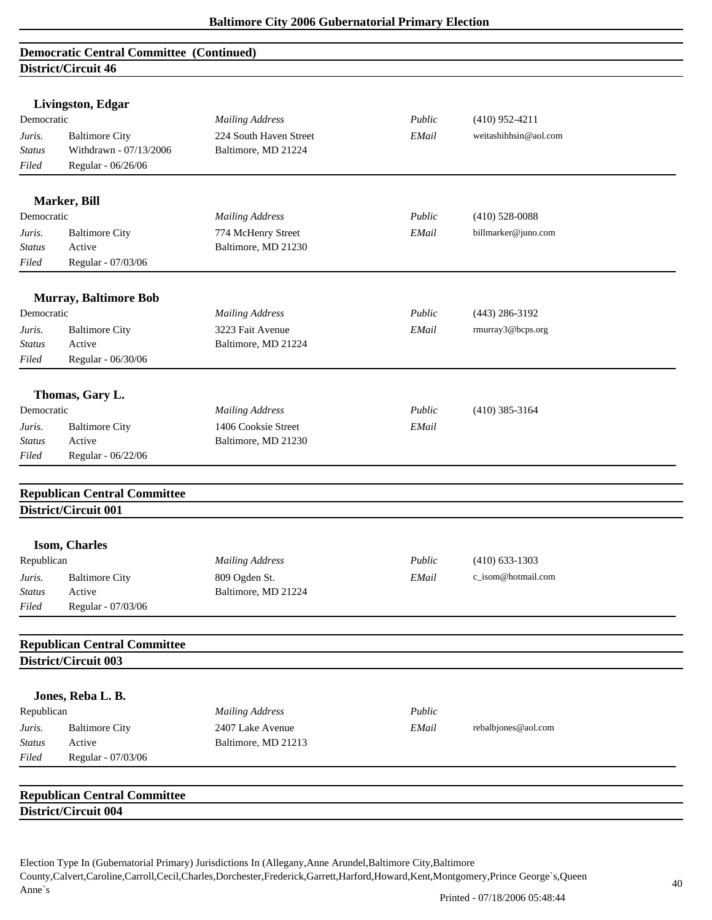| Livingston, Edgar                       |                        |        |                       |
|-----------------------------------------|------------------------|--------|-----------------------|
| Democratic                              | <b>Mailing Address</b> | Public | $(410)$ 952-4211      |
| <b>Baltimore City</b><br>Juris.         | 224 South Haven Street | EMail  | weitashihhsin@aol.com |
| Withdrawn - 07/13/2006<br><b>Status</b> | Baltimore, MD 21224    |        |                       |
| Filed<br>Regular - 06/26/06             |                        |        |                       |
| Marker, Bill                            |                        |        |                       |
| Democratic                              | <b>Mailing Address</b> | Public | $(410)$ 528-0088      |
| <b>Baltimore City</b><br>Juris.         | 774 McHenry Street     | EMail  | billmarker@juno.com   |
| Active<br>Status                        | Baltimore, MD 21230    |        |                       |
| Regular - 07/03/06<br>Filed             |                        |        |                       |
|                                         |                        |        |                       |
| <b>Murray, Baltimore Bob</b>            |                        |        |                       |
| Democratic                              | <b>Mailing Address</b> | Public | $(443)$ 286-3192      |
| <b>Baltimore City</b><br>Juris.         | 3223 Fait Avenue       | EMail  | rmurray3@bcps.org     |
| Active<br><b>Status</b>                 | Baltimore, MD 21224    |        |                       |
| $Filed$<br>Regular - 06/30/06           |                        |        |                       |
| Thomas, Gary L.                         |                        |        |                       |
| Democratic                              | <b>Mailing Address</b> | Public | $(410)$ 385-3164      |
| <b>Baltimore City</b><br>Juris.         | 1406 Cooksie Street    | EMail  |                       |
| Active<br>Status                        | Baltimore, MD 21230    |        |                       |
| Regular - 06/22/06<br>Filed             |                        |        |                       |
|                                         |                        |        |                       |
| <b>Republican Central Committee</b>     |                        |        |                       |
| District/Circuit 001                    |                        |        |                       |
| Isom, Charles                           |                        |        |                       |
| Republican                              | <b>Mailing Address</b> | Public | $(410)$ 633-1303      |
| <b>Baltimore City</b><br>Juris.         | 809 Ogden St.          | EMail  | c_isom@hotmail.com    |
| Active<br><b>Status</b>                 | Baltimore, MD 21224    |        |                       |
| Regular - 07/03/06<br>Filed             |                        |        |                       |
|                                         |                        |        |                       |
| <b>Republican Central Committee</b>     |                        |        |                       |
| District/Circuit 003                    |                        |        |                       |
| Jones, Reba L. B.                       |                        |        |                       |
| Republican                              | <b>Mailing Address</b> | Public |                       |
| <b>Baltimore City</b><br>Juris.         | 2407 Lake Avenue       | EMail  | rebalbjones@aol.com   |
| Active<br><b>Status</b>                 | Baltimore, MD 21213    |        |                       |
| Regular - 07/03/06<br>Filed             |                        |        |                       |
|                                         |                        |        |                       |
| <b>Republican Central Committee</b>     |                        |        |                       |
| District/Circuit 004                    |                        |        |                       |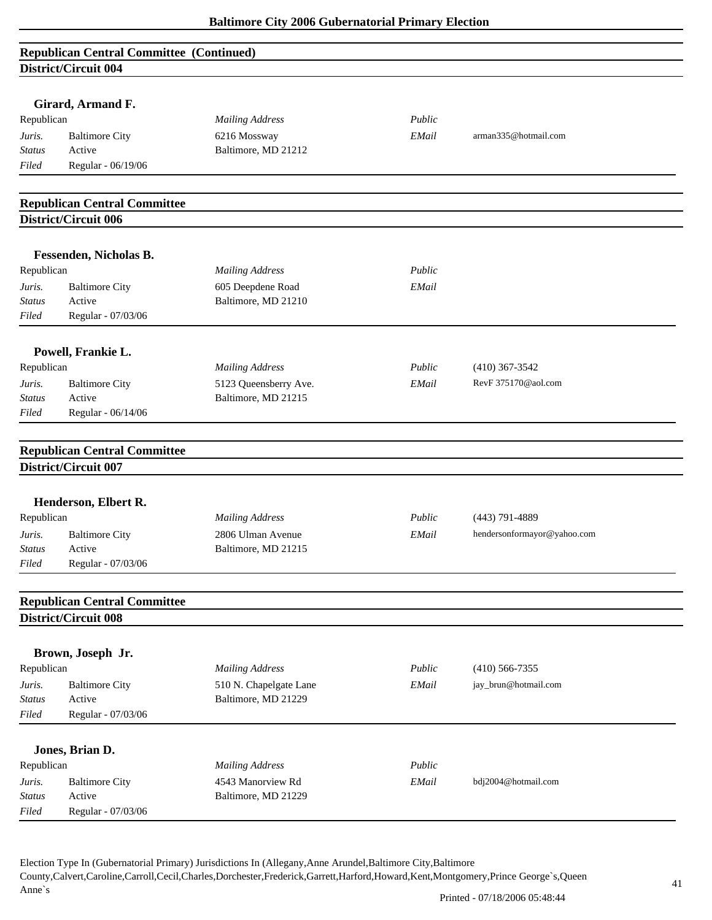| <b>Republican Central Committee (Continued)</b> |  |
|-------------------------------------------------|--|
| District/Circuit 004                            |  |

| DISTRICT/CIFCUIT 004 |                                                                                                                                                                                                                                                                                                                                                                                                                                                                                                            |                                                                                                                                                                                                                                                                                                                                                                                                                                                                                                                                      |                                                                                             |                                                                                                                                                                                       |
|----------------------|------------------------------------------------------------------------------------------------------------------------------------------------------------------------------------------------------------------------------------------------------------------------------------------------------------------------------------------------------------------------------------------------------------------------------------------------------------------------------------------------------------|--------------------------------------------------------------------------------------------------------------------------------------------------------------------------------------------------------------------------------------------------------------------------------------------------------------------------------------------------------------------------------------------------------------------------------------------------------------------------------------------------------------------------------------|---------------------------------------------------------------------------------------------|---------------------------------------------------------------------------------------------------------------------------------------------------------------------------------------|
|                      |                                                                                                                                                                                                                                                                                                                                                                                                                                                                                                            |                                                                                                                                                                                                                                                                                                                                                                                                                                                                                                                                      |                                                                                             |                                                                                                                                                                                       |
|                      |                                                                                                                                                                                                                                                                                                                                                                                                                                                                                                            |                                                                                                                                                                                                                                                                                                                                                                                                                                                                                                                                      |                                                                                             |                                                                                                                                                                                       |
|                      |                                                                                                                                                                                                                                                                                                                                                                                                                                                                                                            |                                                                                                                                                                                                                                                                                                                                                                                                                                                                                                                                      |                                                                                             |                                                                                                                                                                                       |
|                      |                                                                                                                                                                                                                                                                                                                                                                                                                                                                                                            |                                                                                                                                                                                                                                                                                                                                                                                                                                                                                                                                      |                                                                                             |                                                                                                                                                                                       |
|                      |                                                                                                                                                                                                                                                                                                                                                                                                                                                                                                            |                                                                                                                                                                                                                                                                                                                                                                                                                                                                                                                                      |                                                                                             |                                                                                                                                                                                       |
|                      |                                                                                                                                                                                                                                                                                                                                                                                                                                                                                                            |                                                                                                                                                                                                                                                                                                                                                                                                                                                                                                                                      |                                                                                             |                                                                                                                                                                                       |
|                      |                                                                                                                                                                                                                                                                                                                                                                                                                                                                                                            |                                                                                                                                                                                                                                                                                                                                                                                                                                                                                                                                      |                                                                                             |                                                                                                                                                                                       |
| District/Circuit 006 |                                                                                                                                                                                                                                                                                                                                                                                                                                                                                                            |                                                                                                                                                                                                                                                                                                                                                                                                                                                                                                                                      |                                                                                             |                                                                                                                                                                                       |
|                      |                                                                                                                                                                                                                                                                                                                                                                                                                                                                                                            |                                                                                                                                                                                                                                                                                                                                                                                                                                                                                                                                      |                                                                                             |                                                                                                                                                                                       |
|                      |                                                                                                                                                                                                                                                                                                                                                                                                                                                                                                            |                                                                                                                                                                                                                                                                                                                                                                                                                                                                                                                                      |                                                                                             |                                                                                                                                                                                       |
|                      |                                                                                                                                                                                                                                                                                                                                                                                                                                                                                                            |                                                                                                                                                                                                                                                                                                                                                                                                                                                                                                                                      |                                                                                             |                                                                                                                                                                                       |
|                      |                                                                                                                                                                                                                                                                                                                                                                                                                                                                                                            |                                                                                                                                                                                                                                                                                                                                                                                                                                                                                                                                      |                                                                                             |                                                                                                                                                                                       |
| Regular - 07/03/06   |                                                                                                                                                                                                                                                                                                                                                                                                                                                                                                            |                                                                                                                                                                                                                                                                                                                                                                                                                                                                                                                                      |                                                                                             |                                                                                                                                                                                       |
|                      |                                                                                                                                                                                                                                                                                                                                                                                                                                                                                                            |                                                                                                                                                                                                                                                                                                                                                                                                                                                                                                                                      |                                                                                             |                                                                                                                                                                                       |
|                      |                                                                                                                                                                                                                                                                                                                                                                                                                                                                                                            |                                                                                                                                                                                                                                                                                                                                                                                                                                                                                                                                      |                                                                                             |                                                                                                                                                                                       |
|                      |                                                                                                                                                                                                                                                                                                                                                                                                                                                                                                            |                                                                                                                                                                                                                                                                                                                                                                                                                                                                                                                                      |                                                                                             |                                                                                                                                                                                       |
|                      |                                                                                                                                                                                                                                                                                                                                                                                                                                                                                                            |                                                                                                                                                                                                                                                                                                                                                                                                                                                                                                                                      |                                                                                             |                                                                                                                                                                                       |
|                      |                                                                                                                                                                                                                                                                                                                                                                                                                                                                                                            |                                                                                                                                                                                                                                                                                                                                                                                                                                                                                                                                      |                                                                                             |                                                                                                                                                                                       |
|                      |                                                                                                                                                                                                                                                                                                                                                                                                                                                                                                            |                                                                                                                                                                                                                                                                                                                                                                                                                                                                                                                                      |                                                                                             |                                                                                                                                                                                       |
|                      |                                                                                                                                                                                                                                                                                                                                                                                                                                                                                                            |                                                                                                                                                                                                                                                                                                                                                                                                                                                                                                                                      |                                                                                             |                                                                                                                                                                                       |
| District/Circuit 007 |                                                                                                                                                                                                                                                                                                                                                                                                                                                                                                            |                                                                                                                                                                                                                                                                                                                                                                                                                                                                                                                                      |                                                                                             |                                                                                                                                                                                       |
|                      |                                                                                                                                                                                                                                                                                                                                                                                                                                                                                                            |                                                                                                                                                                                                                                                                                                                                                                                                                                                                                                                                      |                                                                                             |                                                                                                                                                                                       |
|                      |                                                                                                                                                                                                                                                                                                                                                                                                                                                                                                            |                                                                                                                                                                                                                                                                                                                                                                                                                                                                                                                                      |                                                                                             |                                                                                                                                                                                       |
|                      |                                                                                                                                                                                                                                                                                                                                                                                                                                                                                                            |                                                                                                                                                                                                                                                                                                                                                                                                                                                                                                                                      |                                                                                             |                                                                                                                                                                                       |
|                      |                                                                                                                                                                                                                                                                                                                                                                                                                                                                                                            |                                                                                                                                                                                                                                                                                                                                                                                                                                                                                                                                      |                                                                                             |                                                                                                                                                                                       |
|                      |                                                                                                                                                                                                                                                                                                                                                                                                                                                                                                            |                                                                                                                                                                                                                                                                                                                                                                                                                                                                                                                                      |                                                                                             |                                                                                                                                                                                       |
|                      |                                                                                                                                                                                                                                                                                                                                                                                                                                                                                                            |                                                                                                                                                                                                                                                                                                                                                                                                                                                                                                                                      |                                                                                             |                                                                                                                                                                                       |
|                      |                                                                                                                                                                                                                                                                                                                                                                                                                                                                                                            |                                                                                                                                                                                                                                                                                                                                                                                                                                                                                                                                      |                                                                                             |                                                                                                                                                                                       |
| District/Circuit 008 |                                                                                                                                                                                                                                                                                                                                                                                                                                                                                                            |                                                                                                                                                                                                                                                                                                                                                                                                                                                                                                                                      |                                                                                             |                                                                                                                                                                                       |
|                      |                                                                                                                                                                                                                                                                                                                                                                                                                                                                                                            |                                                                                                                                                                                                                                                                                                                                                                                                                                                                                                                                      |                                                                                             |                                                                                                                                                                                       |
|                      |                                                                                                                                                                                                                                                                                                                                                                                                                                                                                                            | Public                                                                                                                                                                                                                                                                                                                                                                                                                                                                                                                               |                                                                                             |                                                                                                                                                                                       |
|                      |                                                                                                                                                                                                                                                                                                                                                                                                                                                                                                            |                                                                                                                                                                                                                                                                                                                                                                                                                                                                                                                                      |                                                                                             |                                                                                                                                                                                       |
| Active               |                                                                                                                                                                                                                                                                                                                                                                                                                                                                                                            |                                                                                                                                                                                                                                                                                                                                                                                                                                                                                                                                      |                                                                                             |                                                                                                                                                                                       |
|                      |                                                                                                                                                                                                                                                                                                                                                                                                                                                                                                            |                                                                                                                                                                                                                                                                                                                                                                                                                                                                                                                                      |                                                                                             |                                                                                                                                                                                       |
|                      |                                                                                                                                                                                                                                                                                                                                                                                                                                                                                                            |                                                                                                                                                                                                                                                                                                                                                                                                                                                                                                                                      |                                                                                             |                                                                                                                                                                                       |
| Jones, Brian D.      |                                                                                                                                                                                                                                                                                                                                                                                                                                                                                                            |                                                                                                                                                                                                                                                                                                                                                                                                                                                                                                                                      |                                                                                             |                                                                                                                                                                                       |
| Republican           |                                                                                                                                                                                                                                                                                                                                                                                                                                                                                                            |                                                                                                                                                                                                                                                                                                                                                                                                                                                                                                                                      |                                                                                             |                                                                                                                                                                                       |
|                      | 4543 Manorview Rd                                                                                                                                                                                                                                                                                                                                                                                                                                                                                          | EMail                                                                                                                                                                                                                                                                                                                                                                                                                                                                                                                                |                                                                                             |                                                                                                                                                                                       |
|                      |                                                                                                                                                                                                                                                                                                                                                                                                                                                                                                            |                                                                                                                                                                                                                                                                                                                                                                                                                                                                                                                                      |                                                                                             |                                                                                                                                                                                       |
|                      |                                                                                                                                                                                                                                                                                                                                                                                                                                                                                                            |                                                                                                                                                                                                                                                                                                                                                                                                                                                                                                                                      |                                                                                             |                                                                                                                                                                                       |
|                      | Girard, Armand F.<br>Republican<br><b>Baltimore City</b><br>Active<br>Regular - 06/19/06<br>Fessenden, Nicholas B.<br>Republican<br><b>Baltimore City</b><br>Active<br>Powell, Frankie L.<br>Republican<br><b>Baltimore City</b><br>Active<br>Regular - 06/14/06<br>Henderson, Elbert R.<br>Republican<br><b>Baltimore City</b><br>Active<br>Regular - 07/03/06<br>Brown, Joseph Jr.<br>Republican<br><b>Baltimore City</b><br>Regular - 07/03/06<br><b>Baltimore City</b><br>Active<br>Regular - 07/03/06 | <b>Mailing Address</b><br>6216 Mossway<br>Baltimore, MD 21212<br><b>Republican Central Committee</b><br><b>Mailing Address</b><br>605 Deepdene Road<br>Baltimore, MD 21210<br><b>Mailing Address</b><br>5123 Queensberry Ave.<br>Baltimore, MD 21215<br><b>Republican Central Committee</b><br><b>Mailing Address</b><br>2806 Ulman Avenue<br>Baltimore, MD 21215<br><b>Republican Central Committee</b><br><b>Mailing Address</b><br>510 N. Chapelgate Lane<br>Baltimore, MD 21229<br><b>Mailing Address</b><br>Baltimore, MD 21229 | Public<br>EMail<br>Public<br>EMail<br>Public<br>EMail<br>Public<br>EMail<br>EMail<br>Public | arman335@hotmail.com<br>$(410)$ 367-3542<br>RevF 375170@aol.com<br>$(443)$ 791-4889<br>hendersonformayor@yahoo.com<br>$(410)$ 566-7355<br>jay_brun@hotmail.com<br>bdj2004@hotmail.com |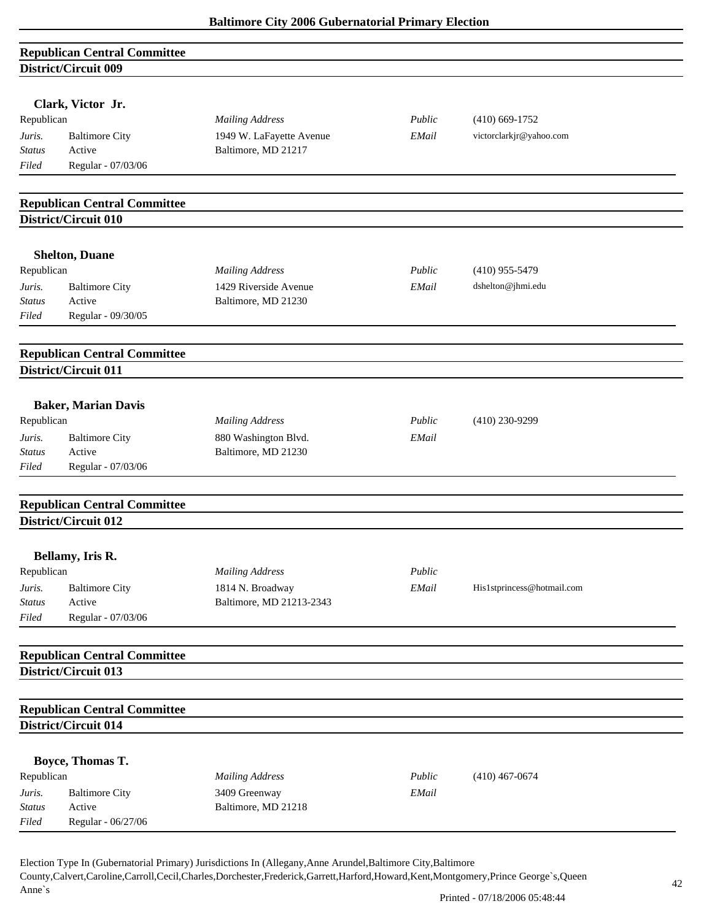| <b>Republican Central Committee</b> |  |
|-------------------------------------|--|
| District/Circuit 009                |  |

|                         | Clark, Victor Jr.                   |                                                 |        |                            |  |
|-------------------------|-------------------------------------|-------------------------------------------------|--------|----------------------------|--|
| Republican              |                                     | <b>Mailing Address</b>                          | Public | $(410)$ 669-1752           |  |
|                         |                                     |                                                 |        |                            |  |
| Juris.<br>Status        | <b>Baltimore City</b><br>Active     | 1949 W. LaFayette Avenue<br>Baltimore, MD 21217 | EMail  | victorclarkjr@yahoo.com    |  |
| Filed                   | Regular - 07/03/06                  |                                                 |        |                            |  |
|                         |                                     |                                                 |        |                            |  |
|                         | <b>Republican Central Committee</b> |                                                 |        |                            |  |
|                         | District/Circuit 010                |                                                 |        |                            |  |
|                         | <b>Shelton, Duane</b>               |                                                 |        |                            |  |
| Republican              |                                     | <b>Mailing Address</b>                          | Public | $(410)$ 955-5479           |  |
| Juris.                  | <b>Baltimore City</b>               | 1429 Riverside Avenue                           | EMail  | dshelton@jhmi.edu          |  |
| Status                  | Active                              | Baltimore, MD 21230                             |        |                            |  |
| Filed                   | Regular - 09/30/05                  |                                                 |        |                            |  |
|                         |                                     |                                                 |        |                            |  |
|                         | <b>Republican Central Committee</b> |                                                 |        |                            |  |
|                         | District/Circuit 011                |                                                 |        |                            |  |
|                         | <b>Baker, Marian Davis</b>          |                                                 |        |                            |  |
| Republican              |                                     | <b>Mailing Address</b>                          | Public | $(410)$ 230-9299           |  |
|                         | <b>Baltimore City</b>               | 880 Washington Blvd.                            | EMail  |                            |  |
| Juris.<br><b>Status</b> | Active                              | Baltimore, MD 21230                             |        |                            |  |
| Filed                   | Regular - 07/03/06                  |                                                 |        |                            |  |
|                         |                                     |                                                 |        |                            |  |
|                         | <b>Republican Central Committee</b> |                                                 |        |                            |  |
|                         | District/Circuit 012                |                                                 |        |                            |  |
|                         | Bellamy, Iris R.                    |                                                 |        |                            |  |
| Republican              |                                     | <b>Mailing Address</b>                          | Public |                            |  |
| Juris.                  | <b>Baltimore City</b>               | 1814 N. Broadway                                | EMail  | His1stprincess@hotmail.com |  |
| <b>Status</b>           | Active                              | Baltimore, MD 21213-2343                        |        |                            |  |
| Filed                   | Regular - 07/03/06                  |                                                 |        |                            |  |
|                         |                                     |                                                 |        |                            |  |
|                         | <b>Republican Central Committee</b> |                                                 |        |                            |  |
|                         | District/Circuit 013                |                                                 |        |                            |  |
|                         | <b>Republican Central Committee</b> |                                                 |        |                            |  |
|                         | District/Circuit 014                |                                                 |        |                            |  |
|                         |                                     |                                                 |        |                            |  |
|                         | Boyce, Thomas T.                    |                                                 |        |                            |  |
| Republican              |                                     | <b>Mailing Address</b>                          | Public | $(410)$ 467-0674           |  |
| Juris.                  | <b>Baltimore City</b>               | 3409 Greenway                                   | EMail  |                            |  |
| <b>Status</b>           | Active                              | Baltimore, MD 21218                             |        |                            |  |
| Filed                   | Regular - 06/27/06                  |                                                 |        |                            |  |
|                         |                                     |                                                 |        |                            |  |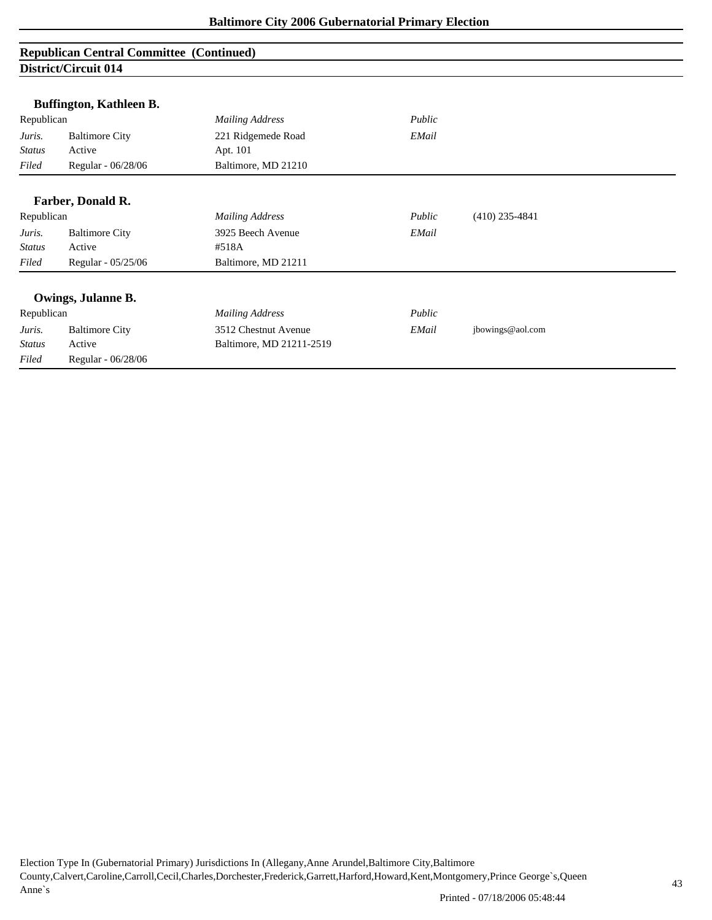## **Republican Central Committee (Continued) District/Circuit 014**

|               | Buffington, Kathleen B. |                          |        |                  |
|---------------|-------------------------|--------------------------|--------|------------------|
| Republican    |                         | <b>Mailing Address</b>   | Public |                  |
| Juris.        | <b>Baltimore City</b>   | 221 Ridgemede Road       | EMail  |                  |
| <b>Status</b> | Active                  | Apt. 101                 |        |                  |
| Filed         | Regular - 06/28/06      | Baltimore, MD 21210      |        |                  |
|               |                         |                          |        |                  |
|               | Farber, Donald R.       |                          |        |                  |
| Republican    |                         | <b>Mailing Address</b>   | Public | $(410)$ 235-4841 |
| Juris.        | <b>Baltimore City</b>   | 3925 Beech Avenue        | EMail  |                  |
| Status        | Active                  | #518A                    |        |                  |
| Filed         | Regular - 05/25/06      | Baltimore, MD 21211      |        |                  |
|               |                         |                          |        |                  |
|               | Owings, Julanne B.      |                          |        |                  |
| Republican    |                         | <b>Mailing Address</b>   | Public |                  |
| Juris.        | <b>Baltimore City</b>   | 3512 Chestnut Avenue     | EMail  | jbowings@aol.com |
| <b>Status</b> | Active                  | Baltimore, MD 21211-2519 |        |                  |
| Filed         | Regular - 06/28/06      |                          |        |                  |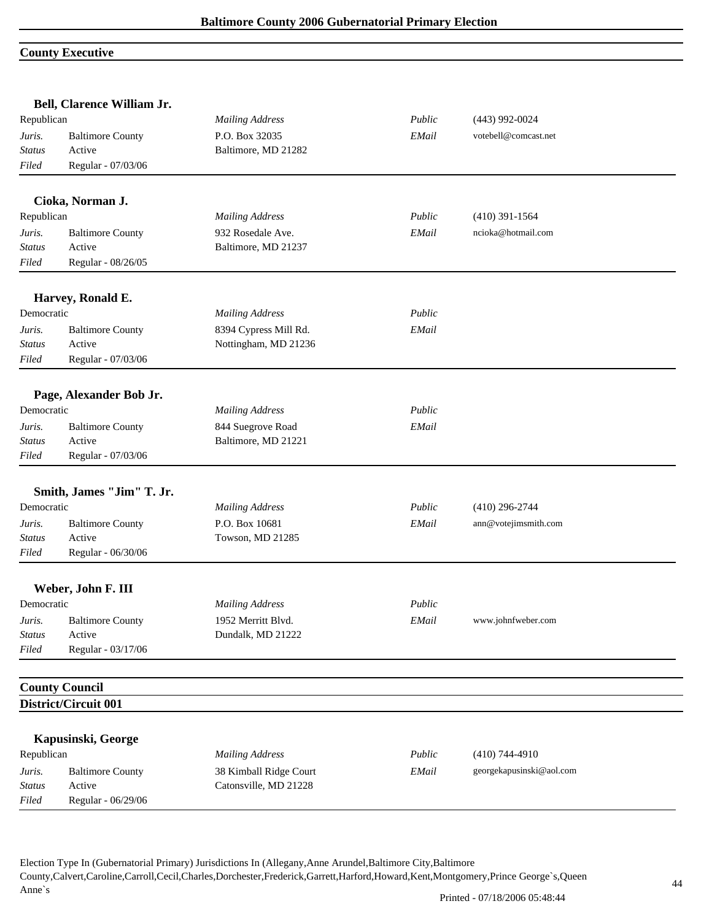## **County Executive**

|               | Bell, Clarence William Jr. |                        |        |                          |  |
|---------------|----------------------------|------------------------|--------|--------------------------|--|
| Republican    |                            | <b>Mailing Address</b> | Public | $(443)$ 992-0024         |  |
| Juris.        | <b>Baltimore County</b>    | P.O. Box 32035         | EMail  | votebell@comcast.net     |  |
| <b>Status</b> | Active                     | Baltimore, MD 21282    |        |                          |  |
| Filed         | Regular - 07/03/06         |                        |        |                          |  |
|               | Cioka, Norman J.           |                        |        |                          |  |
| Republican    |                            | <b>Mailing Address</b> | Public | $(410)$ 391-1564         |  |
| Juris.        | <b>Baltimore County</b>    | 932 Rosedale Ave.      | EMail  | ncioka@hotmail.com       |  |
| <b>Status</b> | Active                     | Baltimore, MD 21237    |        |                          |  |
| Filed         | Regular - 08/26/05         |                        |        |                          |  |
|               | Harvey, Ronald E.          |                        |        |                          |  |
| Democratic    |                            | <b>Mailing Address</b> | Public |                          |  |
| Juris.        | <b>Baltimore County</b>    | 8394 Cypress Mill Rd.  | EMail  |                          |  |
| <b>Status</b> | Active                     | Nottingham, MD 21236   |        |                          |  |
| Filed         | Regular - 07/03/06         |                        |        |                          |  |
|               | Page, Alexander Bob Jr.    |                        |        |                          |  |
| Democratic    |                            | <b>Mailing Address</b> | Public |                          |  |
| Juris.        | <b>Baltimore County</b>    | 844 Suegrove Road      | EMail  |                          |  |
| <b>Status</b> | Active                     | Baltimore, MD 21221    |        |                          |  |
| Filed         | Regular - 07/03/06         |                        |        |                          |  |
|               | Smith, James "Jim" T. Jr.  |                        |        |                          |  |
| Democratic    |                            | <b>Mailing Address</b> | Public | $(410)$ 296-2744         |  |
| Juris.        | <b>Baltimore County</b>    | P.O. Box 10681         | EMail  | ann@votejimsmith.com     |  |
| <b>Status</b> | Active                     | Towson, MD 21285       |        |                          |  |
| Filed         | Regular - 06/30/06         |                        |        |                          |  |
|               | Weber, John F. III         |                        |        |                          |  |
| Democratic    |                            | <b>Mailing Address</b> | Public |                          |  |
| Juris.        | <b>Baltimore County</b>    | 1952 Merritt Blvd.     | EMail  | www.johnfweber.com       |  |
| <b>Status</b> | Active                     | Dundalk, MD 21222      |        |                          |  |
| Filed         | Regular - 03/17/06         |                        |        |                          |  |
|               | <b>County Council</b>      |                        |        |                          |  |
|               | District/Circuit 001       |                        |        |                          |  |
|               | Kapusinski, George         |                        |        |                          |  |
| Republican    |                            | <b>Mailing Address</b> | Public | $(410)$ 744-4910         |  |
| Juris.        | <b>Baltimore County</b>    | 38 Kimball Ridge Court | EMail  | georgekapusinski@aol.com |  |
| <b>Status</b> | Active                     | Catonsville, MD 21228  |        |                          |  |
|               |                            |                        |        |                          |  |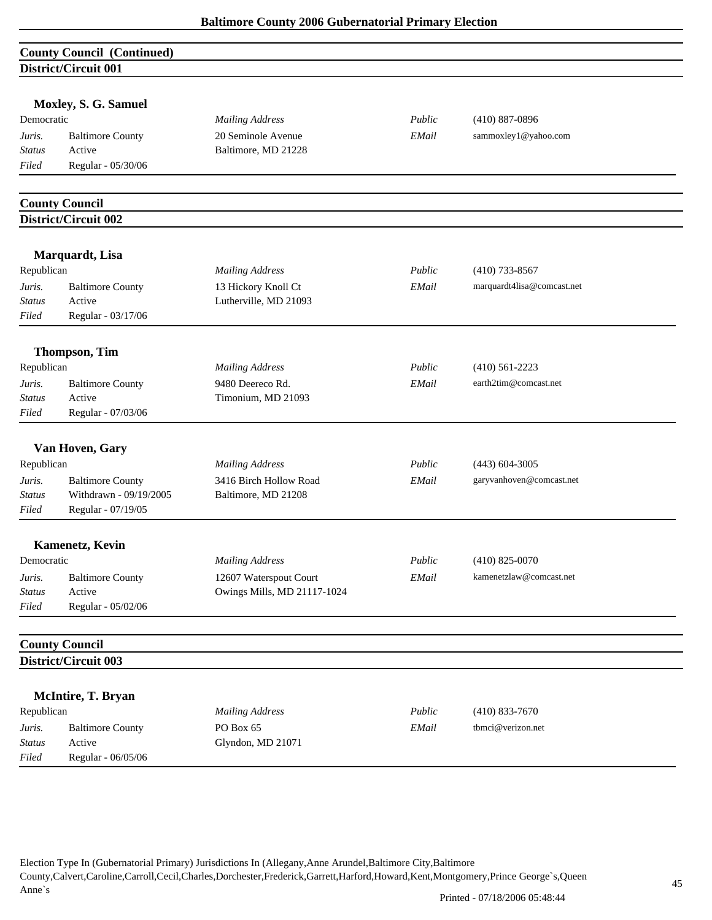|               | <b>County Council (Continued)</b>             |                             |        |                            |
|---------------|-----------------------------------------------|-----------------------------|--------|----------------------------|
|               | District/Circuit 001                          |                             |        |                            |
|               |                                               |                             |        |                            |
|               | Moxley, S. G. Samuel                          |                             |        |                            |
| Democratic    |                                               | <b>Mailing Address</b>      | Public | $(410) 887 - 0896$         |
| Juris.        | <b>Baltimore County</b>                       | 20 Seminole Avenue          | EMail  | sammoxley1@yahoo.com       |
| <b>Status</b> | Active                                        | Baltimore, MD 21228         |        |                            |
| Filed         | Regular - 05/30/06                            |                             |        |                            |
|               |                                               |                             |        |                            |
|               | <b>County Council</b><br>District/Circuit 002 |                             |        |                            |
|               |                                               |                             |        |                            |
|               | Marquardt, Lisa                               |                             |        |                            |
| Republican    |                                               | <b>Mailing Address</b>      | Public | $(410)$ 733-8567           |
| Juris.        | <b>Baltimore County</b>                       | 13 Hickory Knoll Ct         | EMail  | marquardt4lisa@comcast.net |
| <b>Status</b> | Active                                        | Lutherville, MD 21093       |        |                            |
| Filed         | Regular - 03/17/06                            |                             |        |                            |
|               | <b>Thompson, Tim</b>                          |                             |        |                            |
| Republican    |                                               | <b>Mailing Address</b>      | Public | $(410)$ 561-2223           |
| Juris.        | <b>Baltimore County</b>                       | 9480 Deereco Rd.            | EMail  | earth2tim@comcast.net      |
| <b>Status</b> | Active                                        | Timonium, MD 21093          |        |                            |
| Filed         | Regular - 07/03/06                            |                             |        |                            |
|               |                                               |                             |        |                            |
|               | Van Hoven, Gary                               |                             |        |                            |
| Republican    |                                               | <b>Mailing Address</b>      | Public | $(443)$ 604-3005           |
| Juris.        | <b>Baltimore County</b>                       | 3416 Birch Hollow Road      | EMail  | garyvanhoven@comcast.net   |
| <b>Status</b> | Withdrawn - 09/19/2005                        | Baltimore, MD 21208         |        |                            |
| Filed         | Regular - 07/19/05                            |                             |        |                            |
|               | <b>Kamenetz</b> , Kevin                       |                             |        |                            |
| Democratic    |                                               | <b>Mailing Address</b>      | Public | $(410)$ 825-0070           |
| Juris.        | <b>Baltimore County</b>                       | 12607 Waterspout Court      | EMail  | kamenetzlaw@comcast.net    |
| <b>Status</b> | Active                                        | Owings Mills, MD 21117-1024 |        |                            |
| Filed         | Regular - 05/02/06                            |                             |        |                            |
|               | <b>County Council</b>                         |                             |        |                            |
|               | <b>District/Circuit 003</b>                   |                             |        |                            |
|               |                                               |                             |        |                            |
|               | McIntire, T. Bryan                            |                             |        |                            |
| Republican    |                                               | <b>Mailing Address</b>      | Public | $(410)$ 833-7670           |
| Juris.        | <b>Baltimore County</b>                       | PO Box 65                   | EMail  | tbmci@verizon.net          |
| <b>Status</b> | Active                                        | Glyndon, MD 21071           |        |                            |
| Filed         | Regular - 06/05/06                            |                             |        |                            |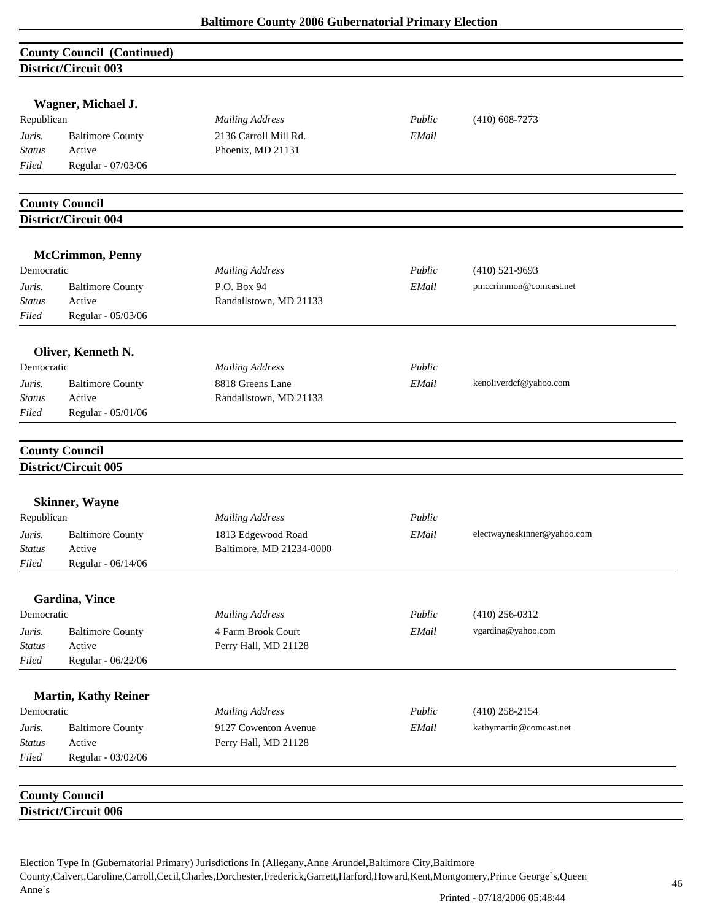|               | <b>County Council (Continued)</b>             |                          |        |                             |
|---------------|-----------------------------------------------|--------------------------|--------|-----------------------------|
|               | <b>District/Circuit 003</b>                   |                          |        |                             |
|               |                                               |                          |        |                             |
|               | Wagner, Michael J.                            |                          |        |                             |
| Republican    |                                               | <b>Mailing Address</b>   | Public | $(410)$ 608-7273            |
| Juris.        | <b>Baltimore County</b>                       | 2136 Carroll Mill Rd.    | EMail  |                             |
| Status        | Active                                        | Phoenix, MD 21131        |        |                             |
| Filed         | Regular - 07/03/06                            |                          |        |                             |
|               | <b>County Council</b>                         |                          |        |                             |
|               | District/Circuit 004                          |                          |        |                             |
|               |                                               |                          |        |                             |
|               | <b>McCrimmon, Penny</b>                       |                          |        |                             |
| Democratic    |                                               | <b>Mailing Address</b>   | Public | $(410)$ 521-9693            |
| Juris.        | <b>Baltimore County</b>                       | P.O. Box 94              | EMail  | pmccrimmon@comcast.net      |
| Status        | Active                                        | Randallstown, MD 21133   |        |                             |
| Filed         | Regular - 05/03/06                            |                          |        |                             |
|               | Oliver, Kenneth N.                            |                          |        |                             |
| Democratic    |                                               | <b>Mailing Address</b>   | Public |                             |
| Juris.        | <b>Baltimore County</b>                       | 8818 Greens Lane         | EMail  | kenoliverdcf@yahoo.com      |
| Status        | Active                                        | Randallstown, MD 21133   |        |                             |
| Filed         | Regular - 05/01/06                            |                          |        |                             |
|               |                                               |                          |        |                             |
|               | <b>County Council</b>                         |                          |        |                             |
|               | District/Circuit 005                          |                          |        |                             |
|               | <b>Skinner, Wayne</b>                         |                          |        |                             |
| Republican    |                                               | <b>Mailing Address</b>   | Public |                             |
| Juris.        | <b>Baltimore County</b>                       | 1813 Edgewood Road       | EMail  | electwayneskinner@yahoo.com |
| Status        | Active                                        | Baltimore, MD 21234-0000 |        |                             |
| Filed         | Regular - 06/14/06                            |                          |        |                             |
|               |                                               |                          |        |                             |
| Democratic    | <b>Gardina</b> , Vince                        | <b>Mailing Address</b>   | Public | $(410)$ 256-0312            |
| Juris.        | <b>Baltimore County</b>                       | 4 Farm Brook Court       | EMail  | vgardina@yahoo.com          |
| <b>Status</b> | Active                                        | Perry Hall, MD 21128     |        |                             |
| Filed         | Regular - 06/22/06                            |                          |        |                             |
|               |                                               |                          |        |                             |
|               | <b>Martin, Kathy Reiner</b>                   |                          |        |                             |
| Democratic    |                                               | <b>Mailing Address</b>   | Public | $(410)$ 258-2154            |
| Juris.        | <b>Baltimore County</b>                       | 9127 Cowenton Avenue     | EMail  | kathymartin@comcast.net     |
| <b>Status</b> | Active                                        | Perry Hall, MD 21128     |        |                             |
| Filed         | Regular - 03/02/06                            |                          |        |                             |
|               |                                               |                          |        |                             |
|               | <b>County Council</b><br>District/Circuit 006 |                          |        |                             |
|               |                                               |                          |        |                             |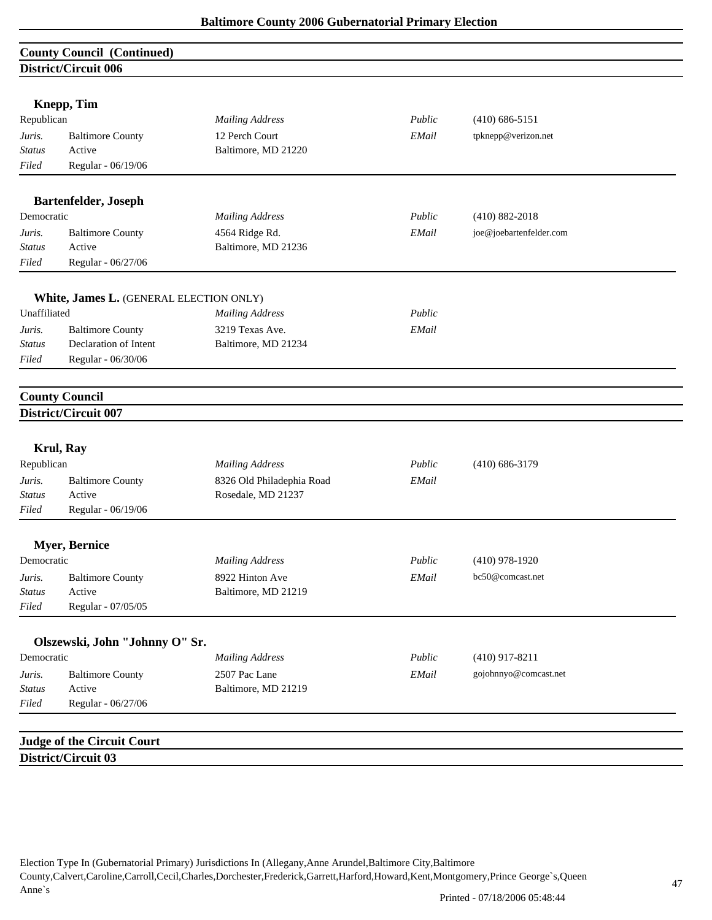|               | <b>County Council (Continued)</b>       |                           |        |                         |  |
|---------------|-----------------------------------------|---------------------------|--------|-------------------------|--|
|               | District/Circuit 006                    |                           |        |                         |  |
|               |                                         |                           |        |                         |  |
|               | Knepp, Tim                              |                           |        |                         |  |
| Republican    |                                         | <b>Mailing Address</b>    | Public | $(410)$ 686-5151        |  |
| Juris.        | <b>Baltimore County</b>                 | 12 Perch Court            | EMail  | tpknepp@verizon.net     |  |
| <b>Status</b> | Active                                  | Baltimore, MD 21220       |        |                         |  |
| Filed         | Regular - 06/19/06                      |                           |        |                         |  |
|               | <b>Bartenfelder, Joseph</b>             |                           |        |                         |  |
| Democratic    |                                         | <b>Mailing Address</b>    | Public | $(410) 882 - 2018$      |  |
| Juris.        | <b>Baltimore County</b>                 | 4564 Ridge Rd.            | EMail  | joe@joebartenfelder.com |  |
| <b>Status</b> | Active                                  | Baltimore, MD 21236       |        |                         |  |
| Filed         | Regular - 06/27/06                      |                           |        |                         |  |
|               |                                         |                           |        |                         |  |
|               | White, James L. (GENERAL ELECTION ONLY) |                           |        |                         |  |
| Unaffiliated  |                                         | <b>Mailing Address</b>    | Public |                         |  |
| Juris.        | <b>Baltimore County</b>                 | 3219 Texas Ave.           | EMail  |                         |  |
| <b>Status</b> | Declaration of Intent                   | Baltimore, MD 21234       |        |                         |  |
| Filed         | Regular - 06/30/06                      |                           |        |                         |  |
|               | <b>County Council</b>                   |                           |        |                         |  |
|               | <b>District/Circuit 007</b>             |                           |        |                         |  |
|               |                                         |                           |        |                         |  |
|               | <b>Krul, Ray</b>                        |                           |        |                         |  |
| Republican    |                                         | <b>Mailing Address</b>    | Public | $(410) 686 - 3179$      |  |
| Juris.        | <b>Baltimore County</b>                 | 8326 Old Philadephia Road | EMail  |                         |  |
| <b>Status</b> | Active                                  | Rosedale, MD 21237        |        |                         |  |
| Filed         | Regular - 06/19/06                      |                           |        |                         |  |
|               | <b>Myer</b> , Bernice                   |                           |        |                         |  |
| Democratic    |                                         | <b>Mailing Address</b>    | Public | $(410)$ 978-1920        |  |
| Juris.        | <b>Baltimore County</b>                 | 8922 Hinton Ave           | EMail  | bc50@comcast.net        |  |
| <b>Status</b> | Active                                  | Baltimore, MD 21219       |        |                         |  |
| Filed         | Regular - 07/05/05                      |                           |        |                         |  |
|               |                                         |                           |        |                         |  |
|               | Olszewski, John "Johnny O" Sr.          |                           |        |                         |  |
| Democratic    |                                         | <b>Mailing Address</b>    | Public | $(410)$ 917-8211        |  |
| Juris.        | <b>Baltimore County</b>                 | 2507 Pac Lane             | EMail  | gojohnnyo@comcast.net   |  |
| Status        | Active                                  | Baltimore, MD 21219       |        |                         |  |
| Filed         | Regular - 06/27/06                      |                           |        |                         |  |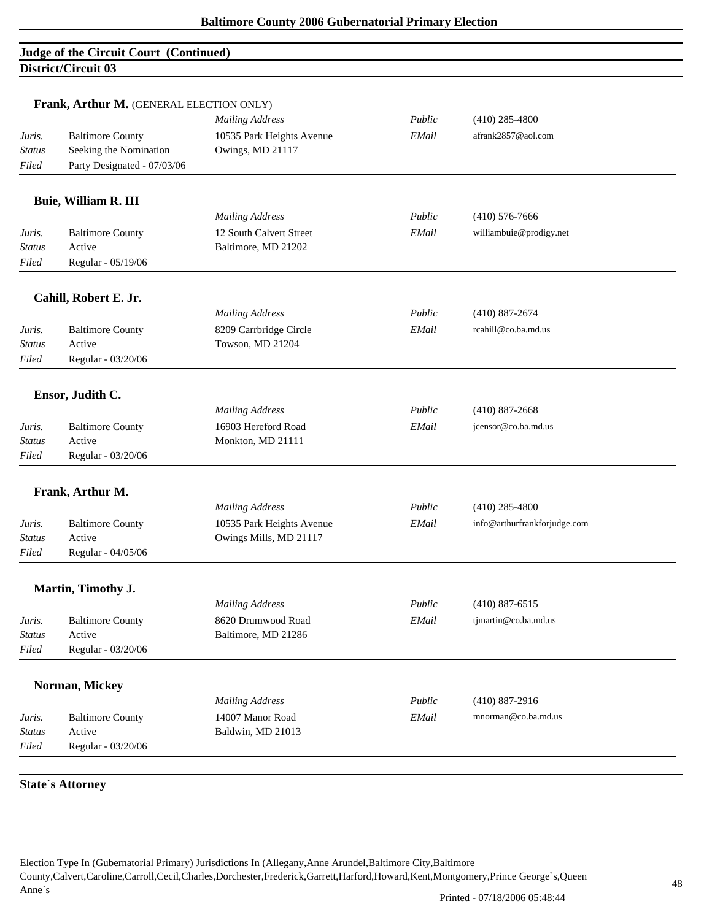# **Judge of the Circuit Court (Continued) District/Circuit 03**

|                         | Frank, Arthur M. (GENERAL ELECTION ONLY)          | <b>Mailing Address</b>                        | Public | $(410)$ 285-4800             |
|-------------------------|---------------------------------------------------|-----------------------------------------------|--------|------------------------------|
| Juris.<br><b>Status</b> | <b>Baltimore County</b><br>Seeking the Nomination | 10535 Park Heights Avenue<br>Owings, MD 21117 | EMail  | afrank2857@aol.com           |
| Filed                   | Party Designated - 07/03/06                       |                                               |        |                              |
|                         | <b>Buie, William R. III</b>                       |                                               |        |                              |
|                         |                                                   | <b>Mailing Address</b>                        | Public | $(410)$ 576-7666             |
| Juris.                  | <b>Baltimore County</b>                           | 12 South Calvert Street                       | EMail  | williambuie@prodigy.net      |
| <b>Status</b>           | Active                                            | Baltimore, MD 21202                           |        |                              |
| $Filed$                 | Regular - 05/19/06                                |                                               |        |                              |
|                         | Cahill, Robert E. Jr.                             |                                               |        |                              |
|                         |                                                   | <b>Mailing Address</b>                        | Public | $(410) 887 - 2674$           |
| Juris.                  | <b>Baltimore County</b>                           | 8209 Carrbridge Circle                        | EMail  | rcahill@co.ba.md.us          |
| Status                  | Active                                            | Towson, MD 21204                              |        |                              |
| Filed                   | Regular - 03/20/06                                |                                               |        |                              |
|                         | Ensor, Judith C.                                  |                                               |        |                              |
|                         |                                                   | <b>Mailing Address</b>                        | Public | $(410) 887 - 2668$           |
| Juris.                  | <b>Baltimore County</b>                           | 16903 Hereford Road                           | EMail  | jcensor@co.ba.md.us          |
| <b>Status</b>           | Active                                            | Monkton, MD 21111                             |        |                              |
| Filed                   | Regular - 03/20/06                                |                                               |        |                              |
|                         | Frank, Arthur M.                                  |                                               |        |                              |
|                         |                                                   | <b>Mailing Address</b>                        | Public | $(410)$ 285-4800             |
| Juris.                  | <b>Baltimore County</b>                           | 10535 Park Heights Avenue                     | EMail  | info@arthurfrankforjudge.com |
| <b>Status</b>           | Active                                            | Owings Mills, MD 21117                        |        |                              |
| Filed                   | Regular - 04/05/06                                |                                               |        |                              |
|                         | Martin, Timothy J.                                |                                               |        |                              |
|                         |                                                   | <b>Mailing Address</b>                        | Public | $(410) 887 - 6515$           |
| Juris.                  | <b>Baltimore County</b>                           | 8620 Drumwood Road                            | EMail  | tjmartin@co.ba.md.us         |
| Status                  | Active                                            | Baltimore, MD 21286                           |        |                              |
| Filed                   | Regular - 03/20/06                                |                                               |        |                              |
|                         | Norman, Mickey                                    |                                               |        |                              |
|                         |                                                   | <b>Mailing Address</b>                        | Public | $(410) 887 - 2916$           |
| Juris.                  | <b>Baltimore County</b>                           | 14007 Manor Road                              | EMail  | mnorman@co.ba.md.us          |
| <b>Status</b>           | Active                                            | Baldwin, MD 21013                             |        |                              |
| Filed                   | Regular - 03/20/06                                |                                               |        |                              |
|                         |                                                   |                                               |        |                              |
|                         | <b>State's Attorney</b>                           |                                               |        |                              |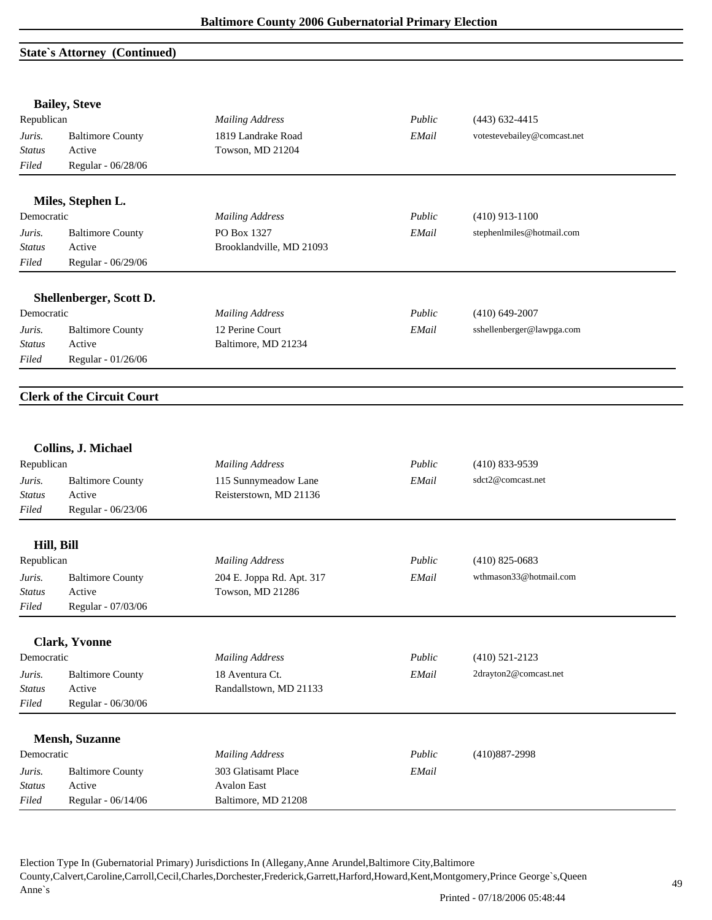## **State`s Attorney (Continued)**

|               | <b>Bailey, Steve</b>              |                           |        |                             |  |
|---------------|-----------------------------------|---------------------------|--------|-----------------------------|--|
| Republican    |                                   | <b>Mailing Address</b>    | Public | $(443)$ 632-4415            |  |
| Juris.        | <b>Baltimore County</b>           | 1819 Landrake Road        | EMail  | votestevebailey@comcast.net |  |
| <b>Status</b> | Active                            | Towson, MD 21204          |        |                             |  |
| Filed         | Regular - 06/28/06                |                           |        |                             |  |
|               | Miles, Stephen L.                 |                           |        |                             |  |
| Democratic    |                                   | <b>Mailing Address</b>    | Public | $(410)$ 913-1100            |  |
| Juris.        | <b>Baltimore County</b>           | PO Box 1327               | EMail  | stephenlmiles@hotmail.com   |  |
| Status        | Active                            | Brooklandville, MD 21093  |        |                             |  |
| Filed         | Regular - 06/29/06                |                           |        |                             |  |
|               | Shellenberger, Scott D.           |                           |        |                             |  |
| Democratic    |                                   | <b>Mailing Address</b>    | Public | $(410)$ 649-2007            |  |
| Juris.        | <b>Baltimore County</b>           | 12 Perine Court           | EMail  | sshellenberger@lawpga.com   |  |
| <b>Status</b> | Active                            | Baltimore, MD 21234       |        |                             |  |
| Filed         | Regular - 01/26/06                |                           |        |                             |  |
|               |                                   |                           |        |                             |  |
|               | <b>Clerk of the Circuit Court</b> |                           |        |                             |  |
|               |                                   |                           |        |                             |  |
|               | Collins, J. Michael               |                           |        |                             |  |
| Republican    |                                   | <b>Mailing Address</b>    | Public | $(410) 833 - 9539$          |  |
| Juris.        | <b>Baltimore County</b>           | 115 Sunnymeadow Lane      | EMail  | sdct2@comcast.net           |  |
| <b>Status</b> | Active                            | Reisterstown, MD 21136    |        |                             |  |
| Filed         | Regular - 06/23/06                |                           |        |                             |  |
| Hill, Bill    |                                   |                           |        |                             |  |
| Republican    |                                   | <b>Mailing Address</b>    | Public | $(410)$ 825-0683            |  |
| Juris.        | <b>Baltimore County</b>           | 204 E. Joppa Rd. Apt. 317 | EMail  | wthmason33@hotmail.com      |  |
| <b>Status</b> | Active                            | Towson, MD 21286          |        |                             |  |
| Filed         | Regular - 07/03/06                |                           |        |                             |  |
|               | <b>Clark, Yvonne</b>              |                           |        |                             |  |
| Democratic    |                                   | <b>Mailing Address</b>    | Public | $(410)$ 521-2123            |  |
| Juris.        | <b>Baltimore County</b>           | 18 Aventura Ct.           | EMail  | 2drayton2@comcast.net       |  |
| <b>Status</b> | Active                            | Randallstown, MD 21133    |        |                             |  |
| Filed         | Regular - 06/30/06                |                           |        |                             |  |
|               |                                   |                           |        |                             |  |
|               | <b>Mensh</b> , Suzanne            |                           |        |                             |  |
| Democratic    |                                   | <b>Mailing Address</b>    | Public | $(410)887 - 2998$           |  |
| Juris.        | <b>Baltimore County</b>           | 303 Glatisamt Place       | EMail  |                             |  |
| <b>Status</b> | Active                            | <b>Avalon East</b>        |        |                             |  |
| Filed         | Regular - 06/14/06                | Baltimore, MD 21208       |        |                             |  |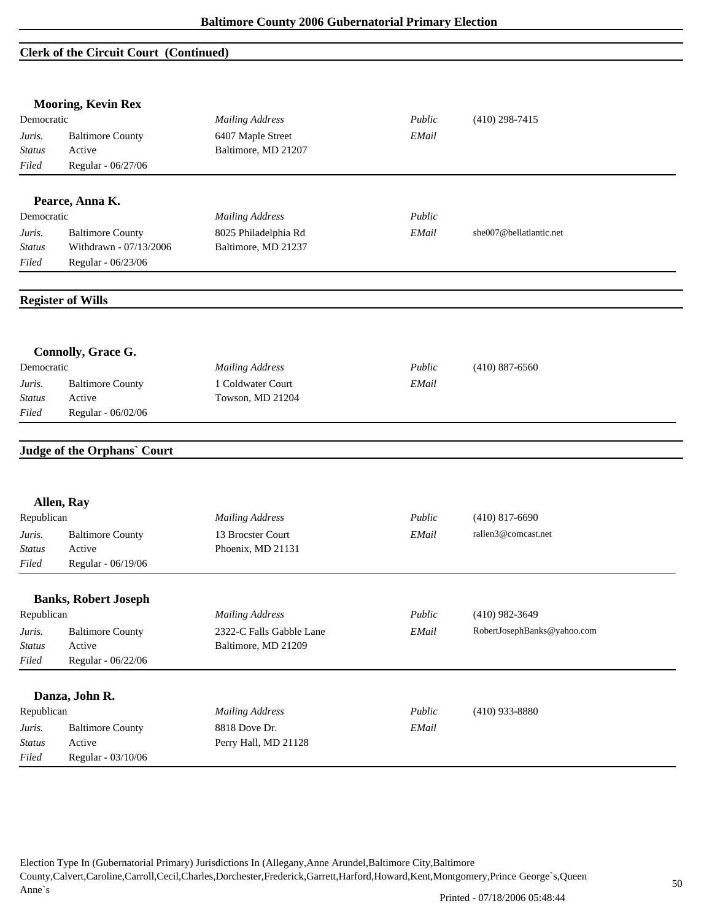### **Clerk of the Circuit Court (Continued)**

|                         | <b>Mooring, Kevin Rex</b>          |                          |        |                             |
|-------------------------|------------------------------------|--------------------------|--------|-----------------------------|
| Democratic              |                                    | <b>Mailing Address</b>   | Public | $(410)$ 298-7415            |
| Juris.                  | <b>Baltimore County</b>            | 6407 Maple Street        | EMail  |                             |
| <b>Status</b>           | Active                             | Baltimore, MD 21207      |        |                             |
| Filed                   | Regular - 06/27/06                 |                          |        |                             |
|                         |                                    |                          |        |                             |
|                         | Pearce, Anna K.                    |                          |        |                             |
| Democratic              |                                    | <b>Mailing Address</b>   | Public |                             |
| Juris.                  | <b>Baltimore County</b>            | 8025 Philadelphia Rd     | EMail  | she007@bellatlantic.net     |
| <b>Status</b>           | Withdrawn - 07/13/2006             | Baltimore, MD 21237      |        |                             |
| Filed                   | Regular - 06/23/06                 |                          |        |                             |
|                         | <b>Register of Wills</b>           |                          |        |                             |
|                         | Connolly, Grace G.                 |                          |        |                             |
| Democratic              |                                    | <b>Mailing Address</b>   | Public | $(410) 887 - 6560$          |
| Juris.                  | <b>Baltimore County</b>            | 1 Coldwater Court        | EMail  |                             |
| <b>Status</b>           | Active                             | Towson, MD 21204         |        |                             |
| Filed                   | Regular - 06/02/06                 |                          |        |                             |
|                         | <b>Judge of the Orphans' Court</b> |                          |        |                             |
|                         | Allen, Ray                         |                          |        |                             |
| Republican              |                                    | <b>Mailing Address</b>   | Public | $(410)$ 817-6690            |
| Juris.                  | <b>Baltimore County</b>            | 13 Brocster Court        | EMail  | rallen3@comcast.net         |
| <b>Status</b>           | Active                             | Phoenix, MD 21131        |        |                             |
| Filed                   | Regular - 06/19/06                 |                          |        |                             |
|                         | <b>Banks, Robert Joseph</b>        |                          |        |                             |
| Republican              |                                    | <b>Mailing Address</b>   | Public | $(410)$ 982-3649            |
| Juris.                  | <b>Baltimore County</b>            | 2322-C Falls Gabble Lane | EMail  | RobertJosephBanks@yahoo.com |
| <b>Status</b>           | Active                             | Baltimore, MD 21209      |        |                             |
| Filed                   | Regular - 06/22/06                 |                          |        |                             |
|                         |                                    |                          |        |                             |
| Republican              | Danza, John R.                     | <b>Mailing Address</b>   | Public | $(410)$ 933-8880            |
|                         |                                    | 8818 Dove Dr.            |        |                             |
| Juris.<br><b>Status</b> | <b>Baltimore County</b><br>Active  | Perry Hall, MD 21128     | EMail  |                             |
| Filed                   | Regular - 03/10/06                 |                          |        |                             |
|                         |                                    |                          |        |                             |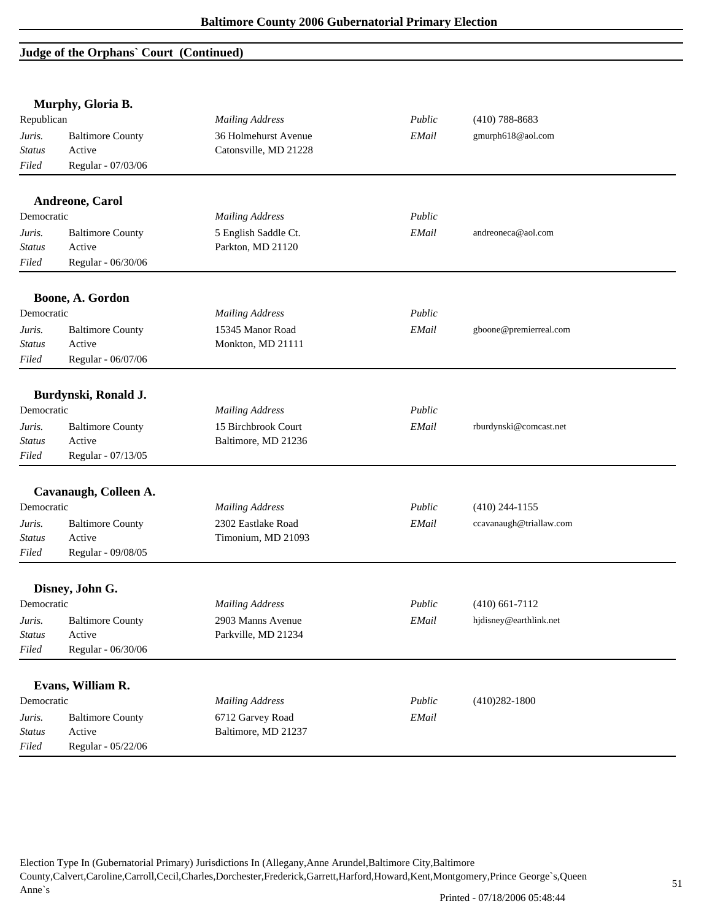## **Judge of the Orphans` Court (Continued)**

|               | Murphy, Gloria B.       |                        |        |                         |
|---------------|-------------------------|------------------------|--------|-------------------------|
| Republican    |                         | <b>Mailing Address</b> | Public | $(410)$ 788-8683        |
| Juris.        | <b>Baltimore County</b> | 36 Holmehurst Avenue   | EMail  | gmurph618@aol.com       |
| <b>Status</b> | Active                  | Catonsville, MD 21228  |        |                         |
| Filed         | Regular - 07/03/06      |                        |        |                         |
|               | Andreone, Carol         |                        |        |                         |
| Democratic    |                         | <b>Mailing Address</b> | Public |                         |
| Juris.        | <b>Baltimore County</b> | 5 English Saddle Ct.   | EMail  | andreoneca@aol.com      |
| Status        | Active                  | Parkton, MD 21120      |        |                         |
| Filed         | Regular - 06/30/06      |                        |        |                         |
|               |                         |                        |        |                         |
|               | Boone, A. Gordon        |                        |        |                         |
| Democratic    |                         | <b>Mailing Address</b> | Public |                         |
| Juris.        | <b>Baltimore County</b> | 15345 Manor Road       | EMail  | gboone@premierreal.com  |
| <b>Status</b> | Active                  | Monkton, MD 21111      |        |                         |
| Filed         | Regular - 06/07/06      |                        |        |                         |
|               |                         |                        |        |                         |
|               | Burdynski, Ronald J.    |                        |        |                         |
| Democratic    |                         | <b>Mailing Address</b> | Public |                         |
| Juris.        | <b>Baltimore County</b> | 15 Birchbrook Court    | EMail  | rburdynski@comcast.net  |
| <b>Status</b> | Active                  | Baltimore, MD 21236    |        |                         |
| Filed         | Regular - 07/13/05      |                        |        |                         |
|               | Cavanaugh, Colleen A.   |                        |        |                         |
| Democratic    |                         | <b>Mailing Address</b> | Public | $(410)$ 244-1155        |
| Juris.        | <b>Baltimore County</b> | 2302 Eastlake Road     | EMail  | ccavanaugh@triallaw.com |
| <b>Status</b> | Active                  | Timonium, MD 21093     |        |                         |
| Filed         | Regular - 09/08/05      |                        |        |                         |
|               | Disney, John G.         |                        |        |                         |
| Democratic    |                         | <b>Mailing Address</b> | Public | $(410)$ 661-7112        |
| Juris.        | <b>Baltimore County</b> | 2903 Manns Avenue      | EMail  | hjdisney@earthlink.net  |
| <b>Status</b> | Active                  | Parkville, MD 21234    |        |                         |
| Filed         | Regular - 06/30/06      |                        |        |                         |
|               |                         |                        |        |                         |
|               | Evans, William R.       |                        |        |                         |
| Democratic    |                         | <b>Mailing Address</b> | Public | $(410)282 - 1800$       |
| Juris.        | <b>Baltimore County</b> | 6712 Garvey Road       | EMail  |                         |
| <b>Status</b> | Active                  | Baltimore, MD 21237    |        |                         |
| Filed         | Regular - 05/22/06      |                        |        |                         |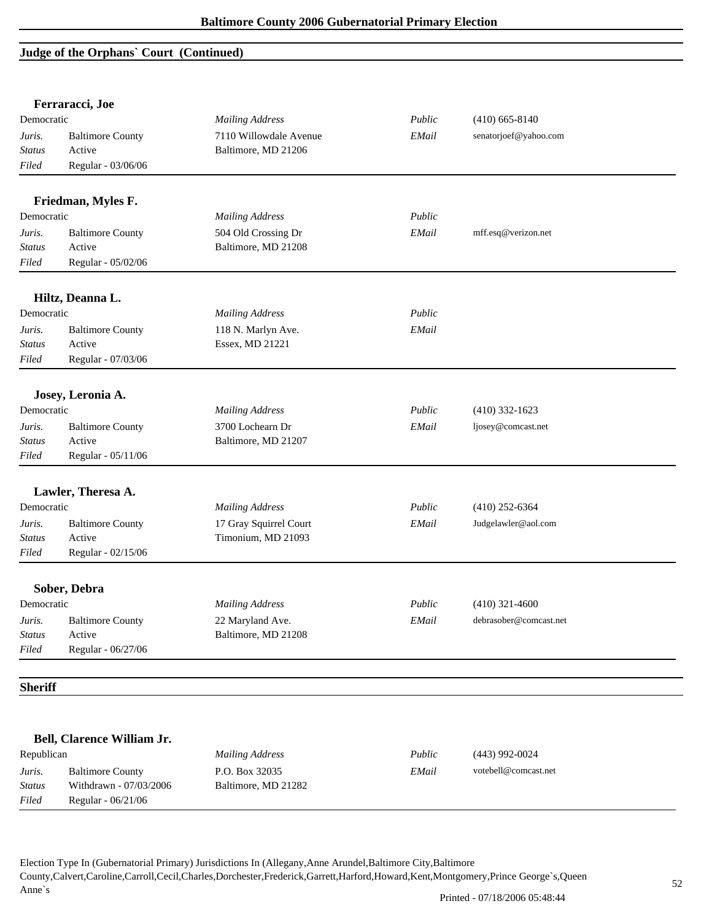## **Judge of the Orphans` Court (Continued)**

|                | Ferraracci, Joe            |                        |        |                        |  |
|----------------|----------------------------|------------------------|--------|------------------------|--|
| Democratic     |                            | <b>Mailing Address</b> | Public | $(410)$ 665-8140       |  |
| Juris.         | <b>Baltimore County</b>    | 7110 Willowdale Avenue | EMail  | senatorjoef@yahoo.com  |  |
| <b>Status</b>  | Active                     | Baltimore, MD 21206    |        |                        |  |
| Filed          | Regular - 03/06/06         |                        |        |                        |  |
|                | Friedman, Myles F.         |                        |        |                        |  |
| Democratic     |                            | <b>Mailing Address</b> | Public |                        |  |
| Juris.         | <b>Baltimore County</b>    | 504 Old Crossing Dr    | EMail  | mff.esq@verizon.net    |  |
| <b>Status</b>  | Active                     | Baltimore, MD 21208    |        |                        |  |
| Filed          | Regular - 05/02/06         |                        |        |                        |  |
|                | Hiltz, Deanna L.           |                        |        |                        |  |
| Democratic     |                            | <b>Mailing Address</b> | Public |                        |  |
| Juris.         | <b>Baltimore County</b>    | 118 N. Marlyn Ave.     | EMail  |                        |  |
| Status         | Active                     | Essex, MD 21221        |        |                        |  |
| Filed          | Regular - 07/03/06         |                        |        |                        |  |
|                |                            |                        |        |                        |  |
|                | Josey, Leronia A.          |                        |        |                        |  |
| Democratic     |                            | <b>Mailing Address</b> | Public | $(410)$ 332-1623       |  |
| Juris.         | <b>Baltimore County</b>    | 3700 Lochearn Dr       | EMail  | ljosey@comcast.net     |  |
| Status         | Active                     | Baltimore, MD 21207    |        |                        |  |
| Filed          | Regular - 05/11/06         |                        |        |                        |  |
|                | Lawler, Theresa A.         |                        |        |                        |  |
| Democratic     |                            | <b>Mailing Address</b> | Public | $(410)$ 252-6364       |  |
| Juris.         | <b>Baltimore County</b>    | 17 Gray Squirrel Court | EMail  | Judgelawler@aol.com    |  |
| <b>Status</b>  | Active                     | Timonium, MD 21093     |        |                        |  |
| Filed          | Regular - 02/15/06         |                        |        |                        |  |
|                | Sober, Debra               |                        |        |                        |  |
| Democratic     |                            | <b>Mailing Address</b> | Public | $(410)$ 321-4600       |  |
| Juris.         | <b>Baltimore County</b>    | 22 Maryland Ave.       | EMail  | debrasober@comcast.net |  |
| <b>Status</b>  | Active                     | Baltimore, MD 21208    |        |                        |  |
| Filed          | Regular - 06/27/06         |                        |        |                        |  |
|                |                            |                        |        |                        |  |
| <b>Sheriff</b> |                            |                        |        |                        |  |
|                |                            |                        |        |                        |  |
|                | Bell, Clarence William Jr. |                        |        |                        |  |
|                |                            |                        |        |                        |  |

| Republican    |                         | Mailing Address     | Public | $(443)$ 992-0024     |
|---------------|-------------------------|---------------------|--------|----------------------|
| Juris.        | <b>Baltimore County</b> | P.O. Box 32035      | EMail  | votebell@comcast.net |
| <b>Status</b> | Withdrawn - 07/03/2006  | Baltimore, MD 21282 |        |                      |
| Filed         | Regular - 06/21/06      |                     |        |                      |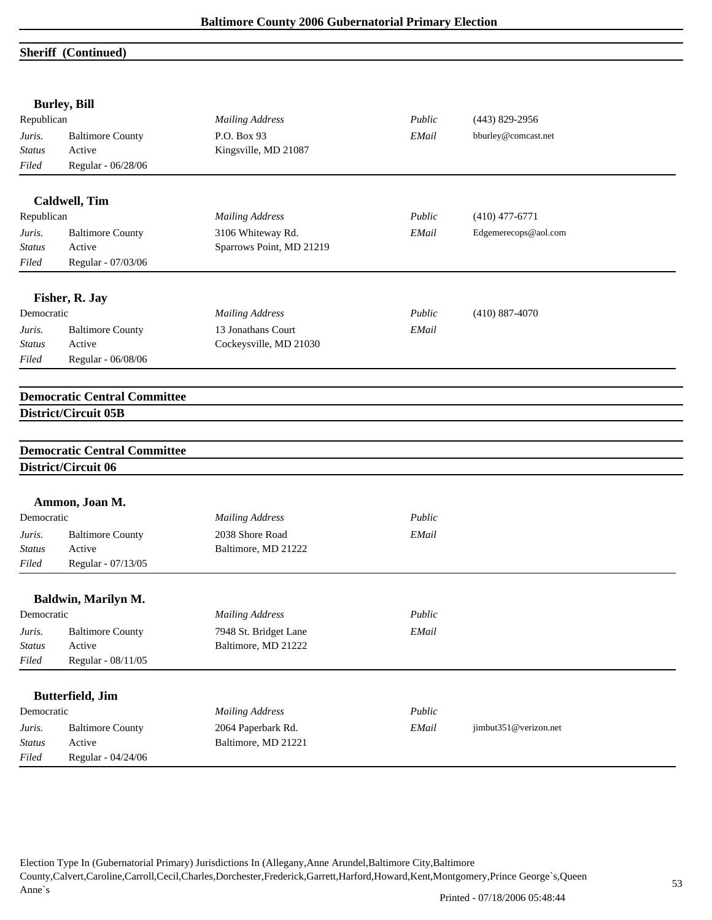## **Sheriff (Continued)**

|               | <b>Burley, Bill</b>                                        |                                           |        |                       |  |
|---------------|------------------------------------------------------------|-------------------------------------------|--------|-----------------------|--|
| Republican    |                                                            | <b>Mailing Address</b>                    | Public | $(443) 829 - 2956$    |  |
| Juris.        | <b>Baltimore County</b>                                    | P.O. Box 93                               | EMail  | bburley@comcast.net   |  |
| <b>Status</b> | Active                                                     | Kingsville, MD 21087                      |        |                       |  |
| Filed         | Regular - 06/28/06                                         |                                           |        |                       |  |
|               | <b>Caldwell</b> , Tim                                      |                                           |        |                       |  |
| Republican    |                                                            | <b>Mailing Address</b>                    | Public | $(410)$ 477-6771      |  |
| Juris.        | <b>Baltimore County</b>                                    | 3106 Whiteway Rd.                         | EMail  | Edgemerecops@aol.com  |  |
| <b>Status</b> | Active                                                     | Sparrows Point, MD 21219                  |        |                       |  |
| Filed         | Regular - 07/03/06                                         |                                           |        |                       |  |
|               | Fisher, R. Jay                                             |                                           |        |                       |  |
| Democratic    |                                                            | <b>Mailing Address</b>                    | Public | $(410) 887 - 4070$    |  |
| Juris.        | <b>Baltimore County</b>                                    | 13 Jonathans Court                        | EMail  |                       |  |
| <b>Status</b> | Active                                                     | Cockeysville, MD 21030                    |        |                       |  |
| Filed         | Regular - 06/08/06                                         |                                           |        |                       |  |
|               | <b>Democratic Central Committee</b>                        |                                           |        |                       |  |
|               |                                                            |                                           |        |                       |  |
|               | District/Circuit 05B                                       |                                           |        |                       |  |
|               |                                                            |                                           |        |                       |  |
|               | <b>Democratic Central Committee</b><br>District/Circuit 06 |                                           |        |                       |  |
|               |                                                            |                                           |        |                       |  |
|               | Ammon, Joan M.                                             |                                           |        |                       |  |
| Democratic    |                                                            | <b>Mailing Address</b>                    | Public |                       |  |
| Juris.        | <b>Baltimore County</b>                                    | 2038 Shore Road                           | EMail  |                       |  |
| Status        | Active                                                     | Baltimore, MD 21222                       |        |                       |  |
| Filed         | Regular - 07/13/05                                         |                                           |        |                       |  |
|               | Baldwin, Marilyn M.                                        |                                           |        |                       |  |
| Democratic    |                                                            | <b>Mailing Address</b>                    | Public |                       |  |
| Juris.        | <b>Baltimore County</b>                                    | 7948 St. Bridget Lane                     | EMail  |                       |  |
| <b>Status</b> | Active                                                     | Baltimore, MD 21222                       |        |                       |  |
| Filed         | Regular - 08/11/05                                         |                                           |        |                       |  |
|               | <b>Butterfield</b> , Jim                                   |                                           |        |                       |  |
| Democratic    |                                                            | <b>Mailing Address</b>                    | Public |                       |  |
| Juris.        | <b>Baltimore County</b>                                    |                                           | EMail  | jimbut351@verizon.net |  |
| <b>Status</b> | Active                                                     | 2064 Paperbark Rd.<br>Baltimore, MD 21221 |        |                       |  |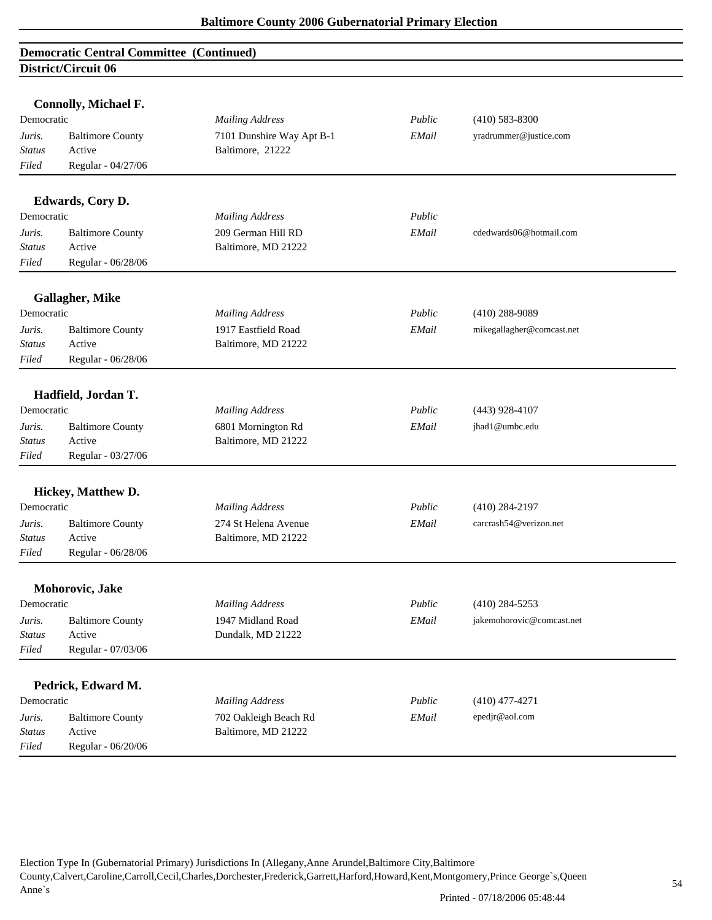|                                           | non ica can oo          |                           |        |                           |  |
|-------------------------------------------|-------------------------|---------------------------|--------|---------------------------|--|
|                                           |                         |                           |        |                           |  |
| <b>Connolly, Michael F.</b><br>Democratic |                         | <b>Mailing Address</b>    | Public | $(410)$ 583-8300          |  |
| Juris.                                    | <b>Baltimore County</b> | 7101 Dunshire Way Apt B-1 | EMail  | yradrummer@justice.com    |  |
| <b>Status</b>                             | Active                  | Baltimore, 21222          |        |                           |  |
| Filed                                     | Regular - 04/27/06      |                           |        |                           |  |
|                                           |                         |                           |        |                           |  |
|                                           | Edwards, Cory D.        |                           |        |                           |  |
| Democratic                                |                         | <b>Mailing Address</b>    | Public |                           |  |
| Juris.                                    | <b>Baltimore County</b> | 209 German Hill RD        | EMail  | cdedwards06@hotmail.com   |  |
| <b>Status</b>                             | Active                  | Baltimore, MD 21222       |        |                           |  |
| Filed                                     | Regular - 06/28/06      |                           |        |                           |  |
|                                           | <b>Gallagher, Mike</b>  |                           |        |                           |  |
| Democratic                                |                         | <b>Mailing Address</b>    | Public | $(410)$ 288-9089          |  |
| Juris.                                    | <b>Baltimore County</b> | 1917 Eastfield Road       | EMail  | mikegallagher@comcast.net |  |
| Status                                    | Active                  | Baltimore, MD 21222       |        |                           |  |
| Filed                                     | Regular - 06/28/06      |                           |        |                           |  |
|                                           |                         |                           |        |                           |  |
|                                           | Hadfield, Jordan T.     |                           |        |                           |  |
| Democratic                                |                         | <b>Mailing Address</b>    | Public | $(443)$ 928-4107          |  |
| Juris.                                    | <b>Baltimore County</b> | 6801 Mornington Rd        | EMail  | jhad1@umbc.edu            |  |
| Status                                    | Active                  | Baltimore, MD 21222       |        |                           |  |
| Filed                                     | Regular - 03/27/06      |                           |        |                           |  |
|                                           | Hickey, Matthew D.      |                           |        |                           |  |
| Democratic                                |                         | <b>Mailing Address</b>    | Public | $(410)$ 284-2197          |  |
| Juris.                                    | <b>Baltimore County</b> | 274 St Helena Avenue      | EMail  | carcrash54@verizon.net    |  |
| Status                                    | Active                  | Baltimore, MD 21222       |        |                           |  |
| Filed                                     | Regular - 06/28/06      |                           |        |                           |  |
|                                           | Mohorovic, Jake         |                           |        |                           |  |
| Democratic                                |                         | <b>Mailing Address</b>    | Public | $(410)$ 284-5253          |  |
| Juris.                                    | <b>Baltimore County</b> | 1947 Midland Road         | EMail  | jakemohorovic@comcast.net |  |
| <b>Status</b>                             | Active                  | Dundalk, MD 21222         |        |                           |  |
| Filed                                     | Regular - 07/03/06      |                           |        |                           |  |
|                                           |                         |                           |        |                           |  |
|                                           | Pedrick, Edward M.      |                           |        |                           |  |
| Democratic                                |                         | <b>Mailing Address</b>    | Public | $(410)$ 477-4271          |  |
| Juris.                                    | <b>Baltimore County</b> | 702 Oakleigh Beach Rd     | EMail  | epedjr@aol.com            |  |
| <b>Status</b>                             | Active                  | Baltimore, MD 21222       |        |                           |  |
| Filed                                     | Regular - 06/20/06      |                           |        |                           |  |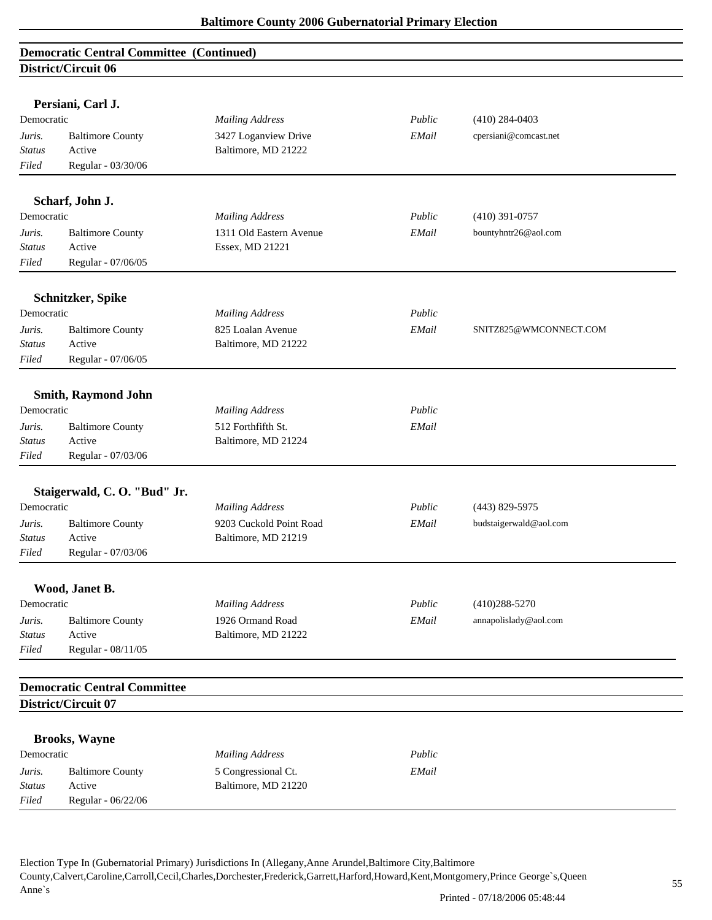|                 | Persiani, Carl J.                                          |                         |        |                        |  |
|-----------------|------------------------------------------------------------|-------------------------|--------|------------------------|--|
| Democratic      |                                                            | <b>Mailing Address</b>  | Public | $(410)$ 284-0403       |  |
| Juris.          | <b>Baltimore County</b>                                    | 3427 Loganview Drive    | EMail  | cpersiani@comcast.net  |  |
| <b>Status</b>   | Active                                                     | Baltimore, MD 21222     |        |                        |  |
| Filed           | Regular - 03/30/06                                         |                         |        |                        |  |
|                 |                                                            |                         |        |                        |  |
|                 | Scharf, John J.                                            |                         |        |                        |  |
| Democratic      |                                                            | <b>Mailing Address</b>  | Public | $(410)$ 391-0757       |  |
| Juris.          | <b>Baltimore County</b>                                    | 1311 Old Eastern Avenue | EMail  | bountyhntr26@aol.com   |  |
| Status          | Active                                                     | Essex, MD 21221         |        |                        |  |
| Filed           | Regular - 07/06/05                                         |                         |        |                        |  |
|                 | Schnitzker, Spike                                          |                         |        |                        |  |
| Democratic      |                                                            | <b>Mailing Address</b>  | Public |                        |  |
| Juris.          | <b>Baltimore County</b>                                    | 825 Loalan Avenue       | EMail  | SNITZ825@WMCONNECT.COM |  |
| Status          | Active                                                     | Baltimore, MD 21222     |        |                        |  |
| Filed           | Regular - 07/06/05                                         |                         |        |                        |  |
|                 |                                                            |                         |        |                        |  |
|                 | <b>Smith, Raymond John</b>                                 |                         |        |                        |  |
| Democratic      |                                                            | <b>Mailing Address</b>  | Public |                        |  |
| Juris.          | <b>Baltimore County</b>                                    | 512 Forthfifth St.      | EMail  |                        |  |
| <b>Status</b>   | Active                                                     | Baltimore, MD 21224     |        |                        |  |
| Filed           | Regular - 07/03/06                                         |                         |        |                        |  |
|                 |                                                            |                         |        |                        |  |
|                 | Staigerwald, C.O. "Bud" Jr.                                |                         |        |                        |  |
| Democratic      |                                                            | <b>Mailing Address</b>  | Public | (443) 829-5975         |  |
| Juris.          | <b>Baltimore County</b>                                    | 9203 Cuckold Point Road | EMail  | budstaigerwald@aol.com |  |
| Status<br>Filed | Active<br>Regular - 07/03/06                               | Baltimore, MD 21219     |        |                        |  |
|                 |                                                            |                         |        |                        |  |
|                 | Wood, Janet B.                                             |                         |        |                        |  |
| Democratic      |                                                            | <b>Mailing Address</b>  | Public | $(410)288 - 5270$      |  |
| Juris.          | <b>Baltimore County</b>                                    | 1926 Ormand Road        | EMail  | annapolislady@aol.com  |  |
| <b>Status</b>   | Active                                                     | Baltimore, MD 21222     |        |                        |  |
| Filed           | Regular - 08/11/05                                         |                         |        |                        |  |
|                 |                                                            |                         |        |                        |  |
|                 | <b>Democratic Central Committee</b><br>District/Circuit 07 |                         |        |                        |  |
|                 |                                                            |                         |        |                        |  |
|                 | <b>Brooks, Wayne</b>                                       |                         |        |                        |  |
| Democratic      |                                                            | <b>Mailing Address</b>  | Public |                        |  |
| Juris.          | <b>Baltimore County</b>                                    | 5 Congressional Ct.     | EMail  |                        |  |
| Status          | Active                                                     | Baltimore, MD 21220     |        |                        |  |
| Filed           | Regular - 06/22/06                                         |                         |        |                        |  |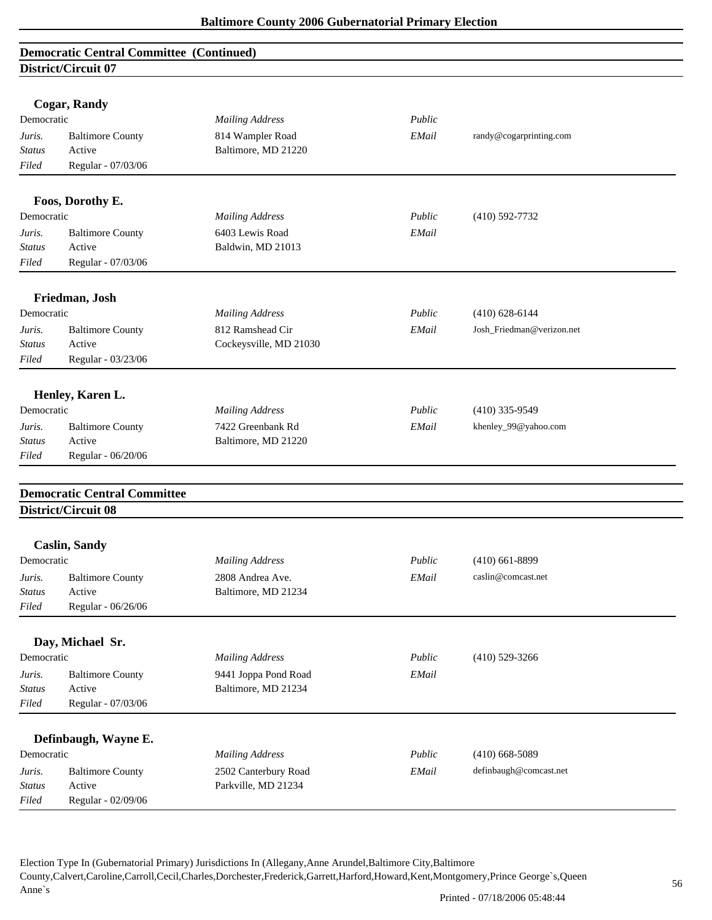|                         | <b>Cogar, Randy</b>                 |                        |        |                           |  |
|-------------------------|-------------------------------------|------------------------|--------|---------------------------|--|
| Democratic              |                                     | <b>Mailing Address</b> | Public |                           |  |
| Juris.                  | <b>Baltimore County</b>             | 814 Wampler Road       | EMail  | randy@cogarprinting.com   |  |
| <b>Status</b>           | Active                              | Baltimore, MD 21220    |        |                           |  |
| Filed                   | Regular - 07/03/06                  |                        |        |                           |  |
|                         |                                     |                        |        |                           |  |
|                         | Foos, Dorothy E.                    |                        |        |                           |  |
| Democratic              |                                     | <b>Mailing Address</b> | Public | $(410)$ 592-7732          |  |
| Juris.                  | <b>Baltimore County</b>             | 6403 Lewis Road        | EMail  |                           |  |
| <b>Status</b>           | Active                              | Baldwin, MD 21013      |        |                           |  |
| Filed                   | Regular - 07/03/06                  |                        |        |                           |  |
|                         |                                     |                        |        |                           |  |
| Democratic              | Friedman, Josh                      | <b>Mailing Address</b> | Public | $(410)$ 628-6144          |  |
|                         |                                     | 812 Ramshead Cir       | EMail  | Josh_Friedman@verizon.net |  |
| Juris.<br><b>Status</b> | <b>Baltimore County</b><br>Active   | Cockeysville, MD 21030 |        |                           |  |
| Filed                   | Regular - 03/23/06                  |                        |        |                           |  |
|                         |                                     |                        |        |                           |  |
|                         | Henley, Karen L.                    |                        |        |                           |  |
| Democratic              |                                     | <b>Mailing Address</b> | Public | $(410)$ 335-9549          |  |
| Juris.                  | <b>Baltimore County</b>             | 7422 Greenbank Rd      | EMail  | khenley_99@yahoo.com      |  |
| Status                  | Active                              | Baltimore, MD 21220    |        |                           |  |
| Filed                   | Regular - 06/20/06                  |                        |        |                           |  |
|                         |                                     |                        |        |                           |  |
|                         | <b>Democratic Central Committee</b> |                        |        |                           |  |
|                         | District/Circuit 08                 |                        |        |                           |  |
|                         | <b>Caslin, Sandy</b>                |                        |        |                           |  |
| Democratic              |                                     | <b>Mailing Address</b> | Public | $(410)$ 661-8899          |  |
| Juris.                  | <b>Baltimore County</b>             | 2808 Andrea Ave.       | EMail  | caslin@comcast.net        |  |
| <b>Status</b>           | Active                              | Baltimore, MD 21234    |        |                           |  |
| Filed                   | Regular - 06/26/06                  |                        |        |                           |  |
|                         |                                     |                        |        |                           |  |
|                         | Day, Michael Sr.                    |                        |        |                           |  |
| Democratic              |                                     | <b>Mailing Address</b> | Public | $(410)$ 529-3266          |  |
| Juris.                  | <b>Baltimore County</b>             | 9441 Joppa Pond Road   | EMail  |                           |  |
| <b>Status</b>           | Active                              | Baltimore, MD 21234    |        |                           |  |
| Filed                   | Regular - 07/03/06                  |                        |        |                           |  |
|                         |                                     |                        |        |                           |  |
| Democratic              | Definbaugh, Wayne E.                | <b>Mailing Address</b> | Public | $(410)$ 668-5089          |  |
| Juris.                  | <b>Baltimore County</b>             | 2502 Canterbury Road   | EMail  | definbaugh@comcast.net    |  |
| <b>Status</b>           | Active                              | Parkville, MD 21234    |        |                           |  |
| Filed                   | Regular - 02/09/06                  |                        |        |                           |  |
|                         |                                     |                        |        |                           |  |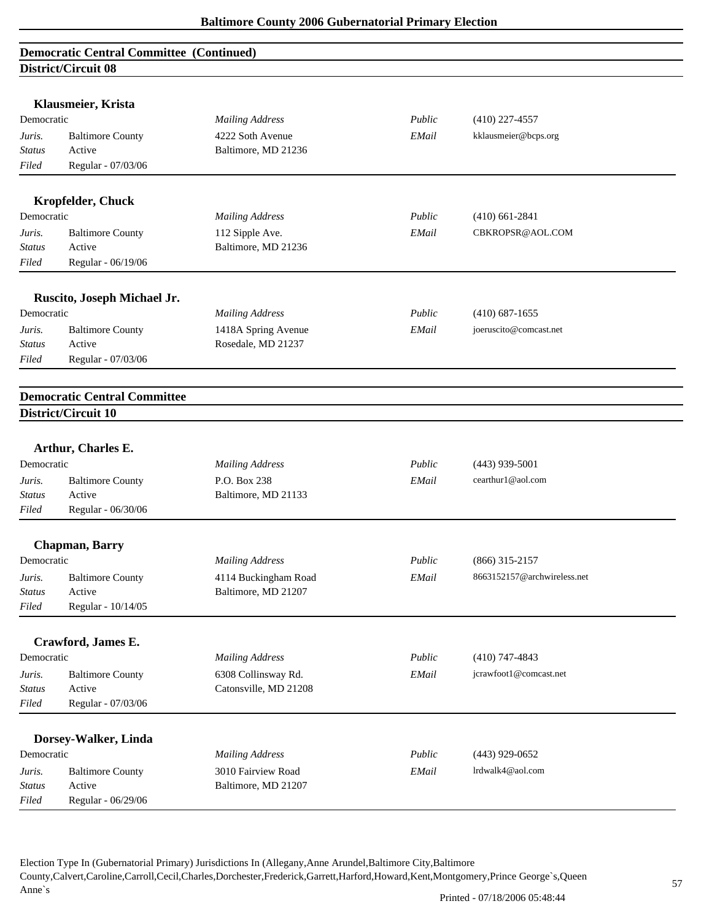# **Democratic Central Committee (Continued) District/Circuit 08 Klausmeier, Krista**  Democratic *Mailing Address Public* (410) 227-4557 *Juris.* Baltimore County 4222 Soth Avenue *EMail* kklausmeier@bcps.org *Status* Active Baltimore, MD 21236 *Filed* Regular - 07/03/06 **Kropfelder, Chuck**  Democratic *Mailing Address Public* (410) 661-2841 *Juris.* Baltimore County 112 Sipple Ave. *EMail* CBKROPSR@AOL.COM *Status* Active Baltimore, MD 21236 *Filed* Regular - 06/19/06 **Ruscito, Joseph Michael Jr.**  Democratic *Mailing Address Public* (410) 687-1655 *Juris.* Baltimore County 1418A Spring Avenue *EMail* joeruscito@comcast.net *Status* Active Rosedale, MD 21237 *Filed* Regular - 07/03/06 **Democratic Central Committee District/Circuit 10 Arthur, Charles E.**  Democratic *Mailing Address Public* (443) 939-5001 *Juris.* Baltimore County P.O. Box 238 *EMail* cearthur1@aol.com *Status* Active Baltimore, MD 21133 *Filed* Regular - 06/30/06 **Chapman, Barry**  Democratic *Mailing Address Public* (866) 315-2157 *Juris.* Baltimore County 4114 Buckingham Road *EMail* 8663152157@archwireless.net *Status* Active Baltimore, MD 21207 *Filed* Regular - 10/14/05 **Crawford, James E.**  Democratic *Mailing Address Public* (410) 747-4843 *Juris.* Baltimore County 6308 Collinsway Rd. *EMail* jcrawfoot1@comcast.net *Status* Active Catonsville, MD 21208 *Filed* Regular - 07/03/06 **Dorsey-Walker, Linda**  Democratic *Mailing Address Public* (443) 929-0652 *Juris.* Baltimore County 3010 Fairview Road *EMail* lrdwalk4@aol.com *Status* Active Baltimore, MD 21207 *Filed* Regular - 06/29/06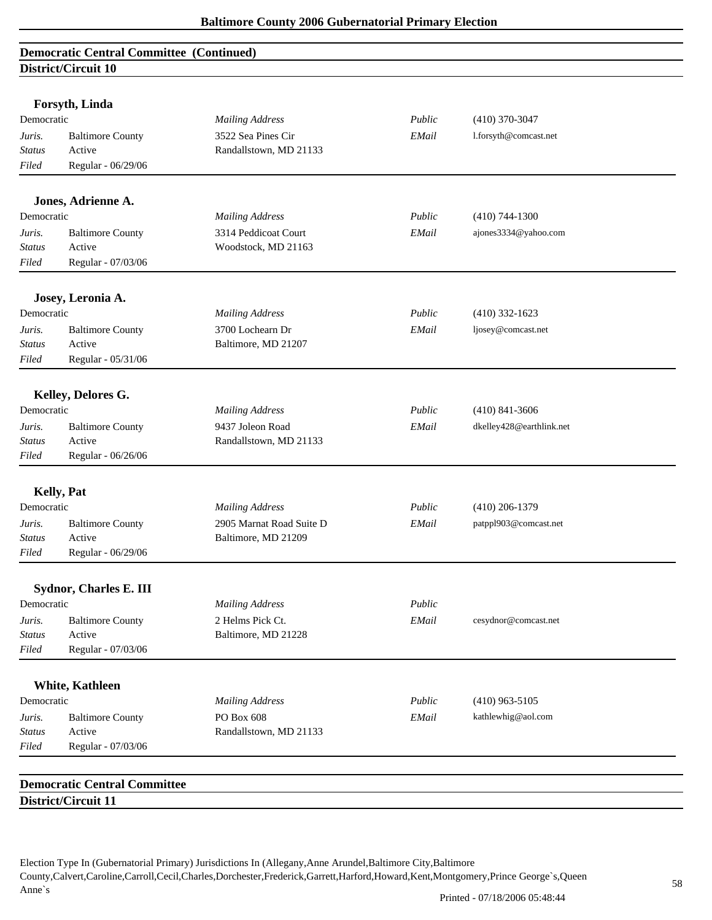| Forsyth, Linda<br>Democratic      |                                     | <b>Mailing Address</b>   | Public | $(410)$ 370-3047         |  |
|-----------------------------------|-------------------------------------|--------------------------|--------|--------------------------|--|
| <b>Baltimore County</b><br>Juris. |                                     | 3522 Sea Pines Cir       | EMail  | 1.forsyth@comcast.net    |  |
| <b>Status</b>                     | Active                              | Randallstown, MD 21133   |        |                          |  |
| Filed                             | Regular - 06/29/06                  |                          |        |                          |  |
|                                   |                                     |                          |        |                          |  |
|                                   | Jones, Adrienne A.                  |                          |        |                          |  |
| Democratic                        |                                     | <b>Mailing Address</b>   | Public | $(410)$ 744-1300         |  |
| Juris.                            | <b>Baltimore County</b>             | 3314 Peddicoat Court     | EMail  | ajones3334@yahoo.com     |  |
| Status                            | Active                              | Woodstock, MD 21163      |        |                          |  |
| Filed                             | Regular - 07/03/06                  |                          |        |                          |  |
|                                   | Josey, Leronia A.                   |                          |        |                          |  |
| Democratic                        |                                     | <b>Mailing Address</b>   | Public | $(410)$ 332-1623         |  |
| Juris.                            | <b>Baltimore County</b>             | 3700 Lochearn Dr         | EMail  | ljosey@comcast.net       |  |
| Status                            | Active                              | Baltimore, MD 21207      |        |                          |  |
| Filed                             | Regular - 05/31/06                  |                          |        |                          |  |
|                                   | Kelley, Delores G.                  |                          |        |                          |  |
| Democratic                        |                                     | <b>Mailing Address</b>   | Public | $(410)$ 841-3606         |  |
| Juris.                            | <b>Baltimore County</b>             | 9437 Joleon Road         | EMail  | dkelley428@earthlink.net |  |
| <b>Status</b>                     | Active                              | Randallstown, MD 21133   |        |                          |  |
| Filed                             | Regular - 06/26/06                  |                          |        |                          |  |
|                                   |                                     |                          |        |                          |  |
|                                   | Kelly, Pat                          |                          |        |                          |  |
| Democratic                        |                                     | <b>Mailing Address</b>   | Public | $(410)$ 206-1379         |  |
| Juris.                            | <b>Baltimore County</b>             | 2905 Marnat Road Suite D | EMail  | patppl903@comcast.net    |  |
| <b>Status</b>                     | Active                              | Baltimore, MD 21209      |        |                          |  |
| Filed                             | Regular - 06/29/06                  |                          |        |                          |  |
|                                   | <b>Sydnor, Charles E. III</b>       |                          |        |                          |  |
| Democratic                        |                                     | <b>Mailing Address</b>   | Public |                          |  |
| Juris.                            | <b>Baltimore County</b>             | 2 Helms Pick Ct.         | EMail  | cesydnor@comcast.net     |  |
| <b>Status</b>                     | Active                              | Baltimore, MD 21228      |        |                          |  |
| Filed                             | Regular - 07/03/06                  |                          |        |                          |  |
|                                   | <b>White, Kathleen</b>              |                          |        |                          |  |
| Democratic                        |                                     | <b>Mailing Address</b>   | Public | $(410)$ 963-5105         |  |
| Juris.                            | <b>Baltimore County</b>             | PO Box 608               | EMail  | kathlewhig@aol.com       |  |
| <b>Status</b>                     | Active                              | Randallstown, MD 21133   |        |                          |  |
| Filed                             | Regular - 07/03/06                  |                          |        |                          |  |
|                                   |                                     |                          |        |                          |  |
|                                   | <b>Democratic Central Committee</b> |                          |        |                          |  |
|                                   | District/Circuit 11                 |                          |        |                          |  |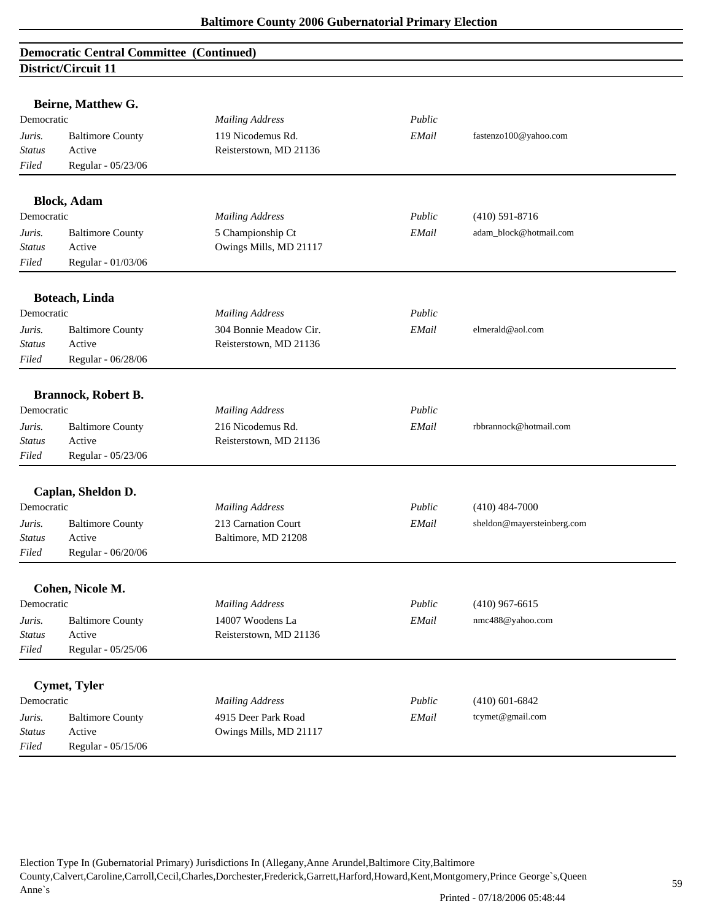|               | Beirne, Matthew G.         |                        |        |                            |
|---------------|----------------------------|------------------------|--------|----------------------------|
| Democratic    |                            | <b>Mailing Address</b> | Public |                            |
| Juris.        | <b>Baltimore County</b>    | 119 Nicodemus Rd.      | EMail  | fastenzo100@yahoo.com      |
| <b>Status</b> | Active                     | Reisterstown, MD 21136 |        |                            |
| Filed         | Regular - 05/23/06         |                        |        |                            |
|               | <b>Block</b> , Adam        |                        |        |                            |
| Democratic    |                            | <b>Mailing Address</b> | Public | $(410)$ 591-8716           |
| Juris.        | <b>Baltimore County</b>    | 5 Championship Ct      | EMail  | adam_block@hotmail.com     |
| <b>Status</b> | Active                     | Owings Mills, MD 21117 |        |                            |
| Filed         | Regular - 01/03/06         |                        |        |                            |
|               | Boteach, Linda             |                        |        |                            |
| Democratic    |                            | <b>Mailing Address</b> | Public |                            |
| Juris.        | <b>Baltimore County</b>    | 304 Bonnie Meadow Cir. | EMail  | elmerald@aol.com           |
| <b>Status</b> | Active                     | Reisterstown, MD 21136 |        |                            |
| Filed         | Regular - 06/28/06         |                        |        |                            |
|               |                            |                        |        |                            |
|               | <b>Brannock, Robert B.</b> |                        |        |                            |
| Democratic    |                            | <b>Mailing Address</b> | Public |                            |
| Juris.        | <b>Baltimore County</b>    | 216 Nicodemus Rd.      | EMail  | rbbrannock@hotmail.com     |
| <b>Status</b> | Active                     | Reisterstown, MD 21136 |        |                            |
| Filed         | Regular - 05/23/06         |                        |        |                            |
|               | Caplan, Sheldon D.         |                        |        |                            |
| Democratic    |                            | <b>Mailing Address</b> | Public | $(410)$ 484-7000           |
| Juris.        | <b>Baltimore County</b>    | 213 Carnation Court    | EMail  | sheldon@mayersteinberg.com |
| <b>Status</b> | Active                     | Baltimore, MD 21208    |        |                            |
| Filed         | Regular - 06/20/06         |                        |        |                            |
|               | Cohen, Nicole M.           |                        |        |                            |
| Democratic    |                            | <b>Mailing Address</b> | Public | $(410)$ 967-6615           |
| Juris.        | <b>Baltimore County</b>    | 14007 Woodens La       | EMail  | nmc488@yahoo.com           |
| <b>Status</b> | Active                     | Reisterstown, MD 21136 |        |                            |
| Filed         | Regular - 05/25/06         |                        |        |                            |
|               |                            |                        |        |                            |
|               | <b>Cymet, Tyler</b>        |                        |        |                            |
| Democratic    |                            | <b>Mailing Address</b> | Public | $(410)$ 601-6842           |
| Juris.        | <b>Baltimore County</b>    | 4915 Deer Park Road    | EMail  | tcymet@gmail.com           |
| <b>Status</b> | Active                     | Owings Mills, MD 21117 |        |                            |
| Filed         | Regular - 05/15/06         |                        |        |                            |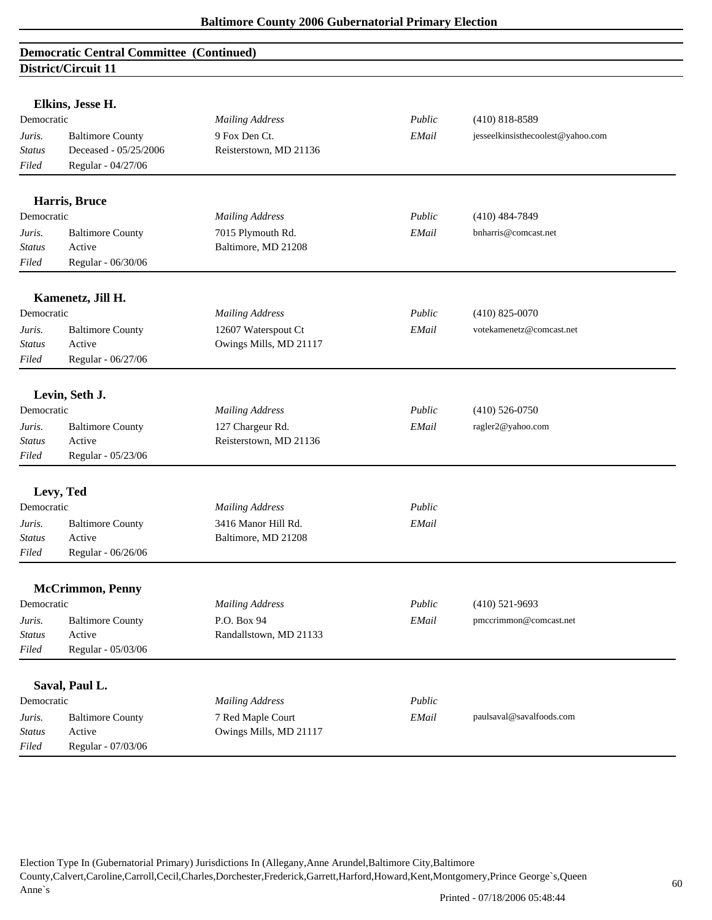| Democratic    | Elkins, Jesse H.             | <b>Mailing Address</b> | Public | $(410) 818 - 8589$                |
|---------------|------------------------------|------------------------|--------|-----------------------------------|
| Juris.        | <b>Baltimore County</b>      | 9 Fox Den Ct.          | EMail  | jesseelkinsisthecoolest@yahoo.com |
| Status        | Deceased - 05/25/2006        | Reisterstown, MD 21136 |        |                                   |
| Filed         | Regular - 04/27/06           |                        |        |                                   |
|               |                              |                        |        |                                   |
|               | Harris, Bruce                |                        |        |                                   |
| Democratic    |                              | <b>Mailing Address</b> | Public | $(410)$ 484-7849                  |
| Juris.        | <b>Baltimore County</b>      | 7015 Plymouth Rd.      | EMail  | bnharris@comcast.net              |
| <b>Status</b> | Active<br>Regular - 06/30/06 | Baltimore, MD 21208    |        |                                   |
| Filed         |                              |                        |        |                                   |
|               | Kamenetz, Jill H.            |                        |        |                                   |
| Democratic    |                              | <b>Mailing Address</b> | Public | $(410)$ 825-0070                  |
| Juris.        | <b>Baltimore County</b>      | 12607 Waterspout Ct    | EMail  | votekamenetz@comcast.net          |
| <b>Status</b> | Active                       | Owings Mills, MD 21117 |        |                                   |
| Filed         | Regular - 06/27/06           |                        |        |                                   |
|               | Levin, Seth J.               |                        |        |                                   |
| Democratic    |                              | <b>Mailing Address</b> | Public | $(410)$ 526-0750                  |
| Juris.        | <b>Baltimore County</b>      | 127 Chargeur Rd.       | EMail  | ragler2@yahoo.com                 |
| <b>Status</b> | Active                       | Reisterstown, MD 21136 |        |                                   |
| Filed         | Regular - 05/23/06           |                        |        |                                   |
|               |                              |                        |        |                                   |
|               | Levy, Ted                    |                        |        |                                   |
| Democratic    |                              | <b>Mailing Address</b> | Public |                                   |
| Juris.        | <b>Baltimore County</b>      | 3416 Manor Hill Rd.    | EMail  |                                   |
| <b>Status</b> | Active                       | Baltimore, MD 21208    |        |                                   |
| Filed         | Regular - 06/26/06           |                        |        |                                   |
|               | <b>McCrimmon, Penny</b>      |                        |        |                                   |
| Democratic    |                              | <b>Mailing Address</b> | Public | $(410)$ 521-9693                  |
| Juris.        | <b>Baltimore County</b>      | P.O. Box 94            | EMail  | pmccrimmon@comcast.net            |
| <b>Status</b> | Active                       | Randallstown, MD 21133 |        |                                   |
| Filed         | Regular - 05/03/06           |                        |        |                                   |
|               |                              |                        |        |                                   |
|               | Saval, Paul L.               |                        |        |                                   |
| Democratic    |                              | <b>Mailing Address</b> | Public |                                   |
| Juris.        | <b>Baltimore County</b>      | 7 Red Maple Court      | EMail  | paulsaval@savalfoods.com          |
| <b>Status</b> | Active                       | Owings Mills, MD 21117 |        |                                   |
| Filed         | Regular - 07/03/06           |                        |        |                                   |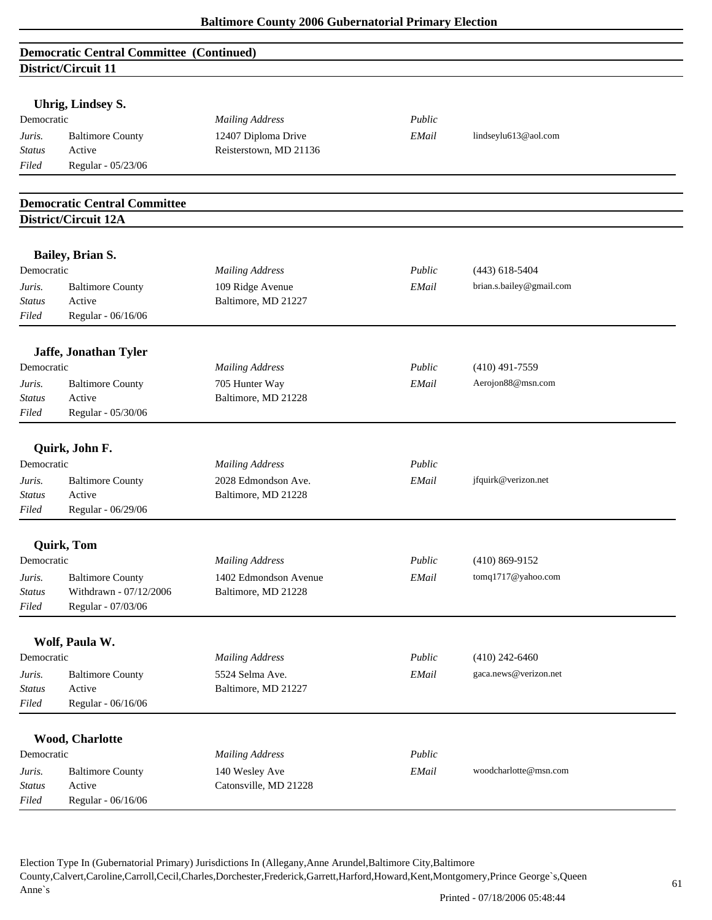| <b>Democratic Central Committee (Continued)</b> |  |
|-------------------------------------------------|--|
| District/Circuit 11                             |  |

|                        | Uhrig, Lindsey S.                   |                        |        |                          |
|------------------------|-------------------------------------|------------------------|--------|--------------------------|
| Democratic             |                                     | <b>Mailing Address</b> | Public |                          |
| Juris.                 | <b>Baltimore County</b><br>Active   | 12407 Diploma Drive    | EMail  | lindseylu613@aol.com     |
| <b>Status</b><br>Filed | Regular - 05/23/06                  | Reisterstown, MD 21136 |        |                          |
|                        |                                     |                        |        |                          |
|                        | <b>Democratic Central Committee</b> |                        |        |                          |
|                        | District/Circuit 12A                |                        |        |                          |
|                        | <b>Bailey, Brian S.</b>             |                        |        |                          |
| Democratic             |                                     | <b>Mailing Address</b> | Public | $(443)$ 618-5404         |
| Juris.                 | <b>Baltimore County</b>             | 109 Ridge Avenue       | EMail  | brian.s.bailey@gmail.com |
| <b>Status</b>          | Active                              | Baltimore, MD 21227    |        |                          |
| Filed                  | Regular - 06/16/06                  |                        |        |                          |
|                        |                                     |                        |        |                          |
| Democratic             | Jaffe, Jonathan Tyler               | <b>Mailing Address</b> | Public | $(410)$ 491-7559         |
| Juris.                 | <b>Baltimore County</b>             | 705 Hunter Way         | EMail  | Aerojon88@msn.com        |
| Status                 | Active                              | Baltimore, MD 21228    |        |                          |
| Filed                  | Regular - 05/30/06                  |                        |        |                          |
|                        |                                     |                        |        |                          |
|                        | Quirk, John F.                      |                        |        |                          |
| Democratic             |                                     | <b>Mailing Address</b> | Public |                          |
| Juris.                 | <b>Baltimore County</b>             | 2028 Edmondson Ave.    | EMail  | jfquirk@verizon.net      |
| <b>Status</b>          | Active                              | Baltimore, MD 21228    |        |                          |
| Filed                  | Regular - 06/29/06                  |                        |        |                          |
|                        | <b>Quirk, Tom</b>                   |                        |        |                          |
| Democratic             |                                     | <b>Mailing Address</b> | Public | $(410) 869 - 9152$       |
| Juris.                 | <b>Baltimore County</b>             | 1402 Edmondson Avenue  | EMail  | tomq1717@yahoo.com       |
| <b>Status</b>          | Withdrawn - 07/12/2006              | Baltimore, MD 21228    |        |                          |
| Filed                  | Regular - 07/03/06                  |                        |        |                          |
|                        | Wolf, Paula W.                      |                        |        |                          |
| Democratic             |                                     | <b>Mailing Address</b> | Public | $(410)$ 242-6460         |
| Juris.                 | <b>Baltimore County</b>             | 5524 Selma Ave.        | EMail  | gaca.news@verizon.net    |
| <b>Status</b>          | Active                              | Baltimore, MD 21227    |        |                          |
| Filed                  | Regular - 06/16/06                  |                        |        |                          |
|                        |                                     |                        |        |                          |
|                        | Wood, Charlotte                     |                        |        |                          |
| Democratic             |                                     | <b>Mailing Address</b> | Public |                          |
| Juris.                 | <b>Baltimore County</b>             | 140 Wesley Ave         | EMail  | woodcharlotte@msn.com    |
| <b>Status</b>          | Active                              | Catonsville, MD 21228  |        |                          |
| Filed                  | Regular - 06/16/06                  |                        |        |                          |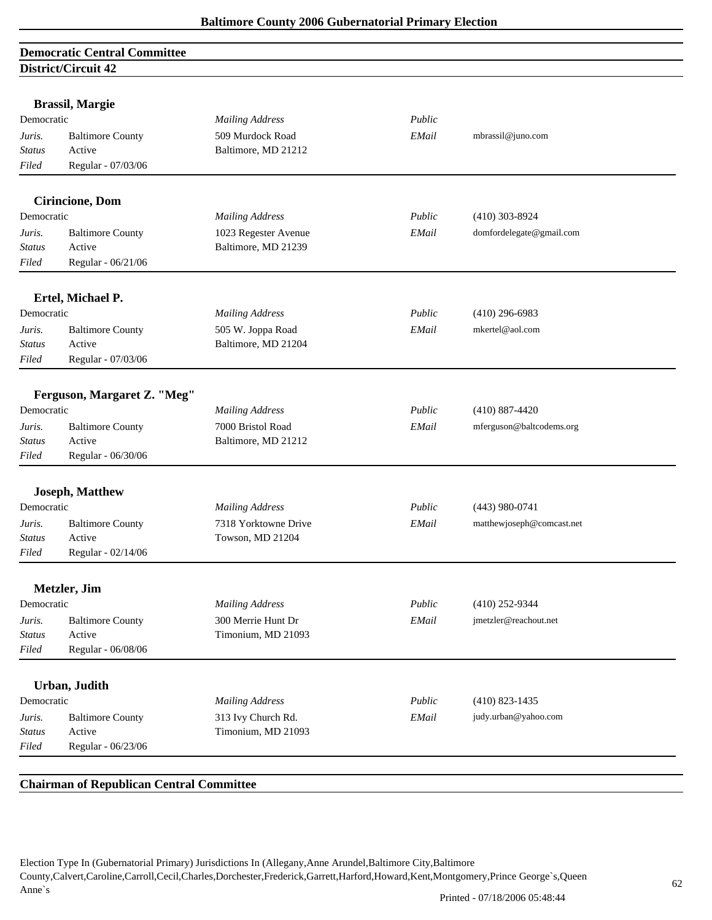# **Democratic Central Committee District/Circuit 42**

|                         | <b>Brassil, Margie</b>      |                        |        |                           |  |
|-------------------------|-----------------------------|------------------------|--------|---------------------------|--|
| Democratic              |                             | <b>Mailing Address</b> | Public |                           |  |
| Juris.                  | <b>Baltimore County</b>     | 509 Murdock Road       | EMail  | mbrassil@juno.com         |  |
| <b>Status</b>           | Active                      | Baltimore, MD 21212    |        |                           |  |
| Filed                   | Regular - 07/03/06          |                        |        |                           |  |
|                         |                             |                        |        |                           |  |
|                         | <b>Cirincione, Dom</b>      |                        |        |                           |  |
| Democratic              |                             | <b>Mailing Address</b> | Public | $(410)$ 303-8924          |  |
| Juris.                  | <b>Baltimore County</b>     | 1023 Regester Avenue   | EMail  | domfordelegate@gmail.com  |  |
| <b>Status</b>           | Active                      | Baltimore, MD 21239    |        |                           |  |
| Filed                   | Regular - 06/21/06          |                        |        |                           |  |
|                         |                             |                        |        |                           |  |
| Democratic              | Ertel, Michael P.           | <b>Mailing Address</b> | Public | $(410)$ 296-6983          |  |
|                         | <b>Baltimore County</b>     | 505 W. Joppa Road      | EMail  | mkertel@aol.com           |  |
| Juris.<br><b>Status</b> | Active                      | Baltimore, MD 21204    |        |                           |  |
| Filed                   | Regular - 07/03/06          |                        |        |                           |  |
|                         |                             |                        |        |                           |  |
|                         | Ferguson, Margaret Z. "Meg" |                        |        |                           |  |
| Democratic              |                             | <b>Mailing Address</b> | Public | $(410)$ 887-4420          |  |
| Juris.                  | <b>Baltimore County</b>     | 7000 Bristol Road      | EMail  | mferguson@baltcodems.org  |  |
| <b>Status</b>           | Active                      | Baltimore, MD 21212    |        |                           |  |
| Filed                   | Regular - 06/30/06          |                        |        |                           |  |
|                         |                             |                        |        |                           |  |
|                         | <b>Joseph, Matthew</b>      |                        |        |                           |  |
| Democratic              |                             | <b>Mailing Address</b> | Public | $(443)$ 980-0741          |  |
| Juris.                  | <b>Baltimore County</b>     | 7318 Yorktowne Drive   | EMail  | matthewjoseph@comcast.net |  |
| <b>Status</b>           | Active                      | Towson, MD 21204       |        |                           |  |
| Filed                   | Regular - 02/14/06          |                        |        |                           |  |
|                         |                             |                        |        |                           |  |
|                         | Metzler, Jim                |                        |        |                           |  |
| Democratic              |                             | <b>Mailing Address</b> | Public | (410) 252-9344            |  |
| Juris.                  | <b>Baltimore County</b>     | 300 Merrie Hunt Dr     | EMail  | jmetzler@reachout.net     |  |
| <b>Status</b>           | Active                      | Timonium, MD 21093     |        |                           |  |
| Filed                   | Regular - 06/08/06          |                        |        |                           |  |
|                         | Urban, Judith               |                        |        |                           |  |
| Democratic              |                             | <b>Mailing Address</b> | Public | $(410)$ 823-1435          |  |
| Juris.                  | <b>Baltimore County</b>     | 313 Ivy Church Rd.     | EMail  | judy.urban@yahoo.com      |  |
|                         | Active                      | Timonium, MD 21093     |        |                           |  |
| <b>Status</b>           |                             |                        |        |                           |  |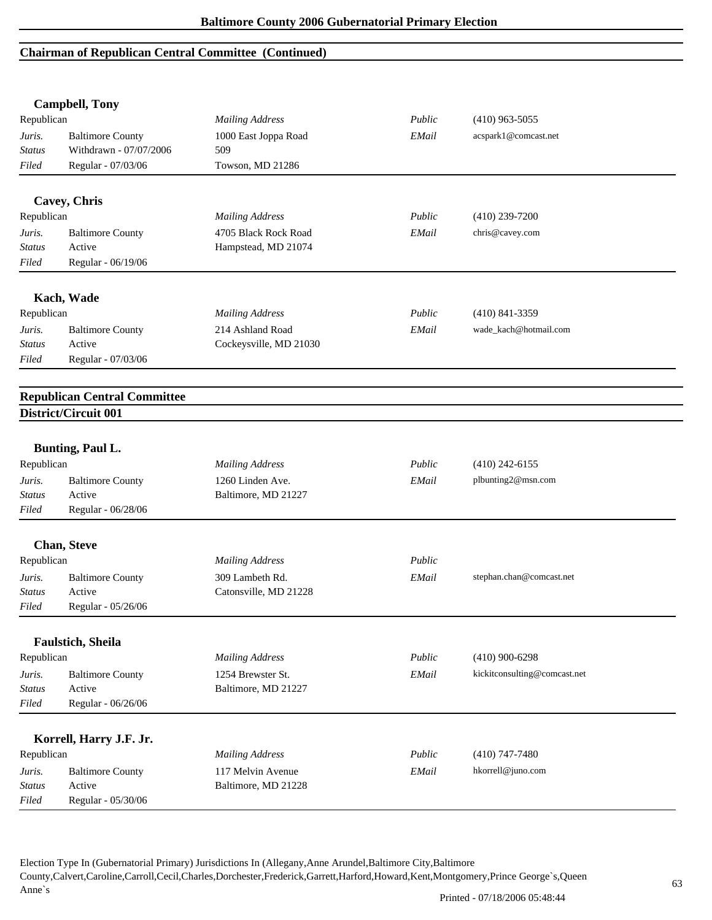## **Chairman of Republican Central Committee (Continued)**

|               | <b>Campbell, Tony</b>               |                        |        |                              |  |
|---------------|-------------------------------------|------------------------|--------|------------------------------|--|
| Republican    |                                     | <b>Mailing Address</b> | Public | $(410)$ 963-5055             |  |
| Juris.        | <b>Baltimore County</b>             | 1000 East Joppa Road   | EMail  | acspark1@comcast.net         |  |
| Status        | Withdrawn - 07/07/2006              | 509                    |        |                              |  |
| Filed         | Regular - 07/03/06                  | Towson, MD 21286       |        |                              |  |
|               | Cavey, Chris                        |                        |        |                              |  |
| Republican    |                                     | <b>Mailing Address</b> | Public | $(410)$ 239-7200             |  |
| Juris.        | <b>Baltimore County</b>             | 4705 Black Rock Road   | EMail  | chris@cavey.com              |  |
| <b>Status</b> | Active                              | Hampstead, MD 21074    |        |                              |  |
| Filed         | Regular - 06/19/06                  |                        |        |                              |  |
|               | Kach, Wade                          |                        |        |                              |  |
| Republican    |                                     | <b>Mailing Address</b> | Public | $(410)$ 841-3359             |  |
| Juris.        | <b>Baltimore County</b>             | 214 Ashland Road       | EMail  | wade_kach@hotmail.com        |  |
| Status        | Active                              | Cockeysville, MD 21030 |        |                              |  |
| Filed         | Regular - 07/03/06                  |                        |        |                              |  |
|               | <b>Republican Central Committee</b> |                        |        |                              |  |
|               | District/Circuit 001                |                        |        |                              |  |
|               | <b>Bunting, Paul L.</b>             |                        |        |                              |  |
| Republican    |                                     | <b>Mailing Address</b> | Public | $(410)$ 242-6155             |  |
| Juris.        | <b>Baltimore County</b>             | 1260 Linden Ave.       | EMail  | plbunting2@msn.com           |  |
| Status        | Active                              | Baltimore, MD 21227    |        |                              |  |
| Filed         | Regular - 06/28/06                  |                        |        |                              |  |
|               | <b>Chan, Steve</b>                  |                        |        |                              |  |
| Republican    |                                     | <b>Mailing Address</b> | Public |                              |  |
| Juris.        | <b>Baltimore County</b>             | 309 Lambeth Rd.        | EMail  | stephan.chan@comcast.net     |  |
| <i>Status</i> | Active                              | Catonsville, MD 21228  |        |                              |  |
| Filed         | Regular - 05/26/06                  |                        |        |                              |  |
|               | Faulstich, Sheila                   |                        |        |                              |  |
| Republican    |                                     | <b>Mailing Address</b> | Public | $(410)$ 900-6298             |  |
| Juris.        | <b>Baltimore County</b>             | 1254 Brewster St.      | EMail  | kickitconsulting@comcast.net |  |
| <b>Status</b> | Active                              | Baltimore, MD 21227    |        |                              |  |
| Filed         | Regular - 06/26/06                  |                        |        |                              |  |
|               |                                     |                        |        |                              |  |
|               | Korrell, Harry J.F. Jr.             |                        |        |                              |  |
| Republican    |                                     | <b>Mailing Address</b> | Public | $(410)$ 747-7480             |  |
| Juris.        | <b>Baltimore County</b>             | 117 Melvin Avenue      | EMail  | hkorrell@juno.com            |  |
| <b>Status</b> | Active                              | Baltimore, MD 21228    |        |                              |  |
| Filed         | Regular - 05/30/06                  |                        |        |                              |  |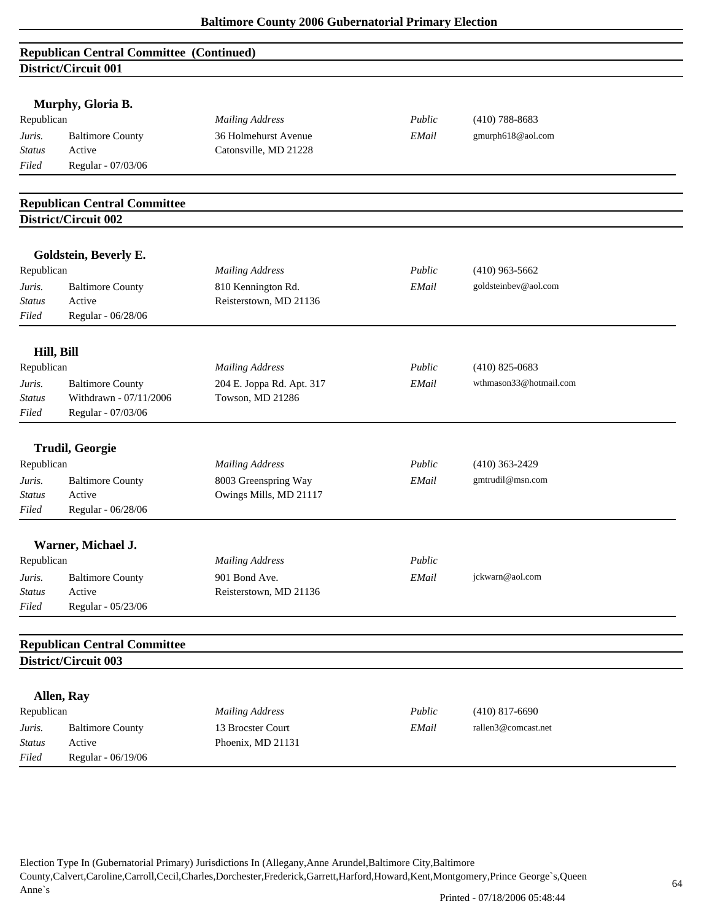| <b>Republican Central Committee (Continued)</b> |  |
|-------------------------------------------------|--|
| District/Circuit 001                            |  |

|               | Murphy, Gloria B.                   |                           |        |                        |  |
|---------------|-------------------------------------|---------------------------|--------|------------------------|--|
| Republican    |                                     | <b>Mailing Address</b>    | Public | $(410)$ 788-8683       |  |
| Juris.        | <b>Baltimore County</b>             | 36 Holmehurst Avenue      | EMail  | gmurph618@aol.com      |  |
| <b>Status</b> | Active                              | Catonsville, MD 21228     |        |                        |  |
| Filed         | Regular - 07/03/06                  |                           |        |                        |  |
|               | <b>Republican Central Committee</b> |                           |        |                        |  |
|               | District/Circuit 002                |                           |        |                        |  |
|               |                                     |                           |        |                        |  |
|               | Goldstein, Beverly E.               |                           |        |                        |  |
| Republican    |                                     | <b>Mailing Address</b>    | Public | $(410)$ 963-5662       |  |
| Juris.        | <b>Baltimore County</b>             | 810 Kennington Rd.        | EMail  | goldsteinbev@aol.com   |  |
| <b>Status</b> | Active                              | Reisterstown, MD 21136    |        |                        |  |
| Filed         | Regular - 06/28/06                  |                           |        |                        |  |
| Hill, Bill    |                                     |                           |        |                        |  |
| Republican    |                                     | <b>Mailing Address</b>    | Public | $(410)$ 825-0683       |  |
| Juris.        | <b>Baltimore County</b>             | 204 E. Joppa Rd. Apt. 317 | EMail  | wthmason33@hotmail.com |  |
| <b>Status</b> | Withdrawn - 07/11/2006              | Towson, MD 21286          |        |                        |  |
| Filed         | Regular - 07/03/06                  |                           |        |                        |  |
|               | <b>Trudil, Georgie</b>              |                           |        |                        |  |
| Republican    |                                     | <b>Mailing Address</b>    | Public | $(410)$ 363-2429       |  |
| Juris.        | <b>Baltimore County</b>             | 8003 Greenspring Way      | EMail  | gmtrudil@msn.com       |  |
| <b>Status</b> | Active                              | Owings Mills, MD 21117    |        |                        |  |
| Filed         | Regular - 06/28/06                  |                           |        |                        |  |
|               |                                     |                           |        |                        |  |
|               | Warner, Michael J.                  |                           |        |                        |  |
| Republican    |                                     | <b>Mailing Address</b>    | Public |                        |  |
| Juris.        | <b>Baltimore County</b>             | 901 Bond Ave.             | EMail  | jckwarn@aol.com        |  |
| Status        | Active                              | Reisterstown, MD 21136    |        |                        |  |
| Filed         | Regular - 05/23/06                  |                           |        |                        |  |
|               | <b>Republican Central Committee</b> |                           |        |                        |  |
|               | District/Circuit 003                |                           |        |                        |  |
|               |                                     |                           |        |                        |  |
|               | Allen, Ray                          |                           |        |                        |  |
| Republican    |                                     | <b>Mailing Address</b>    | Public | $(410)$ 817-6690       |  |
| Juris.        | <b>Baltimore County</b>             | 13 Brocster Court         | EMail  | rallen3@comcast.net    |  |
| <b>Status</b> | Active                              | Phoenix, MD 21131         |        |                        |  |
| Filed         | Regular - 06/19/06                  |                           |        |                        |  |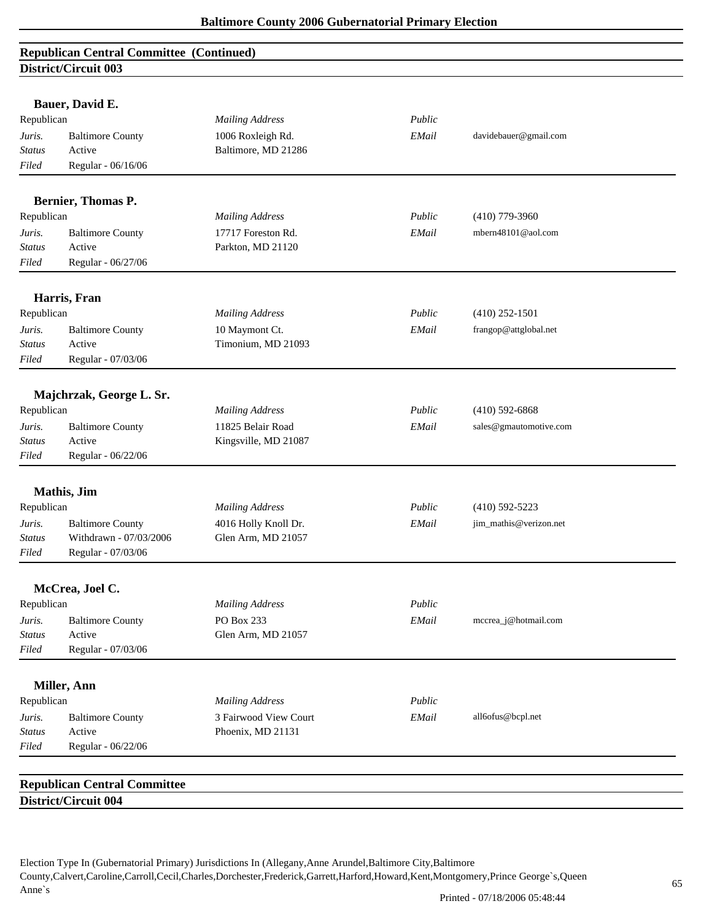# **Republican Central Committee (Continued) District/Circuit 003**

|               | Bauer, David E.                     |                        |        |                        |
|---------------|-------------------------------------|------------------------|--------|------------------------|
| Republican    |                                     | <b>Mailing Address</b> | Public |                        |
| Juris.        | <b>Baltimore County</b>             | 1006 Roxleigh Rd.      | EMail  | davidebauer@gmail.com  |
| <b>Status</b> | Active                              | Baltimore, MD 21286    |        |                        |
| Filed         | Regular - 06/16/06                  |                        |        |                        |
|               |                                     |                        |        |                        |
|               | Bernier, Thomas P.                  |                        |        |                        |
| Republican    |                                     | <b>Mailing Address</b> | Public | $(410)$ 779-3960       |
| Juris.        | <b>Baltimore County</b>             | 17717 Foreston Rd.     | EMail  | mbern48101@aol.com     |
| <b>Status</b> | Active                              | Parkton, MD 21120      |        |                        |
| Filed         | Regular - 06/27/06                  |                        |        |                        |
|               | Harris, Fran                        |                        |        |                        |
| Republican    |                                     | <b>Mailing Address</b> | Public | $(410)$ 252-1501       |
| Juris.        | <b>Baltimore County</b>             | 10 Maymont Ct.         | EMail  | frangop@attglobal.net  |
| <b>Status</b> | Active                              | Timonium, MD 21093     |        |                        |
| Filed         | Regular - 07/03/06                  |                        |        |                        |
|               | Majchrzak, George L. Sr.            |                        |        |                        |
| Republican    |                                     | <b>Mailing Address</b> | Public | $(410)$ 592-6868       |
| Juris.        | <b>Baltimore County</b>             | 11825 Belair Road      | EMail  | sales@gmautomotive.com |
| Status        | Active                              | Kingsville, MD 21087   |        |                        |
| Filed         | Regular - 06/22/06                  |                        |        |                        |
|               |                                     |                        |        |                        |
|               | Mathis, Jim                         |                        |        |                        |
| Republican    |                                     | <b>Mailing Address</b> | Public | $(410)$ 592-5223       |
| Juris.        | <b>Baltimore County</b>             | 4016 Holly Knoll Dr.   | EMail  | jim_mathis@verizon.net |
| <b>Status</b> | Withdrawn - 07/03/2006              | Glen Arm, MD 21057     |        |                        |
| Filed         | Regular - 07/03/06                  |                        |        |                        |
|               | McCrea, Joel C.                     |                        |        |                        |
| Republican    |                                     | <b>Mailing Address</b> | Public |                        |
| Juris.        | <b>Baltimore County</b>             | PO Box 233             | EMail  | mccrea_j@hotmail.com   |
| <b>Status</b> | Active                              | Glen Arm, MD 21057     |        |                        |
| Filed         | Regular - 07/03/06                  |                        |        |                        |
|               | Miller, Ann                         |                        |        |                        |
| Republican    |                                     | <b>Mailing Address</b> | Public |                        |
| Juris.        | <b>Baltimore County</b>             | 3 Fairwood View Court  | EMail  | all6ofus@bcpl.net      |
| <b>Status</b> | Active                              | Phoenix, MD 21131      |        |                        |
| Filed         | Regular - 06/22/06                  |                        |        |                        |
|               |                                     |                        |        |                        |
|               | <b>Republican Central Committee</b> |                        |        |                        |
|               | District/Circuit 004                |                        |        |                        |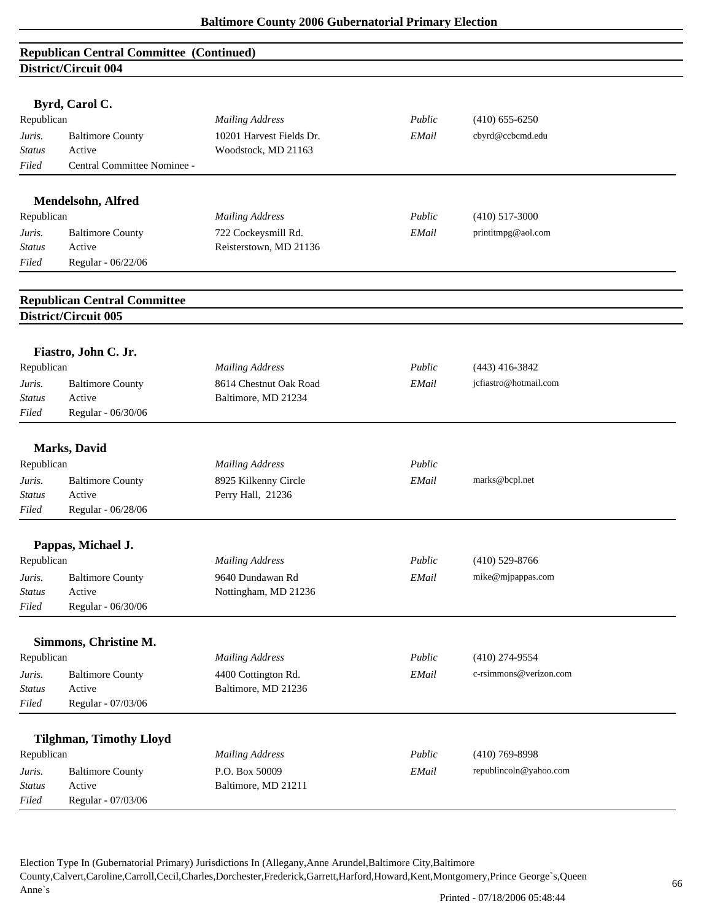## **Republican Central Committee (Continued) District/Circuit 004**

|                 | -501100 On Cair ov 1                |                          |        |                        |  |
|-----------------|-------------------------------------|--------------------------|--------|------------------------|--|
|                 | Byrd, Carol C.                      |                          |        |                        |  |
| Republican      |                                     | <b>Mailing Address</b>   | Public | $(410)$ 655-6250       |  |
| Juris.          | <b>Baltimore County</b>             | 10201 Harvest Fields Dr. | EMail  | cbyrd@ccbcmd.edu       |  |
| Status          | Active                              | Woodstock, MD 21163      |        |                        |  |
| Filed           | Central Committee Nominee -         |                          |        |                        |  |
|                 |                                     |                          |        |                        |  |
|                 | Mendelsohn, Alfred                  |                          |        |                        |  |
| Republican      |                                     | <b>Mailing Address</b>   | Public | $(410)$ 517-3000       |  |
| Juris.          | <b>Baltimore County</b>             | 722 Cockeysmill Rd.      | EMail  | printitmpg@aol.com     |  |
| <b>Status</b>   | Active                              | Reisterstown, MD 21136   |        |                        |  |
| Filed           | Regular - 06/22/06                  |                          |        |                        |  |
|                 | <b>Republican Central Committee</b> |                          |        |                        |  |
|                 | District/Circuit 005                |                          |        |                        |  |
|                 |                                     |                          |        |                        |  |
|                 | Fiastro, John C. Jr.                |                          |        |                        |  |
| Republican      |                                     | <b>Mailing Address</b>   | Public | $(443)$ 416-3842       |  |
| Juris.          | <b>Baltimore County</b><br>Active   | 8614 Chestnut Oak Road   | EMail  | jcfiastro@hotmail.com  |  |
| Status<br>Filed | Regular - 06/30/06                  | Baltimore, MD 21234      |        |                        |  |
|                 |                                     |                          |        |                        |  |
|                 | <b>Marks</b> , David                |                          |        |                        |  |
| Republican      |                                     | <b>Mailing Address</b>   | Public |                        |  |
| Juris.          | <b>Baltimore County</b>             | 8925 Kilkenny Circle     | EMail  | marks@bcpl.net         |  |
| <b>Status</b>   | Active                              | Perry Hall, 21236        |        |                        |  |
| Filed           | Regular - 06/28/06                  |                          |        |                        |  |
|                 | Pappas, Michael J.                  |                          |        |                        |  |
| Republican      |                                     | <b>Mailing Address</b>   | Public | $(410)$ 529-8766       |  |
| Juris.          | <b>Baltimore County</b>             | 9640 Dundawan Rd         | EMail  | mike@mjpappas.com      |  |
| Status          | Active                              | Nottingham, MD 21236     |        |                        |  |
| Filed           | Regular - 06/30/06                  |                          |        |                        |  |
|                 | Simmons, Christine M.               |                          |        |                        |  |
| Republican      |                                     | <b>Mailing Address</b>   | Public | $(410)$ 274-9554       |  |
| Juris.          | <b>Baltimore County</b>             | 4400 Cottington Rd.      | EMail  | c-rsimmons@verizon.com |  |
| <b>Status</b>   | Active                              | Baltimore, MD 21236      |        |                        |  |
| Filed           | Regular - 07/03/06                  |                          |        |                        |  |
|                 |                                     |                          |        |                        |  |
|                 | <b>Tilghman, Timothy Lloyd</b>      |                          |        |                        |  |
| Republican      |                                     | <b>Mailing Address</b>   | Public | $(410)$ 769-8998       |  |
| Juris.          | <b>Baltimore County</b>             | P.O. Box 50009           | EMail  | republincoln@yahoo.com |  |
| <b>Status</b>   | Active                              | Baltimore, MD 21211      |        |                        |  |
| Filed           | Regular - 07/03/06                  |                          |        |                        |  |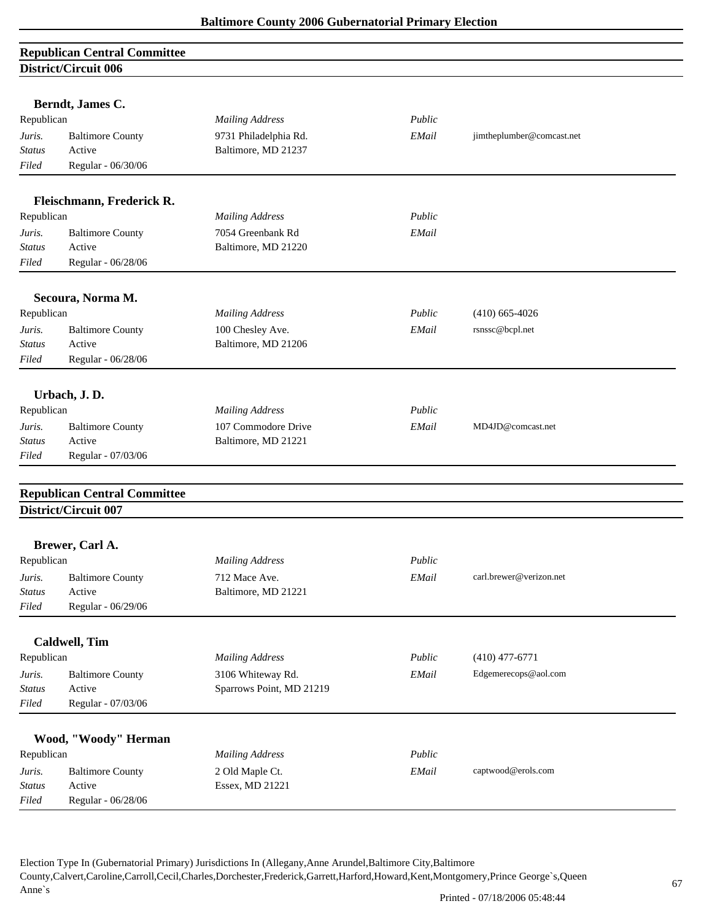| <b>Republican Central Committee</b> |  |
|-------------------------------------|--|
| <b>District/Circuit 006</b>         |  |

|               | District On cant voo                                               |                          |        |                           |
|---------------|--------------------------------------------------------------------|--------------------------|--------|---------------------------|
|               |                                                                    |                          |        |                           |
| Republican    | Berndt, James C.                                                   | <b>Mailing Address</b>   | Public |                           |
| Juris.        | <b>Baltimore County</b>                                            | 9731 Philadelphia Rd.    | EMail  | jimtheplumber@comcast.net |
| <b>Status</b> | Active                                                             | Baltimore, MD 21237      |        |                           |
| Filed         | Regular - 06/30/06                                                 |                          |        |                           |
|               |                                                                    |                          |        |                           |
|               | Fleischmann, Frederick R.                                          |                          |        |                           |
| Republican    |                                                                    | <b>Mailing Address</b>   | Public |                           |
| Juris.        | <b>Baltimore County</b>                                            | 7054 Greenbank Rd        | EMail  |                           |
| <b>Status</b> | Active                                                             | Baltimore, MD 21220      |        |                           |
| Filed         | Regular - 06/28/06                                                 |                          |        |                           |
|               | Secoura, Norma M.                                                  |                          |        |                           |
| Republican    |                                                                    | <b>Mailing Address</b>   | Public | $(410)$ 665-4026          |
| Juris.        | <b>Baltimore County</b>                                            | 100 Chesley Ave.         | EMail  | rsnssc@bcpl.net           |
| <b>Status</b> | Active                                                             | Baltimore, MD 21206      |        |                           |
| Filed         | Regular - 06/28/06                                                 |                          |        |                           |
|               |                                                                    |                          |        |                           |
|               | Urbach, J.D.                                                       |                          |        |                           |
| Republican    |                                                                    | <b>Mailing Address</b>   | Public |                           |
| Juris.        | <b>Baltimore County</b>                                            | 107 Commodore Drive      | EMail  | MD4JD@comcast.net         |
| Status        | Active                                                             | Baltimore, MD 21221      |        |                           |
| Filed         | Regular - 07/03/06                                                 |                          |        |                           |
|               |                                                                    |                          |        |                           |
|               | <b>Republican Central Committee</b><br><b>District/Circuit 007</b> |                          |        |                           |
|               |                                                                    |                          |        |                           |
|               | Brewer, Carl A.                                                    |                          |        |                           |
| Republican    |                                                                    | <b>Mailing Address</b>   | Public |                           |
| Juris.        | <b>Baltimore County</b>                                            | 712 Mace Ave.            | EMail  | carl.brewer@verizon.net   |
| Status        | Active                                                             | Baltimore, MD 21221      |        |                           |
| Filed         | Regular - 06/29/06                                                 |                          |        |                           |
|               | <b>Caldwell</b> , Tim                                              |                          |        |                           |
| Republican    |                                                                    | <b>Mailing Address</b>   | Public | $(410)$ 477-6771          |
| Juris.        | <b>Baltimore County</b>                                            | 3106 Whiteway Rd.        | EMail  | Edgemerecops@aol.com      |
| <b>Status</b> | Active                                                             | Sparrows Point, MD 21219 |        |                           |
| Filed         | Regular - 07/03/06                                                 |                          |        |                           |
|               |                                                                    |                          |        |                           |
|               | Wood, "Woody" Herman                                               |                          |        |                           |
| Republican    |                                                                    | <b>Mailing Address</b>   | Public |                           |
| Juris.        | <b>Baltimore County</b>                                            | 2 Old Maple Ct.          | EMail  | captwood@erols.com        |
| <b>Status</b> | Active                                                             | Essex, MD 21221          |        |                           |
| Filed         | Regular - 06/28/06                                                 |                          |        |                           |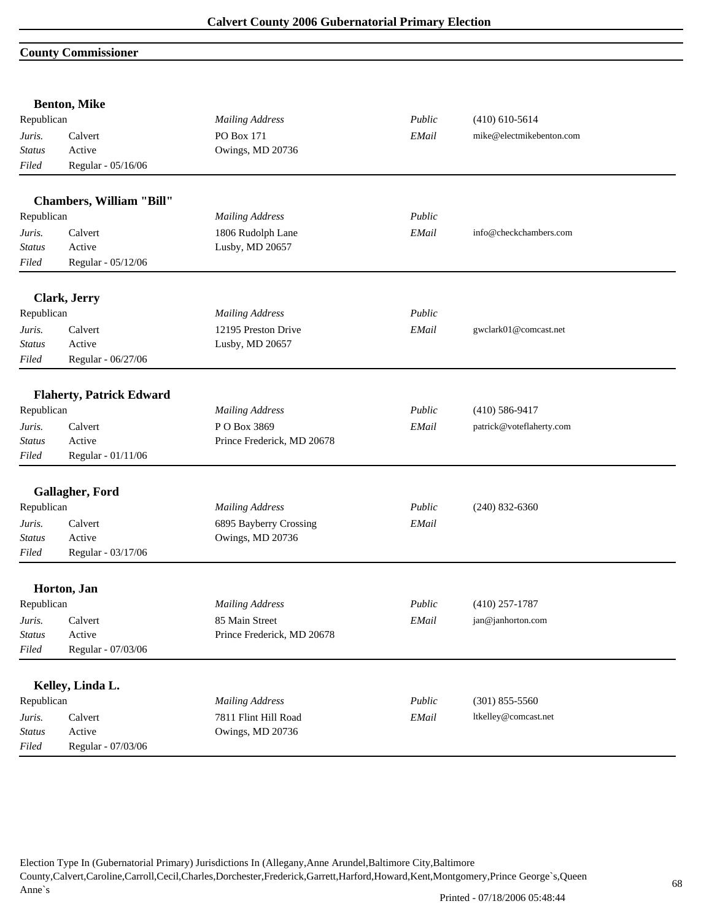## **County Commissioner**

|               | <b>Benton, Mike</b>             |                            |        |                          |  |
|---------------|---------------------------------|----------------------------|--------|--------------------------|--|
| Republican    |                                 | <b>Mailing Address</b>     | Public | $(410)$ 610-5614         |  |
| Juris.        | Calvert                         | PO Box 171                 | EMail  | mike@electmikebenton.com |  |
| <b>Status</b> | Active                          | Owings, MD 20736           |        |                          |  |
| Filed         | Regular - 05/16/06              |                            |        |                          |  |
|               | Chambers, William "Bill"        |                            |        |                          |  |
| Republican    |                                 | <b>Mailing Address</b>     | Public |                          |  |
| Juris.        | Calvert                         | 1806 Rudolph Lane          | EMail  | info@checkchambers.com   |  |
| Status        | Active                          | Lusby, MD 20657            |        |                          |  |
| Filed         | Regular - 05/12/06              |                            |        |                          |  |
|               | Clark, Jerry                    |                            |        |                          |  |
| Republican    |                                 | <b>Mailing Address</b>     | Public |                          |  |
| Juris.        | Calvert                         | 12195 Preston Drive        | EMail  | gwclark01@comcast.net    |  |
| <b>Status</b> | Active                          | Lusby, MD 20657            |        |                          |  |
| Filed         | Regular - 06/27/06              |                            |        |                          |  |
|               | <b>Flaherty, Patrick Edward</b> |                            |        |                          |  |
| Republican    |                                 | <b>Mailing Address</b>     | Public | $(410)$ 586-9417         |  |
| Juris.        | Calvert                         | PO Box 3869                | EMail  | patrick@voteflaherty.com |  |
| <b>Status</b> | Active                          | Prince Frederick, MD 20678 |        |                          |  |
| Filed         | Regular - 01/11/06              |                            |        |                          |  |
|               |                                 |                            |        |                          |  |
|               | Gallagher, Ford                 |                            |        |                          |  |
| Republican    |                                 | <b>Mailing Address</b>     | Public | $(240)$ 832-6360         |  |
| Juris.        | Calvert                         | 6895 Bayberry Crossing     | EMail  |                          |  |
| <b>Status</b> | Active                          | Owings, MD 20736           |        |                          |  |
| Filed         | Regular - 03/17/06              |                            |        |                          |  |
|               | Horton, Jan                     |                            |        |                          |  |
| Republican    |                                 | <b>Mailing Address</b>     | Public | $(410)$ 257-1787         |  |
| Juris.        | Calvert                         | 85 Main Street             | EMail  | jan@janhorton.com        |  |
| Status        | Active                          | Prince Frederick, MD 20678 |        |                          |  |
| Filed         | Regular - 07/03/06              |                            |        |                          |  |
|               |                                 |                            |        |                          |  |
|               | Kelley, Linda L.                |                            |        |                          |  |
| Republican    |                                 | <b>Mailing Address</b>     | Public | $(301)$ 855-5560         |  |
| Juris.        | Calvert                         | 7811 Flint Hill Road       | EMail  | ltkelley@comcast.net     |  |
| <b>Status</b> | Active                          | Owings, MD 20736           |        |                          |  |
| Filed         | Regular - 07/03/06              |                            |        |                          |  |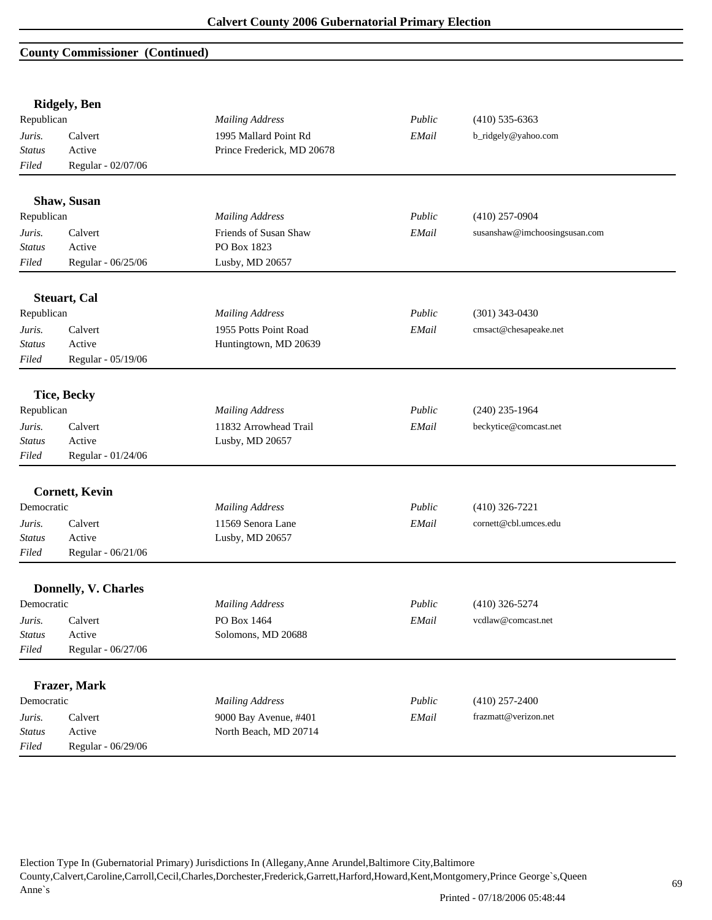## **County Commissioner (Continued)**

|               | <b>Ridgely</b> , Ben  |                            |             |                               |
|---------------|-----------------------|----------------------------|-------------|-------------------------------|
| Republican    |                       | <b>Mailing Address</b>     | Public      | $(410)$ 535-6363              |
| Juris.        | Calvert               | 1995 Mallard Point Rd      | EMail       | b_ridgely@yahoo.com           |
| <b>Status</b> | Active                | Prince Frederick, MD 20678 |             |                               |
| Filed         | Regular - 02/07/06    |                            |             |                               |
|               | Shaw, Susan           |                            |             |                               |
| Republican    |                       | <b>Mailing Address</b>     | Public      | $(410)$ 257-0904              |
| Juris.        | Calvert               | Friends of Susan Shaw      | EMail       | susanshaw@imchoosingsusan.com |
| <b>Status</b> | Active                | PO Box 1823                |             |                               |
| Filed         | Regular - 06/25/06    | Lusby, MD 20657            |             |                               |
|               | <b>Steuart</b> , Cal  |                            |             |                               |
| Republican    |                       | <b>Mailing Address</b>     | Public      | $(301)$ 343-0430              |
| Juris.        | Calvert               | 1955 Potts Point Road      | EMail       | cmsact@chesapeake.net         |
| <b>Status</b> | Active                | Huntingtown, MD 20639      |             |                               |
| Filed         | Regular - 05/19/06    |                            |             |                               |
|               | <b>Tice, Becky</b>    |                            |             |                               |
| Republican    |                       | <b>Mailing Address</b>     | Public      | $(240)$ 235-1964              |
| Juris.        | Calvert               | 11832 Arrowhead Trail      | EMail       | beckytice@comcast.net         |
| <b>Status</b> | Active                | Lusby, MD 20657            |             |                               |
| Filed         | Regular - 01/24/06    |                            |             |                               |
|               | <b>Cornett, Kevin</b> |                            |             |                               |
| Democratic    |                       | <b>Mailing Address</b>     | Public      | $(410)$ 326-7221              |
| Juris.        | Calvert               | 11569 Senora Lane          | EMail       | cornett@cbl.umces.edu         |
| <b>Status</b> | Active                | Lusby, MD 20657            |             |                               |
| Filed         | Regular - 06/21/06    |                            |             |                               |
|               | Donnelly, V. Charles  |                            |             |                               |
| Democratic    |                       | <b>Mailing Address</b>     | Public      | $(410)$ 326-5274              |
| Juris.        | Calvert               | PO Box 1464                | EMail       | vcdlaw@comcast.net            |
| Status        | Active                | Solomons, MD 20688         |             |                               |
| Filed         | Regular - 06/27/06    |                            |             |                               |
|               |                       |                            |             |                               |
|               | Frazer, Mark          |                            |             |                               |
| Democratic    |                       | <b>Mailing Address</b>     | Public      | $(410)$ 257-2400              |
| Juris.        | Calvert               | 9000 Bay Avenue, #401      | $\it EMail$ | frazmatt@verizon.net          |
| <b>Status</b> | Active                | North Beach, MD 20714      |             |                               |
| Filed         | Regular - 06/29/06    |                            |             |                               |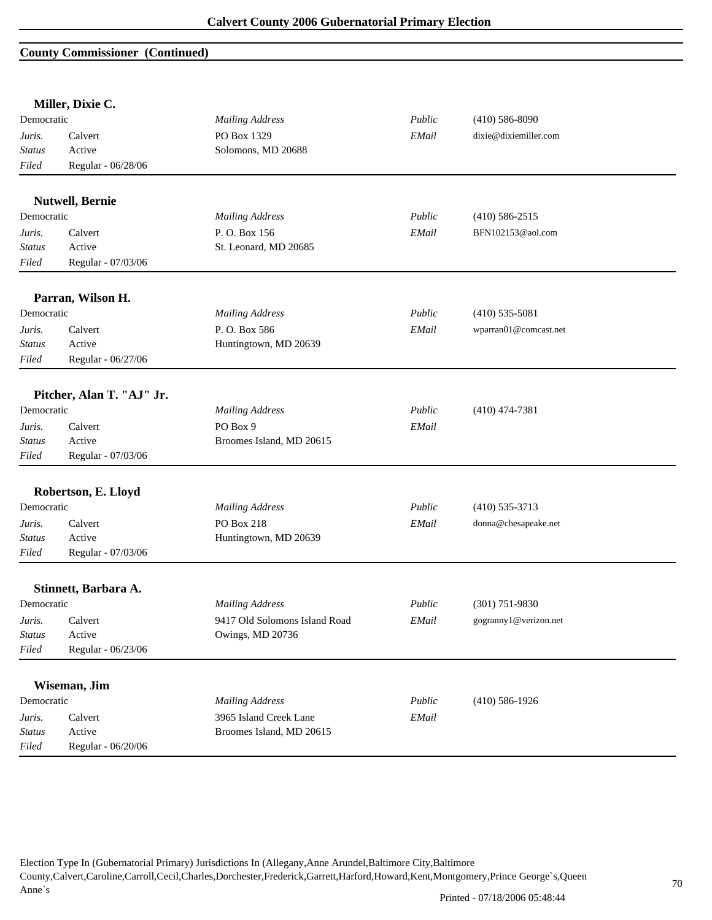### **County Commissioner (Continued)**

|               | Miller, Dixie C.          |                               |        |                       |
|---------------|---------------------------|-------------------------------|--------|-----------------------|
| Democratic    |                           | <b>Mailing Address</b>        | Public | $(410)$ 586-8090      |
| Juris.        | Calvert                   | PO Box 1329                   | EMail  | dixie@dixiemiller.com |
| <b>Status</b> | Active                    | Solomons, MD 20688            |        |                       |
| Filed         | Regular - 06/28/06        |                               |        |                       |
|               | <b>Nutwell, Bernie</b>    |                               |        |                       |
| Democratic    |                           | <b>Mailing Address</b>        | Public | $(410)$ 586-2515      |
| Juris.        | Calvert                   | P.O. Box 156                  | EMail  | BFN102153@aol.com     |
| <b>Status</b> | Active                    | St. Leonard, MD 20685         |        |                       |
| Filed         | Regular - 07/03/06        |                               |        |                       |
|               | Parran, Wilson H.         |                               |        |                       |
| Democratic    |                           | <b>Mailing Address</b>        | Public | $(410)$ 535-5081      |
| Juris.        | Calvert                   | P.O. Box 586                  | EMail  | wparran01@comcast.net |
| <b>Status</b> | Active                    | Huntingtown, MD 20639         |        |                       |
| Filed         | Regular - 06/27/06        |                               |        |                       |
|               |                           |                               |        |                       |
| Democratic    | Pitcher, Alan T. "AJ" Jr. | <b>Mailing Address</b>        | Public | $(410)$ 474-7381      |
| Juris.        | Calvert                   | PO Box 9                      | EMail  |                       |
| <b>Status</b> | Active                    | Broomes Island, MD 20615      |        |                       |
| Filed         | Regular - 07/03/06        |                               |        |                       |
|               |                           |                               |        |                       |
|               | Robertson, E. Lloyd       |                               |        |                       |
| Democratic    |                           | <b>Mailing Address</b>        | Public | $(410)$ 535-3713      |
| Juris.        | Calvert                   | PO Box 218                    | EMail  | donna@chesapeake.net  |
| <b>Status</b> | Active                    | Huntingtown, MD 20639         |        |                       |
| Filed         | Regular - 07/03/06        |                               |        |                       |
|               | Stinnett, Barbara A.      |                               |        |                       |
| Democratic    |                           | <b>Mailing Address</b>        | Public | $(301)$ 751-9830      |
| Juris.        | Calvert                   | 9417 Old Solomons Island Road | EMail  | gogranny1@verizon.net |
| <b>Status</b> | Active                    | Owings, MD 20736              |        |                       |
| Filed         | Regular - 06/23/06        |                               |        |                       |
|               |                           |                               |        |                       |
|               | Wiseman, Jim              |                               |        |                       |
| Democratic    |                           | <b>Mailing Address</b>        | Public | $(410)$ 586-1926      |
| Juris.        | Calvert                   | 3965 Island Creek Lane        | EMail  |                       |
| Status        | Active                    | Broomes Island, MD 20615      |        |                       |
| Filed         | Regular - 06/20/06        |                               |        |                       |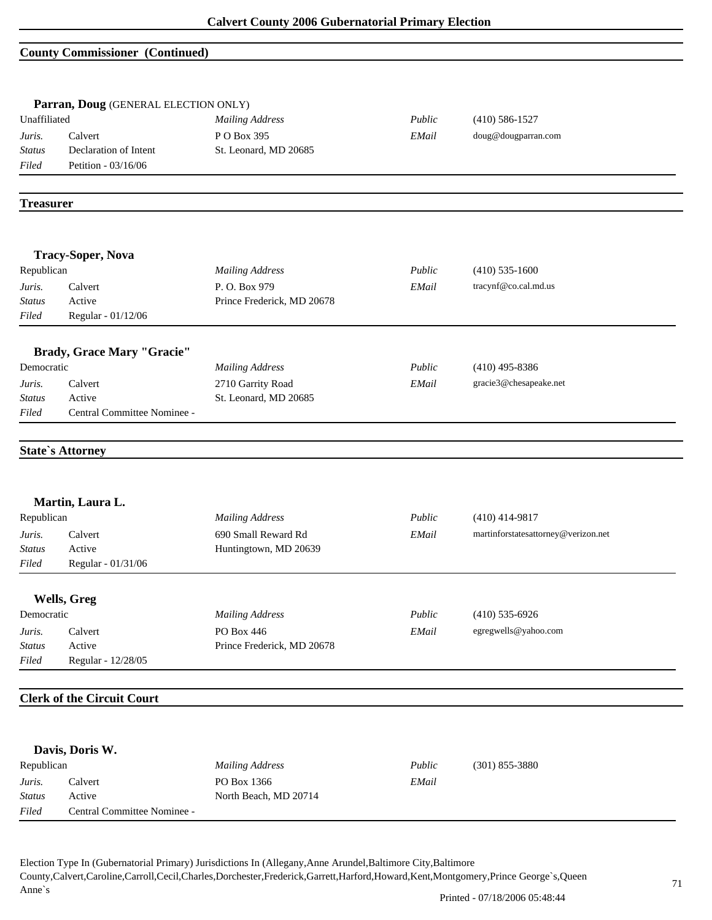### **County Commissioner (Continued)**

|                                       | Parran, Doug (GENERAL ELECTION ONLY)<br>Unaffiliated<br><b>Mailing Address</b> |                            | Public | $(410) 586 - 1527$                  |
|---------------------------------------|--------------------------------------------------------------------------------|----------------------------|--------|-------------------------------------|
| Juris.                                | Calvert                                                                        | PO Box 395                 | EMail  | doug@dougparran.com                 |
| <b>Status</b>                         | Declaration of Intent                                                          | St. Leonard, MD 20685      |        |                                     |
| Filed                                 | Petition - 03/16/06                                                            |                            |        |                                     |
| <b>Treasurer</b>                      |                                                                                |                            |        |                                     |
|                                       |                                                                                |                            |        |                                     |
|                                       | <b>Tracy-Soper, Nova</b>                                                       |                            |        |                                     |
| Republican                            |                                                                                | <b>Mailing Address</b>     | Public | $(410)$ 535-1600                    |
| Juris.                                | Calvert                                                                        | P.O. Box 979               | EMail  | tracynf@co.cal.md.us                |
| <b>Status</b>                         | Active                                                                         | Prince Frederick, MD 20678 |        |                                     |
| Filed                                 | Regular - 01/12/06                                                             |                            |        |                                     |
|                                       | <b>Brady, Grace Mary "Gracie"</b>                                              |                            |        |                                     |
| Democratic                            |                                                                                | <b>Mailing Address</b>     | Public | $(410)$ 495-8386                    |
| Juris.                                | Calvert                                                                        | 2710 Garrity Road          | EMail  | gracie3@chesapeake.net              |
| <b>Status</b>                         | Active                                                                         | St. Leonard, MD 20685      |        |                                     |
| Filed                                 |                                                                                |                            |        |                                     |
|                                       | Central Committee Nominee -<br><b>State's Attorney</b>                         |                            |        |                                     |
|                                       | Martin, Laura L.                                                               |                            |        |                                     |
| Republican                            |                                                                                | <b>Mailing Address</b>     | Public | $(410)$ 414-9817                    |
|                                       | Calvert<br>Active                                                              | 690 Small Reward Rd        | EMail  | martinforstatesattorney@verizon.net |
|                                       | Regular - 01/31/06                                                             | Huntingtown, MD 20639      |        |                                     |
|                                       |                                                                                |                            |        |                                     |
| Juris.<br><b>Status</b><br>Filed      | Wells, Greg                                                                    |                            |        |                                     |
|                                       |                                                                                | <b>Mailing Address</b>     | Public | $(410)$ 535-6926                    |
|                                       | Calvert                                                                        | PO Box 446                 | EMail  | egregwells@yahoo.com                |
| Democratic<br>Juris.<br><b>Status</b> | Active                                                                         | Prince Frederick, MD 20678 |        |                                     |
| Filed                                 | Regular - 12/28/05                                                             |                            |        |                                     |
|                                       | <b>Clerk of the Circuit Court</b>                                              |                            |        |                                     |
|                                       |                                                                                |                            |        |                                     |
|                                       | Davis, Doris W.                                                                |                            |        |                                     |
| Republican                            |                                                                                | <b>Mailing Address</b>     | Public | $(301)$ 855-3880                    |
| Juris.                                | Calvert                                                                        | PO Box 1366                | EMail  |                                     |
| Status<br>Filed                       | Active<br>Central Committee Nominee -                                          | North Beach, MD 20714      |        |                                     |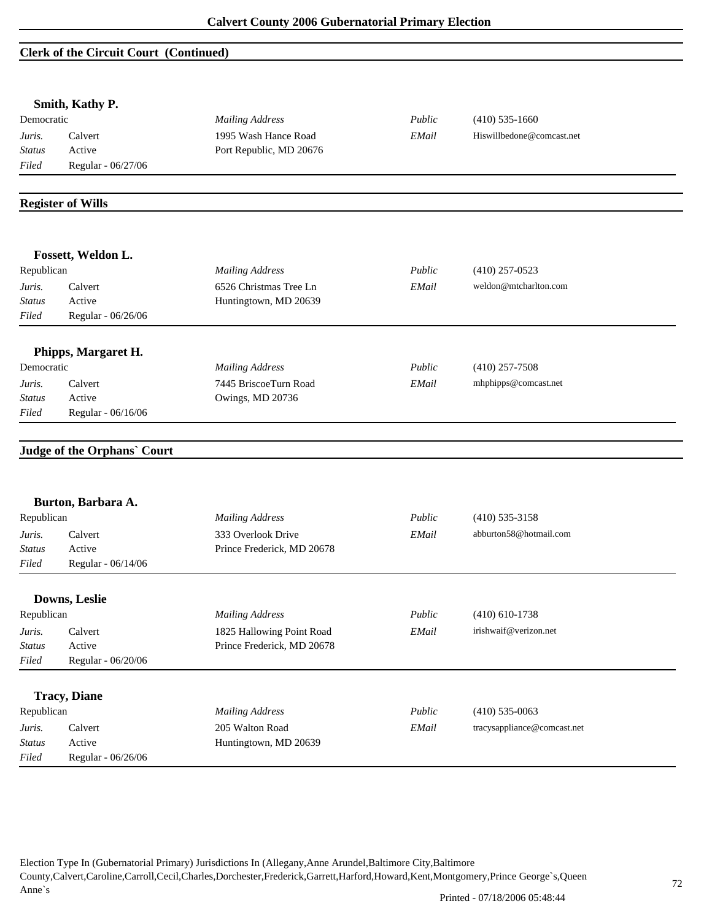## **Clerk of the Circuit Court (Continued)**

| Smith, Kathy P.<br>Democratic                  |                              | <b>Mailing Address</b>                           | Public | $(410)$ 535-1660            |  |
|------------------------------------------------|------------------------------|--------------------------------------------------|--------|-----------------------------|--|
| Calvert<br>Juris.                              |                              | 1995 Wash Hance Road                             | EMail  | Hiswillbedone@comcast.net   |  |
| <b>Status</b>                                  | Active                       | Port Republic, MD 20676                          |        |                             |  |
| Filed                                          | Regular - 06/27/06           |                                                  |        |                             |  |
|                                                |                              |                                                  |        |                             |  |
|                                                | <b>Register of Wills</b>     |                                                  |        |                             |  |
|                                                | Fossett, Weldon L.           |                                                  |        |                             |  |
| Republican                                     |                              | <b>Mailing Address</b>                           | Public | $(410)$ 257-0523            |  |
| Juris.                                         | Calvert                      | 6526 Christmas Tree Ln                           | EMail  | weldon@mtcharlton.com       |  |
| <b>Status</b>                                  | Active                       | Huntingtown, MD 20639                            |        |                             |  |
| Filed                                          | Regular - 06/26/06           |                                                  |        |                             |  |
|                                                | Phipps, Margaret H.          |                                                  |        |                             |  |
| Democratic                                     |                              | <b>Mailing Address</b>                           | Public | $(410)$ 257-7508            |  |
| Juris.                                         | Calvert                      | 7445 BriscoeTurn Road                            | EMail  | mhphipps@comcast.net        |  |
| <b>Status</b>                                  | Active                       | Owings, MD 20736                                 |        |                             |  |
| Filed                                          | Regular - 06/16/06           |                                                  |        |                             |  |
|                                                | Judge of the Orphans' Court  |                                                  |        |                             |  |
|                                                | Burton, Barbara A.           |                                                  |        |                             |  |
| Republican                                     |                              | <b>Mailing Address</b>                           | Public | $(410)$ 535-3158            |  |
| Juris.<br><b>Status</b>                        | Calvert                      | 333 Overlook Drive<br>Prince Frederick, MD 20678 | EMail  | abburton58@hotmail.com      |  |
|                                                | Active                       |                                                  |        |                             |  |
|                                                |                              |                                                  |        |                             |  |
|                                                | Regular - 06/14/06           |                                                  |        |                             |  |
|                                                | Downs, Leslie                |                                                  |        |                             |  |
|                                                |                              | <b>Mailing Address</b>                           | Public | $(410) 610 - 1738$          |  |
| Filed<br>Republican<br>Juris.                  | Calvert                      | 1825 Hallowing Point Road                        | EMail  | irishwaif@verizon.net       |  |
|                                                | Active                       | Prince Frederick, MD 20678                       |        |                             |  |
|                                                | Regular - 06/20/06           |                                                  |        |                             |  |
|                                                | <b>Tracy</b> , Diane         |                                                  |        |                             |  |
|                                                |                              | <b>Mailing Address</b>                           | Public | $(410)$ 535-0063            |  |
| <b>Status</b><br>Filed<br>Republican<br>Juris. | Calvert                      | 205 Walton Road                                  | EMail  | tracysappliance@comcast.net |  |
| <b>Status</b><br>Filed                         | Active<br>Regular - 06/26/06 | Huntingtown, MD 20639                            |        |                             |  |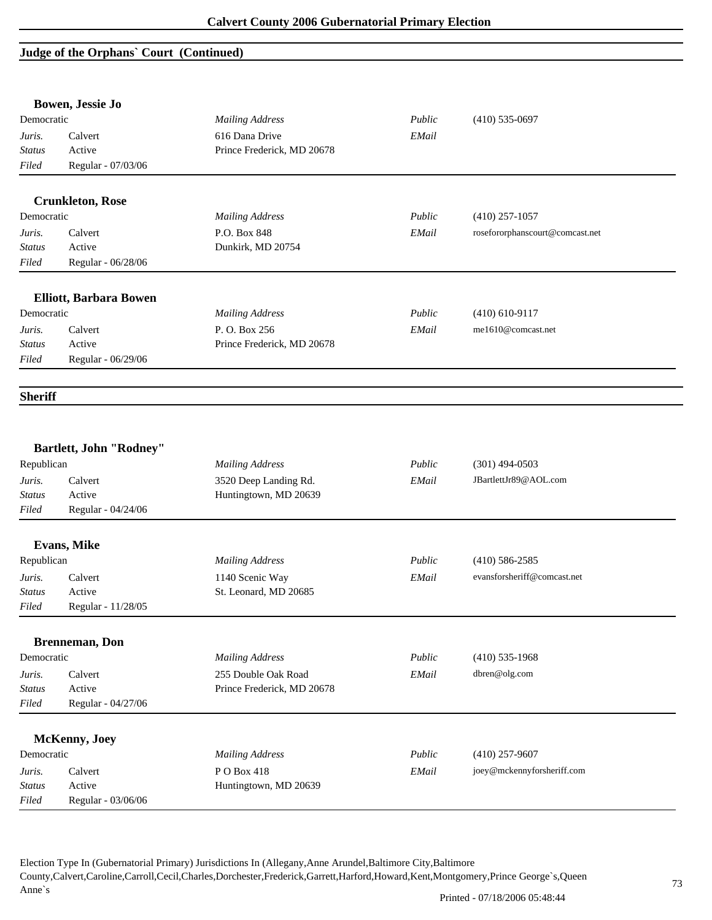# **Judge of the Orphans` Court (Continued)**

|                                         | Bowen, Jessie Jo               |                            |        |                                 |
|-----------------------------------------|--------------------------------|----------------------------|--------|---------------------------------|
| Democratic                              |                                | <b>Mailing Address</b>     | Public | $(410)$ 535-0697                |
| Juris.                                  | Calvert                        | 616 Dana Drive             | EMail  |                                 |
| <b>Status</b>                           | Active                         | Prince Frederick, MD 20678 |        |                                 |
| Filed                                   | Regular - 07/03/06             |                            |        |                                 |
|                                         | <b>Crunkleton, Rose</b>        |                            |        |                                 |
| Democratic                              |                                | <b>Mailing Address</b>     | Public | $(410)$ 257-1057                |
| Juris.                                  | Calvert                        | P.O. Box 848               | EMail  | rosefororphanscourt@comcast.net |
| <b>Status</b>                           | Active                         | Dunkirk, MD 20754          |        |                                 |
| Filed                                   | Regular - 06/28/06             |                            |        |                                 |
|                                         | <b>Elliott, Barbara Bowen</b>  |                            |        |                                 |
| Democratic                              |                                | <b>Mailing Address</b>     | Public | $(410)$ 610-9117                |
| Juris.                                  | Calvert                        | P.O. Box 256               | EMail  | me1610@comcast.net              |
| <b>Status</b>                           | Active                         | Prince Frederick, MD 20678 |        |                                 |
| Filed                                   | Regular - 06/29/06             |                            |        |                                 |
| <b>Sheriff</b>                          |                                |                            |        |                                 |
|                                         | <b>Bartlett, John "Rodney"</b> |                            |        |                                 |
| Republican                              |                                | <b>Mailing Address</b>     | Public | $(301)$ 494-0503                |
| Juris.                                  | Calvert                        | 3520 Deep Landing Rd.      | EMail  | JBartlettJr89@AOL.com           |
| <b>Status</b>                           | Active                         | Huntingtown, MD 20639      |        |                                 |
| Filed                                   | Regular - 04/24/06             |                            |        |                                 |
|                                         | <b>Evans, Mike</b>             |                            |        |                                 |
| Republican                              |                                | <b>Mailing Address</b>     | Public | $(410) 586 - 2585$              |
| Juris.                                  | Calvert                        | 1140 Scenic Way            | EMail  | evansforsheriff@comcast.net     |
| <b>Status</b>                           | Active                         | St. Leonard, MD 20685      |        |                                 |
| Filed                                   | Regular - 11/28/05             |                            |        |                                 |
|                                         | <b>Brenneman</b> , Don         |                            |        |                                 |
| Democratic                              |                                | <b>Mailing Address</b>     | Public | $(410)$ 535-1968                |
|                                         |                                | 255 Double Oak Road        | EMail  | dbren@olg.com                   |
|                                         | Calvert                        |                            |        |                                 |
|                                         | Active                         | Prince Frederick, MD 20678 |        |                                 |
|                                         | Regular - 04/27/06             |                            |        |                                 |
|                                         | McKenny, Joey                  |                            |        |                                 |
| Juris.<br>Status<br>Filed<br>Democratic |                                | <b>Mailing Address</b>     | Public | $(410)$ 257-9607                |
| Juris.                                  | Calvert                        | PO Box 418                 | EMail  | joey@mckennyforsheriff.com      |
| <b>Status</b>                           | Active                         | Huntingtown, MD 20639      |        |                                 |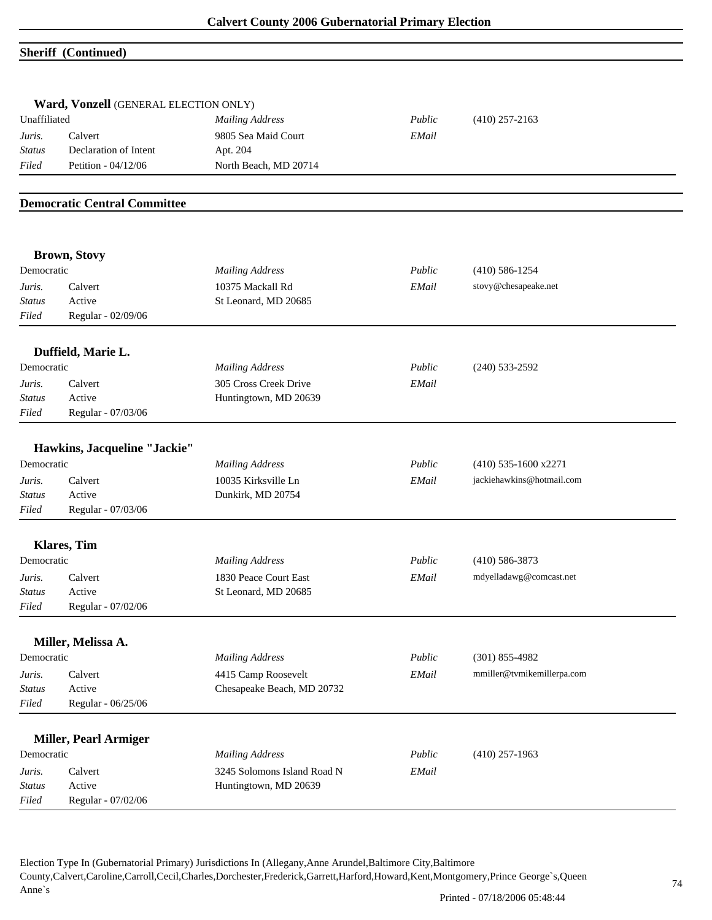#### **Sheriff (Continued)**

|               | Ward, Vonzell (GENERAL ELECTION ONLY) |                             |        |                            |  |
|---------------|---------------------------------------|-----------------------------|--------|----------------------------|--|
| Unaffiliated  |                                       | <b>Mailing Address</b>      | Public | $(410)$ 257-2163           |  |
| Juris.        | Calvert                               | 9805 Sea Maid Court         | EMail  |                            |  |
| <b>Status</b> | Declaration of Intent                 | Apt. 204                    |        |                            |  |
| Filed         | Petition - 04/12/06                   | North Beach, MD 20714       |        |                            |  |
|               | <b>Democratic Central Committee</b>   |                             |        |                            |  |
|               | <b>Brown, Stovy</b>                   |                             |        |                            |  |
| Democratic    |                                       | <b>Mailing Address</b>      | Public | $(410)$ 586-1254           |  |
| Juris.        | Calvert                               | 10375 Mackall Rd            | EMail  | stovy@chesapeake.net       |  |
| <b>Status</b> | Active                                | St Leonard, MD 20685        |        |                            |  |
| Filed         | Regular - 02/09/06                    |                             |        |                            |  |
|               | Duffield, Marie L.                    |                             |        |                            |  |
| Democratic    |                                       | <b>Mailing Address</b>      | Public | $(240)$ 533-2592           |  |
| Juris.        | Calvert                               | 305 Cross Creek Drive       | EMail  |                            |  |
| <b>Status</b> | Active                                | Huntingtown, MD 20639       |        |                            |  |
| Filed         | Regular - 07/03/06                    |                             |        |                            |  |
|               | Hawkins, Jacqueline "Jackie"          |                             |        |                            |  |
| Democratic    |                                       | <b>Mailing Address</b>      | Public | $(410)$ 535-1600 x2271     |  |
| Juris.        | Calvert                               | 10035 Kirksville Ln         | EMail  | jackiehawkins@hotmail.com  |  |
| Status        | Active                                | Dunkirk, MD 20754           |        |                            |  |
| Filed         | Regular - 07/03/06                    |                             |        |                            |  |
|               |                                       |                             |        |                            |  |
|               | <b>Klares</b> , Tim                   |                             |        |                            |  |
| Democratic    |                                       | <b>Mailing Address</b>      | Public | $(410)$ 586-3873           |  |
| Juris.        | Calvert                               | 1830 Peace Court East       | EMail  | mdyelladawg@comcast.net    |  |
| <b>Status</b> | Active                                | St Leonard, MD 20685        |        |                            |  |
| Filed         | Regular - 07/02/06                    |                             |        |                            |  |
|               | Miller, Melissa A.                    |                             |        |                            |  |
| Democratic    |                                       | <b>Mailing Address</b>      | Public | $(301) 855 - 4982$         |  |
| Juris.        | Calvert                               | 4415 Camp Roosevelt         | EMail  | mmiller@tvmikemillerpa.com |  |
| <b>Status</b> | Active                                | Chesapeake Beach, MD 20732  |        |                            |  |
| Filed         | Regular - 06/25/06                    |                             |        |                            |  |
|               | <b>Miller, Pearl Armiger</b>          |                             |        |                            |  |
| Democratic    |                                       | <b>Mailing Address</b>      | Public | $(410)$ 257-1963           |  |
| Juris.        | Calvert                               | 3245 Solomons Island Road N | EMail  |                            |  |
| <b>Status</b> | Active                                | Huntingtown, MD 20639       |        |                            |  |
| Filed         | Regular - 07/02/06                    |                             |        |                            |  |
|               |                                       |                             |        |                            |  |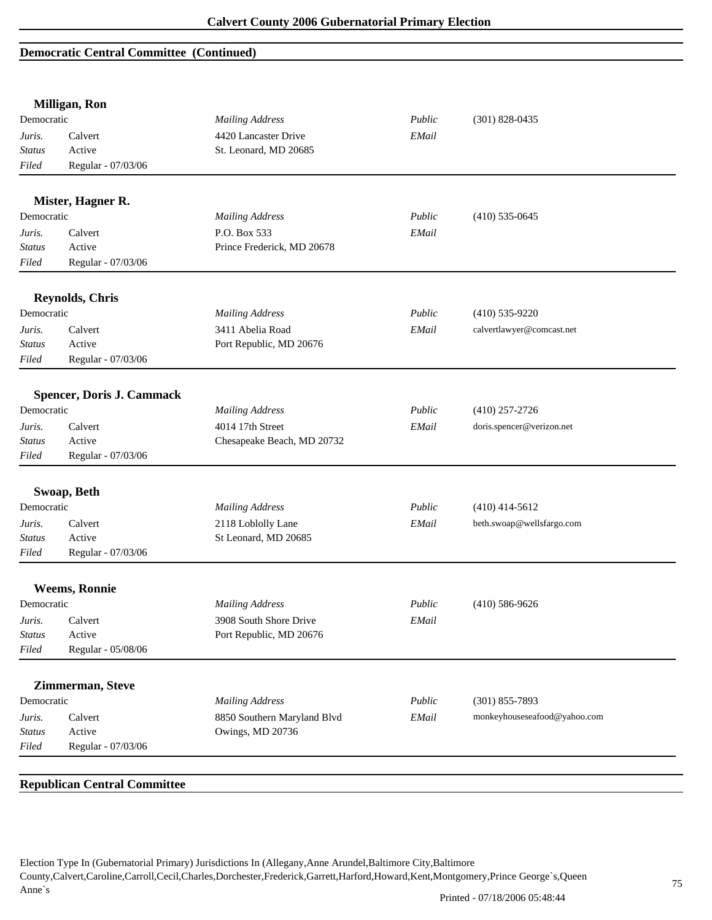## **Democratic Central Committee (Continued)**

|                        | Milligan, Ron                    |                                                 |        |                              |
|------------------------|----------------------------------|-------------------------------------------------|--------|------------------------------|
| Democratic             |                                  | <b>Mailing Address</b>                          | Public | $(301) 828 - 0435$           |
| Juris.                 | Calvert                          | 4420 Lancaster Drive                            | EMail  |                              |
| <b>Status</b>          | Active                           | St. Leonard, MD 20685                           |        |                              |
| Filed                  | Regular - 07/03/06               |                                                 |        |                              |
|                        | Mister, Hagner R.                |                                                 |        |                              |
| Democratic             |                                  | <b>Mailing Address</b>                          | Public | $(410)$ 535-0645             |
| Juris.                 | Calvert                          | P.O. Box 533                                    | EMail  |                              |
| Status                 | Active                           | Prince Frederick, MD 20678                      |        |                              |
| Filed                  | Regular - 07/03/06               |                                                 |        |                              |
|                        | <b>Reynolds, Chris</b>           |                                                 |        |                              |
| Democratic             |                                  | <b>Mailing Address</b>                          | Public | $(410)$ 535-9220             |
| Juris.                 | Calvert                          | 3411 Abelia Road                                | EMail  | calvertlawyer@comcast.net    |
| Status                 | Active                           | Port Republic, MD 20676                         |        |                              |
| Filed                  | Regular - 07/03/06               |                                                 |        |                              |
|                        |                                  |                                                 |        |                              |
|                        | <b>Spencer, Doris J. Cammack</b> |                                                 |        |                              |
| Democratic             |                                  | <b>Mailing Address</b>                          | Public | $(410)$ 257-2726             |
| Juris.                 | Calvert                          | 4014 17th Street                                | EMail  | doris.spencer@verizon.net    |
| <b>Status</b>          | Active                           | Chesapeake Beach, MD 20732                      |        |                              |
| Filed                  | Regular - 07/03/06               |                                                 |        |                              |
|                        | Swoap, Beth                      |                                                 |        |                              |
| Democratic             |                                  | <b>Mailing Address</b>                          | Public | $(410)$ 414-5612             |
| Juris.                 | Calvert                          | 2118 Loblolly Lane                              | EMail  | beth.swoap@wellsfargo.com    |
| Status                 | Active                           | St Leonard, MD 20685                            |        |                              |
| Filed                  | Regular - 07/03/06               |                                                 |        |                              |
|                        |                                  |                                                 |        |                              |
|                        | <b>Weems, Ronnie</b>             |                                                 |        |                              |
| Democratic             |                                  | <b>Mailing Address</b>                          | Public | $(410)$ 586-9626             |
| Juris.                 | Calvert                          | 3908 South Shore Drive                          | EMail  |                              |
| Status                 | Active                           | Port Republic, MD 20676                         |        |                              |
| Filed                  | Regular - 05/08/06               |                                                 |        |                              |
|                        | Zimmerman, Steve                 |                                                 |        |                              |
| Democratic             |                                  | <b>Mailing Address</b>                          | Public | $(301) 855 - 7893$           |
|                        |                                  |                                                 |        |                              |
|                        | Calvert                          | 8850 Southern Maryland Blvd<br>Owings, MD 20736 | EMail  | monkeyhouseseafood@yahoo.com |
| Juris.                 |                                  |                                                 |        |                              |
| <b>Status</b><br>Filed | Active<br>Regular - 07/03/06     |                                                 |        |                              |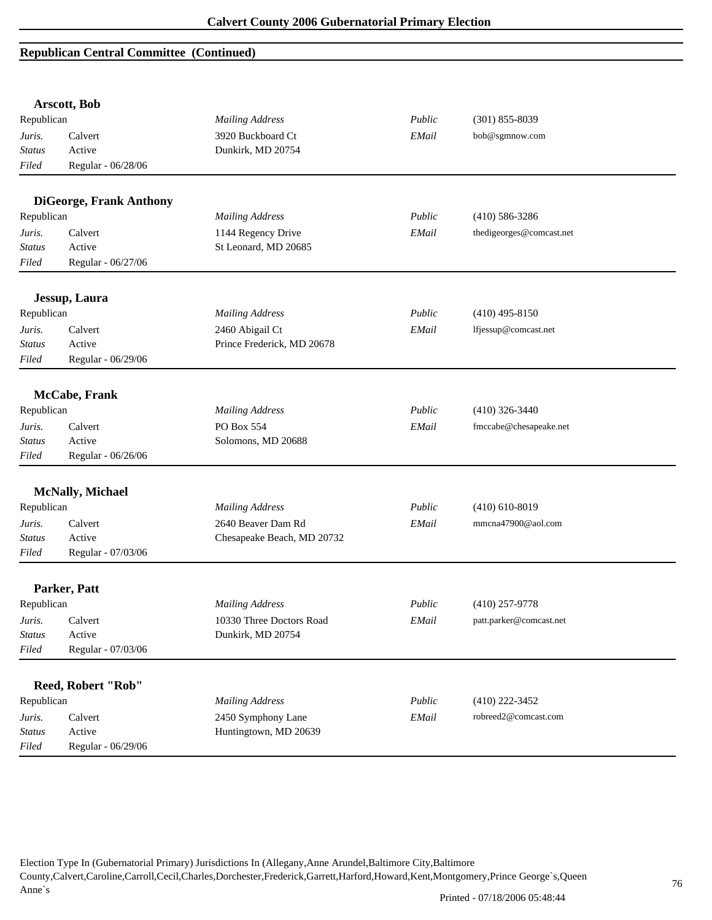|               | Arscott, Bob                   |                            |        |                          |
|---------------|--------------------------------|----------------------------|--------|--------------------------|
| Republican    |                                | <b>Mailing Address</b>     | Public | $(301)$ 855-8039         |
| Juris.        | Calvert                        | 3920 Buckboard Ct          | EMail  | bob@sgmnow.com           |
| <b>Status</b> | Active                         | Dunkirk, MD 20754          |        |                          |
| Filed         | Regular - 06/28/06             |                            |        |                          |
|               |                                |                            |        |                          |
|               | <b>DiGeorge, Frank Anthony</b> |                            |        |                          |
| Republican    |                                | <b>Mailing Address</b>     | Public | $(410) 586 - 3286$       |
| Juris.        | Calvert                        | 1144 Regency Drive         | EMail  | thedigeorges@comcast.net |
| <b>Status</b> | Active                         | St Leonard, MD 20685       |        |                          |
| Filed         | Regular - 06/27/06             |                            |        |                          |
|               | Jessup, Laura                  |                            |        |                          |
| Republican    |                                | <b>Mailing Address</b>     | Public | $(410)$ 495-8150         |
| Juris.        | Calvert                        | 2460 Abigail Ct            | EMail  | lfjessup@comcast.net     |
| <b>Status</b> | Active                         | Prince Frederick, MD 20678 |        |                          |
| Filed         | Regular - 06/29/06             |                            |        |                          |
|               |                                |                            |        |                          |
|               | <b>McCabe, Frank</b>           |                            |        |                          |
| Republican    |                                | <b>Mailing Address</b>     | Public | $(410)$ 326-3440         |
| Juris.        | Calvert                        | PO Box 554                 | EMail  | fmccabe@chesapeake.net   |
| <b>Status</b> | Active                         | Solomons, MD 20688         |        |                          |
| Filed         | Regular - 06/26/06             |                            |        |                          |
|               | <b>McNally, Michael</b>        |                            |        |                          |
| Republican    |                                | <b>Mailing Address</b>     | Public | $(410)$ 610-8019         |
| Juris.        | Calvert                        | 2640 Beaver Dam Rd         | EMail  | mmcna47900@aol.com       |
| <b>Status</b> | Active                         | Chesapeake Beach, MD 20732 |        |                          |
| Filed         | Regular - 07/03/06             |                            |        |                          |
|               |                                |                            |        |                          |
|               | Parker, Patt                   |                            |        |                          |
| Republican    |                                | <b>Mailing Address</b>     | Public | $(410)$ 257-9778         |
| Juris.        | Calvert                        | 10330 Three Doctors Road   | EMail  | patt.parker@comcast.net  |
| <b>Status</b> | Active                         | Dunkirk, MD 20754          |        |                          |
| Filed         | Regular - 07/03/06             |                            |        |                          |
|               | Reed, Robert "Rob"             |                            |        |                          |
| Republican    |                                | <b>Mailing Address</b>     | Public | $(410)$ 222-3452         |
| Juris.        | Calvert                        | 2450 Symphony Lane         | EMail  | robreed2@comcast.com     |
| <b>Status</b> | Active                         | Huntingtown, MD 20639      |        |                          |
| Filed         | Regular - 06/29/06             |                            |        |                          |
|               |                                |                            |        |                          |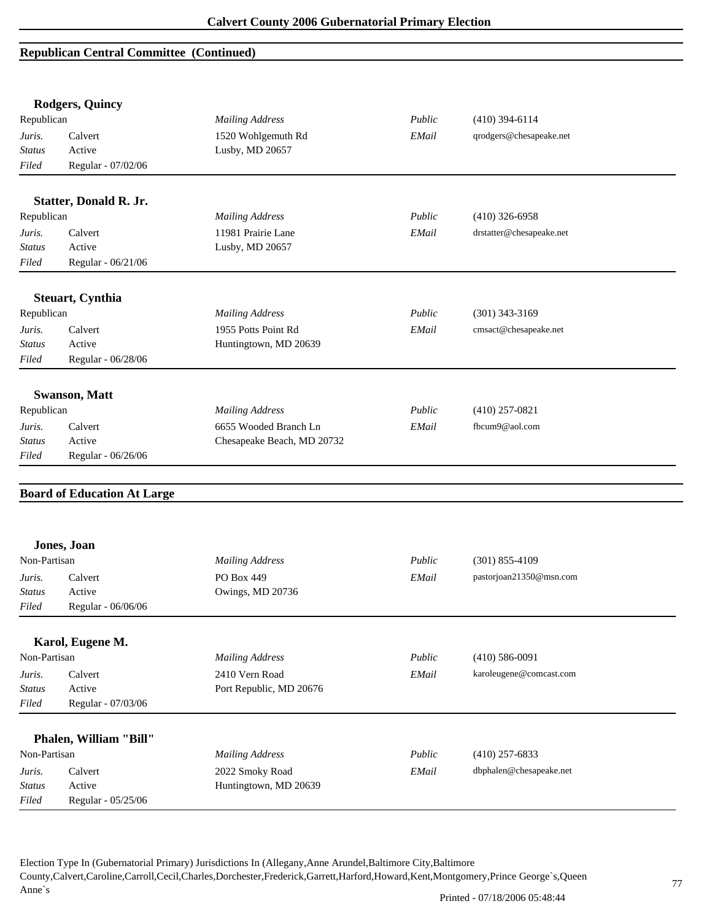|               | <b>Rodgers, Quincy</b>             |                            |        |                          |  |
|---------------|------------------------------------|----------------------------|--------|--------------------------|--|
| Republican    |                                    | <b>Mailing Address</b>     | Public | $(410)$ 394-6114         |  |
| Juris.        | Calvert                            | 1520 Wohlgemuth Rd         | EMail  | qrodgers@chesapeake.net  |  |
| Status        | Active                             | Lusby, MD 20657            |        |                          |  |
| Filed         | Regular - 07/02/06                 |                            |        |                          |  |
|               | <b>Statter, Donald R. Jr.</b>      |                            |        |                          |  |
| Republican    |                                    | <b>Mailing Address</b>     | Public | $(410)$ 326-6958         |  |
| Juris.        | Calvert                            | 11981 Prairie Lane         | EMail  | drstatter@chesapeake.net |  |
| <b>Status</b> | Active                             | Lusby, MD 20657            |        |                          |  |
| Filed         | Regular - 06/21/06                 |                            |        |                          |  |
|               | <b>Steuart, Cynthia</b>            |                            |        |                          |  |
| Republican    |                                    | <b>Mailing Address</b>     | Public | $(301)$ 343-3169         |  |
| Juris.        | Calvert                            | 1955 Potts Point Rd        | EMail  | cmsact@chesapeake.net    |  |
| <b>Status</b> | Active                             | Huntingtown, MD 20639      |        |                          |  |
| Filed         | Regular - 06/28/06                 |                            |        |                          |  |
|               | <b>Swanson, Matt</b>               |                            |        |                          |  |
| Republican    |                                    | <b>Mailing Address</b>     | Public | $(410)$ 257-0821         |  |
| Juris.        | Calvert                            | 6655 Wooded Branch Ln      | EMail  | fbcum9@aol.com           |  |
| Status        | Active                             | Chesapeake Beach, MD 20732 |        |                          |  |
| Filed         | Regular - 06/26/06                 |                            |        |                          |  |
|               |                                    |                            |        |                          |  |
|               | <b>Board of Education At Large</b> |                            |        |                          |  |
|               |                                    |                            |        |                          |  |
|               | Jones, Joan                        |                            |        |                          |  |
| Non-Partisan  |                                    | <b>Mailing Address</b>     | Public | $(301)$ 855-4109         |  |
| Juris.        | Calvert                            | PO Box 449                 | EMail  | pastorjoan21350@msn.com  |  |
| <b>Status</b> | Active                             | Owings, MD 20736           |        |                          |  |
| Filed         | Regular - 06/06/06                 |                            |        |                          |  |
|               | Karol, Eugene M.                   |                            |        |                          |  |
| Non-Partisan  |                                    | <b>Mailing Address</b>     | Public | $(410) 586 - 0091$       |  |
| Juris.        | Calvert                            | 2410 Vern Road             | EMail  | karoleugene@comcast.com  |  |
| <b>Status</b> | Active                             | Port Republic, MD 20676    |        |                          |  |
| Filed         | Regular - 07/03/06                 |                            |        |                          |  |
|               | Phalen, William "Bill"             |                            |        |                          |  |
| Non-Partisan  |                                    | <b>Mailing Address</b>     | Public | $(410)$ 257-6833         |  |
| Juris.        | Calvert                            | 2022 Smoky Road            | EMail  | dbphalen@chesapeake.net  |  |
| <b>Status</b> |                                    |                            |        |                          |  |
|               | Active<br>Regular - 05/25/06       | Huntingtown, MD 20639      |        |                          |  |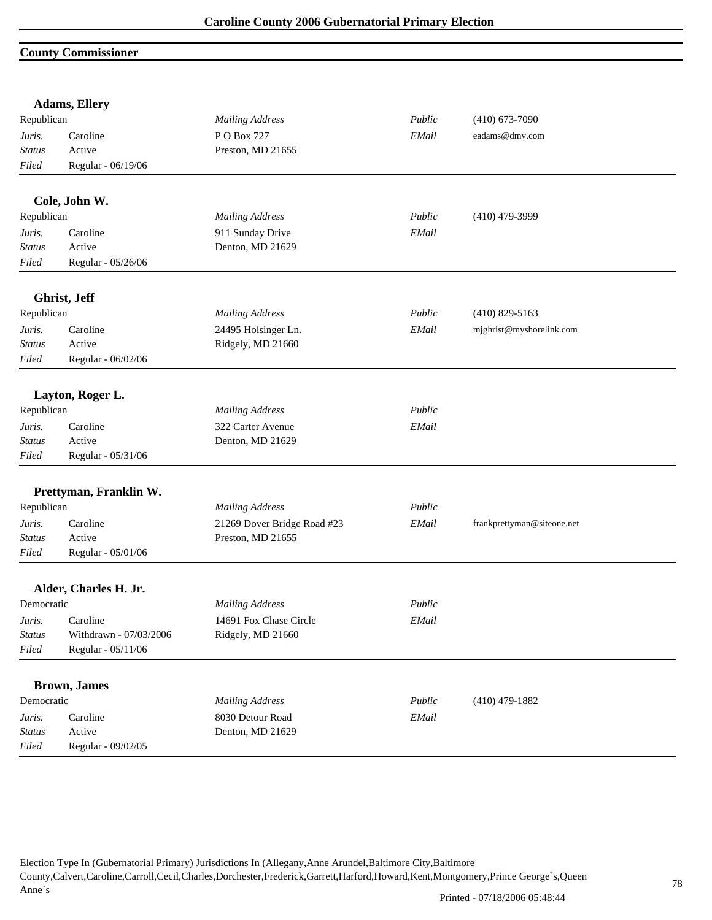## **County Commissioner**

|               | <b>Adams, Ellery</b>   |                             |        |                            |  |
|---------------|------------------------|-----------------------------|--------|----------------------------|--|
| Republican    |                        | <b>Mailing Address</b>      | Public | $(410)$ 673-7090           |  |
| Juris.        | Caroline               | P O Box 727                 | EMail  | eadams@dmv.com             |  |
| Status        | Active                 | Preston, MD 21655           |        |                            |  |
| Filed         | Regular - 06/19/06     |                             |        |                            |  |
|               | Cole, John W.          |                             |        |                            |  |
| Republican    |                        | <b>Mailing Address</b>      | Public | $(410)$ 479-3999           |  |
| Juris.        | Caroline               | 911 Sunday Drive            | EMail  |                            |  |
| Status        | Active                 | Denton, MD 21629            |        |                            |  |
| Filed         | Regular - 05/26/06     |                             |        |                            |  |
|               | Ghrist, Jeff           |                             |        |                            |  |
| Republican    |                        | <b>Mailing Address</b>      | Public | $(410)$ 829-5163           |  |
| Juris.        | Caroline               | 24495 Holsinger Ln.         | EMail  | mjghrist@myshorelink.com   |  |
| <b>Status</b> | Active                 | Ridgely, MD 21660           |        |                            |  |
| Filed         | Regular - 06/02/06     |                             |        |                            |  |
|               | Layton, Roger L.       |                             |        |                            |  |
| Republican    |                        | <b>Mailing Address</b>      | Public |                            |  |
| Juris.        | Caroline               | 322 Carter Avenue           | EMail  |                            |  |
| <b>Status</b> | Active                 | Denton, MD 21629            |        |                            |  |
| Filed         | Regular - 05/31/06     |                             |        |                            |  |
|               |                        |                             |        |                            |  |
|               | Prettyman, Franklin W. |                             |        |                            |  |
| Republican    |                        | <b>Mailing Address</b>      | Public |                            |  |
| Juris.        | Caroline               | 21269 Dover Bridge Road #23 | EMail  | frankprettyman@siteone.net |  |
| <b>Status</b> | Active                 | Preston, MD 21655           |        |                            |  |
| Filed         | Regular - 05/01/06     |                             |        |                            |  |
|               | Alder, Charles H. Jr.  |                             |        |                            |  |
| Democratic    |                        | <b>Mailing Address</b>      | Public |                            |  |
| Juris.        | Caroline               | 14691 Fox Chase Circle      | EMail  |                            |  |
| Status        | Withdrawn - 07/03/2006 | Ridgely, MD 21660           |        |                            |  |
| $Filed$       | Regular - 05/11/06     |                             |        |                            |  |
|               |                        |                             |        |                            |  |
|               | <b>Brown</b> , James   |                             |        |                            |  |
| Democratic    |                        | <b>Mailing Address</b>      | Public | $(410)$ 479-1882           |  |
| Juris.        | Caroline               | 8030 Detour Road            | EMail  |                            |  |
| <b>Status</b> | Active                 | Denton, MD 21629            |        |                            |  |
| Filed         | Regular - 09/02/05     |                             |        |                            |  |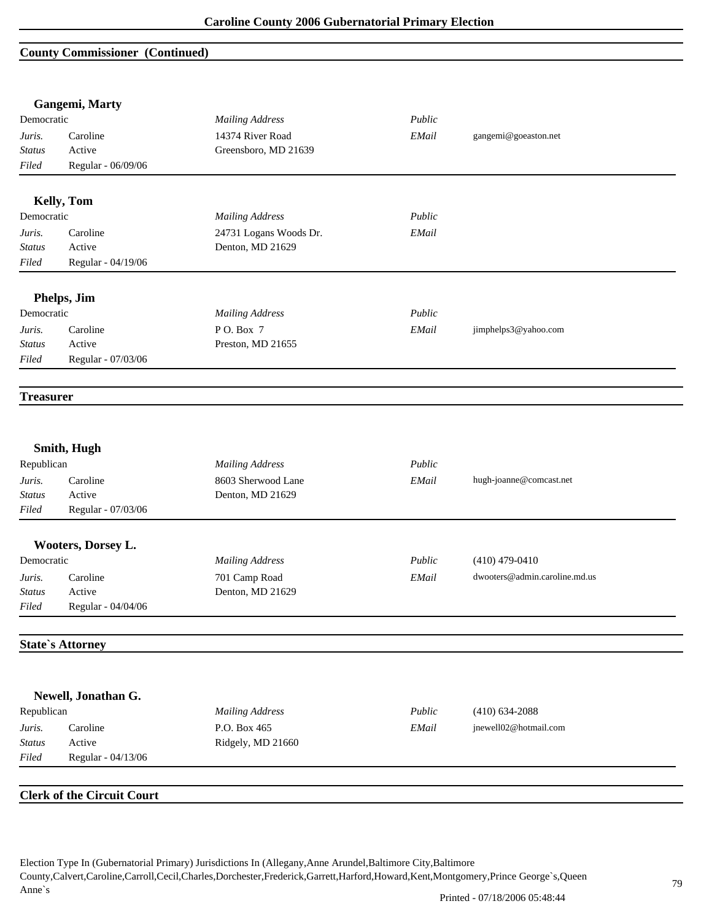#### **County Commissioner (Continued)**

|                  | Gangemi, Marty                    |                        |        |                               |
|------------------|-----------------------------------|------------------------|--------|-------------------------------|
| Democratic       |                                   | <b>Mailing Address</b> | Public |                               |
| Juris.           | Caroline                          | 14374 River Road       | EMail  | gangemi@goeaston.net          |
| <b>Status</b>    | Active                            | Greensboro, MD 21639   |        |                               |
| Filed            | Regular - 06/09/06                |                        |        |                               |
|                  | Kelly, Tom                        |                        |        |                               |
| Democratic       |                                   | <b>Mailing Address</b> | Public |                               |
| Juris.           | Caroline                          | 24731 Logans Woods Dr. | EMail  |                               |
| <b>Status</b>    | Active                            | Denton, MD 21629       |        |                               |
| Filed            | Regular - 04/19/06                |                        |        |                               |
|                  | Phelps, Jim                       |                        |        |                               |
| Democratic       |                                   | <b>Mailing Address</b> | Public |                               |
| Juris.           | Caroline                          | P O. Box 7             | EMail  | jimphelps3@yahoo.com          |
| <b>Status</b>    | Active                            | Preston, MD 21655      |        |                               |
| Filed            | Regular - 07/03/06                |                        |        |                               |
| <b>Treasurer</b> |                                   |                        |        |                               |
|                  | Smith, Hugh                       |                        |        |                               |
| Republican       |                                   | <b>Mailing Address</b> | Public |                               |
| Juris.           | Caroline                          | 8603 Sherwood Lane     | EMail  | hugh-joanne@comcast.net       |
| <b>Status</b>    | Active                            | Denton, MD 21629       |        |                               |
| Filed            | Regular - 07/03/06                |                        |        |                               |
|                  | Wooters, Dorsey L.                |                        |        |                               |
| Democratic       |                                   | <b>Mailing Address</b> | Public | $(410)$ 479-0410              |
| Juris.           | Caroline                          | 701 Camp Road          | EMail  | dwooters@admin.caroline.md.us |
| Status           | Active                            | Denton, MD 21629       |        |                               |
| Filed            | Regular - 04/04/06                |                        |        |                               |
|                  | <b>State's Attorney</b>           |                        |        |                               |
|                  | Newell, Jonathan G.               |                        |        |                               |
| Republican       |                                   | <b>Mailing Address</b> | Public | $(410) 634 - 2088$            |
| Juris.           | Caroline                          | P.O. Box 465           | EMail  | jnewell02@hotmail.com         |
| <b>Status</b>    | Active                            | Ridgely, MD 21660      |        |                               |
| Filed            | Regular - 04/13/06                |                        |        |                               |
|                  |                                   |                        |        |                               |
|                  | <b>Clerk of the Circuit Court</b> |                        |        |                               |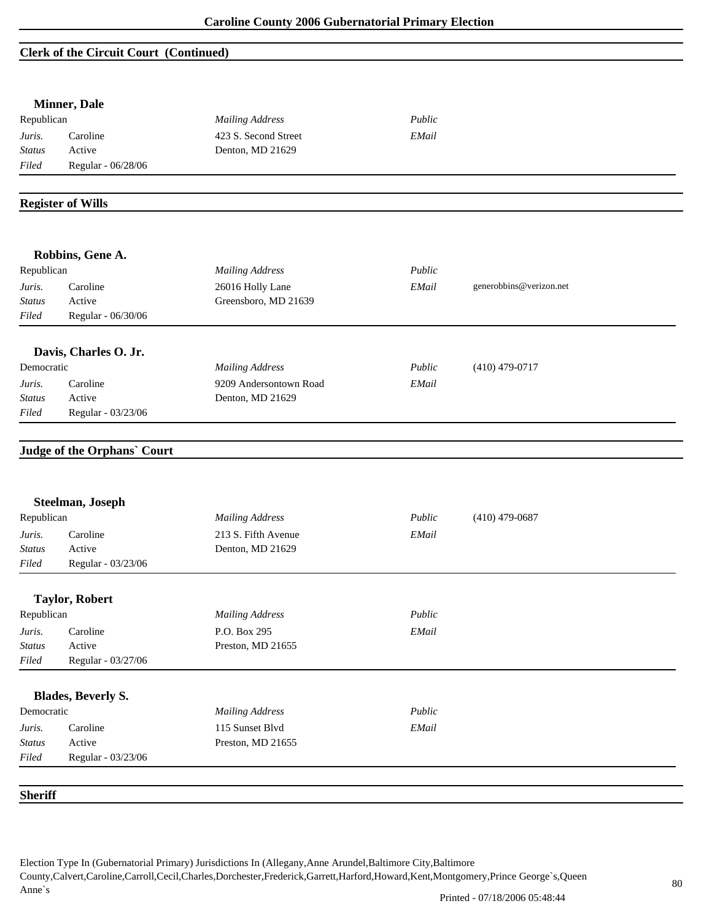### **Clerk of the Circuit Court (Continued)**

|                         | <b>Minner</b> , Dale               |                        |        |                         |
|-------------------------|------------------------------------|------------------------|--------|-------------------------|
| Republican              |                                    | <b>Mailing Address</b> | Public |                         |
| Juris.                  | Caroline                           | 423 S. Second Street   | EMail  |                         |
| <b>Status</b>           | Active                             | Denton, MD 21629       |        |                         |
| Filed                   | Regular - 06/28/06                 |                        |        |                         |
|                         | <b>Register of Wills</b>           |                        |        |                         |
|                         |                                    |                        |        |                         |
|                         | Robbins, Gene A.                   |                        |        |                         |
| Republican              |                                    | <b>Mailing Address</b> | Public |                         |
| Juris.                  | Caroline                           | 26016 Holly Lane       | EMail  | generobbins@verizon.net |
| Status                  | Active                             | Greensboro, MD 21639   |        |                         |
| Filed                   | Regular - 06/30/06                 |                        |        |                         |
|                         | Davis, Charles O. Jr.              |                        |        |                         |
| Democratic              |                                    | <b>Mailing Address</b> | Public | $(410)$ 479-0717        |
| Juris.                  | Caroline                           | 9209 Andersontown Road | EMail  |                         |
| <b>Status</b>           | Active                             | Denton, MD 21629       |        |                         |
| Filed                   | Regular - 03/23/06                 |                        |        |                         |
|                         | <b>Judge of the Orphans' Court</b> |                        |        |                         |
|                         |                                    |                        |        |                         |
|                         | Steelman, Joseph                   |                        |        |                         |
| Republican              |                                    | <b>Mailing Address</b> | Public | $(410)$ 479-0687        |
| Juris.                  | Caroline                           | 213 S. Fifth Avenue    | EMail  |                         |
| <b>Status</b>           | Active                             | Denton, MD 21629       |        |                         |
| Filed                   | Regular - 03/23/06                 |                        |        |                         |
|                         | <b>Taylor, Robert</b>              |                        |        |                         |
| Republican              |                                    | <b>Mailing Address</b> | Public |                         |
| Juris.                  | Caroline                           | P.O. Box 295           | EMail  |                         |
| <b>Status</b>           | Active                             | Preston, MD 21655      |        |                         |
| Filed                   | Regular - 03/27/06                 |                        |        |                         |
|                         | <b>Blades, Beverly S.</b>          |                        |        |                         |
| Democratic              |                                    | <b>Mailing Address</b> | Public |                         |
|                         | Caroline                           | 115 Sunset Blvd        | EMail  |                         |
| Juris.<br><b>Status</b> | Active                             | Preston, MD 21655      |        |                         |
| Filed                   | Regular - 03/23/06                 |                        |        |                         |
|                         |                                    |                        |        |                         |
| <b>Sheriff</b>          |                                    |                        |        |                         |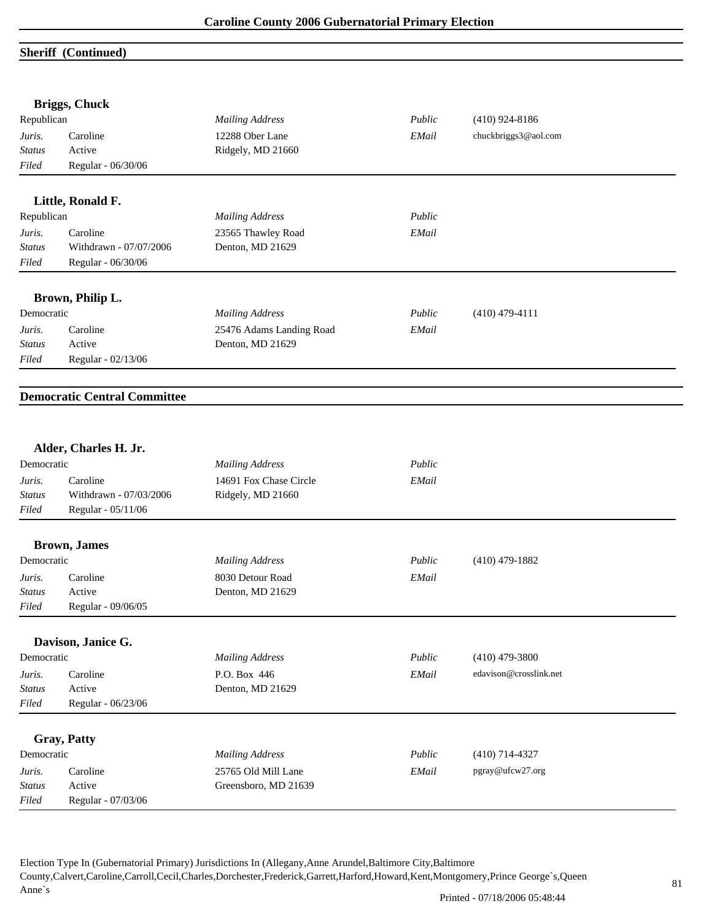# **Sheriff (Continued)**

|               | <b>Briggs, Chuck</b>                |                          |        |                        |  |
|---------------|-------------------------------------|--------------------------|--------|------------------------|--|
| Republican    |                                     | <b>Mailing Address</b>   | Public | $(410)$ 924-8186       |  |
| Juris.        | Caroline                            | 12288 Ober Lane          | EMail  | chuckbriggs3@aol.com   |  |
| <b>Status</b> | Active                              | Ridgely, MD 21660        |        |                        |  |
| Filed         | Regular - 06/30/06                  |                          |        |                        |  |
|               | Little, Ronald F.                   |                          |        |                        |  |
| Republican    |                                     | <b>Mailing Address</b>   | Public |                        |  |
| Juris.        | Caroline                            | 23565 Thawley Road       | EMail  |                        |  |
| Status        | Withdrawn - 07/07/2006              | Denton, MD 21629         |        |                        |  |
| Filed         | Regular - 06/30/06                  |                          |        |                        |  |
|               | Brown, Philip L.                    |                          |        |                        |  |
| Democratic    |                                     | <b>Mailing Address</b>   | Public | $(410)$ 479-4111       |  |
| Juris.        | Caroline                            | 25476 Adams Landing Road | EMail  |                        |  |
| <b>Status</b> | Active                              | Denton, MD 21629         |        |                        |  |
| Filed         | Regular - 02/13/06                  |                          |        |                        |  |
|               | <b>Democratic Central Committee</b> |                          |        |                        |  |
|               | Alder, Charles H. Jr.               |                          |        |                        |  |
| Democratic    |                                     | <b>Mailing Address</b>   | Public |                        |  |
| Juris.        | Caroline                            | 14691 Fox Chase Circle   | EMail  |                        |  |
| <b>Status</b> | Withdrawn - 07/03/2006              | Ridgely, MD 21660        |        |                        |  |
| Filed         | Regular - 05/11/06                  |                          |        |                        |  |
|               | <b>Brown</b> , James                |                          |        |                        |  |
| Democratic    |                                     | <b>Mailing Address</b>   | Public | $(410)$ 479-1882       |  |
| Juris.        | Caroline                            | 8030 Detour Road         | EMail  |                        |  |
| <i>Status</i> | Active                              | Denton, MD 21629         |        |                        |  |
| Filed         | Regular - 09/06/05                  |                          |        |                        |  |
|               | Davison, Janice G.                  |                          |        |                        |  |
| Democratic    |                                     | <b>Mailing Address</b>   | Public | $(410)$ 479-3800       |  |
| Juris.        | Caroline                            | P.O. Box 446             | EMail  | edavison@crosslink.net |  |
| <b>Status</b> | Active                              | Denton, MD 21629         |        |                        |  |
| Filed         | Regular - 06/23/06                  |                          |        |                        |  |
|               | <b>Gray, Patty</b>                  |                          |        |                        |  |
| Democratic    |                                     | <b>Mailing Address</b>   | Public | $(410)$ 714-4327       |  |
| Juris.        | Caroline                            | 25765 Old Mill Lane      | EMail  | pgray@ufcw27.org       |  |
| Status        | Active                              | Greensboro, MD 21639     |        |                        |  |
| Filed         | Regular - 07/03/06                  |                          |        |                        |  |
|               |                                     |                          |        |                        |  |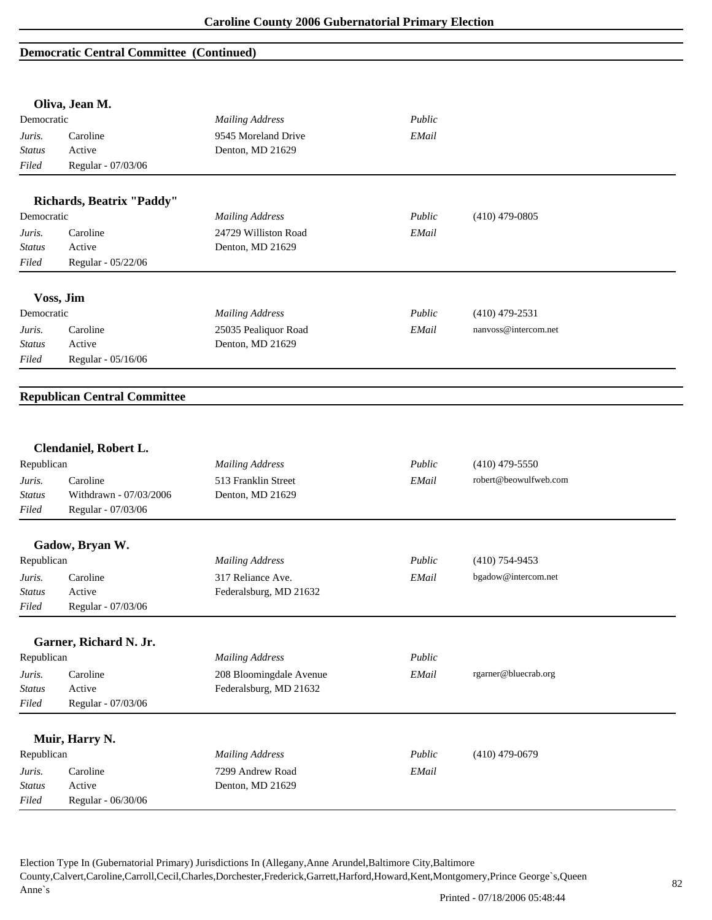### **Democratic Central Committee (Continued)**

|                                                                                                                      | Oliva, Jean M.                      |                                          |        |                       |  |
|----------------------------------------------------------------------------------------------------------------------|-------------------------------------|------------------------------------------|--------|-----------------------|--|
| Democratic                                                                                                           |                                     | <b>Mailing Address</b>                   | Public |                       |  |
| Juris.                                                                                                               | Caroline                            | 9545 Moreland Drive                      | EMail  |                       |  |
| <b>Status</b>                                                                                                        | Active                              | Denton, MD 21629                         |        |                       |  |
| Filed                                                                                                                | Regular - 07/03/06                  |                                          |        |                       |  |
|                                                                                                                      | Richards, Beatrix "Paddy"           |                                          |        |                       |  |
| Democratic                                                                                                           |                                     | <b>Mailing Address</b>                   | Public | $(410)$ 479-0805      |  |
| Juris.                                                                                                               | Caroline                            | 24729 Williston Road                     | EMail  |                       |  |
| <b>Status</b>                                                                                                        | Active                              | Denton, MD 21629                         |        |                       |  |
| Filed                                                                                                                | Regular - 05/22/06                  |                                          |        |                       |  |
|                                                                                                                      | Voss, Jim                           |                                          |        |                       |  |
| Democratic                                                                                                           |                                     | <b>Mailing Address</b>                   | Public | $(410)$ 479-2531      |  |
|                                                                                                                      | Caroline                            |                                          | EMail  | nanvoss@intercom.net  |  |
| Juris.                                                                                                               | Active                              | 25035 Pealiquor Road<br>Denton, MD 21629 |        |                       |  |
| <b>Status</b><br>Filed                                                                                               |                                     |                                          |        |                       |  |
|                                                                                                                      | Regular - 05/16/06                  |                                          |        |                       |  |
|                                                                                                                      | <b>Republican Central Committee</b> |                                          |        |                       |  |
| Republican                                                                                                           | Clendaniel, Robert L.               | <b>Mailing Address</b>                   | Public |                       |  |
|                                                                                                                      |                                     |                                          |        | $(410)$ 479-5550      |  |
|                                                                                                                      | Caroline                            | 513 Franklin Street                      | EMail  | robert@beowulfweb.com |  |
|                                                                                                                      | Withdrawn - 07/03/2006              | Denton, MD 21629                         |        |                       |  |
|                                                                                                                      | Regular - 07/03/06                  |                                          |        |                       |  |
|                                                                                                                      | Gadow, Bryan W.                     |                                          |        |                       |  |
|                                                                                                                      |                                     | <b>Mailing Address</b>                   | Public | $(410)$ 754-9453      |  |
|                                                                                                                      | Caroline                            | 317 Reliance Ave.                        | EMail  | bgadow@intercom.net   |  |
|                                                                                                                      | Active                              | Federalsburg, MD 21632                   |        |                       |  |
|                                                                                                                      | Regular - 07/03/06                  |                                          |        |                       |  |
|                                                                                                                      |                                     |                                          |        |                       |  |
|                                                                                                                      | Garner, Richard N. Jr.              |                                          |        |                       |  |
|                                                                                                                      |                                     | <b>Mailing Address</b>                   | Public |                       |  |
|                                                                                                                      | Caroline                            | 208 Bloomingdale Avenue                  | EMail  | rgarner@bluecrab.org  |  |
| Juris.<br>Status<br>Filed<br>Republican<br>Juris.<br><b>Status</b><br>Filed<br>Republican<br>Juris.<br><b>Status</b> | Active                              | Federalsburg, MD 21632                   |        |                       |  |
| Filed                                                                                                                | Regular - 07/03/06                  |                                          |        |                       |  |
|                                                                                                                      | Muir, Harry N.                      |                                          |        |                       |  |
| Republican                                                                                                           |                                     | <b>Mailing Address</b>                   | Public | $(410)$ 479-0679      |  |
| Juris.                                                                                                               | Caroline                            | 7299 Andrew Road                         | EMail  |                       |  |
| <b>Status</b>                                                                                                        | Active<br>Regular - 06/30/06        | Denton, MD 21629                         |        |                       |  |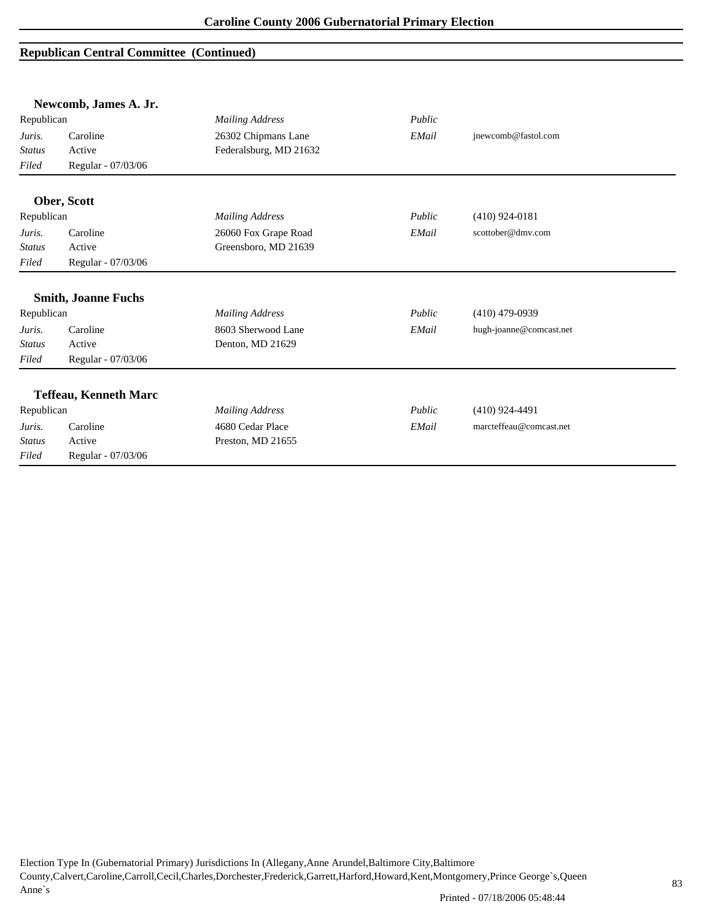| Newcomb, James A. Jr. |                              |                        |        |                         |
|-----------------------|------------------------------|------------------------|--------|-------------------------|
| Republican            |                              | <b>Mailing Address</b> | Public |                         |
| Juris.                | Caroline                     | 26302 Chipmans Lane    | EMail  | jnewcomb@fastol.com     |
| <b>Status</b>         | Active                       | Federalsburg, MD 21632 |        |                         |
| Filed                 | Regular - 07/03/06           |                        |        |                         |
|                       | Ober, Scott                  |                        |        |                         |
| Republican            |                              | <b>Mailing Address</b> | Public | $(410)$ 924-0181        |
| Juris.                | Caroline                     | 26060 Fox Grape Road   | EMail  | scottober@dmv.com       |
| <b>Status</b>         | Active                       | Greensboro, MD 21639   |        |                         |
| Filed                 | Regular - 07/03/06           |                        |        |                         |
|                       | <b>Smith, Joanne Fuchs</b>   |                        |        |                         |
| Republican            |                              | <b>Mailing Address</b> | Public | $(410)$ 479-0939        |
| Juris.                | Caroline                     | 8603 Sherwood Lane     | EMail  | hugh-joanne@comcast.net |
| <b>Status</b>         | Active                       | Denton, MD 21629       |        |                         |
| Filed                 | Regular - 07/03/06           |                        |        |                         |
|                       | <b>Teffeau, Kenneth Marc</b> |                        |        |                         |
| Republican            |                              | <b>Mailing Address</b> | Public | $(410)$ 924-4491        |
| Juris.                | Caroline                     | 4680 Cedar Place       | EMail  | marcteffeau@comcast.net |
| <b>Status</b>         | Active                       | Preston, MD 21655      |        |                         |
| Filed                 | Regular - 07/03/06           |                        |        |                         |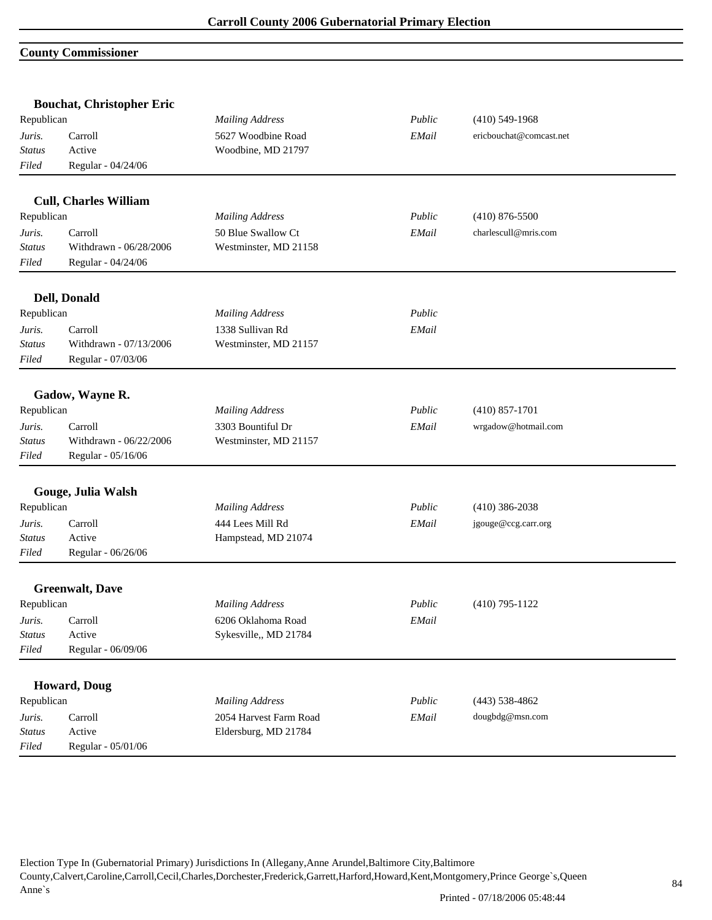## **County Commissioner**

|               | <b>Bouchat, Christopher Eric</b> |                        |        |                         |  |
|---------------|----------------------------------|------------------------|--------|-------------------------|--|
| Republican    |                                  | <b>Mailing Address</b> | Public | $(410)$ 549-1968        |  |
| Juris.        | Carroll                          | 5627 Woodbine Road     | EMail  | ericbouchat@comcast.net |  |
| <b>Status</b> | Active                           | Woodbine, MD 21797     |        |                         |  |
| Filed         | Regular - 04/24/06               |                        |        |                         |  |
|               | <b>Cull, Charles William</b>     |                        |        |                         |  |
| Republican    |                                  | <b>Mailing Address</b> | Public | $(410)$ 876-5500        |  |
| Juris.        | Carroll                          | 50 Blue Swallow Ct     | EMail  | charlescull@mris.com    |  |
| <b>Status</b> | Withdrawn - 06/28/2006           | Westminster, MD 21158  |        |                         |  |
| Filed         | Regular - 04/24/06               |                        |        |                         |  |
|               | Dell, Donald                     |                        |        |                         |  |
| Republican    |                                  | <b>Mailing Address</b> | Public |                         |  |
| Juris.        | Carroll                          | 1338 Sullivan Rd       | EMail  |                         |  |
| Status        | Withdrawn - 07/13/2006           | Westminster, MD 21157  |        |                         |  |
| Filed         | Regular - 07/03/06               |                        |        |                         |  |
|               | Gadow, Wayne R.                  |                        |        |                         |  |
| Republican    |                                  | <b>Mailing Address</b> | Public | $(410) 857 - 1701$      |  |
| Juris.        | Carroll                          | 3303 Bountiful Dr      | EMail  | wrgadow@hotmail.com     |  |
| <b>Status</b> | Withdrawn - 06/22/2006           | Westminster, MD 21157  |        |                         |  |
| Filed         | Regular - 05/16/06               |                        |        |                         |  |
|               | Gouge, Julia Walsh               |                        |        |                         |  |
| Republican    |                                  | <b>Mailing Address</b> | Public | $(410)$ 386-2038        |  |
| Juris.        | Carroll                          | 444 Lees Mill Rd       | EMail  | jgouge@ccg.carr.org     |  |
| <b>Status</b> | Active                           | Hampstead, MD 21074    |        |                         |  |
| Filed         | Regular - 06/26/06               |                        |        |                         |  |
|               | <b>Greenwalt</b> , Dave          |                        |        |                         |  |
| Republican    |                                  | <b>Mailing Address</b> | Public | $(410)$ 795-1122        |  |
| Juris.        | Carroll                          | 6206 Oklahoma Road     | EMail  |                         |  |
| <b>Status</b> | Active                           | Sykesville,, MD 21784  |        |                         |  |
| Filed         | Regular - 06/09/06               |                        |        |                         |  |
|               | Howard, Doug                     |                        |        |                         |  |
| Republican    |                                  | <b>Mailing Address</b> | Public | $(443)$ 538-4862        |  |
| Juris.        | Carroll                          | 2054 Harvest Farm Road | EMail  | dougbdg@msn.com         |  |
| <b>Status</b> | Active                           | Eldersburg, MD 21784   |        |                         |  |
| Filed         | Regular - 05/01/06               |                        |        |                         |  |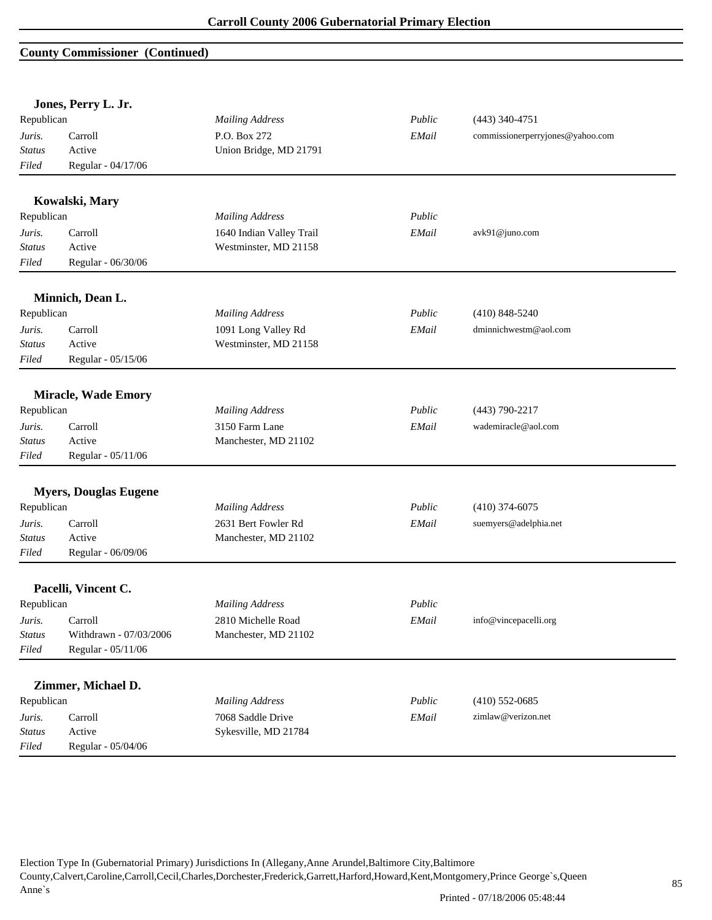#### **County Commissioner (Continued)**

|               | Jones, Perry L. Jr.          |                          |        |                                  |
|---------------|------------------------------|--------------------------|--------|----------------------------------|
| Republican    |                              | <b>Mailing Address</b>   | Public | $(443)$ 340-4751                 |
| Juris.        | Carroll                      | P.O. Box 272             | EMail  | commissionerperryjones@yahoo.com |
| <b>Status</b> | Active                       | Union Bridge, MD 21791   |        |                                  |
| Filed         | Regular - 04/17/06           |                          |        |                                  |
|               | Kowalski, Mary               |                          |        |                                  |
| Republican    |                              | <b>Mailing Address</b>   | Public |                                  |
| Juris.        | Carroll                      | 1640 Indian Valley Trail | EMail  | avk91@juno.com                   |
| <b>Status</b> | Active                       | Westminster, MD 21158    |        |                                  |
| Filed         | Regular - 06/30/06           |                          |        |                                  |
|               | Minnich, Dean L.             |                          |        |                                  |
| Republican    |                              | <b>Mailing Address</b>   | Public | $(410)$ 848-5240                 |
| Juris.        | Carroll                      | 1091 Long Valley Rd      | EMail  | dminnichwestm@aol.com            |
| <b>Status</b> | Active                       | Westminster, MD 21158    |        |                                  |
| Filed         | Regular - 05/15/06           |                          |        |                                  |
|               | <b>Miracle, Wade Emory</b>   |                          |        |                                  |
| Republican    |                              | <b>Mailing Address</b>   | Public | $(443)$ 790-2217                 |
| Juris.        | Carroll                      | 3150 Farm Lane           | EMail  | wademiracle@aol.com              |
| <b>Status</b> | Active                       | Manchester, MD 21102     |        |                                  |
| Filed         | Regular - 05/11/06           |                          |        |                                  |
|               |                              |                          |        |                                  |
|               | <b>Myers, Douglas Eugene</b> |                          |        |                                  |
| Republican    |                              | <b>Mailing Address</b>   | Public | $(410)$ 374-6075                 |
| Juris.        | Carroll                      | 2631 Bert Fowler Rd      | EMail  | suemyers@adelphia.net            |
| <b>Status</b> | Active                       | Manchester, MD 21102     |        |                                  |
| Filed         | Regular - 06/09/06           |                          |        |                                  |
|               | Pacelli, Vincent C.          |                          |        |                                  |
| Republican    |                              | <b>Mailing Address</b>   | Public |                                  |
| Juris.        | Carroll                      | 2810 Michelle Road       | EMail  | info@vincepacelli.org            |
| <b>Status</b> | Withdrawn - 07/03/2006       | Manchester, MD 21102     |        |                                  |
| Filed         | Regular - 05/11/06           |                          |        |                                  |
|               | Zimmer, Michael D.           |                          |        |                                  |
| Republican    |                              | <b>Mailing Address</b>   | Public | $(410)$ 552-0685                 |
| Juris.        | Carroll                      | 7068 Saddle Drive        | EMail  | zimlaw@verizon.net               |
| <b>Status</b> | Active                       | Sykesville, MD 21784     |        |                                  |
| Filed         | Regular - 05/04/06           |                          |        |                                  |
|               |                              |                          |        |                                  |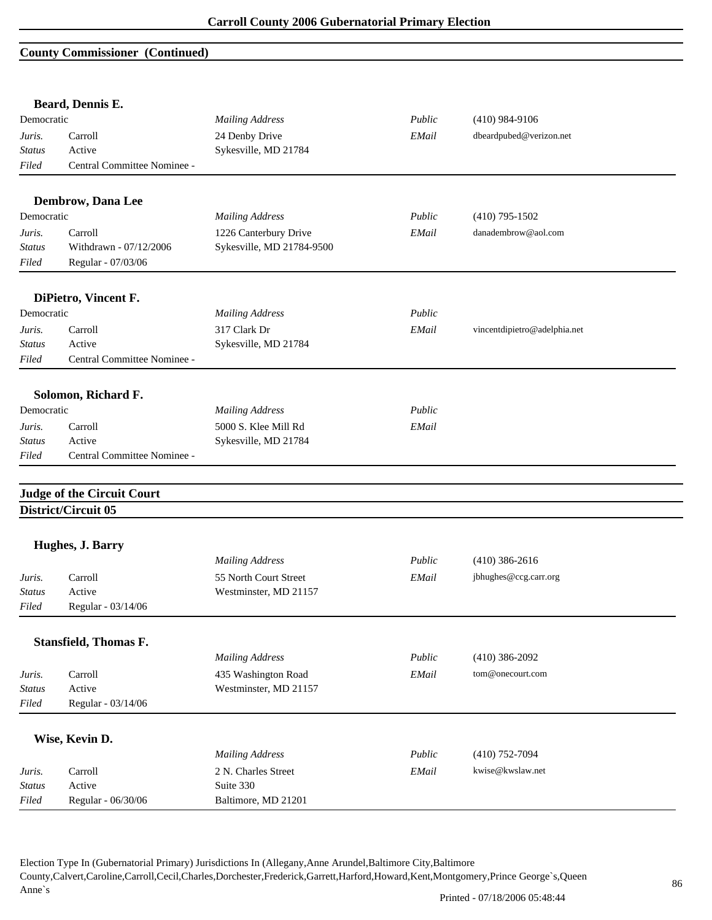#### **County Commissioner (Continued)**

|               | Beard, Dennis E.                  |                           |        |                              |
|---------------|-----------------------------------|---------------------------|--------|------------------------------|
| Democratic    |                                   | <b>Mailing Address</b>    | Public | $(410)$ 984-9106             |
| Juris.        | Carroll                           | 24 Denby Drive            | EMail  | dbeardpubed@verizon.net      |
| <b>Status</b> | Active                            | Sykesville, MD 21784      |        |                              |
| Filed         | Central Committee Nominee -       |                           |        |                              |
|               | Dembrow, Dana Lee                 |                           |        |                              |
| Democratic    |                                   | <b>Mailing Address</b>    | Public | $(410)$ 795-1502             |
| Juris.        | Carroll                           | 1226 Canterbury Drive     | EMail  | danadembrow@aol.com          |
| <b>Status</b> | Withdrawn - 07/12/2006            | Sykesville, MD 21784-9500 |        |                              |
| Filed         | Regular - 07/03/06                |                           |        |                              |
|               | DiPietro, Vincent F.              |                           |        |                              |
| Democratic    |                                   | <b>Mailing Address</b>    | Public |                              |
| Juris.        | Carroll                           | 317 Clark Dr              | EMail  | vincentdipietro@adelphia.net |
| <b>Status</b> | Active                            | Sykesville, MD 21784      |        |                              |
| Filed         | Central Committee Nominee -       |                           |        |                              |
|               | Solomon, Richard F.               |                           |        |                              |
| Democratic    |                                   | <b>Mailing Address</b>    | Public |                              |
| Juris.        | Carroll                           | 5000 S. Klee Mill Rd      | EMail  |                              |
| Status        | Active                            | Sykesville, MD 21784      |        |                              |
| Filed         | Central Committee Nominee -       |                           |        |                              |
|               |                                   |                           |        |                              |
|               | <b>Judge of the Circuit Court</b> |                           |        |                              |
|               | District/Circuit 05               |                           |        |                              |
|               | Hughes, J. Barry                  |                           |        |                              |
|               |                                   | <b>Mailing Address</b>    | Public | $(410)$ 386-2616             |
| Juris.        | Carroll                           | 55 North Court Street     | EMail  | jbhughes@ccg.carr.org        |
| <b>Status</b> | Active                            | Westminster, MD 21157     |        |                              |
| Filed         | Regular - 03/14/06                |                           |        |                              |
|               |                                   |                           |        |                              |
|               | <b>Stansfield, Thomas F.</b>      |                           |        |                              |
|               |                                   | <b>Mailing Address</b>    | Public | $(410)$ 386-2092             |
| Juris.        | Carroll                           | 435 Washington Road       | EMail  | tom@onecourt.com             |
| <b>Status</b> | Active                            | Westminster, MD 21157     |        |                              |
| Filed         | Regular - 03/14/06                |                           |        |                              |
|               | Wise, Kevin D.                    |                           |        |                              |
|               |                                   | <b>Mailing Address</b>    | Public | $(410)$ 752-7094             |
|               |                                   |                           |        | kwise@kwslaw.net             |
| Juris.        | Carroll                           | 2 N. Charles Street       | EMail  |                              |
| <b>Status</b> | Active                            | Suite 330                 |        |                              |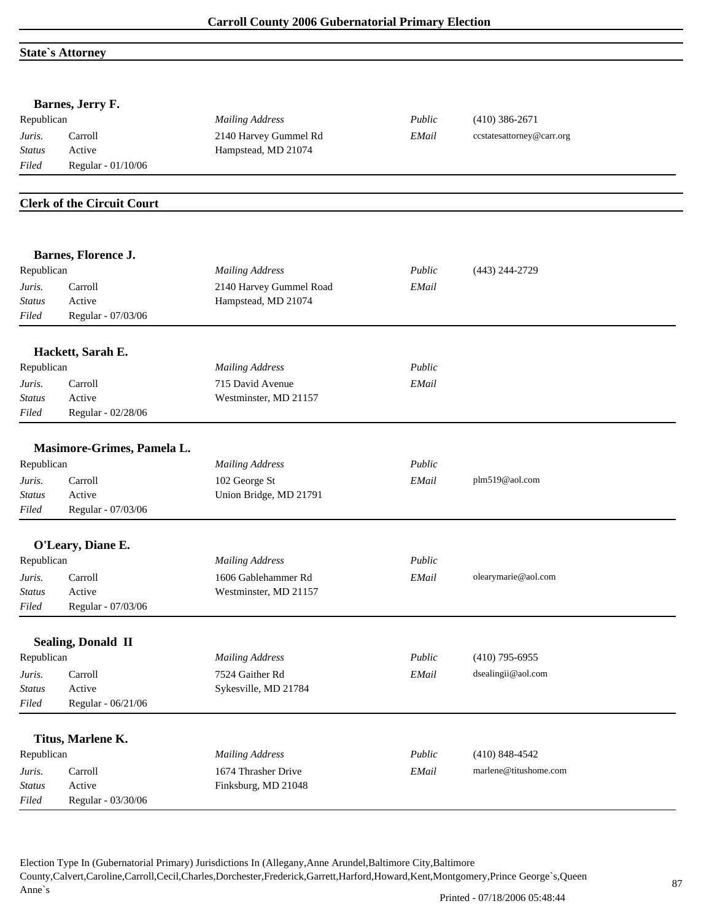#### **State`s Attorney**

|                         | Barnes, Jerry F.                  |                                              |        |                           |
|-------------------------|-----------------------------------|----------------------------------------------|--------|---------------------------|
| Republican              |                                   | <b>Mailing Address</b>                       | Public | $(410)$ 386-2671          |
| Juris.<br><b>Status</b> | Carroll<br>Active                 | 2140 Harvey Gummel Rd<br>Hampstead, MD 21074 | EMail  | ccstatesattorney@carr.org |
| Filed                   | Regular - 01/10/06                |                                              |        |                           |
|                         |                                   |                                              |        |                           |
|                         | <b>Clerk of the Circuit Court</b> |                                              |        |                           |
|                         |                                   |                                              |        |                           |
|                         | Barnes, Florence J.               |                                              |        |                           |
| Republican              |                                   | <b>Mailing Address</b>                       | Public | $(443)$ 244-2729          |
| Juris.                  | Carroll                           | 2140 Harvey Gummel Road                      | EMail  |                           |
| <b>Status</b>           | Active                            | Hampstead, MD 21074                          |        |                           |
| Filed                   | Regular - 07/03/06                |                                              |        |                           |
|                         | Hackett, Sarah E.                 |                                              |        |                           |
| Republican              |                                   | <b>Mailing Address</b>                       | Public |                           |
| Juris.                  | Carroll                           | 715 David Avenue                             | EMail  |                           |
| <b>Status</b>           | Active                            | Westminster, MD 21157                        |        |                           |
| Filed                   | Regular - 02/28/06                |                                              |        |                           |
|                         | Masimore-Grimes, Pamela L.        |                                              |        |                           |
| Republican              |                                   | <b>Mailing Address</b>                       | Public |                           |
| Juris.                  | Carroll                           | 102 George St                                | EMail  | plm519@aol.com            |
| <b>Status</b>           | Active                            | Union Bridge, MD 21791                       |        |                           |
| Filed                   | Regular - 07/03/06                |                                              |        |                           |
|                         | O'Leary, Diane E.                 |                                              |        |                           |
| Republican              |                                   | <b>Mailing Address</b>                       | Public |                           |
| Juris.                  | Carroll                           | 1606 Gablehammer Rd                          | EMail  | olearymarie@aol.com       |
| <b>Status</b>           | Active                            | Westminster, MD 21157                        |        |                           |
| Filed                   | Regular - $07/03/06\,$            |                                              |        |                           |
|                         |                                   |                                              |        |                           |
|                         | <b>Sealing, Donald II</b>         |                                              |        |                           |
| Republican              |                                   | <b>Mailing Address</b>                       | Public | $(410)$ 795-6955          |
| Juris.                  | Carroll                           | 7524 Gaither Rd                              | EMail  | dsealingii@aol.com        |
| <b>Status</b>           | Active                            | Sykesville, MD 21784                         |        |                           |
| Filed                   | Regular - 06/21/06                |                                              |        |                           |
|                         | Titus, Marlene K.                 |                                              |        |                           |
| Republican              |                                   | <b>Mailing Address</b>                       | Public | $(410)$ 848-4542          |
| Juris.                  | Carroll                           | 1674 Thrasher Drive                          | EMail  | marlene@titushome.com     |
| <b>Status</b>           | Active                            | Finksburg, MD 21048                          |        |                           |
| $Filed$                 | Regular - 03/30/06                |                                              |        |                           |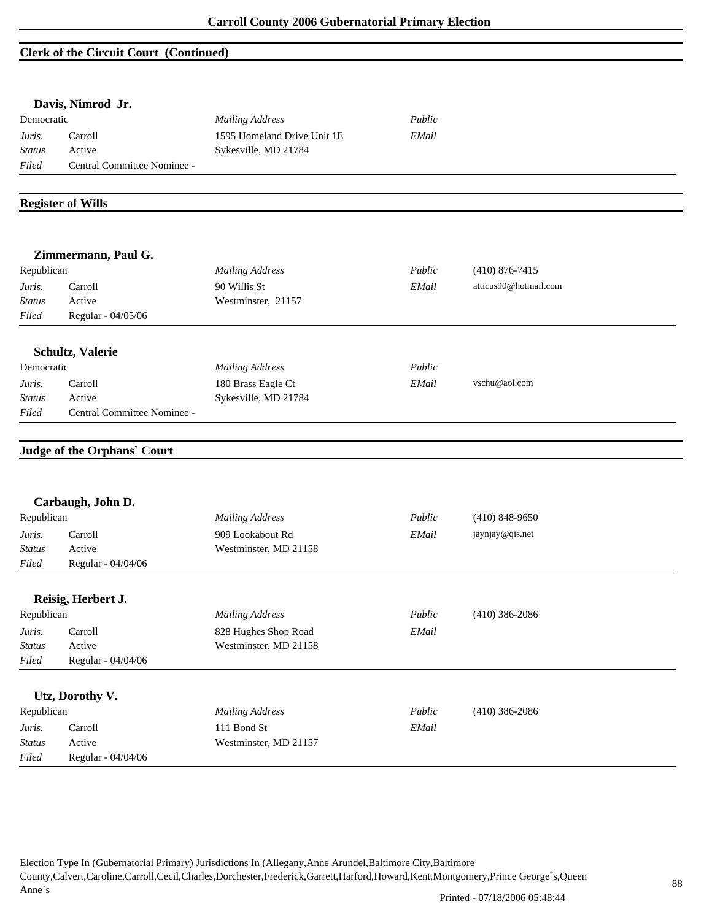### **Clerk of the Circuit Court (Continued)**

|                         | Davis, Nimrod Jr.                  |                                      |        |                       |
|-------------------------|------------------------------------|--------------------------------------|--------|-----------------------|
| Democratic              |                                    | <b>Mailing Address</b>               | Public |                       |
| Juris.                  | Carroll                            | 1595 Homeland Drive Unit 1E          | EMail  |                       |
| <b>Status</b>           | Active                             | Sykesville, MD 21784                 |        |                       |
| Filed                   | Central Committee Nominee -        |                                      |        |                       |
|                         | <b>Register of Wills</b>           |                                      |        |                       |
|                         | Zimmermann, Paul G.                |                                      |        |                       |
| Republican              |                                    | <b>Mailing Address</b>               | Public | $(410) 876 - 7415$    |
| Juris.                  | Carroll                            | 90 Willis St                         | EMail  | atticus90@hotmail.com |
| <b>Status</b>           | Active                             | Westminster, 21157                   |        |                       |
| Filed                   | Regular - 04/05/06                 |                                      |        |                       |
|                         | Schultz, Valerie                   |                                      |        |                       |
| Democratic              |                                    | <b>Mailing Address</b>               | Public |                       |
| Juris.                  | Carroll                            | 180 Brass Eagle Ct                   | EMail  | vschu@aol.com         |
|                         |                                    |                                      |        |                       |
| <b>Status</b>           | Active                             |                                      |        |                       |
| Filed                   | Central Committee Nominee -        | Sykesville, MD 21784                 |        |                       |
|                         |                                    |                                      |        |                       |
|                         | <b>Judge of the Orphans' Court</b> |                                      |        |                       |
|                         | Carbaugh, John D.                  |                                      |        |                       |
| Republican              |                                    | <b>Mailing Address</b>               | Public | $(410)$ 848-9650      |
| Juris.                  | Carroll                            | 909 Lookabout Rd                     | EMail  | jaynjay@qis.net       |
| <b>Status</b>           | Active                             | Westminster, MD 21158                |        |                       |
| Filed                   | Regular - 04/04/06                 |                                      |        |                       |
|                         |                                    |                                      |        |                       |
| Republican              | Reisig, Herbert J.                 | <b>Mailing Address</b>               | Public | $(410)$ 386-2086      |
| Juris.                  | Carroll                            | 828 Hughes Shop Road                 | EMail  |                       |
| <b>Status</b>           | Active                             | Westminster, MD 21158                |        |                       |
| Filed                   | Regular - 04/04/06                 |                                      |        |                       |
|                         |                                    |                                      |        |                       |
| Republican              | Utz, Dorothy V.                    | <b>Mailing Address</b>               | Public | $(410)$ 386-2086      |
|                         |                                    |                                      |        |                       |
| Juris.<br><b>Status</b> | Carroll<br>Active                  | 111 Bond St<br>Westminster, MD 21157 | EMail  |                       |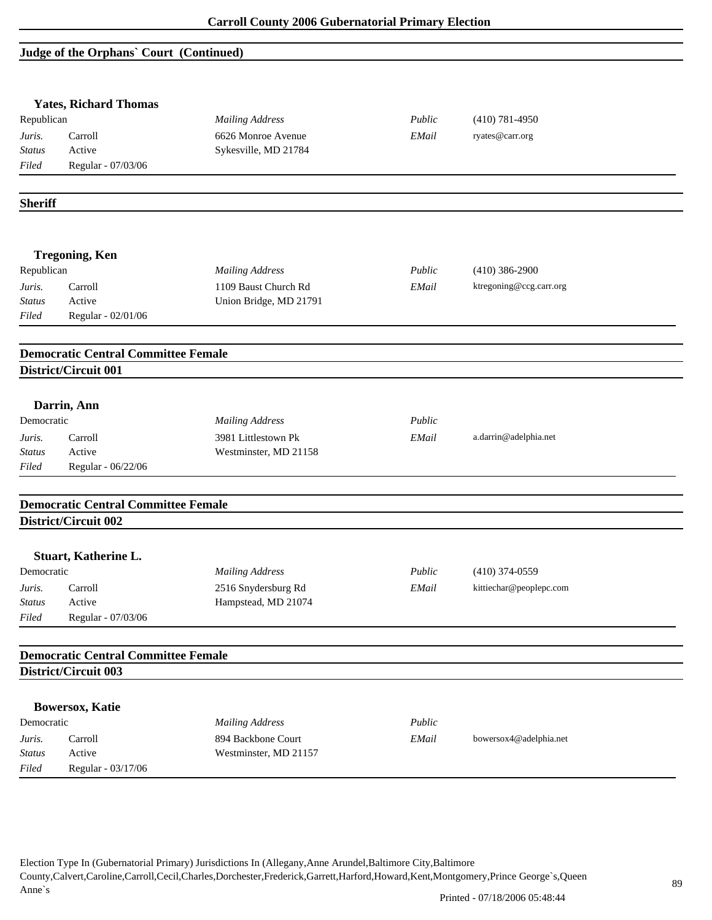# **Judge of the Orphans` Court (Continued)**

|                        | <b>Yates, Richard Thomas</b>               |                        |        |                         |  |
|------------------------|--------------------------------------------|------------------------|--------|-------------------------|--|
| Republican             |                                            | <b>Mailing Address</b> | Public | $(410) 781 - 4950$      |  |
| Juris.                 | Carroll                                    | 6626 Monroe Avenue     | EMail  | ryates@carr.org         |  |
| <b>Status</b>          | Active                                     | Sykesville, MD 21784   |        |                         |  |
| Filed                  | Regular - 07/03/06                         |                        |        |                         |  |
|                        |                                            |                        |        |                         |  |
| <b>Sheriff</b>         |                                            |                        |        |                         |  |
|                        | <b>Tregoning, Ken</b>                      |                        |        |                         |  |
| Republican             |                                            | <b>Mailing Address</b> | Public | $(410)$ 386-2900        |  |
| Juris.                 | Carroll                                    | 1109 Baust Church Rd   | EMail  | ktregoning@ccg.carr.org |  |
| Status                 | Active                                     | Union Bridge, MD 21791 |        |                         |  |
| Filed                  | Regular - 02/01/06                         |                        |        |                         |  |
|                        | <b>Democratic Central Committee Female</b> |                        |        |                         |  |
|                        | District/Circuit 001                       |                        |        |                         |  |
|                        |                                            |                        |        |                         |  |
| Democratic             | Darrin, Ann                                |                        |        |                         |  |
|                        |                                            | <b>Mailing Address</b> | Public |                         |  |
| Juris.                 | Carroll                                    | 3981 Littlestown Pk    | EMail  | a.darrin@adelphia.net   |  |
| <b>Status</b><br>Filed | Active<br>Regular - 06/22/06               | Westminster, MD 21158  |        |                         |  |
|                        |                                            |                        |        |                         |  |
|                        | <b>Democratic Central Committee Female</b> |                        |        |                         |  |
|                        | District/Circuit 002                       |                        |        |                         |  |
|                        | Stuart, Katherine L.                       |                        |        |                         |  |
| Democratic             |                                            | <b>Mailing Address</b> | Public | $(410)$ 374-0559        |  |
| Juris.                 | Carroll                                    | 2516 Snydersburg Rd    | EMail  | kittiechar@peoplepc.com |  |
| <b>Status</b>          | Active                                     | Hampstead, MD 21074    |        |                         |  |
| Filed                  | Regular - 07/03/06                         |                        |        |                         |  |
|                        | <b>Democratic Central Committee Female</b> |                        |        |                         |  |
|                        | District/Circuit 003                       |                        |        |                         |  |
|                        |                                            |                        |        |                         |  |
|                        | <b>Bowersox, Katie</b>                     |                        |        |                         |  |
| Democratic             |                                            | <b>Mailing Address</b> | Public |                         |  |
| Juris.                 | Carroll                                    | 894 Backbone Court     | EMail  | bowersox4@adelphia.net  |  |
|                        | Active                                     | Westminster, MD 21157  |        |                         |  |
| <b>Status</b><br>Filed | Regular - 03/17/06                         |                        |        |                         |  |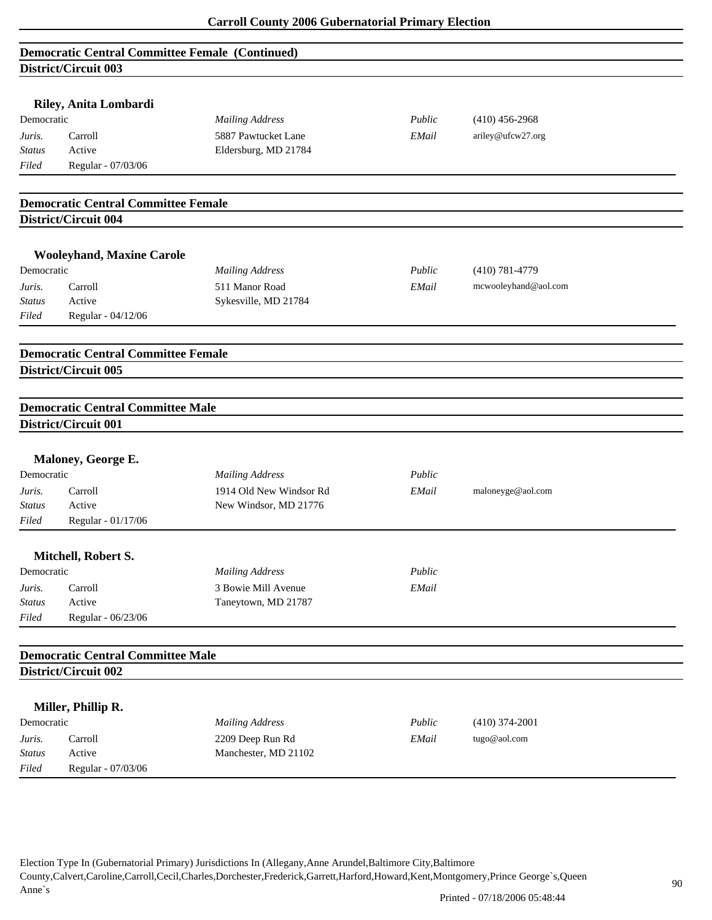|               | <b>Democratic Central Committee Female (Continued)</b>             |                         |        |                      |  |
|---------------|--------------------------------------------------------------------|-------------------------|--------|----------------------|--|
|               | <b>District/Circuit 003</b>                                        |                         |        |                      |  |
|               |                                                                    |                         |        |                      |  |
|               | Riley, Anita Lombardi                                              |                         |        |                      |  |
| Democratic    |                                                                    | <b>Mailing Address</b>  | Public | $(410)$ 456-2968     |  |
| Juris.        | Carroll                                                            | 5887 Pawtucket Lane     | EMail  | ariley@ufcw27.org    |  |
| <b>Status</b> | Active                                                             | Eldersburg, MD 21784    |        |                      |  |
| Filed         | Regular - 07/03/06                                                 |                         |        |                      |  |
|               | <b>Democratic Central Committee Female</b>                         |                         |        |                      |  |
|               | District/Circuit 004                                               |                         |        |                      |  |
|               |                                                                    |                         |        |                      |  |
| Democratic    | <b>Wooleyhand, Maxine Carole</b>                                   | <b>Mailing Address</b>  | Public | $(410) 781 - 4779$   |  |
| Juris.        | Carroll                                                            | 511 Manor Road          | EMail  | mcwooleyhand@aol.com |  |
| <b>Status</b> | Active                                                             | Sykesville, MD 21784    |        |                      |  |
| Filed         | Regular - 04/12/06                                                 |                         |        |                      |  |
|               |                                                                    |                         |        |                      |  |
|               | <b>Democratic Central Committee Female</b><br>District/Circuit 005 |                         |        |                      |  |
|               |                                                                    |                         |        |                      |  |
|               |                                                                    |                         |        |                      |  |
|               | <b>Democratic Central Committee Male</b><br>District/Circuit 001   |                         |        |                      |  |
|               |                                                                    |                         |        |                      |  |
|               | Maloney, George E.                                                 |                         |        |                      |  |
| Democratic    |                                                                    | <b>Mailing Address</b>  | Public |                      |  |
| Juris.        | Carroll                                                            | 1914 Old New Windsor Rd | EMail  | maloneyge@aol.com    |  |
| <b>Status</b> | Active                                                             | New Windsor, MD 21776   |        |                      |  |
| Filed         | Regular - 01/17/06                                                 |                         |        |                      |  |
|               |                                                                    |                         |        |                      |  |
| Democratic    | Mitchell, Robert S.                                                | <b>Mailing Address</b>  | Public |                      |  |
| Juris.        | Carroll                                                            | 3 Bowie Mill Avenue     | EMail  |                      |  |
| <b>Status</b> | Active                                                             | Taneytown, MD 21787     |        |                      |  |
| Filed         | Regular - 06/23/06                                                 |                         |        |                      |  |
|               | <b>Democratic Central Committee Male</b>                           |                         |        |                      |  |
|               | District/Circuit 002                                               |                         |        |                      |  |
|               |                                                                    |                         |        |                      |  |
|               | Miller, Phillip R.                                                 |                         |        |                      |  |
| Democratic    |                                                                    | <b>Mailing Address</b>  | Public | $(410)$ 374-2001     |  |
| Juris.        | Carroll                                                            | 2209 Deep Run Rd        | EMail  | tugo@aol.com         |  |
| <b>Status</b> | Active                                                             | Manchester, MD 21102    |        |                      |  |
| Filed         | Regular - 07/03/06                                                 |                         |        |                      |  |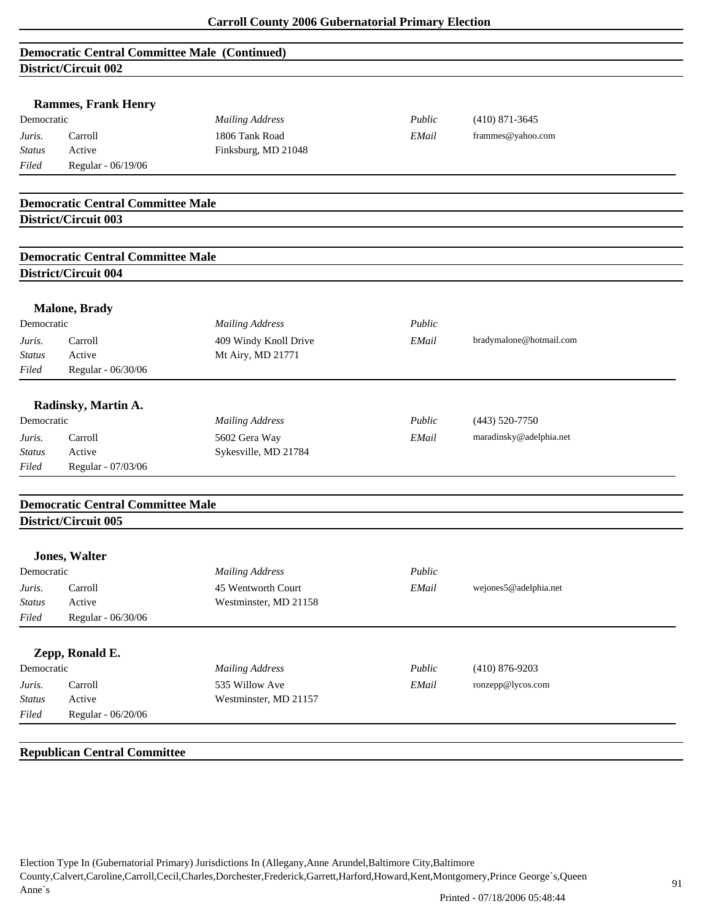## **Democratic Central Committee Male (Continued) District/Circuit 002**

|                                   | DISU ICV UN CUIL VV4                     |                        |        |                         |  |
|-----------------------------------|------------------------------------------|------------------------|--------|-------------------------|--|
|                                   | <b>Rammes, Frank Henry</b>               |                        |        |                         |  |
| Democratic                        |                                          | <b>Mailing Address</b> | Public | $(410)$ 871-3645        |  |
| Juris.                            | Carroll                                  | 1806 Tank Road         | EMail  | frammes@yahoo.com       |  |
| <b>Status</b>                     | Active                                   | Finksburg, MD 21048    |        |                         |  |
| Filed                             | Regular - 06/19/06                       |                        |        |                         |  |
|                                   |                                          |                        |        |                         |  |
|                                   | <b>Democratic Central Committee Male</b> |                        |        |                         |  |
|                                   | District/Circuit 003                     |                        |        |                         |  |
|                                   | <b>Democratic Central Committee Male</b> |                        |        |                         |  |
|                                   | <b>District/Circuit 004</b>              |                        |        |                         |  |
|                                   |                                          |                        |        |                         |  |
| Democratic                        | <b>Malone, Brady</b>                     |                        |        |                         |  |
|                                   |                                          | <b>Mailing Address</b> | Public |                         |  |
| Juris.                            | Carroll                                  | 409 Windy Knoll Drive  | EMail  | bradymalone@hotmail.com |  |
| <b>Status</b>                     | Active                                   | Mt Airy, MD 21771      |        |                         |  |
| Filed                             | Regular - 06/30/06                       |                        |        |                         |  |
|                                   | Radinsky, Martin A.                      |                        |        |                         |  |
| Democratic                        |                                          | <b>Mailing Address</b> | Public | $(443)$ 520-7750        |  |
| Juris.                            | Carroll                                  | 5602 Gera Way          | EMail  | maradinsky@adelphia.net |  |
| <b>Status</b>                     | Active                                   | Sykesville, MD 21784   |        |                         |  |
| Filed                             | Regular - 07/03/06                       |                        |        |                         |  |
|                                   | <b>Democratic Central Committee Male</b> |                        |        |                         |  |
|                                   | District/Circuit 005                     |                        |        |                         |  |
|                                   | <b>Jones, Walter</b>                     |                        |        |                         |  |
| Democratic                        |                                          | <b>Mailing Address</b> | Public |                         |  |
| Juris.                            | Carroll                                  | 45 Wentworth Court     | EMail  | wejones5@adelphia.net   |  |
| $\operatorname{{\cal S}}\! tatus$ | Active                                   | Westminster, MD 21158  |        |                         |  |
| Filed                             | Regular - 06/30/06                       |                        |        |                         |  |
|                                   |                                          |                        |        |                         |  |
|                                   | Zepp, Ronald E.                          |                        |        |                         |  |
| Democratic                        |                                          | <b>Mailing Address</b> | Public | $(410) 876 - 9203$      |  |
| Juris.                            | Carroll                                  | 535 Willow Ave         | EMail  | ronzepp@lycos.com       |  |
| <b>Status</b>                     | Active                                   | Westminster, MD 21157  |        |                         |  |
| Filed                             | Regular - 06/20/06                       |                        |        |                         |  |
|                                   |                                          |                        |        |                         |  |
|                                   | <b>Republican Central Committee</b>      |                        |        |                         |  |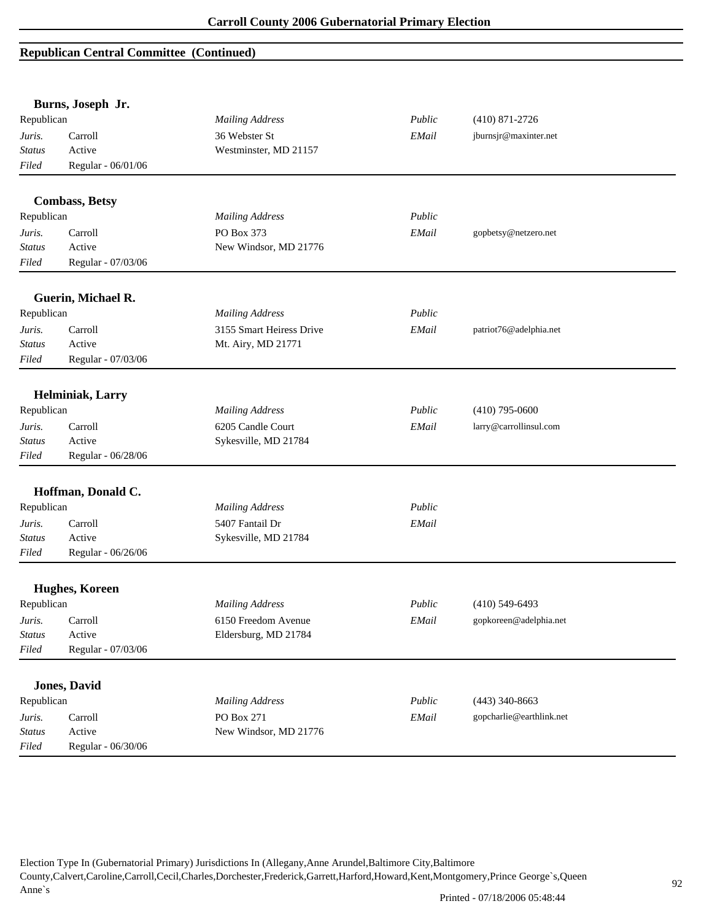|               | Burns, Joseph Jr.     |                          |        |                          |
|---------------|-----------------------|--------------------------|--------|--------------------------|
| Republican    |                       | <b>Mailing Address</b>   | Public | $(410)$ 871-2726         |
| Juris.        | Carroll               | 36 Webster St            | EMail  | jburnsjr@maxinter.net    |
| Status        | Active                | Westminster, MD 21157    |        |                          |
| Filed         | Regular - 06/01/06    |                          |        |                          |
|               | <b>Combass, Betsy</b> |                          |        |                          |
| Republican    |                       | <b>Mailing Address</b>   | Public |                          |
| Juris.        | Carroll               | PO Box 373               | EMail  | gopbetsy@netzero.net     |
| <b>Status</b> | Active                | New Windsor, MD 21776    |        |                          |
| Filed         | Regular - 07/03/06    |                          |        |                          |
|               |                       |                          |        |                          |
|               | Guerin, Michael R.    |                          |        |                          |
| Republican    |                       | <b>Mailing Address</b>   | Public |                          |
| Juris.        | Carroll               | 3155 Smart Heiress Drive | EMail  | patriot76@adelphia.net   |
| Status        | Active                | Mt. Airy, MD 21771       |        |                          |
| Filed         | Regular - 07/03/06    |                          |        |                          |
|               | Helminiak, Larry      |                          |        |                          |
| Republican    |                       | <b>Mailing Address</b>   | Public | $(410)$ 795-0600         |
| Juris.        | Carroll               | 6205 Candle Court        | EMail  | larry@carrollinsul.com   |
| <b>Status</b> | Active                | Sykesville, MD 21784     |        |                          |
| Filed         | Regular - 06/28/06    |                          |        |                          |
|               | Hoffman, Donald C.    |                          |        |                          |
| Republican    |                       | <b>Mailing Address</b>   | Public |                          |
| Juris.        | Carroll               | 5407 Fantail Dr          | EMail  |                          |
| <b>Status</b> | Active                | Sykesville, MD 21784     |        |                          |
| Filed         | Regular - 06/26/06    |                          |        |                          |
|               | Hughes, Koreen        |                          |        |                          |
| Republican    |                       | <b>Mailing Address</b>   | Public | $(410)$ 549-6493         |
| Juris.        | Carroll               | 6150 Freedom Avenue      | EMail  | gopkoreen@adelphia.net   |
| <b>Status</b> | Active                | Eldersburg, MD 21784     |        |                          |
| Filed         | Regular - 07/03/06    |                          |        |                          |
|               |                       |                          |        |                          |
|               | <b>Jones</b> , David  |                          |        |                          |
| Republican    |                       | <b>Mailing Address</b>   | Public | $(443)$ 340-8663         |
| Juris.        | Carroll               | PO Box 271               | EMail  | gopcharlie@earthlink.net |
| Status        | Active                | New Windsor, MD 21776    |        |                          |
| Filed         | Regular - 06/30/06    |                          |        |                          |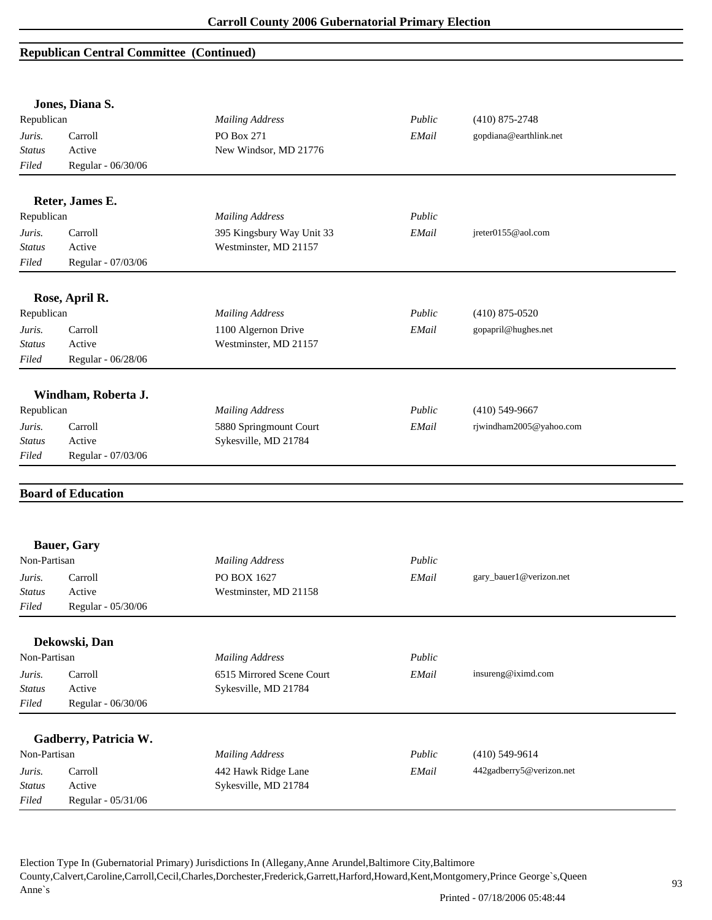|                 | Jones, Diana S.              |                           |        |                          |
|-----------------|------------------------------|---------------------------|--------|--------------------------|
| Republican      |                              | <b>Mailing Address</b>    | Public | $(410)$ 875-2748         |
| Juris.          | Carroll                      | PO Box 271                | EMail  | gopdiana@earthlink.net   |
| <b>Status</b>   | Active                       | New Windsor, MD 21776     |        |                          |
| Filed           | Regular - 06/30/06           |                           |        |                          |
|                 | Reter, James E.              |                           |        |                          |
| Republican      |                              | <b>Mailing Address</b>    | Public |                          |
| Juris.          | Carroll                      | 395 Kingsbury Way Unit 33 | EMail  | jreter0155@aol.com       |
| <b>Status</b>   | Active                       | Westminster, MD 21157     |        |                          |
| Filed           | Regular - 07/03/06           |                           |        |                          |
|                 | Rose, April R.               |                           |        |                          |
| Republican      |                              | <b>Mailing Address</b>    | Public | $(410)$ 875-0520         |
| Juris.          | Carroll                      | 1100 Algernon Drive       | EMail  | gopapril@hughes.net      |
| Status          | Active                       | Westminster, MD 21157     |        |                          |
| Filed           | Regular - 06/28/06           |                           |        |                          |
|                 | Windham, Roberta J.          |                           |        |                          |
| Republican      |                              | <b>Mailing Address</b>    | Public | $(410)$ 549-9667         |
| Juris.          | Carroll                      | 5880 Springmount Court    | EMail  | rjwindham2005@yahoo.com  |
| <b>Status</b>   | Active                       | Sykesville, MD 21784      |        |                          |
| Filed           | Regular - 07/03/06           |                           |        |                          |
|                 |                              |                           |        |                          |
|                 | <b>Board of Education</b>    |                           |        |                          |
|                 |                              |                           |        |                          |
|                 | <b>Bauer, Gary</b>           |                           |        |                          |
| Non-Partisan    |                              | <b>Mailing Address</b>    | Public |                          |
| Juris.          | Carroll                      | PO BOX 1627               | EMail  | gary_bauer1@verizon.net  |
| <b>Status</b>   | Active                       | Westminster, MD 21158     |        |                          |
| Filed           | Regular - 05/30/06           |                           |        |                          |
|                 | Dekowski, Dan                |                           |        |                          |
| Non-Partisan    |                              | <b>Mailing Address</b>    | Public |                          |
| Juris.          | Carroll                      | 6515 Mirrored Scene Court | EMail  | insureng@iximd.com       |
| <b>Status</b>   | Active                       | Sykesville, MD 21784      |        |                          |
| Filed           | Regular - 06/30/06           |                           |        |                          |
|                 | Gadberry, Patricia W.        |                           |        |                          |
| Non-Partisan    |                              | <b>Mailing Address</b>    | Public | $(410)$ 549-9614         |
| Juris.          | Carroll                      | 442 Hawk Ridge Lane       | EMail  | 442gadberry5@verizon.net |
|                 |                              |                           |        |                          |
| Status<br>Filed | Active<br>Regular - 05/31/06 | Sykesville, MD 21784      |        |                          |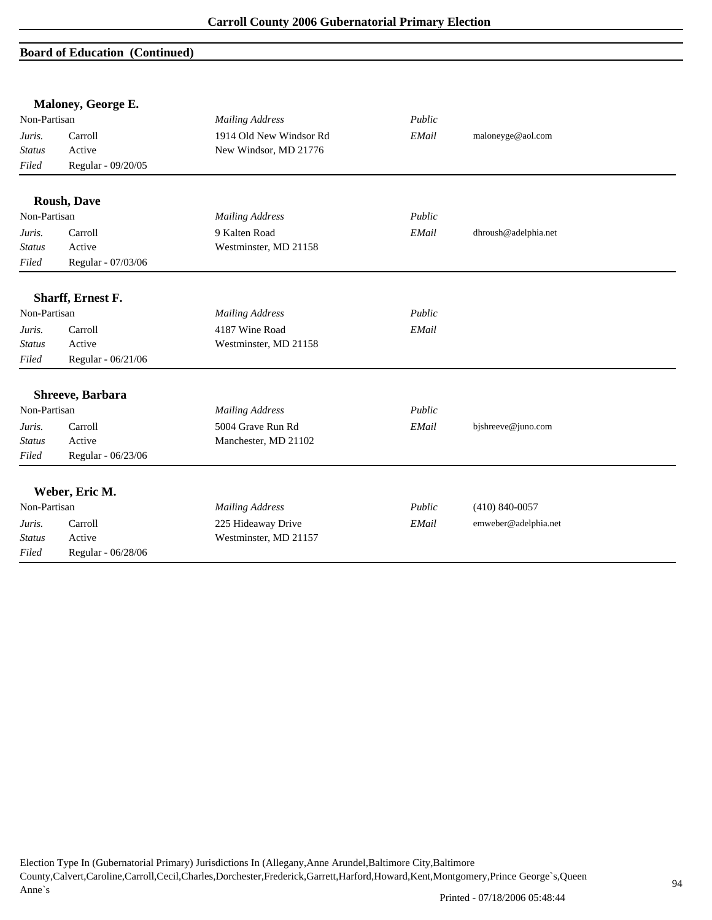## **Board of Education (Continued)**

|               | Maloney, George E.       |                         |        |                      |  |
|---------------|--------------------------|-------------------------|--------|----------------------|--|
| Non-Partisan  |                          | <b>Mailing Address</b>  | Public |                      |  |
| Juris.        | Carroll                  | 1914 Old New Windsor Rd | EMail  | maloneyge@aol.com    |  |
| <b>Status</b> | Active                   | New Windsor, MD 21776   |        |                      |  |
| Filed         | Regular - 09/20/05       |                         |        |                      |  |
|               | <b>Roush, Dave</b>       |                         |        |                      |  |
| Non-Partisan  |                          | <b>Mailing Address</b>  | Public |                      |  |
| Juris.        | Carroll                  | 9 Kalten Road           | EMail  | dhroush@adelphia.net |  |
| <b>Status</b> | Active                   | Westminster, MD 21158   |        |                      |  |
| Filed         | Regular - 07/03/06       |                         |        |                      |  |
|               | <b>Sharff, Ernest F.</b> |                         |        |                      |  |
| Non-Partisan  |                          | <b>Mailing Address</b>  | Public |                      |  |
| Juris.        | Carroll                  | 4187 Wine Road          | EMail  |                      |  |
| <b>Status</b> | Active                   | Westminster, MD 21158   |        |                      |  |
| Filed         | Regular - 06/21/06       |                         |        |                      |  |
|               | Shreeve, Barbara         |                         |        |                      |  |
| Non-Partisan  |                          | <b>Mailing Address</b>  | Public |                      |  |
| Juris.        | Carroll                  | 5004 Grave Run Rd       | EMail  | bjshreeve@juno.com   |  |
| <b>Status</b> | Active                   | Manchester, MD 21102    |        |                      |  |
| Filed         | Regular - 06/23/06       |                         |        |                      |  |
|               | Weber, Eric M.           |                         |        |                      |  |
| Non-Partisan  |                          | <b>Mailing Address</b>  | Public | $(410) 840 - 0057$   |  |
| Juris.        | Carroll                  | 225 Hideaway Drive      | EMail  | emweber@adelphia.net |  |
| <b>Status</b> | Active                   | Westminster, MD 21157   |        |                      |  |
| Filed         | Regular - 06/28/06       |                         |        |                      |  |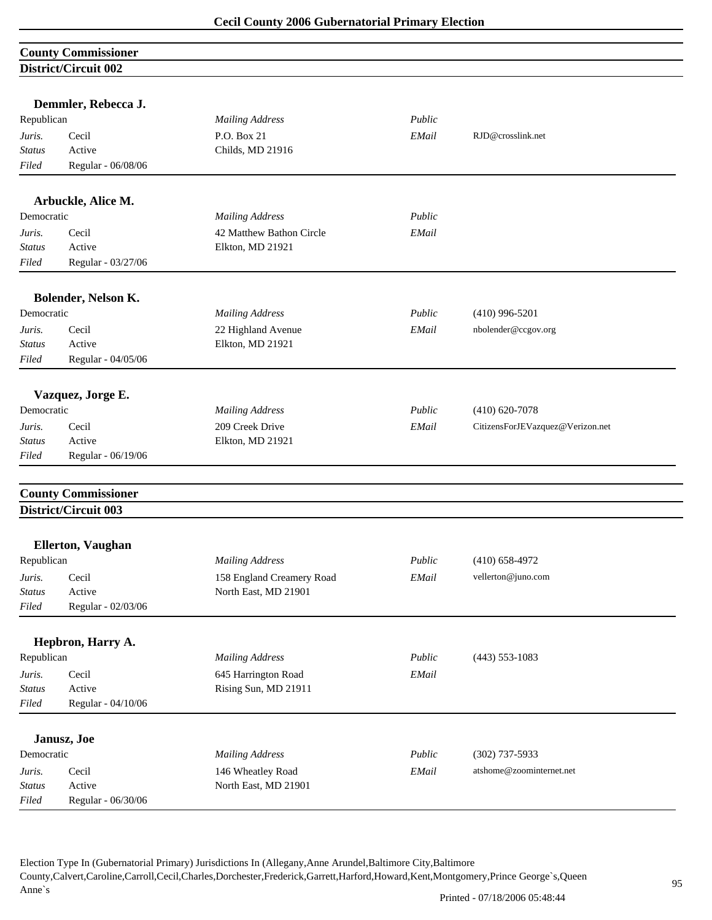## **County Commissioner District/Circuit 002**

| Republican    | Demmler, Rebecca J.        | <b>Mailing Address</b>    | Public |                                  |
|---------------|----------------------------|---------------------------|--------|----------------------------------|
| Juris.        | Cecil                      | P.O. Box 21               | EMail  | RJD@crosslink.net                |
| <b>Status</b> | Active                     | Childs, MD 21916          |        |                                  |
| Filed         | Regular - 06/08/06         |                           |        |                                  |
|               |                            |                           |        |                                  |
|               | Arbuckle, Alice M.         |                           |        |                                  |
| Democratic    |                            | <b>Mailing Address</b>    | Public |                                  |
| Juris.        | Cecil                      | 42 Matthew Bathon Circle  | EMail  |                                  |
| <b>Status</b> | Active                     | Elkton, MD 21921          |        |                                  |
| Filed         | Regular - 03/27/06         |                           |        |                                  |
|               |                            |                           |        |                                  |
|               | Bolender, Nelson K.        |                           |        |                                  |
| Democratic    |                            | <b>Mailing Address</b>    | Public | $(410)$ 996-5201                 |
| Juris.        | Cecil                      | 22 Highland Avenue        | EMail  | nbolender@ccgov.org              |
| <b>Status</b> | Active                     | Elkton, MD 21921          |        |                                  |
| Filed         | Regular - 04/05/06         |                           |        |                                  |
|               | Vazquez, Jorge E.          |                           |        |                                  |
| Democratic    |                            | <b>Mailing Address</b>    | Public | $(410)$ 620-7078                 |
| Juris.        | Cecil                      | 209 Creek Drive           | EMail  | CitizensForJEVazquez@Verizon.net |
| <b>Status</b> | Active                     | Elkton, MD 21921          |        |                                  |
| Filed         | Regular - 06/19/06         |                           |        |                                  |
|               | <b>County Commissioner</b> |                           |        |                                  |
|               | District/Circuit 003       |                           |        |                                  |
|               | <b>Ellerton, Vaughan</b>   |                           |        |                                  |
| Republican    |                            | <b>Mailing Address</b>    | Public | $(410)$ 658-4972                 |
| Juris.        | Cecil                      | 158 England Creamery Road | EMail  | vellerton@juno.com               |
| <b>Status</b> | Active                     | North East, MD 21901      |        |                                  |
| Filed         | Regular - 02/03/06         |                           |        |                                  |
|               |                            |                           |        |                                  |
|               | Hepbron, Harry A.          |                           |        |                                  |
| Republican    |                            | <b>Mailing Address</b>    | Public | $(443)$ 553-1083                 |
| Juris.        | Cecil                      | 645 Harrington Road       | EMail  |                                  |
| <b>Status</b> | Active                     | Rising Sun, MD 21911      |        |                                  |
| Filed         | Regular - 04/10/06         |                           |        |                                  |
|               | Janusz, Joe                |                           |        |                                  |
| Democratic    |                            | <b>Mailing Address</b>    | Public | $(302)$ 737-5933                 |
| Juris.        | Cecil                      | 146 Wheatley Road         | EMail  | atshome@zoominternet.net         |
| <b>Status</b> | Active                     | North East, MD 21901      |        |                                  |
| Filed         | Regular - 06/30/06         |                           |        |                                  |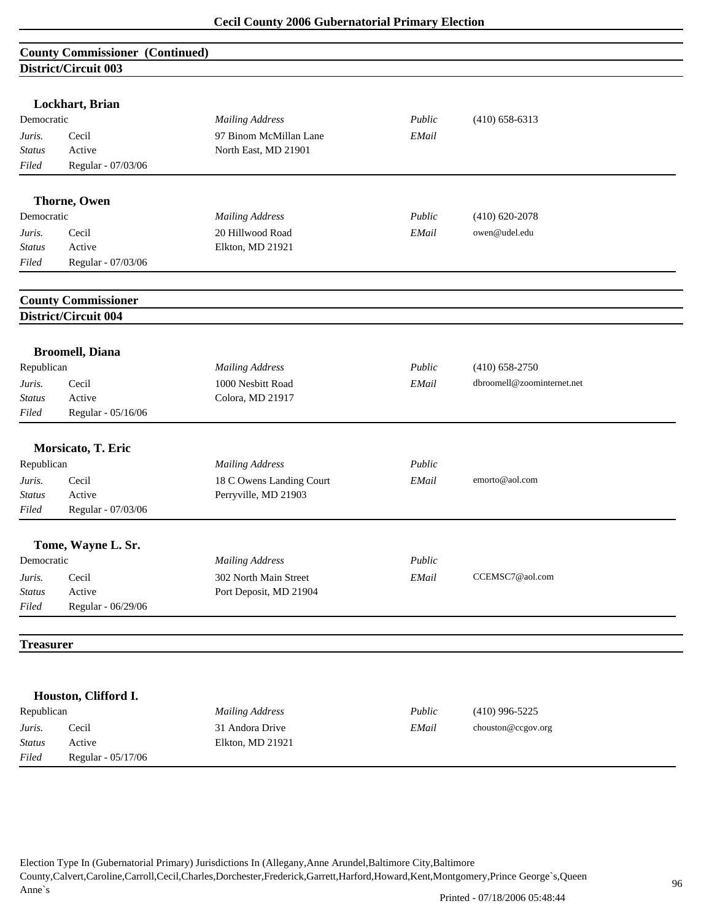| <b>County Commissioner (Continued)</b><br>District/Circuit 003<br>Lockhart, Brian<br>Public<br>Democratic<br><b>Mailing Address</b><br>$(410)$ 658-6313<br>Cecil<br>97 Binom McMillan Lane<br>EMail<br>Juris.<br>Active<br><b>Status</b><br>North East, MD 21901<br>Filed<br>Regular - 07/03/06<br><b>Thorne, Owen</b><br>Democratic<br><b>Mailing Address</b><br>Public<br>$(410) 620 - 2078$<br>20 Hillwood Road<br>owen@udel.edu<br>Cecil<br>EMail<br>Juris.<br>Active<br>Elkton, MD 21921<br><b>Status</b><br>Regular - 07/03/06<br>Filed<br><b>County Commissioner</b><br>District/Circuit 004<br><b>Broomell</b> , Diana<br>Republican<br><b>Mailing Address</b><br>Public<br>$(410) 658 - 2750$<br>1000 Nesbitt Road<br>dbroomell@zoominternet.net<br>Juris.<br>Cecil<br>EMail<br>Colora, MD 21917<br><b>Status</b><br>Active<br>Filed<br>Regular - 05/16/06<br>Morsicato, T. Eric<br>Republican<br><b>Mailing Address</b><br>Public<br>18 C Owens Landing Court<br>Juris.<br>Cecil<br>EMail<br>emorto@aol.com<br>Perryville, MD 21903<br>Active<br>Status<br>Regular - 07/03/06<br>Filed<br>Tome, Wayne L. Sr.<br><b>Mailing Address</b><br>Public<br>Democratic<br>Cecil<br>302 North Main Street<br>CCEMSC7@aol.com<br>Juris.<br>EMail<br>Active<br>Port Deposit, MD 21904<br><b>Status</b><br>Filed<br>Regular - 06/29/06<br><b>Treasurer</b><br>Houston, Clifford I.<br>Republican<br>Public<br><b>Mailing Address</b><br>$(410)$ 996-5225<br>Cecil<br>31 Andora Drive<br>EMail<br>chouston@ccgov.org<br>Juris. |               |        |                  |  |
|-----------------------------------------------------------------------------------------------------------------------------------------------------------------------------------------------------------------------------------------------------------------------------------------------------------------------------------------------------------------------------------------------------------------------------------------------------------------------------------------------------------------------------------------------------------------------------------------------------------------------------------------------------------------------------------------------------------------------------------------------------------------------------------------------------------------------------------------------------------------------------------------------------------------------------------------------------------------------------------------------------------------------------------------------------------------------------------------------------------------------------------------------------------------------------------------------------------------------------------------------------------------------------------------------------------------------------------------------------------------------------------------------------------------------------------------------------------------------------------------------------------------------------|---------------|--------|------------------|--|
|                                                                                                                                                                                                                                                                                                                                                                                                                                                                                                                                                                                                                                                                                                                                                                                                                                                                                                                                                                                                                                                                                                                                                                                                                                                                                                                                                                                                                                                                                                                             |               |        |                  |  |
|                                                                                                                                                                                                                                                                                                                                                                                                                                                                                                                                                                                                                                                                                                                                                                                                                                                                                                                                                                                                                                                                                                                                                                                                                                                                                                                                                                                                                                                                                                                             |               |        |                  |  |
|                                                                                                                                                                                                                                                                                                                                                                                                                                                                                                                                                                                                                                                                                                                                                                                                                                                                                                                                                                                                                                                                                                                                                                                                                                                                                                                                                                                                                                                                                                                             |               |        |                  |  |
|                                                                                                                                                                                                                                                                                                                                                                                                                                                                                                                                                                                                                                                                                                                                                                                                                                                                                                                                                                                                                                                                                                                                                                                                                                                                                                                                                                                                                                                                                                                             |               |        |                  |  |
|                                                                                                                                                                                                                                                                                                                                                                                                                                                                                                                                                                                                                                                                                                                                                                                                                                                                                                                                                                                                                                                                                                                                                                                                                                                                                                                                                                                                                                                                                                                             |               |        |                  |  |
|                                                                                                                                                                                                                                                                                                                                                                                                                                                                                                                                                                                                                                                                                                                                                                                                                                                                                                                                                                                                                                                                                                                                                                                                                                                                                                                                                                                                                                                                                                                             |               |        |                  |  |
|                                                                                                                                                                                                                                                                                                                                                                                                                                                                                                                                                                                                                                                                                                                                                                                                                                                                                                                                                                                                                                                                                                                                                                                                                                                                                                                                                                                                                                                                                                                             |               |        |                  |  |
|                                                                                                                                                                                                                                                                                                                                                                                                                                                                                                                                                                                                                                                                                                                                                                                                                                                                                                                                                                                                                                                                                                                                                                                                                                                                                                                                                                                                                                                                                                                             |               |        |                  |  |
|                                                                                                                                                                                                                                                                                                                                                                                                                                                                                                                                                                                                                                                                                                                                                                                                                                                                                                                                                                                                                                                                                                                                                                                                                                                                                                                                                                                                                                                                                                                             |               |        |                  |  |
|                                                                                                                                                                                                                                                                                                                                                                                                                                                                                                                                                                                                                                                                                                                                                                                                                                                                                                                                                                                                                                                                                                                                                                                                                                                                                                                                                                                                                                                                                                                             |               |        |                  |  |
|                                                                                                                                                                                                                                                                                                                                                                                                                                                                                                                                                                                                                                                                                                                                                                                                                                                                                                                                                                                                                                                                                                                                                                                                                                                                                                                                                                                                                                                                                                                             |               |        |                  |  |
|                                                                                                                                                                                                                                                                                                                                                                                                                                                                                                                                                                                                                                                                                                                                                                                                                                                                                                                                                                                                                                                                                                                                                                                                                                                                                                                                                                                                                                                                                                                             |               |        |                  |  |
|                                                                                                                                                                                                                                                                                                                                                                                                                                                                                                                                                                                                                                                                                                                                                                                                                                                                                                                                                                                                                                                                                                                                                                                                                                                                                                                                                                                                                                                                                                                             |               |        |                  |  |
|                                                                                                                                                                                                                                                                                                                                                                                                                                                                                                                                                                                                                                                                                                                                                                                                                                                                                                                                                                                                                                                                                                                                                                                                                                                                                                                                                                                                                                                                                                                             |               |        |                  |  |
|                                                                                                                                                                                                                                                                                                                                                                                                                                                                                                                                                                                                                                                                                                                                                                                                                                                                                                                                                                                                                                                                                                                                                                                                                                                                                                                                                                                                                                                                                                                             |               |        |                  |  |
|                                                                                                                                                                                                                                                                                                                                                                                                                                                                                                                                                                                                                                                                                                                                                                                                                                                                                                                                                                                                                                                                                                                                                                                                                                                                                                                                                                                                                                                                                                                             |               |        |                  |  |
|                                                                                                                                                                                                                                                                                                                                                                                                                                                                                                                                                                                                                                                                                                                                                                                                                                                                                                                                                                                                                                                                                                                                                                                                                                                                                                                                                                                                                                                                                                                             |               |        |                  |  |
|                                                                                                                                                                                                                                                                                                                                                                                                                                                                                                                                                                                                                                                                                                                                                                                                                                                                                                                                                                                                                                                                                                                                                                                                                                                                                                                                                                                                                                                                                                                             |               |        |                  |  |
|                                                                                                                                                                                                                                                                                                                                                                                                                                                                                                                                                                                                                                                                                                                                                                                                                                                                                                                                                                                                                                                                                                                                                                                                                                                                                                                                                                                                                                                                                                                             |               |        |                  |  |
|                                                                                                                                                                                                                                                                                                                                                                                                                                                                                                                                                                                                                                                                                                                                                                                                                                                                                                                                                                                                                                                                                                                                                                                                                                                                                                                                                                                                                                                                                                                             |               |        |                  |  |
|                                                                                                                                                                                                                                                                                                                                                                                                                                                                                                                                                                                                                                                                                                                                                                                                                                                                                                                                                                                                                                                                                                                                                                                                                                                                                                                                                                                                                                                                                                                             |               |        |                  |  |
|                                                                                                                                                                                                                                                                                                                                                                                                                                                                                                                                                                                                                                                                                                                                                                                                                                                                                                                                                                                                                                                                                                                                                                                                                                                                                                                                                                                                                                                                                                                             |               |        |                  |  |
|                                                                                                                                                                                                                                                                                                                                                                                                                                                                                                                                                                                                                                                                                                                                                                                                                                                                                                                                                                                                                                                                                                                                                                                                                                                                                                                                                                                                                                                                                                                             |               |        |                  |  |
|                                                                                                                                                                                                                                                                                                                                                                                                                                                                                                                                                                                                                                                                                                                                                                                                                                                                                                                                                                                                                                                                                                                                                                                                                                                                                                                                                                                                                                                                                                                             |               |        |                  |  |
|                                                                                                                                                                                                                                                                                                                                                                                                                                                                                                                                                                                                                                                                                                                                                                                                                                                                                                                                                                                                                                                                                                                                                                                                                                                                                                                                                                                                                                                                                                                             |               |        |                  |  |
|                                                                                                                                                                                                                                                                                                                                                                                                                                                                                                                                                                                                                                                                                                                                                                                                                                                                                                                                                                                                                                                                                                                                                                                                                                                                                                                                                                                                                                                                                                                             |               |        |                  |  |
|                                                                                                                                                                                                                                                                                                                                                                                                                                                                                                                                                                                                                                                                                                                                                                                                                                                                                                                                                                                                                                                                                                                                                                                                                                                                                                                                                                                                                                                                                                                             |               |        |                  |  |
|                                                                                                                                                                                                                                                                                                                                                                                                                                                                                                                                                                                                                                                                                                                                                                                                                                                                                                                                                                                                                                                                                                                                                                                                                                                                                                                                                                                                                                                                                                                             |               |        |                  |  |
|                                                                                                                                                                                                                                                                                                                                                                                                                                                                                                                                                                                                                                                                                                                                                                                                                                                                                                                                                                                                                                                                                                                                                                                                                                                                                                                                                                                                                                                                                                                             |               |        |                  |  |
|                                                                                                                                                                                                                                                                                                                                                                                                                                                                                                                                                                                                                                                                                                                                                                                                                                                                                                                                                                                                                                                                                                                                                                                                                                                                                                                                                                                                                                                                                                                             |               |        |                  |  |
|                                                                                                                                                                                                                                                                                                                                                                                                                                                                                                                                                                                                                                                                                                                                                                                                                                                                                                                                                                                                                                                                                                                                                                                                                                                                                                                                                                                                                                                                                                                             |               |        |                  |  |
|                                                                                                                                                                                                                                                                                                                                                                                                                                                                                                                                                                                                                                                                                                                                                                                                                                                                                                                                                                                                                                                                                                                                                                                                                                                                                                                                                                                                                                                                                                                             |               |        |                  |  |
|                                                                                                                                                                                                                                                                                                                                                                                                                                                                                                                                                                                                                                                                                                                                                                                                                                                                                                                                                                                                                                                                                                                                                                                                                                                                                                                                                                                                                                                                                                                             |               |        |                  |  |
|                                                                                                                                                                                                                                                                                                                                                                                                                                                                                                                                                                                                                                                                                                                                                                                                                                                                                                                                                                                                                                                                                                                                                                                                                                                                                                                                                                                                                                                                                                                             |               |        |                  |  |
|                                                                                                                                                                                                                                                                                                                                                                                                                                                                                                                                                                                                                                                                                                                                                                                                                                                                                                                                                                                                                                                                                                                                                                                                                                                                                                                                                                                                                                                                                                                             |               |        |                  |  |
|                                                                                                                                                                                                                                                                                                                                                                                                                                                                                                                                                                                                                                                                                                                                                                                                                                                                                                                                                                                                                                                                                                                                                                                                                                                                                                                                                                                                                                                                                                                             |               |        |                  |  |
|                                                                                                                                                                                                                                                                                                                                                                                                                                                                                                                                                                                                                                                                                                                                                                                                                                                                                                                                                                                                                                                                                                                                                                                                                                                                                                                                                                                                                                                                                                                             |               |        |                  |  |
|                                                                                                                                                                                                                                                                                                                                                                                                                                                                                                                                                                                                                                                                                                                                                                                                                                                                                                                                                                                                                                                                                                                                                                                                                                                                                                                                                                                                                                                                                                                             |               |        |                  |  |
|                                                                                                                                                                                                                                                                                                                                                                                                                                                                                                                                                                                                                                                                                                                                                                                                                                                                                                                                                                                                                                                                                                                                                                                                                                                                                                                                                                                                                                                                                                                             |               |        |                  |  |
|                                                                                                                                                                                                                                                                                                                                                                                                                                                                                                                                                                                                                                                                                                                                                                                                                                                                                                                                                                                                                                                                                                                                                                                                                                                                                                                                                                                                                                                                                                                             |               |        |                  |  |
|                                                                                                                                                                                                                                                                                                                                                                                                                                                                                                                                                                                                                                                                                                                                                                                                                                                                                                                                                                                                                                                                                                                                                                                                                                                                                                                                                                                                                                                                                                                             |               |        |                  |  |
|                                                                                                                                                                                                                                                                                                                                                                                                                                                                                                                                                                                                                                                                                                                                                                                                                                                                                                                                                                                                                                                                                                                                                                                                                                                                                                                                                                                                                                                                                                                             |               |        |                  |  |
|                                                                                                                                                                                                                                                                                                                                                                                                                                                                                                                                                                                                                                                                                                                                                                                                                                                                                                                                                                                                                                                                                                                                                                                                                                                                                                                                                                                                                                                                                                                             | <b>Status</b> | Active | Elkton, MD 21921 |  |
| Regular - 05/17/06<br>Filed                                                                                                                                                                                                                                                                                                                                                                                                                                                                                                                                                                                                                                                                                                                                                                                                                                                                                                                                                                                                                                                                                                                                                                                                                                                                                                                                                                                                                                                                                                 |               |        |                  |  |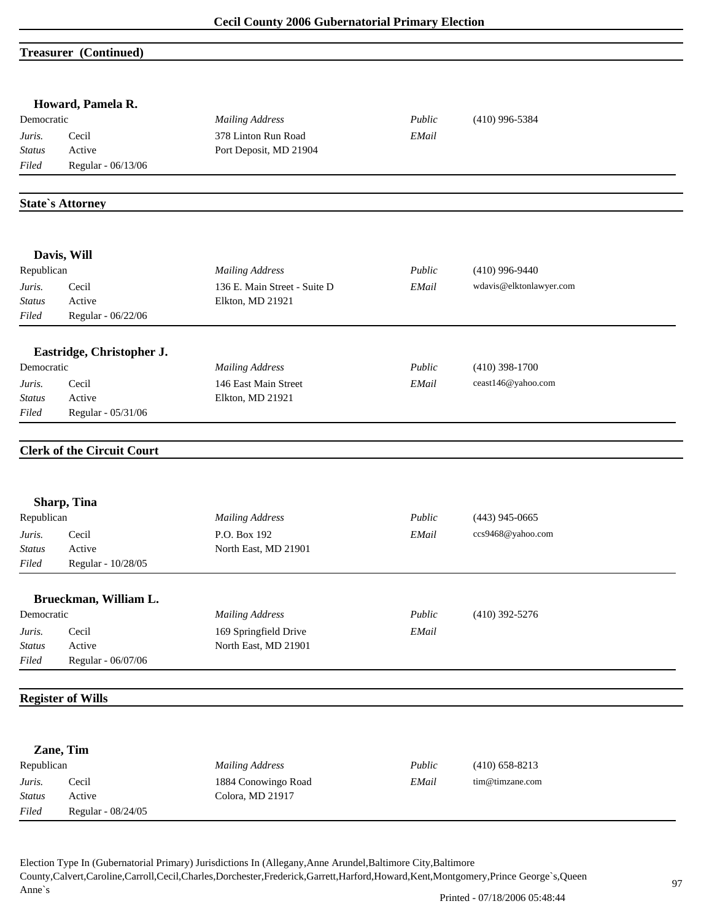### **Treasurer (Continued)**

|               | Howard, Pamela R.                 |                              |        |                         |
|---------------|-----------------------------------|------------------------------|--------|-------------------------|
| Democratic    |                                   | <b>Mailing Address</b>       | Public | $(410)$ 996-5384        |
| Juris.        | Cecil                             | 378 Linton Run Road          | EMail  |                         |
| Status        | Active                            | Port Deposit, MD 21904       |        |                         |
| Filed         | Regular - 06/13/06                |                              |        |                         |
|               | <b>State's Attorney</b>           |                              |        |                         |
|               |                                   |                              |        |                         |
|               | Davis, Will                       |                              |        |                         |
| Republican    |                                   | <b>Mailing Address</b>       | Public | $(410)$ 996-9440        |
| Juris.        | Cecil                             | 136 E. Main Street - Suite D | EMail  | wdavis@elktonlawyer.com |
| <b>Status</b> | Active                            | Elkton, MD 21921             |        |                         |
| Filed         | Regular - 06/22/06                |                              |        |                         |
|               | Eastridge, Christopher J.         |                              |        |                         |
| Democratic    |                                   | <b>Mailing Address</b>       | Public | $(410)$ 398-1700        |
| Juris.        | Cecil                             | 146 East Main Street         | EMail  | ceast146@yahoo.com      |
| <b>Status</b> | Active                            | Elkton, MD 21921             |        |                         |
| Filed         | Regular - 05/31/06                |                              |        |                         |
|               | <b>Clerk of the Circuit Court</b> |                              |        |                         |
|               |                                   |                              |        |                         |
|               | Sharp, Tina                       |                              |        |                         |
| Republican    |                                   | <b>Mailing Address</b>       | Public | $(443)$ 945-0665        |
| Juris.        | Cecil                             | P.O. Box 192                 | EMail  | ccs9468@yahoo.com       |
| <b>Status</b> | Active                            | North East, MD 21901         |        |                         |
| Filed         | Regular - 10/28/05                |                              |        |                         |
|               | Brueckman, William L.             |                              |        |                         |
| Democratic    |                                   | <b>Mailing Address</b>       | Public | $(410)$ 392-5276        |
| Juris.        | Cecil                             | 169 Springfield Drive        | EMail  |                         |
| <b>Status</b> | Active                            | North East, MD 21901         |        |                         |
| Filed         | Regular - 06/07/06                |                              |        |                         |
|               | <b>Register of Wills</b>          |                              |        |                         |
|               |                                   |                              |        |                         |
|               | Zane, Tim                         |                              |        |                         |
| Republican    |                                   | <b>Mailing Address</b>       | Public | $(410)$ 658-8213        |
| Juris.        | Cecil                             | 1884 Conowingo Road          | EMail  | tim@timzane.com         |
| Status        | Active                            | Colora, MD 21917             |        |                         |
| Filed         | Regular - 08/24/05                |                              |        |                         |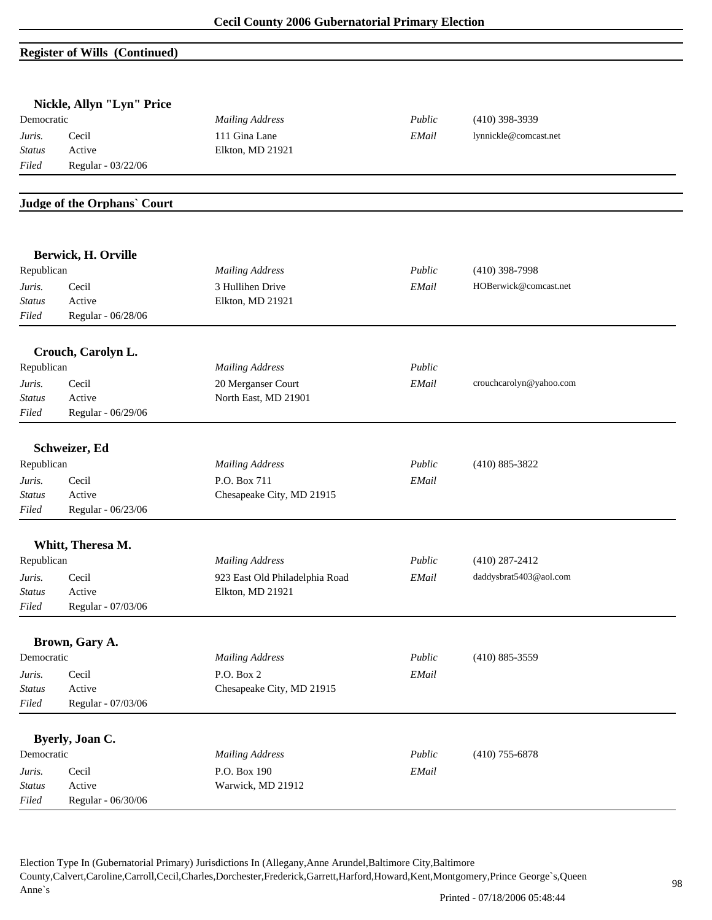# **Register of Wills (Continued)**

|               | Nickle, Allyn "Lyn" Price   |                                |        |                         |  |
|---------------|-----------------------------|--------------------------------|--------|-------------------------|--|
| Democratic    |                             | <b>Mailing Address</b>         | Public | $(410)$ 398-3939        |  |
| Juris.        | Cecil                       | 111 Gina Lane                  | EMail  | lynnickle@comcast.net   |  |
| <b>Status</b> | Active                      | Elkton, MD 21921               |        |                         |  |
| Filed         | Regular - 03/22/06          |                                |        |                         |  |
|               |                             |                                |        |                         |  |
|               | Judge of the Orphans' Court |                                |        |                         |  |
|               |                             |                                |        |                         |  |
|               | Berwick, H. Orville         |                                |        |                         |  |
| Republican    |                             | <b>Mailing Address</b>         | Public | $(410)$ 398-7998        |  |
| Juris.        | Cecil                       | 3 Hullihen Drive               | EMail  | HOBerwick@comcast.net   |  |
| <b>Status</b> | Active                      | Elkton, MD 21921               |        |                         |  |
| Filed         | Regular - 06/28/06          |                                |        |                         |  |
|               | Crouch, Carolyn L.          |                                |        |                         |  |
| Republican    |                             | <b>Mailing Address</b>         | Public |                         |  |
| Juris.        | Cecil                       | 20 Merganser Court             | EMail  | crouchcarolyn@yahoo.com |  |
| <b>Status</b> | Active                      | North East, MD 21901           |        |                         |  |
| Filed         | Regular - 06/29/06          |                                |        |                         |  |
|               |                             |                                |        |                         |  |
|               | Schweizer, Ed               |                                |        |                         |  |
| Republican    |                             | <b>Mailing Address</b>         | Public | $(410) 885 - 3822$      |  |
| Juris.        | Cecil                       | P.O. Box 711                   | EMail  |                         |  |
| <b>Status</b> | Active                      | Chesapeake City, MD 21915      |        |                         |  |
| Filed         | Regular - 06/23/06          |                                |        |                         |  |
|               | Whitt, Theresa M.           |                                |        |                         |  |
| Republican    |                             | <b>Mailing Address</b>         | Public | $(410)$ 287-2412        |  |
| Juris.        | Cecil                       | 923 East Old Philadelphia Road | EMail  | daddysbrat5403@aol.com  |  |
| <i>Status</i> | Active                      | Elkton, MD 21921               |        |                         |  |
| Filed         | Regular - 07/03/06          |                                |        |                         |  |
|               |                             |                                |        |                         |  |
|               | Brown, Gary A.              |                                |        |                         |  |
| Democratic    |                             | <b>Mailing Address</b>         | Public | $(410) 885 - 3559$      |  |
| Juris.        | Cecil                       | P.O. Box 2                     | EMail  |                         |  |
| <b>Status</b> | Active                      | Chesapeake City, MD 21915      |        |                         |  |
| Filed         | Regular - 07/03/06          |                                |        |                         |  |
|               | Byerly, Joan C.             |                                |        |                         |  |
| Democratic    |                             | <b>Mailing Address</b>         | Public | $(410)$ 755-6878        |  |
| Juris.        | Cecil                       | P.O. Box 190                   | EMail  |                         |  |
| <b>Status</b> | Active                      | Warwick, MD 21912              |        |                         |  |
| $Filed$       | Regular - 06/30/06          |                                |        |                         |  |
|               |                             |                                |        |                         |  |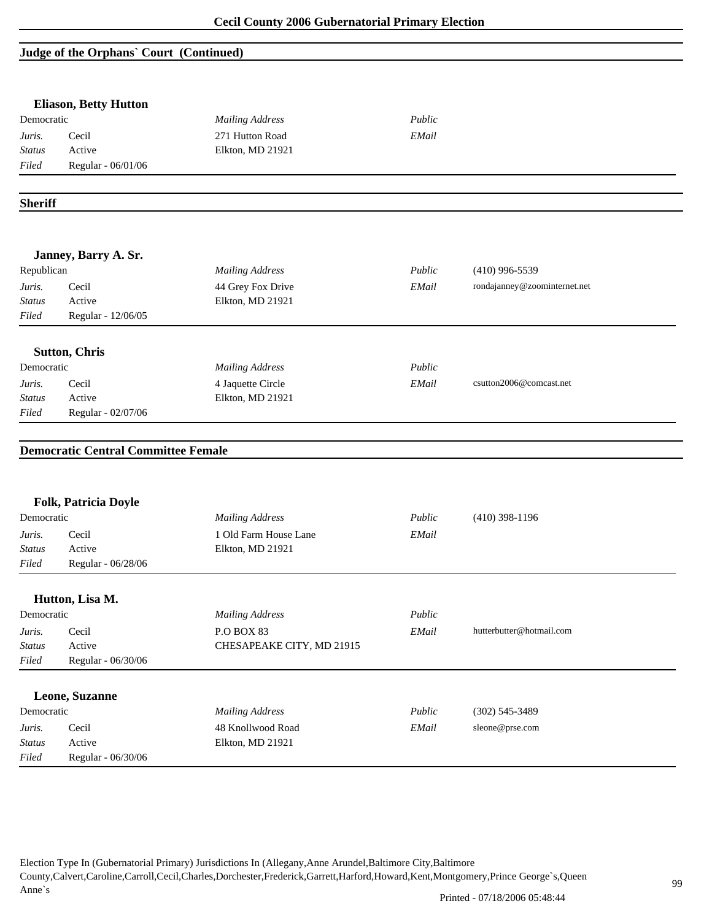# **Judge of the Orphans` Court (Continued)**

| Democratic                                     | <b>Eliason, Betty Hutton</b>               | <b>Mailing Address</b>    | Public |                              |
|------------------------------------------------|--------------------------------------------|---------------------------|--------|------------------------------|
| Juris.                                         | Cecil                                      | 271 Hutton Road           | EMail  |                              |
| <b>Status</b>                                  | Active                                     | Elkton, MD 21921          |        |                              |
| Filed                                          | Regular - 06/01/06                         |                           |        |                              |
|                                                |                                            |                           |        |                              |
| <b>Sheriff</b>                                 |                                            |                           |        |                              |
|                                                | Janney, Barry A. Sr.                       |                           |        |                              |
| Republican                                     |                                            | <b>Mailing Address</b>    | Public | $(410)$ 996-5539             |
| Juris.                                         | Cecil                                      | 44 Grey Fox Drive         | EMail  | rondajanney@zoominternet.net |
| <b>Status</b>                                  | Active                                     | Elkton, MD 21921          |        |                              |
| Filed                                          | Regular - 12/06/05                         |                           |        |                              |
|                                                |                                            |                           |        |                              |
|                                                | <b>Sutton, Chris</b>                       |                           |        |                              |
| Democratic                                     |                                            | <b>Mailing Address</b>    | Public |                              |
|                                                |                                            | 4 Jaquette Circle         | EMail  | csutton2006@comcast.net      |
|                                                | Cecil                                      |                           |        |                              |
|                                                | Active                                     | Elkton, MD 21921          |        |                              |
|                                                | Regular - 02/07/06                         |                           |        |                              |
|                                                | <b>Democratic Central Committee Female</b> |                           |        |                              |
| Juris.<br><b>Status</b><br>Filed               | Folk, Patricia Doyle                       |                           |        |                              |
|                                                |                                            | <b>Mailing Address</b>    | Public | $(410)$ 398-1196             |
| Democratic<br>Juris.                           | Cecil<br>Active                            | 1 Old Farm House Lane     | EMail  |                              |
|                                                | Regular - 06/28/06                         | Elkton, MD 21921          |        |                              |
|                                                | Hutton, Lisa M.                            |                           |        |                              |
|                                                |                                            | <b>Mailing Address</b>    | Public |                              |
| <b>Status</b><br>Filed<br>Democratic<br>Juris. | Cecil                                      | <b>P.O BOX 83</b>         | EMail  | hutterbutter@hotmail.com     |
| <b>Status</b>                                  | Active                                     | CHESAPEAKE CITY, MD 21915 |        |                              |
| Filed                                          | Regular - 06/30/06                         |                           |        |                              |
|                                                | Leone, Suzanne                             |                           |        |                              |
| Democratic                                     |                                            | <b>Mailing Address</b>    | Public | $(302)$ 545-3489             |
| Juris.                                         | Cecil                                      | 48 Knollwood Road         | EMail  | sleone@prse.com              |
| <b>Status</b>                                  | Active                                     | Elkton, MD 21921          |        |                              |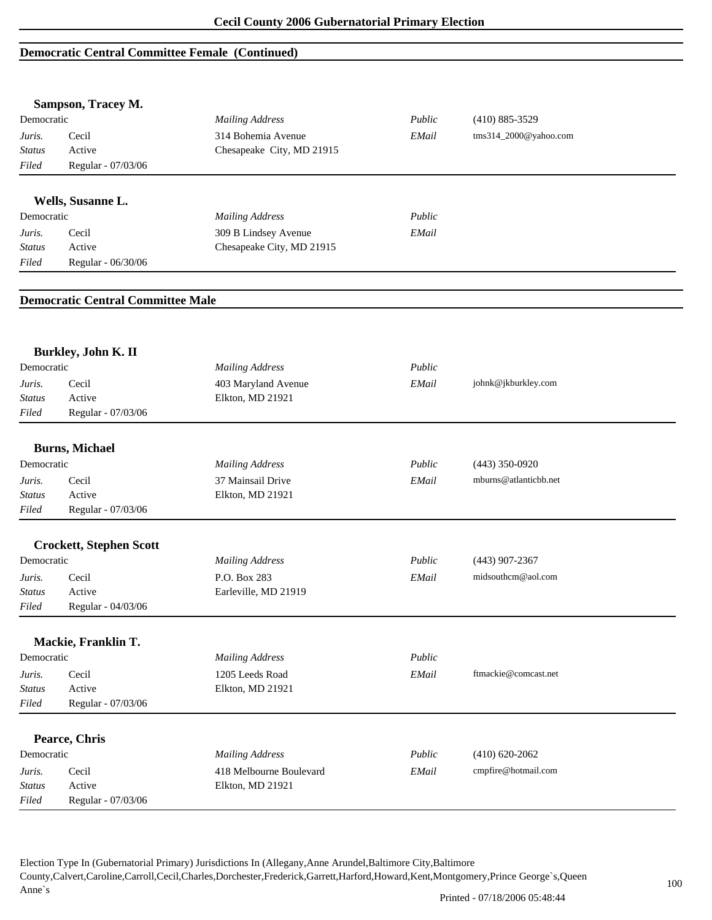### **Democratic Central Committee Female (Continued)**

|               | Sampson, Tracey M.                       |                           |        |                       |  |
|---------------|------------------------------------------|---------------------------|--------|-----------------------|--|
| Democratic    |                                          | <b>Mailing Address</b>    | Public | $(410) 885 - 3529$    |  |
| Juris.        | Cecil                                    | 314 Bohemia Avenue        | EMail  | tms314_2000@yahoo.com |  |
| <b>Status</b> | Active                                   | Chesapeake City, MD 21915 |        |                       |  |
| Filed         | Regular - 07/03/06                       |                           |        |                       |  |
|               | Wells, Susanne L.                        |                           |        |                       |  |
| Democratic    |                                          | <b>Mailing Address</b>    | Public |                       |  |
| Juris.        | Cecil                                    | 309 B Lindsey Avenue      | EMail  |                       |  |
| <b>Status</b> | Active                                   | Chesapeake City, MD 21915 |        |                       |  |
| Filed         | Regular - 06/30/06                       |                           |        |                       |  |
|               |                                          |                           |        |                       |  |
|               | <b>Democratic Central Committee Male</b> |                           |        |                       |  |
|               |                                          |                           |        |                       |  |
|               | Burkley, John K. II                      |                           |        |                       |  |
| Democratic    |                                          | <b>Mailing Address</b>    | Public |                       |  |
| Juris.        | Cecil                                    | 403 Maryland Avenue       | EMail  | johnk@jkburkley.com   |  |
| <b>Status</b> | Active                                   | Elkton, MD 21921          |        |                       |  |
| Filed         | Regular - 07/03/06                       |                           |        |                       |  |
|               | <b>Burns, Michael</b>                    |                           |        |                       |  |
| Democratic    |                                          | <b>Mailing Address</b>    | Public | $(443)$ 350-0920      |  |
| Juris.        | Cecil                                    | 37 Mainsail Drive         | EMail  | mburns@atlanticbb.net |  |
| <b>Status</b> | Active                                   | Elkton, MD 21921          |        |                       |  |
| Filed         | Regular - 07/03/06                       |                           |        |                       |  |
|               | <b>Crockett, Stephen Scott</b>           |                           |        |                       |  |
| Democratic    |                                          | <b>Mailing Address</b>    | Public | $(443)$ 907-2367      |  |
| Juris.        | Cecil                                    | P.O. Box 283              | EMail  | midsouthcm@aol.com    |  |
| <b>Status</b> | Active                                   | Earleville, MD 21919      |        |                       |  |
| Filed         | Regular - 04/03/06                       |                           |        |                       |  |
|               |                                          |                           |        |                       |  |
|               | Mackie, Franklin T.                      |                           |        |                       |  |
| Democratic    |                                          | <b>Mailing Address</b>    | Public |                       |  |
| Juris.        | Cecil                                    | 1205 Leeds Road           | EMail  | ftmackie@comcast.net  |  |
| <b>Status</b> | Active                                   | Elkton, MD 21921          |        |                       |  |
| Filed         | Regular - 07/03/06                       |                           |        |                       |  |
|               | Pearce, Chris                            |                           |        |                       |  |
| Democratic    |                                          | <b>Mailing Address</b>    | Public | $(410) 620 - 2062$    |  |
| Juris.        | Cecil                                    | 418 Melbourne Boulevard   | EMail  | cmpfire@hotmail.com   |  |
| <b>Status</b> | Active                                   | Elkton, MD 21921          |        |                       |  |
| Filed         | Regular - 07/03/06                       |                           |        |                       |  |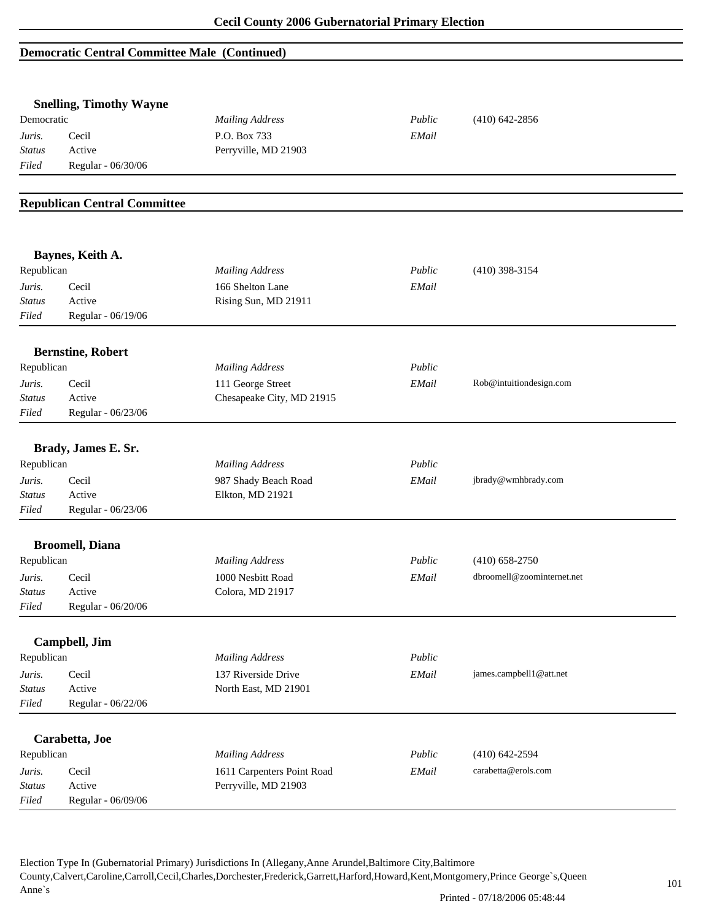## **Democratic Central Committee Male (Continued)**

|                 | <b>Snelling, Timothy Wayne</b>      |                                          |        |                            |
|-----------------|-------------------------------------|------------------------------------------|--------|----------------------------|
| Democratic      |                                     | <b>Mailing Address</b>                   | Public | $(410)$ 642-2856           |
| Juris.          | Cecil                               | P.O. Box 733                             | EMail  |                            |
| <b>Status</b>   | Active                              | Perryville, MD 21903                     |        |                            |
| Filed           | Regular - 06/30/06                  |                                          |        |                            |
|                 |                                     |                                          |        |                            |
|                 | <b>Republican Central Committee</b> |                                          |        |                            |
|                 | Baynes, Keith A.                    |                                          |        |                            |
| Republican      |                                     | <b>Mailing Address</b>                   | Public | $(410)$ 398-3154           |
| Juris.          | Cecil                               | 166 Shelton Lane                         | EMail  |                            |
| <b>Status</b>   | Active                              | Rising Sun, MD 21911                     |        |                            |
| Filed           | Regular - 06/19/06                  |                                          |        |                            |
|                 | <b>Bernstine, Robert</b>            |                                          |        |                            |
| Republican      |                                     | <b>Mailing Address</b>                   | Public |                            |
| Juris.          | Cecil                               | 111 George Street                        | EMail  | Rob@intuitiondesign.com    |
| <b>Status</b>   | Active                              | Chesapeake City, MD 21915                |        |                            |
| Filed           | Regular - 06/23/06                  |                                          |        |                            |
|                 |                                     |                                          |        |                            |
| Republican      | Brady, James E. Sr.                 | <b>Mailing Address</b>                   | Public |                            |
|                 |                                     |                                          |        |                            |
| Juris.          | Cecil                               | 987 Shady Beach Road<br>Elkton, MD 21921 | EMail  | jbrady@wmhbrady.com        |
| Status<br>Filed | Active<br>Regular - 06/23/06        |                                          |        |                            |
|                 |                                     |                                          |        |                            |
|                 | <b>Broomell</b> , Diana             |                                          |        |                            |
| Republican      |                                     | <b>Mailing Address</b>                   | Public | $(410) 658 - 2750$         |
| Juris.          | Cecil                               | 1000 Nesbitt Road                        | EMail  | dbroomell@zoominternet.net |
| <b>Status</b>   | Active                              | Colora, MD 21917                         |        |                            |
| Filed           | Regular - 06/20/06                  |                                          |        |                            |
|                 | Campbell, Jim                       |                                          |        |                            |
| Republican      |                                     | <b>Mailing Address</b>                   | Public |                            |
| Juris.          | Cecil                               | 137 Riverside Drive                      | EMail  | james.campbell1@att.net    |
| <b>Status</b>   | Active                              | North East, MD 21901                     |        |                            |
| Filed           | Regular - 06/22/06                  |                                          |        |                            |
|                 | Carabetta, Joe                      |                                          |        |                            |
| Republican      |                                     | <b>Mailing Address</b>                   | Public | $(410)$ 642-2594           |
| Juris.          | Cecil                               | 1611 Carpenters Point Road               | EMail  | carabetta@erols.com        |
| <b>Status</b>   | Active                              | Perryville, MD 21903                     |        |                            |
| Filed           | Regular - 06/09/06                  |                                          |        |                            |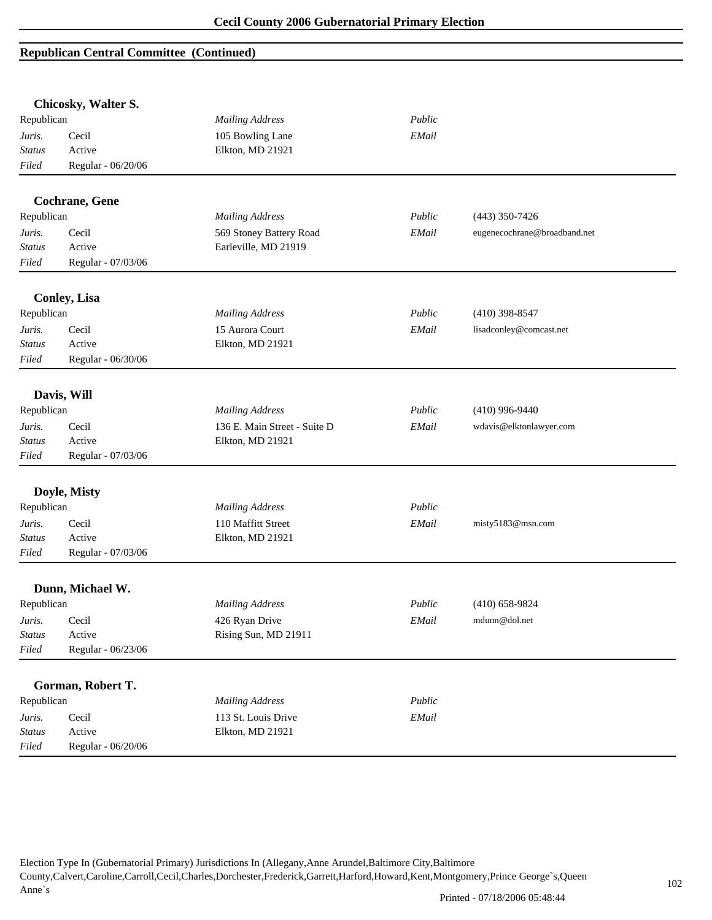|                  | Chicosky, Walter S.    |                              |        |                              |
|------------------|------------------------|------------------------------|--------|------------------------------|
| Republican       |                        | <b>Mailing Address</b>       | Public |                              |
| Juris.           | Cecil                  | 105 Bowling Lane             | EMail  |                              |
| <b>Status</b>    | Active                 | Elkton, MD 21921             |        |                              |
| Filed            | Regular - 06/20/06     |                              |        |                              |
|                  | <b>Cochrane</b> , Gene |                              |        |                              |
| Republican       |                        | <b>Mailing Address</b>       | Public | $(443)$ 350-7426             |
| Juris.           | Cecil                  | 569 Stoney Battery Road      | EMail  | eugenecochrane@broadband.net |
| <b>Status</b>    | Active                 | Earleville, MD 21919         |        |                              |
| Filed            | Regular - 07/03/06     |                              |        |                              |
|                  | <b>Conley, Lisa</b>    |                              |        |                              |
| Republican       |                        | <b>Mailing Address</b>       | Public | $(410)$ 398-8547             |
| Juris.           | Cecil                  | 15 Aurora Court              | EMail  | lisadconley@comcast.net      |
| <b>Status</b>    | Active                 | Elkton, MD 21921             |        |                              |
| Filed            | Regular - 06/30/06     |                              |        |                              |
|                  | Davis, Will            |                              |        |                              |
| Republican       |                        | <b>Mailing Address</b>       | Public | $(410)$ 996-9440             |
| Juris.           | Cecil                  | 136 E. Main Street - Suite D | EMail  | wdavis@elktonlawyer.com      |
| <b>Status</b>    | Active                 | Elkton, MD 21921             |        |                              |
| Filed            | Regular - 07/03/06     |                              |        |                              |
|                  | Doyle, Misty           |                              |        |                              |
| Republican       |                        | <b>Mailing Address</b>       | Public |                              |
|                  | Cecil                  | 110 Maffitt Street           |        |                              |
| Juris.<br>Status | Active                 | Elkton, MD 21921             | EMail  | misty5183@msn.com            |
| Filed            | Regular - 07/03/06     |                              |        |                              |
|                  |                        |                              |        |                              |
|                  | Dunn, Michael W.       |                              |        |                              |
| Republican       |                        | <b>Mailing Address</b>       | Public | $(410)$ 658-9824             |
| Juris.           | Cecil                  | 426 Ryan Drive               | EMail  | mdunn@dol.net                |
| <b>Status</b>    | Active                 | Rising Sun, MD 21911         |        |                              |
| Filed            | Regular - 06/23/06     |                              |        |                              |
|                  | Gorman, Robert T.      |                              |        |                              |
| Republican       |                        | <b>Mailing Address</b>       | Public |                              |
| Juris.           | Cecil                  | 113 St. Louis Drive          | EMail  |                              |
| <b>Status</b>    | Active                 | Elkton, MD 21921             |        |                              |
| Filed            | Regular - 06/20/06     |                              |        |                              |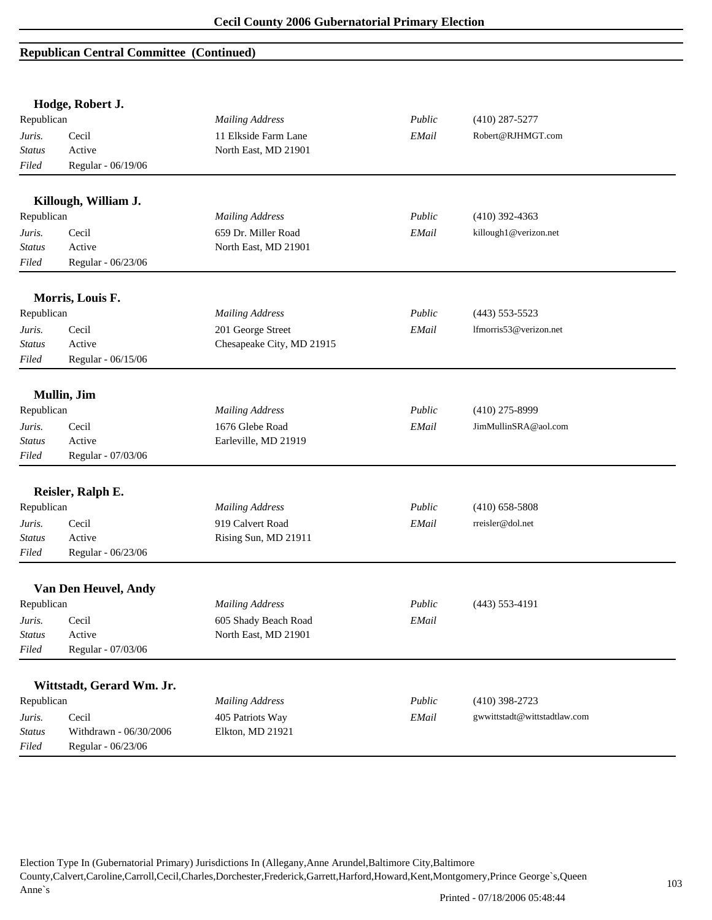|                        | Hodge, Robert J.                             |                           |        |                              |
|------------------------|----------------------------------------------|---------------------------|--------|------------------------------|
| Republican             |                                              | <b>Mailing Address</b>    | Public | $(410)$ 287-5277             |
| Juris.                 | Cecil                                        | 11 Elkside Farm Lane      | EMail  | Robert@RJHMGT.com            |
| <b>Status</b>          | Active                                       | North East, MD 21901      |        |                              |
| Filed                  | Regular - 06/19/06                           |                           |        |                              |
|                        | Killough, William J.                         |                           |        |                              |
| Republican             |                                              | <b>Mailing Address</b>    | Public | $(410)$ 392-4363             |
| Juris.                 | Cecil                                        | 659 Dr. Miller Road       | EMail  | killough1@verizon.net        |
| Status                 | Active                                       | North East, MD 21901      |        |                              |
| Filed                  | Regular - 06/23/06                           |                           |        |                              |
|                        | Morris, Louis F.                             |                           |        |                              |
| Republican             |                                              | <b>Mailing Address</b>    | Public | $(443)$ 553-5523             |
| Juris.                 | Cecil                                        | 201 George Street         | EMail  | lfmorris53@verizon.net       |
| Status                 | Active                                       | Chesapeake City, MD 21915 |        |                              |
| Filed                  | Regular - 06/15/06                           |                           |        |                              |
|                        | Mullin, Jim                                  |                           |        |                              |
| Republican             |                                              | <b>Mailing Address</b>    | Public | $(410)$ 275-8999             |
| Juris.                 | Cecil                                        | 1676 Glebe Road           | EMail  | JimMullinSRA@aol.com         |
| <b>Status</b>          | Active                                       | Earleville, MD 21919      |        |                              |
| Filed                  | Regular - 07/03/06                           |                           |        |                              |
|                        | Reisler, Ralph E.                            |                           |        |                              |
| Republican             |                                              | <b>Mailing Address</b>    | Public | $(410)$ 658-5808             |
| Juris.                 | Cecil                                        | 919 Calvert Road          | EMail  | rreisler@dol.net             |
| <b>Status</b>          | Active                                       | Rising Sun, MD 21911      |        |                              |
| Filed                  | Regular - 06/23/06                           |                           |        |                              |
|                        | Van Den Heuvel, Andy                         |                           |        |                              |
| Republican             |                                              | <b>Mailing Address</b>    | Public | $(443)$ 553-4191             |
| Juris.                 | Cecil                                        | 605 Shady Beach Road      | EMail  |                              |
| Status                 | Active                                       | North East, MD 21901      |        |                              |
| Filed                  | Regular - 07/03/06                           |                           |        |                              |
|                        |                                              |                           |        |                              |
|                        | Wittstadt, Gerard Wm. Jr.                    |                           |        |                              |
| Republican             |                                              | <b>Mailing Address</b>    | Public | $(410)$ 398-2723             |
| Juris.                 | Cecil                                        | 405 Patriots Way          | EMail  | gwwittstadt@wittstadtlaw.com |
| <b>Status</b><br>Filed | Withdrawn - 06/30/2006<br>Regular - 06/23/06 | Elkton, MD 21921          |        |                              |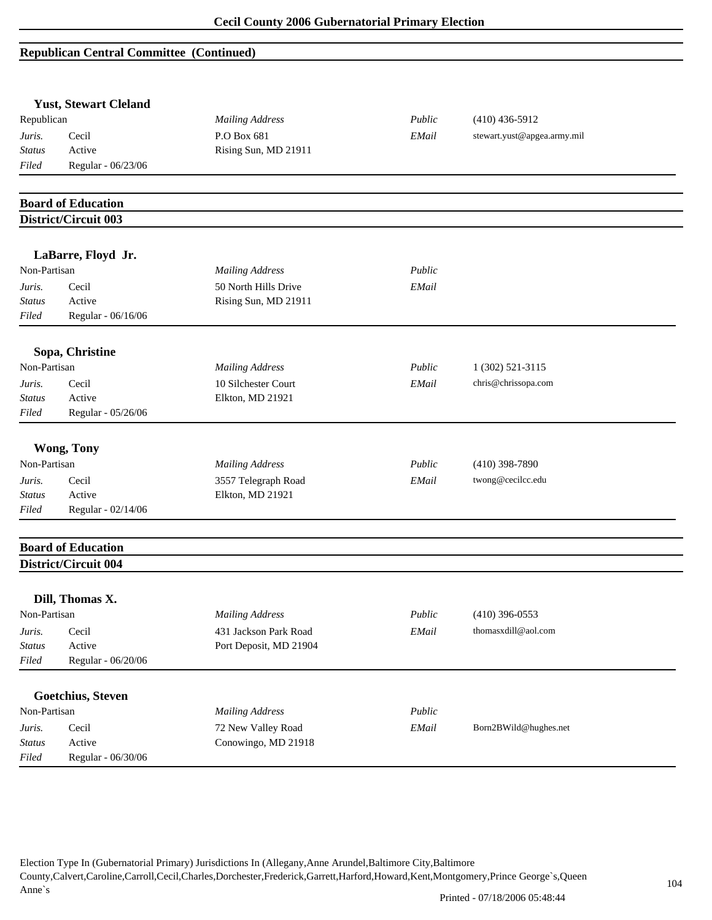|               | <b>Yust, Stewart Cleland</b> |                        |        |                             |  |
|---------------|------------------------------|------------------------|--------|-----------------------------|--|
| Republican    |                              | <b>Mailing Address</b> | Public | $(410)$ 436-5912            |  |
| Juris.        | Cecil                        | P.O Box 681            | EMail  | stewart.yust@apgea.army.mil |  |
| <b>Status</b> | Active                       | Rising Sun, MD 21911   |        |                             |  |
| Filed         | Regular - 06/23/06           |                        |        |                             |  |
|               |                              |                        |        |                             |  |
|               | <b>Board of Education</b>    |                        |        |                             |  |
|               | District/Circuit 003         |                        |        |                             |  |
|               |                              |                        |        |                             |  |
|               | LaBarre, Floyd Jr.           |                        |        |                             |  |
| Non-Partisan  |                              | <b>Mailing Address</b> | Public |                             |  |
| Juris.        | Cecil                        | 50 North Hills Drive   | EMail  |                             |  |
| <b>Status</b> | Active                       | Rising Sun, MD 21911   |        |                             |  |
| Filed         | Regular - 06/16/06           |                        |        |                             |  |
|               | Sopa, Christine              |                        |        |                             |  |
| Non-Partisan  |                              | <b>Mailing Address</b> | Public | 1 (302) 521-3115            |  |
| Juris.        | Cecil                        | 10 Silchester Court    | EMail  | chris@chrissopa.com         |  |
| <b>Status</b> | Active                       | Elkton, MD 21921       |        |                             |  |
| Filed         | Regular - 05/26/06           |                        |        |                             |  |
|               | <b>Wong, Tony</b>            |                        |        |                             |  |
| Non-Partisan  |                              | <b>Mailing Address</b> | Public | $(410)$ 398-7890            |  |
| Juris.        | Cecil                        | 3557 Telegraph Road    | EMail  | twong@cecilcc.edu           |  |
| <b>Status</b> | Active                       | Elkton, MD 21921       |        |                             |  |
| Filed         | Regular - 02/14/06           |                        |        |                             |  |
|               |                              |                        |        |                             |  |
|               | <b>Board of Education</b>    |                        |        |                             |  |
|               | District/Circuit 004         |                        |        |                             |  |
|               | Dill, Thomas X.              |                        |        |                             |  |
| Non-Partisan  |                              | <b>Mailing Address</b> | Public | $(410)$ 396-0553            |  |
| Juris.        | Cecil                        | 431 Jackson Park Road  | EMail  | thomasxdill@aol.com         |  |
| <b>Status</b> | Active                       | Port Deposit, MD 21904 |        |                             |  |
| Filed         | Regular - 06/20/06           |                        |        |                             |  |
|               |                              |                        |        |                             |  |
|               | <b>Goetchius, Steven</b>     |                        |        |                             |  |
| Non-Partisan  |                              | <b>Mailing Address</b> | Public |                             |  |
| Juris.        | Cecil                        | 72 New Valley Road     | EMail  | Born2BWild@hughes.net       |  |
| <b>Status</b> | Active                       | Conowingo, MD 21918    |        |                             |  |
| Filed         | Regular - 06/30/06           |                        |        |                             |  |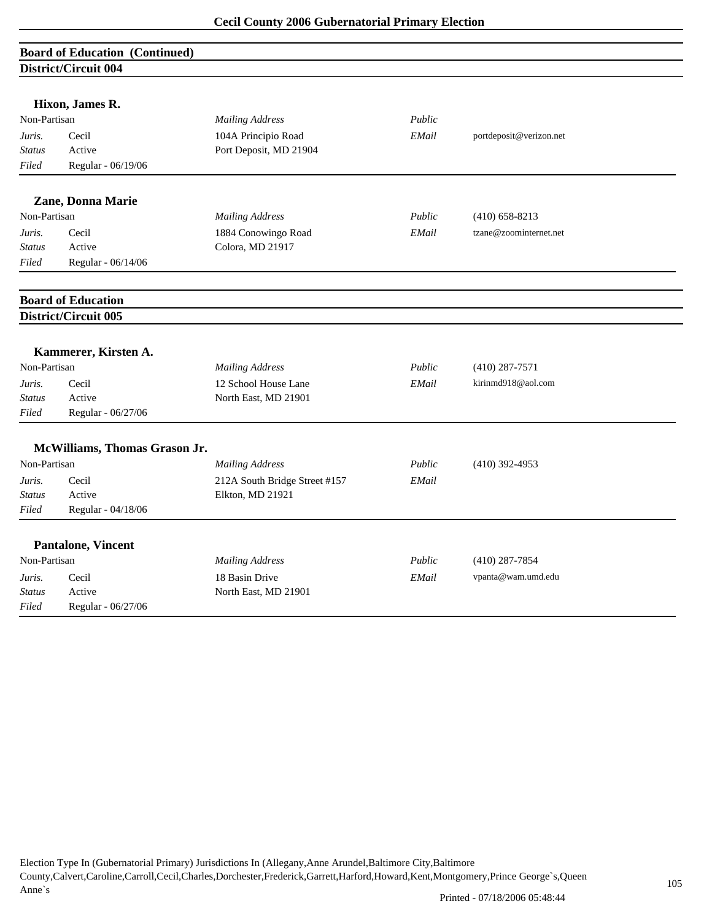| <b>Board of Education (Continued)</b><br><b>District/Circuit 004</b> |                               |                               |        |                         |  |
|----------------------------------------------------------------------|-------------------------------|-------------------------------|--------|-------------------------|--|
|                                                                      |                               |                               |        |                         |  |
|                                                                      | Hixon, James R.               |                               |        |                         |  |
| Non-Partisan                                                         |                               | <b>Mailing Address</b>        | Public |                         |  |
| Juris.                                                               | Cecil                         | 104A Principio Road           | EMail  | portdeposit@verizon.net |  |
| <b>Status</b>                                                        | Active                        | Port Deposit, MD 21904        |        |                         |  |
| Filed                                                                | Regular - 06/19/06            |                               |        |                         |  |
|                                                                      | Zane, Donna Marie             |                               |        |                         |  |
| Non-Partisan                                                         |                               | <b>Mailing Address</b>        | Public | $(410)$ 658-8213        |  |
| Juris.                                                               | Cecil                         | 1884 Conowingo Road           | EMail  | tzane@zoominternet.net  |  |
| <b>Status</b>                                                        | Active                        | Colora, MD 21917              |        |                         |  |
| Filed                                                                | Regular - 06/14/06            |                               |        |                         |  |
|                                                                      | <b>Board of Education</b>     |                               |        |                         |  |
|                                                                      | District/Circuit 005          |                               |        |                         |  |
|                                                                      |                               |                               |        |                         |  |
|                                                                      | Kammerer, Kirsten A.          |                               |        |                         |  |
| Non-Partisan                                                         |                               | <b>Mailing Address</b>        | Public | $(410)$ 287-7571        |  |
| Juris.                                                               | Cecil                         | 12 School House Lane          | EMail  | kirinmd918@aol.com      |  |
| <b>Status</b>                                                        | Active                        | North East, MD 21901          |        |                         |  |
| Filed                                                                | Regular - 06/27/06            |                               |        |                         |  |
|                                                                      | McWilliams, Thomas Grason Jr. |                               |        |                         |  |
| Non-Partisan                                                         |                               | <b>Mailing Address</b>        | Public | $(410)$ 392-4953        |  |
| Juris.                                                               | Cecil                         | 212A South Bridge Street #157 | EMail  |                         |  |
| <b>Status</b>                                                        | Active                        | Elkton, MD 21921              |        |                         |  |
| Filed                                                                | Regular - 04/18/06            |                               |        |                         |  |
|                                                                      | <b>Pantalone, Vincent</b>     |                               |        |                         |  |
| Non-Partisan                                                         |                               | <b>Mailing Address</b>        | Public | $(410)$ 287-7854        |  |
| Juris.                                                               | Cecil                         | 18 Basin Drive                | EMail  | vpanta@wam.umd.edu      |  |
| <b>Status</b>                                                        | Active                        | North East, MD 21901          |        |                         |  |
| Filed                                                                | Regular - 06/27/06            |                               |        |                         |  |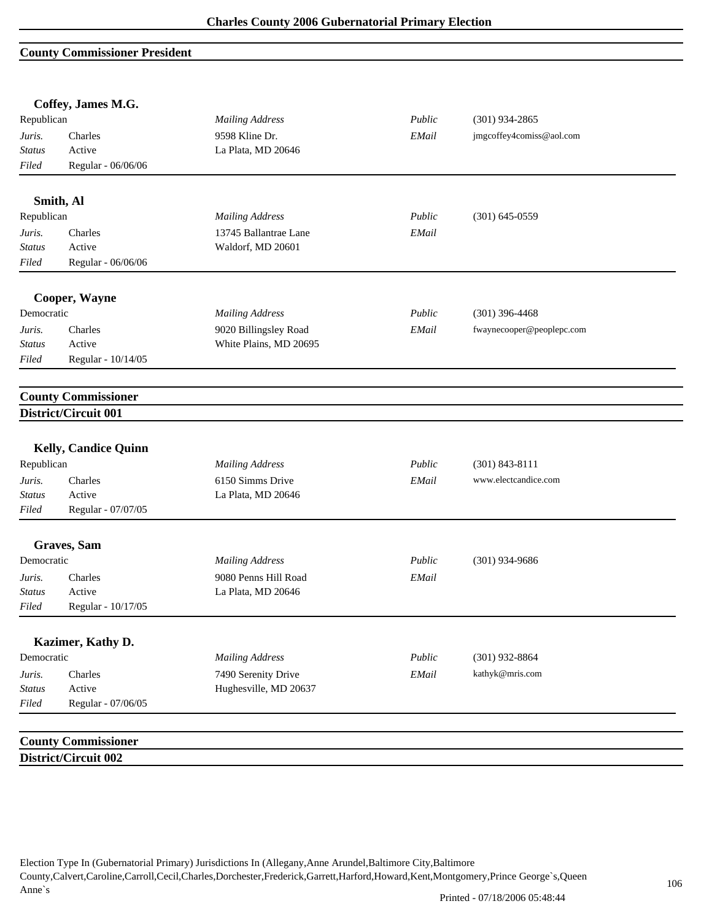### **County Commissioner President**

|               | Coffey, James M.G.          |                        |        |                           |  |
|---------------|-----------------------------|------------------------|--------|---------------------------|--|
| Republican    |                             | <b>Mailing Address</b> | Public | $(301)$ 934-2865          |  |
| Juris.        | Charles                     | 9598 Kline Dr.         | EMail  | jmgcoffey4comiss@aol.com  |  |
| Status        | Active                      | La Plata, MD 20646     |        |                           |  |
| Filed         | Regular - 06/06/06          |                        |        |                           |  |
|               | Smith, Al                   |                        |        |                           |  |
| Republican    |                             | <b>Mailing Address</b> | Public | $(301) 645 - 0559$        |  |
| Juris.        | Charles                     | 13745 Ballantrae Lane  | EMail  |                           |  |
| <b>Status</b> | Active                      | Waldorf, MD 20601      |        |                           |  |
| Filed         | Regular - 06/06/06          |                        |        |                           |  |
|               | Cooper, Wayne               |                        |        |                           |  |
| Democratic    |                             | <b>Mailing Address</b> | Public | $(301)$ 396-4468          |  |
| Juris.        | Charles                     | 9020 Billingsley Road  | EMail  | fwaynecooper@peoplepc.com |  |
| <b>Status</b> | Active                      | White Plains, MD 20695 |        |                           |  |
| Filed         | Regular - 10/14/05          |                        |        |                           |  |
|               | <b>County Commissioner</b>  |                        |        |                           |  |
|               | District/Circuit 001        |                        |        |                           |  |
|               |                             |                        |        |                           |  |
|               | <b>Kelly, Candice Quinn</b> |                        |        |                           |  |
| Republican    |                             | <b>Mailing Address</b> | Public | $(301) 843 - 8111$        |  |
| Juris.        | Charles                     | 6150 Simms Drive       | EMail  | www.electcandice.com      |  |
| <b>Status</b> | Active                      | La Plata, MD 20646     |        |                           |  |
| Filed         | Regular - 07/07/05          |                        |        |                           |  |
|               | Graves, Sam                 |                        |        |                           |  |
| Democratic    |                             | <b>Mailing Address</b> | Public | $(301)$ 934-9686          |  |
| Juris.        | Charles                     | 9080 Penns Hill Road   | EMail  |                           |  |
| <b>Status</b> | Active                      | La Plata, MD 20646     |        |                           |  |
| Filed         | Regular - 10/17/05          |                        |        |                           |  |
|               | Kazimer, Kathy D.           |                        |        |                           |  |
| Democratic    |                             | <b>Mailing Address</b> | Public | $(301)$ 932-8864          |  |
| Juris.        | Charles                     | 7490 Serenity Drive    | EMail  | kathyk@mris.com           |  |
| <b>Status</b> | Active                      | Hughesville, MD 20637  |        |                           |  |
| Filed         | Regular - 07/06/05          |                        |        |                           |  |
|               |                             |                        |        |                           |  |
|               | <b>County Commissioner</b>  |                        |        |                           |  |
|               | District/Circuit 002        |                        |        |                           |  |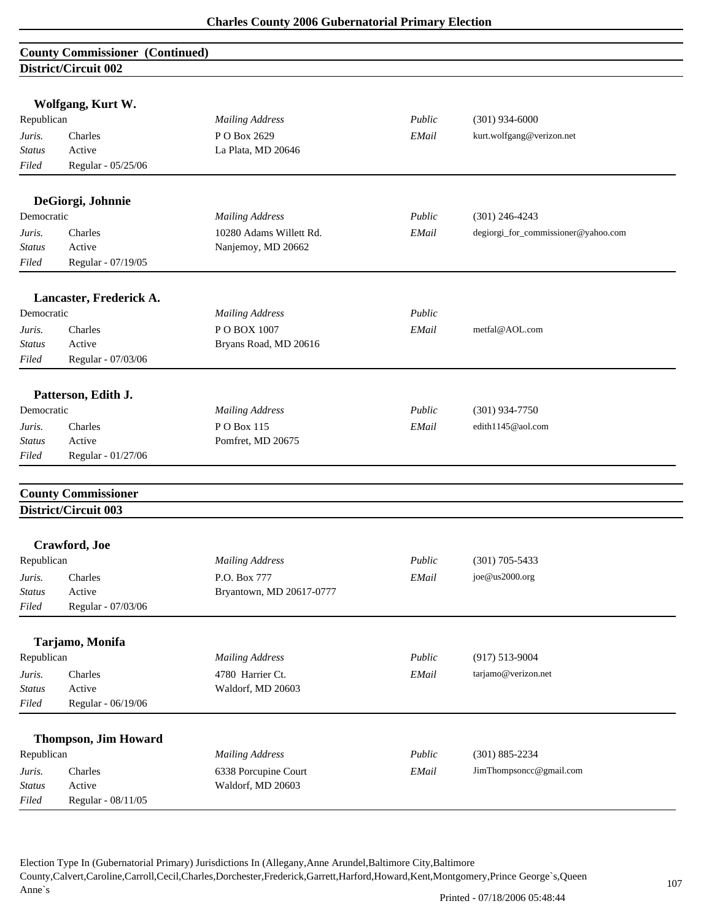| <b>County Commissioner (Continued)</b> |  |
|----------------------------------------|--|
| District/Circuit 002                   |  |
|                                        |  |

|               | Wolfgang, Kurt W.           |                          |        |                                     |
|---------------|-----------------------------|--------------------------|--------|-------------------------------------|
| Republican    |                             | <b>Mailing Address</b>   | Public | $(301)$ 934-6000                    |
| Juris.        | Charles                     | P O Box 2629             | EMail  | kurt.wolfgang@verizon.net           |
| <b>Status</b> | Active                      | La Plata, MD 20646       |        |                                     |
| Filed         | Regular - 05/25/06          |                          |        |                                     |
|               | DeGiorgi, Johnnie           |                          |        |                                     |
| Democratic    |                             | <b>Mailing Address</b>   | Public | $(301)$ 246-4243                    |
| Juris.        | Charles                     | 10280 Adams Willett Rd.  | EMail  | degiorgi_for_commissioner@yahoo.com |
| <b>Status</b> | Active                      | Nanjemoy, MD 20662       |        |                                     |
| Filed         | Regular - 07/19/05          |                          |        |                                     |
|               |                             |                          |        |                                     |
| Democratic    | Lancaster, Frederick A.     | <b>Mailing Address</b>   | Public |                                     |
|               |                             |                          |        |                                     |
| Juris.        | Charles                     | POBOX 1007               | EMail  | metfal@AOL.com                      |
| <b>Status</b> | Active                      | Bryans Road, MD 20616    |        |                                     |
| Filed         | Regular - 07/03/06          |                          |        |                                     |
|               | Patterson, Edith J.         |                          |        |                                     |
| Democratic    |                             | <b>Mailing Address</b>   | Public | $(301)$ 934-7750                    |
| Juris.        | Charles                     | PO Box 115               | EMail  | edith1145@aol.com                   |
| Status        | Active                      | Pomfret, MD 20675        |        |                                     |
| Filed         | Regular - 01/27/06          |                          |        |                                     |
|               | <b>County Commissioner</b>  |                          |        |                                     |
|               | <b>District/Circuit 003</b> |                          |        |                                     |
|               | Crawford, Joe               |                          |        |                                     |
| Republican    |                             | <b>Mailing Address</b>   | Public | $(301)$ 705-5433                    |
| Juris.        | Charles                     | P.O. Box 777             | EMail  | joe@us2000.org                      |
| Status        | Active                      | Bryantown, MD 20617-0777 |        |                                     |
| Filed         | Regular - 07/03/06          |                          |        |                                     |
|               | Tarjamo, Monifa             |                          |        |                                     |
| Republican    |                             | <b>Mailing Address</b>   | Public | $(917) 513 - 9004$                  |
| Juris.        | Charles                     | 4780 Harrier Ct.         | EMail  | tarjamo@verizon.net                 |
| <b>Status</b> | Active                      | Waldorf, MD 20603        |        |                                     |
| Filed         | Regular - 06/19/06          |                          |        |                                     |
|               |                             |                          |        |                                     |
|               | <b>Thompson, Jim Howard</b> |                          |        |                                     |
| Republican    |                             | <b>Mailing Address</b>   | Public | $(301) 885 - 2234$                  |
| Juris.        | Charles                     | 6338 Porcupine Court     | EMail  | JimThompsoncc@gmail.com             |
| <b>Status</b> | Active                      | Waldorf, MD 20603        |        |                                     |
| Filed         | Regular - 08/11/05          |                          |        |                                     |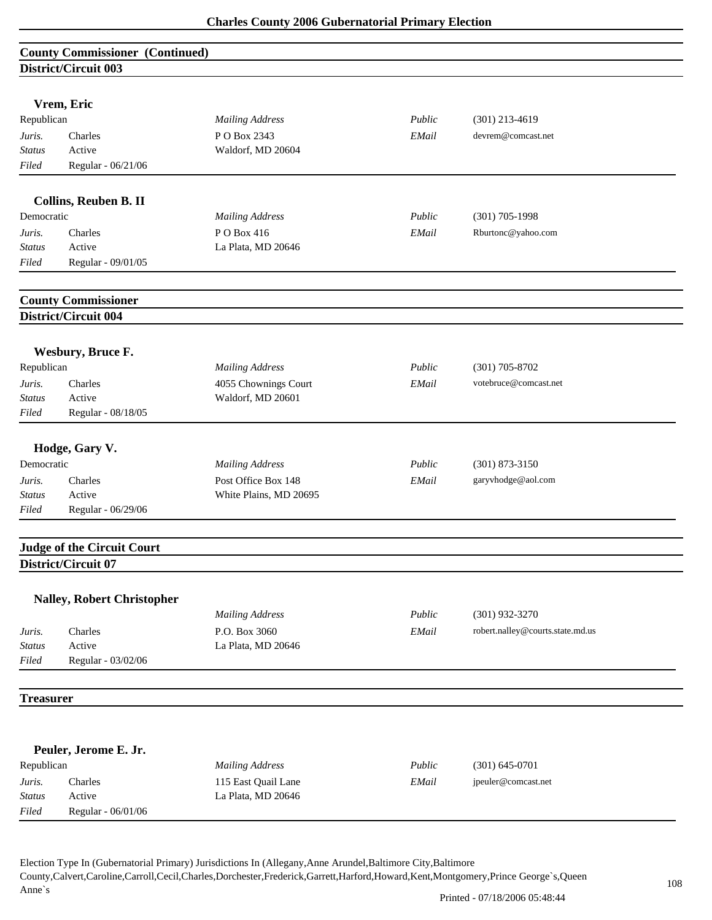| <b>County Commissioner (Continued)</b> |  |
|----------------------------------------|--|
| District/Circuit 003                   |  |

|                                     | DISURU URUU VVJ                   |                        |        |                                  |
|-------------------------------------|-----------------------------------|------------------------|--------|----------------------------------|
|                                     |                                   |                        |        |                                  |
|                                     | Vrem, Eric                        |                        |        |                                  |
| Republican                          |                                   | <b>Mailing Address</b> | Public | $(301)$ 213-4619                 |
| Juris.                              | Charles                           | P O Box 2343           | EMail  | devrem@comcast.net               |
| <b>Status</b>                       | Active                            | Waldorf, MD 20604      |        |                                  |
| Filed                               | Regular - 06/21/06                |                        |        |                                  |
|                                     |                                   |                        |        |                                  |
| Collins, Reuben B. II<br>Democratic |                                   |                        | Public | $(301)$ 705-1998                 |
|                                     |                                   | <b>Mailing Address</b> |        |                                  |
| Juris.                              | Charles                           | PO Box 416             | EMail  | Rburtonc@yahoo.com               |
| Status                              | Active                            | La Plata, MD 20646     |        |                                  |
| Filed                               | Regular - 09/01/05                |                        |        |                                  |
|                                     | <b>County Commissioner</b>        |                        |        |                                  |
|                                     | <b>District/Circuit 004</b>       |                        |        |                                  |
|                                     |                                   |                        |        |                                  |
| Wesbury, Bruce F.<br>Republican     |                                   | <b>Mailing Address</b> | Public | $(301)$ 705-8702                 |
|                                     |                                   |                        |        |                                  |
| Juris.                              | Charles                           | 4055 Chownings Court   | EMail  | votebruce@comcast.net            |
| <b>Status</b>                       | Active                            | Waldorf, MD 20601      |        |                                  |
| Filed                               | Regular - 08/18/05                |                        |        |                                  |
|                                     | Hodge, Gary V.                    |                        |        |                                  |
| Democratic                          |                                   | <b>Mailing Address</b> | Public | $(301)$ 873-3150                 |
| Juris.                              | Charles                           | Post Office Box 148    | EMail  | garyvhodge@aol.com               |
| Status                              | Active                            | White Plains, MD 20695 |        |                                  |
| Filed                               | Regular - 06/29/06                |                        |        |                                  |
|                                     |                                   |                        |        |                                  |
|                                     | <b>Judge of the Circuit Court</b> |                        |        |                                  |
|                                     | District/Circuit 07               |                        |        |                                  |
|                                     | <b>Nalley, Robert Christopher</b> |                        |        |                                  |
|                                     |                                   | <b>Mailing Address</b> | Public | $(301)$ 932-3270                 |
| Juris.                              | Charles                           | P.O. Box 3060          | EMail  | robert.nalley@courts.state.md.us |
| <b>Status</b>                       | Active                            | La Plata, MD 20646     |        |                                  |
| Filed                               | Regular - 03/02/06                |                        |        |                                  |
|                                     |                                   |                        |        |                                  |
| <b>Treasurer</b>                    |                                   |                        |        |                                  |
|                                     |                                   |                        |        |                                  |
|                                     | Peuler, Jerome E. Jr.             |                        |        |                                  |
| Republican                          |                                   | <b>Mailing Address</b> | Public | $(301) 645 - 0701$               |
| Juris.                              | Charles                           | 115 East Quail Lane    | EMail  | jpeuler@comcast.net              |
| Status                              | Active                            | La Plata, MD 20646     |        |                                  |
| Filed                               | Regular - 06/01/06                |                        |        |                                  |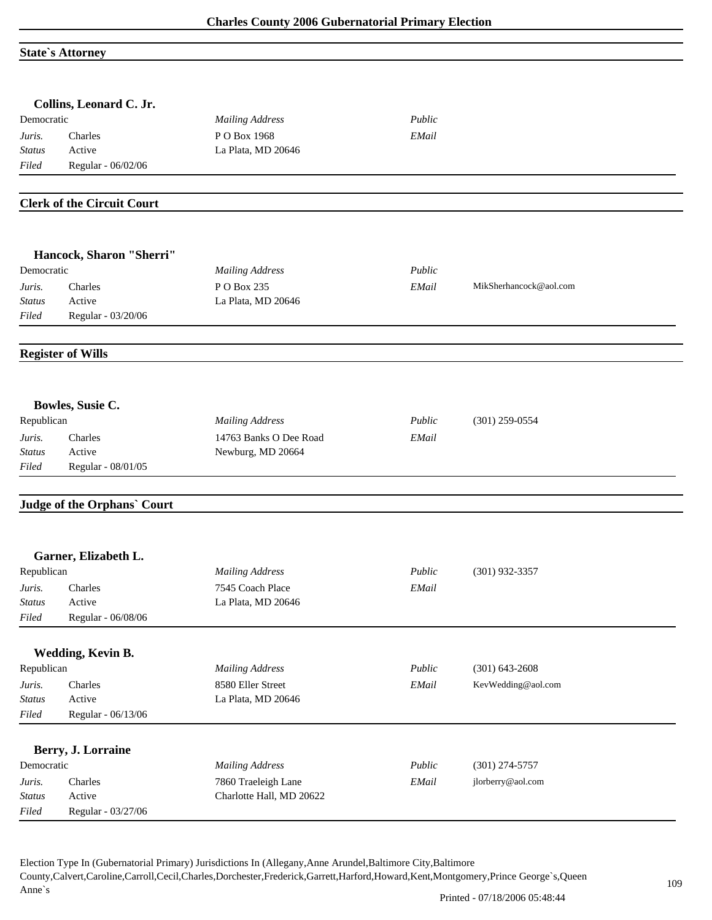### **State`s Attorney**

|               | Collins, Leonard C. Jr.           |                          |        |                        |
|---------------|-----------------------------------|--------------------------|--------|------------------------|
| Democratic    |                                   | <b>Mailing Address</b>   | Public |                        |
| Juris.        | Charles                           | PO Box 1968              | EMail  |                        |
| <b>Status</b> | Active                            | La Plata, MD 20646       |        |                        |
| Filed         | Regular - 06/02/06                |                          |        |                        |
|               | <b>Clerk of the Circuit Court</b> |                          |        |                        |
|               |                                   |                          |        |                        |
|               | Hancock, Sharon "Sherri"          |                          |        |                        |
| Democratic    |                                   | <b>Mailing Address</b>   | Public |                        |
| Juris.        | Charles                           | P O Box 235              | EMail  | MikSherhancock@aol.com |
| Status        | Active                            | La Plata, MD 20646       |        |                        |
| Filed         | Regular - 03/20/06                |                          |        |                        |
|               | <b>Register of Wills</b>          |                          |        |                        |
|               |                                   |                          |        |                        |
|               | Bowles, Susie C.                  |                          |        |                        |
| Republican    |                                   | <b>Mailing Address</b>   | Public | $(301)$ 259-0554       |
| Juris.        | Charles                           | 14763 Banks O Dee Road   | EMail  |                        |
| <b>Status</b> | Active                            | Newburg, MD 20664        |        |                        |
| Filed         | Regular - 08/01/05                |                          |        |                        |
|               | Judge of the Orphans' Court       |                          |        |                        |
|               |                                   |                          |        |                        |
| Republican    | Garner, Elizabeth L.              |                          | Public | $(301)$ 932-3357       |
|               |                                   | <b>Mailing Address</b>   |        |                        |
| Juris.        | Charles                           | 7545 Coach Place         | EMail  |                        |
| <i>Status</i> | Active                            | La Plata, MD 20646       |        |                        |
| Filed         | Regular - 06/08/06                |                          |        |                        |
|               | Wedding, Kevin B.                 |                          |        |                        |
| Republican    |                                   | <b>Mailing Address</b>   | Public | $(301) 643 - 2608$     |
| Juris.        | Charles                           | 8580 Eller Street        | EMail  | KevWedding@aol.com     |
| <b>Status</b> | Active                            | La Plata, MD 20646       |        |                        |
| Filed         | Regular - 06/13/06                |                          |        |                        |
|               | Berry, J. Lorraine                |                          |        |                        |
| Democratic    |                                   | <b>Mailing Address</b>   | Public | $(301)$ 274-5757       |
| Juris.        | Charles                           | 7860 Traeleigh Lane      | EMail  | jlorberry@aol.com      |
| <b>Status</b> | Active                            | Charlotte Hall, MD 20622 |        |                        |
| Filed         | Regular - 03/27/06                |                          |        |                        |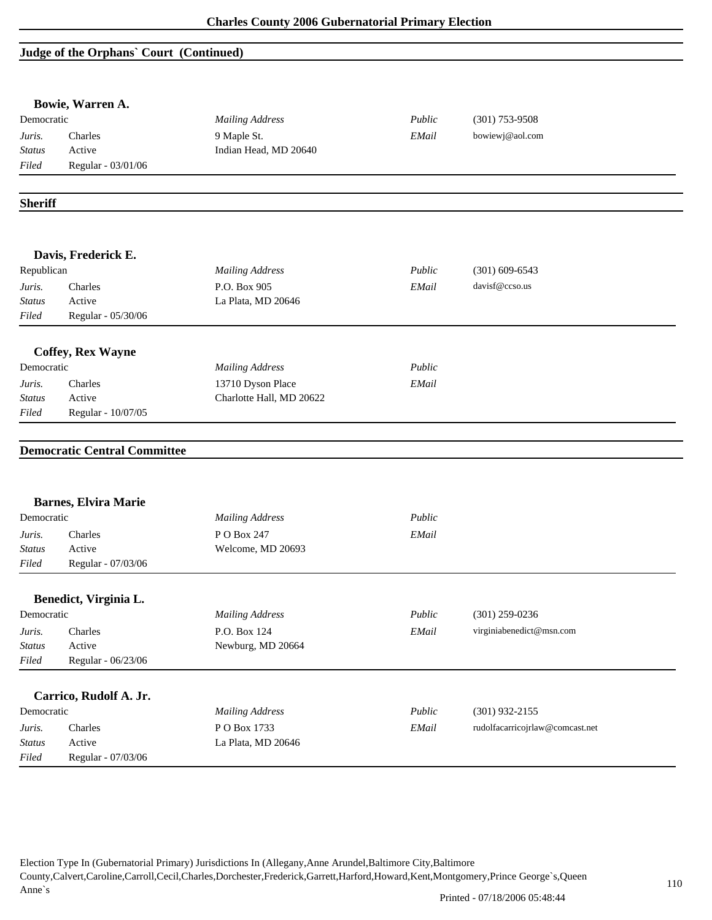## **Judge of the Orphans` Court (Continued)**

|                         | Bowie, Warren A.                    |                                               |        |                                 |
|-------------------------|-------------------------------------|-----------------------------------------------|--------|---------------------------------|
| Democratic              |                                     | <b>Mailing Address</b>                        | Public | $(301)$ 753-9508                |
| Juris.                  | Charles                             | 9 Maple St.                                   | EMail  | bowiewj@aol.com                 |
| <b>Status</b>           | Active                              | Indian Head, MD 20640                         |        |                                 |
| Filed                   | Regular - 03/01/06                  |                                               |        |                                 |
| <b>Sheriff</b>          |                                     |                                               |        |                                 |
|                         | Davis, Frederick E.                 |                                               |        |                                 |
| Republican              |                                     | <b>Mailing Address</b>                        | Public | $(301)$ 609-6543                |
| Juris.                  | Charles                             | P.O. Box 905                                  | EMail  | davisf@ccso.us                  |
| <b>Status</b>           | Active                              | La Plata, MD 20646                            |        |                                 |
| Filed                   | Regular - 05/30/06                  |                                               |        |                                 |
|                         |                                     |                                               |        |                                 |
| Democratic              | <b>Coffey, Rex Wayne</b>            | <b>Mailing Address</b>                        | Public |                                 |
|                         | Charles                             |                                               | EMail  |                                 |
| Juris.                  |                                     | 13710 Dyson Place<br>Charlotte Hall, MD 20622 |        |                                 |
|                         |                                     |                                               |        |                                 |
| <b>Status</b><br>Filed  | Active<br>Regular - 10/07/05        |                                               |        |                                 |
|                         | <b>Democratic Central Committee</b> |                                               |        |                                 |
|                         | <b>Barnes, Elvira Marie</b>         |                                               |        |                                 |
| Democratic              |                                     | <b>Mailing Address</b>                        | Public |                                 |
| Juris.                  | Charles                             | P O Box 247                                   | EMail  |                                 |
| Status                  | Active                              | Welcome, MD 20693                             |        |                                 |
| Filed                   | Regular - 07/03/06                  |                                               |        |                                 |
|                         |                                     |                                               |        |                                 |
| Democratic              | Benedict, Virginia L.               | <b>Mailing Address</b>                        | Public | $(301)$ 259-0236                |
| Juris.                  | Charles                             | P.O. Box 124                                  | EMail  | virginiabenedict@msn.com        |
| <b>Status</b>           | Active                              | Newburg, MD 20664                             |        |                                 |
| Filed                   | Regular - 06/23/06                  |                                               |        |                                 |
|                         |                                     |                                               |        |                                 |
| Democratic              | Carrico, Rudolf A. Jr.              |                                               | Public |                                 |
|                         |                                     | <b>Mailing Address</b>                        |        | $(301)$ 932-2155                |
| Juris.<br><b>Status</b> | Charles<br>Active                   | PO Box 1733<br>La Plata, MD 20646             | EMail  | rudolfacarricojrlaw@comcast.net |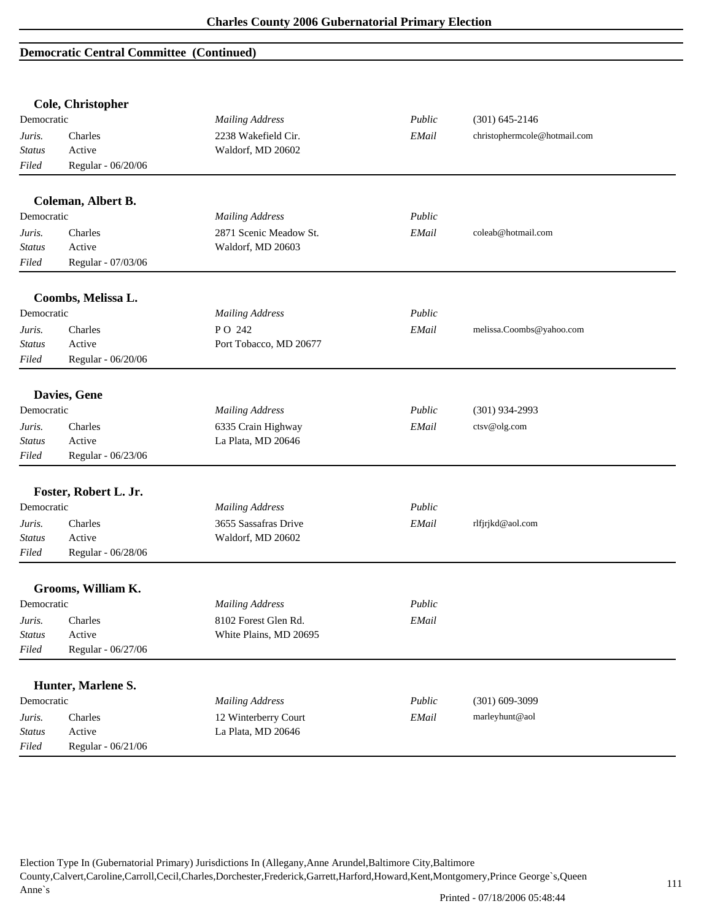## **Democratic Central Committee (Continued)**

|               | Cole, Christopher     |                        |        |                              |
|---------------|-----------------------|------------------------|--------|------------------------------|
| Democratic    |                       | <b>Mailing Address</b> | Public | $(301) 645 - 2146$           |
| Juris.        | Charles               | 2238 Wakefield Cir.    | EMail  | christophermcole@hotmail.com |
| <b>Status</b> | Active                | Waldorf, MD 20602      |        |                              |
| Filed         | Regular - 06/20/06    |                        |        |                              |
|               | Coleman, Albert B.    |                        |        |                              |
| Democratic    |                       | <b>Mailing Address</b> | Public |                              |
| Juris.        | Charles               | 2871 Scenic Meadow St. | EMail  | coleab@hotmail.com           |
| <b>Status</b> | Active                | Waldorf, MD 20603      |        |                              |
| Filed         | Regular - 07/03/06    |                        |        |                              |
|               | Coombs, Melissa L.    |                        |        |                              |
| Democratic    |                       | <b>Mailing Address</b> | Public |                              |
| Juris.        | Charles               | PO 242                 | EMail  | melissa.Coombs@yahoo.com     |
| <b>Status</b> | Active                | Port Tobacco, MD 20677 |        |                              |
| Filed         | Regular - 06/20/06    |                        |        |                              |
|               | Davies, Gene          |                        |        |                              |
| Democratic    |                       | <b>Mailing Address</b> | Public | $(301)$ 934-2993             |
| Juris.        | Charles               | 6335 Crain Highway     | EMail  | ctsv@olg.com                 |
| <b>Status</b> | Active                | La Plata, MD 20646     |        |                              |
| Filed         | Regular - 06/23/06    |                        |        |                              |
|               | Foster, Robert L. Jr. |                        |        |                              |
| Democratic    |                       | <b>Mailing Address</b> | Public |                              |
| Juris.        | Charles               | 3655 Sassafras Drive   | EMail  | rlfjrjkd@aol.com             |
| <b>Status</b> | Active                | Waldorf, MD 20602      |        |                              |
| Filed         | Regular - 06/28/06    |                        |        |                              |
|               | Grooms, William K.    |                        |        |                              |
| Democratic    |                       | <b>Mailing Address</b> | Public |                              |
| Juris.        | Charles               | 8102 Forest Glen Rd.   | EMail  |                              |
| <b>Status</b> | Active                | White Plains, MD 20695 |        |                              |
| Filed         | Regular - 06/27/06    |                        |        |                              |
|               |                       |                        |        |                              |
|               | Hunter, Marlene S.    |                        |        |                              |
| Democratic    |                       | <b>Mailing Address</b> | Public | $(301) 609 - 3099$           |
| Juris.        | Charles               | 12 Winterberry Court   | EMail  | marleyhunt@aol               |
| <b>Status</b> | Active                | La Plata, MD 20646     |        |                              |
| Filed         | Regular - 06/21/06    |                        |        |                              |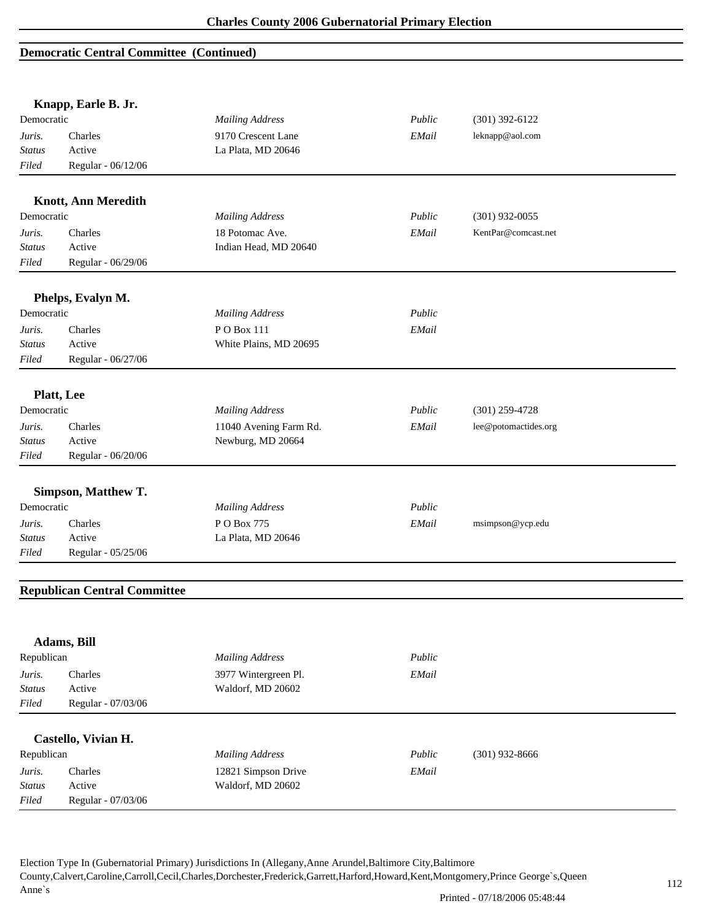### **Democratic Central Committee (Continued)**

|               | Knapp, Earle B. Jr.                 |                        |        |                      |
|---------------|-------------------------------------|------------------------|--------|----------------------|
| Democratic    |                                     | <b>Mailing Address</b> | Public | $(301)$ 392-6122     |
| Juris.        | Charles                             | 9170 Crescent Lane     | EMail  | leknapp@aol.com      |
| <b>Status</b> | Active                              | La Plata, MD 20646     |        |                      |
| Filed         | Regular - 06/12/06                  |                        |        |                      |
|               | <b>Knott, Ann Meredith</b>          |                        |        |                      |
| Democratic    |                                     | <b>Mailing Address</b> | Public | $(301)$ 932-0055     |
| Juris.        | Charles                             | 18 Potomac Ave.        | EMail  | KentPar@comcast.net  |
| <b>Status</b> | Active                              | Indian Head, MD 20640  |        |                      |
| Filed         | Regular - 06/29/06                  |                        |        |                      |
|               | Phelps, Evalyn M.                   |                        |        |                      |
| Democratic    |                                     | <b>Mailing Address</b> | Public |                      |
| Juris.        | Charles                             | PO Box 111             | EMail  |                      |
| Status        | Active                              | White Plains, MD 20695 |        |                      |
| Filed         | Regular - 06/27/06                  |                        |        |                      |
|               | <b>Platt</b> , Lee                  |                        |        |                      |
| Democratic    |                                     | <b>Mailing Address</b> | Public | $(301)$ 259-4728     |
| Juris.        | Charles                             | 11040 Avening Farm Rd. | EMail  | lee@potomactides.org |
| Status        | Active                              | Newburg, MD 20664      |        |                      |
| Filed         | Regular - 06/20/06                  |                        |        |                      |
|               | Simpson, Matthew T.                 |                        |        |                      |
| Democratic    |                                     | <b>Mailing Address</b> | Public |                      |
| Juris.        | Charles                             | P O Box 775            | EMail  | msimpson@ycp.edu     |
| Status        | Active                              | La Plata, MD 20646     |        |                      |
| Filed         | Regular - 05/25/06                  |                        |        |                      |
|               | <b>Republican Central Committee</b> |                        |        |                      |
|               |                                     |                        |        |                      |
|               | Adams, Bill                         |                        |        |                      |
| Republican    |                                     | <b>Mailing Address</b> | Public |                      |
| Juris.        | Charles                             | 3977 Wintergreen Pl.   | EMail  |                      |
| <b>Status</b> | Active                              | Waldorf, MD 20602      |        |                      |
| Filed         | Regular - 07/03/06                  |                        |        |                      |
|               | Castello, Vivian H.                 |                        |        |                      |
| Republican    |                                     | <b>Mailing Address</b> | Public | $(301)$ 932-8666     |
| Juris.        | Charles                             | 12821 Simpson Drive    | EMail  |                      |
| <b>Status</b> | Active                              | Waldorf, MD 20602      |        |                      |
| Filed         | Regular - 07/03/06                  |                        |        |                      |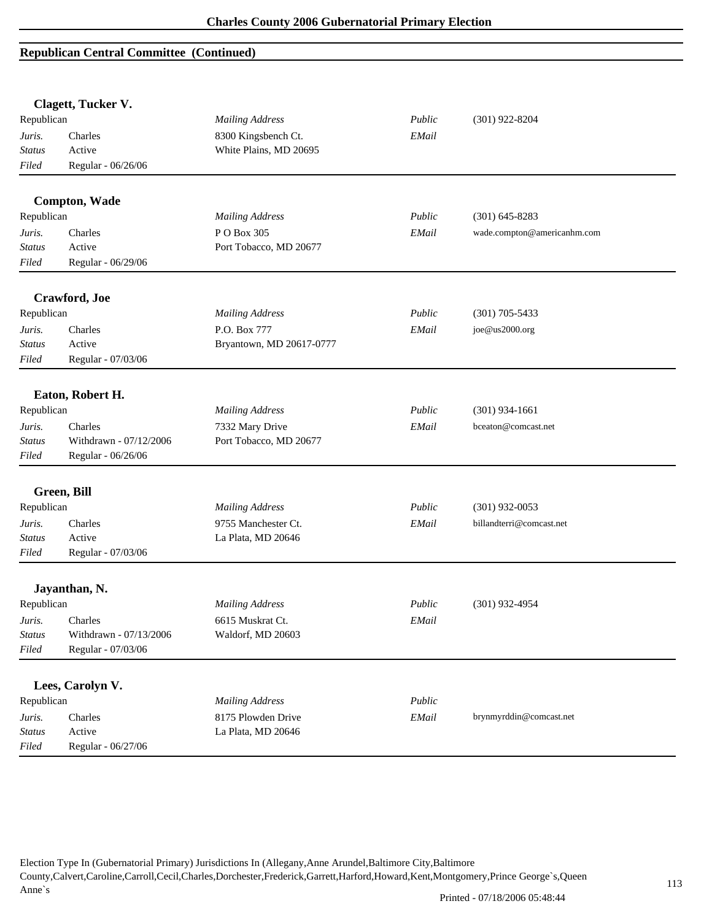|               | Clagett, Tucker V.     |                          |        |                             |
|---------------|------------------------|--------------------------|--------|-----------------------------|
| Republican    |                        | <b>Mailing Address</b>   | Public | $(301)$ 922-8204            |
| Juris.        | Charles                | 8300 Kingsbench Ct.      | EMail  |                             |
| <b>Status</b> | Active                 | White Plains, MD 20695   |        |                             |
| Filed         | Regular - 06/26/06     |                          |        |                             |
|               |                        |                          |        |                             |
|               | <b>Compton, Wade</b>   |                          |        |                             |
| Republican    |                        | <b>Mailing Address</b>   | Public | $(301)$ 645-8283            |
| Juris.        | Charles                | PO Box 305               | EMail  | wade.compton@americanhm.com |
| <b>Status</b> | Active                 | Port Tobacco, MD 20677   |        |                             |
| Filed         | Regular - 06/29/06     |                          |        |                             |
|               | Crawford, Joe          |                          |        |                             |
| Republican    |                        | <b>Mailing Address</b>   | Public | $(301)$ 705-5433            |
| Juris.        | Charles                | P.O. Box 777             | EMail  | joe@us2000.org              |
| <b>Status</b> | Active                 | Bryantown, MD 20617-0777 |        |                             |
| Filed         | Regular - 07/03/06     |                          |        |                             |
|               |                        |                          |        |                             |
|               | Eaton, Robert H.       |                          |        |                             |
| Republican    |                        | <b>Mailing Address</b>   | Public | $(301)$ 934-1661            |
| Juris.        | Charles                | 7332 Mary Drive          | EMail  | bceaton@comcast.net         |
| <b>Status</b> | Withdrawn - 07/12/2006 | Port Tobacco, MD 20677   |        |                             |
| Filed         | Regular - 06/26/06     |                          |        |                             |
|               | Green, Bill            |                          |        |                             |
| Republican    |                        | <b>Mailing Address</b>   | Public | $(301)$ 932-0053            |
| Juris.        | Charles                | 9755 Manchester Ct.      | EMail  | billandterri@comcast.net    |
| <b>Status</b> | Active                 | La Plata, MD 20646       |        |                             |
| Filed         | Regular - 07/03/06     |                          |        |                             |
|               |                        |                          |        |                             |
|               | Jayanthan, N.          |                          |        |                             |
| Republican    |                        | <b>Mailing Address</b>   | Public | $(301)$ 932-4954            |
| Juris.        | Charles                | 6615 Muskrat Ct.         | EMail  |                             |
| <b>Status</b> | Withdrawn - 07/13/2006 | Waldorf, MD 20603        |        |                             |
| Filed         | Regular - 07/03/06     |                          |        |                             |
|               | Lees, Carolyn V.       |                          |        |                             |
| Republican    |                        | <b>Mailing Address</b>   | Public |                             |
| Juris.        | Charles                | 8175 Plowden Drive       | EMail  | brynmyrddin@comcast.net     |
| <b>Status</b> | Active                 | La Plata, MD 20646       |        |                             |
| Filed         | Regular - 06/27/06     |                          |        |                             |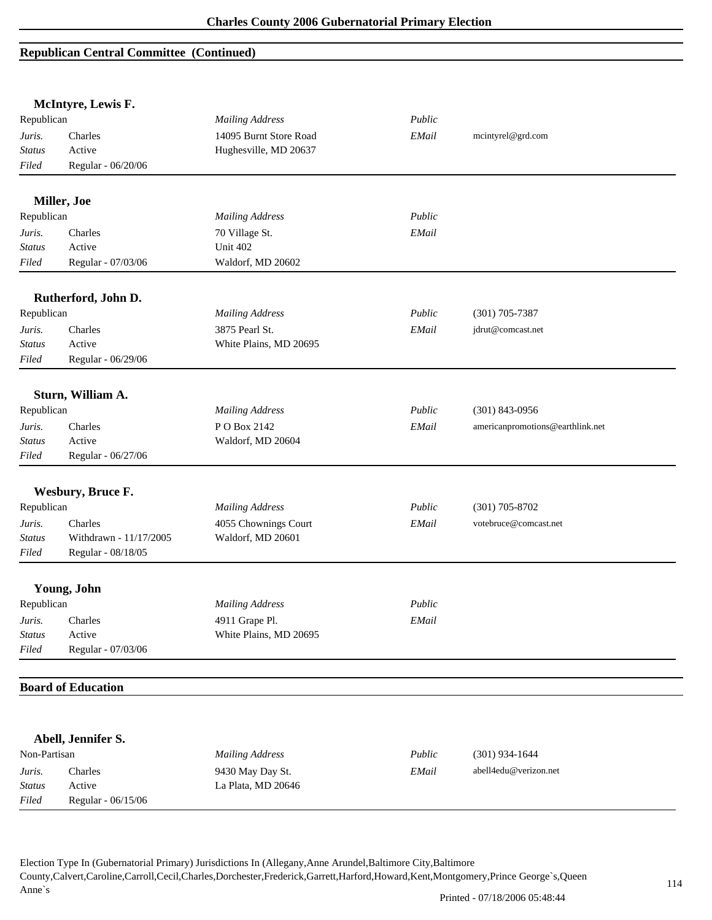*Filed* Regular - 06/15/06

|                         | McIntyre, Lewis F.                |                                           |        |                                  |
|-------------------------|-----------------------------------|-------------------------------------------|--------|----------------------------------|
| Republican              |                                   | <b>Mailing Address</b>                    | Public |                                  |
| Juris.                  | Charles                           | 14095 Burnt Store Road                    | EMail  | mcintyrel@grd.com                |
| <b>Status</b>           | Active                            | Hughesville, MD 20637                     |        |                                  |
| Filed                   | Regular - 06/20/06                |                                           |        |                                  |
|                         | Miller, Joe                       |                                           |        |                                  |
| Republican              |                                   | <b>Mailing Address</b>                    | Public |                                  |
| Juris.                  | Charles                           | 70 Village St.                            | EMail  |                                  |
| <b>Status</b>           | Active                            | Unit 402                                  |        |                                  |
| Filed                   | Regular - 07/03/06                | Waldorf, MD 20602                         |        |                                  |
|                         | Rutherford, John D.               |                                           |        |                                  |
| Republican              |                                   | <b>Mailing Address</b>                    | Public | $(301)$ 705-7387                 |
| Juris.                  | Charles                           | 3875 Pearl St.                            | EMail  | jdrut@comcast.net                |
| <b>Status</b>           | Active                            | White Plains, MD 20695                    |        |                                  |
| Filed                   | Regular - 06/29/06                |                                           |        |                                  |
|                         | Sturn, William A.                 |                                           |        |                                  |
| Republican              |                                   | <b>Mailing Address</b>                    | Public | $(301)$ 843-0956                 |
| Juris.                  | Charles                           | PO Box 2142                               | EMail  | americanpromotions@earthlink.net |
| <b>Status</b>           | Active                            | Waldorf, MD 20604                         |        |                                  |
| Filed                   | Regular - 06/27/06                |                                           |        |                                  |
|                         |                                   |                                           |        |                                  |
| Republican              | Wesbury, Bruce F.                 | <b>Mailing Address</b>                    | Public | $(301)$ 705-8702                 |
|                         |                                   |                                           |        | votebruce@comcast.net            |
| Juris.<br><b>Status</b> | Charles<br>Withdrawn - 11/17/2005 | 4055 Chownings Court<br>Waldorf, MD 20601 | EMail  |                                  |
| Filed                   | Regular - 08/18/05                |                                           |        |                                  |
|                         | Young, John                       |                                           |        |                                  |
| Republican              |                                   | <b>Mailing Address</b>                    | Public |                                  |
| Juris.                  | Charles                           | 4911 Grape Pl.                            | EMail  |                                  |
| <b>Status</b>           | Active                            | White Plains, MD 20695                    |        |                                  |
| Filed                   | Regular - 07/03/06                |                                           |        |                                  |
|                         |                                   |                                           |        |                                  |
|                         | <b>Board of Education</b>         |                                           |        |                                  |
|                         |                                   |                                           |        |                                  |
|                         | Abell, Jennifer S.                |                                           |        |                                  |
| Non-Partisan            |                                   | <b>Mailing Address</b>                    | Public | $(301)$ 934-1644                 |
| Juris.                  | Charles<br>Active                 | 9430 May Day St.<br>La Plata, MD 20646    | EMail  | abell4edu@verizon.net            |
| <b>Status</b>           |                                   |                                           |        |                                  |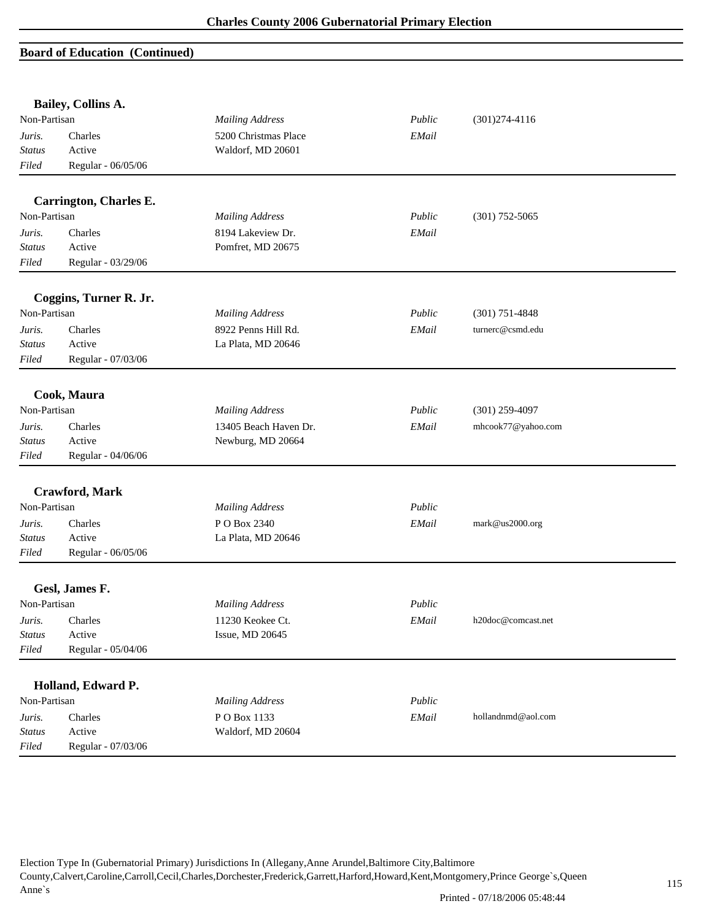|                         | Bailey, Collins A.            |                        |        |                    |
|-------------------------|-------------------------------|------------------------|--------|--------------------|
| Non-Partisan            |                               | <b>Mailing Address</b> | Public | $(301)274-4116$    |
| Juris.                  | Charles                       | 5200 Christmas Place   | EMail  |                    |
| <b>Status</b>           | Active                        | Waldorf, MD 20601      |        |                    |
| Filed                   | Regular - 06/05/06            |                        |        |                    |
|                         | <b>Carrington, Charles E.</b> |                        |        |                    |
| Non-Partisan            |                               | <b>Mailing Address</b> | Public | $(301)$ 752-5065   |
|                         | Charles                       | 8194 Lakeview Dr.      | EMail  |                    |
| Juris.<br><b>Status</b> | Active                        | Pomfret, MD 20675      |        |                    |
| Filed                   | Regular - 03/29/06            |                        |        |                    |
|                         |                               |                        |        |                    |
|                         | Coggins, Turner R. Jr.        |                        |        |                    |
| Non-Partisan            |                               | <b>Mailing Address</b> | Public | $(301)$ 751-4848   |
| Juris.                  | Charles                       | 8922 Penns Hill Rd.    | EMail  | turnerc@csmd.edu   |
| <b>Status</b>           | Active                        | La Plata, MD 20646     |        |                    |
| Filed                   | Regular - 07/03/06            |                        |        |                    |
|                         |                               |                        |        |                    |
|                         | Cook, Maura                   |                        |        |                    |
| Non-Partisan            |                               | <b>Mailing Address</b> | Public | $(301)$ 259-4097   |
| Juris.                  | Charles                       | 13405 Beach Haven Dr.  | EMail  | mhcook77@yahoo.com |
| <b>Status</b>           | Active                        | Newburg, MD 20664      |        |                    |
| Filed                   | Regular - 04/06/06            |                        |        |                    |
|                         | Crawford, Mark                |                        |        |                    |
| Non-Partisan            |                               | <b>Mailing Address</b> | Public |                    |
| Juris.                  | Charles                       | P O Box 2340           | EMail  | mark@us2000.org    |
| <b>Status</b>           | Active                        | La Plata, MD 20646     |        |                    |
| Filed                   | Regular - 06/05/06            |                        |        |                    |
|                         |                               |                        |        |                    |
| Non-Partisan            | Gesl, James F.                | <b>Mailing Address</b> | Public |                    |
| Juris.                  | Charles                       | 11230 Keokee Ct.       | EMail  | h20doc@comcast.net |
| <b>Status</b>           | Active                        | Issue, MD 20645        |        |                    |
| Filed                   | Regular - 05/04/06            |                        |        |                    |
|                         |                               |                        |        |                    |
|                         | Holland, Edward P.            |                        |        |                    |
| Non-Partisan            |                               | <b>Mailing Address</b> | Public |                    |
| Juris.                  | Charles                       | PO Box 1133            | EMail  | hollandnmd@aol.com |
| Status                  | Active                        | Waldorf, MD 20604      |        |                    |
| Filed                   | Regular - 07/03/06            |                        |        |                    |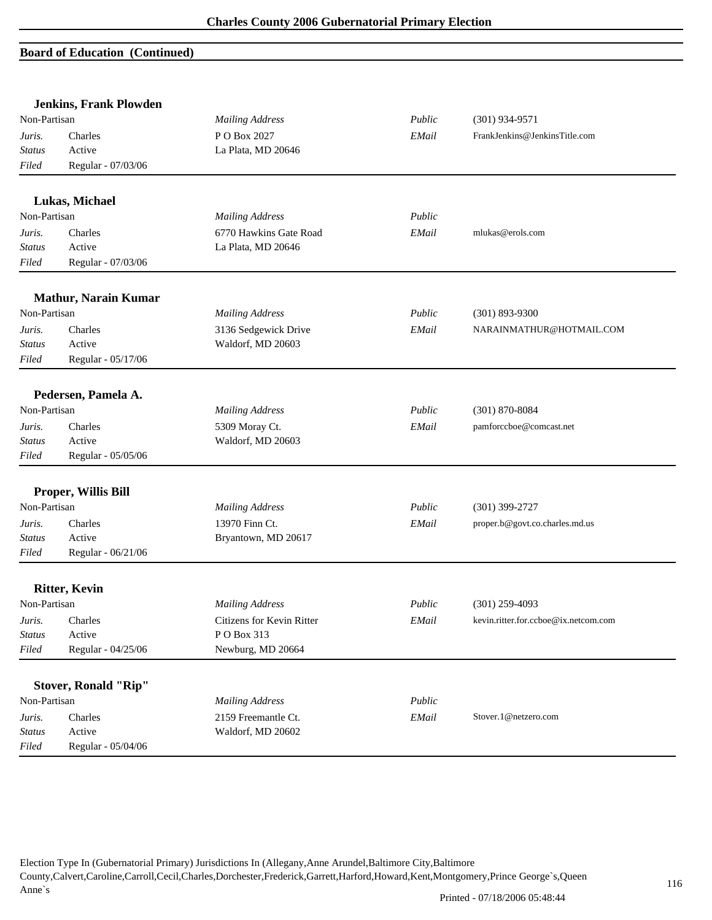|               | <b>Jenkins, Frank Plowden</b> |                                  |        |                                      |  |
|---------------|-------------------------------|----------------------------------|--------|--------------------------------------|--|
| Non-Partisan  |                               | <b>Mailing Address</b><br>Public |        | $(301)$ 934-9571                     |  |
| Juris.        | Charles                       | P O Box 2027                     | EMail  | FrankJenkins@JenkinsTitle.com        |  |
| <b>Status</b> | Active                        | La Plata, MD 20646               |        |                                      |  |
| Filed         | Regular - 07/03/06            |                                  |        |                                      |  |
|               | Lukas, Michael                |                                  |        |                                      |  |
| Non-Partisan  |                               | <b>Mailing Address</b>           | Public |                                      |  |
| Juris.        | Charles                       | 6770 Hawkins Gate Road           | EMail  | mlukas@erols.com                     |  |
| <b>Status</b> | Active                        | La Plata, MD 20646               |        |                                      |  |
| Filed         | Regular - 07/03/06            |                                  |        |                                      |  |
|               | <b>Mathur, Narain Kumar</b>   |                                  |        |                                      |  |
| Non-Partisan  |                               | <b>Mailing Address</b>           | Public | $(301) 893 - 9300$                   |  |
| Juris.        | Charles                       | 3136 Sedgewick Drive             | EMail  | NARAINMATHUR@HOTMAIL.COM             |  |
| <b>Status</b> | Active                        | Waldorf, MD 20603                |        |                                      |  |
| Filed         | Regular - 05/17/06            |                                  |        |                                      |  |
|               | Pedersen, Pamela A.           |                                  |        |                                      |  |
| Non-Partisan  |                               | <b>Mailing Address</b>           | Public | $(301) 870 - 8084$                   |  |
| Juris.        | Charles                       | 5309 Moray Ct.                   | EMail  | pamforccboe@comcast.net              |  |
| <b>Status</b> | Active                        | Waldorf, MD 20603                |        |                                      |  |
| Filed         | Regular - 05/05/06            |                                  |        |                                      |  |
|               | Proper, Willis Bill           |                                  |        |                                      |  |
| Non-Partisan  |                               | <b>Mailing Address</b>           | Public | $(301)$ 399-2727                     |  |
| Juris.        | Charles                       | 13970 Finn Ct.                   | EMail  | proper.b@govt.co.charles.md.us       |  |
| <b>Status</b> | Active                        | Bryantown, MD 20617              |        |                                      |  |
| Filed         | Regular - 06/21/06            |                                  |        |                                      |  |
|               | <b>Ritter, Kevin</b>          |                                  |        |                                      |  |
| Non-Partisan  |                               | <b>Mailing Address</b>           | Public | $(301)$ 259-4093                     |  |
| Juris.        | Charles                       | Citizens for Kevin Ritter        | EMail  | kevin.ritter.for.ccboe@ix.netcom.com |  |
| <b>Status</b> | Active                        | PO Box 313                       |        |                                      |  |
| Filed         | Regular - 04/25/06            | Newburg, MD 20664                |        |                                      |  |
|               | <b>Stover, Ronald "Rip"</b>   |                                  |        |                                      |  |
| Non-Partisan  |                               | <b>Mailing Address</b>           | Public |                                      |  |
| Juris.        | Charles                       | 2159 Freemantle Ct.              | EMail  | Stover.1@netzero.com                 |  |
| <b>Status</b> | Active                        | Waldorf, MD 20602                |        |                                      |  |
| $Filed$       | Regular - 05/04/06            |                                  |        |                                      |  |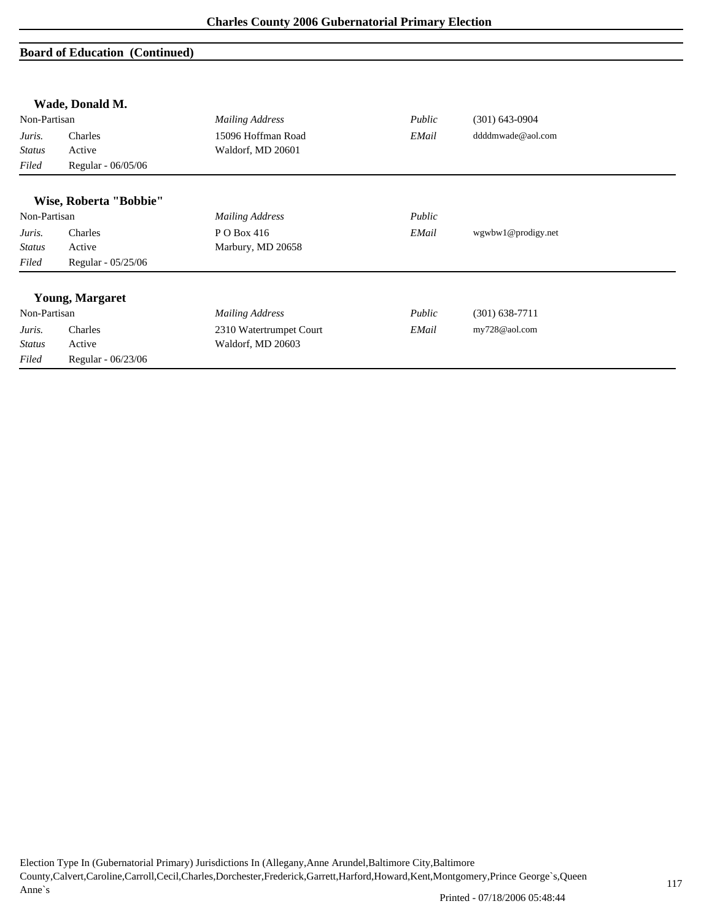|               | Wade, Donald M.        |                         |        |                    |  |
|---------------|------------------------|-------------------------|--------|--------------------|--|
| Non-Partisan  |                        | <b>Mailing Address</b>  | Public | $(301)$ 643-0904   |  |
| Juris.        | Charles                | 15096 Hoffman Road      | EMail  | ddddmwade@aol.com  |  |
| <b>Status</b> | Active                 | Waldorf, MD 20601       |        |                    |  |
| Filed         | Regular - 06/05/06     |                         |        |                    |  |
|               | Wise, Roberta "Bobbie" |                         |        |                    |  |
| Non-Partisan  |                        | <b>Mailing Address</b>  | Public |                    |  |
| Juris.        | Charles                | P O Box 416             | EMail  | wgwbw1@prodigy.net |  |
| <b>Status</b> | Active                 | Marbury, MD 20658       |        |                    |  |
| Filed         | Regular - 05/25/06     |                         |        |                    |  |
|               | <b>Young, Margaret</b> |                         |        |                    |  |
| Non-Partisan  |                        | <b>Mailing Address</b>  | Public | $(301)$ 638-7711   |  |
| Juris.        | Charles                | 2310 Watertrumpet Court | EMail  | my728@aol.com      |  |
| <b>Status</b> | Active                 | Waldorf, MD 20603       |        |                    |  |
| Filed         | Regular - 06/23/06     |                         |        |                    |  |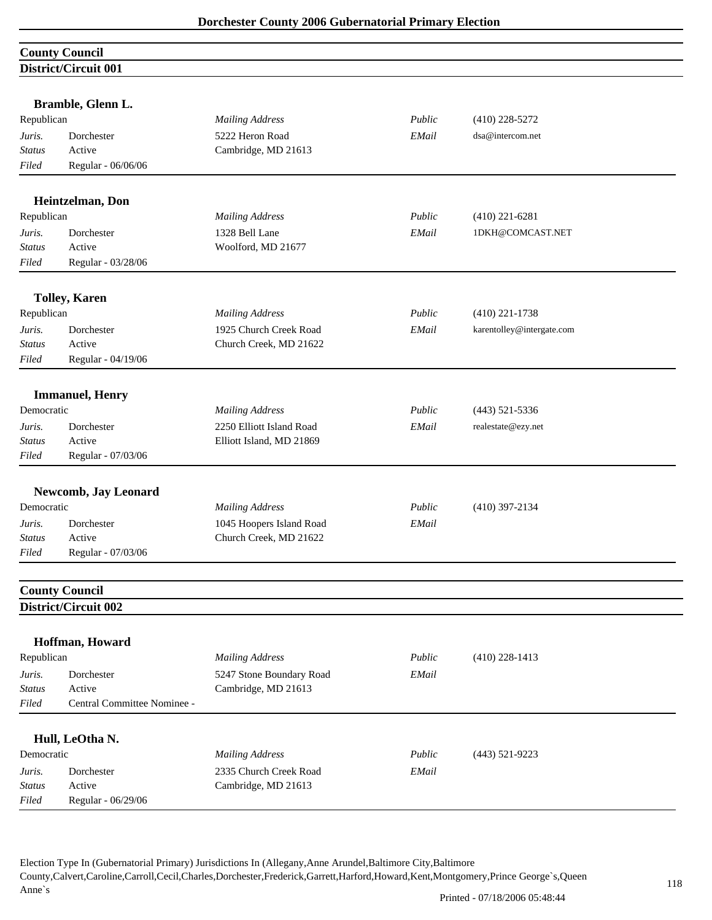| <b>County Council</b>       |  |
|-----------------------------|--|
| <b>District/Circuit 001</b> |  |

| Republican              | Bramble, Glenn L.           |                                                  | Public | $(410)$ 228-5272          |  |
|-------------------------|-----------------------------|--------------------------------------------------|--------|---------------------------|--|
| Juris.                  | Dorchester                  | <b>Mailing Address</b><br>5222 Heron Road        | EMail  | dsa@intercom.net          |  |
| <b>Status</b>           | Active                      | Cambridge, MD 21613                              |        |                           |  |
| Filed                   | Regular - 06/06/06          |                                                  |        |                           |  |
|                         |                             |                                                  |        |                           |  |
|                         | Heintzelman, Don            |                                                  |        |                           |  |
| Republican              |                             | <b>Mailing Address</b>                           | Public | $(410)$ 221-6281          |  |
| Juris.                  | Dorchester                  | 1328 Bell Lane                                   | EMail  | 1DKH@COMCAST.NET          |  |
| <b>Status</b>           | Active                      | Woolford, MD 21677                               |        |                           |  |
| Filed                   | Regular - 03/28/06          |                                                  |        |                           |  |
|                         |                             |                                                  |        |                           |  |
| Republican              | <b>Tolley, Karen</b>        | <b>Mailing Address</b>                           | Public |                           |  |
|                         |                             |                                                  |        | $(410)$ 221-1738          |  |
| Juris.<br><b>Status</b> | Dorchester<br>Active        | 1925 Church Creek Road<br>Church Creek, MD 21622 | EMail  | karentolley@intergate.com |  |
| Filed                   | Regular - 04/19/06          |                                                  |        |                           |  |
|                         |                             |                                                  |        |                           |  |
|                         | <b>Immanuel</b> , Henry     |                                                  |        |                           |  |
| Democratic              |                             | <b>Mailing Address</b>                           | Public | $(443) 521 - 5336$        |  |
| Juris.                  | Dorchester                  | 2250 Elliott Island Road                         | EMail  | realestate@ezy.net        |  |
| <b>Status</b>           | Active                      | Elliott Island, MD 21869                         |        |                           |  |
| Filed                   | Regular - 07/03/06          |                                                  |        |                           |  |
|                         | <b>Newcomb, Jay Leonard</b> |                                                  |        |                           |  |
| Democratic              |                             | <b>Mailing Address</b>                           | Public | $(410)$ 397-2134          |  |
| Juris.                  | Dorchester                  | 1045 Hoopers Island Road                         | EMail  |                           |  |
| <b>Status</b>           | Active                      | Church Creek, MD 21622                           |        |                           |  |
| Filed                   | Regular - 07/03/06          |                                                  |        |                           |  |
|                         |                             |                                                  |        |                           |  |
|                         | <b>County Council</b>       |                                                  |        |                           |  |
|                         | District/Circuit 002        |                                                  |        |                           |  |
|                         | Hoffman, Howard             |                                                  |        |                           |  |
| Republican              |                             | <b>Mailing Address</b>                           | Public | $(410)$ 228-1413          |  |
| Juris.                  | Dorchester                  | 5247 Stone Boundary Road                         | EMail  |                           |  |
| <b>Status</b>           | Active                      | Cambridge, MD 21613                              |        |                           |  |
| Filed                   | Central Committee Nominee - |                                                  |        |                           |  |
|                         |                             |                                                  |        |                           |  |
| Democratic              | Hull, LeOtha N.             |                                                  | Public |                           |  |
|                         |                             | <b>Mailing Address</b>                           |        | $(443)$ 521-9223          |  |
| Juris.<br><b>Status</b> | Dorchester<br>Active        | 2335 Church Creek Road<br>Cambridge, MD 21613    | EMail  |                           |  |
| Filed                   | Regular - 06/29/06          |                                                  |        |                           |  |
|                         |                             |                                                  |        |                           |  |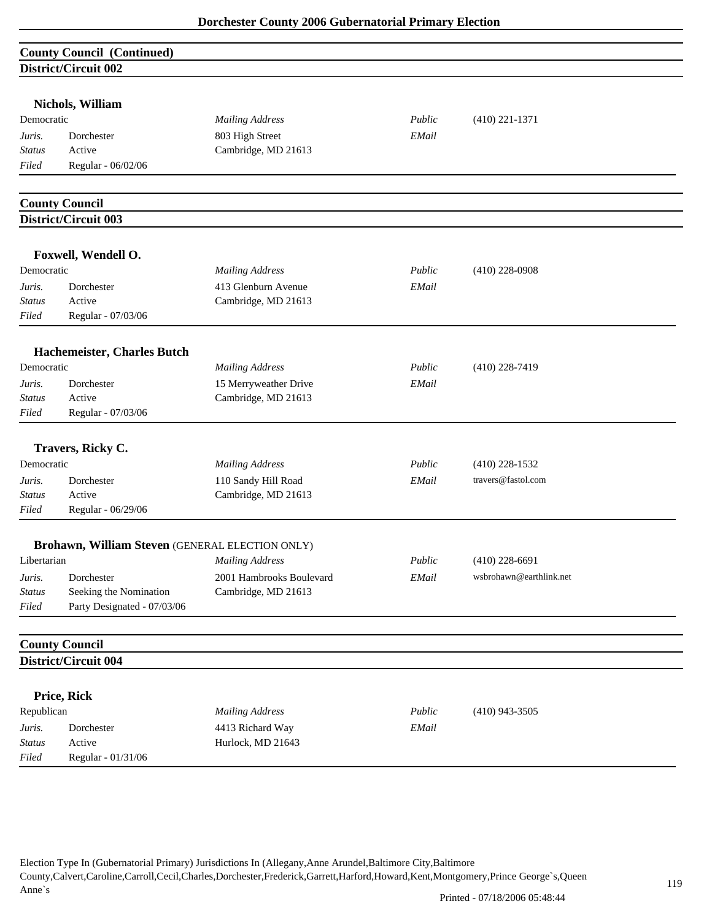| <b>County Council (Continued)</b> |                                                      |                                              |        |                         |  |  |
|-----------------------------------|------------------------------------------------------|----------------------------------------------|--------|-------------------------|--|--|
| District/Circuit 002              |                                                      |                                              |        |                         |  |  |
|                                   |                                                      |                                              |        |                         |  |  |
|                                   | Nichols, William                                     |                                              |        |                         |  |  |
| Democratic                        |                                                      | <b>Mailing Address</b>                       | Public | $(410)$ 221-1371        |  |  |
| Juris.                            | Dorchester                                           | 803 High Street                              | EMail  |                         |  |  |
| <b>Status</b>                     | Active                                               | Cambridge, MD 21613                          |        |                         |  |  |
| Filed                             | Regular - 06/02/06                                   |                                              |        |                         |  |  |
|                                   |                                                      |                                              |        |                         |  |  |
|                                   | <b>County Council</b><br><b>District/Circuit 003</b> |                                              |        |                         |  |  |
|                                   |                                                      |                                              |        |                         |  |  |
|                                   | Foxwell, Wendell O.                                  |                                              |        |                         |  |  |
| Democratic                        |                                                      | <b>Mailing Address</b>                       | Public | $(410)$ 228-0908        |  |  |
| Juris.                            | Dorchester                                           | 413 Glenburn Avenue                          | EMail  |                         |  |  |
| <b>Status</b>                     | Active                                               | Cambridge, MD 21613                          |        |                         |  |  |
| Filed                             | Regular - 07/03/06                                   |                                              |        |                         |  |  |
|                                   |                                                      |                                              |        |                         |  |  |
| Democratic                        | Hachemeister, Charles Butch                          |                                              | Public |                         |  |  |
|                                   |                                                      | <b>Mailing Address</b>                       |        | $(410)$ 228-7419        |  |  |
| Juris.<br>Status                  | Dorchester<br>Active                                 | 15 Merryweather Drive<br>Cambridge, MD 21613 | EMail  |                         |  |  |
| Filed                             | Regular - 07/03/06                                   |                                              |        |                         |  |  |
|                                   |                                                      |                                              |        |                         |  |  |
|                                   | Travers, Ricky C.                                    |                                              |        |                         |  |  |
| Democratic                        |                                                      | <b>Mailing Address</b>                       | Public | $(410)$ 228-1532        |  |  |
| Juris.                            | Dorchester                                           | 110 Sandy Hill Road                          | EMail  | travers@fastol.com      |  |  |
| <b>Status</b>                     | Active                                               | Cambridge, MD 21613                          |        |                         |  |  |
| Filed                             | Regular - 06/29/06                                   |                                              |        |                         |  |  |
|                                   | Brohawn, William Steven (GENERAL ELECTION ONLY)      |                                              |        |                         |  |  |
| Libertarian                       |                                                      | <b>Mailing Address</b>                       | Public | $(410)$ 228-6691        |  |  |
| Juris.                            | Dorchester                                           | 2001 Hambrooks Boulevard                     | EMail  | wsbrohawn@earthlink.net |  |  |
| <b>Status</b>                     | Seeking the Nomination                               | Cambridge, MD 21613                          |        |                         |  |  |
| Filed                             | Party Designated - 07/03/06                          |                                              |        |                         |  |  |
|                                   |                                                      |                                              |        |                         |  |  |
|                                   | <b>County Council</b>                                |                                              |        |                         |  |  |
|                                   | District/Circuit 004                                 |                                              |        |                         |  |  |
|                                   | Price, Rick                                          |                                              |        |                         |  |  |
| Republican                        |                                                      | <b>Mailing Address</b>                       | Public | $(410)$ 943-3505        |  |  |
| Juris.                            | Dorchester                                           | 4413 Richard Way                             | EMail  |                         |  |  |
| <b>Status</b>                     | Active                                               | Hurlock, MD 21643                            |        |                         |  |  |
| Filed                             | Regular - 01/31/06                                   |                                              |        |                         |  |  |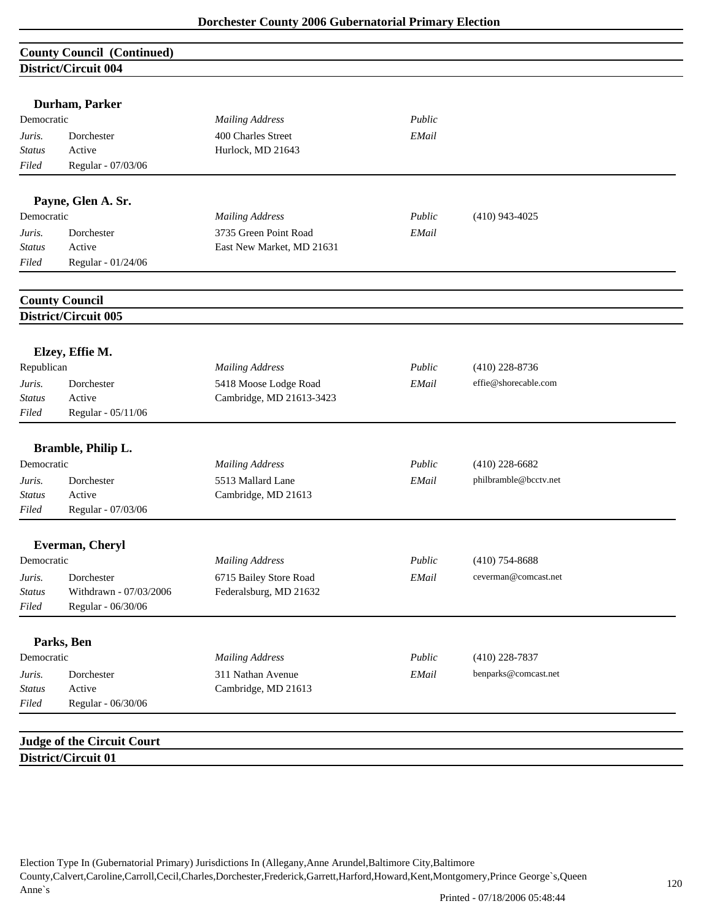| <b>County Council (Continued)</b> |                        |                           |        |                       |  |
|-----------------------------------|------------------------|---------------------------|--------|-----------------------|--|
|                                   | District/Circuit 004   |                           |        |                       |  |
|                                   |                        |                           |        |                       |  |
|                                   | Durham, Parker         |                           |        |                       |  |
| Democratic                        |                        | <b>Mailing Address</b>    | Public |                       |  |
| Juris.                            | Dorchester             | 400 Charles Street        | EMail  |                       |  |
| <b>Status</b>                     | Active                 | Hurlock, MD 21643         |        |                       |  |
| Filed                             | Regular - 07/03/06     |                           |        |                       |  |
|                                   | Payne, Glen A. Sr.     |                           |        |                       |  |
| Democratic                        |                        | <b>Mailing Address</b>    | Public | $(410)$ 943-4025      |  |
| Juris.                            | Dorchester             | 3735 Green Point Road     | EMail  |                       |  |
| <b>Status</b>                     | Active                 | East New Market, MD 21631 |        |                       |  |
| Filed                             | Regular - 01/24/06     |                           |        |                       |  |
|                                   |                        |                           |        |                       |  |
|                                   | <b>County Council</b>  |                           |        |                       |  |
|                                   | District/Circuit 005   |                           |        |                       |  |
|                                   |                        |                           |        |                       |  |
|                                   | Elzey, Effie M.        |                           |        |                       |  |
| Republican                        |                        | <b>Mailing Address</b>    | Public | $(410)$ 228-8736      |  |
| Juris.                            | Dorchester             | 5418 Moose Lodge Road     | EMail  | effie@shorecable.com  |  |
| <b>Status</b>                     | Active                 | Cambridge, MD 21613-3423  |        |                       |  |
| Filed                             | Regular - 05/11/06     |                           |        |                       |  |
|                                   | Bramble, Philip L.     |                           |        |                       |  |
| Democratic                        |                        | <b>Mailing Address</b>    | Public | $(410)$ 228-6682      |  |
| Juris.                            | Dorchester             | 5513 Mallard Lane         | EMail  | philbramble@bcctv.net |  |
| <b>Status</b>                     | Active                 | Cambridge, MD 21613       |        |                       |  |
| Filed                             | Regular - 07/03/06     |                           |        |                       |  |
|                                   |                        |                           |        |                       |  |
|                                   | Everman, Cheryl        |                           |        |                       |  |
| Democratic                        |                        | <b>Mailing Address</b>    | Public | $(410)$ 754-8688      |  |
| Juris.                            | Dorchester             | 6715 Bailey Store Road    | EMail  | ceverman@comcast.net  |  |
| <b>Status</b>                     | Withdrawn - 07/03/2006 | Federalsburg, MD 21632    |        |                       |  |
| Filed                             | Regular - 06/30/06     |                           |        |                       |  |
|                                   | Parks, Ben             |                           |        |                       |  |
| Democratic                        |                        | <b>Mailing Address</b>    | Public | $(410)$ 228-7837      |  |
| Juris.                            | Dorchester             | 311 Nathan Avenue         | EMail  | benparks@comcast.net  |  |
| <b>Status</b>                     | Active                 | Cambridge, MD 21613       |        |                       |  |
|                                   | Regular - 06/30/06     |                           |        |                       |  |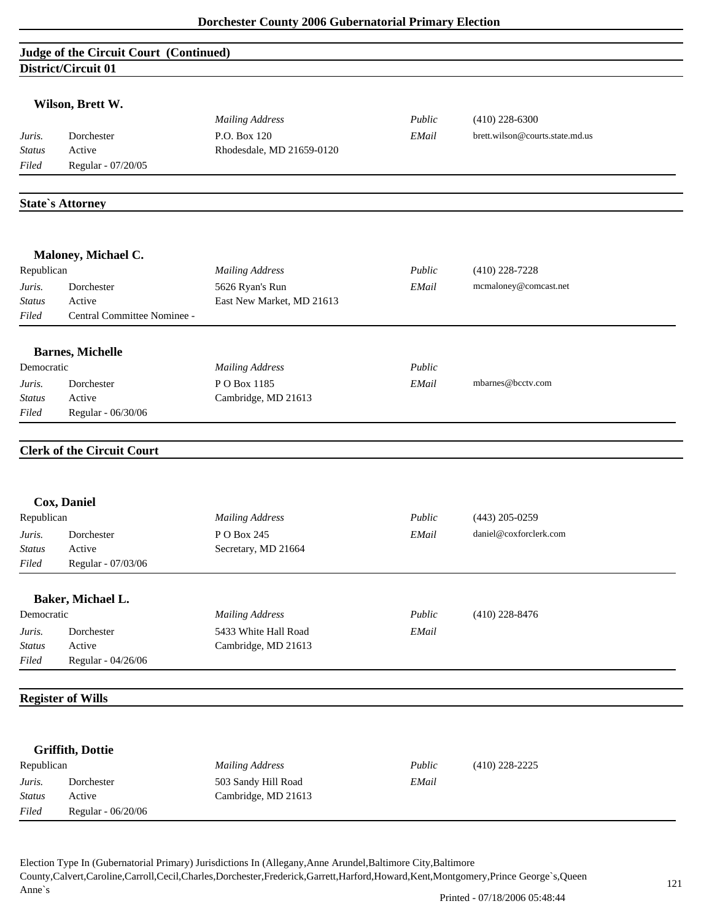|               | Judge of the Circuit Court (Continued) |                           |        |                                 |
|---------------|----------------------------------------|---------------------------|--------|---------------------------------|
|               | District/Circuit 01                    |                           |        |                                 |
|               |                                        |                           |        |                                 |
|               | Wilson, Brett W.                       |                           |        |                                 |
|               |                                        | <b>Mailing Address</b>    | Public | $(410)$ 228-6300                |
| Juris.        | Dorchester                             | P.O. Box 120              | EMail  | brett.wilson@courts.state.md.us |
| <b>Status</b> | Active                                 | Rhodesdale, MD 21659-0120 |        |                                 |
| Filed         | Regular - 07/20/05                     |                           |        |                                 |
|               |                                        |                           |        |                                 |
|               | <b>State's Attorney</b>                |                           |        |                                 |
|               |                                        |                           |        |                                 |
|               | Maloney, Michael C.                    |                           |        |                                 |
| Republican    |                                        | <b>Mailing Address</b>    | Public | $(410)$ 228-7228                |
| Juris.        | Dorchester                             | 5626 Ryan's Run           | EMail  | mcmaloney@comcast.net           |
| <b>Status</b> | Active                                 | East New Market, MD 21613 |        |                                 |
| Filed         | Central Committee Nominee -            |                           |        |                                 |
|               | <b>Barnes, Michelle</b>                |                           |        |                                 |
| Democratic    |                                        | <b>Mailing Address</b>    | Public |                                 |
| Juris.        | Dorchester                             | PO Box 1185               | EMail  | mbarnes@bcctv.com               |
| <b>Status</b> | Active                                 | Cambridge, MD 21613       |        |                                 |
| Filed         | Regular - 06/30/06                     |                           |        |                                 |
|               | <b>Clerk of the Circuit Court</b>      |                           |        |                                 |
|               |                                        |                           |        |                                 |
|               | Cox, Daniel                            |                           |        |                                 |
| Republican    |                                        | <b>Mailing Address</b>    | Public | $(443)$ 205-0259                |
| Juris.        | Dorchester                             | PO Box 245                | EMail  | daniel@coxforclerk.com          |
| <b>Status</b> | Active                                 | Secretary, MD 21664       |        |                                 |
| Filed         | Regular - 07/03/06                     |                           |        |                                 |
|               | Baker, Michael L.                      |                           |        |                                 |
| Democratic    |                                        | <b>Mailing Address</b>    | Public | $(410)$ 228-8476                |
| Juris.        | Dorchester                             | 5433 White Hall Road      | EMail  |                                 |
| <b>Status</b> | Active                                 | Cambridge, MD 21613       |        |                                 |
| Filed         | Regular - 04/26/06                     |                           |        |                                 |
|               |                                        |                           |        |                                 |
|               | <b>Register of Wills</b>               |                           |        |                                 |
|               |                                        |                           |        |                                 |
|               | <b>Griffith, Dottie</b>                |                           |        |                                 |
| Republican    |                                        | <b>Mailing Address</b>    | Public | $(410)$ 228-2225                |
| Juris.        | Dorchester                             | 503 Sandy Hill Road       | EMail  |                                 |
| <b>Status</b> | Active                                 | Cambridge, MD 21613       |        |                                 |
| $Filed$       | Regular - 06/20/06                     |                           |        |                                 |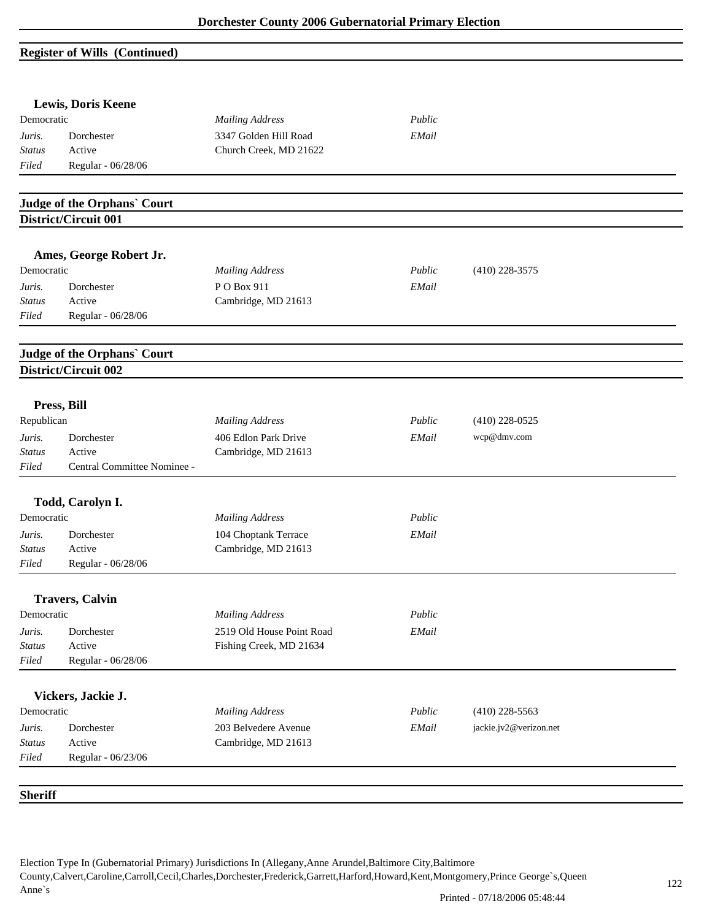# **Register of Wills (Continued)**

|                         | <b>Lewis, Doris Keene</b>                           |                                   |        |                        |  |
|-------------------------|-----------------------------------------------------|-----------------------------------|--------|------------------------|--|
| Democratic              |                                                     | <b>Mailing Address</b>            | Public |                        |  |
| Juris.                  | Dorchester                                          | 3347 Golden Hill Road             | EMail  |                        |  |
| <b>Status</b>           | Active                                              | Church Creek, MD 21622            |        |                        |  |
| Filed                   | Regular - 06/28/06                                  |                                   |        |                        |  |
|                         | <b>Judge of the Orphans' Court</b>                  |                                   |        |                        |  |
|                         | District/Circuit 001                                |                                   |        |                        |  |
|                         | Ames, George Robert Jr.                             |                                   |        |                        |  |
| Democratic              |                                                     | <b>Mailing Address</b>            | Public | $(410)$ 228-3575       |  |
|                         |                                                     |                                   |        |                        |  |
| Juris.<br><b>Status</b> | Dorchester<br>Active                                | PO Box 911<br>Cambridge, MD 21613 | EMail  |                        |  |
| Filed                   | Regular - 06/28/06                                  |                                   |        |                        |  |
|                         |                                                     |                                   |        |                        |  |
|                         | Judge of the Orphans' Court<br>District/Circuit 002 |                                   |        |                        |  |
|                         |                                                     |                                   |        |                        |  |
|                         | Press, Bill                                         |                                   |        |                        |  |
| Republican              |                                                     | <b>Mailing Address</b>            | Public | $(410)$ 228-0525       |  |
| Juris.                  | Dorchester                                          | 406 Edlon Park Drive              | EMail  | wcp@dmv.com            |  |
| <b>Status</b>           | Active                                              | Cambridge, MD 21613               |        |                        |  |
| Filed                   | Central Committee Nominee -                         |                                   |        |                        |  |
|                         | Todd, Carolyn I.                                    |                                   |        |                        |  |
| Democratic              |                                                     | <b>Mailing Address</b>            | Public |                        |  |
| Juris.                  | Dorchester                                          | 104 Choptank Terrace              | EMail  |                        |  |
| <b>Status</b>           | Active                                              | Cambridge, MD 21613               |        |                        |  |
| Filed                   | Regular - 06/28/06                                  |                                   |        |                        |  |
|                         | <b>Travers, Calvin</b>                              |                                   |        |                        |  |
| Democratic              |                                                     | <b>Mailing Address</b>            | Public |                        |  |
| Juris.                  | Dorchester                                          | 2519 Old House Point Road         | EMail  |                        |  |
| <b>Status</b>           | Active                                              | Fishing Creek, MD 21634           |        |                        |  |
| Filed                   | Regular - 06/28/06                                  |                                   |        |                        |  |
|                         | Vickers, Jackie J.                                  |                                   |        |                        |  |
| Democratic              |                                                     | <b>Mailing Address</b>            | Public | $(410)$ 228-5563       |  |
| Juris.                  | Dorchester                                          | 203 Belvedere Avenue              | EMail  | jackie.jv2@verizon.net |  |
| <b>Status</b>           | Active                                              | Cambridge, MD 21613               |        |                        |  |
| Filed                   | Regular - 06/23/06                                  |                                   |        |                        |  |
| <b>Sheriff</b>          |                                                     |                                   |        |                        |  |
|                         |                                                     |                                   |        |                        |  |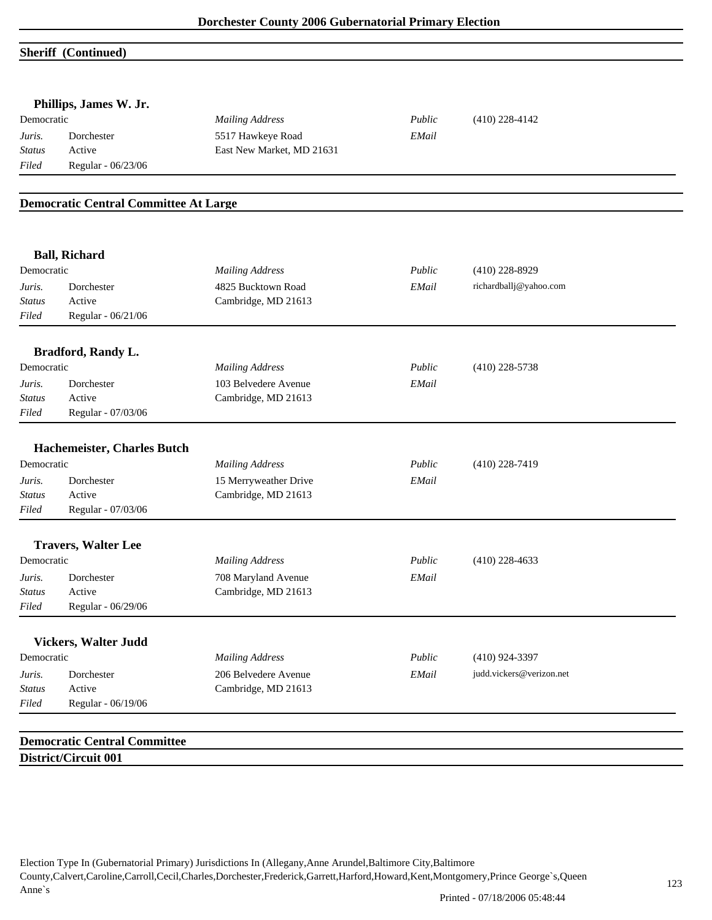#### **Sheriff (Continued)**

|                                                                        | Phillips, James W. Jr.                       |                           |        |                          |
|------------------------------------------------------------------------|----------------------------------------------|---------------------------|--------|--------------------------|
| Democratic                                                             |                                              | <b>Mailing Address</b>    | Public | $(410)$ 228-4142         |
| Juris.                                                                 | Dorchester                                   | 5517 Hawkeye Road         | EMail  |                          |
| <b>Status</b>                                                          | Active                                       | East New Market, MD 21631 |        |                          |
| Filed                                                                  | Regular - 06/23/06                           |                           |        |                          |
|                                                                        |                                              |                           |        |                          |
|                                                                        | <b>Democratic Central Committee At Large</b> |                           |        |                          |
|                                                                        | <b>Ball, Richard</b>                         |                           |        |                          |
| Democratic                                                             |                                              | <b>Mailing Address</b>    | Public | $(410)$ 228-8929         |
| Juris.                                                                 | Dorchester                                   | 4825 Bucktown Road        | EMail  | richardballj@yahoo.com   |
| <b>Status</b>                                                          | Active                                       | Cambridge, MD 21613       |        |                          |
| Filed                                                                  | Regular - 06/21/06                           |                           |        |                          |
|                                                                        | <b>Bradford, Randy L.</b>                    |                           |        |                          |
| Democratic                                                             |                                              | <b>Mailing Address</b>    | Public | $(410)$ 228-5738         |
| Juris.                                                                 | Dorchester                                   | 103 Belvedere Avenue      | EMail  |                          |
| <b>Status</b>                                                          | Active                                       | Cambridge, MD 21613       |        |                          |
| Filed                                                                  | Regular - 07/03/06                           |                           |        |                          |
|                                                                        |                                              |                           |        |                          |
|                                                                        |                                              |                           |        |                          |
|                                                                        | Hachemeister, Charles Butch                  |                           | Public | $(410)$ 228-7419         |
|                                                                        | Dorchester                                   | <b>Mailing Address</b>    |        |                          |
|                                                                        | Active                                       | 15 Merryweather Drive     | EMail  |                          |
|                                                                        | Regular - 07/03/06                           | Cambridge, MD 21613       |        |                          |
|                                                                        |                                              |                           |        |                          |
|                                                                        | <b>Travers, Walter Lee</b>                   |                           |        |                          |
|                                                                        |                                              | <b>Mailing Address</b>    | Public | $(410)$ 228-4633         |
| Democratic<br>Juris.<br><b>Status</b><br>Filed<br>Democratic<br>Juris. | Dorchester                                   | 708 Maryland Avenue       | EMail  |                          |
|                                                                        | Active                                       | Cambridge, MD 21613       |        |                          |
|                                                                        | Regular - 06/29/06                           |                           |        |                          |
|                                                                        | <b>Vickers, Walter Judd</b>                  |                           |        |                          |
|                                                                        |                                              | <b>Mailing Address</b>    | Public | $(410)$ 924-3397         |
|                                                                        | Dorchester                                   | 206 Belvedere Avenue      | EMail  | judd.vickers@verizon.net |
| <b>Status</b><br>$Filed$<br>Democratic<br>Juris.<br><b>Status</b>      | Active<br>Regular - 06/19/06                 | Cambridge, MD 21613       |        |                          |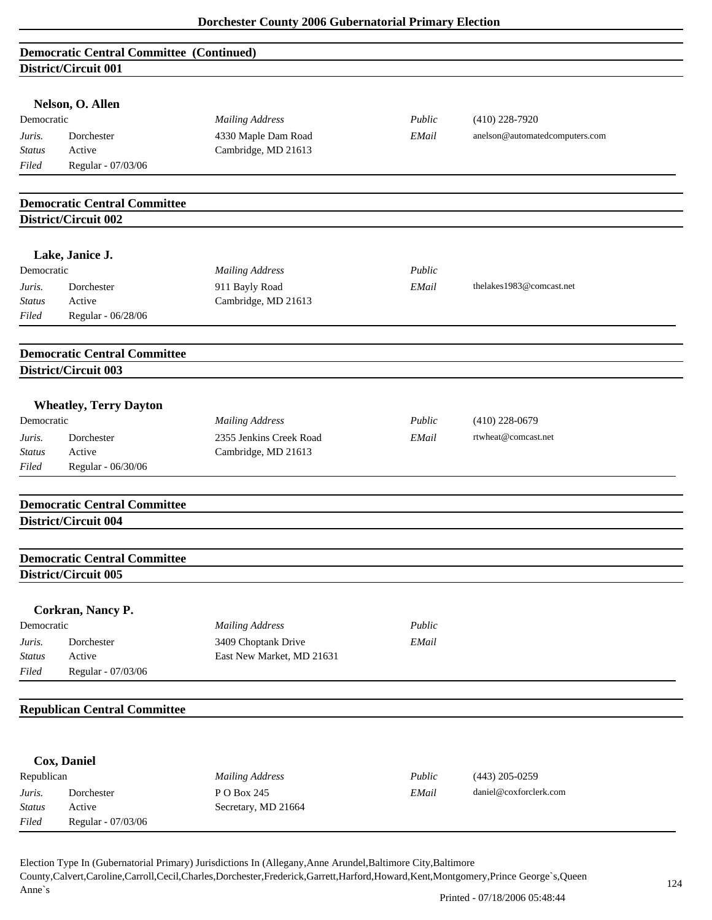|                                   | <b>Democratic Central Committee (Continued)</b>             |                           |        |                                |
|-----------------------------------|-------------------------------------------------------------|---------------------------|--------|--------------------------------|
|                                   | District/Circuit 001                                        |                           |        |                                |
|                                   | Nelson, O. Allen                                            |                           |        |                                |
| Democratic                        |                                                             | <b>Mailing Address</b>    | Public | $(410)$ 228-7920               |
| Juris.                            | Dorchester                                                  | 4330 Maple Dam Road       | EMail  | anelson@automatedcomputers.com |
| <b>Status</b>                     | Active                                                      | Cambridge, MD 21613       |        |                                |
| Filed                             | Regular - 07/03/06                                          |                           |        |                                |
|                                   |                                                             |                           |        |                                |
|                                   | <b>Democratic Central Committee</b>                         |                           |        |                                |
|                                   | District/Circuit 002                                        |                           |        |                                |
|                                   |                                                             |                           |        |                                |
|                                   | Lake, Janice J.                                             |                           |        |                                |
| Democratic                        |                                                             | <b>Mailing Address</b>    | Public |                                |
| Juris.                            | Dorchester                                                  | 911 Bayly Road            | EMail  | thelakes1983@comcast.net       |
| <b>Status</b>                     | Active                                                      | Cambridge, MD 21613       |        |                                |
| Filed                             | Regular - 06/28/06                                          |                           |        |                                |
|                                   |                                                             |                           |        |                                |
|                                   | <b>Democratic Central Committee</b>                         |                           |        |                                |
|                                   | <b>District/Circuit 003</b>                                 |                           |        |                                |
|                                   |                                                             |                           |        |                                |
|                                   | <b>Wheatley, Terry Dayton</b>                               |                           |        |                                |
| Democratic                        |                                                             | <b>Mailing Address</b>    | Public | $(410)$ 228-0679               |
| Juris.                            | Dorchester                                                  | 2355 Jenkins Creek Road   | EMail  | rtwheat@comcast.net            |
| <b>Status</b>                     | Active                                                      | Cambridge, MD 21613       |        |                                |
| Filed                             | Regular - 06/30/06                                          |                           |        |                                |
|                                   |                                                             |                           |        |                                |
|                                   | <b>Democratic Central Committee</b>                         |                           |        |                                |
|                                   | District/Circuit 004                                        |                           |        |                                |
|                                   |                                                             |                           |        |                                |
|                                   |                                                             |                           |        |                                |
|                                   | <b>Democratic Central Committee</b><br>District/Circuit 005 |                           |        |                                |
|                                   |                                                             |                           |        |                                |
|                                   | Corkran, Nancy P.                                           |                           |        |                                |
| Democratic                        |                                                             | <b>Mailing Address</b>    | Public |                                |
| Juris.                            | Dorchester                                                  | 3409 Choptank Drive       | EMail  |                                |
| $\operatorname{{\cal S}}\! tatus$ | Active                                                      | East New Market, MD 21631 |        |                                |
| Filed                             | Regular - 07/03/06                                          |                           |        |                                |
|                                   |                                                             |                           |        |                                |
|                                   | <b>Republican Central Committee</b>                         |                           |        |                                |
|                                   |                                                             |                           |        |                                |
|                                   | Cox, Daniel                                                 |                           |        |                                |
| Republican                        |                                                             | <b>Mailing Address</b>    | Public | $(443)$ 205-0259               |
| Juris.                            | Dorchester                                                  | PO Box 245                | EMail  | daniel@coxforclerk.com         |
| <b>Status</b>                     | Active                                                      | Secretary, MD 21664       |        |                                |
| Filed                             | Regular - 07/03/06                                          |                           |        |                                |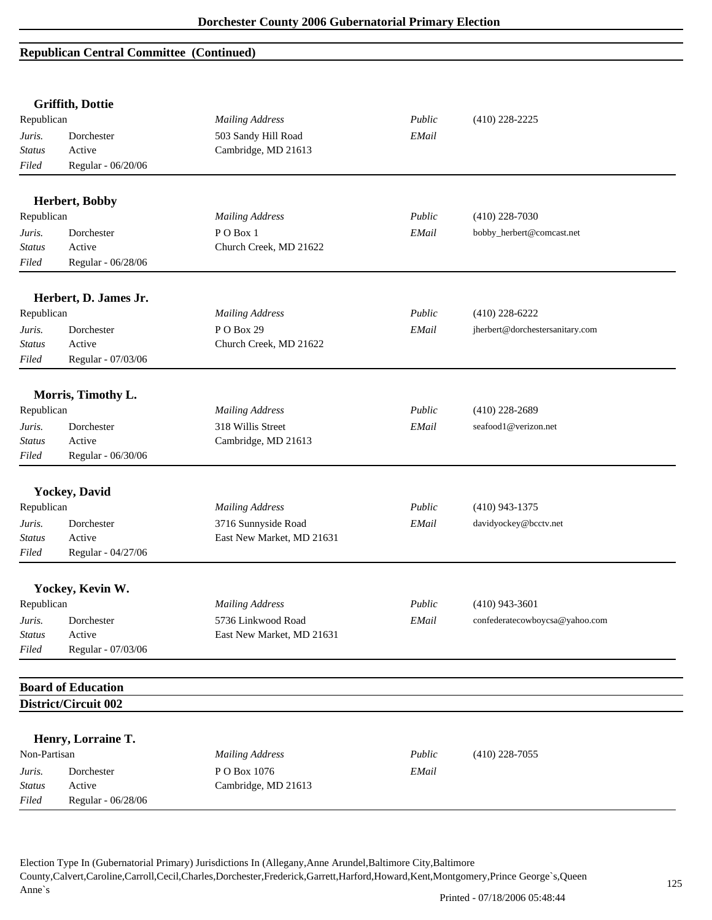|                                   | <b>Griffith, Dottie</b>   |                           |        |                                 |
|-----------------------------------|---------------------------|---------------------------|--------|---------------------------------|
| Republican                        |                           | <b>Mailing Address</b>    | Public | $(410)$ 228-2225                |
| Juris.                            | Dorchester                | 503 Sandy Hill Road       | EMail  |                                 |
| <b>Status</b>                     | Active                    | Cambridge, MD 21613       |        |                                 |
| Filed                             | Regular - 06/20/06        |                           |        |                                 |
|                                   | Herbert, Bobby            |                           |        |                                 |
| Republican                        |                           | <b>Mailing Address</b>    | Public | $(410)$ 228-7030                |
| Juris.                            | Dorchester                | PO Box 1                  | EMail  | bobby_herbert@comcast.net       |
| <b>Status</b>                     | Active                    | Church Creek, MD 21622    |        |                                 |
| Filed                             | Regular - 06/28/06        |                           |        |                                 |
|                                   | Herbert, D. James Jr.     |                           |        |                                 |
| Republican                        |                           | <b>Mailing Address</b>    | Public | $(410)$ 228-6222                |
| Juris.                            | Dorchester                | PO Box 29                 | EMail  | jherbert@dorchestersanitary.com |
| <b>Status</b>                     | Active                    | Church Creek, MD 21622    |        |                                 |
| Filed                             | Regular - 07/03/06        |                           |        |                                 |
|                                   | Morris, Timothy L.        |                           |        |                                 |
| Republican                        |                           | <b>Mailing Address</b>    | Public | $(410)$ 228-2689                |
| Juris.                            | Dorchester                | 318 Willis Street         | EMail  | seafood1@verizon.net            |
| <b>Status</b>                     | Active                    | Cambridge, MD 21613       |        |                                 |
| Filed                             | Regular - 06/30/06        |                           |        |                                 |
|                                   |                           |                           |        |                                 |
|                                   | <b>Yockey</b> , David     |                           |        |                                 |
| Republican                        |                           | <b>Mailing Address</b>    | Public | $(410)$ 943-1375                |
| Juris.                            | Dorchester                | 3716 Sunnyside Road       | EMail  | davidyockey@bcctv.net           |
| <b>Status</b>                     | Active                    | East New Market, MD 21631 |        |                                 |
| Filed                             | Regular - 04/27/06        |                           |        |                                 |
|                                   | Yockey, Kevin W.          |                           |        |                                 |
| Republican                        |                           | <b>Mailing Address</b>    | Public | $(410)$ 943-3601                |
| Juris.                            | Dorchester                | 5736 Linkwood Road        | EMail  | confederatecowboycsa@yahoo.com  |
| $\operatorname{{\cal S}}\! tatus$ | Active                    | East New Market, MD 21631 |        |                                 |
| Filed                             | Regular - 07/03/06        |                           |        |                                 |
|                                   | <b>Board of Education</b> |                           |        |                                 |
|                                   | District/Circuit 002      |                           |        |                                 |
|                                   |                           |                           |        |                                 |
|                                   | Henry, Lorraine T.        |                           |        |                                 |
| Non-Partisan                      |                           | <b>Mailing Address</b>    | Public | $(410)$ 228-7055                |
| Juris.                            | Dorchester                | PO Box 1076               | EMail  |                                 |
| Status                            | Active                    | Cambridge, MD 21613       |        |                                 |
| Filed                             | Regular - 06/28/06        |                           |        |                                 |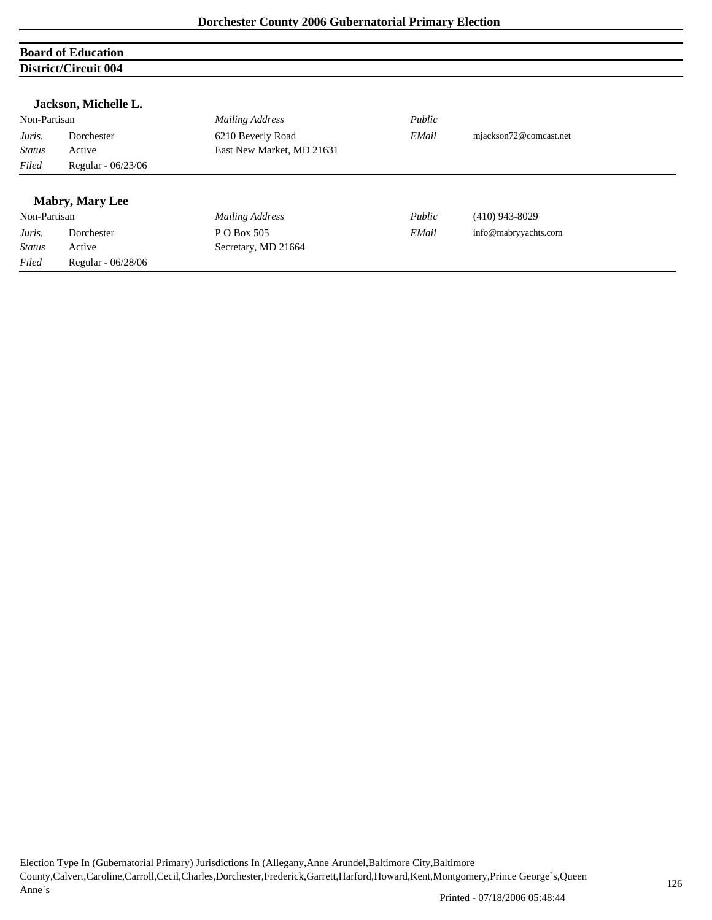# **Board of Education District/Circuit 004**

| Non-Partisan  |                    | <b>Mailing Address</b>    | Public |                        |
|---------------|--------------------|---------------------------|--------|------------------------|
| Juris.        | Dorchester         | 6210 Beverly Road         | EMail  | mjackson72@comcast.net |
| <b>Status</b> | Active             | East New Market, MD 21631 |        |                        |
| Filed         | Regular - 06/23/06 |                           |        |                        |

|               | <b>Mabry, Mary Lee</b> |                     |        |                      |
|---------------|------------------------|---------------------|--------|----------------------|
| Non-Partisan  |                        | Mailing Address     | Public | $(410)$ 943-8029     |
| Juris.        | Dorchester             | P O Box 505         | EMail  | info@mabryyachts.com |
| <b>Status</b> | Active                 | Secretary, MD 21664 |        |                      |
| Filed         | Regular - 06/28/06     |                     |        |                      |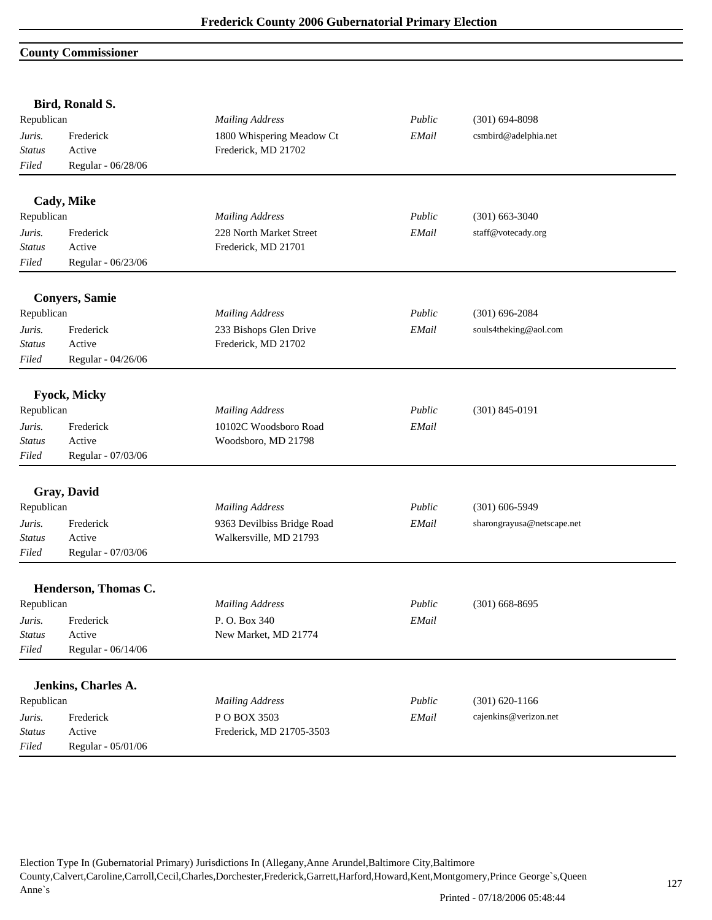#### **County Commissioner**

| Republican<br><b>Mailing Address</b><br>Public<br>$(301) 694 - 8098$<br>1800 Whispering Meadow Ct<br>csmbird@adelphia.net<br>Frederick<br>EMail<br>Juris.<br>Active<br>Frederick, MD 21702<br><b>Status</b><br>Filed<br>Regular - 06/28/06<br>Cady, Mike<br>Republican<br>Public<br>$(301)$ 663-3040<br><b>Mailing Address</b><br>Frederick<br>228 North Market Street<br>EMail<br>staff@votecady.org<br>Juris.<br>Active<br>Frederick, MD 21701<br><b>Status</b><br>Regular - 06/23/06<br>Filed<br><b>Conyers, Samie</b><br>Republican<br><b>Mailing Address</b><br>Public<br>$(301)$ 696-2084<br>Frederick<br>233 Bishops Glen Drive<br>EMail<br>souls4theking@aol.com<br>Juris.<br>Frederick, MD 21702<br>Active<br>Status<br>Regular - 04/26/06<br>Filed<br><b>Fyock, Micky</b><br>Republican<br><b>Mailing Address</b><br>Public<br>$(301) 845 - 0191$<br>Frederick<br>10102C Woodsboro Road<br>Juris.<br>EMail<br>Active<br>Woodsboro, MD 21798<br><b>Status</b><br>Regular - 07/03/06<br>Filed<br>Gray, David<br>Republican<br><b>Mailing Address</b><br>Public<br>$(301)$ 606-5949<br>9363 Devilbiss Bridge Road<br>Frederick<br>EMail<br>sharongrayusa@netscape.net<br>Juris.<br>Walkersville, MD 21793<br><b>Status</b><br>Active<br>Regular - 07/03/06<br>Filed<br>Henderson, Thomas C.<br>Republican<br><b>Mailing Address</b><br>Public<br>$(301)$ 668-8695<br>P.O. Box 340<br>Frederick<br>EMail<br>Juris.<br>Active<br>New Market, MD 21774<br><b>Status</b><br>Filed<br>Regular - 06/14/06<br>Jenkins, Charles A.<br>Republican<br><b>Mailing Address</b><br>Public<br>$(301) 620 - 1166$<br>POBOX 3503<br>cajenkins@verizon.net<br>Frederick<br>EMail<br>Juris.<br>Frederick, MD 21705-3503<br><b>Status</b><br>Active<br>Filed | Bird, Ronald S.    |  |  |
|--------------------------------------------------------------------------------------------------------------------------------------------------------------------------------------------------------------------------------------------------------------------------------------------------------------------------------------------------------------------------------------------------------------------------------------------------------------------------------------------------------------------------------------------------------------------------------------------------------------------------------------------------------------------------------------------------------------------------------------------------------------------------------------------------------------------------------------------------------------------------------------------------------------------------------------------------------------------------------------------------------------------------------------------------------------------------------------------------------------------------------------------------------------------------------------------------------------------------------------------------------------------------------------------------------------------------------------------------------------------------------------------------------------------------------------------------------------------------------------------------------------------------------------------------------------------------------------------------------------------------------------------------------------------------------------------------------------------------------------------------|--------------------|--|--|
|                                                                                                                                                                                                                                                                                                                                                                                                                                                                                                                                                                                                                                                                                                                                                                                                                                                                                                                                                                                                                                                                                                                                                                                                                                                                                                                                                                                                                                                                                                                                                                                                                                                                                                                                                  |                    |  |  |
|                                                                                                                                                                                                                                                                                                                                                                                                                                                                                                                                                                                                                                                                                                                                                                                                                                                                                                                                                                                                                                                                                                                                                                                                                                                                                                                                                                                                                                                                                                                                                                                                                                                                                                                                                  |                    |  |  |
|                                                                                                                                                                                                                                                                                                                                                                                                                                                                                                                                                                                                                                                                                                                                                                                                                                                                                                                                                                                                                                                                                                                                                                                                                                                                                                                                                                                                                                                                                                                                                                                                                                                                                                                                                  |                    |  |  |
|                                                                                                                                                                                                                                                                                                                                                                                                                                                                                                                                                                                                                                                                                                                                                                                                                                                                                                                                                                                                                                                                                                                                                                                                                                                                                                                                                                                                                                                                                                                                                                                                                                                                                                                                                  |                    |  |  |
|                                                                                                                                                                                                                                                                                                                                                                                                                                                                                                                                                                                                                                                                                                                                                                                                                                                                                                                                                                                                                                                                                                                                                                                                                                                                                                                                                                                                                                                                                                                                                                                                                                                                                                                                                  |                    |  |  |
|                                                                                                                                                                                                                                                                                                                                                                                                                                                                                                                                                                                                                                                                                                                                                                                                                                                                                                                                                                                                                                                                                                                                                                                                                                                                                                                                                                                                                                                                                                                                                                                                                                                                                                                                                  |                    |  |  |
|                                                                                                                                                                                                                                                                                                                                                                                                                                                                                                                                                                                                                                                                                                                                                                                                                                                                                                                                                                                                                                                                                                                                                                                                                                                                                                                                                                                                                                                                                                                                                                                                                                                                                                                                                  |                    |  |  |
|                                                                                                                                                                                                                                                                                                                                                                                                                                                                                                                                                                                                                                                                                                                                                                                                                                                                                                                                                                                                                                                                                                                                                                                                                                                                                                                                                                                                                                                                                                                                                                                                                                                                                                                                                  |                    |  |  |
|                                                                                                                                                                                                                                                                                                                                                                                                                                                                                                                                                                                                                                                                                                                                                                                                                                                                                                                                                                                                                                                                                                                                                                                                                                                                                                                                                                                                                                                                                                                                                                                                                                                                                                                                                  |                    |  |  |
|                                                                                                                                                                                                                                                                                                                                                                                                                                                                                                                                                                                                                                                                                                                                                                                                                                                                                                                                                                                                                                                                                                                                                                                                                                                                                                                                                                                                                                                                                                                                                                                                                                                                                                                                                  |                    |  |  |
|                                                                                                                                                                                                                                                                                                                                                                                                                                                                                                                                                                                                                                                                                                                                                                                                                                                                                                                                                                                                                                                                                                                                                                                                                                                                                                                                                                                                                                                                                                                                                                                                                                                                                                                                                  |                    |  |  |
|                                                                                                                                                                                                                                                                                                                                                                                                                                                                                                                                                                                                                                                                                                                                                                                                                                                                                                                                                                                                                                                                                                                                                                                                                                                                                                                                                                                                                                                                                                                                                                                                                                                                                                                                                  |                    |  |  |
|                                                                                                                                                                                                                                                                                                                                                                                                                                                                                                                                                                                                                                                                                                                                                                                                                                                                                                                                                                                                                                                                                                                                                                                                                                                                                                                                                                                                                                                                                                                                                                                                                                                                                                                                                  |                    |  |  |
|                                                                                                                                                                                                                                                                                                                                                                                                                                                                                                                                                                                                                                                                                                                                                                                                                                                                                                                                                                                                                                                                                                                                                                                                                                                                                                                                                                                                                                                                                                                                                                                                                                                                                                                                                  |                    |  |  |
|                                                                                                                                                                                                                                                                                                                                                                                                                                                                                                                                                                                                                                                                                                                                                                                                                                                                                                                                                                                                                                                                                                                                                                                                                                                                                                                                                                                                                                                                                                                                                                                                                                                                                                                                                  |                    |  |  |
|                                                                                                                                                                                                                                                                                                                                                                                                                                                                                                                                                                                                                                                                                                                                                                                                                                                                                                                                                                                                                                                                                                                                                                                                                                                                                                                                                                                                                                                                                                                                                                                                                                                                                                                                                  |                    |  |  |
|                                                                                                                                                                                                                                                                                                                                                                                                                                                                                                                                                                                                                                                                                                                                                                                                                                                                                                                                                                                                                                                                                                                                                                                                                                                                                                                                                                                                                                                                                                                                                                                                                                                                                                                                                  |                    |  |  |
|                                                                                                                                                                                                                                                                                                                                                                                                                                                                                                                                                                                                                                                                                                                                                                                                                                                                                                                                                                                                                                                                                                                                                                                                                                                                                                                                                                                                                                                                                                                                                                                                                                                                                                                                                  |                    |  |  |
|                                                                                                                                                                                                                                                                                                                                                                                                                                                                                                                                                                                                                                                                                                                                                                                                                                                                                                                                                                                                                                                                                                                                                                                                                                                                                                                                                                                                                                                                                                                                                                                                                                                                                                                                                  |                    |  |  |
|                                                                                                                                                                                                                                                                                                                                                                                                                                                                                                                                                                                                                                                                                                                                                                                                                                                                                                                                                                                                                                                                                                                                                                                                                                                                                                                                                                                                                                                                                                                                                                                                                                                                                                                                                  |                    |  |  |
|                                                                                                                                                                                                                                                                                                                                                                                                                                                                                                                                                                                                                                                                                                                                                                                                                                                                                                                                                                                                                                                                                                                                                                                                                                                                                                                                                                                                                                                                                                                                                                                                                                                                                                                                                  |                    |  |  |
|                                                                                                                                                                                                                                                                                                                                                                                                                                                                                                                                                                                                                                                                                                                                                                                                                                                                                                                                                                                                                                                                                                                                                                                                                                                                                                                                                                                                                                                                                                                                                                                                                                                                                                                                                  |                    |  |  |
|                                                                                                                                                                                                                                                                                                                                                                                                                                                                                                                                                                                                                                                                                                                                                                                                                                                                                                                                                                                                                                                                                                                                                                                                                                                                                                                                                                                                                                                                                                                                                                                                                                                                                                                                                  |                    |  |  |
|                                                                                                                                                                                                                                                                                                                                                                                                                                                                                                                                                                                                                                                                                                                                                                                                                                                                                                                                                                                                                                                                                                                                                                                                                                                                                                                                                                                                                                                                                                                                                                                                                                                                                                                                                  |                    |  |  |
|                                                                                                                                                                                                                                                                                                                                                                                                                                                                                                                                                                                                                                                                                                                                                                                                                                                                                                                                                                                                                                                                                                                                                                                                                                                                                                                                                                                                                                                                                                                                                                                                                                                                                                                                                  |                    |  |  |
|                                                                                                                                                                                                                                                                                                                                                                                                                                                                                                                                                                                                                                                                                                                                                                                                                                                                                                                                                                                                                                                                                                                                                                                                                                                                                                                                                                                                                                                                                                                                                                                                                                                                                                                                                  |                    |  |  |
|                                                                                                                                                                                                                                                                                                                                                                                                                                                                                                                                                                                                                                                                                                                                                                                                                                                                                                                                                                                                                                                                                                                                                                                                                                                                                                                                                                                                                                                                                                                                                                                                                                                                                                                                                  |                    |  |  |
|                                                                                                                                                                                                                                                                                                                                                                                                                                                                                                                                                                                                                                                                                                                                                                                                                                                                                                                                                                                                                                                                                                                                                                                                                                                                                                                                                                                                                                                                                                                                                                                                                                                                                                                                                  |                    |  |  |
|                                                                                                                                                                                                                                                                                                                                                                                                                                                                                                                                                                                                                                                                                                                                                                                                                                                                                                                                                                                                                                                                                                                                                                                                                                                                                                                                                                                                                                                                                                                                                                                                                                                                                                                                                  |                    |  |  |
|                                                                                                                                                                                                                                                                                                                                                                                                                                                                                                                                                                                                                                                                                                                                                                                                                                                                                                                                                                                                                                                                                                                                                                                                                                                                                                                                                                                                                                                                                                                                                                                                                                                                                                                                                  |                    |  |  |
|                                                                                                                                                                                                                                                                                                                                                                                                                                                                                                                                                                                                                                                                                                                                                                                                                                                                                                                                                                                                                                                                                                                                                                                                                                                                                                                                                                                                                                                                                                                                                                                                                                                                                                                                                  |                    |  |  |
|                                                                                                                                                                                                                                                                                                                                                                                                                                                                                                                                                                                                                                                                                                                                                                                                                                                                                                                                                                                                                                                                                                                                                                                                                                                                                                                                                                                                                                                                                                                                                                                                                                                                                                                                                  |                    |  |  |
|                                                                                                                                                                                                                                                                                                                                                                                                                                                                                                                                                                                                                                                                                                                                                                                                                                                                                                                                                                                                                                                                                                                                                                                                                                                                                                                                                                                                                                                                                                                                                                                                                                                                                                                                                  |                    |  |  |
|                                                                                                                                                                                                                                                                                                                                                                                                                                                                                                                                                                                                                                                                                                                                                                                                                                                                                                                                                                                                                                                                                                                                                                                                                                                                                                                                                                                                                                                                                                                                                                                                                                                                                                                                                  | Regular - 05/01/06 |  |  |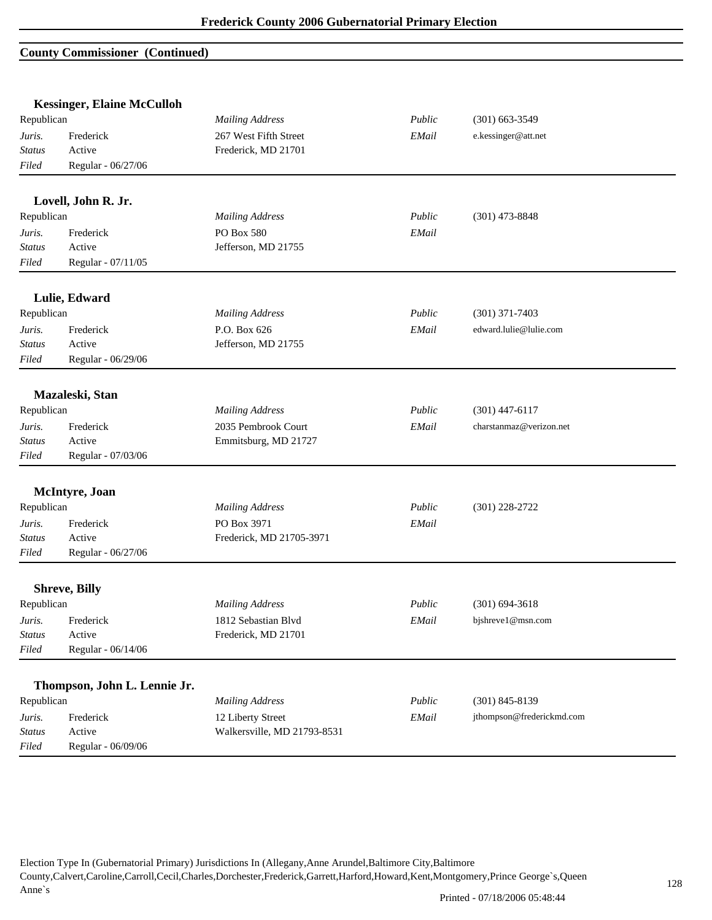#### **County Commissioner (Continued)**

|                         | <b>Kessinger, Elaine McCulloh</b> |                                     |        |                           |
|-------------------------|-----------------------------------|-------------------------------------|--------|---------------------------|
| Republican              |                                   | <b>Mailing Address</b>              | Public | $(301) 663 - 3549$        |
| Juris.                  | Frederick                         | 267 West Fifth Street               | EMail  | e.kessinger@att.net       |
| <b>Status</b>           | Active                            | Frederick, MD 21701                 |        |                           |
| Filed                   | Regular - 06/27/06                |                                     |        |                           |
|                         | Lovell, John R. Jr.               |                                     |        |                           |
| Republican              |                                   | <b>Mailing Address</b>              | Public | $(301)$ 473-8848          |
| Juris.                  | Frederick                         | PO Box 580                          | EMail  |                           |
| <b>Status</b>           | Active                            | Jefferson, MD 21755                 |        |                           |
| Filed                   | Regular - 07/11/05                |                                     |        |                           |
|                         |                                   |                                     |        |                           |
| Republican              | Lulie, Edward                     | <b>Mailing Address</b>              | Public | $(301)$ 371-7403          |
|                         |                                   |                                     |        | edward.lulie@lulie.com    |
| Juris.<br><b>Status</b> | Frederick<br>Active               | P.O. Box 626<br>Jefferson, MD 21755 | EMail  |                           |
| Filed                   | Regular - 06/29/06                |                                     |        |                           |
|                         |                                   |                                     |        |                           |
|                         | Mazaleski, Stan                   |                                     |        |                           |
| Republican              |                                   | <b>Mailing Address</b>              | Public | $(301)$ 447-6117          |
| Juris.                  | Frederick                         | 2035 Pembrook Court                 | EMail  | charstanmaz@verizon.net   |
| Status                  | Active                            | Emmitsburg, MD 21727                |        |                           |
| Filed                   | Regular - 07/03/06                |                                     |        |                           |
|                         | McIntyre, Joan                    |                                     |        |                           |
| Republican              |                                   | <b>Mailing Address</b>              | Public | $(301)$ 228-2722          |
| Juris.                  | Frederick                         | PO Box 3971                         | EMail  |                           |
| <b>Status</b>           | Active                            | Frederick, MD 21705-3971            |        |                           |
| Filed                   | Regular - 06/27/06                |                                     |        |                           |
|                         | <b>Shreve, Billy</b>              |                                     |        |                           |
| Republican              |                                   | <b>Mailing Address</b>              | Public | $(301) 694 - 3618$        |
| Juris.                  | Frederick                         | 1812 Sebastian Blvd                 | EMail  | bjshreve1@msn.com         |
| <b>Status</b>           | Active                            | Frederick, MD 21701                 |        |                           |
| Filed                   | Regular - 06/14/06                |                                     |        |                           |
|                         |                                   |                                     |        |                           |
|                         | Thompson, John L. Lennie Jr.      |                                     |        |                           |
| Republican              |                                   | <b>Mailing Address</b>              | Public | $(301) 845 - 8139$        |
| Juris.                  | Frederick                         | 12 Liberty Street                   | EMail  | jthompson@frederickmd.com |
| <b>Status</b>           | Active                            | Walkersville, MD 21793-8531         |        |                           |
| Filed                   | Regular - 06/09/06                |                                     |        |                           |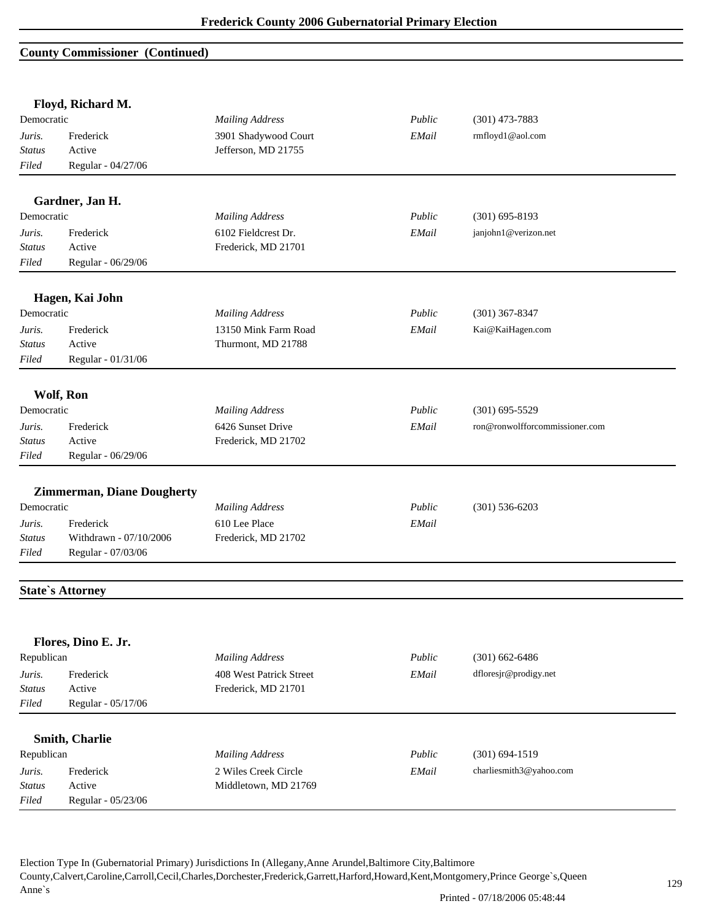#### **County Commissioner (Continued)**

|               | Floyd, Richard M.                 |                         |        |                                |
|---------------|-----------------------------------|-------------------------|--------|--------------------------------|
| Democratic    |                                   | <b>Mailing Address</b>  | Public | $(301)$ 473-7883               |
| Juris.        | Frederick                         | 3901 Shadywood Court    | EMail  | rmfloyd1@aol.com               |
| Status        | Active                            | Jefferson, MD 21755     |        |                                |
| Filed         | Regular - 04/27/06                |                         |        |                                |
|               | Gardner, Jan H.                   |                         |        |                                |
| Democratic    |                                   | <b>Mailing Address</b>  | Public | $(301) 695 - 8193$             |
| Juris.        | Frederick                         | 6102 Fieldcrest Dr.     | EMail  | janjohn1@verizon.net           |
| <b>Status</b> | Active                            | Frederick, MD 21701     |        |                                |
| Filed         | Regular - 06/29/06                |                         |        |                                |
|               | Hagen, Kai John                   |                         |        |                                |
| Democratic    |                                   | <b>Mailing Address</b>  | Public | $(301)$ 367-8347               |
| Juris.        | Frederick                         | 13150 Mink Farm Road    | EMail  | Kai@KaiHagen.com               |
| <b>Status</b> | Active                            | Thurmont, MD 21788      |        |                                |
| Filed         | Regular - 01/31/06                |                         |        |                                |
|               | Wolf, Ron                         |                         |        |                                |
| Democratic    |                                   | <b>Mailing Address</b>  | Public | $(301) 695 - 5529$             |
| Juris.        | Frederick                         | 6426 Sunset Drive       | EMail  | ron@ronwolfforcommissioner.com |
| <b>Status</b> | Active                            | Frederick, MD 21702     |        |                                |
| Filed         | Regular - 06/29/06                |                         |        |                                |
|               |                                   |                         |        |                                |
|               | <b>Zimmerman, Diane Dougherty</b> |                         |        |                                |
| Democratic    |                                   | <b>Mailing Address</b>  | Public | $(301) 536 - 6203$             |
| Juris.        | Frederick                         | 610 Lee Place           | EMail  |                                |
| <b>Status</b> | Withdrawn - 07/10/2006            | Frederick, MD 21702     |        |                                |
| Filed         | Regular - 07/03/06                |                         |        |                                |
|               | <b>State's Attorney</b>           |                         |        |                                |
|               |                                   |                         |        |                                |
|               | Flores, Dino E. Jr.               |                         |        |                                |
| Republican    |                                   | <b>Mailing Address</b>  | Public | $(301)$ 662-6486               |
| Juris.        | Frederick                         | 408 West Patrick Street | EMail  | dfloresjr@prodigy.net          |
| <b>Status</b> | Active                            | Frederick, MD 21701     |        |                                |
| Filed         | Regular - 05/17/06                |                         |        |                                |
|               |                                   |                         |        |                                |
|               | Smith, Charlie                    |                         |        |                                |
| Republican    |                                   | <b>Mailing Address</b>  | Public | $(301) 694 - 1519$             |
| Juris.        | Frederick                         | 2 Wiles Creek Circle    | EMail  | charliesmith3@yahoo.com        |
| <b>Status</b> | Active                            | Middletown, MD 21769    |        |                                |
| Filed         | Regular - 05/23/06                |                         |        |                                |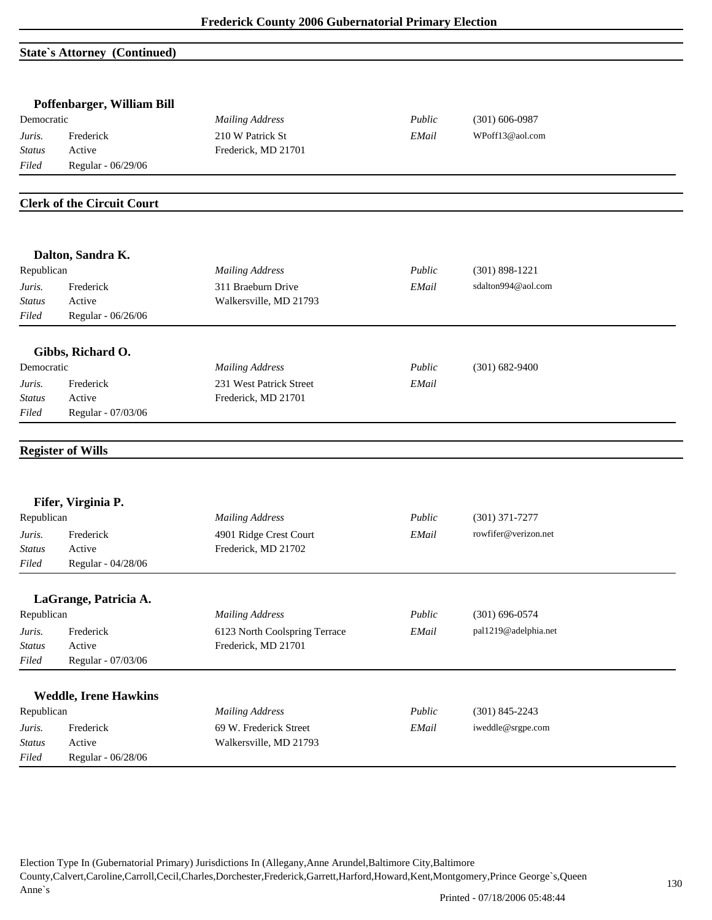### **State`s Attorney (Continued)**

|                         | Poffenbarger, William Bill        |                               |        |                      |  |
|-------------------------|-----------------------------------|-------------------------------|--------|----------------------|--|
| Democratic              |                                   | <b>Mailing Address</b>        | Public | $(301) 606 - 0987$   |  |
| Juris.                  | Frederick                         | 210 W Patrick St              | EMail  | WPoff13@aol.com      |  |
| <b>Status</b>           | Active                            | Frederick, MD 21701           |        |                      |  |
| Filed                   | Regular - 06/29/06                |                               |        |                      |  |
|                         |                                   |                               |        |                      |  |
|                         | <b>Clerk of the Circuit Court</b> |                               |        |                      |  |
|                         | Dalton, Sandra K.                 |                               |        |                      |  |
| Republican              |                                   | <b>Mailing Address</b>        | Public | $(301)$ 898-1221     |  |
| Juris.                  | Frederick                         | 311 Braeburn Drive            | EMail  | sdalton994@aol.com   |  |
| <b>Status</b>           | Active                            | Walkersville, MD 21793        |        |                      |  |
| Filed                   | Regular - 06/26/06                |                               |        |                      |  |
|                         | Gibbs, Richard O.                 |                               |        |                      |  |
| Democratic              |                                   | <b>Mailing Address</b>        | Public | $(301) 682 - 9400$   |  |
|                         | Frederick                         | 231 West Patrick Street       | EMail  |                      |  |
| Juris.<br><b>Status</b> | Active                            | Frederick, MD 21701           |        |                      |  |
| Filed                   | Regular - 07/03/06                |                               |        |                      |  |
|                         |                                   |                               |        |                      |  |
|                         | <b>Register of Wills</b>          |                               |        |                      |  |
|                         | Fifer, Virginia P.                |                               |        |                      |  |
| Republican              |                                   | <b>Mailing Address</b>        | Public | $(301)$ 371-7277     |  |
| Juris.                  | Frederick                         | 4901 Ridge Crest Court        | EMail  | rowfifer@verizon.net |  |
| <b>Status</b>           | Active                            | Frederick, MD 21702           |        |                      |  |
| Filed                   | Regular - 04/28/06                |                               |        |                      |  |
|                         | LaGrange, Patricia A.             |                               |        |                      |  |
| Republican              |                                   | <b>Mailing Address</b>        | Public | $(301) 696 - 0574$   |  |
| Juris.                  | Frederick                         | 6123 North Coolspring Terrace | EMail  | pal1219@adelphia.net |  |
| <b>Status</b>           | Active                            | Frederick, MD 21701           |        |                      |  |
| Filed                   | Regular - 07/03/06                |                               |        |                      |  |
|                         |                                   |                               |        |                      |  |
|                         | <b>Weddle, Irene Hawkins</b>      |                               |        |                      |  |
| Republican              |                                   | <b>Mailing Address</b>        | Public | $(301)$ 845-2243     |  |
| Juris.                  | Frederick                         | 69 W. Frederick Street        | EMail  | iweddle@srgpe.com    |  |
| <b>Status</b>           | Active                            | Walkersville, MD 21793        |        |                      |  |
| Filed                   | Regular - 06/28/06                |                               |        |                      |  |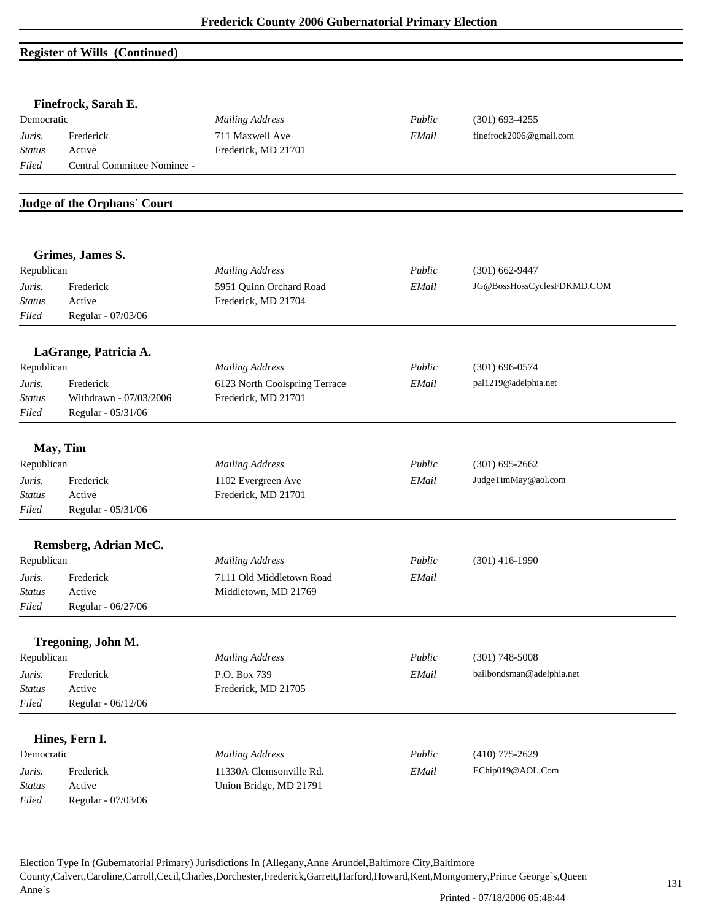# **Register of Wills (Continued)**

| Democratic              | Finefrock, Sarah E.<br>Frederick<br>Active<br>Central Committee Nominee -<br><b>Judge of the Orphans' Court</b><br>Grimes, James S.<br>Frederick<br>Active<br>Regular - 07/03/06<br>LaGrange, Patricia A.<br>Frederick<br>Withdrawn - 07/03/2006<br>Regular - 05/31/06<br>May, Tim<br>Republican<br>Frederick<br>Active<br>Regular - 05/31/06<br>Remsberg, Adrian McC.<br>Frederick<br>Active<br>Regular - 06/27/06<br>Tregoning, John M.<br>Frederick<br>Active<br>Regular - 06/12/06<br>Hines, Fern I. | <b>Mailing Address</b>                    | Public | $(301) 693 - 4255$         |
|-------------------------|----------------------------------------------------------------------------------------------------------------------------------------------------------------------------------------------------------------------------------------------------------------------------------------------------------------------------------------------------------------------------------------------------------------------------------------------------------------------------------------------------------|-------------------------------------------|--------|----------------------------|
| Juris.                  |                                                                                                                                                                                                                                                                                                                                                                                                                                                                                                          | 711 Maxwell Ave                           | EMail  | finefrock2006@gmail.com    |
| <b>Status</b>           |                                                                                                                                                                                                                                                                                                                                                                                                                                                                                                          | Frederick, MD 21701                       |        |                            |
| Filed                   |                                                                                                                                                                                                                                                                                                                                                                                                                                                                                                          |                                           |        |                            |
|                         |                                                                                                                                                                                                                                                                                                                                                                                                                                                                                                          |                                           |        |                            |
|                         |                                                                                                                                                                                                                                                                                                                                                                                                                                                                                                          |                                           |        |                            |
|                         |                                                                                                                                                                                                                                                                                                                                                                                                                                                                                                          |                                           |        |                            |
| Republican              |                                                                                                                                                                                                                                                                                                                                                                                                                                                                                                          | <b>Mailing Address</b>                    | Public | $(301)$ 662-9447           |
| Juris.                  |                                                                                                                                                                                                                                                                                                                                                                                                                                                                                                          | 5951 Quinn Orchard Road                   | EMail  | JG@BossHossCyclesFDKMD.COM |
| <b>Status</b>           |                                                                                                                                                                                                                                                                                                                                                                                                                                                                                                          | Frederick, MD 21704                       |        |                            |
| Filed                   |                                                                                                                                                                                                                                                                                                                                                                                                                                                                                                          |                                           |        |                            |
|                         |                                                                                                                                                                                                                                                                                                                                                                                                                                                                                                          |                                           |        |                            |
| Republican              |                                                                                                                                                                                                                                                                                                                                                                                                                                                                                                          | <b>Mailing Address</b>                    | Public | $(301) 696 - 0574$         |
| Juris.                  |                                                                                                                                                                                                                                                                                                                                                                                                                                                                                                          | 6123 North Coolspring Terrace             | EMail  | pal1219@adelphia.net       |
| <b>Status</b>           |                                                                                                                                                                                                                                                                                                                                                                                                                                                                                                          | Frederick, MD 21701                       |        |                            |
| Filed                   |                                                                                                                                                                                                                                                                                                                                                                                                                                                                                                          |                                           |        |                            |
|                         |                                                                                                                                                                                                                                                                                                                                                                                                                                                                                                          |                                           |        |                            |
|                         |                                                                                                                                                                                                                                                                                                                                                                                                                                                                                                          | <b>Mailing Address</b>                    | Public | $(301) 695 - 2662$         |
|                         |                                                                                                                                                                                                                                                                                                                                                                                                                                                                                                          |                                           |        |                            |
| Juris.<br><b>Status</b> |                                                                                                                                                                                                                                                                                                                                                                                                                                                                                                          | 1102 Evergreen Ave<br>Frederick, MD 21701 | EMail  | JudgeTimMay@aol.com        |
| Filed                   |                                                                                                                                                                                                                                                                                                                                                                                                                                                                                                          |                                           |        |                            |
|                         |                                                                                                                                                                                                                                                                                                                                                                                                                                                                                                          |                                           |        |                            |
|                         |                                                                                                                                                                                                                                                                                                                                                                                                                                                                                                          |                                           |        |                            |
| Republican              |                                                                                                                                                                                                                                                                                                                                                                                                                                                                                                          | <b>Mailing Address</b>                    | Public | $(301)$ 416-1990           |
| Juris.                  |                                                                                                                                                                                                                                                                                                                                                                                                                                                                                                          | 7111 Old Middletown Road                  | EMail  |                            |
| <i>Status</i>           |                                                                                                                                                                                                                                                                                                                                                                                                                                                                                                          | Middletown, MD 21769                      |        |                            |
| Filed                   |                                                                                                                                                                                                                                                                                                                                                                                                                                                                                                          |                                           |        |                            |
|                         |                                                                                                                                                                                                                                                                                                                                                                                                                                                                                                          |                                           |        |                            |
| Republican              |                                                                                                                                                                                                                                                                                                                                                                                                                                                                                                          | <b>Mailing Address</b>                    | Public | $(301)$ 748-5008           |
| Juris.                  |                                                                                                                                                                                                                                                                                                                                                                                                                                                                                                          | P.O. Box 739                              | EMail  | bailbondsman@adelphia.net  |
| <b>Status</b>           |                                                                                                                                                                                                                                                                                                                                                                                                                                                                                                          | Frederick, MD 21705                       |        |                            |
| Filed                   |                                                                                                                                                                                                                                                                                                                                                                                                                                                                                                          |                                           |        |                            |
|                         |                                                                                                                                                                                                                                                                                                                                                                                                                                                                                                          |                                           |        |                            |
| Democratic              |                                                                                                                                                                                                                                                                                                                                                                                                                                                                                                          | <b>Mailing Address</b>                    | Public | $(410)$ 775-2629           |
| Juris.                  | Frederick                                                                                                                                                                                                                                                                                                                                                                                                                                                                                                | 11330A Clemsonville Rd.                   | EMail  | EChip019@AOL.Com           |
| <b>Status</b>           | Active                                                                                                                                                                                                                                                                                                                                                                                                                                                                                                   | Union Bridge, MD 21791                    |        |                            |
| Filed                   | Regular - 07/03/06                                                                                                                                                                                                                                                                                                                                                                                                                                                                                       |                                           |        |                            |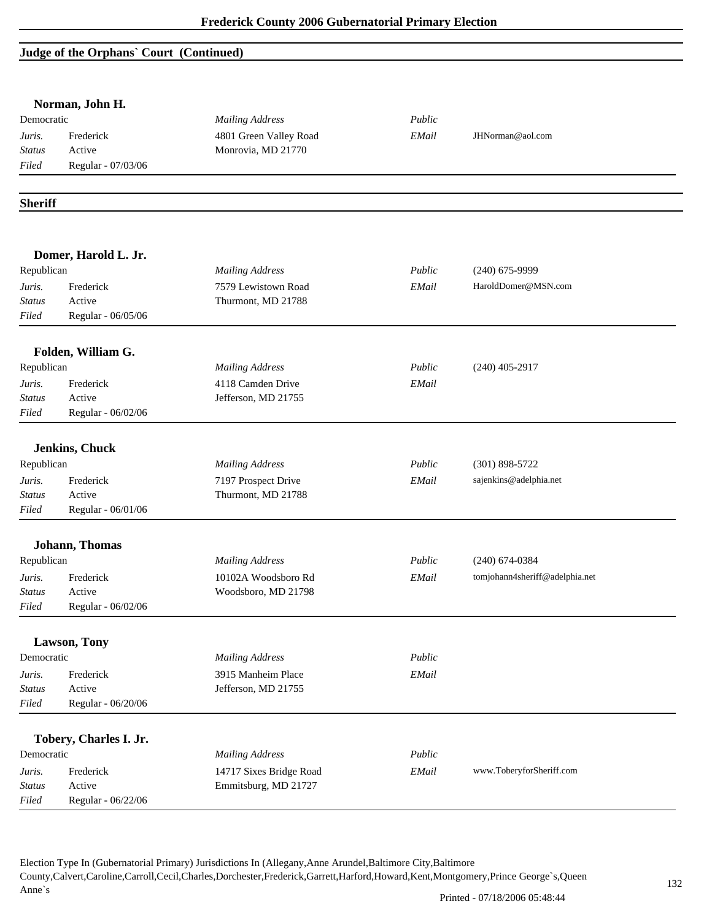# **Judge of the Orphans` Court (Continued)**

|                  | Norman, John H.        |                                           |        |                                |
|------------------|------------------------|-------------------------------------------|--------|--------------------------------|
| Democratic       |                        | <b>Mailing Address</b>                    | Public |                                |
| Juris.           | Frederick              | 4801 Green Valley Road                    | EMail  | JHNorman@aol.com               |
| <b>Status</b>    | Active                 | Monrovia, MD 21770                        |        |                                |
| Filed            | Regular - 07/03/06     |                                           |        |                                |
| <b>Sheriff</b>   |                        |                                           |        |                                |
|                  |                        |                                           |        |                                |
| Republican       | Domer, Harold L. Jr.   | <b>Mailing Address</b>                    | Public | $(240)$ 675-9999               |
|                  |                        |                                           |        |                                |
| Juris.<br>Status | Frederick<br>Active    | 7579 Lewistown Road<br>Thurmont, MD 21788 | EMail  | HaroldDomer@MSN.com            |
| Filed            | Regular - 06/05/06     |                                           |        |                                |
|                  | Folden, William G.     |                                           |        |                                |
| Republican       |                        | <b>Mailing Address</b>                    | Public | $(240)$ 405-2917               |
| Juris.           | Frederick              | 4118 Camden Drive                         | EMail  |                                |
| <b>Status</b>    | Active                 | Jefferson, MD 21755                       |        |                                |
| Filed            | Regular - 06/02/06     |                                           |        |                                |
|                  | Jenkins, Chuck         |                                           |        |                                |
| Republican       |                        | <b>Mailing Address</b>                    | Public | $(301) 898 - 5722$             |
| Juris.           | Frederick              | 7197 Prospect Drive                       | EMail  | sajenkins@adelphia.net         |
| <b>Status</b>    | Active                 | Thurmont, MD 21788                        |        |                                |
| Filed            | Regular - 06/01/06     |                                           |        |                                |
|                  | Johann, Thomas         |                                           |        |                                |
| Republican       |                        | <b>Mailing Address</b>                    | Public | $(240)$ 674-0384               |
| Juris.           | Frederick              | 10102A Woodsboro Rd                       | EMail  | tomjohann4sheriff@adelphia.net |
| <b>Status</b>    | Active                 | Woodsboro, MD 21798                       |        |                                |
| Filed            | Regular - 06/02/06     |                                           |        |                                |
|                  | Lawson, Tony           |                                           |        |                                |
| Democratic       |                        | <b>Mailing Address</b>                    | Public |                                |
| Juris.           | Frederick              | 3915 Manheim Place                        | EMail  |                                |
| <b>Status</b>    | Active                 | Jefferson, MD 21755                       |        |                                |
| Filed            | Regular - 06/20/06     |                                           |        |                                |
|                  | Tobery, Charles I. Jr. |                                           |        |                                |
| Democratic       |                        | <b>Mailing Address</b>                    | Public |                                |
| Juris.           | Frederick              | 14717 Sixes Bridge Road                   | EMail  | www.ToberyforSheriff.com       |
| <b>Status</b>    | Active                 | Emmitsburg, MD 21727                      |        |                                |
| Filed            | Regular - 06/22/06     |                                           |        |                                |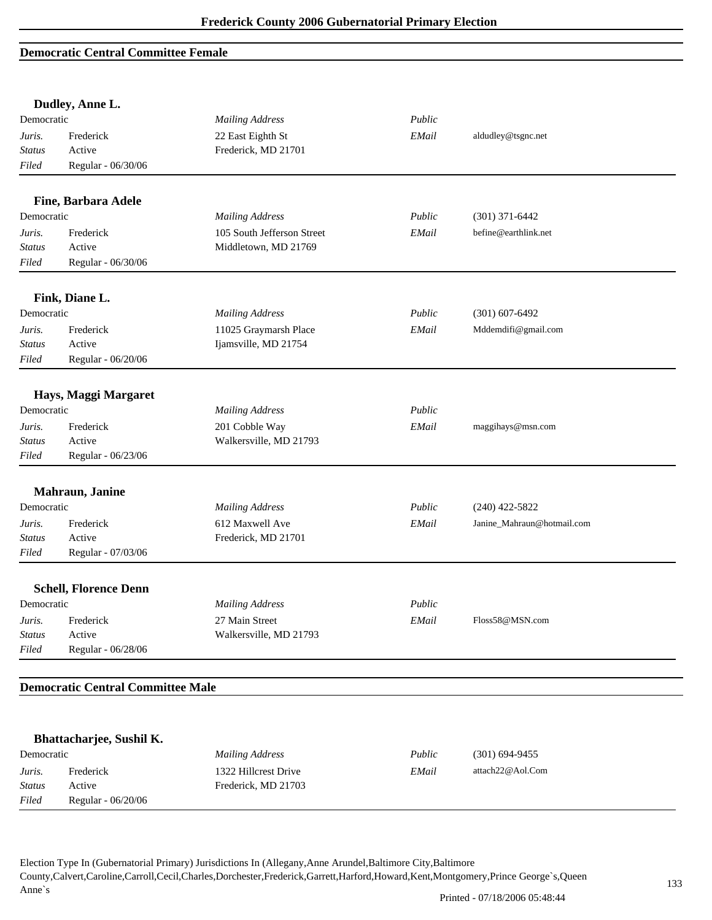#### **Democratic Central Committee Female**

|                  | Dudley, Anne L.                          |                                          |        |                            |
|------------------|------------------------------------------|------------------------------------------|--------|----------------------------|
| Democratic       |                                          | <b>Mailing Address</b>                   | Public |                            |
| Juris.           | Frederick                                | 22 East Eighth St                        | EMail  | aldudley@tsgnc.net         |
| Status           | Active                                   | Frederick, MD 21701                      |        |                            |
| Filed            | Regular - 06/30/06                       |                                          |        |                            |
|                  | Fine, Barbara Adele                      |                                          |        |                            |
| Democratic       |                                          | <b>Mailing Address</b>                   | Public | $(301)$ 371-6442           |
| Juris.           | Frederick                                | 105 South Jefferson Street               | EMail  | befine@earthlink.net       |
| <b>Status</b>    | Active                                   | Middletown, MD 21769                     |        |                            |
| Filed            | Regular - 06/30/06                       |                                          |        |                            |
|                  | Fink, Diane L.                           |                                          |        |                            |
| Democratic       |                                          | <b>Mailing Address</b>                   | Public | $(301) 607 - 6492$         |
| Juris.           | Frederick                                | 11025 Graymarsh Place                    | EMail  | Mddemdifi@gmail.com        |
| Status           | Active                                   | Ijamsville, MD 21754                     |        |                            |
| Filed            | Regular - 06/20/06                       |                                          |        |                            |
|                  | Hays, Maggi Margaret                     |                                          |        |                            |
| Democratic       |                                          | <b>Mailing Address</b>                   | Public |                            |
|                  |                                          |                                          |        |                            |
| Juris.<br>Status | Frederick<br>Active                      | 201 Cobble Way<br>Walkersville, MD 21793 | EMail  | maggihays@msn.com          |
| Filed            | Regular - 06/23/06                       |                                          |        |                            |
|                  |                                          |                                          |        |                            |
|                  | Mahraun, Janine                          |                                          |        |                            |
| Democratic       |                                          | <b>Mailing Address</b>                   | Public | $(240)$ 422-5822           |
| Juris.           | Frederick                                | 612 Maxwell Ave                          | EMail  | Janine_Mahraun@hotmail.com |
| <b>Status</b>    | Active                                   | Frederick, MD 21701                      |        |                            |
| Filed            | Regular - 07/03/06                       |                                          |        |                            |
|                  | <b>Schell, Florence Denn</b>             |                                          |        |                            |
| Democratic       |                                          | <b>Mailing Address</b>                   | Public |                            |
| Juris.           | Frederick                                | 27 Main Street                           | EMail  | Floss58@MSN.com            |
| <b>Status</b>    | Active                                   | Walkersville, MD 21793                   |        |                            |
| Filed            | Regular - 06/28/06                       |                                          |        |                            |
|                  | <b>Democratic Central Committee Male</b> |                                          |        |                            |
|                  |                                          |                                          |        |                            |
|                  | Bhattacharjee, Sushil K.                 |                                          |        |                            |
| Democratic       |                                          | <b>Mailing Address</b>                   | Public | $(301) 694 - 9455$         |
| Juris.           | Frederick                                | 1322 Hillcrest Drive                     | EMail  | attach22@Aol.Com           |
| Status           | Active                                   | Frederick, MD 21703                      |        |                            |
| Filed            | Regular - 06/20/06                       |                                          |        |                            |
|                  |                                          |                                          |        |                            |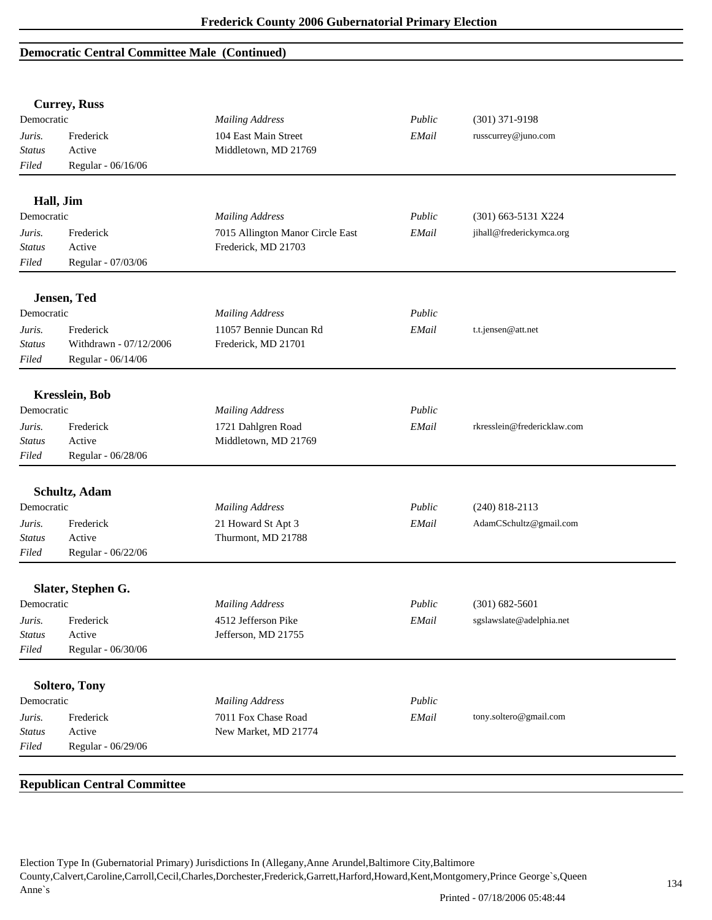## **Democratic Central Committee Male (Continued)**

|               | <b>Currey, Russ</b>    |                                  |        |                             |  |
|---------------|------------------------|----------------------------------|--------|-----------------------------|--|
| Democratic    |                        | <b>Mailing Address</b>           | Public | $(301)$ 371-9198            |  |
| Juris.        | Frederick              | 104 East Main Street             | EMail  | russcurrey@juno.com         |  |
| <b>Status</b> | Active                 | Middletown, MD 21769             |        |                             |  |
| Filed         | Regular - 06/16/06     |                                  |        |                             |  |
|               | Hall, Jim              |                                  |        |                             |  |
| Democratic    |                        | <b>Mailing Address</b>           | Public | (301) 663-5131 X224         |  |
| Juris.        | Frederick              | 7015 Allington Manor Circle East | EMail  | jihall@frederickymca.org    |  |
| <b>Status</b> | Active                 | Frederick, MD 21703              |        |                             |  |
| Filed         | Regular - 07/03/06     |                                  |        |                             |  |
|               | Jensen, Ted            |                                  |        |                             |  |
| Democratic    |                        | <b>Mailing Address</b>           | Public |                             |  |
| Juris.        | Frederick              | 11057 Bennie Duncan Rd           | EMail  | t.t.jensen@att.net          |  |
| Status        | Withdrawn - 07/12/2006 | Frederick, MD 21701              |        |                             |  |
| Filed         | Regular - 06/14/06     |                                  |        |                             |  |
|               | <b>Kresslein</b> , Bob |                                  |        |                             |  |
| Democratic    |                        | <b>Mailing Address</b>           | Public |                             |  |
| Juris.        | Frederick              | 1721 Dahlgren Road               | EMail  | rkresslein@fredericklaw.com |  |
| Status        | Active                 | Middletown, MD 21769             |        |                             |  |
| Filed         | Regular - 06/28/06     |                                  |        |                             |  |
|               |                        |                                  |        |                             |  |
| Democratic    | Schultz, Adam          |                                  | Public |                             |  |
|               |                        | <b>Mailing Address</b>           |        | $(240)$ 818-2113            |  |
| Juris.        | Frederick              | 21 Howard St Apt 3               | EMail  | AdamCSchultz@gmail.com      |  |
| Status        | Active                 | Thurmont, MD 21788               |        |                             |  |
| Filed         | Regular - 06/22/06     |                                  |        |                             |  |
|               | Slater, Stephen G.     |                                  |        |                             |  |
| Democratic    |                        | <b>Mailing Address</b>           | Public | $(301) 682 - 5601$          |  |
| Juris.        | Frederick              | 4512 Jefferson Pike              | EMail  | sgslawslate@adelphia.net    |  |
| <b>Status</b> | Active                 | Jefferson, MD 21755              |        |                             |  |
| Filed         | Regular - 06/30/06     |                                  |        |                             |  |
|               | <b>Soltero, Tony</b>   |                                  |        |                             |  |
| Democratic    |                        | <b>Mailing Address</b>           | Public |                             |  |
| Juris.        | Frederick              | 7011 Fox Chase Road              | EMail  | tony.soltero@gmail.com      |  |
|               | Active                 | New Market, MD 21774             |        |                             |  |
| <b>Status</b> |                        |                                  |        |                             |  |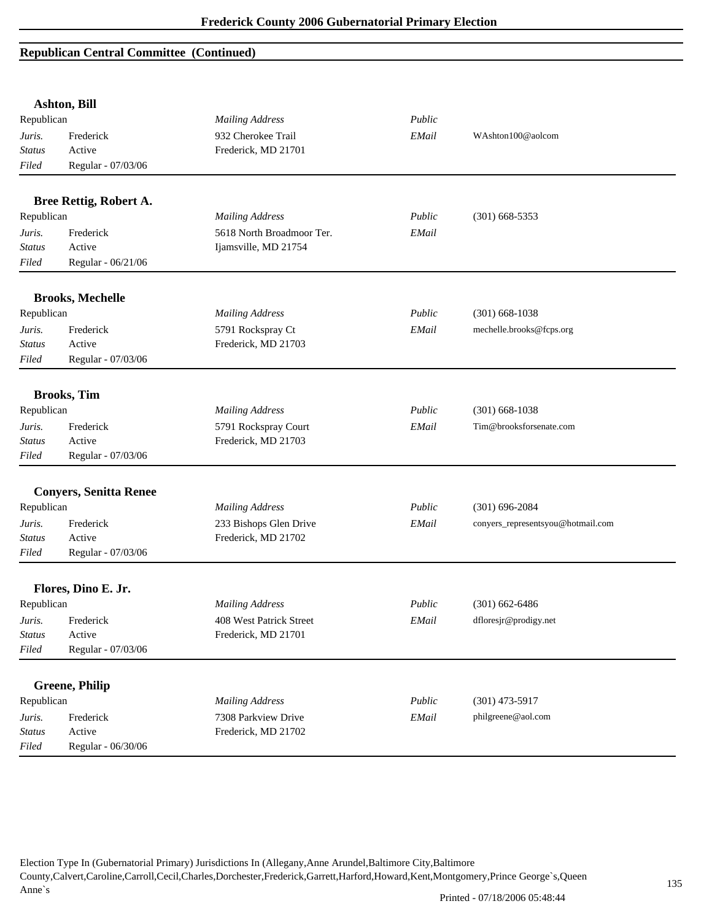|               | <b>Ashton, Bill</b>           |                           |        |                                   |
|---------------|-------------------------------|---------------------------|--------|-----------------------------------|
| Republican    |                               | <b>Mailing Address</b>    | Public |                                   |
| Juris.        | Frederick                     | 932 Cherokee Trail        | EMail  | WAshton100@aolcom                 |
| <b>Status</b> | Active                        | Frederick, MD 21701       |        |                                   |
| Filed         | Regular - 07/03/06            |                           |        |                                   |
|               | Bree Rettig, Robert A.        |                           |        |                                   |
| Republican    |                               | <b>Mailing Address</b>    | Public | $(301)$ 668-5353                  |
| Juris.        | Frederick                     | 5618 North Broadmoor Ter. | EMail  |                                   |
| <b>Status</b> | Active                        | Ijamsville, MD 21754      |        |                                   |
| Filed         | Regular - 06/21/06            |                           |        |                                   |
|               | <b>Brooks, Mechelle</b>       |                           |        |                                   |
| Republican    |                               | <b>Mailing Address</b>    | Public | $(301)$ 668-1038                  |
| Juris.        | Frederick                     | 5791 Rockspray Ct         | EMail  | mechelle.brooks@fcps.org          |
| <b>Status</b> | Active                        | Frederick, MD 21703       |        |                                   |
| Filed         | Regular - 07/03/06            |                           |        |                                   |
|               | <b>Brooks</b> , Tim           |                           |        |                                   |
| Republican    |                               | <b>Mailing Address</b>    | Public | $(301)$ 668-1038                  |
| Juris.        | Frederick                     | 5791 Rockspray Court      | EMail  | Tim@brooksforsenate.com           |
| Status        | Active                        | Frederick, MD 21703       |        |                                   |
| Filed         | Regular - 07/03/06            |                           |        |                                   |
|               |                               |                           |        |                                   |
|               | <b>Conyers, Senitta Renee</b> |                           |        |                                   |
| Republican    |                               | <b>Mailing Address</b>    | Public | $(301) 696 - 2084$                |
| Juris.        | Frederick                     | 233 Bishops Glen Drive    | EMail  | conyers_representsyou@hotmail.com |
| <b>Status</b> | Active                        | Frederick, MD 21702       |        |                                   |
| Filed         | Regular - 07/03/06            |                           |        |                                   |
|               | Flores, Dino E. Jr.           |                           |        |                                   |
| Republican    |                               | <b>Mailing Address</b>    | Public | $(301)$ 662-6486                  |
| Juris.        | Frederick                     | 408 West Patrick Street   | EMail  | dfloresjr@prodigy.net             |
| <b>Status</b> | Active                        | Frederick, MD 21701       |        |                                   |
| Filed         | Regular - 07/03/06            |                           |        |                                   |
|               | <b>Greene</b> , Philip        |                           |        |                                   |
| Republican    |                               | <b>Mailing Address</b>    | Public | $(301)$ 473-5917                  |
| Juris.        | Frederick                     | 7308 Parkview Drive       | EMail  | philgreene@aol.com                |
| <b>Status</b> | Active                        | Frederick, MD 21702       |        |                                   |
| Filed         | Regular - 06/30/06            |                           |        |                                   |
|               |                               |                           |        |                                   |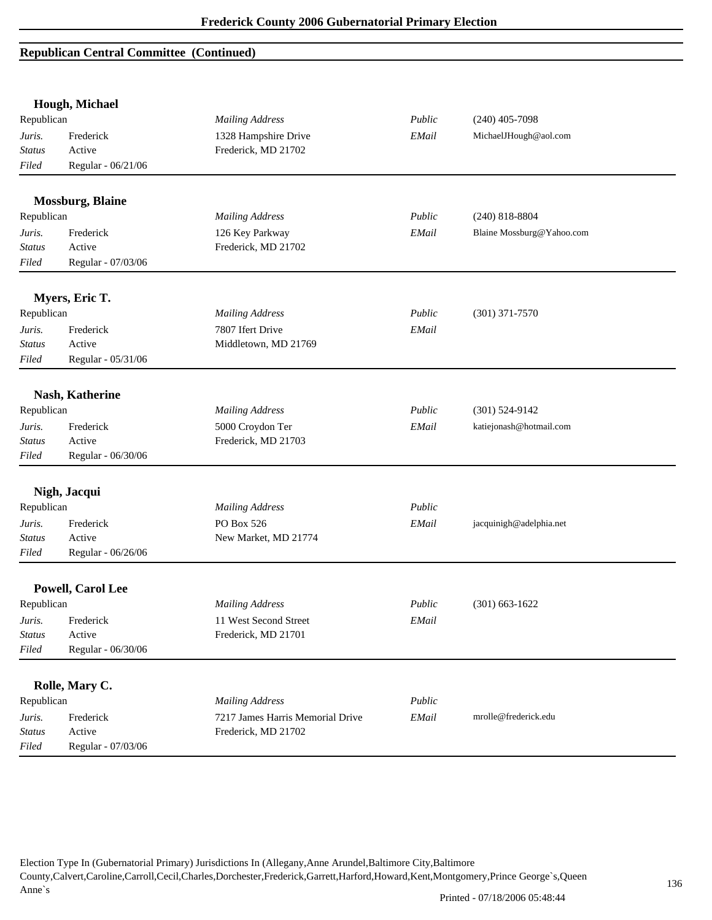|                         | Hough, Michael          |                                  |        |                           |
|-------------------------|-------------------------|----------------------------------|--------|---------------------------|
| Republican              |                         | <b>Mailing Address</b>           | Public | $(240)$ 405-7098          |
| Juris.                  | Frederick               | 1328 Hampshire Drive             | EMail  | MichaelJHough@aol.com     |
| <b>Status</b>           | Active                  | Frederick, MD 21702              |        |                           |
| Filed                   | Regular - 06/21/06      |                                  |        |                           |
|                         | <b>Mossburg, Blaine</b> |                                  |        |                           |
| Republican              |                         | <b>Mailing Address</b>           | Public | $(240)$ 818-8804          |
| Juris.                  | Frederick               | 126 Key Parkway                  | EMail  | Blaine Mossburg@Yahoo.com |
| <b>Status</b>           | Active                  | Frederick, MD 21702              |        |                           |
| Filed                   | Regular - 07/03/06      |                                  |        |                           |
|                         | Myers, Eric T.          |                                  |        |                           |
| Republican              |                         | <b>Mailing Address</b>           | Public | $(301)$ 371-7570          |
|                         | Frederick               | 7807 Ifert Drive                 | EMail  |                           |
| Juris.<br><b>Status</b> | Active                  | Middletown, MD 21769             |        |                           |
| Filed                   | Regular - 05/31/06      |                                  |        |                           |
|                         |                         |                                  |        |                           |
|                         | Nash, Katherine         |                                  |        |                           |
| Republican              |                         | <b>Mailing Address</b>           | Public | $(301) 524 - 9142$        |
| Juris.                  | Frederick               | 5000 Croydon Ter                 | EMail  | katiejonash@hotmail.com   |
| <b>Status</b>           | Active                  | Frederick, MD 21703              |        |                           |
| Filed                   | Regular - 06/30/06      |                                  |        |                           |
|                         | Nigh, Jacqui            |                                  |        |                           |
| Republican              |                         | <b>Mailing Address</b>           | Public |                           |
| Juris.                  | Frederick               | PO Box 526                       | EMail  | jacquinigh@adelphia.net   |
| <b>Status</b>           | Active                  | New Market, MD 21774             |        |                           |
| Filed                   | Regular - 06/26/06      |                                  |        |                           |
|                         | Powell, Carol Lee       |                                  |        |                           |
| Republican              |                         | <b>Mailing Address</b>           | Public | $(301)$ 663-1622          |
| Juris.                  | Frederick               | 11 West Second Street            | EMail  |                           |
| <b>Status</b>           | Active                  | Frederick, MD 21701              |        |                           |
| Filed                   | Regular - 06/30/06      |                                  |        |                           |
|                         |                         |                                  |        |                           |
|                         | Rolle, Mary C.          |                                  |        |                           |
| Republican              |                         | <b>Mailing Address</b>           | Public |                           |
| Juris.                  | Frederick               | 7217 James Harris Memorial Drive | EMail  | mrolle@frederick.edu      |
| <b>Status</b>           | Active                  | Frederick, MD 21702              |        |                           |
| Filed                   | Regular - 07/03/06      |                                  |        |                           |

Election Type In (Gubernatorial Primary) Jurisdictions In (Allegany,Anne Arundel,Baltimore City,Baltimore County,Calvert,Caroline,Carroll,Cecil,Charles,Dorchester,Frederick,Garrett,Harford,Howard,Kent,Montgomery,Prince George`s,Queen Anne`s

Printed - 07/18/2006 05:48:44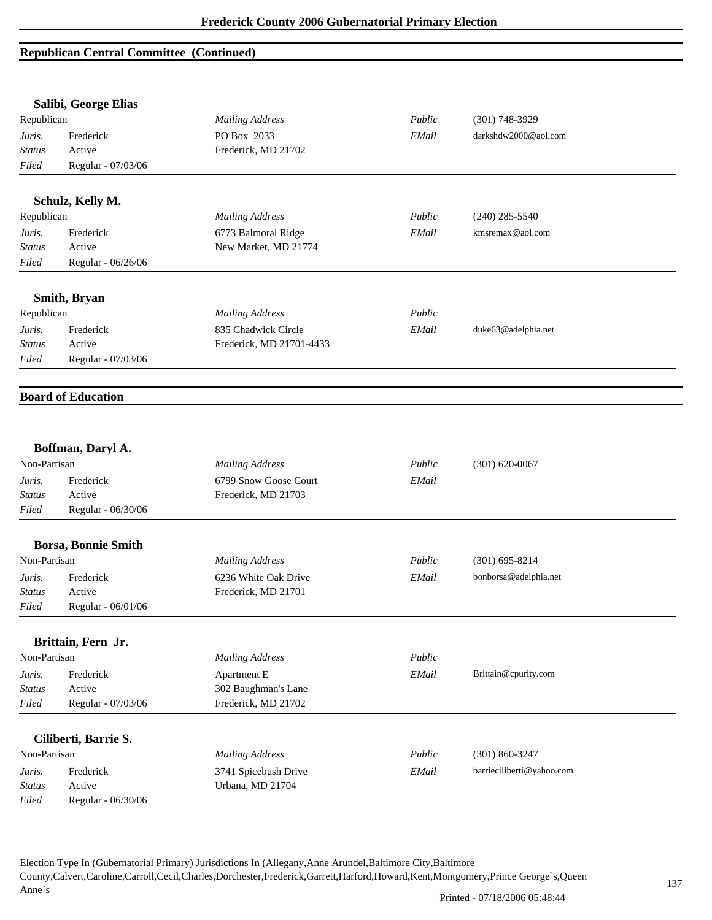|                         | Salibi, George Elias       |                          |        |                           |
|-------------------------|----------------------------|--------------------------|--------|---------------------------|
| Republican              |                            | <b>Mailing Address</b>   | Public | $(301)$ 748-3929          |
| Juris.                  | Frederick                  | PO Box 2033              | EMail  | darkshdw2000@aol.com      |
| <b>Status</b>           | Active                     | Frederick, MD 21702      |        |                           |
| Filed                   | Regular - 07/03/06         |                          |        |                           |
|                         | Schulz, Kelly M.           |                          |        |                           |
| Republican              |                            | <b>Mailing Address</b>   | Public | $(240)$ 285-5540          |
| Juris.                  | Frederick                  | 6773 Balmoral Ridge      | EMail  | kmsremax@aol.com          |
| <b>Status</b>           | Active                     | New Market, MD 21774     |        |                           |
| Filed                   | Regular - 06/26/06         |                          |        |                           |
|                         | Smith, Bryan               |                          |        |                           |
| Republican              |                            | <b>Mailing Address</b>   | Public |                           |
| Juris.                  | Frederick                  | 835 Chadwick Circle      | EMail  | duke63@adelphia.net       |
| <b>Status</b>           | Active                     | Frederick, MD 21701-4433 |        |                           |
| Filed                   | Regular - 07/03/06         |                          |        |                           |
|                         |                            |                          |        |                           |
|                         | <b>Board of Education</b>  |                          |        |                           |
|                         |                            |                          |        |                           |
|                         | Boffman, Daryl A.          |                          |        |                           |
| Non-Partisan            |                            | <b>Mailing Address</b>   | Public | $(301) 620 - 0067$        |
| Juris.                  | Frederick                  | 6799 Snow Goose Court    | EMail  |                           |
| Status                  | Active                     | Frederick, MD 21703      |        |                           |
| Filed                   | Regular - 06/30/06         |                          |        |                           |
|                         | <b>Borsa, Bonnie Smith</b> |                          |        |                           |
| Non-Partisan            |                            | <b>Mailing Address</b>   | Public | $(301)$ 695-8214          |
| Juris.                  | Frederick                  | 6236 White Oak Drive     | EMail  | bonborsa@adelphia.net     |
| <b>Status</b>           | Active                     | Frederick, MD 21701      |        |                           |
| Filed                   | Regular - 06/01/06         |                          |        |                           |
|                         | Brittain, Fern Jr.         |                          |        |                           |
| Non-Partisan            |                            | <b>Mailing Address</b>   | Public |                           |
|                         | Frederick                  | Apartment E              | EMail  | Brittain@cpurity.com      |
| Juris.<br><b>Status</b> | Active                     | 302 Baughman's Lane      |        |                           |
| Filed                   | Regular - 07/03/06         | Frederick, MD 21702      |        |                           |
|                         |                            |                          |        |                           |
|                         | Ciliberti, Barrie S.       |                          |        |                           |
| Non-Partisan            |                            | <b>Mailing Address</b>   | Public | $(301) 860 - 3247$        |
| Juris.                  | Frederick                  | 3741 Spicebush Drive     | EMail  | barrieciliberti@yahoo.com |
| <b>Status</b>           | Active                     | Urbana, MD 21704         |        |                           |
| Filed                   | Regular - 06/30/06         |                          |        |                           |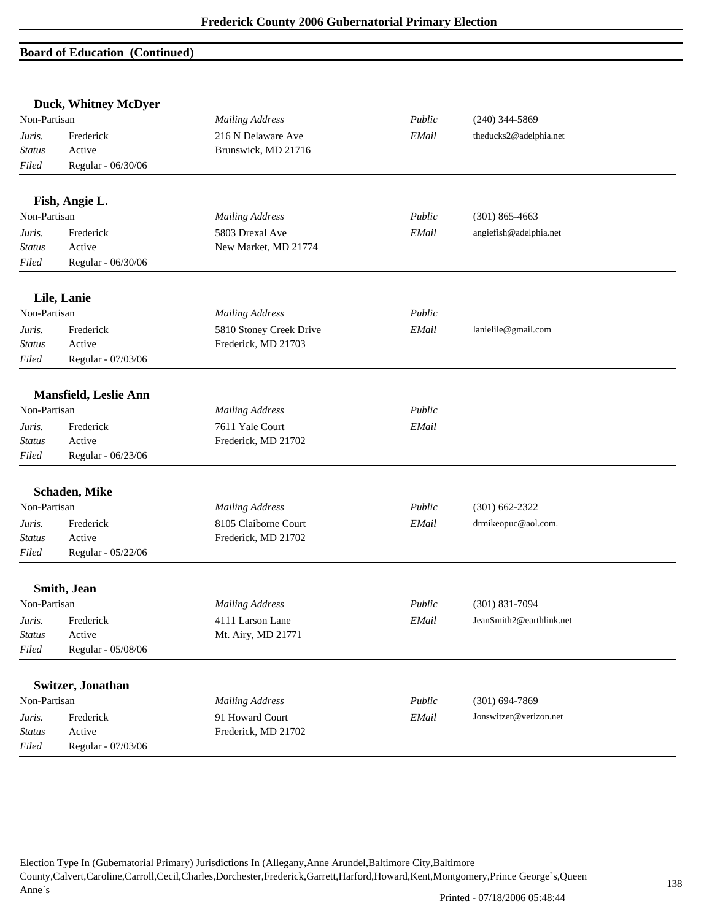|               | Duck, Whitney McDyer         |                         |        |                          |  |
|---------------|------------------------------|-------------------------|--------|--------------------------|--|
| Non-Partisan  |                              | <b>Mailing Address</b>  | Public | $(240)$ 344-5869         |  |
| Juris.        | Frederick                    | 216 N Delaware Ave      | EMail  | theducks2@adelphia.net   |  |
| <b>Status</b> | Active                       | Brunswick, MD 21716     |        |                          |  |
| Filed         | Regular - 06/30/06           |                         |        |                          |  |
|               | Fish, Angie L.               |                         |        |                          |  |
| Non-Partisan  |                              | <b>Mailing Address</b>  | Public | $(301)$ 865-4663         |  |
| Juris.        | Frederick                    | 5803 Drexal Ave         | EMail  | angiefish@adelphia.net   |  |
| <b>Status</b> | Active                       | New Market, MD 21774    |        |                          |  |
| Filed         | Regular - 06/30/06           |                         |        |                          |  |
|               | Lile, Lanie                  |                         |        |                          |  |
| Non-Partisan  |                              | <b>Mailing Address</b>  | Public |                          |  |
| Juris.        | Frederick                    | 5810 Stoney Creek Drive | EMail  | lanielile@gmail.com      |  |
| <b>Status</b> | Active                       | Frederick, MD 21703     |        |                          |  |
| Filed         | Regular - 07/03/06           |                         |        |                          |  |
|               | <b>Mansfield, Leslie Ann</b> |                         |        |                          |  |
| Non-Partisan  |                              | <b>Mailing Address</b>  | Public |                          |  |
| Juris.        | Frederick                    | 7611 Yale Court         | EMail  |                          |  |
| <b>Status</b> | Active                       | Frederick, MD 21702     |        |                          |  |
| Filed         | Regular - 06/23/06           |                         |        |                          |  |
|               | Schaden, Mike                |                         |        |                          |  |
| Non-Partisan  |                              | <b>Mailing Address</b>  | Public | $(301) 662 - 2322$       |  |
| Juris.        | Frederick                    | 8105 Claiborne Court    | EMail  | drmikeopuc@aol.com.      |  |
| <b>Status</b> | Active                       | Frederick, MD 21702     |        |                          |  |
| Filed         | Regular - 05/22/06           |                         |        |                          |  |
|               | Smith, Jean                  |                         |        |                          |  |
| Non-Partisan  |                              | <b>Mailing Address</b>  | Public | $(301) 831 - 7094$       |  |
| Juris.        | Frederick                    | 4111 Larson Lane        | EMail  | JeanSmith2@earthlink.net |  |
| <b>Status</b> | Active                       | Mt. Airy, MD 21771      |        |                          |  |
| Filed         | Regular - 05/08/06           |                         |        |                          |  |
|               | Switzer, Jonathan            |                         |        |                          |  |
| Non-Partisan  |                              | <b>Mailing Address</b>  | Public | $(301) 694 - 7869$       |  |
| Juris.        | Frederick                    | 91 Howard Court         | EMail  | Jonswitzer@verizon.net   |  |
| <b>Status</b> | Active                       | Frederick, MD 21702     |        |                          |  |
| Filed         | Regular - 07/03/06           |                         |        |                          |  |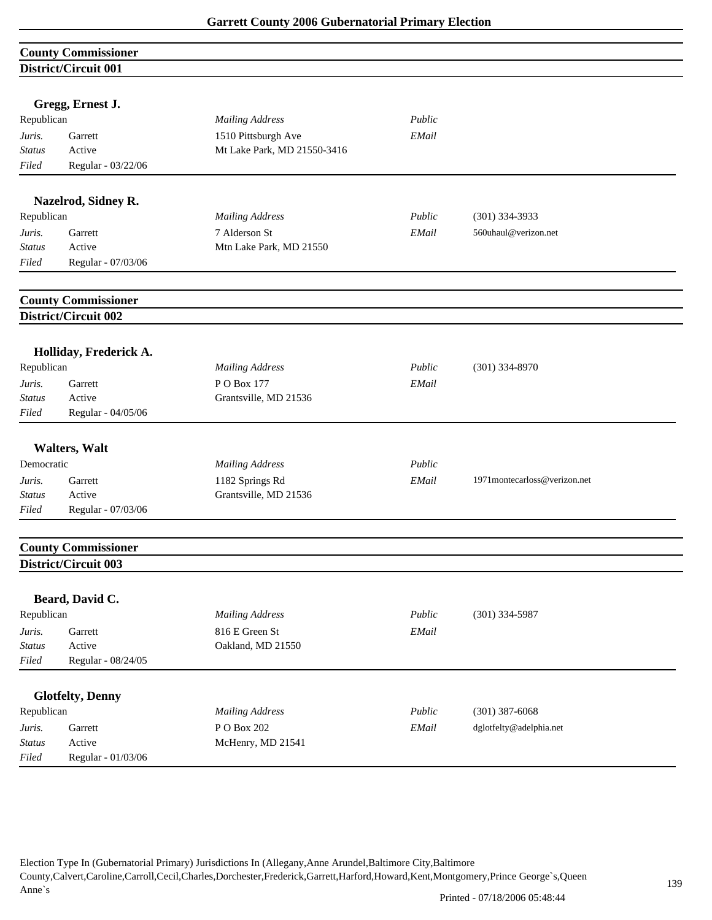|               | <b>County Commissioner</b>  |                             |        |                               |
|---------------|-----------------------------|-----------------------------|--------|-------------------------------|
|               | District/Circuit 001        |                             |        |                               |
|               | Gregg, Ernest J.            |                             |        |                               |
| Republican    |                             | <b>Mailing Address</b>      | Public |                               |
| Juris.        | Garrett                     | 1510 Pittsburgh Ave         | EMail  |                               |
| <b>Status</b> | Active                      | Mt Lake Park, MD 21550-3416 |        |                               |
| Filed         | Regular - 03/22/06          |                             |        |                               |
|               | Nazelrod, Sidney R.         |                             |        |                               |
| Republican    |                             | <b>Mailing Address</b>      | Public | $(301)$ 334-3933              |
| Juris.        | Garrett                     | 7 Alderson St               | EMail  | 560uhaul@verizon.net          |
| <b>Status</b> | Active                      | Mtn Lake Park, MD 21550     |        |                               |
| Filed         | Regular - 07/03/06          |                             |        |                               |
|               | <b>County Commissioner</b>  |                             |        |                               |
|               | District/Circuit 002        |                             |        |                               |
|               |                             |                             |        |                               |
|               | Holliday, Frederick A.      |                             |        |                               |
| Republican    |                             | <b>Mailing Address</b>      | Public | $(301)$ 334-8970              |
| Juris.        | Garrett                     | PO Box 177                  | EMail  |                               |
| <b>Status</b> | Active                      | Grantsville, MD 21536       |        |                               |
| Filed         | Regular - 04/05/06          |                             |        |                               |
|               |                             |                             |        |                               |
|               | <b>Walters</b> , Walt       |                             |        |                               |
| Democratic    |                             | <b>Mailing Address</b>      | Public |                               |
| Juris.        | Garrett                     | 1182 Springs Rd             | EMail  | 1971 montecarloss@verizon.net |
| <b>Status</b> | Active                      | Grantsville, MD 21536       |        |                               |
| Filed         | Regular - 07/03/06          |                             |        |                               |
|               |                             |                             |        |                               |
|               | <b>County Commissioner</b>  |                             |        |                               |
|               | <b>District/Circuit 003</b> |                             |        |                               |
|               | Beard, David C.             |                             |        |                               |
| Republican    |                             | <b>Mailing Address</b>      | Public | $(301)$ 334-5987              |
| Juris.        | Garrett                     | 816 E Green St              | EMail  |                               |
| <b>Status</b> | Active                      | Oakland, MD 21550           |        |                               |
| Filed         | Regular - 08/24/05          |                             |        |                               |
|               |                             |                             |        |                               |
|               | <b>Glotfelty, Denny</b>     |                             |        |                               |
| Republican    |                             | <b>Mailing Address</b>      | Public | $(301)$ 387-6068              |
| Juris.        | Garrett                     | P O Box 202                 | EMail  | dglotfelty@adelphia.net       |
| <b>Status</b> | Active                      | McHenry, MD 21541           |        |                               |
| Filed         | Regular - 01/03/06          |                             |        |                               |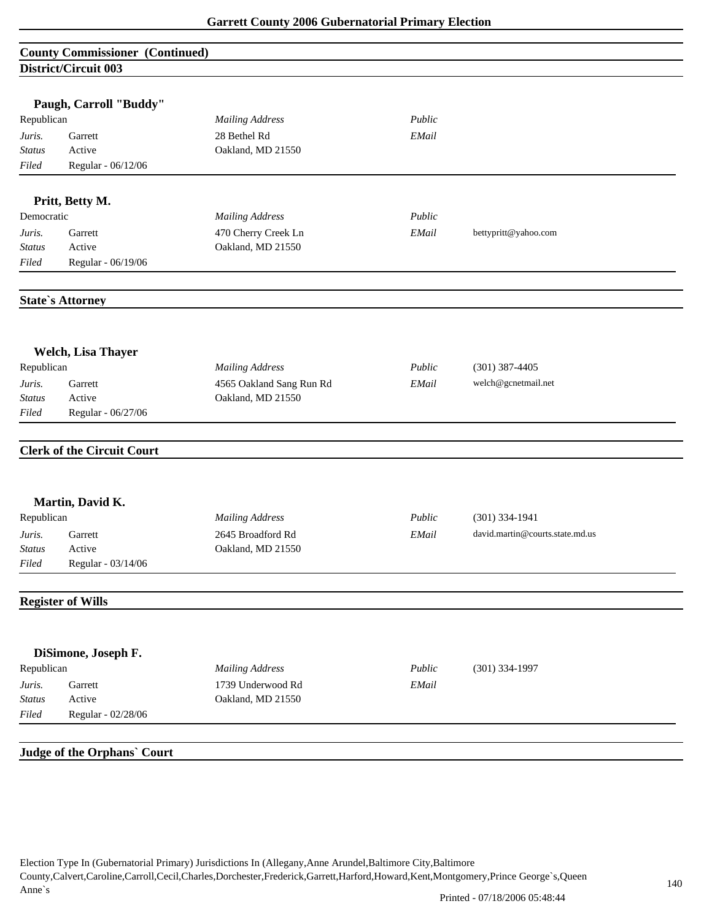## **County Commissioner (Continued) District/Circuit 003**

|               | Paugh, Carroll "Buddy"            |                          |        |                                 |
|---------------|-----------------------------------|--------------------------|--------|---------------------------------|
| Republican    |                                   | <b>Mailing Address</b>   | Public |                                 |
| Juris.        | Garrett                           | 28 Bethel Rd             | EMail  |                                 |
| <b>Status</b> | Active                            | Oakland, MD 21550        |        |                                 |
| Filed         | Regular - 06/12/06                |                          |        |                                 |
|               | Pritt, Betty M.                   |                          |        |                                 |
| Democratic    |                                   | <b>Mailing Address</b>   | Public |                                 |
| Juris.        | Garrett                           | 470 Cherry Creek Ln      | EMail  | bettypritt@yahoo.com            |
| <b>Status</b> | Active                            | Oakland, MD 21550        |        |                                 |
| Filed         | Regular - 06/19/06                |                          |        |                                 |
|               | <b>State's Attorney</b>           |                          |        |                                 |
|               | <b>Welch, Lisa Thayer</b>         |                          |        |                                 |
| Republican    |                                   | <b>Mailing Address</b>   | Public | $(301)$ 387-4405                |
| Juris.        | Garrett                           | 4565 Oakland Sang Run Rd | EMail  | welch@gcnetmail.net             |
| Status        | Active                            | Oakland, MD 21550        |        |                                 |
| Filed         | Regular - 06/27/06                |                          |        |                                 |
|               | <b>Clerk of the Circuit Court</b> |                          |        |                                 |
|               | Martin, David K.                  |                          |        |                                 |
| Republican    |                                   | <b>Mailing Address</b>   | Public | $(301)$ 334-1941                |
| Juris.        | Garrett                           | 2645 Broadford Rd        | EMail  | david.martin@courts.state.md.us |
| <b>Status</b> | Active                            | Oakland, MD 21550        |        |                                 |
| Filed         | Regular - 03/14/06                |                          |        |                                 |
|               | <b>Register of Wills</b>          |                          |        |                                 |
|               |                                   |                          |        |                                 |
|               | DiSimone, Joseph F.               |                          |        |                                 |
| Republican    |                                   | <b>Mailing Address</b>   | Public | $(301)$ 334-1997                |
| Juris.        | Garrett                           | 1739 Underwood Rd        | EMail  |                                 |
| Status        | Active                            | Oakland, MD 21550        |        |                                 |
| Filed         | Regular - 02/28/06                |                          |        |                                 |
|               | Judge of the Orphans' Court       |                          |        |                                 |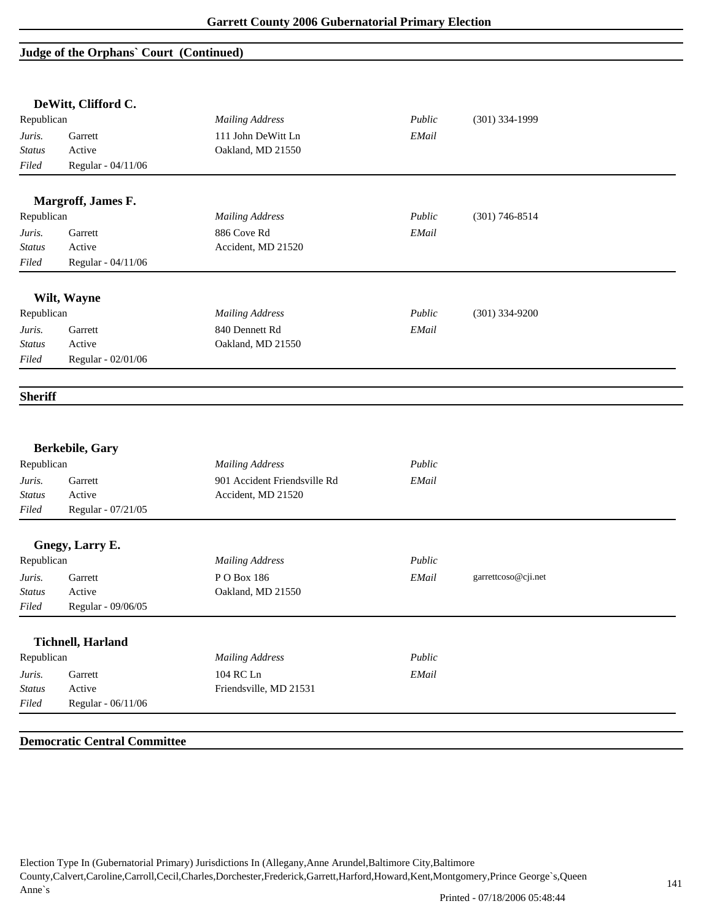# **Judge of the Orphans` Court (Continued)**

|                | DeWitt, Clifford C.      |                              |        |                     |  |
|----------------|--------------------------|------------------------------|--------|---------------------|--|
| Republican     |                          | <b>Mailing Address</b>       | Public | $(301)$ 334-1999    |  |
| Juris.         | Garrett                  | 111 John DeWitt Ln           | EMail  |                     |  |
| <b>Status</b>  | Active                   | Oakland, MD 21550            |        |                     |  |
| Filed          | Regular - 04/11/06       |                              |        |                     |  |
|                | Margroff, James F.       |                              |        |                     |  |
| Republican     |                          | <b>Mailing Address</b>       | Public | $(301) 746 - 8514$  |  |
| Juris.         | Garrett                  | 886 Cove Rd                  | EMail  |                     |  |
| <b>Status</b>  | Active                   | Accident, MD 21520           |        |                     |  |
| Filed          | Regular - 04/11/06       |                              |        |                     |  |
|                | Wilt, Wayne              |                              |        |                     |  |
| Republican     |                          | <b>Mailing Address</b>       | Public | $(301)$ 334-9200    |  |
| Juris.         | Garrett                  | 840 Dennett Rd               | EMail  |                     |  |
| <b>Status</b>  | Active                   | Oakland, MD 21550            |        |                     |  |
| Filed          | Regular - 02/01/06       |                              |        |                     |  |
| <b>Sheriff</b> |                          |                              |        |                     |  |
|                | <b>Berkebile, Gary</b>   |                              |        |                     |  |
| Republican     |                          | <b>Mailing Address</b>       | Public |                     |  |
| Juris.         | Garrett                  | 901 Accident Friendsville Rd | EMail  |                     |  |
| <b>Status</b>  | Active                   | Accident, MD 21520           |        |                     |  |
| Filed          | Regular - 07/21/05       |                              |        |                     |  |
|                | Gnegy, Larry E.          |                              |        |                     |  |
| Republican     |                          | <b>Mailing Address</b>       | Public |                     |  |
| Juris.         | Garrett                  | PO Box 186                   | EMail  | garrettcoso@cji.net |  |
| <b>Status</b>  | Active                   | Oakland, MD 21550            |        |                     |  |
| Filed          | Regular - 09/06/05       |                              |        |                     |  |
|                | <b>Tichnell, Harland</b> |                              |        |                     |  |
| Republican     |                          | <b>Mailing Address</b>       | Public |                     |  |
| Juris.         | Garrett                  | 104 RC Ln                    | EMail  |                     |  |
| <b>Status</b>  | Active                   | Friendsville, MD 21531       |        |                     |  |
| Filed          | Regular - 06/11/06       |                              |        |                     |  |
|                |                          |                              |        |                     |  |

## **Democratic Central Committee**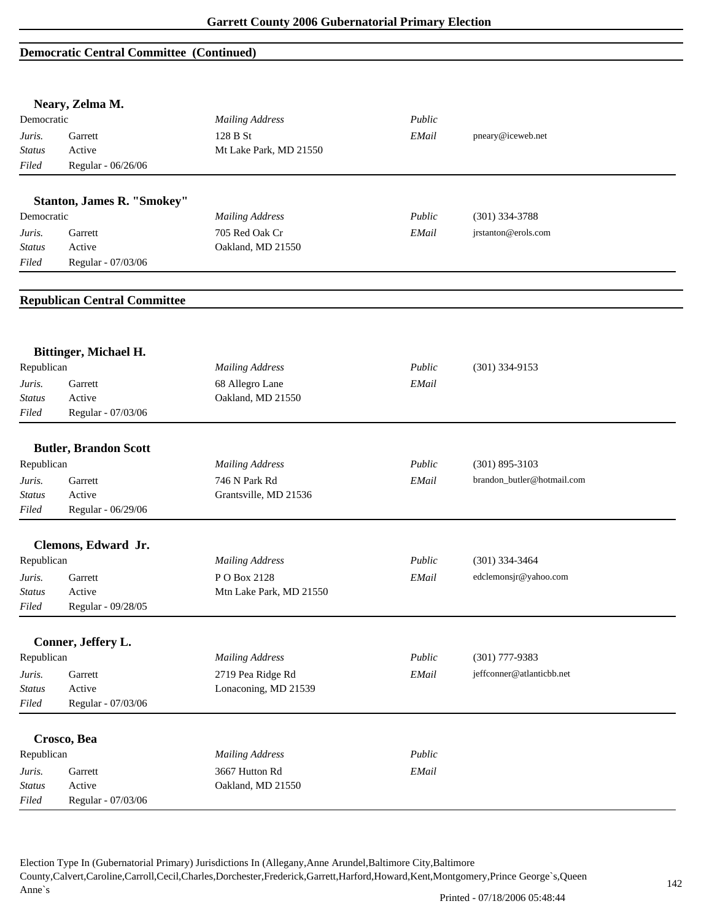### **Democratic Central Committee (Continued)**

|                        | Neary, Zelma M.                     |                                      |        |                            |  |
|------------------------|-------------------------------------|--------------------------------------|--------|----------------------------|--|
| Democratic             |                                     | <b>Mailing Address</b>               | Public |                            |  |
| Juris.                 | Garrett                             | 128 B St                             | EMail  | pneary@iceweb.net          |  |
| <b>Status</b>          | Active                              | Mt Lake Park, MD 21550               |        |                            |  |
| Filed                  | Regular - 06/26/06                  |                                      |        |                            |  |
|                        | <b>Stanton, James R. "Smokey"</b>   |                                      |        |                            |  |
| Democratic             |                                     | <b>Mailing Address</b>               | Public | (301) 334-3788             |  |
| Juris.                 | Garrett                             | 705 Red Oak Cr                       | EMail  | jrstanton@erols.com        |  |
| <b>Status</b>          | Active                              | Oakland, MD 21550                    |        |                            |  |
| Filed                  | Regular - 07/03/06                  |                                      |        |                            |  |
|                        |                                     |                                      |        |                            |  |
|                        | <b>Republican Central Committee</b> |                                      |        |                            |  |
|                        |                                     |                                      |        |                            |  |
| Republican             | Bittinger, Michael H.               | <b>Mailing Address</b>               | Public | $(301)$ 334-9153           |  |
|                        | Garrett                             |                                      |        |                            |  |
| Juris.                 | Active                              | 68 Allegro Lane<br>Oakland, MD 21550 | EMail  |                            |  |
| <b>Status</b><br>Filed |                                     |                                      |        |                            |  |
|                        | Regular - 07/03/06                  |                                      |        |                            |  |
|                        | <b>Butler, Brandon Scott</b>        |                                      |        |                            |  |
| Republican             |                                     | <b>Mailing Address</b>               | Public | $(301)$ 895-3103           |  |
| Juris.                 | Garrett                             | 746 N Park Rd                        | EMail  | brandon_butler@hotmail.com |  |
| Status                 | Active                              | Grantsville, MD 21536                |        |                            |  |
| Filed                  | Regular - 06/29/06                  |                                      |        |                            |  |
|                        |                                     |                                      |        |                            |  |
|                        | Clemons, Edward Jr.                 |                                      |        |                            |  |
| Republican             |                                     | <b>Mailing Address</b>               | Public | $(301)$ 334-3464           |  |
| Juris.                 | Garrett                             | P O Box 2128                         | EMail  | edclemonsjr@yahoo.com      |  |
| Status                 | Active                              | Mtn Lake Park, MD 21550              |        |                            |  |
| Filed                  | Regular - 09/28/05                  |                                      |        |                            |  |
|                        | Conner, Jeffery L.                  |                                      |        |                            |  |
| Republican             |                                     | <b>Mailing Address</b>               | Public | $(301)$ 777-9383           |  |
| Juris.                 | Garrett                             | 2719 Pea Ridge Rd                    | EMail  | jeffconner@atlanticbb.net  |  |
| <b>Status</b>          | Active                              | Lonaconing, MD 21539                 |        |                            |  |
| Filed                  | Regular - 07/03/06                  |                                      |        |                            |  |
|                        |                                     |                                      |        |                            |  |
|                        | Crosco, Bea                         |                                      |        |                            |  |
| Republican             |                                     | <b>Mailing Address</b>               | Public |                            |  |
| Juris.                 | Garrett                             | 3667 Hutton Rd                       | EMail  |                            |  |
| <b>Status</b>          | Active                              | Oakland, MD 21550                    |        |                            |  |
| Filed                  | Regular - 07/03/06                  |                                      |        |                            |  |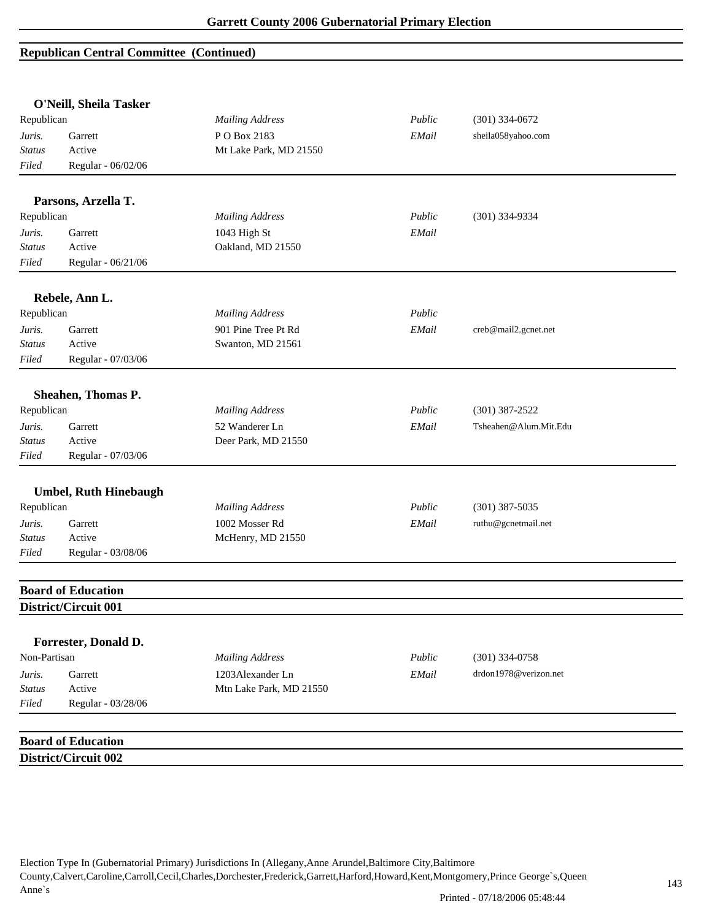| O'Neill, Sheila Tasker |                                                   |                         |        |                       |  |
|------------------------|---------------------------------------------------|-------------------------|--------|-----------------------|--|
| Republican             |                                                   | <b>Mailing Address</b>  | Public | $(301)$ 334-0672      |  |
| Juris.                 | Garrett                                           | PO Box 2183             | EMail  | sheila058yahoo.com    |  |
| <b>Status</b>          | Active                                            | Mt Lake Park, MD 21550  |        |                       |  |
| Filed                  | Regular - 06/02/06                                |                         |        |                       |  |
|                        |                                                   |                         |        |                       |  |
|                        | Parsons, Arzella T.                               |                         |        |                       |  |
| Republican             |                                                   | <b>Mailing Address</b>  | Public | $(301)$ 334-9334      |  |
| Juris.                 | Garrett                                           | 1043 High St            | EMail  |                       |  |
| <b>Status</b>          | Active                                            | Oakland, MD 21550       |        |                       |  |
| Filed                  | Regular - 06/21/06                                |                         |        |                       |  |
|                        | Rebele, Ann L.                                    |                         |        |                       |  |
| Republican             |                                                   | <b>Mailing Address</b>  | Public |                       |  |
| Juris.                 | Garrett                                           | 901 Pine Tree Pt Rd     | EMail  | creb@mail2.gcnet.net  |  |
| <b>Status</b>          | Active                                            | Swanton, MD 21561       |        |                       |  |
| Filed                  | Regular - 07/03/06                                |                         |        |                       |  |
|                        | Sheahen, Thomas P.                                |                         |        |                       |  |
| Republican             |                                                   | <b>Mailing Address</b>  | Public | $(301)$ 387-2522      |  |
| Juris.                 | Garrett                                           | 52 Wanderer Ln          | EMail  | Tsheahen@Alum.Mit.Edu |  |
| <b>Status</b>          | Active                                            | Deer Park, MD 21550     |        |                       |  |
| Filed                  | Regular - 07/03/06                                |                         |        |                       |  |
|                        | <b>Umbel, Ruth Hinebaugh</b>                      |                         |        |                       |  |
| Republican             |                                                   | <b>Mailing Address</b>  | Public | $(301)$ 387-5035      |  |
| Juris.                 | Garrett                                           | 1002 Mosser Rd          | EMail  | ruthu@gcnetmail.net   |  |
| <b>Status</b>          | Active                                            | McHenry, MD 21550       |        |                       |  |
| Filed                  | Regular - 03/08/06                                |                         |        |                       |  |
|                        |                                                   |                         |        |                       |  |
|                        | <b>Board of Education</b><br>District/Circuit 001 |                         |        |                       |  |
|                        |                                                   |                         |        |                       |  |
|                        | Forrester, Donald D.                              |                         |        |                       |  |
| Non-Partisan           |                                                   | <b>Mailing Address</b>  | Public | $(301)$ 334-0758      |  |
| Juris.                 | Garrett                                           | 1203Alexander Ln        | EMail  | drdon1978@verizon.net |  |
| <b>Status</b>          | Active                                            | Mtn Lake Park, MD 21550 |        |                       |  |
| Filed                  | Regular - 03/28/06                                |                         |        |                       |  |
|                        |                                                   |                         |        |                       |  |
|                        | <b>Board of Education</b>                         |                         |        |                       |  |
|                        | District/Circuit 002                              |                         |        |                       |  |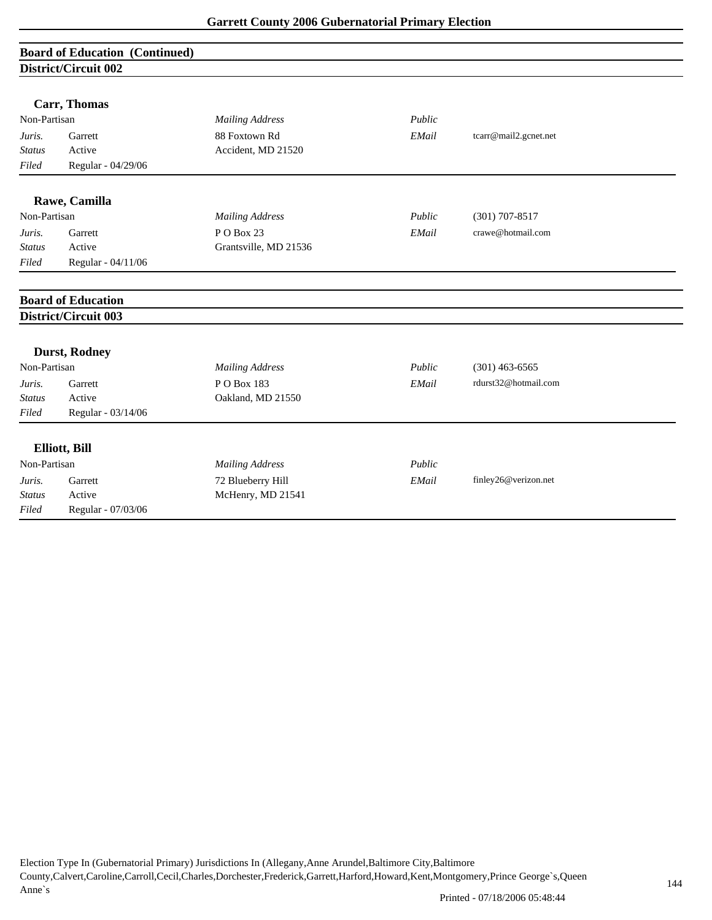# **Board of Education (Continued) District/Circuit 002**

|               | Carr, Thomas              |                        |        |                       |
|---------------|---------------------------|------------------------|--------|-----------------------|
| Non-Partisan  |                           | <b>Mailing Address</b> | Public |                       |
| Juris.        | Garrett                   | 88 Foxtown Rd          | EMail  | tcarr@mail2.gcnet.net |
| Status        | Active                    | Accident, MD 21520     |        |                       |
| Filed         | Regular - 04/29/06        |                        |        |                       |
|               | Rawe, Camilla             |                        |        |                       |
| Non-Partisan  |                           | <b>Mailing Address</b> | Public | $(301)$ 707-8517      |
| Juris.        | Garrett                   | P O Box 23             | EMail  | crawe@hotmail.com     |
| <b>Status</b> | Active                    | Grantsville, MD 21536  |        |                       |
| Filed         | Regular - 04/11/06        |                        |        |                       |
|               |                           |                        |        |                       |
|               | <b>Board of Education</b> |                        |        |                       |
|               | District/Circuit 003      |                        |        |                       |
|               | <b>Durst, Rodney</b>      |                        |        |                       |
| Non-Partisan  |                           | <b>Mailing Address</b> | Public | $(301)$ 463-6565      |
| Juris.        | Garrett                   | P O Box 183            | EMail  | rdurst32@hotmail.com  |
| <b>Status</b> | Active                    | Oakland, MD 21550      |        |                       |
| Filed         | Regular - 03/14/06        |                        |        |                       |
|               | Elliott, Bill             |                        |        |                       |
| Non-Partisan  |                           | <b>Mailing Address</b> | Public |                       |
| Juris.        | Garrett                   | 72 Blueberry Hill      | EMail  | finley26@verizon.net  |
| <b>Status</b> | Active                    | McHenry, MD 21541      |        |                       |
| Filed         | Regular - 07/03/06        |                        |        |                       |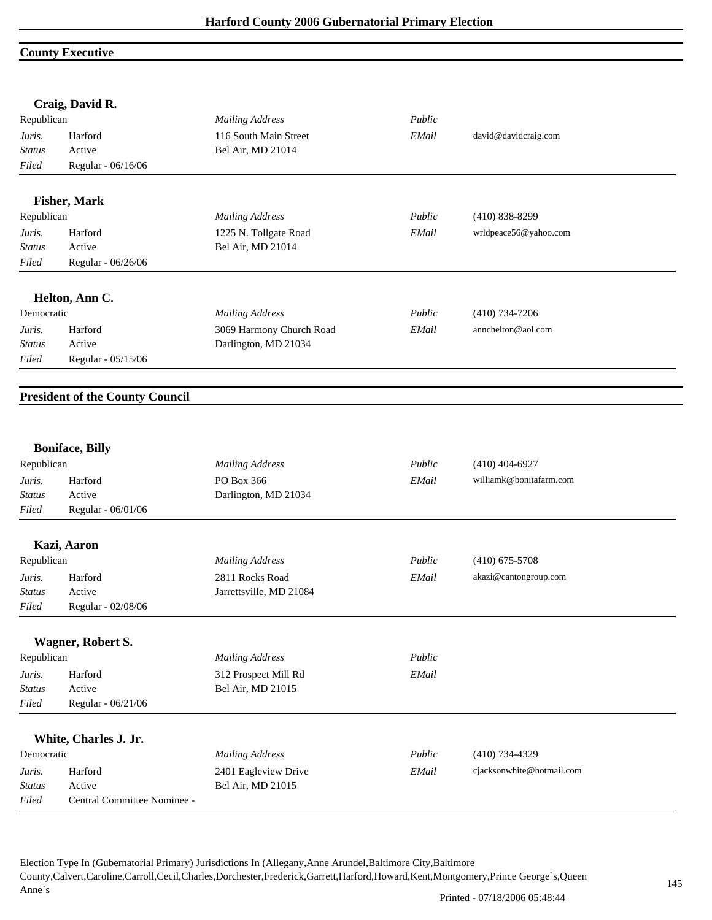## **County Executive**

|               | Craig, David R.                        |                          |        |                           |  |
|---------------|----------------------------------------|--------------------------|--------|---------------------------|--|
| Republican    |                                        | <b>Mailing Address</b>   | Public |                           |  |
| Juris.        | Harford                                | 116 South Main Street    | EMail  | david@davidcraig.com      |  |
| <b>Status</b> | Active                                 | Bel Air, MD 21014        |        |                           |  |
| Filed         | Regular - 06/16/06                     |                          |        |                           |  |
|               | <b>Fisher, Mark</b>                    |                          |        |                           |  |
| Republican    |                                        | <b>Mailing Address</b>   | Public | $(410) 838 - 8299$        |  |
| Juris.        | Harford                                | 1225 N. Tollgate Road    | EMail  | wrldpeace56@yahoo.com     |  |
| <b>Status</b> | Active                                 | Bel Air, MD 21014        |        |                           |  |
| Filed         | Regular - 06/26/06                     |                          |        |                           |  |
|               | Helton, Ann C.                         |                          |        |                           |  |
| Democratic    |                                        | <b>Mailing Address</b>   | Public | $(410)$ 734-7206          |  |
| Juris.        | Harford                                | 3069 Harmony Church Road | EMail  | annchelton@aol.com        |  |
| <b>Status</b> | Active                                 | Darlington, MD 21034     |        |                           |  |
| Filed         | Regular - 05/15/06                     |                          |        |                           |  |
|               | <b>President of the County Council</b> |                          |        |                           |  |
|               |                                        |                          |        |                           |  |
|               | <b>Boniface, Billy</b>                 |                          |        |                           |  |
| Republican    |                                        | <b>Mailing Address</b>   | Public | $(410)$ 404-6927          |  |
| Juris.        | Harford                                | PO Box 366               | EMail  | williamk@bonitafarm.com   |  |
| <b>Status</b> | Active                                 | Darlington, MD 21034     |        |                           |  |
| Filed         | Regular - 06/01/06                     |                          |        |                           |  |
|               | Kazi, Aaron                            |                          |        |                           |  |
| Republican    |                                        | <b>Mailing Address</b>   | Public | $(410)$ 675-5708          |  |
| Juris.        | Harford                                | 2811 Rocks Road          | EMail  | akazi@cantongroup.com     |  |
| <b>Status</b> | Active                                 | Jarrettsville, MD 21084  |        |                           |  |
| Filed         | Regular - 02/08/06                     |                          |        |                           |  |
|               | Wagner, Robert S.                      |                          |        |                           |  |
| Republican    |                                        | <b>Mailing Address</b>   | Public |                           |  |
| Juris.        | Harford                                | 312 Prospect Mill Rd     | EMail  |                           |  |
| <b>Status</b> | Active                                 | Bel Air, MD 21015        |        |                           |  |
| Filed         | Regular - 06/21/06                     |                          |        |                           |  |
|               |                                        |                          |        |                           |  |
|               | White, Charles J. Jr.                  |                          |        |                           |  |
| Democratic    |                                        | <b>Mailing Address</b>   | Public | $(410)$ 734-4329          |  |
| Juris.        | Harford                                | 2401 Eagleview Drive     | EMail  | cjacksonwhite@hotmail.com |  |
| <b>Status</b> | Active                                 | Bel Air, MD 21015        |        |                           |  |
| Filed         | Central Committee Nominee -            |                          |        |                           |  |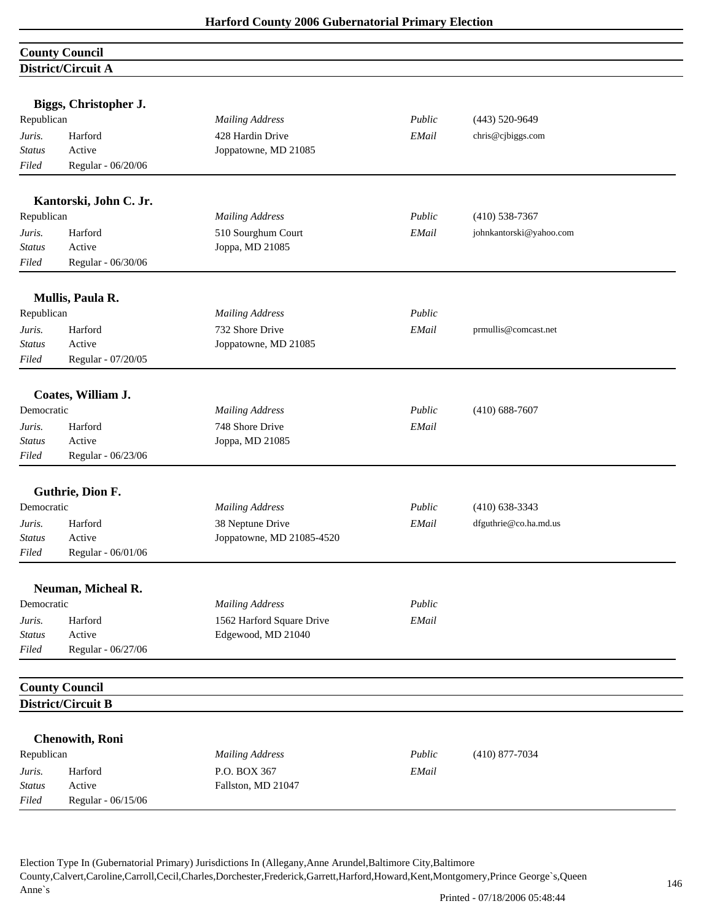| <b>County Council</b> |  |
|-----------------------|--|
| District/Circuit A    |  |

| Biggs, Christopher J.<br>Republican |                        | <b>Mailing Address</b>    | Public | $(443) 520 - 9649$      |  |
|-------------------------------------|------------------------|---------------------------|--------|-------------------------|--|
| Juris.                              | Harford                | 428 Hardin Drive          | EMail  | chris@cjbiggs.com       |  |
| <b>Status</b>                       | Active                 | Joppatowne, MD 21085      |        |                         |  |
| Filed                               | Regular - 06/20/06     |                           |        |                         |  |
|                                     |                        |                           |        |                         |  |
|                                     | Kantorski, John C. Jr. |                           |        |                         |  |
| Republican                          |                        | <b>Mailing Address</b>    | Public | $(410)$ 538-7367        |  |
| Juris.                              | Harford                | 510 Sourghum Court        | EMail  | johnkantorski@yahoo.com |  |
| <b>Status</b>                       | Active                 | Joppa, MD 21085           |        |                         |  |
| Filed                               | Regular - 06/30/06     |                           |        |                         |  |
|                                     | Mullis, Paula R.       |                           |        |                         |  |
| Republican                          |                        | <b>Mailing Address</b>    | Public |                         |  |
| Juris.                              | Harford                | 732 Shore Drive           | EMail  | prmullis@comcast.net    |  |
| <b>Status</b>                       | Active                 | Joppatowne, MD 21085      |        |                         |  |
| Filed                               | Regular - 07/20/05     |                           |        |                         |  |
|                                     |                        |                           |        |                         |  |
|                                     | Coates, William J.     |                           |        |                         |  |
| Democratic                          |                        | <b>Mailing Address</b>    | Public | $(410) 688 - 7607$      |  |
| Juris.                              | Harford                | 748 Shore Drive           | EMail  |                         |  |
| <b>Status</b>                       | Active                 | Joppa, MD 21085           |        |                         |  |
| Filed                               | Regular - 06/23/06     |                           |        |                         |  |
|                                     | Guthrie, Dion F.       |                           |        |                         |  |
| Democratic                          |                        | <b>Mailing Address</b>    | Public | $(410)$ 638-3343        |  |
| Juris.                              | Harford                | 38 Neptune Drive          | EMail  | dfguthrie@co.ha.md.us   |  |
| <b>Status</b>                       | Active                 | Joppatowne, MD 21085-4520 |        |                         |  |
| Filed                               | Regular - 06/01/06     |                           |        |                         |  |
|                                     |                        |                           |        |                         |  |
|                                     | Neuman, Micheal R.     |                           |        |                         |  |
| Democratic                          |                        | <b>Mailing Address</b>    | Public |                         |  |
| Juris.                              | Harford                | 1562 Harford Square Drive | EMail  |                         |  |
| <b>Status</b>                       | Active                 | Edgewood, MD 21040        |        |                         |  |
| Filed                               | Regular - 06/27/06     |                           |        |                         |  |
|                                     | <b>County Council</b>  |                           |        |                         |  |
|                                     | District/Circuit B     |                           |        |                         |  |
|                                     |                        |                           |        |                         |  |
|                                     | <b>Chenowith, Roni</b> |                           |        |                         |  |
| Republican                          |                        | <b>Mailing Address</b>    | Public | $(410)$ 877-7034        |  |
| Juris.                              | Harford                | P.O. BOX 367              | EMail  |                         |  |
| Status                              | Active                 | Fallston, MD 21047        |        |                         |  |
| Filed                               | Regular - 06/15/06     |                           |        |                         |  |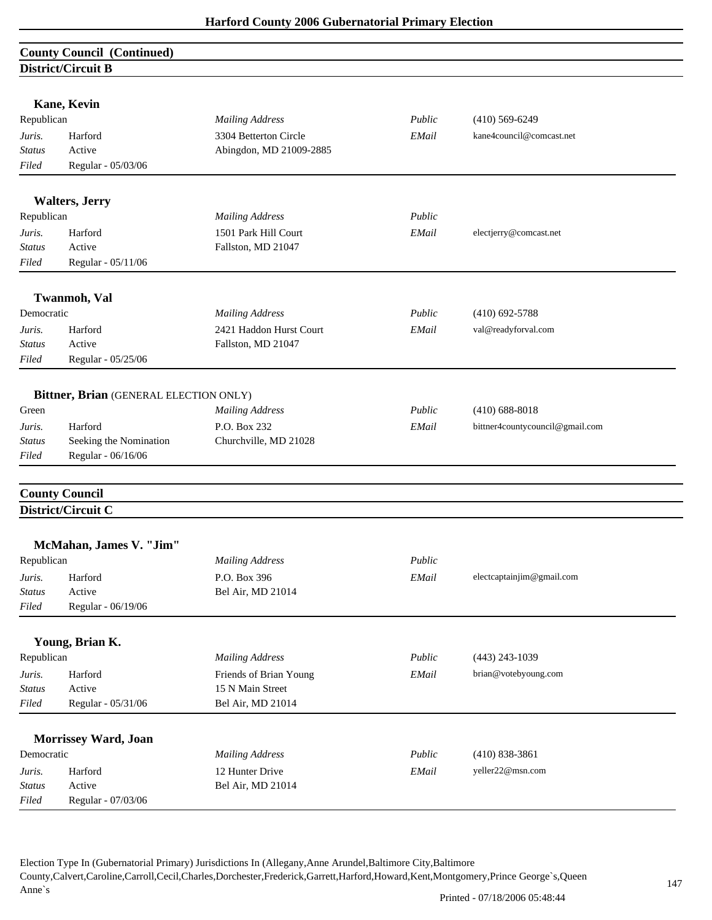| <b>County Council (Continued)</b> |  |
|-----------------------------------|--|
| District/Circuit B                |  |

|                  | not real care is                       |                         |        |                                 |
|------------------|----------------------------------------|-------------------------|--------|---------------------------------|
|                  | Kane, Kevin                            |                         |        |                                 |
| Republican       |                                        | <b>Mailing Address</b>  | Public | $(410)$ 569-6249                |
| Juris.           | Harford                                | 3304 Betterton Circle   | EMail  | kane4council@comcast.net        |
| <b>Status</b>    | Active                                 | Abingdon, MD 21009-2885 |        |                                 |
| Filed            | Regular - 05/03/06                     |                         |        |                                 |
|                  |                                        |                         |        |                                 |
|                  | <b>Walters</b> , Jerry                 |                         |        |                                 |
| Republican       |                                        | <b>Mailing Address</b>  | Public |                                 |
| Juris.           | Harford                                | 1501 Park Hill Court    | EMail  | electjerry@comcast.net          |
| <b>Status</b>    | Active                                 | Fallston, MD 21047      |        |                                 |
| Filed            | Regular - 05/11/06                     |                         |        |                                 |
|                  | <b>Twanmoh</b> , Val                   |                         |        |                                 |
| Democratic       |                                        | <b>Mailing Address</b>  | Public | $(410)$ 692-5788                |
| Juris.           | Harford                                | 2421 Haddon Hurst Court | EMail  | val@readyforval.com             |
| Status           | Active                                 | Fallston, MD 21047      |        |                                 |
| Filed            | Regular - 05/25/06                     |                         |        |                                 |
|                  |                                        |                         |        |                                 |
| Green            | Bittner, Brian (GENERAL ELECTION ONLY) | <b>Mailing Address</b>  | Public | $(410)$ 688-8018                |
|                  |                                        | P.O. Box 232            |        |                                 |
| Juris.<br>Status | Harford<br>Seeking the Nomination      | Churchville, MD 21028   | EMail  | bittner4countycouncil@gmail.com |
| Filed            | Regular - 06/16/06                     |                         |        |                                 |
|                  |                                        |                         |        |                                 |
|                  | <b>County Council</b>                  |                         |        |                                 |
|                  | District/Circuit C                     |                         |        |                                 |
|                  | McMahan, James V. "Jim"                |                         |        |                                 |
| Republican       |                                        | <b>Mailing Address</b>  | Public |                                 |
| Juris.           | Harford                                | P.O. Box 396            | EMail  | electcaptainjim@gmail.com       |
| Status           | Active                                 | Bel Air, MD 21014       |        |                                 |
| Filed            | Regular - 06/19/06                     |                         |        |                                 |
|                  |                                        |                         |        |                                 |
|                  | Young, Brian K.                        |                         |        |                                 |
| Republican       |                                        | <b>Mailing Address</b>  | Public | $(443)$ 243-1039                |
| Juris.           | Harford                                | Friends of Brian Young  | EMail  | brian@votebyoung.com            |
| <b>Status</b>    | Active                                 | 15 N Main Street        |        |                                 |
| Filed            | Regular - 05/31/06                     | Bel Air, MD 21014       |        |                                 |
|                  | Morrissey Ward, Joan                   |                         |        |                                 |
| Democratic       |                                        | <b>Mailing Address</b>  | Public | $(410)$ 838-3861                |
| Juris.           | Harford                                | 12 Hunter Drive         | EMail  | yeller22@msn.com                |
| <b>Status</b>    | Active                                 | Bel Air, MD 21014       |        |                                 |
| Filed            | Regular - 07/03/06                     |                         |        |                                 |
|                  |                                        |                         |        |                                 |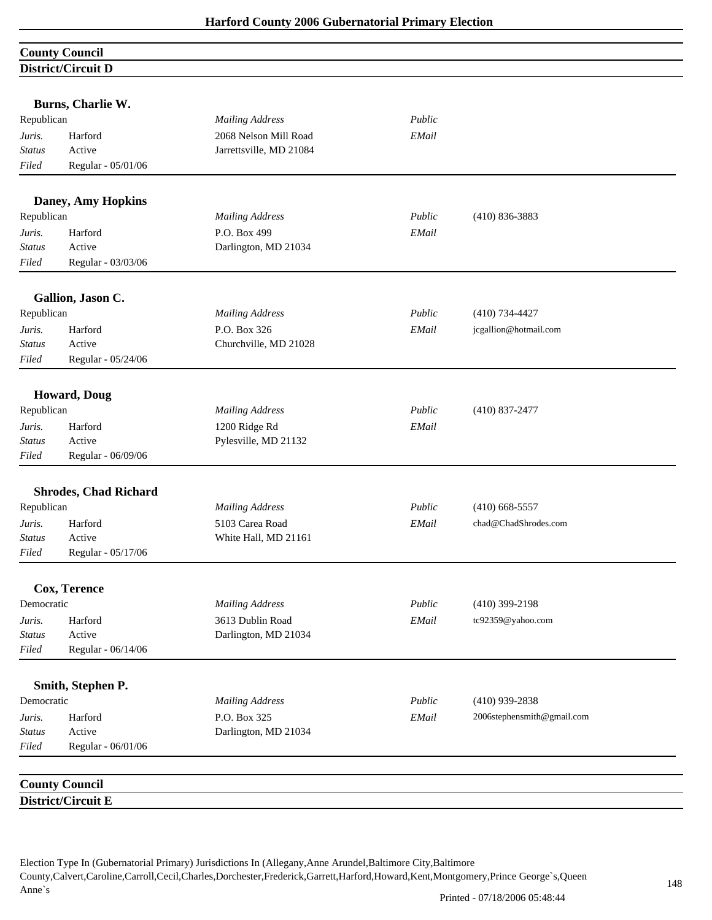## **County Council District/Circuit D**

|               | Burns, Charlie W.            |                         |        |                            |
|---------------|------------------------------|-------------------------|--------|----------------------------|
| Republican    |                              | <b>Mailing Address</b>  | Public |                            |
| Juris.        | Harford                      | 2068 Nelson Mill Road   | EMail  |                            |
| <b>Status</b> | Active                       | Jarrettsville, MD 21084 |        |                            |
| Filed         | Regular - 05/01/06           |                         |        |                            |
|               | <b>Daney, Amy Hopkins</b>    |                         |        |                            |
| Republican    |                              | <b>Mailing Address</b>  | Public | $(410) 836 - 3883$         |
| Juris.        | Harford                      | P.O. Box 499            | EMail  |                            |
| Status        | Active                       | Darlington, MD 21034    |        |                            |
| Filed         | Regular - 03/03/06           |                         |        |                            |
|               | Gallion, Jason C.            |                         |        |                            |
| Republican    |                              | <b>Mailing Address</b>  | Public | $(410)$ 734-4427           |
| Juris.        | Harford                      | P.O. Box 326            | EMail  | jcgallion@hotmail.com      |
| <b>Status</b> | Active                       | Churchville, MD 21028   |        |                            |
| Filed         | Regular - 05/24/06           |                         |        |                            |
|               |                              |                         |        |                            |
|               | <b>Howard</b> , Doug         |                         |        |                            |
| Republican    |                              | <b>Mailing Address</b>  | Public | $(410)$ 837-2477           |
| Juris.        | Harford                      | 1200 Ridge Rd           | EMail  |                            |
| Status        | Active                       | Pylesville, MD 21132    |        |                            |
| Filed         | Regular - 06/09/06           |                         |        |                            |
|               | <b>Shrodes, Chad Richard</b> |                         |        |                            |
| Republican    |                              | <b>Mailing Address</b>  | Public | $(410)$ 668-5557           |
| Juris.        | Harford                      | 5103 Carea Road         | EMail  | chad@ChadShrodes.com       |
| Status        | Active                       | White Hall, MD 21161    |        |                            |
| Filed         | Regular - 05/17/06           |                         |        |                            |
|               | Cox, Terence                 |                         |        |                            |
| Democratic    |                              | <b>Mailing Address</b>  | Public | $(410)$ 399-2198           |
| Juris.        | Harford                      | 3613 Dublin Road        | EMail  | tc92359@yahoo.com          |
| <b>Status</b> | Active                       | Darlington, MD 21034    |        |                            |
| Filed         | Regular - 06/14/06           |                         |        |                            |
|               |                              |                         |        |                            |
|               | Smith, Stephen P.            |                         |        |                            |
| Democratic    |                              | <b>Mailing Address</b>  | Public | $(410)$ 939-2838           |
| Juris.        | Harford                      | P.O. Box 325            | EMail  | 2006stephensmith@gmail.com |
| <b>Status</b> | Active                       | Darlington, MD 21034    |        |                            |
| Filed         | Regular - 06/01/06           |                         |        |                            |
|               | <b>County Council</b>        |                         |        |                            |
|               | District/Circuit E           |                         |        |                            |
|               |                              |                         |        |                            |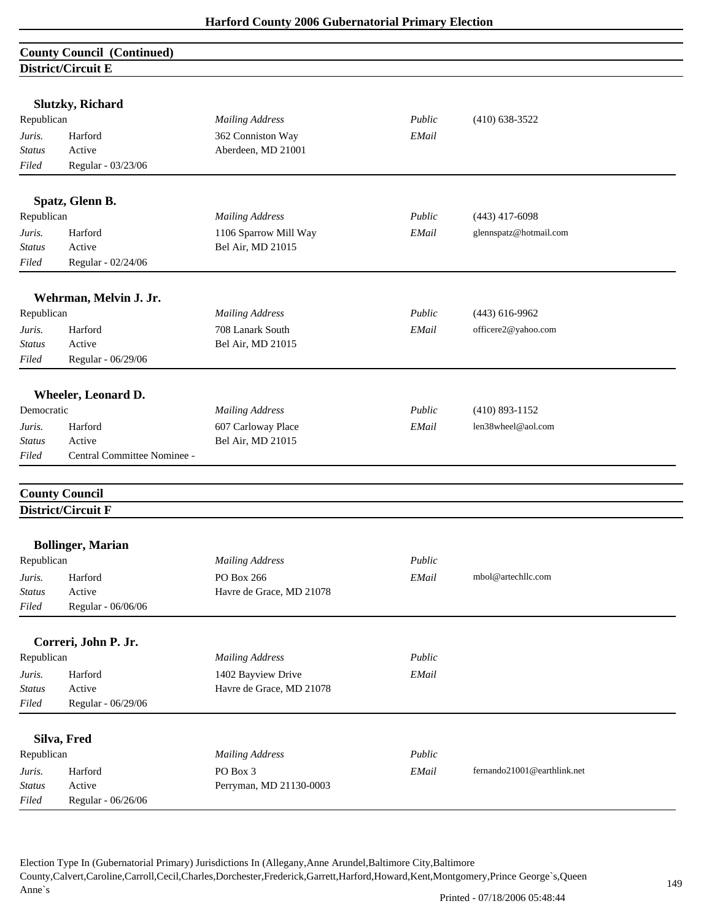| <b>County Council (Continued)</b> |                             |                                         |        |                             |  |
|-----------------------------------|-----------------------------|-----------------------------------------|--------|-----------------------------|--|
|                                   | District/Circuit E          |                                         |        |                             |  |
|                                   |                             |                                         |        |                             |  |
|                                   | <b>Slutzky, Richard</b>     |                                         |        |                             |  |
| Republican                        |                             | <b>Mailing Address</b>                  | Public | $(410)$ 638-3522            |  |
| Juris.                            | Harford                     | 362 Conniston Way                       | EMail  |                             |  |
| <b>Status</b>                     | Active                      | Aberdeen, MD 21001                      |        |                             |  |
| Filed                             | Regular - 03/23/06          |                                         |        |                             |  |
|                                   | Spatz, Glenn B.             |                                         |        |                             |  |
| Republican                        |                             | <b>Mailing Address</b>                  | Public | $(443)$ 417-6098            |  |
| Juris.                            | Harford                     | 1106 Sparrow Mill Way                   | EMail  | glennspatz@hotmail.com      |  |
| <b>Status</b>                     | Active                      | Bel Air, MD 21015                       |        |                             |  |
| Filed                             | Regular - 02/24/06          |                                         |        |                             |  |
|                                   | Wehrman, Melvin J. Jr.      |                                         |        |                             |  |
| Republican                        |                             | <b>Mailing Address</b>                  | Public | $(443)$ 616-9962            |  |
| Juris.                            | Harford                     | 708 Lanark South                        | EMail  | officere2@yahoo.com         |  |
| <b>Status</b>                     | Active                      | Bel Air, MD 21015                       |        |                             |  |
| Filed                             | Regular - 06/29/06          |                                         |        |                             |  |
|                                   |                             |                                         |        |                             |  |
| Democratic                        | Wheeler, Leonard D.         | <b>Mailing Address</b>                  | Public | $(410)$ 893-1152            |  |
|                                   |                             |                                         |        | len38wheel@aol.com          |  |
| Juris.<br><b>Status</b>           | Harford<br>Active           | 607 Carloway Place<br>Bel Air, MD 21015 | EMail  |                             |  |
| Filed                             | Central Committee Nominee - |                                         |        |                             |  |
|                                   |                             |                                         |        |                             |  |
|                                   | <b>County Council</b>       |                                         |        |                             |  |
|                                   | District/Circuit F          |                                         |        |                             |  |
|                                   |                             |                                         |        |                             |  |
|                                   | <b>Bollinger, Marian</b>    |                                         |        |                             |  |
| Republican                        |                             | <b>Mailing Address</b>                  | Public |                             |  |
| Juris.                            | Harford                     | PO Box 266                              | EMail  | mbol@artechllc.com          |  |
| <b>Status</b>                     | Active                      | Havre de Grace, MD 21078                |        |                             |  |
| Filed                             | Regular - 06/06/06          |                                         |        |                             |  |
|                                   | Correri, John P. Jr.        |                                         |        |                             |  |
| Republican                        |                             | <b>Mailing Address</b>                  | Public |                             |  |
| Juris.                            | Harford                     | 1402 Bayview Drive                      | EMail  |                             |  |
| <b>Status</b>                     | Active                      | Havre de Grace, MD 21078                |        |                             |  |
| Filed                             | Regular - 06/29/06          |                                         |        |                             |  |
|                                   | Silva, Fred                 |                                         |        |                             |  |
| Republican                        |                             | <b>Mailing Address</b>                  | Public |                             |  |
| Juris.                            | Harford                     | PO Box 3                                | EMail  | fernando21001@earthlink.net |  |
| <b>Status</b>                     | Active                      | Perryman, MD 21130-0003                 |        |                             |  |
| Filed                             | Regular - 06/26/06          |                                         |        |                             |  |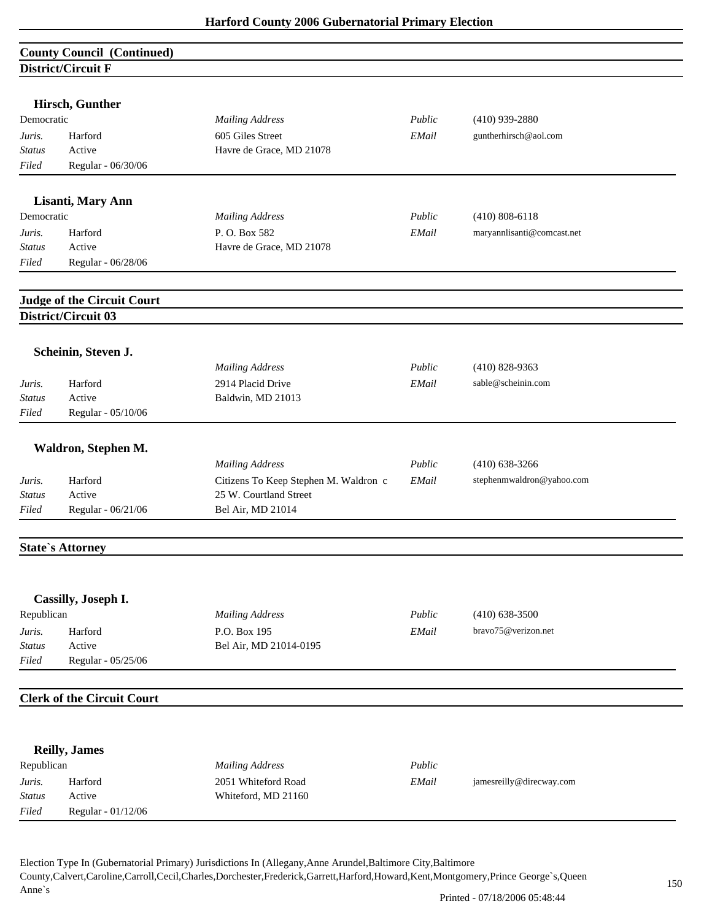|               | <b>County Council (Continued)</b>                 |                                       |        |                            |  |
|---------------|---------------------------------------------------|---------------------------------------|--------|----------------------------|--|
|               | District/Circuit F                                |                                       |        |                            |  |
|               |                                                   |                                       |        |                            |  |
|               | Hirsch, Gunther                                   |                                       |        |                            |  |
| Democratic    |                                                   | <b>Mailing Address</b>                | Public | $(410)$ 939-2880           |  |
| Juris.        | Harford                                           | 605 Giles Street                      | EMail  | guntherhirsch@aol.com      |  |
| Status        | Active                                            | Havre de Grace, MD 21078              |        |                            |  |
| Filed         | Regular - 06/30/06                                |                                       |        |                            |  |
|               | Lisanti, Mary Ann                                 |                                       |        |                            |  |
| Democratic    |                                                   | <b>Mailing Address</b>                | Public | $(410) 808 - 6118$         |  |
| Juris.        | Harford                                           | P.O. Box 582                          | EMail  | maryannlisanti@comcast.net |  |
| <b>Status</b> | Active                                            | Havre de Grace, MD 21078              |        |                            |  |
| Filed         | Regular - 06/28/06                                |                                       |        |                            |  |
|               |                                                   |                                       |        |                            |  |
|               | Judge of the Circuit Court<br>District/Circuit 03 |                                       |        |                            |  |
|               |                                                   |                                       |        |                            |  |
|               | Scheinin, Steven J.                               |                                       |        |                            |  |
|               |                                                   | <b>Mailing Address</b>                | Public | $(410)$ 828-9363           |  |
| Juris.        | Harford                                           | 2914 Placid Drive                     | EMail  | sable@scheinin.com         |  |
| <b>Status</b> | Active                                            | Baldwin, MD 21013                     |        |                            |  |
| Filed         | Regular - 05/10/06                                |                                       |        |                            |  |
|               | Waldron, Stephen M.                               |                                       |        |                            |  |
|               |                                                   | <b>Mailing Address</b>                | Public | $(410)$ 638-3266           |  |
| Juris.        | Harford                                           | Citizens To Keep Stephen M. Waldron c | EMail  | stephenmwaldron@yahoo.com  |  |
| <b>Status</b> | Active                                            | 25 W. Courtland Street                |        |                            |  |
| Filed         | Regular - 06/21/06                                | Bel Air, MD 21014                     |        |                            |  |
|               | <b>State's Attorney</b>                           |                                       |        |                            |  |
|               |                                                   |                                       |        |                            |  |
|               | Cassilly, Joseph I.                               |                                       |        |                            |  |
| Republican    |                                                   | <b>Mailing Address</b>                | Public | $(410) 638 - 3500$         |  |
| Juris.        | Harford                                           | P.O. Box 195                          | EMail  | bravo75@verizon.net        |  |
| <b>Status</b> | Active                                            | Bel Air, MD 21014-0195                |        |                            |  |
| Filed         | Regular - 05/25/06                                |                                       |        |                            |  |
|               | <b>Clerk of the Circuit Court</b>                 |                                       |        |                            |  |
|               |                                                   |                                       |        |                            |  |
|               | <b>Reilly, James</b>                              |                                       |        |                            |  |
| Republican    |                                                   | <b>Mailing Address</b>                | Public |                            |  |
| Juris.        | Harford                                           | 2051 Whiteford Road                   | EMail  | jamesreilly@direcway.com   |  |
| <b>Status</b> | Active                                            | Whiteford, MD 21160                   |        |                            |  |
| Filed         | Regular - 01/12/06                                |                                       |        |                            |  |
|               |                                                   |                                       |        |                            |  |
|               |                                                   |                                       |        |                            |  |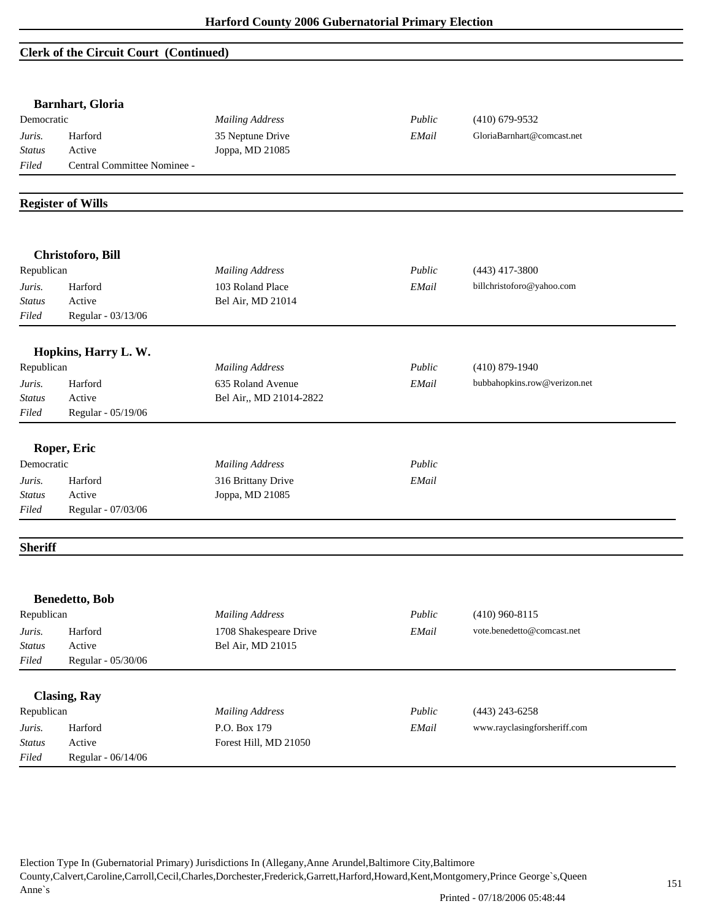## **Clerk of the Circuit Court (Continued)**

|                          | <b>Barnhart, Gloria</b>     |                         |        |                              |  |
|--------------------------|-----------------------------|-------------------------|--------|------------------------------|--|
| Democratic               |                             | <b>Mailing Address</b>  | Public | $(410)$ 679-9532             |  |
| Juris.                   | Harford                     | 35 Neptune Drive        | EMail  | GloriaBarnhart@comcast.net   |  |
| <b>Status</b>            | Active                      | Joppa, MD 21085         |        |                              |  |
| Filed                    | Central Committee Nominee - |                         |        |                              |  |
|                          | <b>Register of Wills</b>    |                         |        |                              |  |
|                          |                             |                         |        |                              |  |
|                          | Christoforo, Bill           |                         |        |                              |  |
| Republican               |                             | <b>Mailing Address</b>  | Public | $(443)$ 417-3800             |  |
| Juris.                   | Harford                     | 103 Roland Place        | EMail  | billchristoforo@yahoo.com    |  |
| <b>Status</b>            | Active                      | Bel Air, MD 21014       |        |                              |  |
| Filed                    | Regular - 03/13/06          |                         |        |                              |  |
|                          | Hopkins, Harry L. W.        |                         |        |                              |  |
| Republican               |                             | <b>Mailing Address</b>  | Public | $(410) 879 - 1940$           |  |
| Juris.                   | Harford                     | 635 Roland Avenue       | EMail  | bubbahopkins.row@verizon.net |  |
| <b>Status</b>            | Active                      | Bel Air,, MD 21014-2822 |        |                              |  |
| Filed                    | Regular - 05/19/06          |                         |        |                              |  |
|                          | Roper, Eric                 |                         |        |                              |  |
| Democratic               |                             | <b>Mailing Address</b>  | Public |                              |  |
| Juris.                   | Harford                     | 316 Brittany Drive      | EMail  |                              |  |
| <b>Status</b>            | Active                      | Joppa, MD 21085         |        |                              |  |
| Filed                    | Regular - 07/03/06          |                         |        |                              |  |
| <b>Sheriff</b>           |                             |                         |        |                              |  |
|                          |                             |                         |        |                              |  |
|                          | <b>Benedetto</b> , Bob      |                         |        |                              |  |
| Republican               |                             | <b>Mailing Address</b>  | Public | $(410)$ 960-8115             |  |
| Juris.                   | Harford                     | 1708 Shakespeare Drive  | EMail  | vote.benedetto@comcast.net   |  |
| $\operatorname*{Status}$ | Active                      | Bel Air, MD 21015       |        |                              |  |
| Filed                    | Regular - 05/30/06          |                         |        |                              |  |
|                          | <b>Clasing, Ray</b>         |                         |        |                              |  |
| Republican               |                             | <b>Mailing Address</b>  | Public | $(443)$ 243-6258             |  |
|                          | Harford                     | P.O. Box 179            | EMail  | www.rayclasingforsheriff.com |  |
|                          |                             |                         |        |                              |  |
| Juris.<br><b>Status</b>  | Active                      | Forest Hill, MD 21050   |        |                              |  |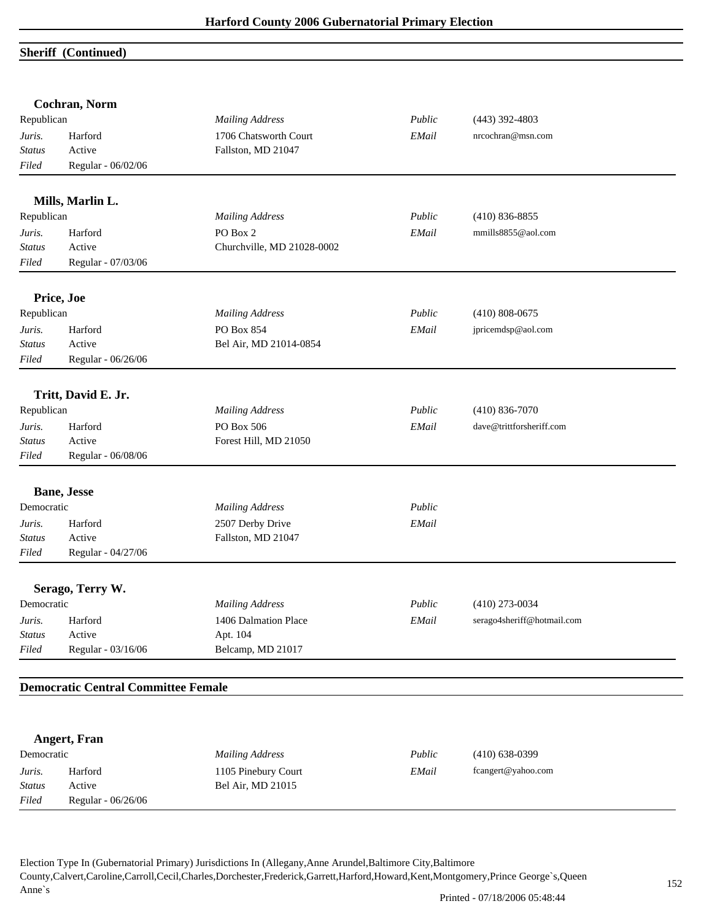## **Sheriff (Continued)**

|               | Cochran, Norm                              |                            |        |                            |  |
|---------------|--------------------------------------------|----------------------------|--------|----------------------------|--|
| Republican    |                                            | <b>Mailing Address</b>     | Public | $(443)$ 392-4803           |  |
| Juris.        | Harford                                    | 1706 Chatsworth Court      | EMail  | nrcochran@msn.com          |  |
| <b>Status</b> | Active                                     | Fallston, MD 21047         |        |                            |  |
| Filed         | Regular - 06/02/06                         |                            |        |                            |  |
|               | Mills, Marlin L.                           |                            |        |                            |  |
| Republican    |                                            | <b>Mailing Address</b>     | Public | $(410) 836 - 8855$         |  |
| Juris.        | Harford                                    | PO Box 2                   | EMail  | mmills8855@aol.com         |  |
| Status        | Active                                     | Churchville, MD 21028-0002 |        |                            |  |
| Filed         | Regular - 07/03/06                         |                            |        |                            |  |
|               | Price, Joe                                 |                            |        |                            |  |
| Republican    |                                            | <b>Mailing Address</b>     | Public | $(410) 808 - 0675$         |  |
| Juris.        | Harford                                    | PO Box 854                 | EMail  | jpricemdsp@aol.com         |  |
| <b>Status</b> | Active                                     | Bel Air, MD 21014-0854     |        |                            |  |
| Filed         | Regular - 06/26/06                         |                            |        |                            |  |
|               | Tritt, David E. Jr.                        |                            |        |                            |  |
| Republican    |                                            | <b>Mailing Address</b>     | Public | $(410) 836 - 7070$         |  |
| Juris.        | Harford                                    | PO Box 506                 | EMail  | dave@trittforsheriff.com   |  |
| Status        | Active                                     | Forest Hill, MD 21050      |        |                            |  |
| Filed         | Regular - 06/08/06                         |                            |        |                            |  |
|               | <b>Bane</b> , Jesse                        |                            |        |                            |  |
| Democratic    |                                            | <b>Mailing Address</b>     | Public |                            |  |
| Juris.        | Harford                                    | 2507 Derby Drive           | EMail  |                            |  |
| <b>Status</b> | Active                                     | Fallston, MD 21047         |        |                            |  |
| Filed         | Regular - 04/27/06                         |                            |        |                            |  |
|               | Serago, Terry W.                           |                            |        |                            |  |
| Democratic    |                                            | <b>Mailing Address</b>     | Public | $(410)$ 273-0034           |  |
| Juris.        | Harford                                    | 1406 Dalmation Place       | EMail  | serago4sheriff@hotmail.com |  |
| <b>Status</b> | Active                                     | Apt. 104                   |        |                            |  |
| Filed         | Regular - 03/16/06                         | Belcamp, MD 21017          |        |                            |  |
|               | <b>Democratic Central Committee Female</b> |                            |        |                            |  |
|               |                                            |                            |        |                            |  |
|               | <b>Angert, Fran</b>                        |                            |        |                            |  |
| Democratic    |                                            | <b>Mailing Address</b>     | Public | $(410) 638 - 0399$         |  |
| Juris.        | Harford                                    | 1105 Pinebury Court        | EMail  | fcangert@yahoo.com         |  |

*Status* Active Bel Air, MD 21015

*Filed* Regular - 06/26/06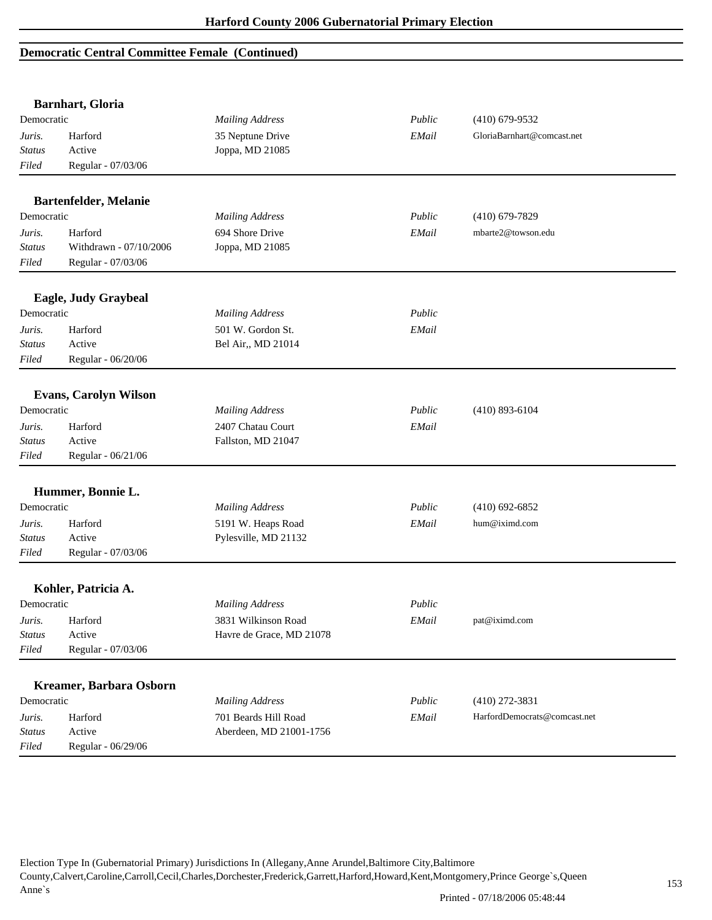|               | <b>Barnhart, Gloria</b>      |                          |        |                              |
|---------------|------------------------------|--------------------------|--------|------------------------------|
| Democratic    |                              | <b>Mailing Address</b>   | Public | $(410)$ 679-9532             |
| Juris.        | Harford                      | 35 Neptune Drive         | EMail  | GloriaBarnhart@comcast.net   |
| Status        | Active                       | Joppa, MD 21085          |        |                              |
| Filed         | Regular - 07/03/06           |                          |        |                              |
|               | Bartenfelder, Melanie        |                          |        |                              |
| Democratic    |                              | <b>Mailing Address</b>   | Public | $(410)$ 679-7829             |
| Juris.        | Harford                      | 694 Shore Drive          | EMail  | mbarte2@towson.edu           |
| <b>Status</b> | Withdrawn - 07/10/2006       | Joppa, MD 21085          |        |                              |
| Filed         | Regular - 07/03/06           |                          |        |                              |
|               | Eagle, Judy Graybeal         |                          |        |                              |
| Democratic    |                              | <b>Mailing Address</b>   | Public |                              |
| Juris.        | Harford                      | 501 W. Gordon St.        | EMail  |                              |
| Status        | Active                       | Bel Air,, MD 21014       |        |                              |
| Filed         | Regular - 06/20/06           |                          |        |                              |
|               | <b>Evans, Carolyn Wilson</b> |                          |        |                              |
| Democratic    |                              | <b>Mailing Address</b>   | Public | $(410)$ 893-6104             |
| Juris.        | Harford                      | 2407 Chatau Court        | EMail  |                              |
| <b>Status</b> | Active                       | Fallston, MD 21047       |        |                              |
| Filed         | Regular - 06/21/06           |                          |        |                              |
|               | Hummer, Bonnie L.            |                          |        |                              |
| Democratic    |                              | <b>Mailing Address</b>   | Public | $(410)$ 692-6852             |
| Juris.        | Harford                      | 5191 W. Heaps Road       | EMail  | hum@iximd.com                |
| <b>Status</b> | Active                       | Pylesville, MD 21132     |        |                              |
| Filed         | Regular - 07/03/06           |                          |        |                              |
|               | Kohler, Patricia A.          |                          |        |                              |
| Democratic    |                              | <b>Mailing Address</b>   | Public |                              |
| Juris.        | Harford                      | 3831 Wilkinson Road      | EMail  | pat@iximd.com                |
| <b>Status</b> | Active                       | Havre de Grace, MD 21078 |        |                              |
| Filed         | Regular - 07/03/06           |                          |        |                              |
|               |                              |                          |        |                              |
|               | Kreamer, Barbara Osborn      |                          |        |                              |
| Democratic    |                              | <b>Mailing Address</b>   | Public | $(410)$ 272-3831             |
| Juris.        | Harford                      | 701 Beards Hill Road     | EMail  | HarfordDemocrats@comcast.net |
| <b>Status</b> | Active                       | Aberdeen, MD 21001-1756  |        |                              |
| Filed         | Regular - 06/29/06           |                          |        |                              |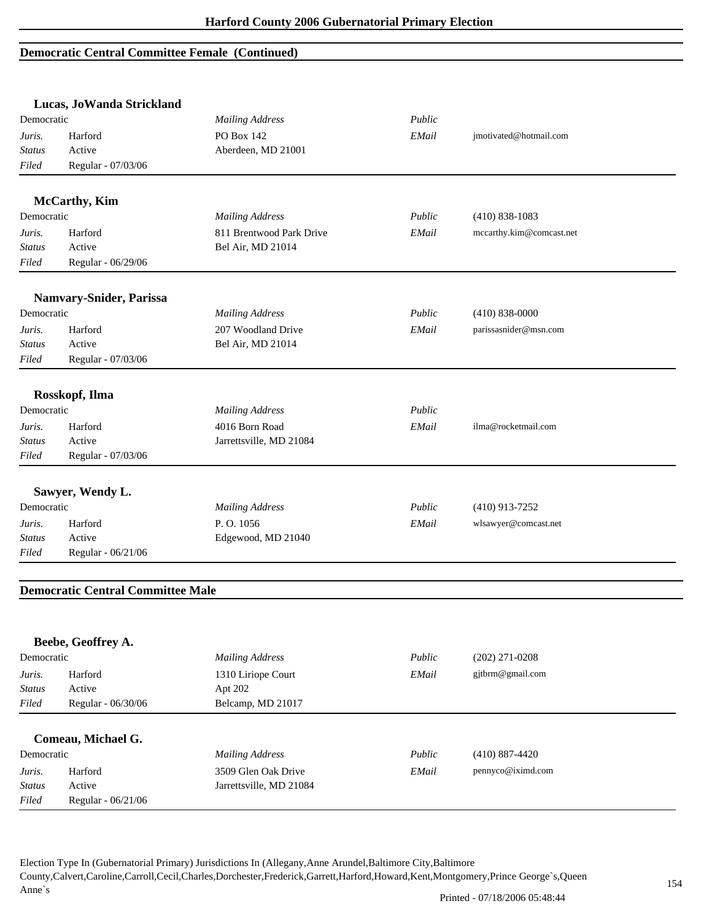|               | Lucas, JoWanda Strickland                |                          |        |                          |
|---------------|------------------------------------------|--------------------------|--------|--------------------------|
| Democratic    |                                          | <b>Mailing Address</b>   | Public |                          |
| Juris.        | Harford                                  | PO Box 142               | EMail  | jmotivated@hotmail.com   |
| Status        | Active                                   | Aberdeen, MD 21001       |        |                          |
| Filed         | Regular - 07/03/06                       |                          |        |                          |
|               | <b>McCarthy</b> , Kim                    |                          |        |                          |
| Democratic    |                                          | <b>Mailing Address</b>   | Public | $(410) 838 - 1083$       |
| Juris.        | Harford                                  | 811 Brentwood Park Drive | EMail  | mccarthy.kim@comcast.net |
| Status        | Active                                   | Bel Air, MD 21014        |        |                          |
| Filed         | Regular - 06/29/06                       |                          |        |                          |
|               | <b>Namvary-Snider, Parissa</b>           |                          |        |                          |
| Democratic    |                                          | <b>Mailing Address</b>   | Public | $(410) 838 - 0000$       |
| Juris.        | Harford                                  | 207 Woodland Drive       | EMail  | parissasnider@msn.com    |
| Status        | Active                                   | Bel Air, MD 21014        |        |                          |
| Filed         | Regular - 07/03/06                       |                          |        |                          |
|               | Rosskopf, Ilma                           |                          |        |                          |
| Democratic    |                                          | <b>Mailing Address</b>   | Public |                          |
| Juris.        | Harford                                  | 4016 Born Road           | EMail  | ilma@rocketmail.com      |
| <b>Status</b> | Active                                   | Jarrettsville, MD 21084  |        |                          |
| Filed         | Regular - 07/03/06                       |                          |        |                          |
|               |                                          |                          |        |                          |
|               | Sawyer, Wendy L.                         |                          |        |                          |
| Democratic    |                                          | <b>Mailing Address</b>   | Public | $(410)$ 913-7252         |
| Juris.        | Harford                                  | P.O. 1056                | EMail  | wlsawyer@comcast.net     |
| <b>Status</b> | Active                                   | Edgewood, MD 21040       |        |                          |
| Filed         | Regular - 06/21/06                       |                          |        |                          |
|               | <b>Democratic Central Committee Male</b> |                          |        |                          |
|               |                                          |                          |        |                          |
|               | Beebe, Geoffrey A.                       |                          |        |                          |
| Democratic    |                                          | <b>Mailing Address</b>   | Public | $(202)$ 271-0208         |
| Juris.        | Harford                                  | 1310 Liriope Court       | EMail  | gjtbrm@gmail.com         |
| <b>Status</b> | Active                                   | Apt 202                  |        |                          |
| Filed         | Regular - 06/30/06                       | Belcamp, MD 21017        |        |                          |
|               | Comeau, Michael G.                       |                          |        |                          |
| Democratic    |                                          | <b>Mailing Address</b>   | Public | $(410) 887 - 4420$       |
| Juris.        | Harford                                  | 3509 Glen Oak Drive      | EMail  | pennyco@iximd.com        |
| <b>Status</b> | Active                                   | Jarrettsville, MD 21084  |        |                          |
| Filed         | Regular - 06/21/06                       |                          |        |                          |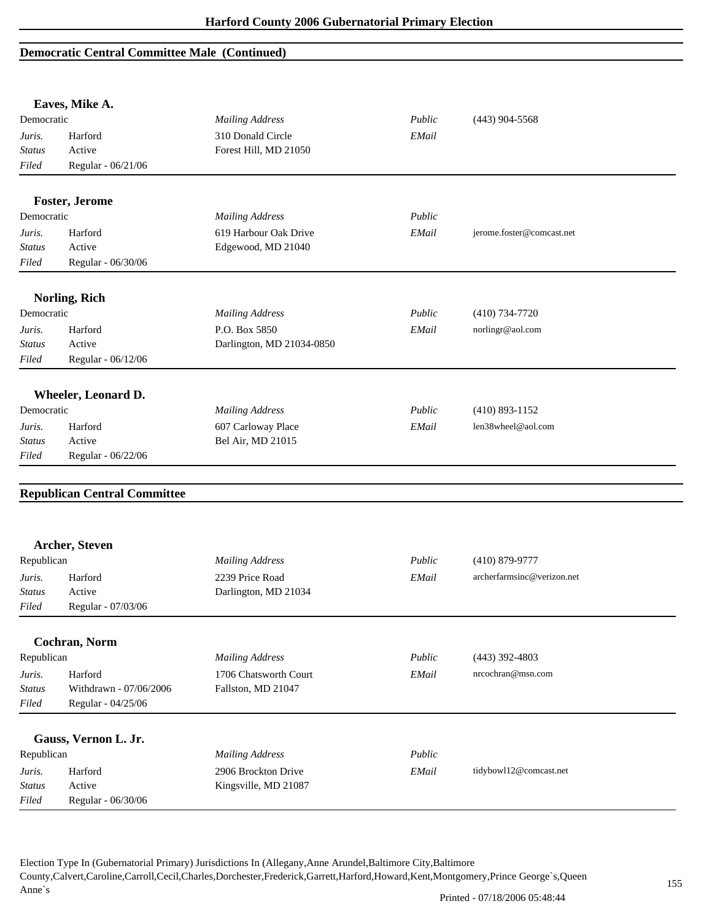|               | Eaves, Mike A.                      |                           |        |                            |
|---------------|-------------------------------------|---------------------------|--------|----------------------------|
| Democratic    |                                     | <b>Mailing Address</b>    | Public | $(443)$ 904-5568           |
| Juris.        | Harford                             | 310 Donald Circle         | EMail  |                            |
| Status        | Active                              | Forest Hill, MD 21050     |        |                            |
| Filed         | Regular - 06/21/06                  |                           |        |                            |
|               |                                     |                           |        |                            |
| Democratic    | <b>Foster, Jerome</b>               | <b>Mailing Address</b>    | Public |                            |
|               |                                     |                           |        |                            |
| Juris.        | Harford                             | 619 Harbour Oak Drive     | EMail  | jerome.foster@comcast.net  |
| <b>Status</b> | Active                              | Edgewood, MD 21040        |        |                            |
| Filed         | Regular - 06/30/06                  |                           |        |                            |
|               | <b>Norling, Rich</b>                |                           |        |                            |
| Democratic    |                                     | <b>Mailing Address</b>    | Public | $(410)$ 734-7720           |
| Juris.        | Harford                             | P.O. Box 5850             | EMail  | norlingr@aol.com           |
| <b>Status</b> | Active                              | Darlington, MD 21034-0850 |        |                            |
| Filed         | Regular - 06/12/06                  |                           |        |                            |
|               |                                     |                           |        |                            |
|               | Wheeler, Leonard D.                 |                           |        |                            |
| Democratic    |                                     | <b>Mailing Address</b>    | Public | $(410)$ 893-1152           |
| Juris.        | Harford                             | 607 Carloway Place        | EMail  | len38wheel@aol.com         |
| <b>Status</b> | Active                              | Bel Air, MD 21015         |        |                            |
| Filed         | Regular - 06/22/06                  |                           |        |                            |
|               | <b>Republican Central Committee</b> |                           |        |                            |
|               | Archer, Steven                      |                           |        |                            |
| Republican    |                                     | <b>Mailing Address</b>    | Public | $(410) 879 - 9777$         |
|               |                                     |                           |        |                            |
| Juris.        | Harford                             | 2239 Price Road           | EMail  | archerfarmsinc@verizon.net |
| <b>Status</b> | Active                              | Darlington, MD 21034      |        |                            |
| Filed         | Regular - 07/03/06                  |                           |        |                            |
|               | Cochran, Norm                       |                           |        |                            |
| Republican    |                                     | <b>Mailing Address</b>    | Public | $(443)$ 392-4803           |
| Juris.        | Harford                             | 1706 Chatsworth Court     | EMail  | nrcochran@msn.com          |
| <b>Status</b> | Withdrawn - 07/06/2006              | Fallston, MD 21047        |        |                            |
| Filed         | Regular - 04/25/06                  |                           |        |                            |
|               |                                     |                           |        |                            |
| Republican    | Gauss, Vernon L. Jr.                | <b>Mailing Address</b>    | Public |                            |
|               |                                     |                           |        |                            |
| Juris.        | Harford                             | 2906 Brockton Drive       | EMail  | tidybowl12@comcast.net     |
| <b>Status</b> | Active                              | Kingsville, MD 21087      |        |                            |
| Filed         | Regular - 06/30/06                  |                           |        |                            |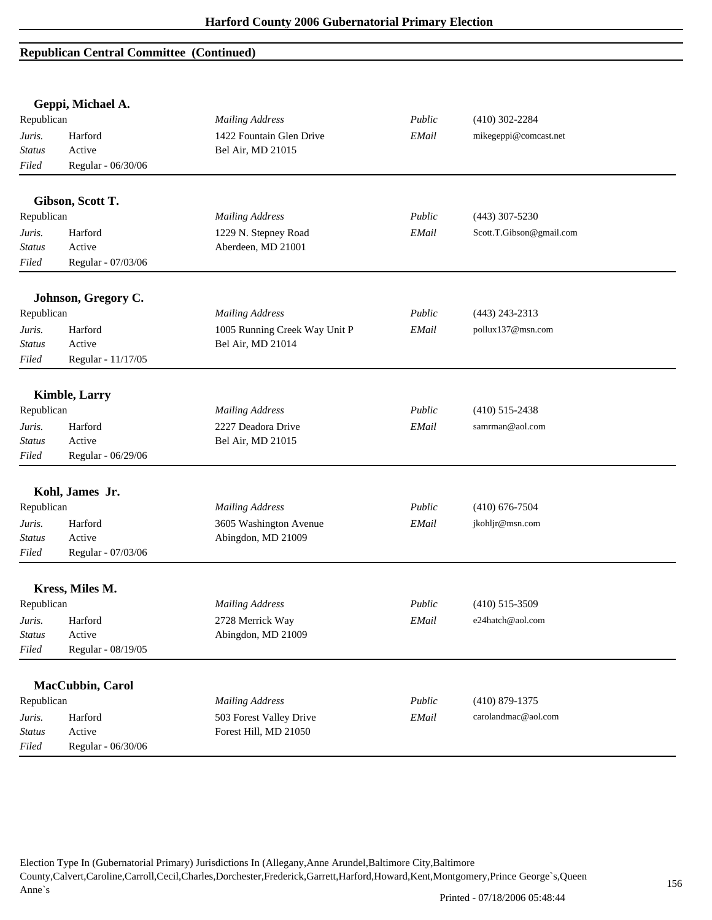|               | Geppi, Michael A.     |                               |        |                          |  |
|---------------|-----------------------|-------------------------------|--------|--------------------------|--|
| Republican    |                       | <b>Mailing Address</b>        | Public | $(410)$ 302-2284         |  |
| Juris.        | Harford               | 1422 Fountain Glen Drive      | EMail  | mikegeppi@comcast.net    |  |
| <b>Status</b> | Active                | Bel Air, MD 21015             |        |                          |  |
| Filed         | Regular - 06/30/06    |                               |        |                          |  |
|               | Gibson, Scott T.      |                               |        |                          |  |
| Republican    |                       | <b>Mailing Address</b>        | Public | $(443)$ 307-5230         |  |
| Juris.        | Harford               | 1229 N. Stepney Road          | EMail  | Scott.T.Gibson@gmail.com |  |
| <b>Status</b> | Active                | Aberdeen, MD 21001            |        |                          |  |
| Filed         | Regular - 07/03/06    |                               |        |                          |  |
|               | Johnson, Gregory C.   |                               |        |                          |  |
| Republican    |                       | <b>Mailing Address</b>        | Public | $(443)$ 243-2313         |  |
| Juris.        | Harford               | 1005 Running Creek Way Unit P | EMail  | pollux137@msn.com        |  |
| <b>Status</b> | Active                | Bel Air, MD 21014             |        |                          |  |
| Filed         | Regular - 11/17/05    |                               |        |                          |  |
|               | <b>Kimble</b> , Larry |                               |        |                          |  |
| Republican    |                       | <b>Mailing Address</b>        | Public | $(410)$ 515-2438         |  |
| Juris.        | Harford               | 2227 Deadora Drive            | EMail  | samrman@aol.com          |  |
| <b>Status</b> | Active                | Bel Air, MD 21015             |        |                          |  |
| Filed         | Regular - 06/29/06    |                               |        |                          |  |
|               | Kohl, James Jr.       |                               |        |                          |  |
| Republican    |                       | <b>Mailing Address</b>        | Public | $(410)$ 676-7504         |  |
| Juris.        | Harford               | 3605 Washington Avenue        | EMail  | jkohljr@msn.com          |  |
| <b>Status</b> | Active                | Abingdon, MD 21009            |        |                          |  |
| Filed         | Regular - 07/03/06    |                               |        |                          |  |
|               | Kress, Miles M.       |                               |        |                          |  |
| Republican    |                       | <b>Mailing Address</b>        | Public | $(410)$ 515-3509         |  |
| Juris.        | Harford               | 2728 Merrick Way              | EMail  | e24hatch@aol.com         |  |
| <b>Status</b> | Active                | Abingdon, MD 21009            |        |                          |  |
| Filed         | Regular - 08/19/05    |                               |        |                          |  |
|               | MacCubbin, Carol      |                               |        |                          |  |
| Republican    |                       | <b>Mailing Address</b>        | Public | $(410)$ 879-1375         |  |
| Juris.        | Harford               | 503 Forest Valley Drive       | EMail  | carolandmac@aol.com      |  |
| <b>Status</b> | Active                | Forest Hill, MD 21050         |        |                          |  |
| Filed         | Regular - 06/30/06    |                               |        |                          |  |
|               |                       |                               |        |                          |  |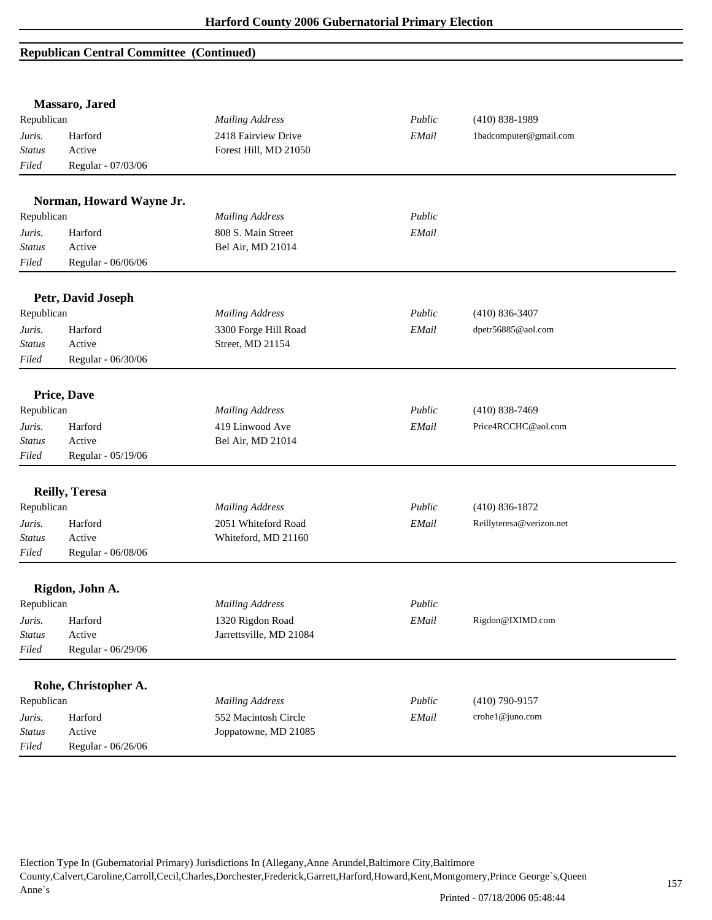|               | Massaro, Jared           |                         |        |                          |  |
|---------------|--------------------------|-------------------------|--------|--------------------------|--|
| Republican    |                          | <b>Mailing Address</b>  | Public | $(410) 838 - 1989$       |  |
| Juris.        | Harford                  | 2418 Fairview Drive     | EMail  | 1badcomputer@gmail.com   |  |
| <b>Status</b> | Active                   | Forest Hill, MD 21050   |        |                          |  |
| Filed         | Regular - 07/03/06       |                         |        |                          |  |
|               | Norman, Howard Wayne Jr. |                         |        |                          |  |
| Republican    |                          | <b>Mailing Address</b>  | Public |                          |  |
| Juris.        | Harford                  | 808 S. Main Street      | EMail  |                          |  |
| <b>Status</b> | Active                   | Bel Air, MD 21014       |        |                          |  |
| Filed         | Regular - 06/06/06       |                         |        |                          |  |
|               | Petr, David Joseph       |                         |        |                          |  |
| Republican    |                          | <b>Mailing Address</b>  | Public | $(410) 836 - 3407$       |  |
| Juris.        | Harford                  | 3300 Forge Hill Road    | EMail  | dpetr56885@aol.com       |  |
| <b>Status</b> | Active                   | Street, MD 21154        |        |                          |  |
| Filed         | Regular - 06/30/06       |                         |        |                          |  |
|               | <b>Price, Dave</b>       |                         |        |                          |  |
| Republican    |                          | <b>Mailing Address</b>  | Public | $(410) 838 - 7469$       |  |
| Juris.        | Harford                  | 419 Linwood Ave         | EMail  | Price4RCCHC@aol.com      |  |
| <b>Status</b> | Active                   | Bel Air, MD 21014       |        |                          |  |
| Filed         | Regular - 05/19/06       |                         |        |                          |  |
|               | <b>Reilly, Teresa</b>    |                         |        |                          |  |
| Republican    |                          | <b>Mailing Address</b>  | Public | $(410) 836 - 1872$       |  |
| Juris.        | Harford                  | 2051 Whiteford Road     | EMail  | Reillyteresa@verizon.net |  |
| <b>Status</b> | Active                   | Whiteford, MD 21160     |        |                          |  |
| Filed         | Regular - 06/08/06       |                         |        |                          |  |
|               | Rigdon, John A.          |                         |        |                          |  |
| Republican    |                          | <b>Mailing Address</b>  | Public |                          |  |
| Juris.        | Harford                  | 1320 Rigdon Road        | EMail  | Rigdon@IXIMD.com         |  |
| <b>Status</b> | Active                   | Jarrettsville, MD 21084 |        |                          |  |
| Filed         | Regular - 06/29/06       |                         |        |                          |  |
|               |                          |                         |        |                          |  |
|               | Rohe, Christopher A.     |                         |        |                          |  |
| Republican    |                          | <b>Mailing Address</b>  | Public | $(410)$ 790-9157         |  |
| Juris.        | Harford                  | 552 Macintosh Circle    | EMail  | crohe1@juno.com          |  |
| <b>Status</b> | Active                   | Joppatowne, MD 21085    |        |                          |  |
| Filed         | Regular - 06/26/06       |                         |        |                          |  |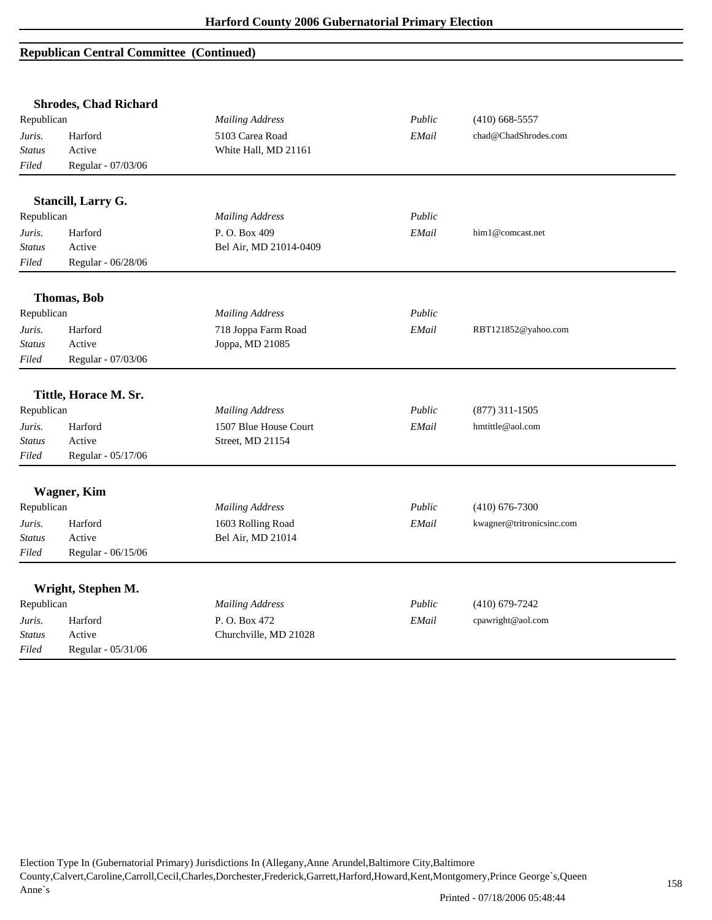| <b>Shrodes, Chad Richard</b> |                                                                                                |                                                                                                                                                                                   |                           |                  |
|------------------------------|------------------------------------------------------------------------------------------------|-----------------------------------------------------------------------------------------------------------------------------------------------------------------------------------|---------------------------|------------------|
| Republican                   | <b>Mailing Address</b>                                                                         | Public                                                                                                                                                                            | $(410)$ 668-5557          |                  |
| Harford                      | 5103 Carea Road                                                                                | EMail                                                                                                                                                                             | chad@ChadShrodes.com      |                  |
| Active                       | White Hall, MD 21161                                                                           |                                                                                                                                                                                   |                           |                  |
| Regular - 07/03/06           |                                                                                                |                                                                                                                                                                                   |                           |                  |
|                              |                                                                                                |                                                                                                                                                                                   |                           |                  |
| Republican                   |                                                                                                | Public                                                                                                                                                                            |                           |                  |
|                              |                                                                                                |                                                                                                                                                                                   | him1@comcast.net          |                  |
| Active                       |                                                                                                |                                                                                                                                                                                   |                           |                  |
| Regular - 06/28/06           |                                                                                                |                                                                                                                                                                                   |                           |                  |
|                              |                                                                                                |                                                                                                                                                                                   |                           |                  |
| <b>Thomas</b> , Bob          |                                                                                                |                                                                                                                                                                                   |                           |                  |
| Republican                   | <b>Mailing Address</b>                                                                         | Public                                                                                                                                                                            |                           |                  |
| Harford                      | 718 Joppa Farm Road                                                                            | EMail                                                                                                                                                                             | RBT121852@yahoo.com       |                  |
| Active                       | Joppa, MD 21085                                                                                |                                                                                                                                                                                   |                           |                  |
| Regular - 07/03/06           |                                                                                                |                                                                                                                                                                                   |                           |                  |
|                              |                                                                                                |                                                                                                                                                                                   |                           |                  |
|                              |                                                                                                |                                                                                                                                                                                   |                           |                  |
|                              |                                                                                                |                                                                                                                                                                                   |                           |                  |
|                              |                                                                                                | EMail                                                                                                                                                                             | hmtittle@aol.com          |                  |
| Active                       |                                                                                                |                                                                                                                                                                                   |                           |                  |
| Regular - 05/17/06           |                                                                                                |                                                                                                                                                                                   |                           |                  |
|                              |                                                                                                |                                                                                                                                                                                   |                           |                  |
| Republican                   | <b>Mailing Address</b>                                                                         | Public                                                                                                                                                                            | $(410)$ 676-7300          |                  |
| Harford                      |                                                                                                | EMail                                                                                                                                                                             | kwagner@tritronicsinc.com |                  |
| Active                       |                                                                                                |                                                                                                                                                                                   |                           |                  |
| Regular - 06/15/06           |                                                                                                |                                                                                                                                                                                   |                           |                  |
|                              |                                                                                                |                                                                                                                                                                                   |                           |                  |
| Wright, Stephen M.           |                                                                                                |                                                                                                                                                                                   |                           |                  |
| Republican                   | <b>Mailing Address</b>                                                                         | Public                                                                                                                                                                            | $(410)$ 679-7242          |                  |
|                              |                                                                                                |                                                                                                                                                                                   |                           |                  |
| Harford                      | P.O. Box 472                                                                                   | EMail                                                                                                                                                                             | cpawright@aol.com         |                  |
| Active                       | Churchville, MD 21028                                                                          |                                                                                                                                                                                   |                           |                  |
|                              | Stancill, Larry G.<br>Harford<br>Tittle, Horace M. Sr.<br>Republican<br>Harford<br>Wagner, Kim | <b>Mailing Address</b><br>P.O. Box 409<br>Bel Air, MD 21014-0409<br><b>Mailing Address</b><br>1507 Blue House Court<br>Street, MD 21154<br>1603 Rolling Road<br>Bel Air, MD 21014 | EMail<br>Public           | $(877)$ 311-1505 |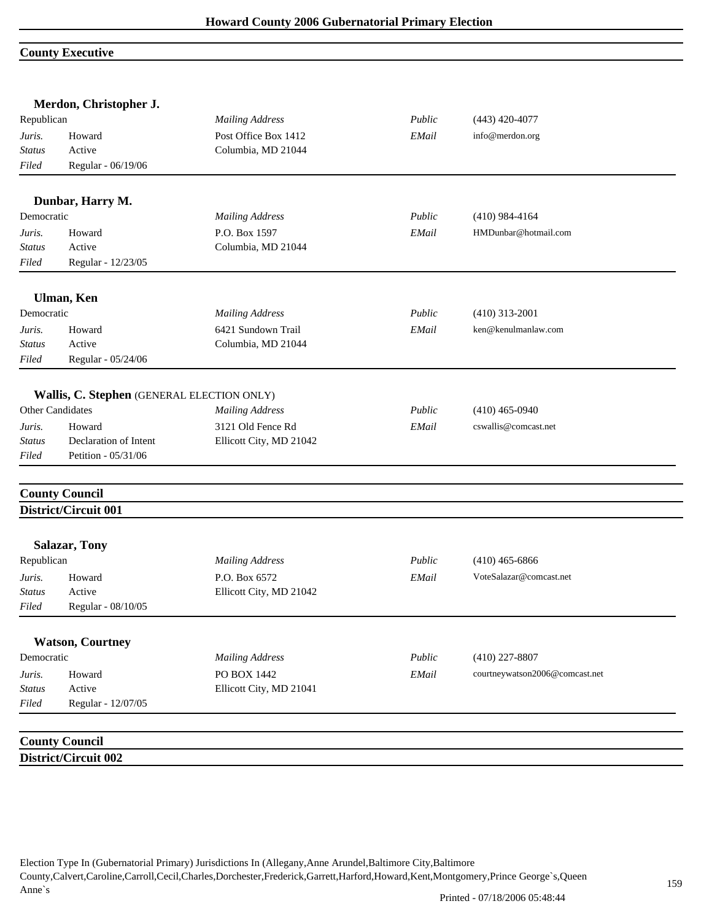## **County Executive**

|               | Merdon, Christopher J.                     |                         |        |                                |
|---------------|--------------------------------------------|-------------------------|--------|--------------------------------|
| Republican    |                                            | <b>Mailing Address</b>  | Public | $(443)$ 420-4077               |
| Juris.        | Howard                                     | Post Office Box 1412    | EMail  | info@merdon.org                |
| <b>Status</b> | Active                                     | Columbia, MD 21044      |        |                                |
| Filed         | Regular - 06/19/06                         |                         |        |                                |
|               | Dunbar, Harry M.                           |                         |        |                                |
| Democratic    |                                            | <b>Mailing Address</b>  | Public | $(410)$ 984-4164               |
| Juris.        | Howard                                     | P.O. Box 1597           | EMail  | HMDunbar@hotmail.com           |
| <b>Status</b> | Active                                     | Columbia, MD 21044      |        |                                |
| Filed         | Regular - 12/23/05                         |                         |        |                                |
|               | Ulman, Ken                                 |                         |        |                                |
| Democratic    |                                            | <b>Mailing Address</b>  | Public | $(410)$ 313-2001               |
| Juris.        | Howard                                     | 6421 Sundown Trail      | EMail  | ken@kenulmanlaw.com            |
| <b>Status</b> | Active                                     | Columbia, MD 21044      |        |                                |
| Filed         | Regular - 05/24/06                         |                         |        |                                |
|               | Wallis, C. Stephen (GENERAL ELECTION ONLY) |                         |        |                                |
|               | Other Candidates                           | <b>Mailing Address</b>  | Public | $(410)$ 465-0940               |
| Juris.        | Howard                                     | 3121 Old Fence Rd       | EMail  | cswallis@comcast.net           |
| <b>Status</b> | Declaration of Intent                      | Ellicott City, MD 21042 |        |                                |
| Filed         | Petition - 05/31/06                        |                         |        |                                |
|               | <b>County Council</b>                      |                         |        |                                |
|               | District/Circuit 001                       |                         |        |                                |
|               | <b>Salazar, Tony</b>                       |                         |        |                                |
| Republican    |                                            | <b>Mailing Address</b>  | Public | $(410)$ 465-6866               |
| Juris.        | Howard                                     | P.O. Box 6572           | EMail  | VoteSalazar@comcast.net        |
| <b>Status</b> | Active                                     | Ellicott City, MD 21042 |        |                                |
| Filed         | Regular - 08/10/05                         |                         |        |                                |
|               | <b>Watson, Courtney</b>                    |                         |        |                                |
| Democratic    |                                            | <b>Mailing Address</b>  | Public | $(410)$ 227-8807               |
| Juris.        | Howard                                     | PO BOX 1442             | EMail  | courtneywatson2006@comcast.net |
| <b>Status</b> | Active                                     | Ellicott City, MD 21041 |        |                                |
| Filed         | Regular - 12/07/05                         |                         |        |                                |
|               | <b>County Council</b>                      |                         |        |                                |
|               | District/Circuit 002                       |                         |        |                                |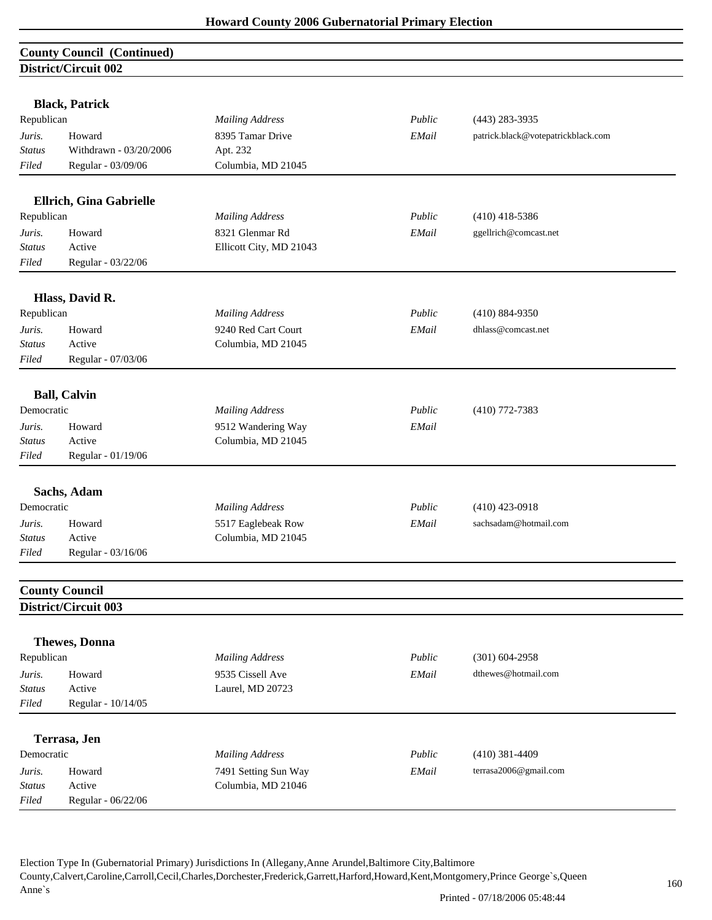## **County Council (Continued) District/Circuit 002**

|               | <b>Black, Patrick</b>   |                         |        |                                    |
|---------------|-------------------------|-------------------------|--------|------------------------------------|
| Republican    |                         | <b>Mailing Address</b>  | Public | $(443)$ 283-3935                   |
| Juris.        | Howard                  | 8395 Tamar Drive        | EMail  | patrick.black@votepatrickblack.com |
| <b>Status</b> | Withdrawn - 03/20/2006  | Apt. 232                |        |                                    |
| Filed         | Regular - 03/09/06      | Columbia, MD 21045      |        |                                    |
|               |                         |                         |        |                                    |
|               | Ellrich, Gina Gabrielle |                         |        |                                    |
| Republican    |                         | <b>Mailing Address</b>  | Public | $(410)$ 418-5386                   |
| Juris.        | Howard                  | 8321 Glenmar Rd         | EMail  | ggellrich@comcast.net              |
| <b>Status</b> | Active                  | Ellicott City, MD 21043 |        |                                    |
| Filed         | Regular - 03/22/06      |                         |        |                                    |
|               | Hlass, David R.         |                         |        |                                    |
| Republican    |                         | <b>Mailing Address</b>  | Public | $(410) 884 - 9350$                 |
| Juris.        | Howard                  | 9240 Red Cart Court     | EMail  | dhlass@comcast.net                 |
| <b>Status</b> | Active                  | Columbia, MD 21045      |        |                                    |
| Filed         | Regular - 07/03/06      |                         |        |                                    |
|               | <b>Ball, Calvin</b>     |                         |        |                                    |
| Democratic    |                         | <b>Mailing Address</b>  | Public | $(410)$ 772-7383                   |
| Juris.        | Howard                  | 9512 Wandering Way      | EMail  |                                    |
| <b>Status</b> | Active                  | Columbia, MD 21045      |        |                                    |
| Filed         | Regular - 01/19/06      |                         |        |                                    |
|               | Sachs, Adam             |                         |        |                                    |
| Democratic    |                         | <b>Mailing Address</b>  | Public | $(410)$ 423-0918                   |
| Juris.        | Howard                  | 5517 Eaglebeak Row      | EMail  | sachsadam@hotmail.com              |
| Status        | Active                  | Columbia, MD 21045      |        |                                    |
| Filed         | Regular - 03/16/06      |                         |        |                                    |
|               | <b>County Council</b>   |                         |        |                                    |
|               | District/Circuit 003    |                         |        |                                    |
|               |                         |                         |        |                                    |
|               | <b>Thewes</b> , Donna   |                         |        |                                    |
| Republican    |                         | <b>Mailing Address</b>  | Public | $(301) 604 - 2958$                 |
| Juris.        | Howard                  | 9535 Cissell Ave        | EMail  | dthewes@hotmail.com                |
| <b>Status</b> | Active                  | Laurel, MD 20723        |        |                                    |
| Filed         | Regular - 10/14/05      |                         |        |                                    |
|               | Terrasa, Jen            |                         |        |                                    |
| Democratic    |                         | <b>Mailing Address</b>  | Public | $(410)$ 381-4409                   |
| Juris.        | Howard                  | 7491 Setting Sun Way    | EMail  | terrasa2006@gmail.com              |
| <b>Status</b> | Active                  | Columbia, MD 21046      |        |                                    |
| Filed         | Regular - 06/22/06      |                         |        |                                    |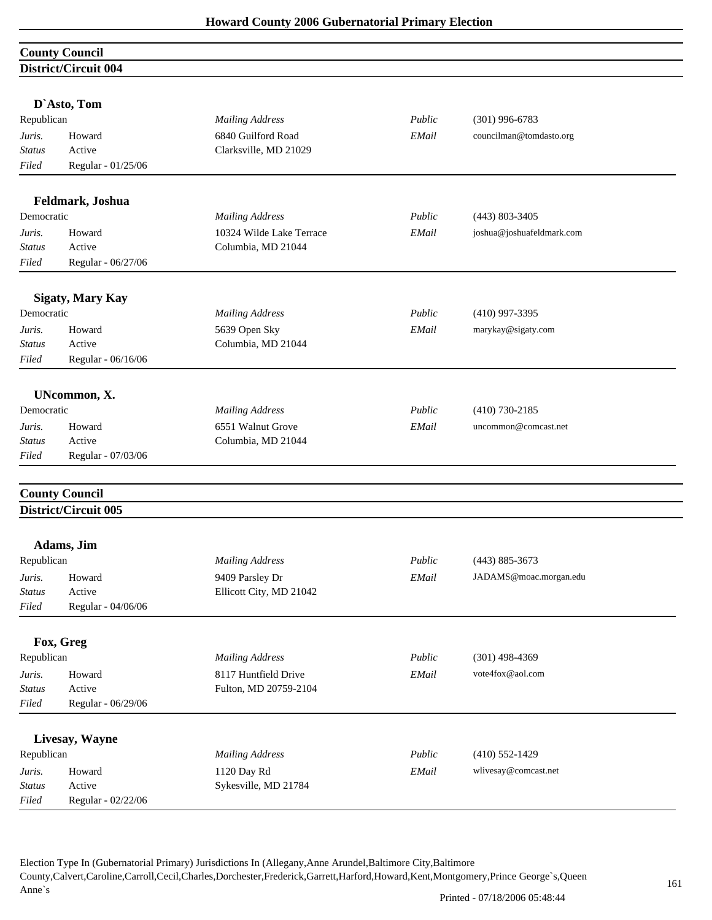|               | <b>County Council</b>       |                          |        |                           |  |
|---------------|-----------------------------|--------------------------|--------|---------------------------|--|
|               | <b>District/Circuit 004</b> |                          |        |                           |  |
|               | D'Asto, Tom                 |                          |        |                           |  |
| Republican    |                             | <b>Mailing Address</b>   | Public | $(301)$ 996-6783          |  |
| Juris.        | Howard                      | 6840 Guilford Road       | EMail  | councilman@tomdasto.org   |  |
| <b>Status</b> | Active                      | Clarksville, MD 21029    |        |                           |  |
| Filed         | Regular - 01/25/06          |                          |        |                           |  |
|               | Feldmark, Joshua            |                          |        |                           |  |
| Democratic    |                             | <b>Mailing Address</b>   | Public | $(443) 803 - 3405$        |  |
| Juris.        | Howard                      | 10324 Wilde Lake Terrace | EMail  | joshua@joshuafeldmark.com |  |
| <b>Status</b> | Active                      | Columbia, MD 21044       |        |                           |  |
| Filed         | Regular - 06/27/06          |                          |        |                           |  |
|               | <b>Sigaty, Mary Kay</b>     |                          |        |                           |  |
| Democratic    |                             | <b>Mailing Address</b>   | Public | $(410)$ 997-3395          |  |
| Juris.        | Howard                      | 5639 Open Sky            | EMail  | marykay@sigaty.com        |  |
| <b>Status</b> | Active                      | Columbia, MD 21044       |        |                           |  |
| Filed         | Regular - 06/16/06          |                          |        |                           |  |
|               | UNcommon, X.                |                          |        |                           |  |
| Democratic    |                             | <b>Mailing Address</b>   | Public | $(410)$ 730-2185          |  |
| Juris.        | Howard                      | 6551 Walnut Grove        | EMail  | uncommon@comcast.net      |  |
| Status        | Active                      | Columbia, MD 21044       |        |                           |  |
| Filed         | Regular - 07/03/06          |                          |        |                           |  |
|               | <b>County Council</b>       |                          |        |                           |  |
|               | District/Circuit 005        |                          |        |                           |  |
|               | Adams, Jim                  |                          |        |                           |  |
| Republican    |                             | <b>Mailing Address</b>   | Public | $(443) 885 - 3673$        |  |
| Juris.        | Howard                      | 9409 Parsley Dr          | EMail  | JADAMS@moac.morgan.edu    |  |
| <b>Status</b> | Active                      | Ellicott City, MD 21042  |        |                           |  |
| Filed         | Regular - 04/06/06          |                          |        |                           |  |
|               | Fox, Greg                   |                          |        |                           |  |
| Republican    |                             | <b>Mailing Address</b>   | Public | $(301)$ 498-4369          |  |
| Juris.        | Howard                      | 8117 Huntfield Drive     | EMail  | vote4fox@aol.com          |  |
| <b>Status</b> | Active                      | Fulton, MD 20759-2104    |        |                           |  |
| Filed         | Regular - 06/29/06          |                          |        |                           |  |
|               | Livesay, Wayne              |                          |        |                           |  |
| Republican    |                             | <b>Mailing Address</b>   | Public | $(410) 552 - 1429$        |  |
| Juris.        | Howard                      | 1120 Day Rd              | EMail  | wlivesay@comcast.net      |  |
| <b>Status</b> | Active                      | Sykesville, MD 21784     |        |                           |  |
| Filed         | Regular - 02/22/06          |                          |        |                           |  |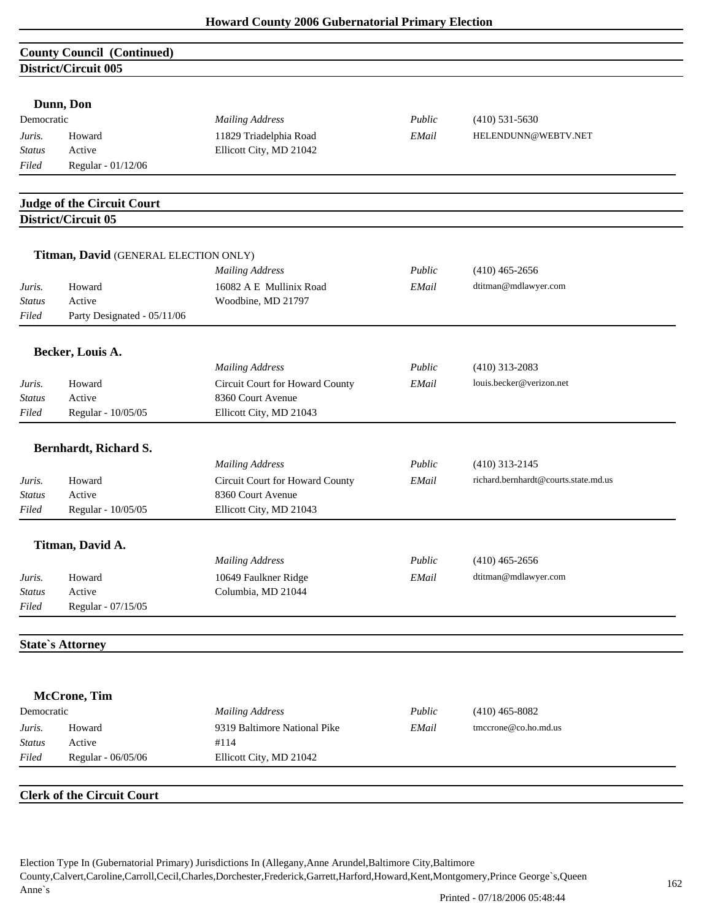# **County Council (Continued) District/Circuit 005**

| Dunn, Don |  |
|-----------|--|
|-----------|--|

| Democratic    |                    | <b>Mailing Address</b>  | Public | $(410)$ 531-5630    |
|---------------|--------------------|-------------------------|--------|---------------------|
| Juris.        | Howard             | 11829 Triadelphia Road  | EMail  | HELENDUNN@WEBTV.NET |
| <b>Status</b> | Active             | Ellicott City, MD 21042 |        |                     |
| Filed         | Regular - 01/12/06 |                         |        |                     |

## **Judge of the Circuit Court District/Circuit 05**

|                         | Titman, David (GENERAL ELECTION ONLY) |                                            |        |                                      |
|-------------------------|---------------------------------------|--------------------------------------------|--------|--------------------------------------|
|                         |                                       | <b>Mailing Address</b>                     | Public | $(410)$ 465-2656                     |
| Juris.                  | Howard                                | 16082 A E Mullinix Road                    | EMail  | dtitman@mdlawyer.com                 |
| <b>Status</b>           | Active                                | Woodbine, MD 21797                         |        |                                      |
| Filed                   | Party Designated - 05/11/06           |                                            |        |                                      |
|                         | Becker, Louis A.                      |                                            |        |                                      |
|                         |                                       | <b>Mailing Address</b>                     | Public | $(410)$ 313-2083                     |
| Juris.                  | Howard                                | Circuit Court for Howard County            | EMail  | louis.becker@verizon.net             |
| <b>Status</b>           | Active                                | 8360 Court Avenue                          |        |                                      |
| Filed                   | Regular - 10/05/05                    | Ellicott City, MD 21043                    |        |                                      |
|                         | Bernhardt, Richard S.                 |                                            |        |                                      |
|                         |                                       | <b>Mailing Address</b>                     | Public | $(410)$ 313-2145                     |
| Juris.                  | Howard                                | Circuit Court for Howard County            | EMail  | richard.bernhardt@courts.state.md.us |
| <b>Status</b>           | Active                                | 8360 Court Avenue                          |        |                                      |
| Filed                   | Regular - 10/05/05                    | Ellicott City, MD 21043                    |        |                                      |
|                         |                                       |                                            |        |                                      |
|                         | Titman, David A.                      | <b>Mailing Address</b>                     | Public | $(410)$ 465-2656                     |
|                         |                                       |                                            | EMail  | dtitman@mdlawyer.com                 |
| Juris.<br><b>Status</b> | Howard<br>Active                      | 10649 Faulkner Ridge<br>Columbia, MD 21044 |        |                                      |
| Filed                   | Regular - 07/15/05                    |                                            |        |                                      |
|                         |                                       |                                            |        |                                      |
|                         | <b>State's Attorney</b>               |                                            |        |                                      |

| Democratic    |                    | Mailing Address              | Public | $(410)$ 465-8082        |
|---------------|--------------------|------------------------------|--------|-------------------------|
| Juris.        | Howard             | 9319 Baltimore National Pike | EMail  | $t$ mccrone@co.ho.md.us |
| <b>Status</b> | Active             | #114                         |        |                         |
| Filed         | Regular - 06/05/06 | Ellicott City, MD 21042      |        |                         |
|               |                    |                              |        |                         |

#### **Clerk of the Circuit Court**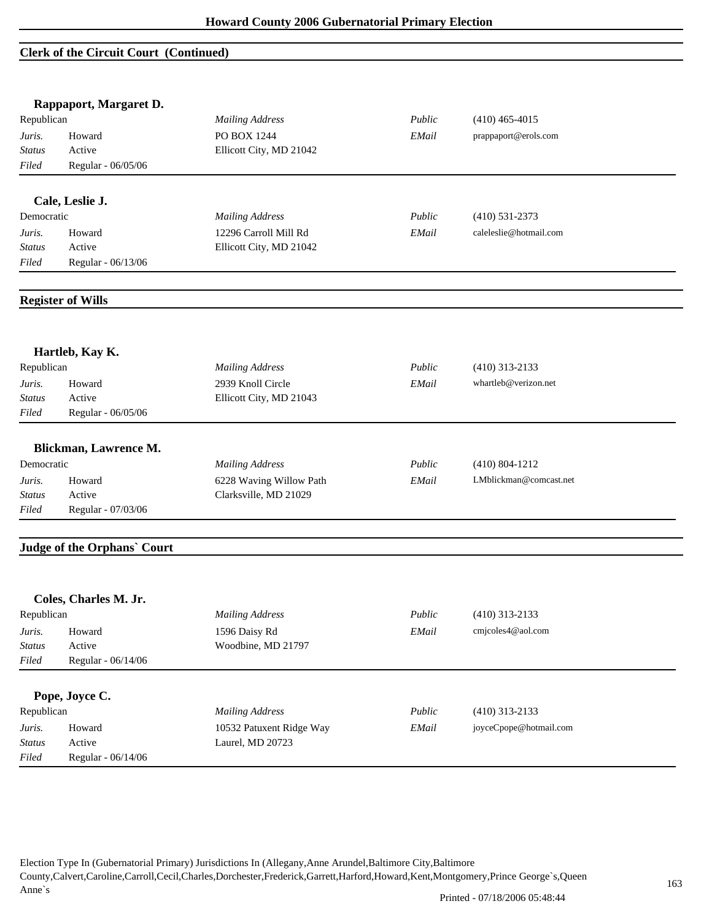#### **Clerk of the Circuit Court (Continued)**

|                         | Rappaport, Margaret D.      |                                              |        |                        |
|-------------------------|-----------------------------|----------------------------------------------|--------|------------------------|
| Republican              |                             | <b>Mailing Address</b>                       | Public | $(410)$ 465-4015       |
| Juris.                  | Howard                      | PO BOX 1244                                  | EMail  | prappaport@erols.com   |
| Status                  | Active                      | Ellicott City, MD 21042                      |        |                        |
| Filed                   | Regular - 06/05/06          |                                              |        |                        |
|                         | Cale, Leslie J.             |                                              |        |                        |
| Democratic              |                             | <b>Mailing Address</b>                       | Public | $(410) 531 - 2373$     |
| Juris.                  | Howard                      | 12296 Carroll Mill Rd                        | EMail  | caleleslie@hotmail.com |
| <b>Status</b>           | Active                      | Ellicott City, MD 21042                      |        |                        |
| Filed                   | Regular - 06/13/06          |                                              |        |                        |
|                         |                             |                                              |        |                        |
|                         | <b>Register of Wills</b>    |                                              |        |                        |
|                         |                             |                                              |        |                        |
| Republican              | Hartleb, Kay K.             | <b>Mailing Address</b>                       | Public | $(410)$ 313-2133       |
|                         | Howard                      | 2939 Knoll Circle                            | EMail  | whartleb@verizon.net   |
| Juris.<br>Status        | Active                      | Ellicott City, MD 21043                      |        |                        |
| Filed                   | Regular - 06/05/06          |                                              |        |                        |
|                         |                             |                                              |        |                        |
|                         | Blickman, Lawrence M.       |                                              |        |                        |
| Democratic              |                             | <b>Mailing Address</b>                       | Public | $(410) 804 - 1212$     |
| Juris.                  | Howard                      | 6228 Waving Willow Path                      | EMail  | LMblickman@comcast.net |
| <b>Status</b>           | Active                      | Clarksville, MD 21029                        |        |                        |
| Filed                   | Regular - 07/03/06          |                                              |        |                        |
|                         | Judge of the Orphans' Court |                                              |        |                        |
|                         |                             |                                              |        |                        |
|                         | Coles, Charles M. Jr.       |                                              |        |                        |
| Republican              |                             | <b>Mailing Address</b>                       | Public | (410) 313-2133         |
| Juris.                  | Howard                      | 1596 Daisy Rd                                | EMail  | cmjcoles4@aol.com      |
| <b>Status</b>           | Active                      | Woodbine, MD 21797                           |        |                        |
| Filed                   | Regular - 06/14/06          |                                              |        |                        |
|                         | Pope, Joyce C.              |                                              |        |                        |
| Republican              |                             | <b>Mailing Address</b>                       | Public | $(410)$ 313-2133       |
|                         |                             |                                              |        | joyceCpope@hotmail.com |
| Juris.<br><b>Status</b> | Howard<br>Active            | 10532 Patuxent Ridge Way<br>Laurel, MD 20723 | EMail  |                        |
| Filed                   | Regular - 06/14/06          |                                              |        |                        |
|                         |                             |                                              |        |                        |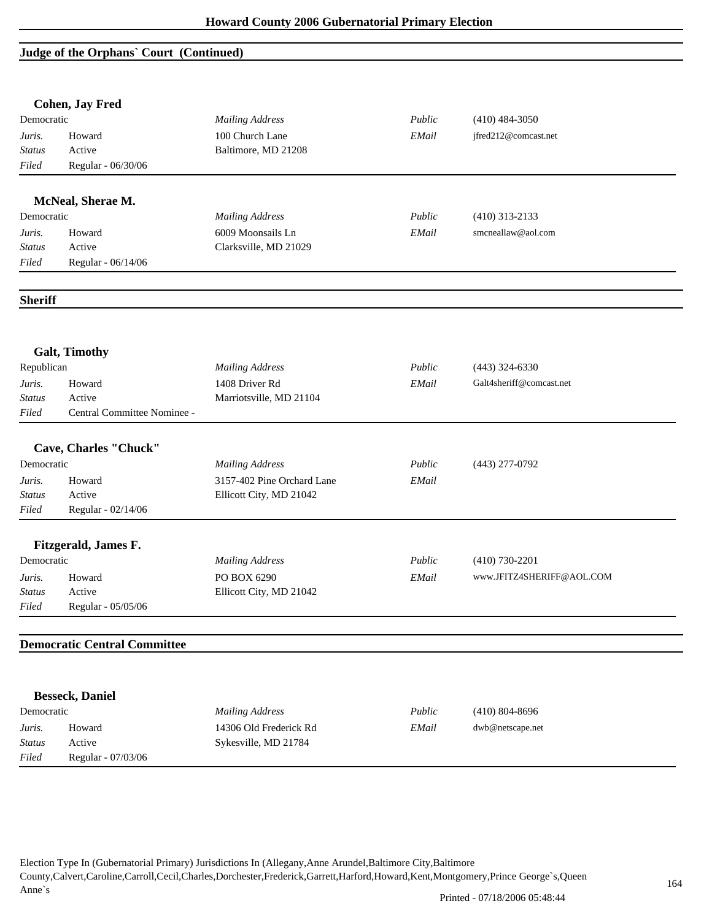## **Judge of the Orphans` Court (Continued)**

|                | <b>Cohen, Jay Fred</b>              |                            |        |                           |
|----------------|-------------------------------------|----------------------------|--------|---------------------------|
| Democratic     |                                     | <b>Mailing Address</b>     | Public | $(410)$ 484-3050          |
| Juris.         | Howard                              | 100 Church Lane            | EMail  | jfred212@comcast.net      |
| <b>Status</b>  | Active                              | Baltimore, MD 21208        |        |                           |
| Filed          | Regular - 06/30/06                  |                            |        |                           |
|                |                                     |                            |        |                           |
|                | McNeal, Sherae M.                   |                            |        |                           |
| Democratic     |                                     | <b>Mailing Address</b>     | Public | $(410)$ 313-2133          |
| Juris.         | Howard                              | 6009 Moonsails Ln          | EMail  | smcneallaw@aol.com        |
| Status         | Active                              | Clarksville, MD 21029      |        |                           |
| Filed          | Regular - 06/14/06                  |                            |        |                           |
| <b>Sheriff</b> |                                     |                            |        |                           |
|                |                                     |                            |        |                           |
|                | <b>Galt, Timothy</b>                |                            |        |                           |
| Republican     |                                     | <b>Mailing Address</b>     | Public | $(443)$ 324-6330          |
| Juris.         | Howard                              | 1408 Driver Rd             | EMail  | Galt4sheriff@comcast.net  |
| <b>Status</b>  | Active                              | Marriotsville, MD 21104    |        |                           |
| Filed          | Central Committee Nominee -         |                            |        |                           |
|                |                                     |                            |        |                           |
|                | Cave, Charles "Chuck"               |                            |        |                           |
| Democratic     |                                     | <b>Mailing Address</b>     | Public | (443) 277-0792            |
| Juris.         | Howard                              | 3157-402 Pine Orchard Lane | EMail  |                           |
| <i>Status</i>  | Active                              | Ellicott City, MD 21042    |        |                           |
| Filed          | Regular - 02/14/06                  |                            |        |                           |
|                | Fitzgerald, James F.                |                            |        |                           |
| Democratic     |                                     | <b>Mailing Address</b>     | Public | $(410) 730 - 2201$        |
| Juris.         | Howard                              | PO BOX 6290                | EMail  | www.JFITZ4SHERIFF@AOL.COM |
| <i>Status</i>  | Active                              | Ellicott City, MD 21042    |        |                           |
| Filed          | Regular - 05/05/06                  |                            |        |                           |
|                |                                     |                            |        |                           |
|                | <b>Democratic Central Committee</b> |                            |        |                           |
|                |                                     |                            |        |                           |
|                | <b>Besseck, Daniel</b>              |                            |        |                           |
| Democratic     |                                     | <b>Mailing Address</b>     | Public | $(410) 804 - 8696$        |
| Juris.         | Howard                              | 14306 Old Frederick Rd     | EMail  | dwb@netscape.net          |
| <b>Status</b>  | Active                              | Sykesville, MD 21784       |        |                           |
| Filed          | Regular - 07/03/06                  |                            |        |                           |
|                |                                     |                            |        |                           |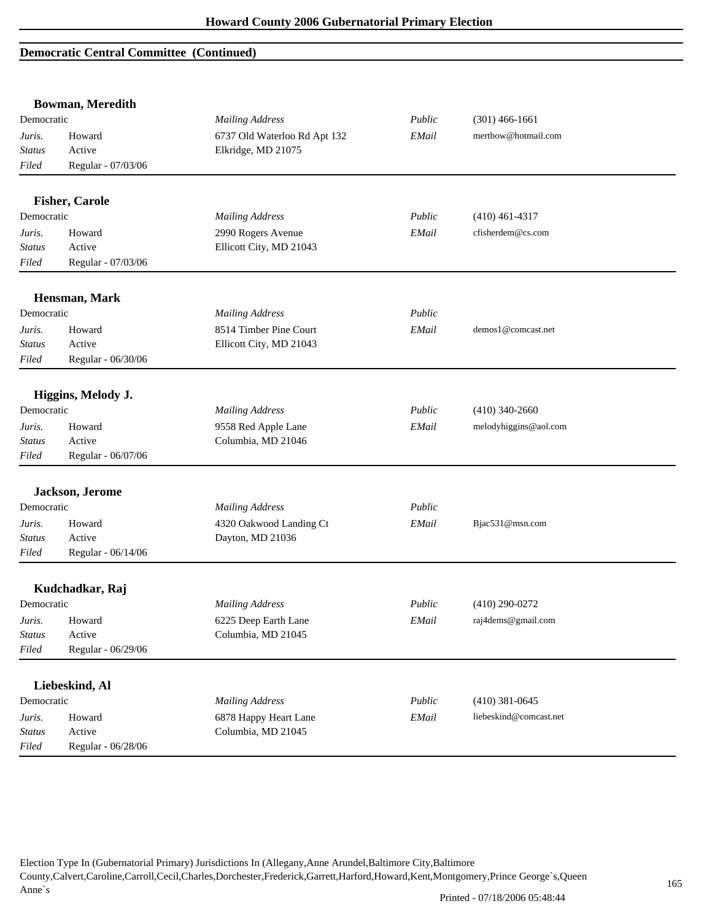|               | <b>Bowman, Meredith</b> |                              |        |                        |  |
|---------------|-------------------------|------------------------------|--------|------------------------|--|
| Democratic    |                         | <b>Mailing Address</b>       | Public | $(301)$ 466-1661       |  |
| Juris.        | Howard                  | 6737 Old Waterloo Rd Apt 132 | EMail  | mertbow@hotmail.com    |  |
| <b>Status</b> | Active                  | Elkridge, MD 21075           |        |                        |  |
| Filed         | Regular - 07/03/06      |                              |        |                        |  |
|               | <b>Fisher, Carole</b>   |                              |        |                        |  |
| Democratic    |                         | <b>Mailing Address</b>       | Public | $(410)$ 461-4317       |  |
| Juris.        | Howard                  | 2990 Rogers Avenue           | EMail  | cfisherdem@cs.com      |  |
| <b>Status</b> | Active                  | Ellicott City, MD 21043      |        |                        |  |
| Filed         | Regular - 07/03/06      |                              |        |                        |  |
|               | Hensman, Mark           |                              |        |                        |  |
| Democratic    |                         | <b>Mailing Address</b>       | Public |                        |  |
| Juris.        | Howard                  | 8514 Timber Pine Court       | EMail  | demos1@comcast.net     |  |
| <b>Status</b> | Active                  | Ellicott City, MD 21043      |        |                        |  |
| Filed         | Regular - 06/30/06      |                              |        |                        |  |
|               | Higgins, Melody J.      |                              |        |                        |  |
| Democratic    |                         | <b>Mailing Address</b>       | Public | $(410)$ 340-2660       |  |
| Juris.        | Howard                  | 9558 Red Apple Lane          | EMail  | melodyhiggins@aol.com  |  |
| <b>Status</b> | Active                  | Columbia, MD 21046           |        |                        |  |
| Filed         | Regular - 06/07/06      |                              |        |                        |  |
|               | Jackson, Jerome         |                              |        |                        |  |
| Democratic    |                         | <b>Mailing Address</b>       | Public |                        |  |
| Juris.        | Howard                  | 4320 Oakwood Landing Ct      | EMail  | Bjac531@msn.com        |  |
| <b>Status</b> | Active                  | Dayton, MD 21036             |        |                        |  |
| Filed         | Regular - 06/14/06      |                              |        |                        |  |
|               | Kudchadkar, Raj         |                              |        |                        |  |
| Democratic    |                         | <b>Mailing Address</b>       | Public | $(410)$ 290-0272       |  |
| Juris.        | Howard                  | 6225 Deep Earth Lane         | EMail  | raj4dems@gmail.com     |  |
| <b>Status</b> | Active                  | Columbia, MD 21045           |        |                        |  |
| Filed         | Regular - 06/29/06      |                              |        |                        |  |
|               | Liebeskind, Al          |                              |        |                        |  |
| Democratic    |                         | <b>Mailing Address</b>       | Public | $(410)$ 381-0645       |  |
| Juris.        | Howard                  | 6878 Happy Heart Lane        | EMail  | liebeskind@comcast.net |  |
| <b>Status</b> | Active                  | Columbia, MD 21045           |        |                        |  |
| Filed         | Regular - 06/28/06      |                              |        |                        |  |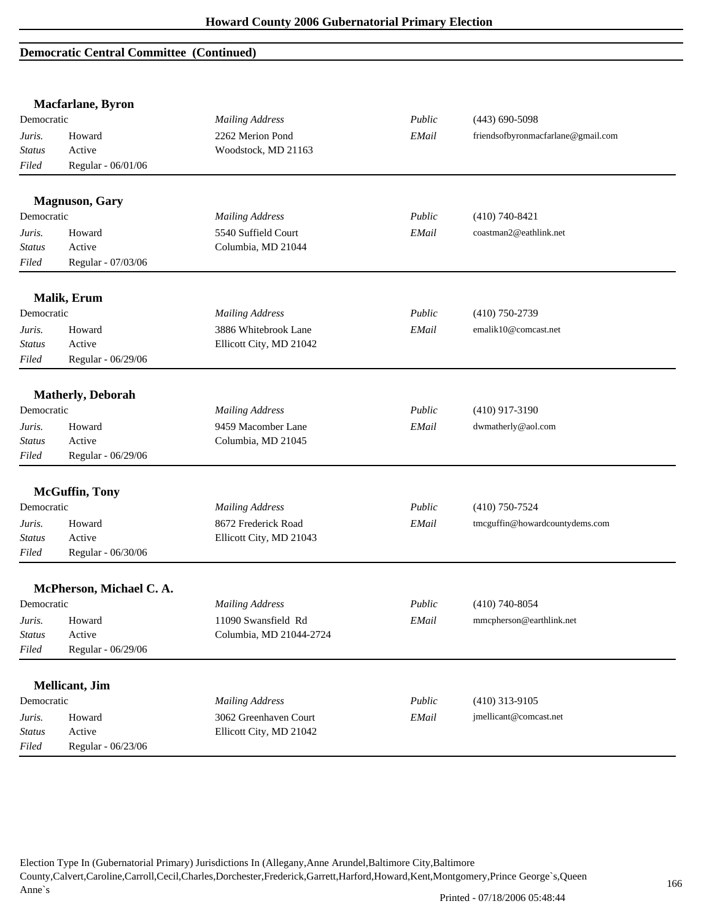|                  | Macfarlane, Byron        |                         |        |                                    |
|------------------|--------------------------|-------------------------|--------|------------------------------------|
| Democratic       |                          | <b>Mailing Address</b>  | Public | $(443)$ 690-5098                   |
| Juris.           | Howard                   | 2262 Merion Pond        | EMail  | friendsofbyronmacfarlane@gmail.com |
| Status           | Active                   | Woodstock, MD 21163     |        |                                    |
| Filed            | Regular - 06/01/06       |                         |        |                                    |
|                  |                          |                         |        |                                    |
| Democratic       | <b>Magnuson</b> , Gary   | <b>Mailing Address</b>  | Public |                                    |
|                  |                          |                         |        | $(410)$ 740-8421                   |
| Juris.           | Howard                   | 5540 Suffield Court     | EMail  | coastman2@eathlink.net             |
| <b>Status</b>    | Active                   | Columbia, MD 21044      |        |                                    |
| Filed            | Regular - 07/03/06       |                         |        |                                    |
|                  | <b>Malik</b> , Erum      |                         |        |                                    |
| Democratic       |                          | <b>Mailing Address</b>  | Public | $(410)$ 750-2739                   |
| Juris.           | Howard                   | 3886 Whitebrook Lane    | EMail  | emalik10@comcast.net               |
| <b>Status</b>    | Active                   | Ellicott City, MD 21042 |        |                                    |
| Filed            | Regular - 06/29/06       |                         |        |                                    |
|                  |                          |                         |        |                                    |
|                  | <b>Matherly, Deborah</b> |                         |        |                                    |
| Democratic       |                          | <b>Mailing Address</b>  | Public | $(410)$ 917-3190                   |
| Juris.           | Howard                   | 9459 Macomber Lane      | EMail  | dwmatherly@aol.com                 |
| <b>Status</b>    | Active                   | Columbia, MD 21045      |        |                                    |
| Filed            | Regular - 06/29/06       |                         |        |                                    |
|                  | <b>McGuffin</b> , Tony   |                         |        |                                    |
| Democratic       |                          | <b>Mailing Address</b>  | Public | $(410)$ 750-7524                   |
| Juris.           | Howard                   | 8672 Frederick Road     | EMail  | tmcguffin@howardcountydems.com     |
| <b>Status</b>    | Active                   | Ellicott City, MD 21043 |        |                                    |
| Filed            | Regular - 06/30/06       |                         |        |                                    |
|                  | McPherson, Michael C. A. |                         |        |                                    |
| Democratic       |                          | <b>Mailing Address</b>  | Public | $(410)$ 740-8054                   |
|                  |                          | 11090 Swansfield Rd     |        | mmcpherson@earthlink.net           |
| Juris.<br>Status | Howard<br>Active         | Columbia, MD 21044-2724 | EMail  |                                    |
| Filed            |                          |                         |        |                                    |
|                  | Regular - 06/29/06       |                         |        |                                    |
|                  | <b>Mellicant</b> , Jim   |                         |        |                                    |
| Democratic       |                          | <b>Mailing Address</b>  | Public | $(410)$ 313-9105                   |
| Juris.           | Howard                   | 3062 Greenhaven Court   | EMail  | jmellicant@comcast.net             |
| <b>Status</b>    | Active                   | Ellicott City, MD 21042 |        |                                    |
| Filed            | Regular - 06/23/06       |                         |        |                                    |
|                  |                          |                         |        |                                    |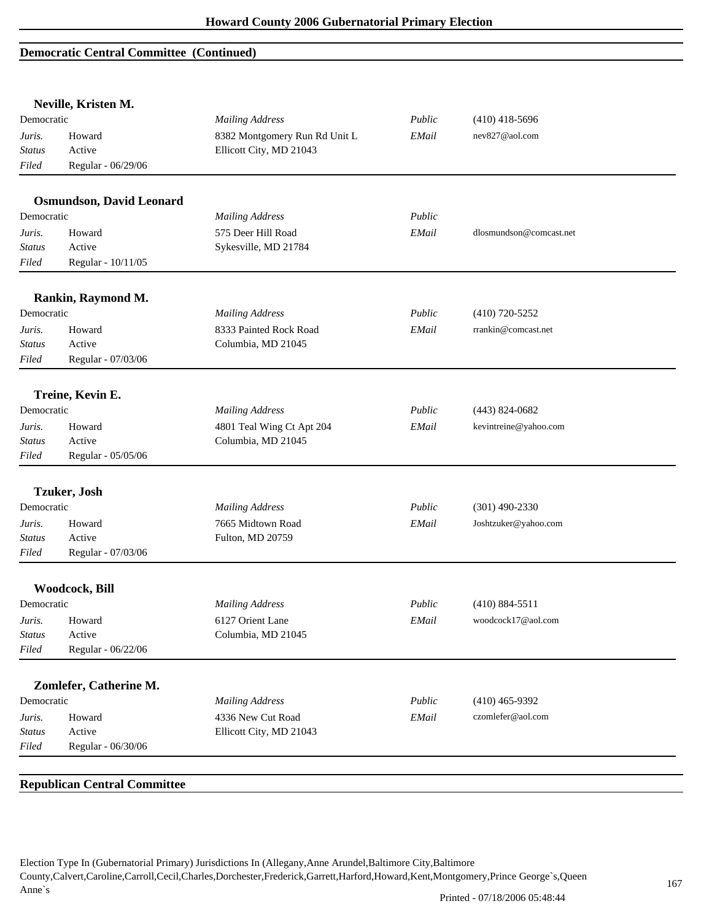|               | Neville, Kristen M.             |                               |        |                         |
|---------------|---------------------------------|-------------------------------|--------|-------------------------|
| Democratic    |                                 | <b>Mailing Address</b>        | Public | $(410)$ 418-5696        |
| Juris.        | Howard                          | 8382 Montgomery Run Rd Unit L | EMail  | nev827@aol.com          |
| Status        | Active                          | Ellicott City, MD 21043       |        |                         |
| Filed         | Regular - 06/29/06              |                               |        |                         |
|               | <b>Osmundson, David Leonard</b> |                               |        |                         |
| Democratic    |                                 | <b>Mailing Address</b>        | Public |                         |
| Juris.        | Howard                          | 575 Deer Hill Road            | EMail  | dlosmundson@comcast.net |
| <b>Status</b> | Active                          | Sykesville, MD 21784          |        |                         |
| Filed         | Regular - 10/11/05              |                               |        |                         |
|               | Rankin, Raymond M.              |                               |        |                         |
| Democratic    |                                 | <b>Mailing Address</b>        | Public | $(410)$ 720-5252        |
| Juris.        | Howard                          | 8333 Painted Rock Road        | EMail  | rrankin@comcast.net     |
| <b>Status</b> | Active                          | Columbia, MD 21045            |        |                         |
| Filed         | Regular - 07/03/06              |                               |        |                         |
|               | Treine, Kevin E.                |                               |        |                         |
| Democratic    |                                 | <b>Mailing Address</b>        | Public | $(443) 824 - 0682$      |
| Juris.        | Howard                          | 4801 Teal Wing Ct Apt 204     | EMail  | kevintreine@yahoo.com   |
| Status        | Active                          | Columbia, MD 21045            |        |                         |
| Filed         | Regular - 05/05/06              |                               |        |                         |
|               |                                 |                               |        |                         |
|               | <b>Tzuker</b> , Josh            |                               |        |                         |
| Democratic    |                                 | <b>Mailing Address</b>        | Public | $(301)$ 490-2330        |
| Juris.        | Howard                          | 7665 Midtown Road             | EMail  | Joshtzuker@yahoo.com    |
| Status        | Active                          | Fulton, MD 20759              |        |                         |
| Filed         | Regular - 07/03/06              |                               |        |                         |
|               | Woodcock, Bill                  |                               |        |                         |
| Democratic    |                                 | <b>Mailing Address</b>        | Public | $(410) 884 - 5511$      |
| Juris.        | Howard                          | 6127 Orient Lane              | EMail  | woodcock17@aol.com      |
| <b>Status</b> | Active                          | Columbia, MD 21045            |        |                         |
| Filed         | Regular - 06/22/06              |                               |        |                         |
|               | Zomlefer, Catherine M.          |                               |        |                         |
| Democratic    |                                 | <b>Mailing Address</b>        | Public | $(410)$ 465-9392        |
| Juris.        | Howard                          | 4336 New Cut Road             | EMail  | czomlefer@aol.com       |
|               | Active                          | Ellicott City, MD 21043       |        |                         |
| <b>Status</b> |                                 |                               |        |                         |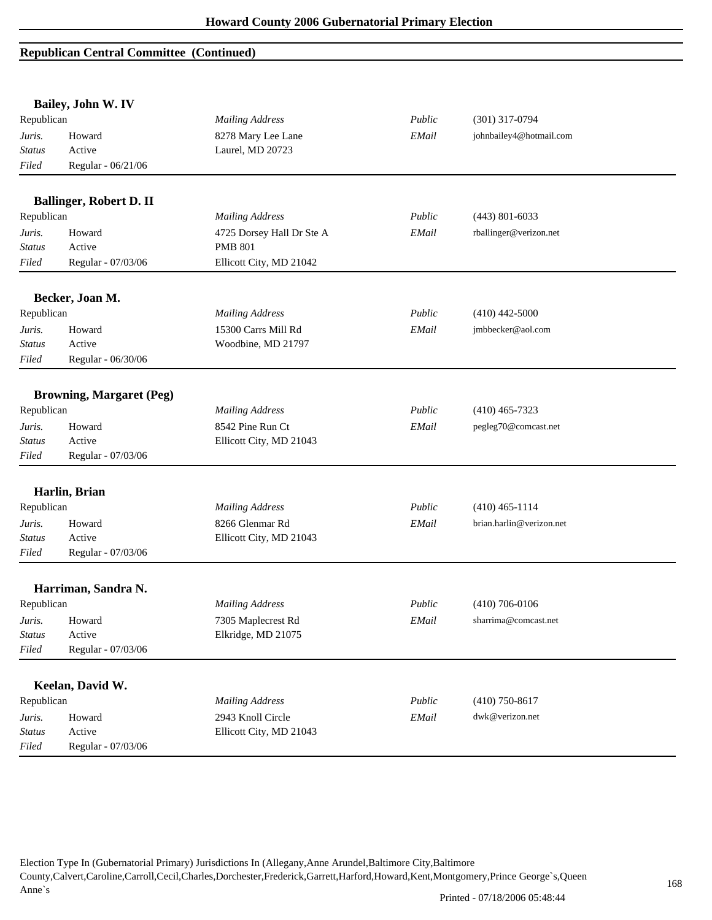|               | Bailey, John W. IV              |                           |        |                          |  |
|---------------|---------------------------------|---------------------------|--------|--------------------------|--|
| Republican    |                                 | <b>Mailing Address</b>    | Public | $(301)$ 317-0794         |  |
| Juris.        | Howard                          | 8278 Mary Lee Lane        | EMail  | johnbailey4@hotmail.com  |  |
| <b>Status</b> | Active                          | Laurel, MD 20723          |        |                          |  |
| Filed         | Regular - 06/21/06              |                           |        |                          |  |
|               | <b>Ballinger, Robert D. II</b>  |                           |        |                          |  |
| Republican    |                                 | <b>Mailing Address</b>    | Public | $(443)$ 801-6033         |  |
| Juris.        | Howard                          | 4725 Dorsey Hall Dr Ste A | EMail  | rballinger@verizon.net   |  |
| <b>Status</b> | Active                          | <b>PMB 801</b>            |        |                          |  |
| Filed         | Regular - 07/03/06              | Ellicott City, MD 21042   |        |                          |  |
|               | Becker, Joan M.                 |                           |        |                          |  |
| Republican    |                                 | <b>Mailing Address</b>    | Public | $(410)$ 442-5000         |  |
| Juris.        | Howard                          | 15300 Carrs Mill Rd       | EMail  | jmbbecker@aol.com        |  |
| <b>Status</b> | Active                          | Woodbine, MD 21797        |        |                          |  |
| Filed         | Regular - 06/30/06              |                           |        |                          |  |
|               | <b>Browning, Margaret (Peg)</b> |                           |        |                          |  |
| Republican    |                                 | <b>Mailing Address</b>    | Public | $(410)$ 465-7323         |  |
| Juris.        | Howard                          | 8542 Pine Run Ct          | EMail  | pegleg70@comcast.net     |  |
| <b>Status</b> | Active                          | Ellicott City, MD 21043   |        |                          |  |
| Filed         | Regular - 07/03/06              |                           |        |                          |  |
|               | Harlin, Brian                   |                           |        |                          |  |
| Republican    |                                 | <b>Mailing Address</b>    | Public | $(410)$ 465-1114         |  |
| Juris.        | Howard                          | 8266 Glenmar Rd           | EMail  | brian.harlin@verizon.net |  |
| <b>Status</b> | Active                          | Ellicott City, MD 21043   |        |                          |  |
| Filed         | Regular - 07/03/06              |                           |        |                          |  |
|               | Harriman, Sandra N.             |                           |        |                          |  |
| Republican    |                                 | <b>Mailing Address</b>    | Public | $(410)$ 706-0106         |  |
| Juris.        | Howard                          | 7305 Maplecrest Rd        | EMail  | sharrima@comcast.net     |  |
| <b>Status</b> | Active                          | Elkridge, MD 21075        |        |                          |  |
| Filed         | Regular - 07/03/06              |                           |        |                          |  |
|               | Keelan, David W.                |                           |        |                          |  |
| Republican    |                                 | <b>Mailing Address</b>    | Public | $(410)$ 750-8617         |  |
| Juris.        | Howard                          | 2943 Knoll Circle         | EMail  | dwk@verizon.net          |  |
| Status        | Active                          | Ellicott City, MD 21043   |        |                          |  |
| Filed         | Regular - 07/03/06              |                           |        |                          |  |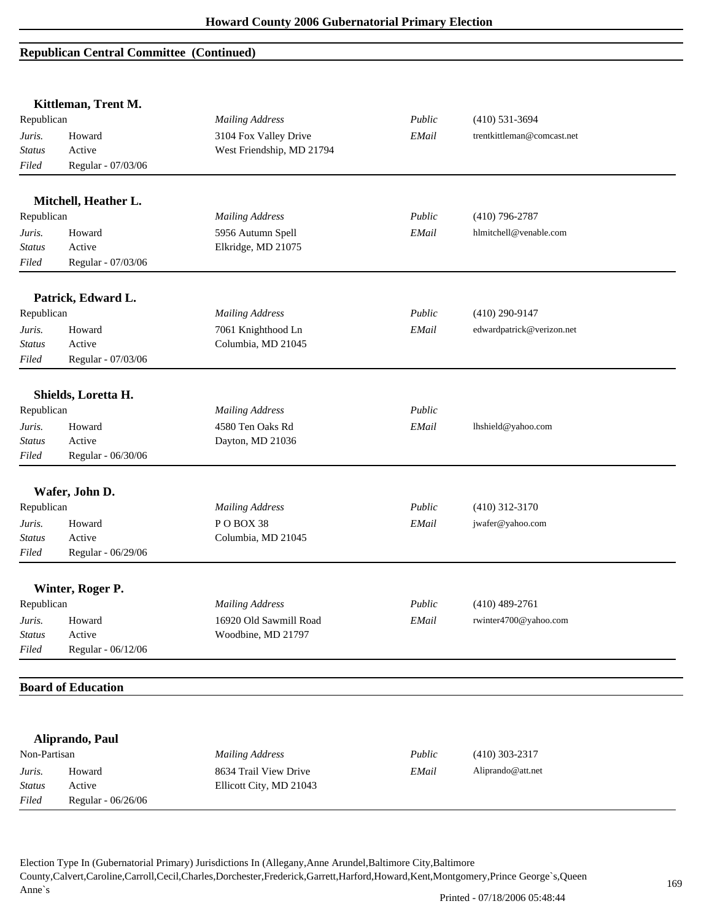*Filed* Regular - 06/26/06

|               | Kittleman, Trent M.       |                           |        |                            |
|---------------|---------------------------|---------------------------|--------|----------------------------|
| Republican    |                           | <b>Mailing Address</b>    | Public | $(410) 531 - 3694$         |
| Juris.        | Howard                    | 3104 Fox Valley Drive     | EMail  | trentkittleman@comcast.net |
| <b>Status</b> | Active                    | West Friendship, MD 21794 |        |                            |
| Filed         | Regular - 07/03/06        |                           |        |                            |
|               | Mitchell, Heather L.      |                           |        |                            |
| Republican    |                           | <b>Mailing Address</b>    | Public | $(410)$ 796-2787           |
| Juris.        | Howard                    | 5956 Autumn Spell         | EMail  | hlmitchell@venable.com     |
| <b>Status</b> | Active                    | Elkridge, MD 21075        |        |                            |
| Filed         | Regular - 07/03/06        |                           |        |                            |
|               | Patrick, Edward L.        |                           |        |                            |
| Republican    |                           | <b>Mailing Address</b>    | Public | $(410)$ 290-9147           |
| Juris.        | Howard                    | 7061 Knighthood Ln        | EMail  | edwardpatrick@verizon.net  |
| <b>Status</b> | Active                    | Columbia, MD 21045        |        |                            |
| Filed         | Regular - 07/03/06        |                           |        |                            |
|               | Shields, Loretta H.       |                           |        |                            |
| Republican    |                           | <b>Mailing Address</b>    | Public |                            |
| Juris.        | Howard                    | 4580 Ten Oaks Rd          | EMail  | lhshield@yahoo.com         |
| <b>Status</b> | Active                    | Dayton, MD 21036          |        |                            |
| Filed         | Regular - 06/30/06        |                           |        |                            |
|               | Wafer, John D.            |                           |        |                            |
| Republican    |                           | <b>Mailing Address</b>    | Public | $(410)$ 312-3170           |
| Juris.        | Howard                    | POBOX 38                  | EMail  | jwafer@yahoo.com           |
| <b>Status</b> | Active                    | Columbia, MD 21045        |        |                            |
| Filed         | Regular - 06/29/06        |                           |        |                            |
|               | Winter, Roger P.          |                           |        |                            |
| Republican    |                           | <b>Mailing Address</b>    | Public | $(410)$ 489-2761           |
| Juris.        | Howard                    | 16920 Old Sawmill Road    | EMail  | rwinter4700@yahoo.com      |
| <b>Status</b> | Active                    | Woodbine, MD 21797        |        |                            |
| Filed         | Regular - 06/12/06        |                           |        |                            |
|               | <b>Board of Education</b> |                           |        |                            |
|               |                           |                           |        |                            |
|               | Aliprando, Paul           |                           |        |                            |
| Non-Partisan  |                           | <b>Mailing Address</b>    | Public | $(410)$ 303-2317           |
| Juris.        | Howard                    | 8634 Trail View Drive     | EMail  | Aliprando@att.net          |
| <b>Status</b> | Active                    | Ellicott City, MD 21043   |        |                            |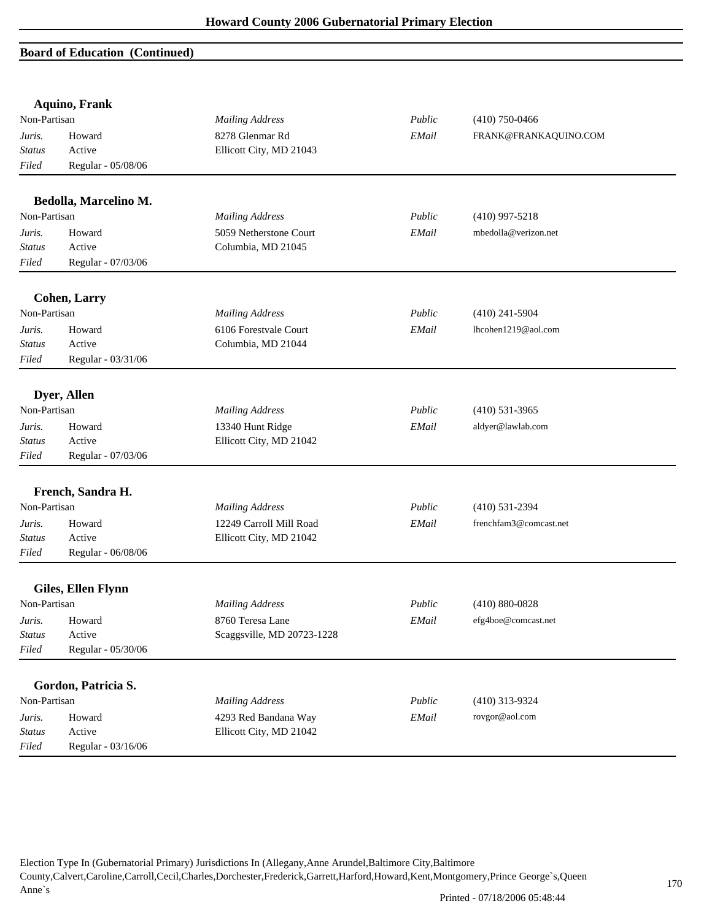|                        | <b>Aquino, Frank</b>  |                            |        |                        |
|------------------------|-----------------------|----------------------------|--------|------------------------|
| Non-Partisan           |                       | <b>Mailing Address</b>     | Public | $(410)$ 750-0466       |
| Juris.                 | Howard                | 8278 Glenmar Rd            | EMail  | FRANK@FRANKAQUINO.COM  |
| <b>Status</b>          | Active                | Ellicott City, MD 21043    |        |                        |
| Filed                  | Regular - 05/08/06    |                            |        |                        |
|                        | Bedolla, Marcelino M. |                            |        |                        |
| Non-Partisan           |                       | <b>Mailing Address</b>     | Public | $(410)$ 997-5218       |
| Juris.                 | Howard                | 5059 Netherstone Court     | EMail  | mbedolla@verizon.net   |
| <b>Status</b>          | Active                | Columbia, MD 21045         |        |                        |
| Filed                  | Regular - 07/03/06    |                            |        |                        |
|                        | <b>Cohen, Larry</b>   |                            |        |                        |
| Non-Partisan           |                       | <b>Mailing Address</b>     | Public | $(410)$ 241-5904       |
| Juris.                 | Howard                | 6106 Forestvale Court      | EMail  | lhcohen1219@aol.com    |
| Status                 | Active                | Columbia, MD 21044         |        |                        |
| Filed                  | Regular - 03/31/06    |                            |        |                        |
|                        |                       |                            |        |                        |
|                        | Dyer, Allen           |                            |        |                        |
| Non-Partisan           |                       | <b>Mailing Address</b>     | Public | $(410)$ 531-3965       |
| Juris.                 | Howard                | 13340 Hunt Ridge           | EMail  | aldyer@lawlab.com      |
| <b>Status</b>          | Active                | Ellicott City, MD 21042    |        |                        |
| Filed                  | Regular - 07/03/06    |                            |        |                        |
|                        |                       |                            |        |                        |
| Non-Partisan           | French, Sandra H.     |                            | Public |                        |
|                        |                       | <b>Mailing Address</b>     |        | $(410) 531 - 2394$     |
| Juris.                 | Howard<br>Active      | 12249 Carroll Mill Road    | EMail  | frenchfam3@comcast.net |
| <b>Status</b><br>Filed |                       | Ellicott City, MD 21042    |        |                        |
|                        | Regular - 06/08/06    |                            |        |                        |
|                        | Giles, Ellen Flynn    |                            |        |                        |
| Non-Partisan           |                       | <b>Mailing Address</b>     | Public | $(410) 880 - 0828$     |
| Juris.                 | Howard                | 8760 Teresa Lane           | EMail  | efg4boe@comcast.net    |
| <b>Status</b>          | Active                | Scaggsville, MD 20723-1228 |        |                        |
| Filed                  | Regular - 05/30/06    |                            |        |                        |
|                        |                       |                            |        |                        |
|                        | Gordon, Patricia S.   |                            |        |                        |
| Non-Partisan           |                       | <b>Mailing Address</b>     | Public | (410) 313-9324         |
| Juris.                 | Howard                | 4293 Red Bandana Way       | EMail  | rovgor@aol.com         |
| <b>Status</b>          | Active                | Ellicott City, MD 21042    |        |                        |
| Filed                  | Regular - 03/16/06    |                            |        |                        |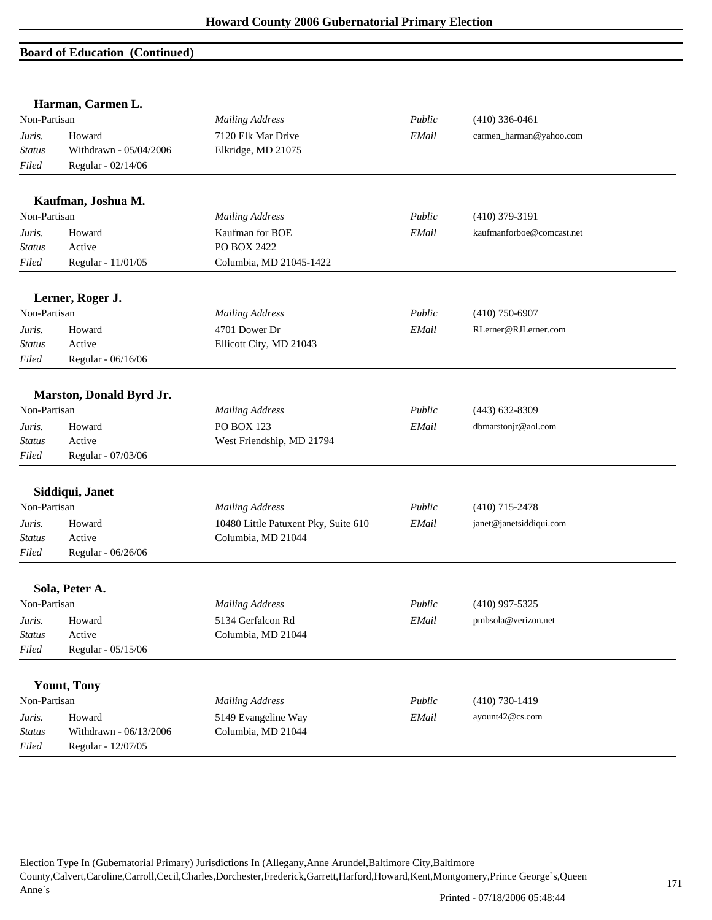|                                  | Harman, Carmen L.                                      |                                                            |        |                           |  |
|----------------------------------|--------------------------------------------------------|------------------------------------------------------------|--------|---------------------------|--|
| Non-Partisan                     |                                                        | <b>Mailing Address</b>                                     | Public | $(410)$ 336-0461          |  |
| Juris.<br><b>Status</b><br>Filed | Howard<br>Withdrawn - 05/04/2006<br>Regular - 02/14/06 | 7120 Elk Mar Drive<br>Elkridge, MD 21075                   | EMail  | carmen_harman@yahoo.com   |  |
|                                  | Kaufman, Joshua M.                                     |                                                            |        |                           |  |
| Non-Partisan                     |                                                        | <b>Mailing Address</b>                                     | Public | $(410)$ 379-3191          |  |
| Juris.<br><b>Status</b><br>Filed | Howard<br>Active<br>Regular - 11/01/05                 | Kaufman for BOE<br>PO BOX 2422<br>Columbia, MD 21045-1422  | EMail  | kaufmanforboe@comcast.net |  |
|                                  | Lerner, Roger J.                                       |                                                            |        |                           |  |
| Non-Partisan                     |                                                        | <b>Mailing Address</b>                                     | Public | $(410)$ 750-6907          |  |
| Juris.<br><b>Status</b><br>Filed | Howard<br>Active<br>Regular - 06/16/06                 | 4701 Dower Dr<br>Ellicott City, MD 21043                   | EMail  | RLerner@RJLerner.com      |  |
|                                  | Marston, Donald Byrd Jr.                               |                                                            |        |                           |  |
| Non-Partisan                     |                                                        | <b>Mailing Address</b>                                     | Public | $(443)$ 632-8309          |  |
| Juris.<br><b>Status</b><br>Filed | Howard<br>Active<br>Regular - 07/03/06                 | PO BOX 123<br>West Friendship, MD 21794                    | EMail  | dbmarstonjr@aol.com       |  |
|                                  | Siddiqui, Janet                                        |                                                            |        |                           |  |
| Non-Partisan                     |                                                        | <b>Mailing Address</b>                                     | Public | $(410)$ 715-2478          |  |
| Juris.<br><b>Status</b><br>Filed | Howard<br>Active<br>Regular - 06/26/06                 | 10480 Little Patuxent Pky, Suite 610<br>Columbia, MD 21044 | EMail  | janet@janetsiddiqui.com   |  |
|                                  | Sola, Peter A.                                         |                                                            |        |                           |  |
| Non-Partisan                     |                                                        | <b>Mailing Address</b>                                     | Public | $(410)$ 997-5325          |  |
| Juris.<br><b>Status</b><br>Filed | Howard<br>Active<br>Regular - 05/15/06                 | 5134 Gerfalcon Rd<br>Columbia, MD 21044                    | EMail  | pmbsola@verizon.net       |  |
|                                  | <b>Yount, Tony</b>                                     |                                                            |        |                           |  |
| Non-Partisan                     |                                                        | <b>Mailing Address</b>                                     | Public | $(410) 730 - 1419$        |  |
| Juris.<br><b>Status</b><br>Filed | Howard<br>Withdrawn - 06/13/2006<br>Regular - 12/07/05 | 5149 Evangeline Way<br>Columbia, MD 21044                  | EMail  | ayount42@cs.com           |  |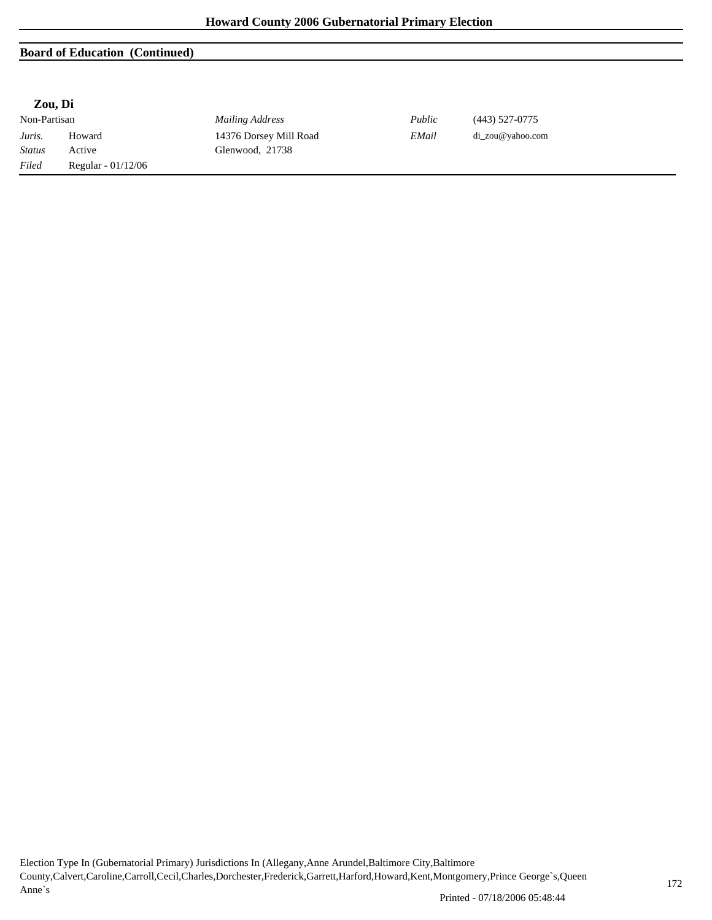#### **Zou, Di**

Non-Partisan *Mailing Address Public* (443) 527-0775 *Juris.* Howard 14376 Dorsey Mill Road *EMail* di\_zou@yahoo.com *Status* Active Glenwood, 21738 *Filed* Regular - 01/12/06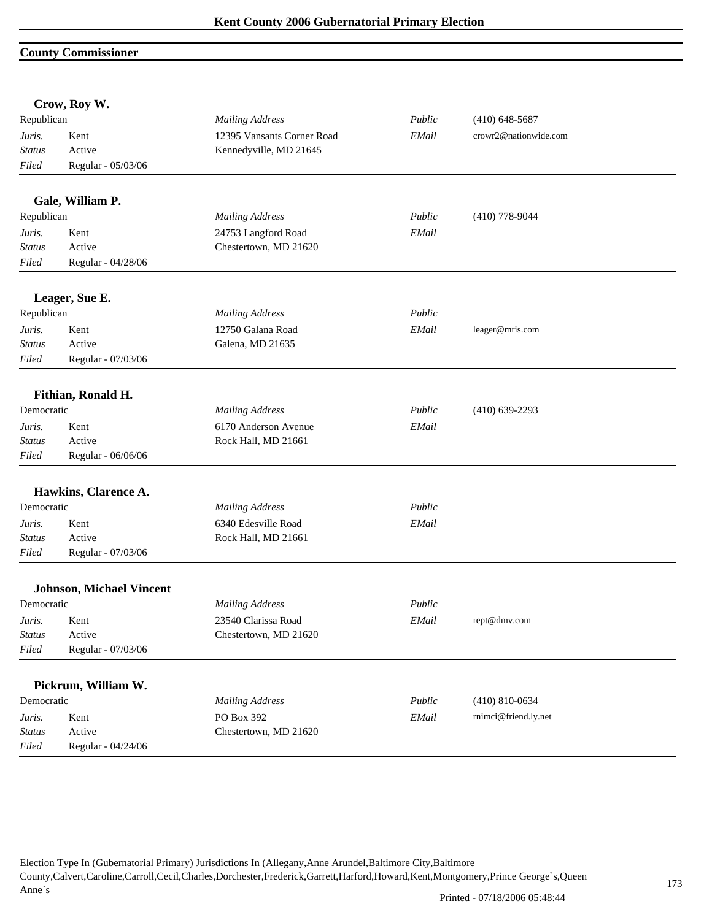#### **County Commissioner**

|               | Crow, Roy W.                    |                            |             |                       |  |
|---------------|---------------------------------|----------------------------|-------------|-----------------------|--|
| Republican    |                                 | <b>Mailing Address</b>     | Public      | $(410)$ 648-5687      |  |
| Juris.        | Kent                            | 12395 Vansants Corner Road | EMail       | crowr2@nationwide.com |  |
| Status        | Active                          | Kennedyville, MD 21645     |             |                       |  |
| Filed         | Regular - 05/03/06              |                            |             |                       |  |
|               | Gale, William P.                |                            |             |                       |  |
| Republican    |                                 | <b>Mailing Address</b>     | Public      | $(410)$ 778-9044      |  |
| Juris.        | Kent                            | 24753 Langford Road        | EMail       |                       |  |
| <b>Status</b> | Active                          | Chestertown, MD 21620      |             |                       |  |
| Filed         | Regular - 04/28/06              |                            |             |                       |  |
|               | Leager, Sue E.                  |                            |             |                       |  |
| Republican    |                                 | <b>Mailing Address</b>     | Public      |                       |  |
| Juris.        | Kent                            | 12750 Galana Road          | EMail       | leager@mris.com       |  |
| <b>Status</b> | Active                          | Galena, MD 21635           |             |                       |  |
| Filed         | Regular - 07/03/06              |                            |             |                       |  |
|               | Fithian, Ronald H.              |                            |             |                       |  |
| Democratic    |                                 | <b>Mailing Address</b>     | Public      | $(410)$ 639-2293      |  |
| Juris.        | Kent                            | 6170 Anderson Avenue       | EMail       |                       |  |
| <b>Status</b> | Active                          | Rock Hall, MD 21661        |             |                       |  |
| Filed         | Regular - 06/06/06              |                            |             |                       |  |
|               | Hawkins, Clarence A.            |                            |             |                       |  |
| Democratic    |                                 | <b>Mailing Address</b>     | Public      |                       |  |
| Juris.        | Kent                            | 6340 Edesville Road        | EMail       |                       |  |
| <b>Status</b> | Active                          | Rock Hall, MD 21661        |             |                       |  |
| Filed         | Regular - 07/03/06              |                            |             |                       |  |
|               | <b>Johnson, Michael Vincent</b> |                            |             |                       |  |
| Democratic    |                                 | <b>Mailing Address</b>     | Public      |                       |  |
| Juris.        | Kent                            | 23540 Clarissa Road        | $\it EMail$ | rept@dmv.com          |  |
| <b>Status</b> | Active                          | Chestertown, MD 21620      |             |                       |  |
| Filed         | Regular - 07/03/06              |                            |             |                       |  |
|               | Pickrum, William W.             |                            |             |                       |  |
| Democratic    |                                 | <b>Mailing Address</b>     | Public      | $(410) 810 - 0634$    |  |
| Juris.        | Kent                            | PO Box 392                 | EMail       | rnimci@friend.ly.net  |  |
| <b>Status</b> | Active                          | Chestertown, MD 21620      |             |                       |  |
| Filed         | Regular - 04/24/06              |                            |             |                       |  |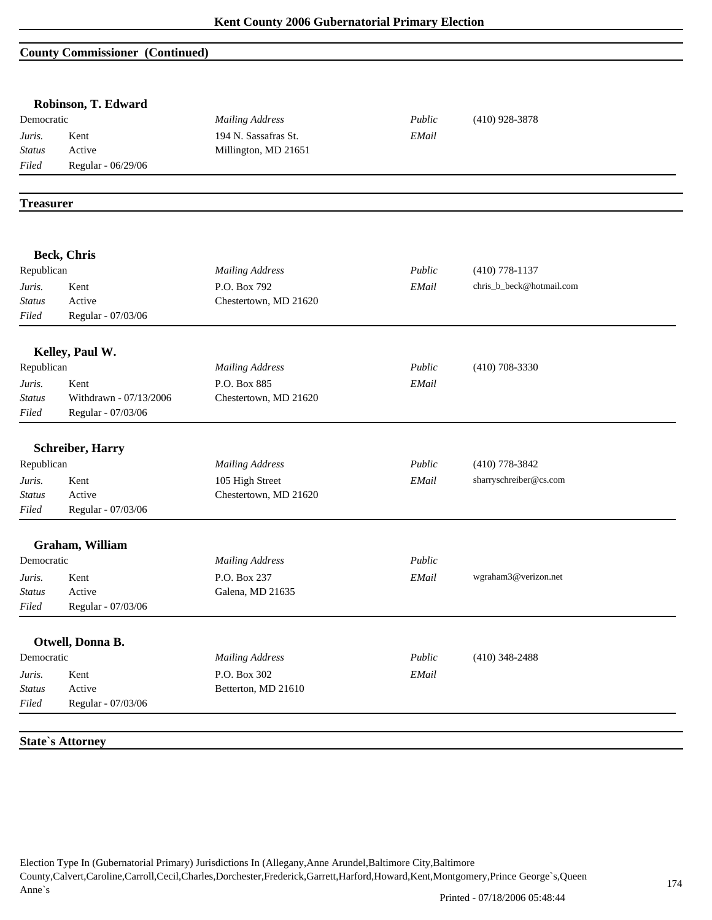## **County Commissioner (Continued)**

| Democratic       |                         | <b>Mailing Address</b> | Public | $(410)$ 928-3878         |  |
|------------------|-------------------------|------------------------|--------|--------------------------|--|
| Juris.           | Kent                    | 194 N. Sassafras St.   | EMail  |                          |  |
| <b>Status</b>    | Active                  | Millington, MD 21651   |        |                          |  |
| Filed            | Regular - 06/29/06      |                        |        |                          |  |
|                  |                         |                        |        |                          |  |
| <b>Treasurer</b> |                         |                        |        |                          |  |
|                  |                         |                        |        |                          |  |
|                  | Beck, Chris             |                        |        |                          |  |
| Republican       |                         | <b>Mailing Address</b> | Public | $(410)$ 778-1137         |  |
| Juris.           | Kent                    | P.O. Box 792           | EMail  | chris_b_beck@hotmail.com |  |
| <b>Status</b>    | Active                  | Chestertown, MD 21620  |        |                          |  |
| Filed            | Regular - 07/03/06      |                        |        |                          |  |
|                  | Kelley, Paul W.         |                        |        |                          |  |
| Republican       |                         | <b>Mailing Address</b> | Public | $(410)$ 708-3330         |  |
| Juris.           | Kent                    | P.O. Box 885           | EMail  |                          |  |
| <b>Status</b>    | Withdrawn - 07/13/2006  | Chestertown, MD 21620  |        |                          |  |
| Filed            | Regular - 07/03/06      |                        |        |                          |  |
|                  |                         |                        |        |                          |  |
|                  | <b>Schreiber, Harry</b> |                        |        |                          |  |
| Republican       |                         | <b>Mailing Address</b> | Public | $(410)$ 778-3842         |  |
| Juris.           | Kent                    | 105 High Street        | EMail  | sharryschreiber@cs.com   |  |
| <b>Status</b>    | Active                  | Chestertown, MD 21620  |        |                          |  |
| Filed            | Regular - 07/03/06      |                        |        |                          |  |
|                  | Graham, William         |                        |        |                          |  |
| Democratic       |                         | <b>Mailing Address</b> | Public |                          |  |
| Juris.           | Kent                    | P.O. Box 237           | EMail  | wgraham3@verizon.net     |  |
| <b>Status</b>    | Active                  | Galena, MD 21635       |        |                          |  |
| Filed            | Regular - 07/03/06      |                        |        |                          |  |
|                  |                         |                        |        |                          |  |
|                  | Otwell, Donna B.        |                        |        |                          |  |
| Democratic       |                         | <b>Mailing Address</b> | Public | $(410)$ 348-2488         |  |
| Juris.           | Kent                    | P.O. Box 302           | EMail  |                          |  |
| <b>Status</b>    | Active                  | Betterton, MD 21610    |        |                          |  |
| Filed            | Regular - 07/03/06      |                        |        |                          |  |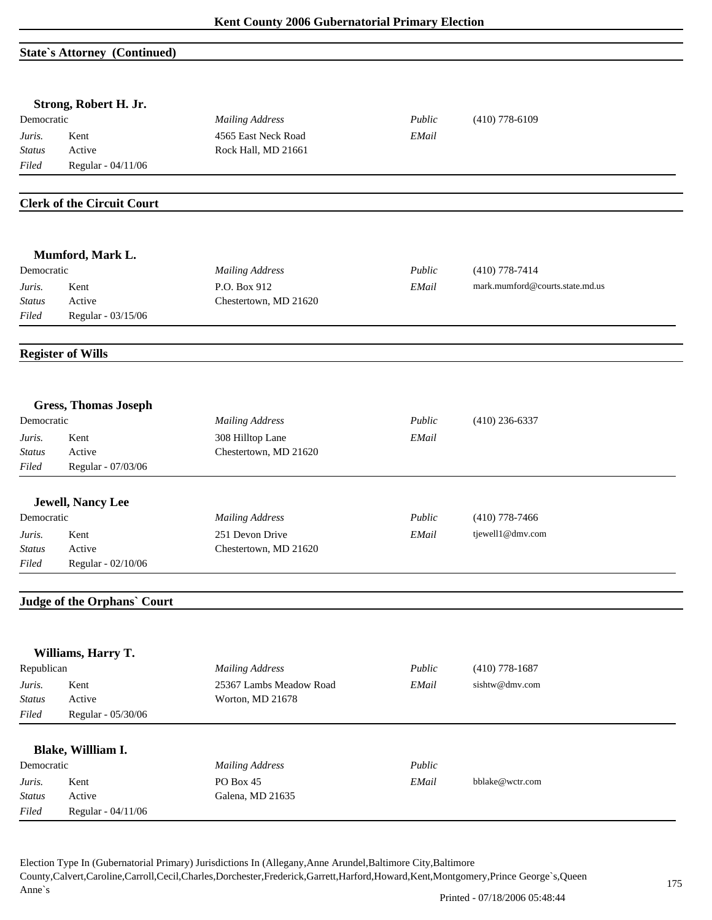## **State`s Attorney (Continued)**

|               | Strong, Robert H. Jr.             |                         |        |                                 |
|---------------|-----------------------------------|-------------------------|--------|---------------------------------|
| Democratic    |                                   | <b>Mailing Address</b>  | Public | $(410)$ 778-6109                |
| Juris.        | Kent                              | 4565 East Neck Road     | EMail  |                                 |
| <b>Status</b> | Active                            | Rock Hall, MD 21661     |        |                                 |
| Filed         | Regular - 04/11/06                |                         |        |                                 |
|               | <b>Clerk of the Circuit Court</b> |                         |        |                                 |
|               |                                   |                         |        |                                 |
|               | Mumford, Mark L.                  |                         |        |                                 |
| Democratic    |                                   | <b>Mailing Address</b>  | Public | $(410)$ 778-7414                |
| Juris.        | Kent                              | P.O. Box 912            | EMail  | mark.mumford@courts.state.md.us |
| Status        | Active                            | Chestertown, MD 21620   |        |                                 |
| Filed         | Regular - 03/15/06                |                         |        |                                 |
|               | <b>Register of Wills</b>          |                         |        |                                 |
|               |                                   |                         |        |                                 |
|               | <b>Gress, Thomas Joseph</b>       |                         |        |                                 |
| Democratic    |                                   | <b>Mailing Address</b>  | Public | $(410)$ 236-6337                |
| Juris.        | Kent                              | 308 Hilltop Lane        | EMail  |                                 |
| <b>Status</b> | Active                            | Chestertown, MD 21620   |        |                                 |
| Filed         | Regular - 07/03/06                |                         |        |                                 |
|               | <b>Jewell, Nancy Lee</b>          |                         |        |                                 |
| Democratic    |                                   | <b>Mailing Address</b>  | Public | $(410)$ 778-7466                |
| Juris.        | Kent                              | 251 Devon Drive         | EMail  | tjewell1@dmv.com                |
| <b>Status</b> | Active                            | Chestertown, MD 21620   |        |                                 |
| Filed         | Regular - 02/10/06                |                         |        |                                 |
|               | Judge of the Orphans' Court       |                         |        |                                 |
|               |                                   |                         |        |                                 |
|               | Williams, Harry T.                |                         |        |                                 |
| Republican    |                                   | <b>Mailing Address</b>  | Public | $(410)$ 778-1687                |
| Juris.        | Kent<br>Active                    | 25367 Lambs Meadow Road | EMail  | sishtw@dmv.com                  |
| <b>Status</b> |                                   | Worton, MD 21678        |        |                                 |
| Filed         | Regular - 05/30/06                |                         |        |                                 |
|               | Blake, Willliam I.                |                         |        |                                 |
| Democratic    |                                   | <b>Mailing Address</b>  | Public |                                 |
| Juris.        | Kent                              | PO Box 45               | EMail  | bblake@wctr.com                 |
| <b>Status</b> | Active                            | Galena, MD 21635        |        |                                 |
| Filed         | Regular - 04/11/06                |                         |        |                                 |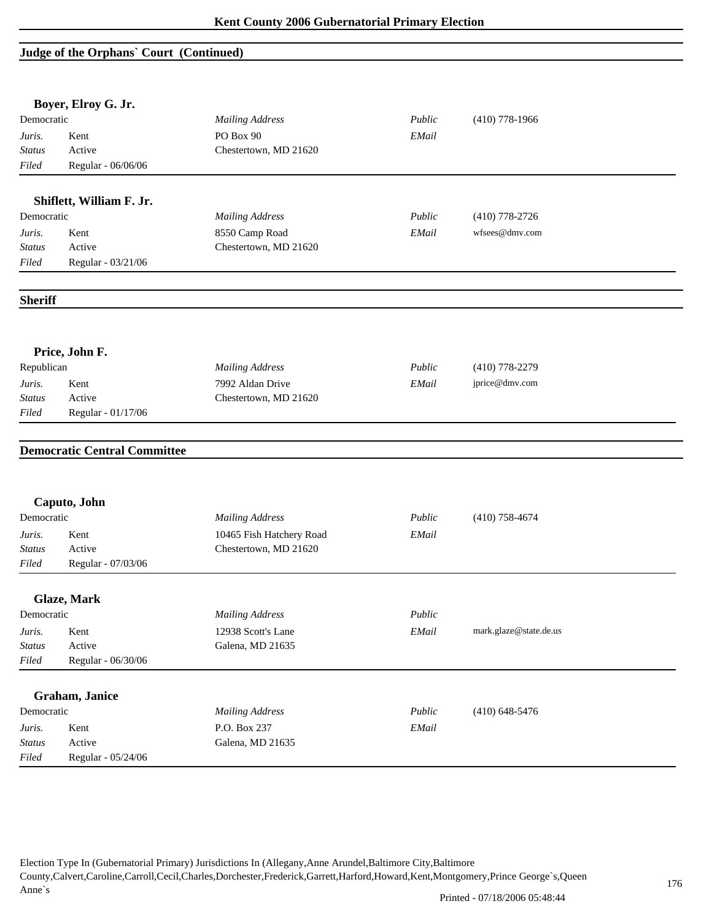## **Judge of the Orphans` Court (Continued)**

|                | Boyer, Elroy G. Jr.                 |                          |        |                        |  |
|----------------|-------------------------------------|--------------------------|--------|------------------------|--|
| Democratic     |                                     | <b>Mailing Address</b>   | Public | $(410)$ 778-1966       |  |
| Juris.         | Kent                                | PO Box 90                | EMail  |                        |  |
| <b>Status</b>  | Active                              | Chestertown, MD 21620    |        |                        |  |
| Filed          | Regular - 06/06/06                  |                          |        |                        |  |
|                | Shiflett, William F. Jr.            |                          |        |                        |  |
| Democratic     |                                     | <b>Mailing Address</b>   | Public | $(410)$ 778-2726       |  |
| Juris.         | Kent                                | 8550 Camp Road           | EMail  | wfsees@dmv.com         |  |
| <b>Status</b>  | Active                              | Chestertown, MD 21620    |        |                        |  |
| Filed          | Regular - 03/21/06                  |                          |        |                        |  |
|                |                                     |                          |        |                        |  |
| <b>Sheriff</b> |                                     |                          |        |                        |  |
|                | Price, John F.                      |                          |        |                        |  |
| Republican     |                                     | <b>Mailing Address</b>   | Public | $(410)$ 778-2279       |  |
| Juris.         | Kent                                | 7992 Aldan Drive         | EMail  | jprice@dmv.com         |  |
| <b>Status</b>  | Active                              | Chestertown, MD 21620    |        |                        |  |
| Filed          | Regular - 01/17/06                  |                          |        |                        |  |
|                | <b>Democratic Central Committee</b> |                          |        |                        |  |
|                | Caputo, John                        |                          |        |                        |  |
| Democratic     |                                     | <b>Mailing Address</b>   | Public | $(410)$ 758-4674       |  |
| Juris.         | Kent                                | 10465 Fish Hatchery Road | EMail  |                        |  |
| <b>Status</b>  | Active                              | Chestertown, MD 21620    |        |                        |  |
| Filed          | Regular - 07/03/06                  |                          |        |                        |  |
|                | Glaze, Mark                         |                          |        |                        |  |
| Democratic     |                                     | <b>Mailing Address</b>   | Public |                        |  |
| Juris.         | Kent                                | 12938 Scott's Lane       | EMail  | mark.glaze@state.de.us |  |
| <b>Status</b>  | Active                              | Galena, MD 21635         |        |                        |  |
| Filed          | Regular - 06/30/06                  |                          |        |                        |  |
|                | Graham, Janice                      |                          |        |                        |  |
| Democratic     |                                     | <b>Mailing Address</b>   | Public | $(410)$ 648-5476       |  |
| Juris.         | Kent                                | P.O. Box 237             | EMail  |                        |  |
|                | Active                              | Galena, MD 21635         |        |                        |  |
| <b>Status</b>  |                                     |                          |        |                        |  |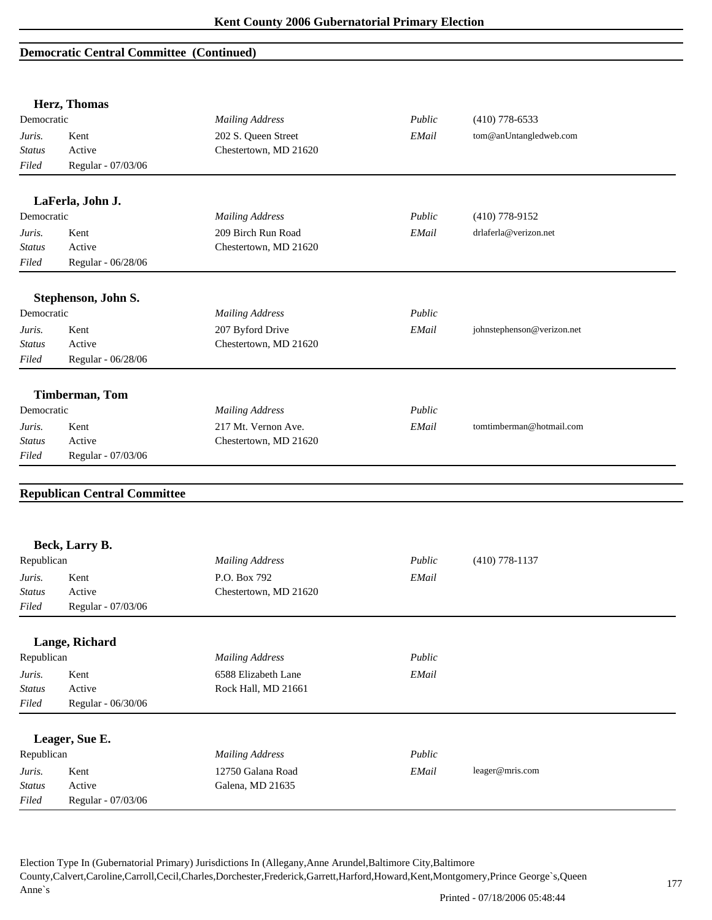|                         | Herz, Thomas                        |                                           |        |                            |
|-------------------------|-------------------------------------|-------------------------------------------|--------|----------------------------|
| Democratic              |                                     | <b>Mailing Address</b>                    | Public | $(410)$ 778-6533           |
| Juris.                  | Kent                                | 202 S. Queen Street                       | EMail  | tom@anUntangledweb.com     |
| <i>Status</i>           | Active                              | Chestertown, MD 21620                     |        |                            |
| Filed                   | Regular - 07/03/06                  |                                           |        |                            |
|                         | LaFerla, John J.                    |                                           |        |                            |
| Democratic              |                                     | <b>Mailing Address</b>                    | Public | $(410)$ 778-9152           |
| Juris.                  | Kent                                | 209 Birch Run Road                        | EMail  | drlaferla@verizon.net      |
| <b>Status</b>           | Active                              | Chestertown, MD 21620                     |        |                            |
| Filed                   | Regular - 06/28/06                  |                                           |        |                            |
|                         | Stephenson, John S.                 |                                           |        |                            |
| Democratic              |                                     | <b>Mailing Address</b>                    | Public |                            |
|                         | Kent                                |                                           | EMail  | johnstephenson@verizon.net |
| Juris.<br><b>Status</b> | Active                              | 207 Byford Drive<br>Chestertown, MD 21620 |        |                            |
| Filed                   | Regular - 06/28/06                  |                                           |        |                            |
|                         |                                     |                                           |        |                            |
|                         | Timberman, Tom                      |                                           |        |                            |
| Democratic              |                                     | <b>Mailing Address</b>                    | Public |                            |
| Juris.                  | Kent                                | 217 Mt. Vernon Ave.                       | EMail  | tomtimberman@hotmail.com   |
| <b>Status</b>           | Active                              | Chestertown, MD 21620                     |        |                            |
| Filed                   | Regular - 07/03/06                  |                                           |        |                            |
|                         |                                     |                                           |        |                            |
|                         | <b>Republican Central Committee</b> |                                           |        |                            |
|                         |                                     |                                           |        |                            |
|                         | Beck, Larry B.                      |                                           |        |                            |
| Republican              |                                     | <b>Mailing Address</b>                    | Public | $(410)$ 778-1137           |
| Juris.                  | Kent                                | P.O. Box 792                              | EMail  |                            |
| <b>Status</b>           | Active                              | Chestertown, MD 21620                     |        |                            |
| Filed                   | Regular - 07/03/06                  |                                           |        |                            |
|                         | Lange, Richard                      |                                           |        |                            |
| Republican              |                                     | <b>Mailing Address</b>                    | Public |                            |
| Juris.                  | Kent                                | 6588 Elizabeth Lane                       | EMail  |                            |
| <b>Status</b>           | Active                              | Rock Hall, MD 21661                       |        |                            |
| Filed                   | Regular - 06/30/06                  |                                           |        |                            |
|                         |                                     |                                           |        |                            |
|                         | Leager, Sue E.                      |                                           |        |                            |
| Republican              |                                     | <b>Mailing Address</b>                    | Public |                            |
| Juris.                  | Kent                                | 12750 Galana Road                         | EMail  | leager@mris.com            |
| <b>Status</b>           | Active                              | Galena, MD 21635                          |        |                            |
| Filed                   | Regular - 07/03/06                  |                                           |        |                            |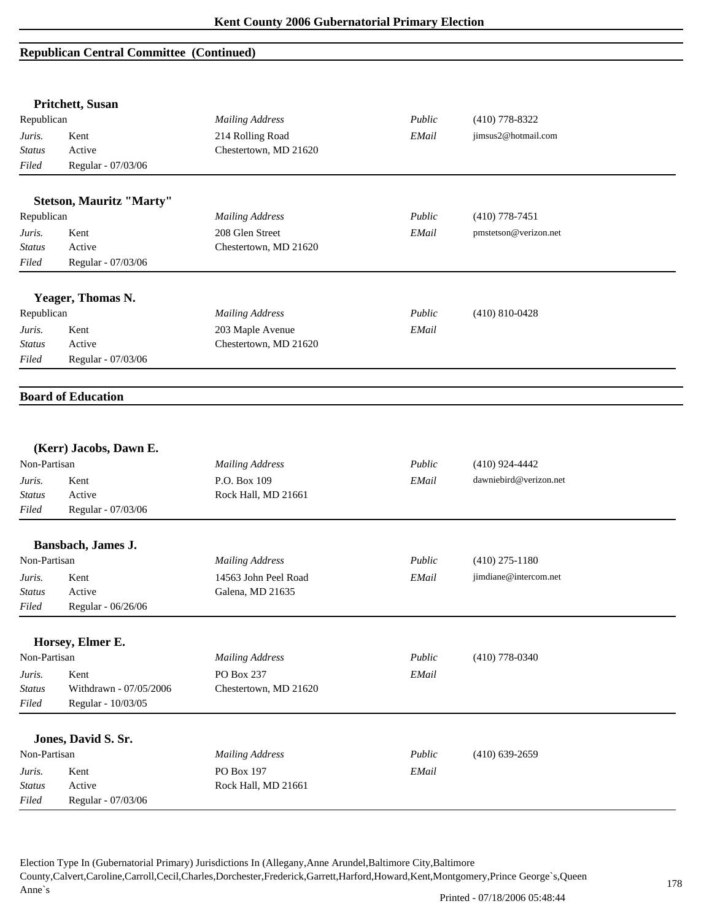|               | Pritchett, Susan                |                        |        |                        |  |
|---------------|---------------------------------|------------------------|--------|------------------------|--|
| Republican    |                                 | <b>Mailing Address</b> | Public | $(410)$ 778-8322       |  |
| Juris.        | Kent                            | 214 Rolling Road       | EMail  | jimsus2@hotmail.com    |  |
| <b>Status</b> | Active                          | Chestertown, MD 21620  |        |                        |  |
| Filed         | Regular - 07/03/06              |                        |        |                        |  |
|               | <b>Stetson, Mauritz "Marty"</b> |                        |        |                        |  |
| Republican    |                                 | <b>Mailing Address</b> | Public | $(410)$ 778-7451       |  |
| Juris.        | Kent                            | 208 Glen Street        | EMail  | pmstetson@verizon.net  |  |
| Status        | Active                          | Chestertown, MD 21620  |        |                        |  |
| Filed         | Regular - 07/03/06              |                        |        |                        |  |
|               | Yeager, Thomas N.               |                        |        |                        |  |
| Republican    |                                 | <b>Mailing Address</b> | Public | $(410) 810 - 0428$     |  |
| Juris.        | Kent                            | 203 Maple Avenue       | EMail  |                        |  |
| <b>Status</b> | Active                          | Chestertown, MD 21620  |        |                        |  |
| Filed         | Regular - 07/03/06              |                        |        |                        |  |
|               | <b>Board of Education</b>       |                        |        |                        |  |
|               | (Kerr) Jacobs, Dawn E.          |                        |        |                        |  |
| Non-Partisan  |                                 | <b>Mailing Address</b> | Public | $(410)$ 924-4442       |  |
| Juris.        | Kent                            | P.O. Box 109           | EMail  | dawniebird@verizon.net |  |
| Status        | Active                          | Rock Hall, MD 21661    |        |                        |  |
| Filed         | Regular - 07/03/06              |                        |        |                        |  |
|               | Bansbach, James J.              |                        |        |                        |  |
| Non-Partisan  |                                 | <b>Mailing Address</b> | Public | $(410)$ 275-1180       |  |
| Juris.        | Kent                            | 14563 John Peel Road   | EMail  | jimdiane@intercom.net  |  |
| <i>Status</i> | Active                          | Galena, MD 21635       |        |                        |  |
| $Filed$       | Regular - 06/26/06              |                        |        |                        |  |
|               | Horsey, Elmer E.                |                        |        |                        |  |
| Non-Partisan  |                                 | <b>Mailing Address</b> | Public | $(410)$ 778-0340       |  |
| Juris.        | Kent                            | PO Box 237             | EMail  |                        |  |
| <b>Status</b> | Withdrawn - 07/05/2006          | Chestertown, MD 21620  |        |                        |  |
| Filed         | Regular - 10/03/05              |                        |        |                        |  |
|               | Jones, David S. Sr.             |                        |        |                        |  |
| Non-Partisan  |                                 | <b>Mailing Address</b> | Public | $(410)$ 639-2659       |  |
| Juris.        | Kent                            | PO Box 197             | EMail  |                        |  |
| Status        | Active                          | Rock Hall, MD 21661    |        |                        |  |
| Filed         | Regular - 07/03/06              |                        |        |                        |  |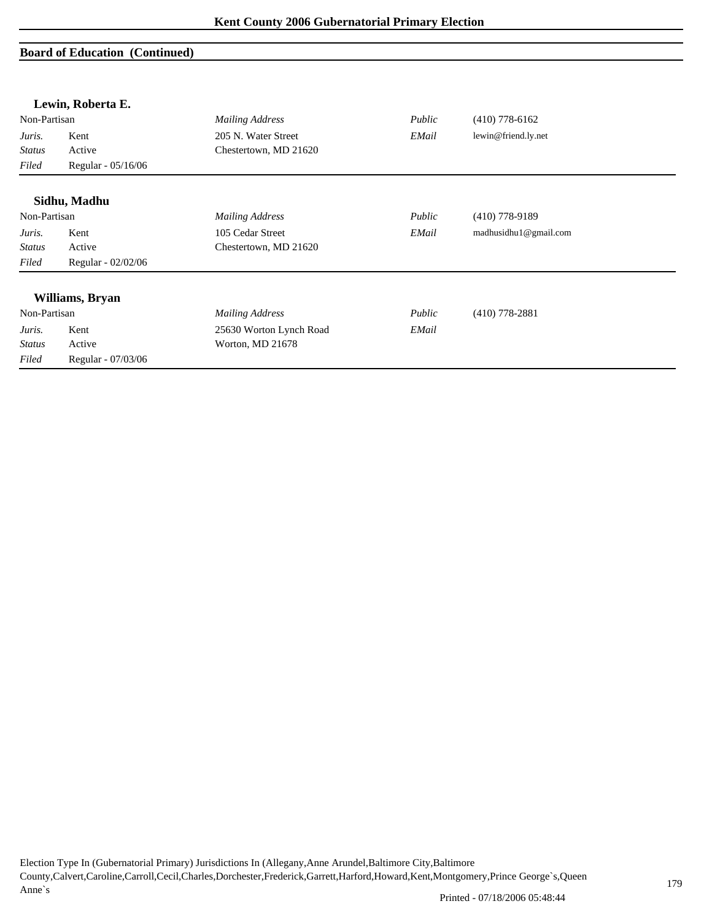|               | Lewin, Roberta E.  |                         |        |                       |  |
|---------------|--------------------|-------------------------|--------|-----------------------|--|
| Non-Partisan  |                    | <b>Mailing Address</b>  | Public | $(410)$ 778-6162      |  |
| Juris.        | Kent               | 205 N. Water Street     | EMail  | lewin@friend.ly.net   |  |
| <b>Status</b> | Active             | Chestertown, MD 21620   |        |                       |  |
| Filed         | Regular - 05/16/06 |                         |        |                       |  |
|               | Sidhu, Madhu       |                         |        |                       |  |
| Non-Partisan  |                    | <b>Mailing Address</b>  | Public | $(410)$ 778-9189      |  |
| Juris.        | Kent               | 105 Cedar Street        | EMail  | madhusidhu1@gmail.com |  |
| <b>Status</b> | Active             | Chestertown, MD 21620   |        |                       |  |
| Filed         | Regular - 02/02/06 |                         |        |                       |  |
|               | Williams, Bryan    |                         |        |                       |  |
| Non-Partisan  |                    | <b>Mailing Address</b>  | Public | $(410)$ 778-2881      |  |
| Juris.        | Kent               | 25630 Worton Lynch Road | EMail  |                       |  |
| <b>Status</b> | Active             | Worton, MD 21678        |        |                       |  |
| Filed         | Regular - 07/03/06 |                         |        |                       |  |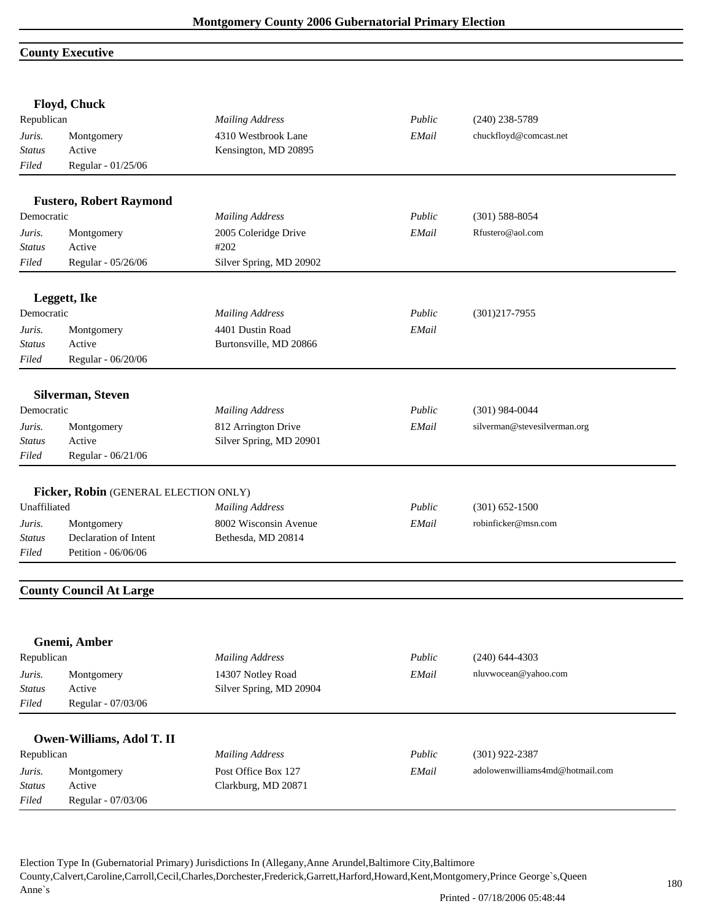## **County Executive**

|               | Floyd, Chuck                          |                         |        |                                 |
|---------------|---------------------------------------|-------------------------|--------|---------------------------------|
| Republican    |                                       | <b>Mailing Address</b>  | Public | $(240)$ 238-5789                |
| Juris.        | Montgomery                            | 4310 Westbrook Lane     | EMail  | chuckfloyd@comcast.net          |
| <b>Status</b> | Active                                | Kensington, MD 20895    |        |                                 |
| Filed         | Regular - 01/25/06                    |                         |        |                                 |
|               | <b>Fustero, Robert Raymond</b>        |                         |        |                                 |
| Democratic    |                                       | <b>Mailing Address</b>  | Public | $(301)$ 588-8054                |
| Juris.        | Montgomery                            | 2005 Coleridge Drive    | EMail  | Rfustero@aol.com                |
| <b>Status</b> | Active                                | #202                    |        |                                 |
| Filed         | Regular - 05/26/06                    | Silver Spring, MD 20902 |        |                                 |
|               | Leggett, Ike                          |                         |        |                                 |
| Democratic    |                                       | <b>Mailing Address</b>  | Public | $(301)217 - 7955$               |
| Juris.        | Montgomery                            | 4401 Dustin Road        | EMail  |                                 |
| <b>Status</b> | Active                                | Burtonsville, MD 20866  |        |                                 |
| Filed         | Regular - 06/20/06                    |                         |        |                                 |
|               | Silverman, Steven                     |                         |        |                                 |
| Democratic    |                                       | <b>Mailing Address</b>  | Public | $(301)$ 984-0044                |
| Juris.        | Montgomery                            | 812 Arrington Drive     | EMail  | silverman@stevesilverman.org    |
| <b>Status</b> | Active                                | Silver Spring, MD 20901 |        |                                 |
| Filed         | Regular - 06/21/06                    |                         |        |                                 |
|               |                                       |                         |        |                                 |
|               | Ficker, Robin (GENERAL ELECTION ONLY) |                         |        |                                 |
| Unaffiliated  |                                       | <b>Mailing Address</b>  | Public | $(301) 652 - 1500$              |
| Juris.        | Montgomery                            | 8002 Wisconsin Avenue   | EMail  | robinficker@msn.com             |
| <b>Status</b> | Declaration of Intent                 | Bethesda, MD 20814      |        |                                 |
| Filed         | Petition - 06/06/06                   |                         |        |                                 |
|               | <b>County Council At Large</b>        |                         |        |                                 |
|               |                                       |                         |        |                                 |
|               | Gnemi, Amber                          |                         |        |                                 |
| Republican    |                                       | <b>Mailing Address</b>  | Public | $(240)$ 644-4303                |
| Juris.        | Montgomery                            | 14307 Notley Road       | EMail  | nluvwocean@yahoo.com            |
| <b>Status</b> | Active                                | Silver Spring, MD 20904 |        |                                 |
| Filed         | Regular - 07/03/06                    |                         |        |                                 |
|               | Owen-Williams, Adol T. II             |                         |        |                                 |
| Republican    |                                       | <b>Mailing Address</b>  | Public | $(301)$ 922-2387                |
| Juris.        | Montgomery                            | Post Office Box 127     | EMail  | adolowenwilliams4md@hotmail.com |
| <b>Status</b> | Active                                | Clarkburg, MD 20871     |        |                                 |
|               |                                       |                         |        |                                 |
| Filed         | Regular - 07/03/06                    |                         |        |                                 |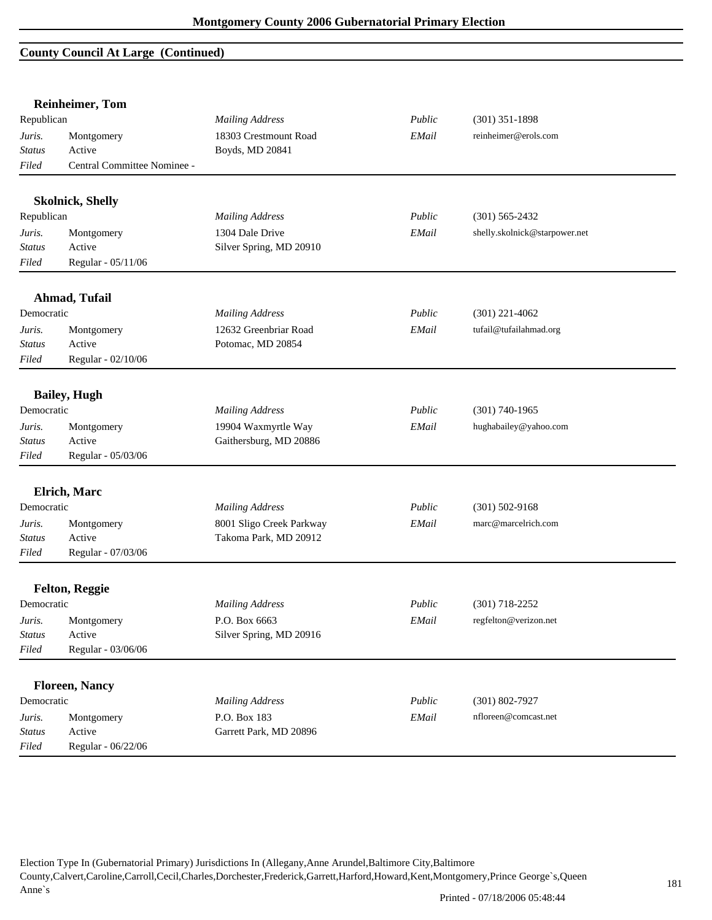#### **County Council At Large (Continued)**

|               | <b>Reinheimer</b> , Tom     |                          |        |                               |
|---------------|-----------------------------|--------------------------|--------|-------------------------------|
| Republican    |                             | <b>Mailing Address</b>   | Public | $(301)$ 351-1898              |
| Juris.        | Montgomery                  | 18303 Crestmount Road    | EMail  | reinheimer@erols.com          |
| <b>Status</b> | Active                      | Boyds, MD 20841          |        |                               |
| Filed         | Central Committee Nominee - |                          |        |                               |
|               | <b>Skolnick, Shelly</b>     |                          |        |                               |
| Republican    |                             | <b>Mailing Address</b>   | Public | $(301) 565 - 2432$            |
| Juris.        | Montgomery                  | 1304 Dale Drive          | EMail  | shelly.skolnick@starpower.net |
| <b>Status</b> | Active                      | Silver Spring, MD 20910  |        |                               |
| Filed         | Regular - 05/11/06          |                          |        |                               |
|               | Ahmad, Tufail               |                          |        |                               |
| Democratic    |                             | <b>Mailing Address</b>   | Public | $(301)$ 221-4062              |
| Juris.        | Montgomery                  | 12632 Greenbriar Road    | EMail  | tufail@tufailahmad.org        |
| <b>Status</b> | Active                      | Potomac, MD 20854        |        |                               |
| Filed         | Regular - 02/10/06          |                          |        |                               |
|               | <b>Bailey</b> , Hugh        |                          |        |                               |
| Democratic    |                             | <b>Mailing Address</b>   | Public | $(301) 740 - 1965$            |
| Juris.        | Montgomery                  | 19904 Waxmyrtle Way      | EMail  | hughabailey@yahoo.com         |
| <b>Status</b> | Active                      | Gaithersburg, MD 20886   |        |                               |
| Filed         | Regular - 05/03/06          |                          |        |                               |
|               | <b>Elrich</b> , Marc        |                          |        |                               |
| Democratic    |                             | <b>Mailing Address</b>   | Public | $(301) 502 - 9168$            |
| Juris.        | Montgomery                  | 8001 Sligo Creek Parkway | EMail  | marc@marcelrich.com           |
| <b>Status</b> | Active                      | Takoma Park, MD 20912    |        |                               |
| Filed         | Regular - 07/03/06          |                          |        |                               |
|               | <b>Felton, Reggie</b>       |                          |        |                               |
| Democratic    |                             | <b>Mailing Address</b>   | Public | $(301)$ 718-2252              |
| Juris.        | Montgomery                  | P.O. Box 6663            | EMail  | regfelton@verizon.net         |
| Status        | Active                      | Silver Spring, MD 20916  |        |                               |
| Filed         | Regular - 03/06/06          |                          |        |                               |
|               |                             |                          |        |                               |
|               | <b>Floreen, Nancy</b>       |                          |        |                               |
| Democratic    |                             | <b>Mailing Address</b>   | Public | $(301) 802 - 7927$            |
| Juris.        | Montgomery                  | P.O. Box 183             | EMail  | nfloreen@comcast.net          |
| <b>Status</b> | Active                      | Garrett Park, MD 20896   |        |                               |
| Filed         | Regular - 06/22/06          |                          |        |                               |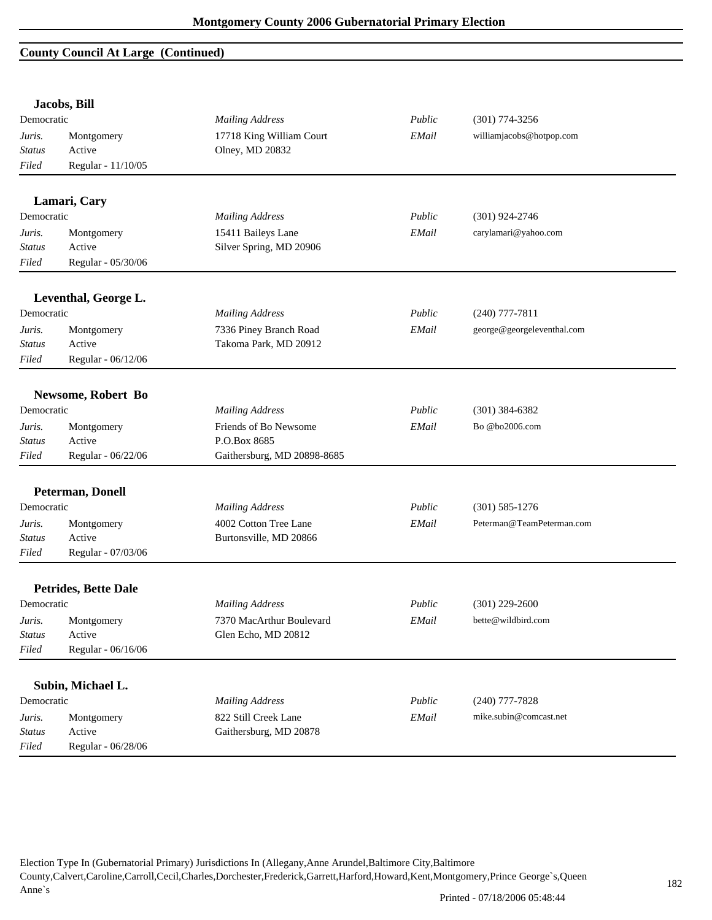# **County Council At Large (Continued)**

|               | Jacobs, Bill                |                             |        |                            |
|---------------|-----------------------------|-----------------------------|--------|----------------------------|
| Democratic    |                             | <b>Mailing Address</b>      | Public | $(301)$ 774-3256           |
| Juris.        | Montgomery                  | 17718 King William Court    | EMail  | williamjacobs@hotpop.com   |
| <b>Status</b> | Active                      | Olney, MD 20832             |        |                            |
| Filed         | Regular - 11/10/05          |                             |        |                            |
|               | Lamari, Cary                |                             |        |                            |
| Democratic    |                             | <b>Mailing Address</b>      | Public | $(301)$ 924-2746           |
| Juris.        | Montgomery                  | 15411 Baileys Lane          | EMail  | carylamari@yahoo.com       |
| <b>Status</b> | Active                      | Silver Spring, MD 20906     |        |                            |
| Filed         | Regular - 05/30/06          |                             |        |                            |
|               | Leventhal, George L.        |                             |        |                            |
| Democratic    |                             | <b>Mailing Address</b>      | Public | $(240)$ 777-7811           |
| Juris.        | Montgomery                  | 7336 Piney Branch Road      | EMail  | george@georgeleventhal.com |
| <b>Status</b> | Active                      | Takoma Park, MD 20912       |        |                            |
| Filed         | Regular - 06/12/06          |                             |        |                            |
|               | Newsome, Robert Bo          |                             |        |                            |
| Democratic    |                             | <b>Mailing Address</b>      | Public | $(301)$ 384-6382           |
| Juris.        | Montgomery                  | Friends of Bo Newsome       | EMail  | Bo @bo2006.com             |
| <b>Status</b> | Active                      | P.O.Box 8685                |        |                            |
| Filed         | Regular - 06/22/06          | Gaithersburg, MD 20898-8685 |        |                            |
|               | <b>Peterman, Donell</b>     |                             |        |                            |
| Democratic    |                             | <b>Mailing Address</b>      | Public | $(301)$ 585-1276           |
| Juris.        | Montgomery                  | 4002 Cotton Tree Lane       | EMail  | Peterman@TeamPeterman.com  |
| <b>Status</b> | Active                      | Burtonsville, MD 20866      |        |                            |
| Filed         | Regular - 07/03/06          |                             |        |                            |
|               | <b>Petrides, Bette Dale</b> |                             |        |                            |
| Democratic    |                             | <b>Mailing Address</b>      | Public | $(301)$ 229-2600           |
| Juris.        | Montgomery                  | 7370 MacArthur Boulevard    | EMail  | bette@wildbird.com         |
| <b>Status</b> | Active                      | Glen Echo, MD 20812         |        |                            |
| Filed         | Regular - 06/16/06          |                             |        |                            |
|               |                             |                             |        |                            |
|               | Subin, Michael L.           |                             |        |                            |
| Democratic    |                             | <b>Mailing Address</b>      | Public | $(240)$ 777-7828           |
| Juris.        | Montgomery                  | 822 Still Creek Lane        | EMail  | mike.subin@comcast.net     |
| <b>Status</b> | Active                      | Gaithersburg, MD 20878      |        |                            |
| Filed         | Regular - 06/28/06          |                             |        |                            |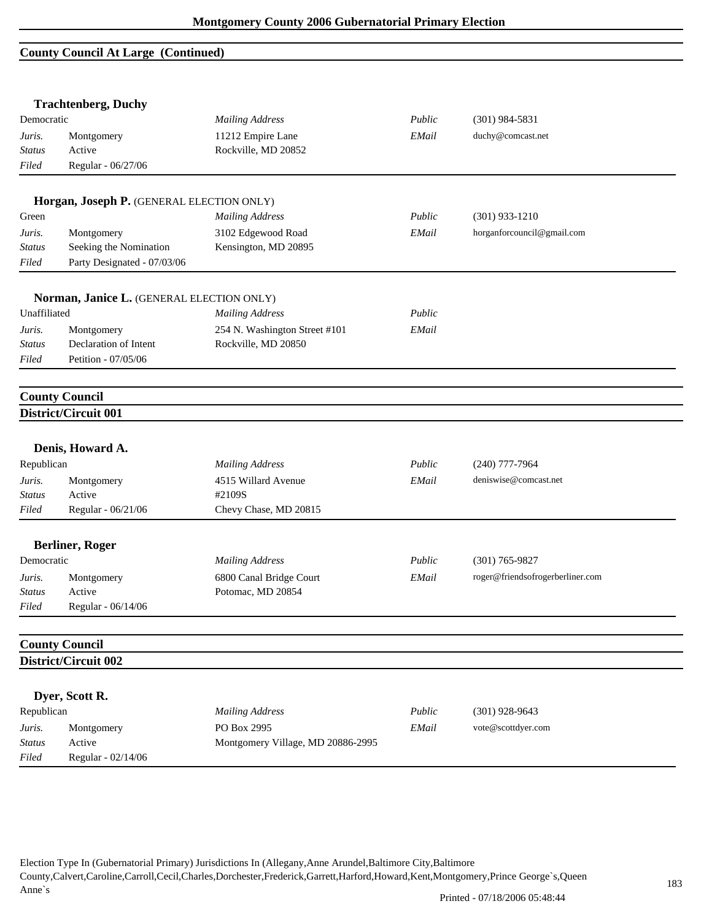### **County Council At Large (Continued)**

| Democratic<br>Juris.<br><b>Status</b> |                                               |                                                  |        |                                  |
|---------------------------------------|-----------------------------------------------|--------------------------------------------------|--------|----------------------------------|
|                                       |                                               | <b>Mailing Address</b>                           | Public | $(301)$ 984-5831                 |
|                                       | Montgomery                                    | 11212 Empire Lane                                | EMail  | duchy@comcast.net                |
|                                       | Active                                        | Rockville, MD 20852                              |        |                                  |
| Filed                                 | Regular - 06/27/06                            |                                                  |        |                                  |
|                                       |                                               |                                                  |        |                                  |
|                                       | Horgan, Joseph P. (GENERAL ELECTION ONLY)     |                                                  |        |                                  |
| Green                                 |                                               | <b>Mailing Address</b>                           | Public | $(301)$ 933-1210                 |
| Juris.                                | Montgomery                                    | 3102 Edgewood Road                               | EMail  | horganforcouncil@gmail.com       |
| <b>Status</b>                         | Seeking the Nomination                        | Kensington, MD 20895                             |        |                                  |
| $Filed$                               | Party Designated - 07/03/06                   |                                                  |        |                                  |
|                                       | Norman, Janice L. (GENERAL ELECTION ONLY)     |                                                  |        |                                  |
| Unaffiliated                          |                                               | <b>Mailing Address</b>                           | Public |                                  |
| Juris.                                | Montgomery                                    | 254 N. Washington Street #101                    | EMail  |                                  |
| <b>Status</b>                         | Declaration of Intent                         | Rockville, MD 20850                              |        |                                  |
| Filed                                 | Petition - 07/05/06                           |                                                  |        |                                  |
|                                       |                                               |                                                  |        |                                  |
|                                       | <b>County Council</b><br>District/Circuit 001 |                                                  |        |                                  |
| Republican                            | Denis, Howard A.                              | <b>Mailing Address</b>                           | Public | $(240)$ 777-7964                 |
|                                       | Montgomery                                    | 4515 Willard Avenue                              | EMail  | deniswise@comcast.net            |
| Juris.                                |                                               |                                                  |        |                                  |
| <b>Status</b>                         | Active                                        | #2109S                                           |        |                                  |
| Filed                                 | Regular - 06/21/06                            | Chevy Chase, MD 20815                            |        |                                  |
|                                       |                                               |                                                  |        |                                  |
|                                       | <b>Berliner, Roger</b>                        |                                                  | Public | $(301) 765 - 9827$               |
|                                       |                                               | <b>Mailing Address</b>                           | EMail  |                                  |
| Democratic<br>Juris.<br><b>Status</b> | Montgomery<br>Active                          | 6800 Canal Bridge Court<br>Potomac, MD 20854     |        | roger@friendsofrogerberliner.com |
|                                       |                                               |                                                  |        |                                  |
| Filed                                 | Regular - 06/14/06                            |                                                  |        |                                  |
|                                       | <b>County Council</b>                         |                                                  |        |                                  |
|                                       | District/Circuit 002                          |                                                  |        |                                  |
|                                       |                                               |                                                  |        |                                  |
| Republican                            | Dyer, Scott R.                                | <b>Mailing Address</b>                           | Public | $(301)$ 928-9643                 |
| Juris.                                |                                               |                                                  |        | vote@scottdyer.com               |
| <b>Status</b>                         | Montgomery<br>Active                          | PO Box 2995<br>Montgomery Village, MD 20886-2995 | EMail  |                                  |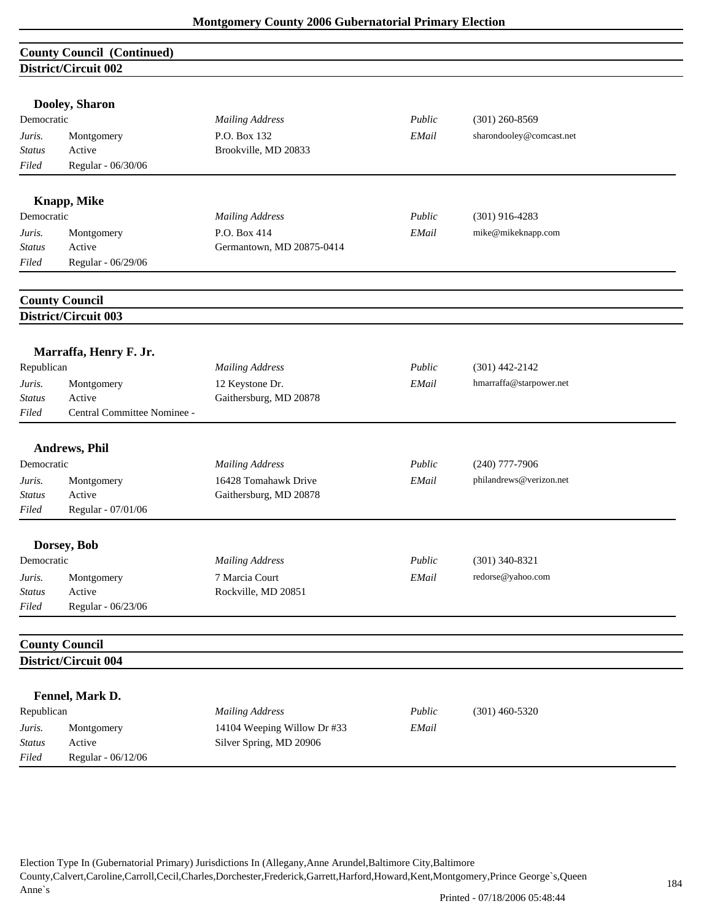| <b>County Council (Continued)</b> |                             |                             |        |                          |  |
|-----------------------------------|-----------------------------|-----------------------------|--------|--------------------------|--|
| District/Circuit 002              |                             |                             |        |                          |  |
|                                   |                             |                             |        |                          |  |
|                                   | Dooley, Sharon              |                             |        |                          |  |
| Democratic                        |                             | <b>Mailing Address</b>      | Public | $(301)$ 260-8569         |  |
| Juris.                            | Montgomery                  | P.O. Box 132                | EMail  | sharondooley@comcast.net |  |
| Status                            | Active                      | Brookville, MD 20833        |        |                          |  |
| Filed                             | Regular - 06/30/06          |                             |        |                          |  |
|                                   | <b>Knapp, Mike</b>          |                             |        |                          |  |
| Democratic                        |                             | <b>Mailing Address</b>      | Public | $(301)$ 916-4283         |  |
| Juris.                            | Montgomery                  | P.O. Box 414                | EMail  | mike@mikeknapp.com       |  |
| Status                            | Active                      | Germantown, MD 20875-0414   |        |                          |  |
| Filed                             | Regular - 06/29/06          |                             |        |                          |  |
|                                   |                             |                             |        |                          |  |
|                                   | <b>County Council</b>       |                             |        |                          |  |
|                                   | <b>District/Circuit 003</b> |                             |        |                          |  |
|                                   |                             |                             |        |                          |  |
|                                   | Marraffa, Henry F. Jr.      |                             |        |                          |  |
| Republican                        |                             | <b>Mailing Address</b>      | Public | $(301)$ 442-2142         |  |
| Juris.                            | Montgomery                  | 12 Keystone Dr.             | EMail  | hmarraffa@starpower.net  |  |
| Status                            | Active                      | Gaithersburg, MD 20878      |        |                          |  |
| Filed                             | Central Committee Nominee - |                             |        |                          |  |
|                                   | <b>Andrews, Phil</b>        |                             |        |                          |  |
| Democratic                        |                             | <b>Mailing Address</b>      | Public | $(240)$ 777-7906         |  |
| Juris.                            | Montgomery                  | 16428 Tomahawk Drive        | EMail  | philandrews@verizon.net  |  |
| <b>Status</b>                     | Active                      | Gaithersburg, MD 20878      |        |                          |  |
| Filed                             | Regular - 07/01/06          |                             |        |                          |  |
|                                   | Dorsey, Bob                 |                             |        |                          |  |
| Democratic                        |                             | <b>Mailing Address</b>      | Public | $(301)$ 340-8321         |  |
| Juris.                            | Montgomery                  | 7 Marcia Court              | EMail  | redorse@yahoo.com        |  |
| <b>Status</b>                     | Active                      | Rockville, MD 20851         |        |                          |  |
| Filed                             | Regular - 06/23/06          |                             |        |                          |  |
|                                   |                             |                             |        |                          |  |
|                                   | <b>County Council</b>       |                             |        |                          |  |
|                                   | District/Circuit 004        |                             |        |                          |  |
|                                   | Fennel, Mark D.             |                             |        |                          |  |
| Republican                        |                             | <b>Mailing Address</b>      | Public | $(301)$ 460-5320         |  |
| Juris.                            | Montgomery                  | 14104 Weeping Willow Dr #33 | EMail  |                          |  |
| Status                            | Active                      | Silver Spring, MD 20906     |        |                          |  |
| Filed                             | Regular - 06/12/06          |                             |        |                          |  |

Election Type In (Gubernatorial Primary) Jurisdictions In (Allegany,Anne Arundel,Baltimore City,Baltimore

County,Calvert,Caroline,Carroll,Cecil,Charles,Dorchester,Frederick,Garrett,Harford,Howard,Kent,Montgomery,Prince George`s,Queen Anne`s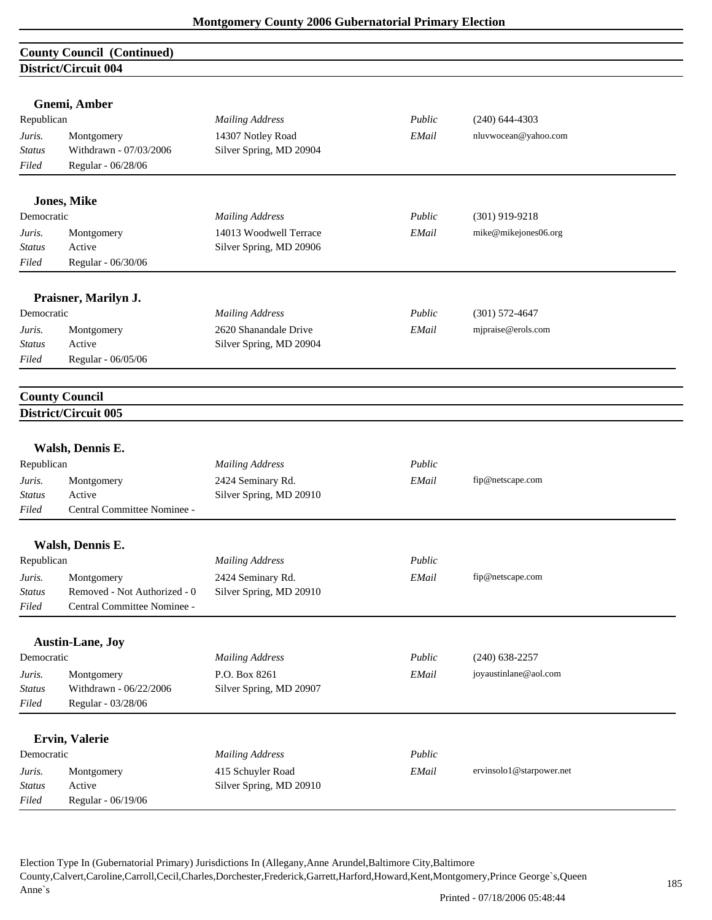| <b>County Council (Continued)</b> |                              |                                                   |        |                          |  |
|-----------------------------------|------------------------------|---------------------------------------------------|--------|--------------------------|--|
|                                   | District/Circuit 004         |                                                   |        |                          |  |
|                                   |                              |                                                   |        |                          |  |
|                                   | Gnemi, Amber                 |                                                   |        |                          |  |
| Republican                        |                              | <b>Mailing Address</b>                            | Public | $(240)$ 644-4303         |  |
| Juris.                            | Montgomery                   | 14307 Notley Road                                 | EMail  | nluvwocean@yahoo.com     |  |
| Status                            | Withdrawn - 07/03/2006       | Silver Spring, MD 20904                           |        |                          |  |
| Filed                             | Regular - 06/28/06           |                                                   |        |                          |  |
|                                   |                              |                                                   |        |                          |  |
| Democratic                        | <b>Jones, Mike</b>           |                                                   | Public | $(301)$ 919-9218         |  |
|                                   |                              | <b>Mailing Address</b>                            |        |                          |  |
| Juris.<br>Status                  | Montgomery<br>Active         | 14013 Woodwell Terrace<br>Silver Spring, MD 20906 | EMail  | mike@mikejones06.org     |  |
| Filed                             | Regular - 06/30/06           |                                                   |        |                          |  |
|                                   |                              |                                                   |        |                          |  |
|                                   | Praisner, Marilyn J.         |                                                   |        |                          |  |
| Democratic                        |                              | <b>Mailing Address</b>                            | Public | $(301)$ 572-4647         |  |
|                                   |                              | 2620 Shanandale Drive                             |        | mjpraise@erols.com       |  |
| Juris.<br>Status                  | Montgomery<br>Active         | Silver Spring, MD 20904                           | EMail  |                          |  |
| Filed                             | Regular - 06/05/06           |                                                   |        |                          |  |
|                                   |                              |                                                   |        |                          |  |
|                                   |                              |                                                   |        |                          |  |
|                                   | <b>County Council</b>        |                                                   |        |                          |  |
|                                   | District/Circuit 005         |                                                   |        |                          |  |
|                                   | Walsh, Dennis E.             |                                                   |        |                          |  |
| Republican                        |                              | <b>Mailing Address</b>                            | Public |                          |  |
| Juris.                            | Montgomery                   | 2424 Seminary Rd.                                 | EMail  | fip@netscape.com         |  |
| <b>Status</b>                     | Active                       | Silver Spring, MD 20910                           |        |                          |  |
| Filed                             | Central Committee Nominee -  |                                                   |        |                          |  |
|                                   |                              |                                                   |        |                          |  |
|                                   | Walsh, Dennis E.             |                                                   |        |                          |  |
| Republican                        |                              | <b>Mailing Address</b>                            | Public |                          |  |
| Juris.                            | Montgomery                   | 2424 Seminary Rd.                                 | EMail  | fip@netscape.com         |  |
| <b>Status</b>                     | Removed - Not Authorized - 0 | Silver Spring, MD 20910                           |        |                          |  |
| Filed                             | Central Committee Nominee -  |                                                   |        |                          |  |
|                                   |                              |                                                   |        |                          |  |
|                                   | <b>Austin-Lane, Joy</b>      |                                                   |        |                          |  |
| Democratic                        |                              | <b>Mailing Address</b>                            | Public | $(240)$ 638-2257         |  |
| Juris.                            | Montgomery                   | P.O. Box 8261                                     | EMail  | joyaustinlane@aol.com    |  |
| <b>Status</b>                     | Withdrawn - 06/22/2006       | Silver Spring, MD 20907                           |        |                          |  |
| Filed                             | Regular - 03/28/06           |                                                   |        |                          |  |
|                                   | Ervin, Valerie               |                                                   |        |                          |  |
| Democratic                        |                              | <b>Mailing Address</b>                            | Public |                          |  |
| Juris.                            | Montgomery                   | 415 Schuyler Road                                 | EMail  | ervinsolo1@starpower.net |  |
| <b>Status</b>                     | Active                       | Silver Spring, MD 20910                           |        |                          |  |
| Filed                             | Regular - 06/19/06           |                                                   |        |                          |  |
|                                   |                              |                                                   |        |                          |  |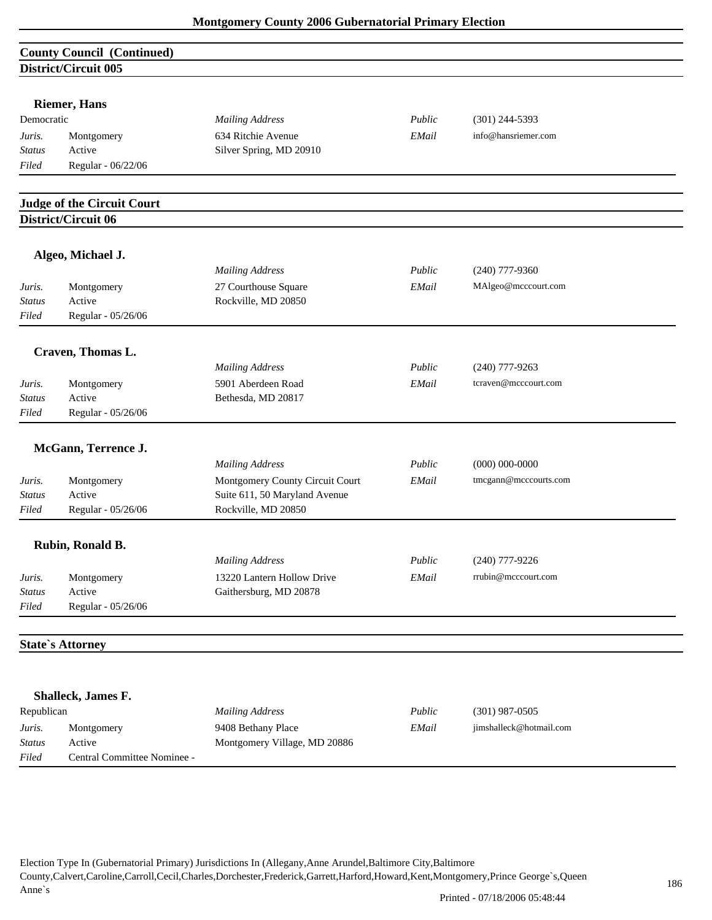| <b>County Council (Continued)</b> |                                   |                                 |        |                       |  |
|-----------------------------------|-----------------------------------|---------------------------------|--------|-----------------------|--|
|                                   | District/Circuit 005              |                                 |        |                       |  |
|                                   |                                   |                                 |        |                       |  |
| Democratic                        | <b>Riemer</b> , Hans              | <b>Mailing Address</b>          | Public | $(301)$ 244-5393      |  |
|                                   |                                   | 634 Ritchie Avenue              | EMail  | info@hansriemer.com   |  |
| Juris.<br><b>Status</b>           | Montgomery<br>Active              | Silver Spring, MD 20910         |        |                       |  |
| Filed                             | Regular - 06/22/06                |                                 |        |                       |  |
|                                   |                                   |                                 |        |                       |  |
|                                   | <b>Judge of the Circuit Court</b> |                                 |        |                       |  |
|                                   | District/Circuit 06               |                                 |        |                       |  |
|                                   | Algeo, Michael J.                 |                                 |        |                       |  |
|                                   |                                   | <b>Mailing Address</b>          | Public | $(240)$ 777-9360      |  |
| Juris.                            | Montgomery                        | 27 Courthouse Square            | EMail  | MAlgeo@mcccourt.com   |  |
| <b>Status</b>                     | Active                            | Rockville, MD 20850             |        |                       |  |
| Filed                             | Regular - 05/26/06                |                                 |        |                       |  |
|                                   | Craven, Thomas L.                 |                                 |        |                       |  |
|                                   |                                   | <b>Mailing Address</b>          | Public | $(240)$ 777-9263      |  |
| Juris.                            | Montgomery                        | 5901 Aberdeen Road              | EMail  | tcraven@mcccourt.com  |  |
| <b>Status</b>                     | Active                            | Bethesda, MD 20817              |        |                       |  |
| Filed                             | Regular - 05/26/06                |                                 |        |                       |  |
|                                   | McGann, Terrence J.               |                                 |        |                       |  |
|                                   |                                   | <b>Mailing Address</b>          | Public | $(000) 000 - 0000$    |  |
| Juris.                            | Montgomery                        | Montgomery County Circuit Court | EMail  | tmcgann@mcccourts.com |  |
| <b>Status</b>                     | Active                            | Suite 611, 50 Maryland Avenue   |        |                       |  |
| Filed                             | Regular - 05/26/06                | Rockville, MD 20850             |        |                       |  |
|                                   |                                   |                                 |        |                       |  |
|                                   | Rubin, Ronald B.                  |                                 |        |                       |  |
|                                   |                                   | <b>Mailing Address</b>          | Public | $(240)$ 777-9226      |  |
| Juris.                            | Montgomery<br>Active              | 13220 Lantern Hollow Drive      | EMail  | rrubin@mcccourt.com   |  |
| <b>Status</b>                     |                                   | Gaithersburg, MD 20878          |        |                       |  |
| Filed                             | Regular - 05/26/06                |                                 |        |                       |  |
|                                   | <b>State's Attorney</b>           |                                 |        |                       |  |
|                                   |                                   |                                 |        |                       |  |
|                                   | Shalleck, James F.                |                                 |        |                       |  |
| Republican                        |                                   | <b>Mailing Address</b>          | Public | $(301)$ 987-0505      |  |

|               | $5 - 1$                     |                              |        |                         |  |
|---------------|-----------------------------|------------------------------|--------|-------------------------|--|
| Republican    |                             | <b>Mailing Address</b>       | Public | $(301)$ 987-0505        |  |
| Juris.        | Montgomery                  | 9408 Bethany Place           | EMail  | jimshalleck@hotmail.com |  |
| <b>Status</b> | Active                      | Montgomery Village, MD 20886 |        |                         |  |
| Filed         | Central Committee Nominee - |                              |        |                         |  |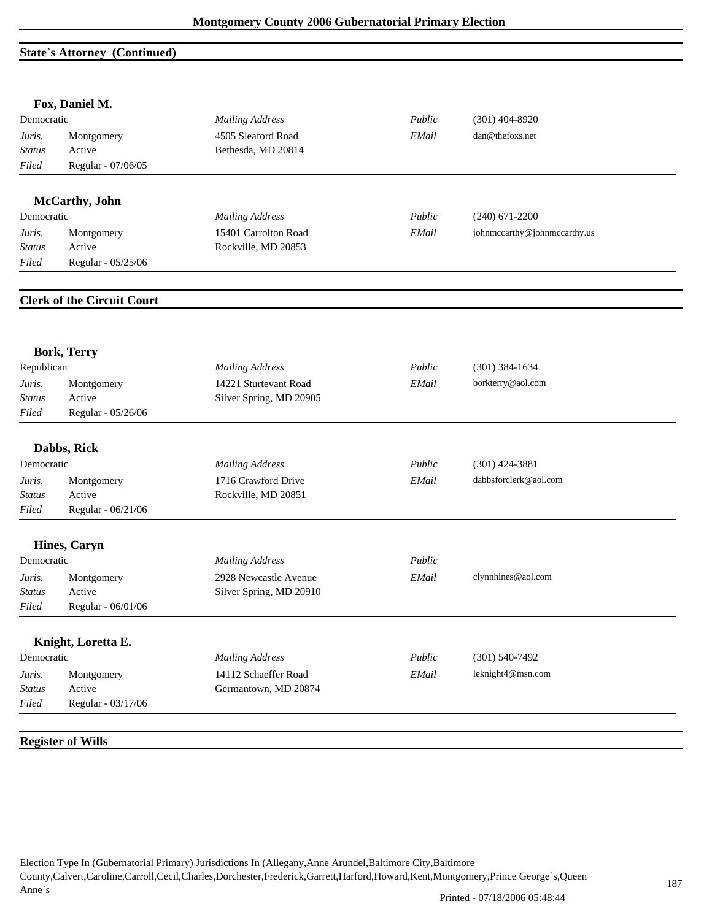#### **State`s Attorney (Continued)**

|                         | Fox, Daniel M.                    |                                                  |        |                              |
|-------------------------|-----------------------------------|--------------------------------------------------|--------|------------------------------|
| Democratic              |                                   | <b>Mailing Address</b>                           | Public | $(301)$ 404-8920             |
| Juris.                  | Montgomery                        | 4505 Sleaford Road                               | EMail  | dan@thefoxs.net              |
| <b>Status</b>           | Active                            | Bethesda, MD 20814                               |        |                              |
| Filed                   | Regular - 07/06/05                |                                                  |        |                              |
|                         | McCarthy, John                    |                                                  |        |                              |
| Democratic              |                                   | <b>Mailing Address</b>                           | Public | $(240)$ 671-2200             |
| Juris.                  | Montgomery                        | 15401 Carrolton Road                             | EMail  | johnmccarthy@johnmccarthy.us |
| Status                  | Active                            | Rockville, MD 20853                              |        |                              |
| Filed                   | Regular - 05/25/06                |                                                  |        |                              |
|                         |                                   |                                                  |        |                              |
|                         | <b>Clerk of the Circuit Court</b> |                                                  |        |                              |
|                         |                                   |                                                  |        |                              |
| Republican              | <b>Bork, Terry</b>                | <b>Mailing Address</b>                           | Public | $(301)$ 384-1634             |
|                         |                                   |                                                  |        |                              |
| Juris.<br><b>Status</b> | Montgomery<br>Active              | 14221 Sturtevant Road<br>Silver Spring, MD 20905 | EMail  | borkterry@aol.com            |
| Filed                   | Regular - 05/26/06                |                                                  |        |                              |
|                         |                                   |                                                  |        |                              |
|                         | Dabbs, Rick                       |                                                  |        |                              |
| Democratic              |                                   | <b>Mailing Address</b>                           | Public | $(301)$ 424-3881             |
| Juris.                  | Montgomery                        | 1716 Crawford Drive                              | EMail  | dabbsforclerk@aol.com        |
| Status                  | Active                            | Rockville, MD 20851                              |        |                              |
| Filed                   | Regular - 06/21/06                |                                                  |        |                              |
|                         | <b>Hines, Caryn</b>               |                                                  |        |                              |
| Democratic              |                                   | <b>Mailing Address</b>                           | Public |                              |
|                         |                                   |                                                  | EMail  | clynnhines@aol.com           |
| Juris.<br><b>Status</b> | Montgomery<br>Active              | 2928 Newcastle Avenue<br>Silver Spring, MD 20910 |        |                              |
| Filed                   | Regular - 06/01/06                |                                                  |        |                              |
|                         |                                   |                                                  |        |                              |
|                         | Knight, Loretta E.                |                                                  |        |                              |
| Democratic              |                                   | <b>Mailing Address</b>                           | Public | $(301) 540 - 7492$           |
| Juris.                  | Montgomery                        | 14112 Schaeffer Road                             | EMail  | leknight4@msn.com            |
|                         | Active                            | Germantown, MD 20874                             |        |                              |
| <b>Status</b>           |                                   |                                                  |        |                              |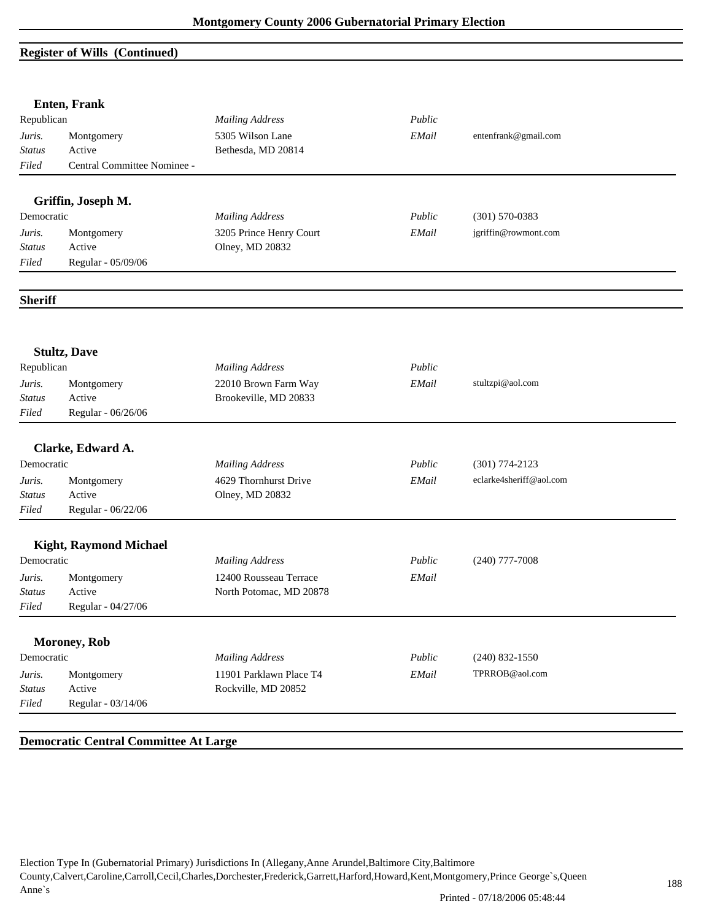#### **Register of Wills (Continued)**

|                | <b>Enten, Frank</b>           |                         |        |                         |
|----------------|-------------------------------|-------------------------|--------|-------------------------|
| Republican     |                               | <b>Mailing Address</b>  | Public |                         |
| Juris.         | Montgomery                    | 5305 Wilson Lane        | EMail  | entenfrank@gmail.com    |
| Status         | Active                        | Bethesda, MD 20814      |        |                         |
| Filed          | Central Committee Nominee -   |                         |        |                         |
|                | Griffin, Joseph M.            |                         |        |                         |
| Democratic     |                               | <b>Mailing Address</b>  | Public | $(301) 570 - 0383$      |
| Juris.         | Montgomery                    | 3205 Prince Henry Court | EMail  | jgriffin@rowmont.com    |
| <b>Status</b>  | Active                        | Olney, MD 20832         |        |                         |
| Filed          | Regular - 05/09/06            |                         |        |                         |
| <b>Sheriff</b> |                               |                         |        |                         |
|                | <b>Stultz, Dave</b>           |                         |        |                         |
| Republican     |                               | <b>Mailing Address</b>  | Public |                         |
| Juris.         | Montgomery                    | 22010 Brown Farm Way    | EMail  | stultzpi@aol.com        |
| <b>Status</b>  | Active                        | Brookeville, MD 20833   |        |                         |
| Filed          | Regular - 06/26/06            |                         |        |                         |
|                | Clarke, Edward A.             |                         |        |                         |
| Democratic     |                               | <b>Mailing Address</b>  | Public | $(301) 774 - 2123$      |
| Juris.         | Montgomery                    | 4629 Thornhurst Drive   | EMail  | eclarke4sheriff@aol.com |
| <b>Status</b>  | Active                        | Olney, MD 20832         |        |                         |
| Filed          | Regular - 06/22/06            |                         |        |                         |
|                | <b>Kight, Raymond Michael</b> |                         |        |                         |
| Democratic     |                               | <b>Mailing Address</b>  | Public | $(240)$ 777-7008        |
| Juris.         | Montgomery                    | 12400 Rousseau Terrace  | EMail  |                         |
| <b>Status</b>  | Active                        | North Potomac, MD 20878 |        |                         |
| Filed          | Regular - 04/27/06            |                         |        |                         |
|                | <b>Moroney</b> , Rob          |                         |        |                         |
| Democratic     |                               | <b>Mailing Address</b>  | Public | $(240)$ 832-1550        |
| Juris.         | Montgomery                    | 11901 Parklawn Place T4 | EMail  | TPRROB@aol.com          |
| <b>Status</b>  | Active                        | Rockville, MD 20852     |        |                         |
| Filed          | Regular - 03/14/06            |                         |        |                         |

#### **Democratic Central Committee At Large**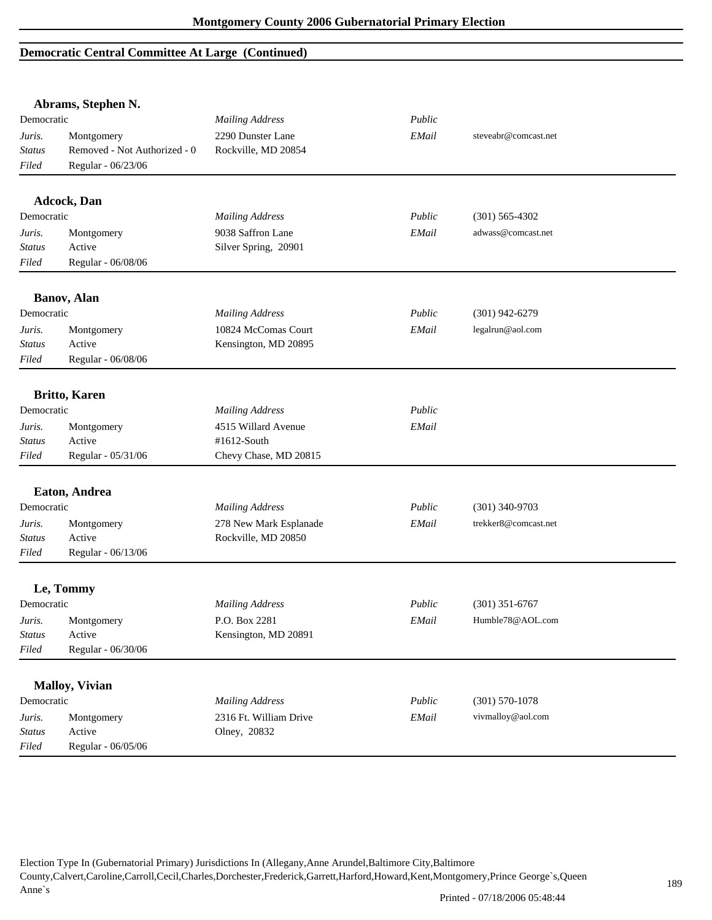# **Democratic Central Committee At Large (Continued)**

|                                  | Abrams, Stephen N.                                               |                                          |        |                      |  |
|----------------------------------|------------------------------------------------------------------|------------------------------------------|--------|----------------------|--|
| Democratic                       |                                                                  | <b>Mailing Address</b>                   | Public |                      |  |
| Juris.<br><b>Status</b><br>Filed | Montgomery<br>Removed - Not Authorized - 0<br>Regular - 06/23/06 | 2290 Dunster Lane<br>Rockville, MD 20854 | EMail  | steveabr@comcast.net |  |
|                                  | Adcock, Dan                                                      |                                          |        |                      |  |
| Democratic                       |                                                                  | <b>Mailing Address</b>                   | Public | $(301) 565 - 4302$   |  |
| Juris.                           | Montgomery                                                       | 9038 Saffron Lane                        | EMail  | adwass@comcast.net   |  |
| <b>Status</b>                    | Active                                                           | Silver Spring, 20901                     |        |                      |  |
| Filed                            | Regular - 06/08/06                                               |                                          |        |                      |  |
|                                  | <b>Banov</b> , Alan                                              |                                          |        |                      |  |
| Democratic                       |                                                                  | <b>Mailing Address</b>                   | Public | $(301)$ 942-6279     |  |
| Juris.                           | Montgomery                                                       | 10824 McComas Court                      | EMail  | legalrun@aol.com     |  |
| <b>Status</b>                    | Active                                                           | Kensington, MD 20895                     |        |                      |  |
| Filed                            | Regular - 06/08/06                                               |                                          |        |                      |  |
|                                  | <b>Britto, Karen</b>                                             |                                          |        |                      |  |
| Democratic                       |                                                                  | <b>Mailing Address</b>                   | Public |                      |  |
| Juris.                           | Montgomery                                                       | 4515 Willard Avenue                      | EMail  |                      |  |
| <b>Status</b>                    | Active                                                           | #1612-South                              |        |                      |  |
| Filed                            | Regular - 05/31/06                                               | Chevy Chase, MD 20815                    |        |                      |  |
|                                  | Eaton, Andrea                                                    |                                          |        |                      |  |
| Democratic                       |                                                                  | <b>Mailing Address</b>                   | Public | $(301)$ 340-9703     |  |
| Juris.                           | Montgomery                                                       | 278 New Mark Esplanade                   | EMail  | trekker8@comcast.net |  |
| <b>Status</b>                    | Active                                                           | Rockville, MD 20850                      |        |                      |  |
| Filed                            | Regular - 06/13/06                                               |                                          |        |                      |  |
|                                  | Le, Tommy                                                        |                                          |        |                      |  |
| Democratic                       |                                                                  | <b>Mailing Address</b>                   | Public | $(301)$ 351-6767     |  |
| Juris.                           | Montgomery                                                       | P.O. Box 2281                            | EMail  | Humble78@AOL.com     |  |
| <b>Status</b>                    | Active                                                           | Kensington, MD 20891                     |        |                      |  |
| Filed                            | Regular - 06/30/06                                               |                                          |        |                      |  |
|                                  | <b>Malloy, Vivian</b>                                            |                                          |        |                      |  |
| Democratic                       |                                                                  | <b>Mailing Address</b>                   | Public | $(301) 570 - 1078$   |  |
| Juris.                           | Montgomery                                                       | 2316 Ft. William Drive                   | EMail  | vivmalloy@aol.com    |  |
| <b>Status</b>                    | Active                                                           | Olney, 20832                             |        |                      |  |
| Filed                            | Regular - 06/05/06                                               |                                          |        |                      |  |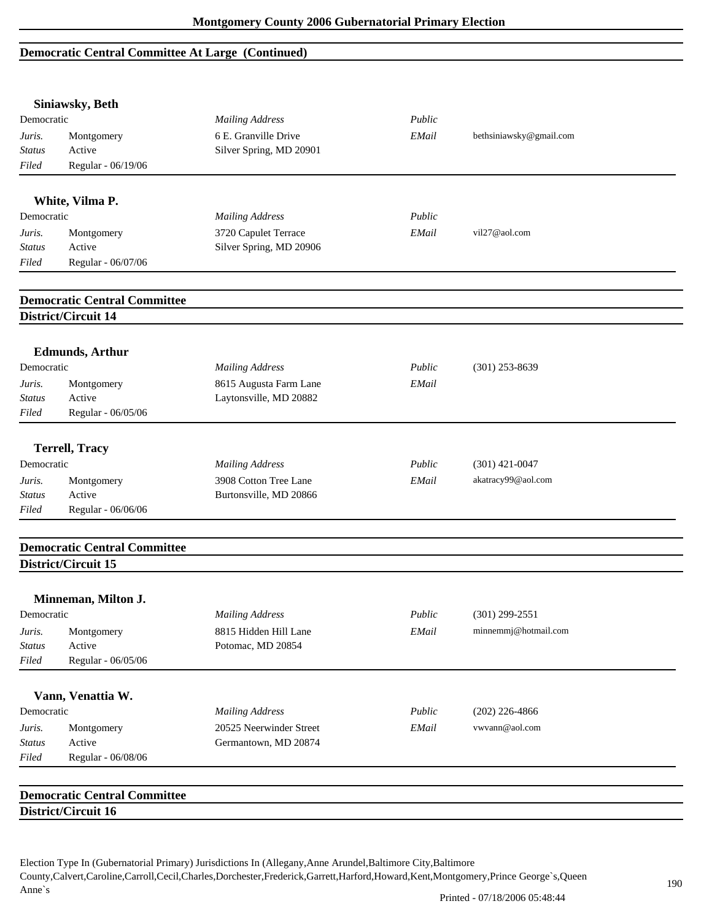# **Democratic Central Committee At Large (Continued)**

|                        | Siniawsky, Beth                     |                                                 |        |                         |
|------------------------|-------------------------------------|-------------------------------------------------|--------|-------------------------|
| Democratic             |                                     | <b>Mailing Address</b>                          | Public |                         |
| Juris.                 | Montgomery                          | 6 E. Granville Drive                            | EMail  | bethsiniawsky@gmail.com |
| <b>Status</b>          | Active                              | Silver Spring, MD 20901                         |        |                         |
| Filed                  | Regular - 06/19/06                  |                                                 |        |                         |
|                        |                                     |                                                 |        |                         |
| Democratic             | White, Vilma P.                     |                                                 | Public |                         |
|                        |                                     | <b>Mailing Address</b>                          |        | vil27@aol.com           |
| Juris.                 | Montgomery<br>Active                | 3720 Capulet Terrace<br>Silver Spring, MD 20906 | EMail  |                         |
| <b>Status</b><br>Filed | Regular - 06/07/06                  |                                                 |        |                         |
|                        |                                     |                                                 |        |                         |
|                        | <b>Democratic Central Committee</b> |                                                 |        |                         |
|                        | District/Circuit 14                 |                                                 |        |                         |
|                        | <b>Edmunds</b> , Arthur             |                                                 |        |                         |
| Democratic             |                                     | <b>Mailing Address</b>                          | Public | $(301)$ 253-8639        |
| Juris.                 | Montgomery                          | 8615 Augusta Farm Lane                          | EMail  |                         |
| <b>Status</b>          | Active                              | Laytonsville, MD 20882                          |        |                         |
| Filed                  | Regular - 06/05/06                  |                                                 |        |                         |
|                        | <b>Terrell, Tracy</b>               |                                                 |        |                         |
| Democratic             |                                     | <b>Mailing Address</b>                          | Public | $(301)$ 421-0047        |
|                        |                                     |                                                 |        |                         |
| Juris.                 | Montgomery<br>Active                | 3908 Cotton Tree Lane                           | EMail  | akatracy99@aol.com      |
| <b>Status</b>          |                                     | Burtonsville, MD 20866                          |        |                         |
| Filed                  | Regular - 06/06/06                  |                                                 |        |                         |
|                        | <b>Democratic Central Committee</b> |                                                 |        |                         |
|                        | District/Circuit 15                 |                                                 |        |                         |
|                        | Minneman, Milton J.                 |                                                 |        |                         |
| Democratic             |                                     | <b>Mailing Address</b>                          | Public | $(301)$ 299-2551        |
| Juris.                 | Montgomery                          | 8815 Hidden Hill Lane                           | EMail  | minnemmj@hotmail.com    |
| <b>Status</b>          | Active                              | Potomac, MD 20854                               |        |                         |
| Filed                  | Regular - 06/05/06                  |                                                 |        |                         |
|                        |                                     |                                                 |        |                         |
|                        | Vann, Venattia W.                   |                                                 |        |                         |
| Democratic             |                                     | <b>Mailing Address</b>                          | Public | $(202)$ 226-4866        |
| Juris.                 | Montgomery                          | 20525 Neerwinder Street                         | EMail  | vwvann@aol.com          |
| <b>Status</b>          | Active                              | Germantown, MD 20874                            |        |                         |
| Filed                  | Regular - 06/08/06                  |                                                 |        |                         |
|                        |                                     |                                                 |        |                         |
|                        | <b>Democratic Central Committee</b> |                                                 |        |                         |
|                        | District/Circuit 16                 |                                                 |        |                         |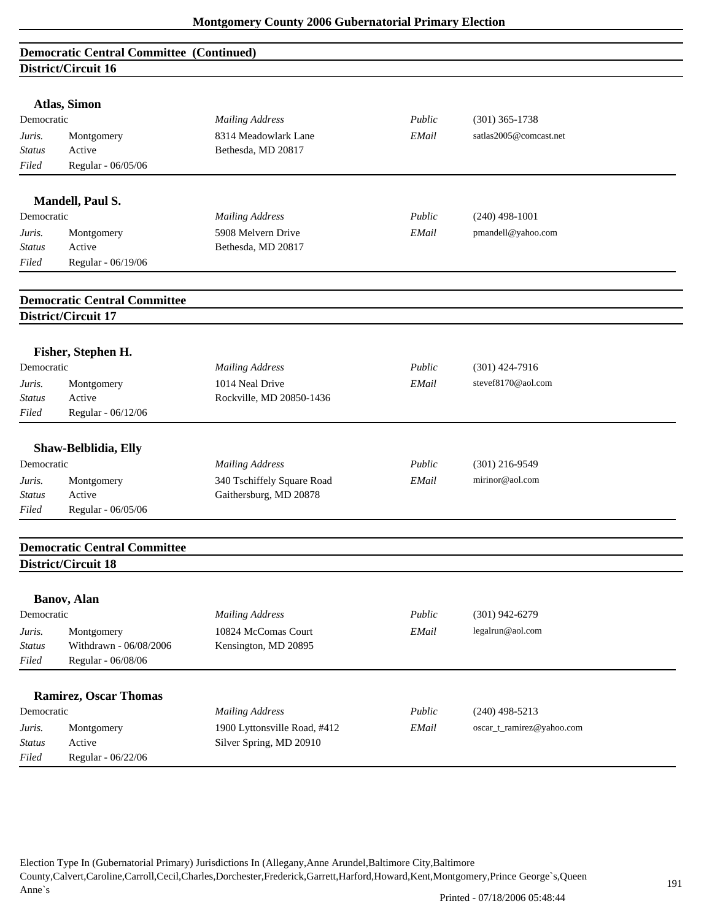| <b>Democratic Central Committee (Continued)</b> |                                     |                              |        |                           |  |
|-------------------------------------------------|-------------------------------------|------------------------------|--------|---------------------------|--|
|                                                 | District/Circuit 16                 |                              |        |                           |  |
|                                                 |                                     |                              |        |                           |  |
| Democratic                                      | Atlas, Simon                        | <b>Mailing Address</b>       | Public | $(301)$ 365-1738          |  |
| Juris.                                          |                                     | 8314 Meadowlark Lane         | EMail  | satlas2005@comcast.net    |  |
| <b>Status</b>                                   | Montgomery<br>Active                | Bethesda, MD 20817           |        |                           |  |
| Filed                                           | Regular - 06/05/06                  |                              |        |                           |  |
|                                                 |                                     |                              |        |                           |  |
|                                                 | Mandell, Paul S.                    |                              |        |                           |  |
| Democratic                                      |                                     | <b>Mailing Address</b>       | Public | $(240)$ 498-1001          |  |
| Juris.                                          | Montgomery                          | 5908 Melvern Drive           | EMail  | pmandell@yahoo.com        |  |
| <b>Status</b>                                   | Active                              | Bethesda, MD 20817           |        |                           |  |
| Filed                                           | Regular - 06/19/06                  |                              |        |                           |  |
|                                                 | <b>Democratic Central Committee</b> |                              |        |                           |  |
|                                                 | District/Circuit 17                 |                              |        |                           |  |
|                                                 |                                     |                              |        |                           |  |
|                                                 | Fisher, Stephen H.                  |                              |        |                           |  |
| Democratic                                      |                                     | <b>Mailing Address</b>       | Public | $(301)$ 424-7916          |  |
| Juris.                                          | Montgomery                          | 1014 Neal Drive              | EMail  | stevef8170@aol.com        |  |
| <b>Status</b>                                   | Active                              | Rockville, MD 20850-1436     |        |                           |  |
| Filed                                           | Regular - 06/12/06                  |                              |        |                           |  |
|                                                 | Shaw-Belblidia, Elly                |                              |        |                           |  |
| Democratic                                      |                                     | <b>Mailing Address</b>       | Public | $(301)$ 216-9549          |  |
| Juris.                                          | Montgomery                          | 340 Tschiffely Square Road   | EMail  | mirinor@aol.com           |  |
| <b>Status</b>                                   | Active                              | Gaithersburg, MD 20878       |        |                           |  |
| Filed                                           | Regular - 06/05/06                  |                              |        |                           |  |
|                                                 |                                     |                              |        |                           |  |
|                                                 | <b>Democratic Central Committee</b> |                              |        |                           |  |
|                                                 | District/Circuit 18                 |                              |        |                           |  |
|                                                 |                                     |                              |        |                           |  |
| Democratic                                      | Banov, Alan                         |                              | Public |                           |  |
|                                                 |                                     | <b>Mailing Address</b>       |        | $(301)$ 942-6279          |  |
| Juris.                                          | Montgomery                          | 10824 McComas Court          | EMail  | legalrun@aol.com          |  |
| <b>Status</b>                                   | Withdrawn - 06/08/2006              | Kensington, MD 20895         |        |                           |  |
| Filed                                           | Regular - 06/08/06                  |                              |        |                           |  |
|                                                 | <b>Ramirez, Oscar Thomas</b>        |                              |        |                           |  |
| Democratic                                      |                                     | <b>Mailing Address</b>       | Public | $(240)$ 498-5213          |  |
| Juris.                                          | Montgomery                          | 1900 Lyttonsville Road, #412 | EMail  | oscar_t_ramirez@yahoo.com |  |
| Status                                          | Active                              | Silver Spring, MD 20910      |        |                           |  |

*Filed* Regular - 06/22/06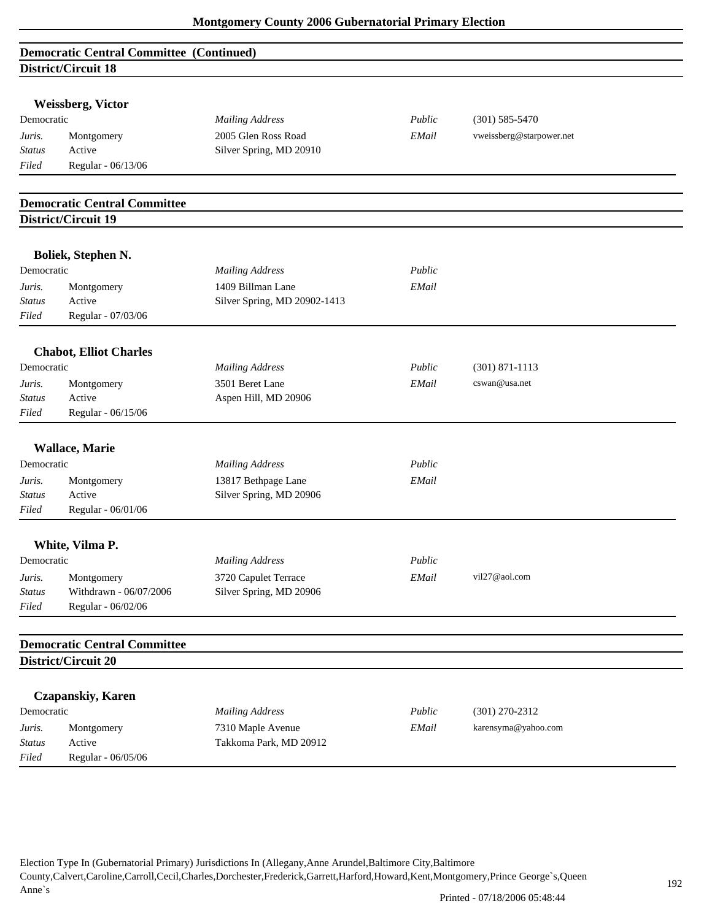| <b>Democratic Central Committee (Continued)</b> |  |
|-------------------------------------------------|--|
| District/Circuit 18                             |  |

|                         | <b>Weissberg, Victor</b>            |                              |        |                          |  |
|-------------------------|-------------------------------------|------------------------------|--------|--------------------------|--|
| Democratic              |                                     | <b>Mailing Address</b>       | Public | $(301)$ 585-5470         |  |
|                         | Montgomery                          | 2005 Glen Ross Road          | EMail  | vweissberg@starpower.net |  |
| Juris.<br><b>Status</b> | Active                              | Silver Spring, MD 20910      |        |                          |  |
| Filed                   | Regular - 06/13/06                  |                              |        |                          |  |
|                         |                                     |                              |        |                          |  |
|                         | <b>Democratic Central Committee</b> |                              |        |                          |  |
|                         | District/Circuit 19                 |                              |        |                          |  |
|                         |                                     |                              |        |                          |  |
| Democratic              | Boliek, Stephen N.                  |                              | Public |                          |  |
|                         |                                     | <b>Mailing Address</b>       |        |                          |  |
| Juris.                  | Montgomery                          | 1409 Billman Lane            | EMail  |                          |  |
| <b>Status</b>           | Active                              | Silver Spring, MD 20902-1413 |        |                          |  |
| Filed                   | Regular - 07/03/06                  |                              |        |                          |  |
|                         | <b>Chabot, Elliot Charles</b>       |                              |        |                          |  |
| Democratic              |                                     | <b>Mailing Address</b>       | Public | $(301) 871 - 1113$       |  |
| Juris.                  | Montgomery                          | 3501 Beret Lane              | EMail  | cswan@usa.net            |  |
| Status                  | Active                              | Aspen Hill, MD 20906         |        |                          |  |
| Filed                   | Regular - 06/15/06                  |                              |        |                          |  |
| Democratic              | <b>Wallace, Marie</b>               | <b>Mailing Address</b>       | Public |                          |  |
| Juris.                  | Montgomery                          | 13817 Bethpage Lane          | EMail  |                          |  |
| <b>Status</b>           | Active                              | Silver Spring, MD 20906      |        |                          |  |
| Filed                   | Regular - 06/01/06                  |                              |        |                          |  |
|                         |                                     |                              |        |                          |  |
|                         | White, Vilma P.                     |                              |        |                          |  |
| Democratic              |                                     | <b>Mailing Address</b>       | Public |                          |  |
| Juris.                  | Montgomery                          | 3720 Capulet Terrace         | EMail  | vil27@aol.com            |  |
| <i>Status</i>           | Withdrawn - 06/07/2006              | Silver Spring, MD 20906      |        |                          |  |
| Filed                   | Regular - 06/02/06                  |                              |        |                          |  |
|                         | <b>Democratic Central Committee</b> |                              |        |                          |  |
|                         | District/Circuit 20                 |                              |        |                          |  |
|                         |                                     |                              |        |                          |  |
|                         | <b>Czapanskiy, Karen</b>            |                              |        |                          |  |
| Democratic              |                                     | <b>Mailing Address</b>       | Public | $(301)$ 270-2312         |  |
| Juris.                  | Montgomery                          | 7310 Maple Avenue            | EMail  | karensyma@yahoo.com      |  |
| <b>Status</b>           | Active                              | Takkoma Park, MD 20912       |        |                          |  |
| Filed                   | Regular - 06/05/06                  |                              |        |                          |  |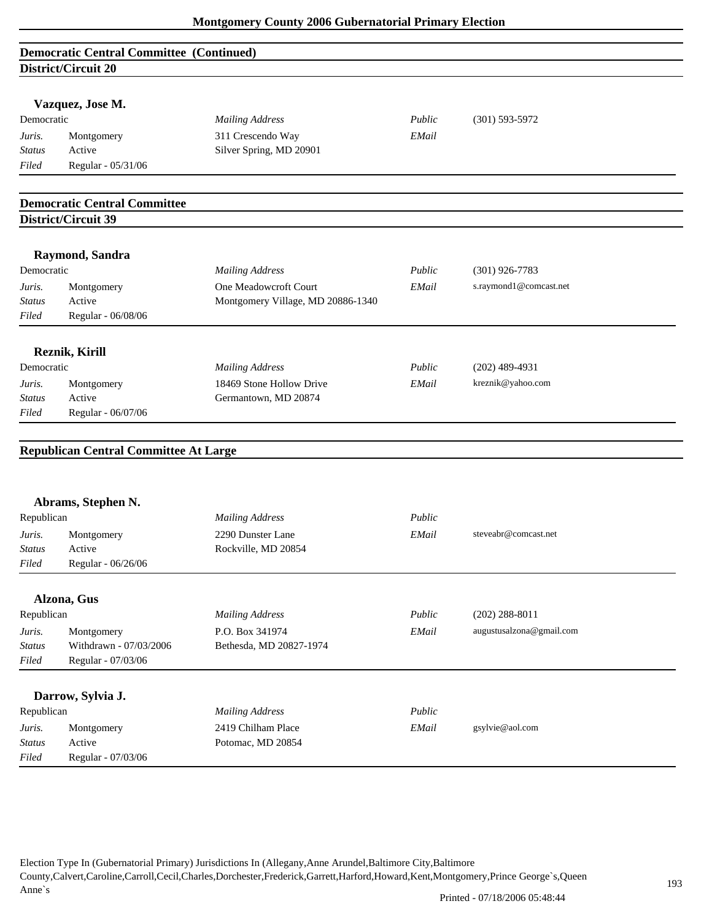| <b>Democratic Central Committee (Continued)</b> |  |
|-------------------------------------------------|--|
| District/Circuit 20                             |  |

|                         | DIStrict/Circuit 20                          |                                              |        |                          |  |
|-------------------------|----------------------------------------------|----------------------------------------------|--------|--------------------------|--|
|                         |                                              |                                              |        |                          |  |
|                         | Vazquez, Jose M.                             |                                              |        |                          |  |
| Democratic              |                                              | <b>Mailing Address</b>                       | Public | $(301) 593 - 5972$       |  |
| Juris.<br><b>Status</b> | Montgomery<br>Active                         | 311 Crescendo Way<br>Silver Spring, MD 20901 | EMail  |                          |  |
| Filed                   | Regular - 05/31/06                           |                                              |        |                          |  |
|                         |                                              |                                              |        |                          |  |
|                         | <b>Democratic Central Committee</b>          |                                              |        |                          |  |
|                         | District/Circuit 39                          |                                              |        |                          |  |
|                         | Raymond, Sandra                              |                                              |        |                          |  |
| Democratic              |                                              | <b>Mailing Address</b>                       | Public | $(301)$ 926-7783         |  |
| Juris.                  | Montgomery                                   | One Meadowcroft Court                        | EMail  | s.raymond1@comcast.net   |  |
| <b>Status</b>           | Active                                       | Montgomery Village, MD 20886-1340            |        |                          |  |
| Filed                   | Regular - 06/08/06                           |                                              |        |                          |  |
|                         |                                              |                                              |        |                          |  |
|                         | Reznik, Kirill                               |                                              |        |                          |  |
| Democratic              |                                              | <b>Mailing Address</b>                       | Public | $(202)$ 489-4931         |  |
| Juris.                  | Montgomery                                   | 18469 Stone Hollow Drive                     | EMail  | kreznik@yahoo.com        |  |
| <b>Status</b>           | Active                                       | Germantown, MD 20874                         |        |                          |  |
| Filed                   | Regular - 06/07/06                           |                                              |        |                          |  |
|                         | <b>Republican Central Committee At Large</b> |                                              |        |                          |  |
|                         | Abrams, Stephen N.                           |                                              |        |                          |  |
| Republican              |                                              | <b>Mailing Address</b>                       | Public |                          |  |
| Juris.                  | Montgomery                                   | 2290 Dunster Lane                            | EMail  | steveabr@comcast.net     |  |
| <b>Status</b>           | Active                                       | Rockville, MD 20854                          |        |                          |  |
| Filed                   | Regular - 06/26/06                           |                                              |        |                          |  |
|                         | Alzona, Gus                                  |                                              |        |                          |  |
| Republican              |                                              | <b>Mailing Address</b>                       | Public | $(202)$ 288-8011         |  |
| Juris.                  | Montgomery                                   | P.O. Box 341974                              | EMail  | augustusalzona@gmail.com |  |
| <b>Status</b>           | Withdrawn - 07/03/2006                       | Bethesda, MD 20827-1974                      |        |                          |  |
| Filed                   | Regular - 07/03/06                           |                                              |        |                          |  |
|                         |                                              |                                              |        |                          |  |
|                         | Darrow, Sylvia J.                            |                                              |        |                          |  |
| Republican              |                                              | <b>Mailing Address</b>                       | Public |                          |  |
| Juris.                  | Montgomery                                   | 2419 Chilham Place                           | EMail  | gsylvie@aol.com          |  |
| Status                  | Active                                       | Potomac, MD 20854                            |        |                          |  |
| $Filed$                 | Regular - 07/03/06                           |                                              |        |                          |  |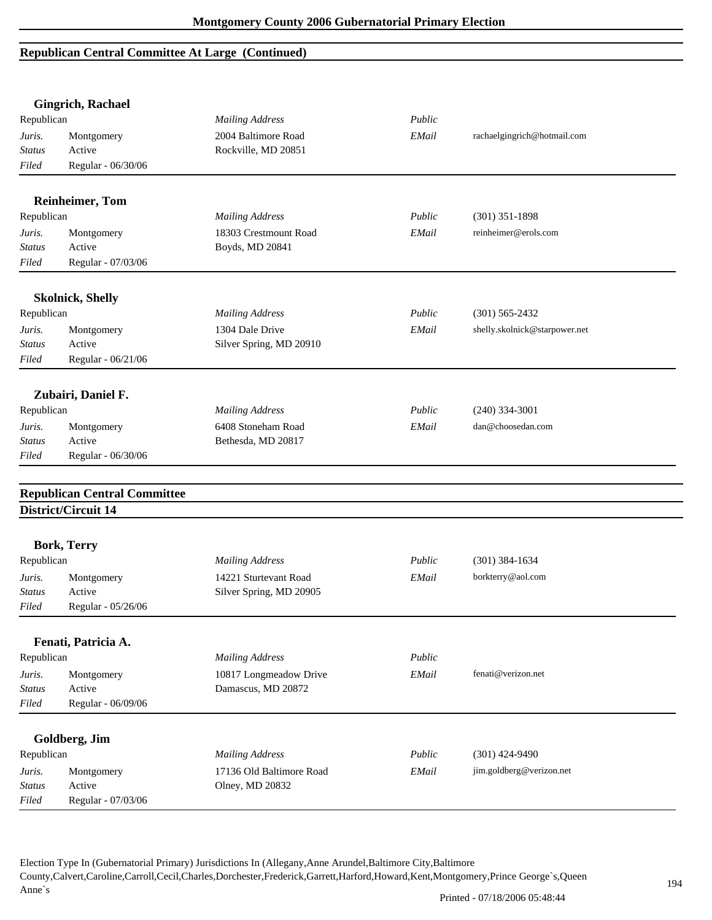# **Republican Central Committee At Large (Continued)**

|               | <b>Gingrich, Rachael</b>            |                          |        |                               |
|---------------|-------------------------------------|--------------------------|--------|-------------------------------|
| Republican    |                                     | <b>Mailing Address</b>   | Public |                               |
| Juris.        | Montgomery                          | 2004 Baltimore Road      | EMail  | rachaelgingrich@hotmail.com   |
| <b>Status</b> | Active                              | Rockville, MD 20851      |        |                               |
| Filed         | Regular - 06/30/06                  |                          |        |                               |
|               | <b>Reinheimer, Tom</b>              |                          |        |                               |
| Republican    |                                     | <b>Mailing Address</b>   | Public | $(301)$ 351-1898              |
| Juris.        | Montgomery                          | 18303 Crestmount Road    | EMail  | reinheimer@erols.com          |
| <b>Status</b> | Active                              | Boyds, MD 20841          |        |                               |
| Filed         | Regular - 07/03/06                  |                          |        |                               |
|               | <b>Skolnick, Shelly</b>             |                          |        |                               |
| Republican    |                                     | <b>Mailing Address</b>   | Public | $(301)$ 565-2432              |
| Juris.        | Montgomery                          | 1304 Dale Drive          | EMail  | shelly.skolnick@starpower.net |
| <b>Status</b> | Active                              | Silver Spring, MD 20910  |        |                               |
| Filed         | Regular - 06/21/06                  |                          |        |                               |
|               | Zubairi, Daniel F.                  |                          |        |                               |
| Republican    |                                     | <b>Mailing Address</b>   | Public | $(240)$ 334-3001              |
| Juris.        | Montgomery                          | 6408 Stoneham Road       | EMail  | dan@choosedan.com             |
| <b>Status</b> | Active                              | Bethesda, MD 20817       |        |                               |
| Filed         | Regular - 06/30/06                  |                          |        |                               |
|               |                                     |                          |        |                               |
|               | <b>Republican Central Committee</b> |                          |        |                               |
|               | District/Circuit 14                 |                          |        |                               |
|               | <b>Bork, Terry</b>                  |                          |        |                               |
| Republican    |                                     | <b>Mailing Address</b>   | Public | $(301)$ 384-1634              |
| Juris.        | Montgomery                          | 14221 Sturtevant Road    | EMail  | borkterry@aol.com             |
| Status        | Active                              | Silver Spring, MD 20905  |        |                               |
| Filed         | Regular - 05/26/06                  |                          |        |                               |
|               | Fenati, Patricia A.                 |                          |        |                               |
| Republican    |                                     | <b>Mailing Address</b>   | Public |                               |
| Juris.        | Montgomery                          | 10817 Longmeadow Drive   | EMail  | fenati@verizon.net            |
| <b>Status</b> | Active                              | Damascus, MD 20872       |        |                               |
| Filed         | Regular - 06/09/06                  |                          |        |                               |
|               |                                     |                          |        |                               |
|               | Goldberg, Jim                       |                          |        |                               |
| Republican    |                                     | <b>Mailing Address</b>   | Public | $(301)$ 424-9490              |
| Juris.        | Montgomery                          | 17136 Old Baltimore Road | EMail  | jim.goldberg@verizon.net      |
| <b>Status</b> | Active                              | Olney, MD 20832          |        |                               |
| Filed         | Regular - 07/03/06                  |                          |        |                               |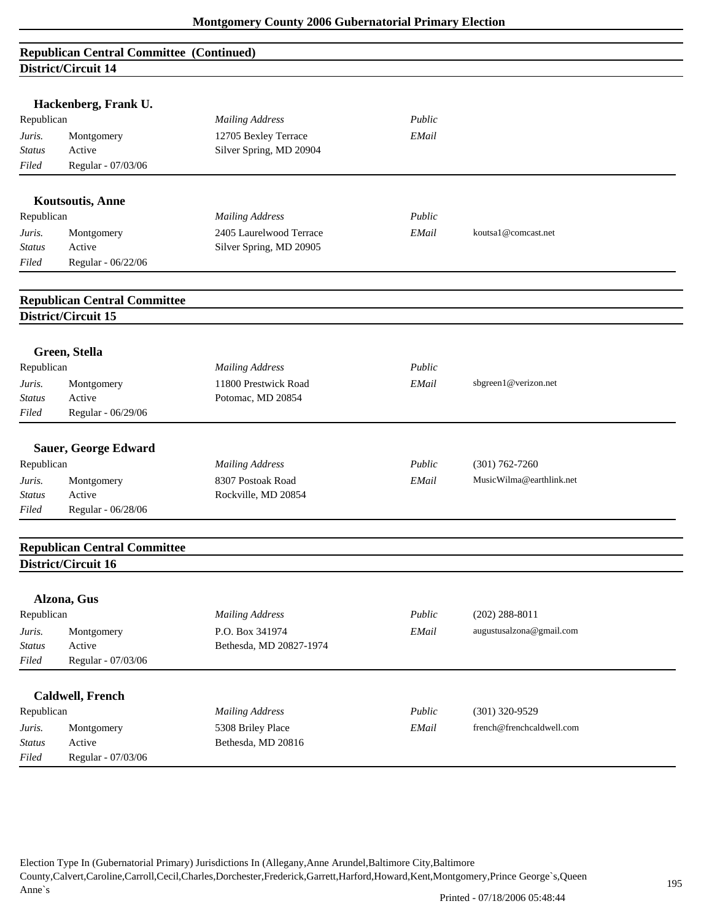# **Republican Central Committee (Continued) District/Circuit 14**

|               | Hackenberg, Frank U.                |                         |        |                           |  |
|---------------|-------------------------------------|-------------------------|--------|---------------------------|--|
| Republican    |                                     | <b>Mailing Address</b>  | Public |                           |  |
| Juris.        | Montgomery                          | 12705 Bexley Terrace    | EMail  |                           |  |
| <b>Status</b> | Active                              | Silver Spring, MD 20904 |        |                           |  |
| Filed         | Regular - 07/03/06                  |                         |        |                           |  |
|               | <b>Koutsoutis, Anne</b>             |                         |        |                           |  |
| Republican    |                                     | <b>Mailing Address</b>  | Public |                           |  |
| Juris.        | Montgomery                          | 2405 Laurelwood Terrace | EMail  | koutsa1@comcast.net       |  |
| <b>Status</b> | Active                              | Silver Spring, MD 20905 |        |                           |  |
| Filed         | Regular - 06/22/06                  |                         |        |                           |  |
|               |                                     |                         |        |                           |  |
|               | <b>Republican Central Committee</b> |                         |        |                           |  |
|               | District/Circuit 15                 |                         |        |                           |  |
|               | Green, Stella                       |                         |        |                           |  |
| Republican    |                                     | <b>Mailing Address</b>  | Public |                           |  |
| Juris.        | Montgomery                          | 11800 Prestwick Road    | EMail  | sbgreen1@verizon.net      |  |
| Status        | Active                              | Potomac, MD 20854       |        |                           |  |
| Filed         | Regular - 06/29/06                  |                         |        |                           |  |
|               | <b>Sauer, George Edward</b>         |                         |        |                           |  |
| Republican    |                                     | <b>Mailing Address</b>  | Public | $(301) 762 - 7260$        |  |
| Juris.        | Montgomery                          | 8307 Postoak Road       | EMail  | MusicWilma@earthlink.net  |  |
| <b>Status</b> | Active                              | Rockville, MD 20854     |        |                           |  |
| Filed         | Regular - 06/28/06                  |                         |        |                           |  |
|               | <b>Republican Central Committee</b> |                         |        |                           |  |
|               | District/Circuit 16                 |                         |        |                           |  |
|               | Alzona, Gus                         |                         |        |                           |  |
| Republican    |                                     | <b>Mailing Address</b>  | Public | $(202)$ 288-8011          |  |
| Juris.        | Montgomery                          | P.O. Box 341974         | EMail  | augustusalzona@gmail.com  |  |
| Status        | Active                              | Bethesda, MD 20827-1974 |        |                           |  |
| Filed         | Regular - 07/03/06                  |                         |        |                           |  |
|               |                                     |                         |        |                           |  |
|               | <b>Caldwell, French</b>             |                         |        |                           |  |
| Republican    |                                     | <b>Mailing Address</b>  | Public | $(301)$ 320-9529          |  |
| Juris.        | Montgomery                          | 5308 Briley Place       | EMail  | french@frenchcaldwell.com |  |
|               |                                     | Bethesda, MD 20816      |        |                           |  |
| Status        | Active                              |                         |        |                           |  |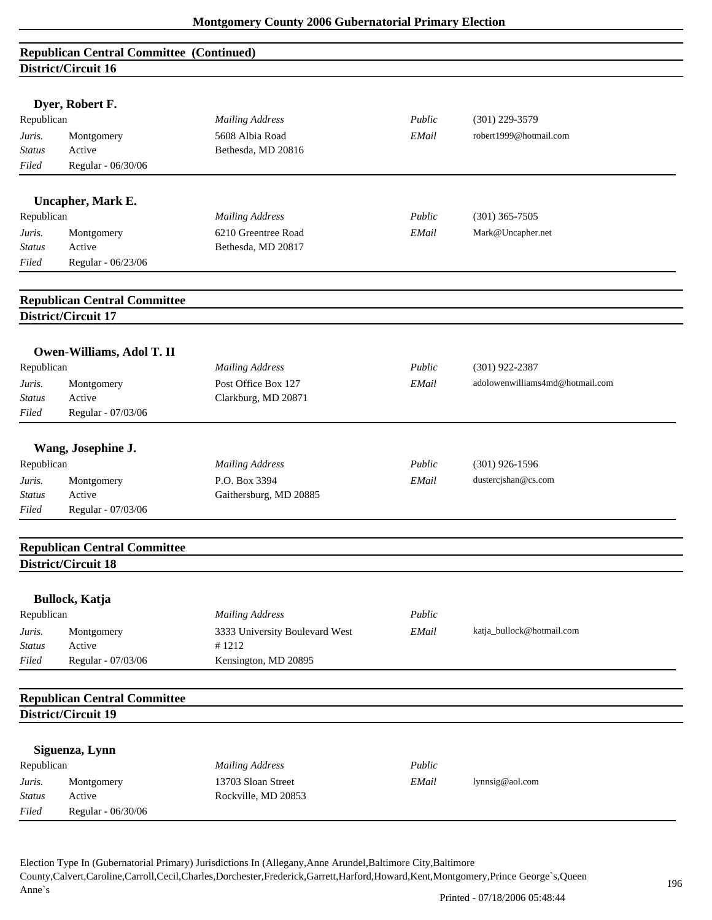|                         | <b>Republican Central Committee (Continued)</b> |                                           |        |                                 |
|-------------------------|-------------------------------------------------|-------------------------------------------|--------|---------------------------------|
|                         | District/Circuit 16                             |                                           |        |                                 |
|                         |                                                 |                                           |        |                                 |
|                         | Dyer, Robert F.                                 |                                           |        |                                 |
| Republican              |                                                 | <b>Mailing Address</b>                    | Public | $(301)$ 229-3579                |
| Juris.                  | Montgomery                                      | 5608 Albia Road                           | EMail  | robert1999@hotmail.com          |
| <b>Status</b>           | Active                                          | Bethesda, MD 20816                        |        |                                 |
| Filed                   | Regular - 06/30/06                              |                                           |        |                                 |
|                         |                                                 |                                           |        |                                 |
|                         | Uncapher, Mark E.                               |                                           | Public |                                 |
| Republican              |                                                 | <b>Mailing Address</b>                    |        | $(301)$ 365-7505                |
| Juris.<br><b>Status</b> | Montgomery<br>Active                            | 6210 Greentree Road<br>Bethesda, MD 20817 | EMail  | Mark@Uncapher.net               |
| Filed                   | Regular - 06/23/06                              |                                           |        |                                 |
|                         |                                                 |                                           |        |                                 |
|                         | <b>Republican Central Committee</b>             |                                           |        |                                 |
|                         | District/Circuit 17                             |                                           |        |                                 |
|                         |                                                 |                                           |        |                                 |
|                         | Owen-Williams, Adol T. II                       |                                           |        |                                 |
| Republican              |                                                 | <b>Mailing Address</b>                    | Public | $(301)$ 922-2387                |
| Juris.                  | Montgomery                                      | Post Office Box 127                       | EMail  | adolowenwilliams4md@hotmail.com |
| <b>Status</b>           | Active                                          | Clarkburg, MD 20871                       |        |                                 |
| Filed                   | Regular - 07/03/06                              |                                           |        |                                 |
|                         |                                                 |                                           |        |                                 |
|                         | Wang, Josephine J.                              |                                           |        |                                 |
| Republican              |                                                 | <b>Mailing Address</b>                    | Public | $(301)$ 926-1596                |
| Juris.                  | Montgomery                                      | P.O. Box 3394                             | EMail  | dustercjshan@cs.com             |
| <b>Status</b>           | Active                                          | Gaithersburg, MD 20885                    |        |                                 |
| Filed                   | Regular - 07/03/06                              |                                           |        |                                 |
|                         |                                                 |                                           |        |                                 |
|                         | <b>Republican Central Committee</b>             |                                           |        |                                 |
|                         | District/Circuit 18                             |                                           |        |                                 |
|                         | <b>Bullock, Katja</b>                           |                                           |        |                                 |
| Republican              |                                                 | <b>Mailing Address</b>                    | Public |                                 |
| Juris.                  | Montgomery                                      | 3333 University Boulevard West            | EMail  | katja_bullock@hotmail.com       |
| <b>Status</b>           | Active                                          | #1212                                     |        |                                 |
| Filed                   | Regular - 07/03/06                              | Kensington, MD 20895                      |        |                                 |
|                         |                                                 |                                           |        |                                 |
|                         | <b>Republican Central Committee</b>             |                                           |        |                                 |
|                         | District/Circuit 19                             |                                           |        |                                 |
|                         |                                                 |                                           |        |                                 |
|                         | Siguenza, Lynn                                  |                                           |        |                                 |
| Republican              |                                                 | <b>Mailing Address</b>                    | Public |                                 |
| Juris.                  | Montgomery                                      | 13703 Sloan Street                        | EMail  | lynnsig@aol.com                 |
| <b>Status</b>           | Active                                          | Rockville, MD 20853                       |        |                                 |
| Filed                   | Regular - 06/30/06                              |                                           |        |                                 |
|                         |                                                 |                                           |        |                                 |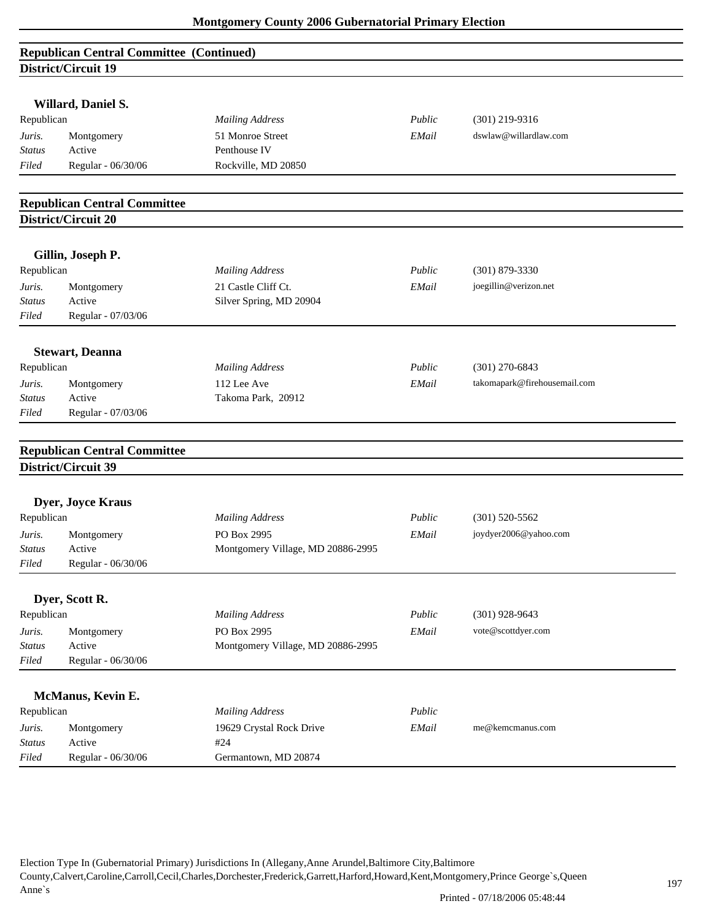| <b>Republican Central Committee (Continued)</b> |  |
|-------------------------------------------------|--|
| District/Circuit 19                             |  |

| Willard, Daniel S.<br>Republican |                                                            | <b>Mailing Address</b>                         | Public | $(301)$ 219-9316             |  |
|----------------------------------|------------------------------------------------------------|------------------------------------------------|--------|------------------------------|--|
| Juris.                           | Montgomery                                                 | 51 Monroe Street                               | EMail  | dswlaw@willardlaw.com        |  |
| <b>Status</b>                    | Active                                                     | Penthouse IV                                   |        |                              |  |
| Filed                            | Regular - 06/30/06                                         | Rockville, MD 20850                            |        |                              |  |
|                                  |                                                            |                                                |        |                              |  |
|                                  | <b>Republican Central Committee</b>                        |                                                |        |                              |  |
|                                  | District/Circuit 20                                        |                                                |        |                              |  |
|                                  | Gillin, Joseph P.                                          |                                                |        |                              |  |
| Republican                       |                                                            | <b>Mailing Address</b>                         | Public | $(301)$ 879-3330             |  |
|                                  |                                                            |                                                |        |                              |  |
| Juris.<br>Status                 | Montgomery<br>Active                                       | 21 Castle Cliff Ct.<br>Silver Spring, MD 20904 | EMail  | joegillin@verizon.net        |  |
| Filed                            | Regular - 07/03/06                                         |                                                |        |                              |  |
|                                  |                                                            |                                                |        |                              |  |
|                                  | <b>Stewart</b> , Deanna                                    |                                                |        |                              |  |
| Republican                       |                                                            | <b>Mailing Address</b>                         | Public | $(301)$ 270-6843             |  |
| Juris.                           | Montgomery                                                 | 112 Lee Ave                                    | EMail  | takomapark@firehousemail.com |  |
| Status                           | Active                                                     | Takoma Park, 20912                             |        |                              |  |
| Filed                            | Regular - 07/03/06                                         |                                                |        |                              |  |
|                                  |                                                            |                                                |        |                              |  |
|                                  |                                                            |                                                |        |                              |  |
|                                  | <b>Republican Central Committee</b><br>District/Circuit 39 |                                                |        |                              |  |
|                                  |                                                            |                                                |        |                              |  |
|                                  | Dyer, Joyce Kraus                                          |                                                |        |                              |  |
| Republican                       |                                                            | <b>Mailing Address</b>                         | Public | $(301) 520 - 5562$           |  |
| Juris.                           | Montgomery                                                 | PO Box 2995                                    | EMail  | joydyer2006@yahoo.com        |  |
| Status                           | Active                                                     | Montgomery Village, MD 20886-2995              |        |                              |  |
| Filed                            | Regular - 06/30/06                                         |                                                |        |                              |  |
|                                  | Dyer, Scott R.                                             |                                                |        |                              |  |
| Republican                       |                                                            | <b>Mailing Address</b>                         | Public | $(301)$ 928-9643             |  |
| Juris.                           | Montgomery                                                 | PO Box 2995                                    | EMail  | vote@scottdyer.com           |  |
| <b>Status</b>                    | Active                                                     | Montgomery Village, MD 20886-2995              |        |                              |  |
| Filed                            | Regular - 06/30/06                                         |                                                |        |                              |  |
|                                  |                                                            |                                                |        |                              |  |
|                                  | McManus, Kevin E.                                          |                                                |        |                              |  |
| Republican                       |                                                            | <b>Mailing Address</b>                         | Public |                              |  |
| Juris.                           | Montgomery                                                 | 19629 Crystal Rock Drive                       | EMail  | me@kemcmanus.com             |  |
| <b>Status</b><br>Filed           | Active<br>Regular - 06/30/06                               | #24<br>Germantown, MD 20874                    |        |                              |  |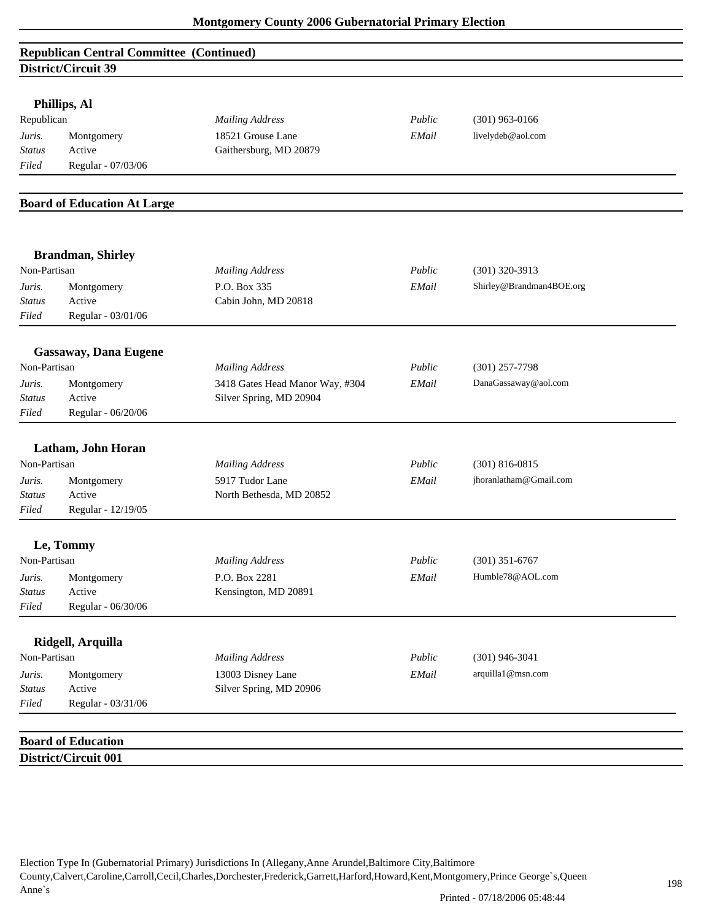# **Republican Central Committee (Continued) District/Circuit 39**

| Phillips, Al |  |
|--------------|--|
|--------------|--|

| Republican    |                    | Mailing Address        | Public | $(301)$ 963-0166  |
|---------------|--------------------|------------------------|--------|-------------------|
| Juris.        | Montgomery         | 18521 Grouse Lane      | EMail  | livelydeb@aol.com |
| <b>Status</b> | Active             | Gaithersburg, MD 20879 |        |                   |
| Filed         | Regular - 07/03/06 |                        |        |                   |

#### **Board of Education At Large**

|                                  | <b>Brandman</b> , Shirley                  |                                                            |        |                          |
|----------------------------------|--------------------------------------------|------------------------------------------------------------|--------|--------------------------|
| Non-Partisan                     |                                            | <b>Mailing Address</b>                                     | Public | $(301)$ 320-3913         |
| Juris.<br>Status<br>Filed        | Montgomery<br>Active<br>Regular - 03/01/06 | P.O. Box 335<br>Cabin John, MD 20818                       | EMail  | Shirley@Brandman4BOE.org |
|                                  | <b>Gassaway, Dana Eugene</b>               |                                                            |        |                          |
| Non-Partisan                     |                                            | <b>Mailing Address</b>                                     | Public | $(301)$ 257-7798         |
| Juris.<br><b>Status</b><br>Filed | Montgomery<br>Active<br>Regular - 06/20/06 | 3418 Gates Head Manor Way, #304<br>Silver Spring, MD 20904 | EMail  | DanaGassaway@aol.com     |
|                                  | Latham, John Horan                         |                                                            |        |                          |
| Non-Partisan                     |                                            | <b>Mailing Address</b>                                     | Public | $(301) 816 - 0815$       |
| Juris.                           | Montgomery                                 | 5917 Tudor Lane                                            | EMail  | jhoranlatham@Gmail.com   |
| <b>Status</b>                    | Active                                     | North Bethesda, MD 20852                                   |        |                          |
| Filed                            | Regular - 12/19/05                         |                                                            |        |                          |
|                                  | Le, Tommy                                  |                                                            |        |                          |
| Non-Partisan                     |                                            | <b>Mailing Address</b>                                     | Public | $(301)$ 351-6767         |
| Juris.                           | Montgomery                                 | P.O. Box 2281                                              | EMail  | Humble78@AOL.com         |
| <b>Status</b>                    | Active                                     | Kensington, MD 20891                                       |        |                          |
| Filed                            | Regular - 06/30/06                         |                                                            |        |                          |
|                                  | Ridgell, Arquilla                          |                                                            |        |                          |
| Non-Partisan                     |                                            | <b>Mailing Address</b>                                     | Public | $(301)$ 946-3041         |
| Juris.                           | Montgomery                                 | 13003 Disney Lane                                          | EMail  | arquilla1@msn.com        |
| Status                           | Active                                     | Silver Spring, MD 20906                                    |        |                          |
| Filed                            | Regular - 03/31/06                         |                                                            |        |                          |
|                                  |                                            |                                                            |        |                          |
|                                  | <b>Board of Education</b>                  |                                                            |        |                          |
|                                  | <b>District/Circuit 001</b>                |                                                            |        |                          |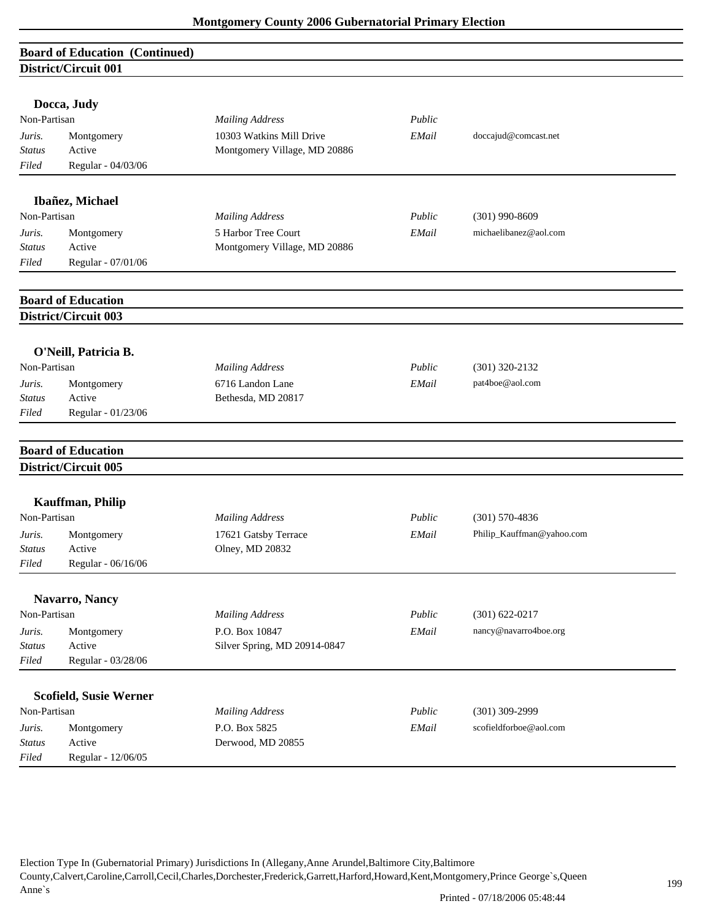# **Board of Education (Continued) District/Circuit 001**

|               | Docca, Judy                   |                              |        |                           |  |
|---------------|-------------------------------|------------------------------|--------|---------------------------|--|
| Non-Partisan  |                               | <b>Mailing Address</b>       | Public |                           |  |
| Juris.        | Montgomery                    | 10303 Watkins Mill Drive     | EMail  | doccajud@comcast.net      |  |
| <b>Status</b> | Active                        | Montgomery Village, MD 20886 |        |                           |  |
| Filed         | Regular - 04/03/06            |                              |        |                           |  |
|               |                               |                              |        |                           |  |
|               | Ibañez, Michael               |                              |        |                           |  |
| Non-Partisan  |                               | <b>Mailing Address</b>       | Public | $(301)$ 990-8609          |  |
| Juris.        | Montgomery                    | 5 Harbor Tree Court          | EMail  | michaelibanez@aol.com     |  |
| <b>Status</b> | Active                        | Montgomery Village, MD 20886 |        |                           |  |
| Filed         | Regular - 07/01/06            |                              |        |                           |  |
|               | <b>Board of Education</b>     |                              |        |                           |  |
|               | <b>District/Circuit 003</b>   |                              |        |                           |  |
|               |                               |                              |        |                           |  |
|               | O'Neill, Patricia B.          |                              |        |                           |  |
| Non-Partisan  |                               | <b>Mailing Address</b>       | Public | $(301)$ 320-2132          |  |
| Juris.        | Montgomery                    | 6716 Landon Lane             | EMail  | pat4boe@aol.com           |  |
| <b>Status</b> | Active                        | Bethesda, MD 20817           |        |                           |  |
| Filed         | Regular - 01/23/06            |                              |        |                           |  |
|               | <b>Board of Education</b>     |                              |        |                           |  |
|               | District/Circuit 005          |                              |        |                           |  |
|               |                               |                              |        |                           |  |
| Non-Partisan  | <b>Kauffman</b> , Philip      | <b>Mailing Address</b>       | Public | $(301) 570 - 4836$        |  |
| Juris.        | Montgomery                    | 17621 Gatsby Terrace         | EMail  | Philip_Kauffman@yahoo.com |  |
| <b>Status</b> | Active                        | Olney, MD 20832              |        |                           |  |
| Filed         | Regular - 06/16/06            |                              |        |                           |  |
|               |                               |                              |        |                           |  |
|               | Navarro, Nancy                |                              |        |                           |  |
| Non-Partisan  |                               | <b>Mailing Address</b>       | Public | $(301) 622 - 0217$        |  |
| Juris.        | Montgomery                    | P.O. Box 10847               | EMail  | nancy@navarro4boe.org     |  |
| <b>Status</b> | Active                        | Silver Spring, MD 20914-0847 |        |                           |  |
| Filed         | Regular - 03/28/06            |                              |        |                           |  |
|               | <b>Scofield, Susie Werner</b> |                              |        |                           |  |
| Non-Partisan  |                               | <b>Mailing Address</b>       | Public | $(301)$ 309-2999          |  |
| Juris.        | Montgomery                    | P.O. Box 5825                | EMail  | scofieldforboe@aol.com    |  |
| <b>Status</b> | Active                        | Derwood, MD 20855            |        |                           |  |
| Filed         | Regular - 12/06/05            |                              |        |                           |  |
|               |                               |                              |        |                           |  |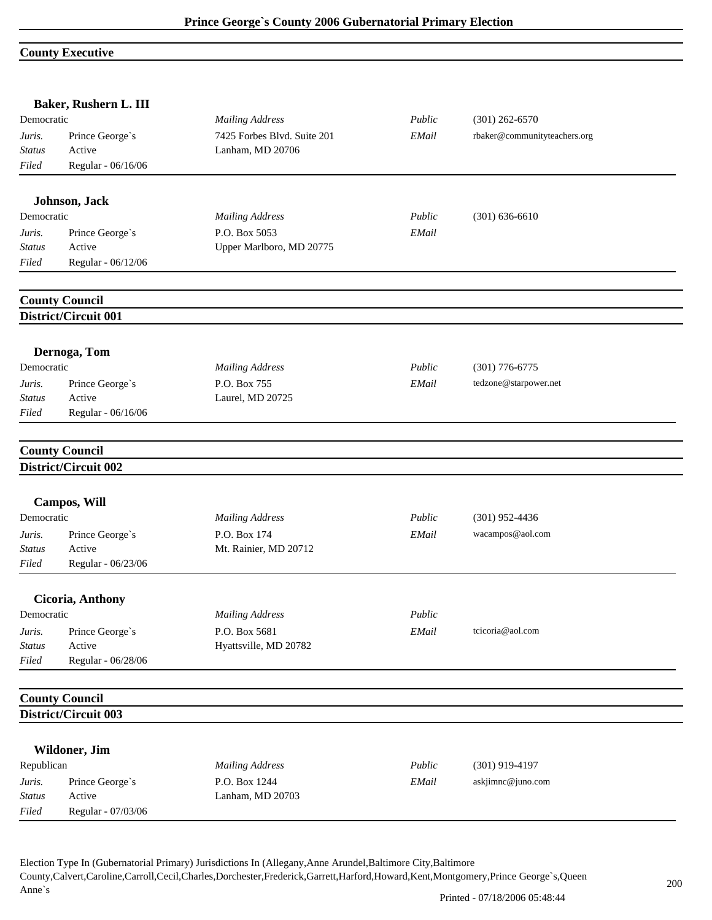#### **County Executive**

|                         | Baker, Rushern L. III                         |                                                 |        |                              |  |
|-------------------------|-----------------------------------------------|-------------------------------------------------|--------|------------------------------|--|
| Democratic              |                                               | <b>Mailing Address</b>                          | Public | $(301)$ 262-6570             |  |
| Juris.<br><b>Status</b> | Prince George's<br>Active                     | 7425 Forbes Blvd. Suite 201<br>Lanham, MD 20706 | EMail  | rbaker@communityteachers.org |  |
| Filed                   | Regular - 06/16/06                            |                                                 |        |                              |  |
|                         |                                               |                                                 |        |                              |  |
|                         | Johnson, Jack                                 |                                                 |        |                              |  |
| Democratic              |                                               | <b>Mailing Address</b>                          | Public | $(301) 636 - 6610$           |  |
| Juris.                  | Prince George's                               | P.O. Box 5053                                   | EMail  |                              |  |
| <b>Status</b><br>Filed  | Active<br>Regular - 06/12/06                  | Upper Marlboro, MD 20775                        |        |                              |  |
|                         |                                               |                                                 |        |                              |  |
|                         | <b>County Council</b><br>District/Circuit 001 |                                                 |        |                              |  |
|                         |                                               |                                                 |        |                              |  |
|                         | Dernoga, Tom                                  |                                                 |        |                              |  |
| Democratic              |                                               | <b>Mailing Address</b>                          | Public | $(301)$ 776-6775             |  |
| Juris.                  | Prince George's                               | P.O. Box 755                                    | EMail  | tedzone@starpower.net        |  |
| Status                  | Active                                        | Laurel, MD 20725                                |        |                              |  |
| Filed                   | Regular - 06/16/06                            |                                                 |        |                              |  |
|                         | <b>County Council</b>                         |                                                 |        |                              |  |
|                         | District/Circuit 002                          |                                                 |        |                              |  |
|                         | <b>Campos, Will</b>                           |                                                 |        |                              |  |
| Democratic              |                                               | <b>Mailing Address</b>                          | Public | $(301)$ 952-4436             |  |
| Juris.                  | Prince George's                               | P.O. Box 174                                    | EMail  | wacampos@aol.com             |  |
| <b>Status</b>           | Active                                        | Mt. Rainier, MD 20712                           |        |                              |  |
| Filed                   | Regular - 06/23/06                            |                                                 |        |                              |  |
|                         | Cicoria, Anthony                              |                                                 |        |                              |  |
| Democratic              |                                               | <b>Mailing Address</b>                          | Public |                              |  |
| Juris.                  | Prince George's                               | P.O. Box 5681                                   | EMail  | tcicoria@aol.com             |  |
| <b>Status</b>           | Active                                        | Hyattsville, MD 20782                           |        |                              |  |
| Filed                   | Regular - 06/28/06                            |                                                 |        |                              |  |
|                         | <b>County Council</b>                         |                                                 |        |                              |  |
|                         | District/Circuit 003                          |                                                 |        |                              |  |
|                         |                                               |                                                 |        |                              |  |
|                         | Wildoner, Jim                                 |                                                 | Public | $(301)$ 919-4197             |  |
| Republican              |                                               | <b>Mailing Address</b>                          |        |                              |  |
| Juris.<br><b>Status</b> | Prince George's<br>Active                     | P.O. Box 1244<br>Lanham, MD 20703               | EMail  | askjimnc@juno.com            |  |
| Filed                   | Regular - 07/03/06                            |                                                 |        |                              |  |
|                         |                                               |                                                 |        |                              |  |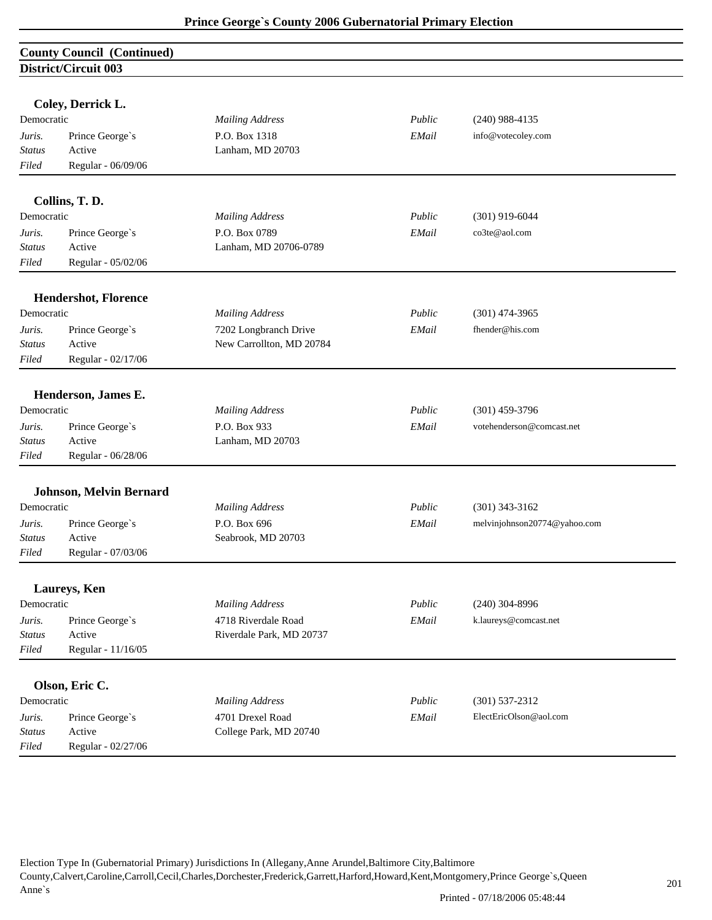| <b>County Council (Continued)</b> |  |
|-----------------------------------|--|
| District/Circuit 003              |  |

|                         | Coley, Derrick L.           |                                  |        |                              |
|-------------------------|-----------------------------|----------------------------------|--------|------------------------------|
| Democratic              |                             | <b>Mailing Address</b>           | Public | $(240)$ 988-4135             |
| Juris.                  | Prince George's             | P.O. Box 1318                    | EMail  | info@votecoley.com           |
| <b>Status</b>           | Active                      | Lanham, MD 20703                 |        |                              |
| Filed                   | Regular - 06/09/06          |                                  |        |                              |
|                         |                             |                                  |        |                              |
|                         | Collins, T.D.               |                                  |        |                              |
| Democratic              |                             | <b>Mailing Address</b>           | Public | $(301)$ 919-6044             |
| Juris.                  | Prince George's             | P.O. Box 0789                    | EMail  | co3te@aol.com                |
| <b>Status</b>           | Active                      | Lanham, MD 20706-0789            |        |                              |
| Filed                   | Regular - 05/02/06          |                                  |        |                              |
|                         | <b>Hendershot, Florence</b> |                                  |        |                              |
| Democratic              |                             | <b>Mailing Address</b>           | Public | $(301)$ 474-3965             |
| Juris.                  | Prince George's             | 7202 Longbranch Drive            | EMail  | fhender@his.com              |
| <b>Status</b>           | Active                      | New Carrollton, MD 20784         |        |                              |
| Filed                   | Regular - 02/17/06          |                                  |        |                              |
|                         |                             |                                  |        |                              |
| Democratic              | Henderson, James E.         |                                  | Public |                              |
|                         |                             | <b>Mailing Address</b>           |        | $(301)$ 459-3796             |
| Juris.<br><b>Status</b> | Prince George's<br>Active   | P.O. Box 933<br>Lanham, MD 20703 | EMail  | votehenderson@comcast.net    |
| Filed                   | Regular - 06/28/06          |                                  |        |                              |
|                         |                             |                                  |        |                              |
|                         | Johnson, Melvin Bernard     |                                  |        |                              |
| Democratic              |                             | <b>Mailing Address</b>           | Public | $(301)$ 343-3162             |
| Juris.                  | Prince George's             | P.O. Box 696                     | EMail  | melvinjohnson20774@yahoo.com |
| <b>Status</b>           | Active                      | Seabrook, MD 20703               |        |                              |
| Filed                   | Regular - 07/03/06          |                                  |        |                              |
|                         | Laureys, Ken                |                                  |        |                              |
| Democratic              |                             | <b>Mailing Address</b>           | Public | $(240)$ 304-8996             |
| Juris.                  | Prince George's             | 4718 Riverdale Road              | EMail  | k.laureys@comcast.net        |
| Status                  | Active                      | Riverdale Park, MD 20737         |        |                              |
| Filed                   | Regular - 11/16/05          |                                  |        |                              |
|                         |                             |                                  |        |                              |
|                         | Olson, Eric C.              |                                  |        |                              |
| Democratic              |                             | <b>Mailing Address</b>           | Public | $(301) 537 - 2312$           |
| Juris.                  | Prince George's             | 4701 Drexel Road                 | EMail  | ElectEricOlson@aol.com       |
| <b>Status</b>           | Active                      | College Park, MD 20740           |        |                              |
| Filed                   | Regular - 02/27/06          |                                  |        |                              |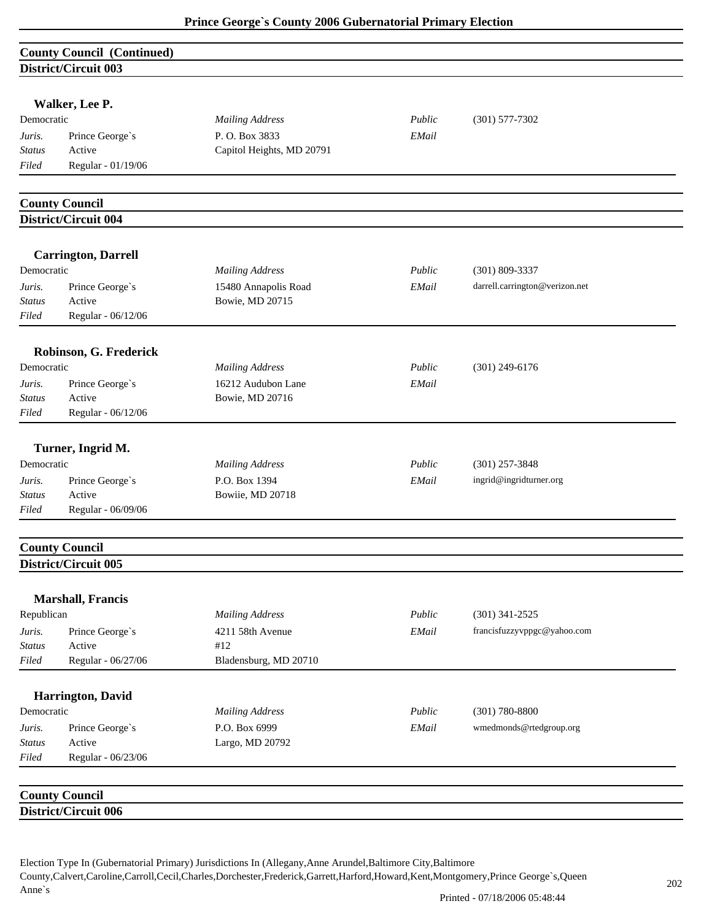|                        | <b>County Council (Continued)</b> |                              |        |                                |
|------------------------|-----------------------------------|------------------------------|--------|--------------------------------|
|                        | District/Circuit 003              |                              |        |                                |
|                        |                                   |                              |        |                                |
|                        | Walker, Lee P.                    |                              |        |                                |
| Democratic             |                                   | <b>Mailing Address</b>       | Public | $(301) 577 - 7302$             |
| Juris.                 | Prince George's                   | P.O. Box 3833                | EMail  |                                |
| <b>Status</b>          | Active                            | Capitol Heights, MD 20791    |        |                                |
| Filed                  | Regular - 01/19/06                |                              |        |                                |
|                        |                                   |                              |        |                                |
|                        | <b>County Council</b>             |                              |        |                                |
|                        | District/Circuit 004              |                              |        |                                |
|                        | <b>Carrington, Darrell</b>        |                              |        |                                |
| Democratic             |                                   | <b>Mailing Address</b>       | Public | $(301) 809 - 3337$             |
| Juris.                 | Prince George's                   | 15480 Annapolis Road         | EMail  | darrell.carrington@verizon.net |
| Status                 | Active                            | Bowie, MD 20715              |        |                                |
| Filed                  | Regular - 06/12/06                |                              |        |                                |
|                        |                                   |                              |        |                                |
|                        | Robinson, G. Frederick            |                              |        |                                |
| Democratic             |                                   | <b>Mailing Address</b>       | Public | $(301)$ 249-6176               |
| Juris.                 | Prince George's                   | 16212 Audubon Lane           | EMail  |                                |
| <b>Status</b>          | Active                            | Bowie, MD 20716              |        |                                |
| Filed                  | Regular - 06/12/06                |                              |        |                                |
|                        | Turner, Ingrid M.                 |                              |        |                                |
| Democratic             |                                   | <b>Mailing Address</b>       | Public | $(301)$ 257-3848               |
| Juris.                 | Prince George's                   | P.O. Box 1394                | EMail  | ingrid@ingridturner.org        |
| <b>Status</b>          | Active                            | Bowiie, MD 20718             |        |                                |
| Filed                  | Regular - 06/09/06                |                              |        |                                |
|                        |                                   |                              |        |                                |
|                        | <b>County Council</b>             |                              |        |                                |
|                        | District/Circuit 005              |                              |        |                                |
|                        |                                   |                              |        |                                |
| Republican             | <b>Marshall</b> , Francis         |                              |        |                                |
|                        |                                   | <b>Mailing Address</b>       | Public | $(301)$ 341-2525               |
| Juris.                 | Prince George's<br>Active         | 4211 58th Avenue             | EMail  | francisfuzzyvppgc@yahoo.com    |
| <b>Status</b><br>Filed | Regular - 06/27/06                | #12<br>Bladensburg, MD 20710 |        |                                |
|                        |                                   |                              |        |                                |
|                        | Harrington, David                 |                              |        |                                |
| Democratic             |                                   | <b>Mailing Address</b>       | Public | $(301) 780 - 8800$             |
| Juris.                 | Prince George's                   | P.O. Box 6999                | EMail  | wmedmonds@rtedgroup.org        |
| <b>Status</b>          | Active                            | Largo, MD 20792              |        |                                |
| Filed                  | Regular - 06/23/06                |                              |        |                                |
|                        |                                   |                              |        |                                |
|                        | <b>County Council</b>             |                              |        |                                |
|                        | District/Circuit 006              |                              |        |                                |
|                        |                                   |                              |        |                                |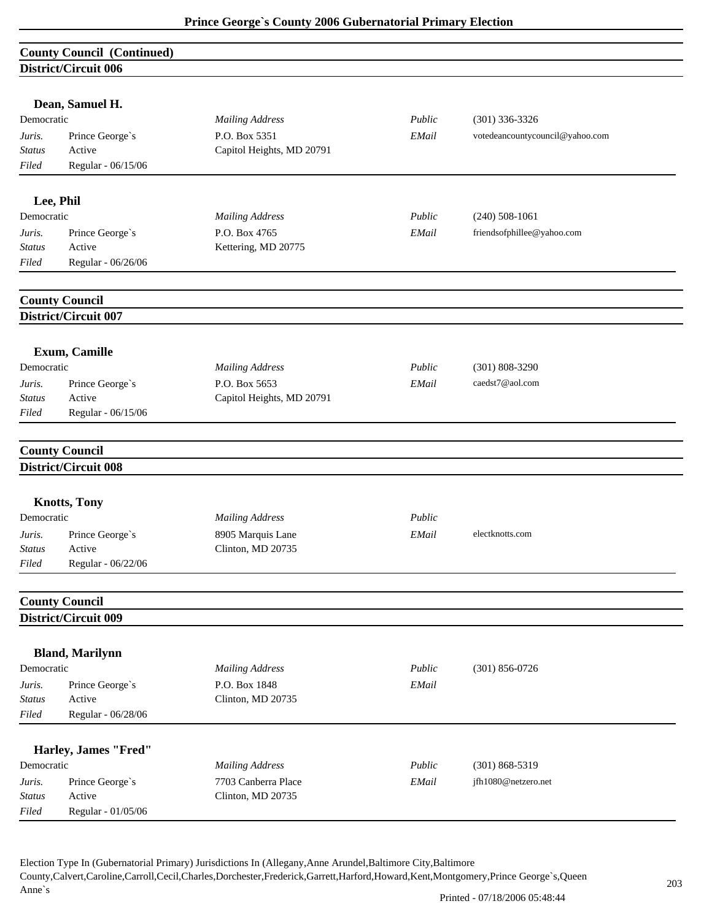|               | <b>County Council (Continued)</b>                    |                           |        |                                 |
|---------------|------------------------------------------------------|---------------------------|--------|---------------------------------|
|               | District/Circuit 006                                 |                           |        |                                 |
|               |                                                      |                           |        |                                 |
|               | Dean, Samuel H.                                      |                           |        |                                 |
| Democratic    |                                                      | <b>Mailing Address</b>    | Public | $(301)$ 336-3326                |
| Juris.        | Prince George's                                      | P.O. Box 5351             | EMail  | votedeancountycouncil@yahoo.com |
| Status        | Active                                               | Capitol Heights, MD 20791 |        |                                 |
| Filed         | Regular - 06/15/06                                   |                           |        |                                 |
| Lee, Phil     |                                                      |                           |        |                                 |
| Democratic    |                                                      | <b>Mailing Address</b>    | Public | $(240)$ 508-1061                |
| Juris.        |                                                      | P.O. Box 4765             | EMail  | friendsofphillee@yahoo.com      |
| <b>Status</b> | Prince George's<br>Active                            | Kettering, MD 20775       |        |                                 |
| Filed         | Regular - 06/26/06                                   |                           |        |                                 |
|               |                                                      |                           |        |                                 |
|               | <b>County Council</b>                                |                           |        |                                 |
|               | District/Circuit 007                                 |                           |        |                                 |
|               | Exum, Camille                                        |                           |        |                                 |
| Democratic    |                                                      | <b>Mailing Address</b>    | Public | $(301) 808 - 3290$              |
| Juris.        | Prince George's                                      | P.O. Box 5653             | EMail  | caedst7@aol.com                 |
| <b>Status</b> | Active                                               | Capitol Heights, MD 20791 |        |                                 |
| Filed         | Regular - 06/15/06                                   |                           |        |                                 |
|               |                                                      |                           |        |                                 |
|               | <b>County Council</b>                                |                           |        |                                 |
|               | District/Circuit 008                                 |                           |        |                                 |
|               | <b>Knotts, Tony</b>                                  |                           |        |                                 |
| Democratic    |                                                      | <b>Mailing Address</b>    | Public |                                 |
| Juris.        | Prince George's                                      | 8905 Marquis Lane         | EMail  | electknotts.com                 |
| Status        | Active                                               | Clinton, MD 20735         |        |                                 |
| Filed         | Regular - 06/22/06                                   |                           |        |                                 |
|               |                                                      |                           |        |                                 |
|               | <b>County Council</b><br><b>District/Circuit 009</b> |                           |        |                                 |
|               |                                                      |                           |        |                                 |
|               | <b>Bland, Marilynn</b>                               |                           |        |                                 |
| Democratic    |                                                      | <b>Mailing Address</b>    | Public | $(301) 856 - 0726$              |
| Juris.        | Prince George's                                      | P.O. Box 1848             | EMail  |                                 |
| <b>Status</b> | Active                                               | Clinton, MD 20735         |        |                                 |
| Filed         | Regular - 06/28/06                                   |                           |        |                                 |
|               | Harley, James "Fred"                                 |                           |        |                                 |
| Democratic    |                                                      | <b>Mailing Address</b>    | Public | $(301) 868 - 5319$              |
| Juris.        | Prince George's                                      | 7703 Canberra Place       | EMail  | jfh1080@netzero.net             |
| <b>Status</b> | Active                                               | Clinton, MD 20735         |        |                                 |
| Filed         | Regular - 01/05/06                                   |                           |        |                                 |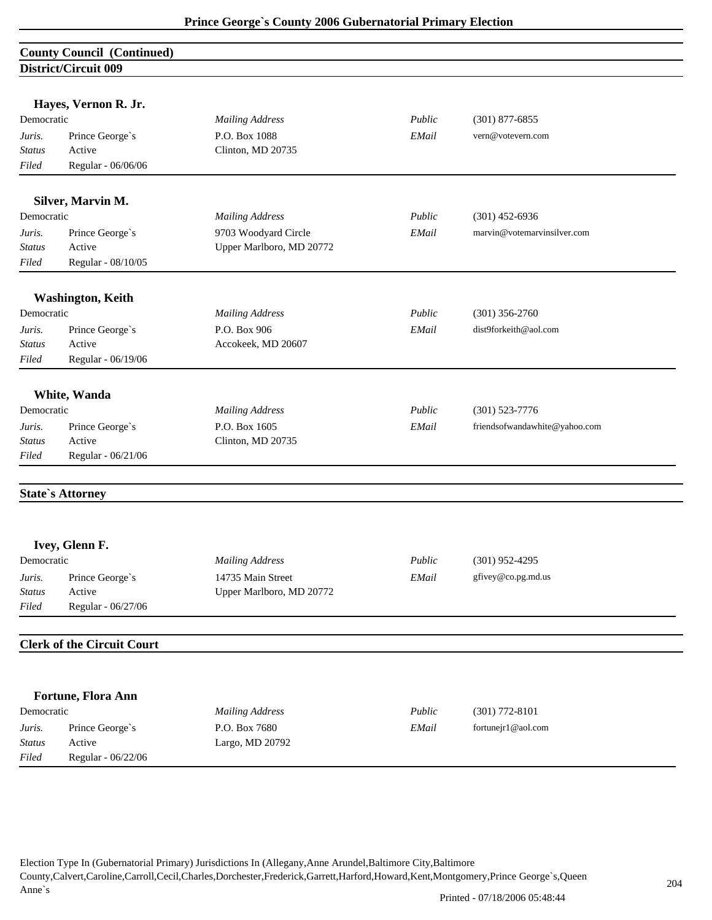#### **County Council (Continued) District/Circuit 009**

|               | Hayes, Vernon R. Jr.              |                          |        |                               |
|---------------|-----------------------------------|--------------------------|--------|-------------------------------|
| Democratic    |                                   | <b>Mailing Address</b>   | Public | $(301)$ 877-6855              |
| Juris.        | Prince George's                   | P.O. Box 1088            | EMail  | vern@votevern.com             |
| <b>Status</b> | Active                            | Clinton, MD 20735        |        |                               |
| Filed         | Regular - 06/06/06                |                          |        |                               |
|               |                                   |                          |        |                               |
|               | Silver, Marvin M.                 |                          |        |                               |
| Democratic    |                                   | <b>Mailing Address</b>   | Public | $(301)$ 452-6936              |
| Juris.        | Prince George's                   | 9703 Woodyard Circle     | EMail  | marvin@votemarvinsilver.com   |
| <b>Status</b> | Active                            | Upper Marlboro, MD 20772 |        |                               |
| Filed         | Regular - 08/10/05                |                          |        |                               |
|               | <b>Washington, Keith</b>          |                          |        |                               |
| Democratic    |                                   | <b>Mailing Address</b>   | Public | $(301)$ 356-2760              |
| Juris.        | Prince George's                   | P.O. Box 906             | EMail  | dist9forkeith@aol.com         |
| <b>Status</b> | Active                            | Accokeek, MD 20607       |        |                               |
| Filed         | Regular - 06/19/06                |                          |        |                               |
|               |                                   |                          |        |                               |
|               | White, Wanda                      |                          |        |                               |
| Democratic    |                                   | <b>Mailing Address</b>   | Public | $(301) 523 - 7776$            |
| Juris.        | Prince George's                   | P.O. Box 1605            | EMail  | friendsofwandawhite@yahoo.com |
| <b>Status</b> | Active                            | Clinton, MD 20735        |        |                               |
| Filed         | Regular - 06/21/06                |                          |        |                               |
|               | <b>State's Attorney</b>           |                          |        |                               |
|               | Ivey, Glenn F.                    |                          |        |                               |
| Democratic    |                                   | <b>Mailing Address</b>   | Public | $(301)$ 952-4295              |
| Juris.        | Prince George's                   | 14735 Main Street        | EMail  | gfivey@co.pg.md.us            |
| <i>Status</i> | Active                            | Upper Marlboro, MD 20772 |        |                               |
| Filed         | Regular - 06/27/06                |                          |        |                               |
|               | <b>Clerk of the Circuit Court</b> |                          |        |                               |
|               |                                   |                          |        |                               |
|               |                                   |                          |        |                               |
| Democratic    | Fortune, Flora Ann                | <b>Mailing Address</b>   | Public | $(301)$ 772-8101              |
|               |                                   |                          |        |                               |
| Juris.        | Prince George's                   | P.O. Box 7680            | EMail  | fortunejr1@aol.com            |
| <b>Status</b> | Active                            | Largo, MD 20792          |        |                               |
| Filed         | Regular - 06/22/06                |                          |        |                               |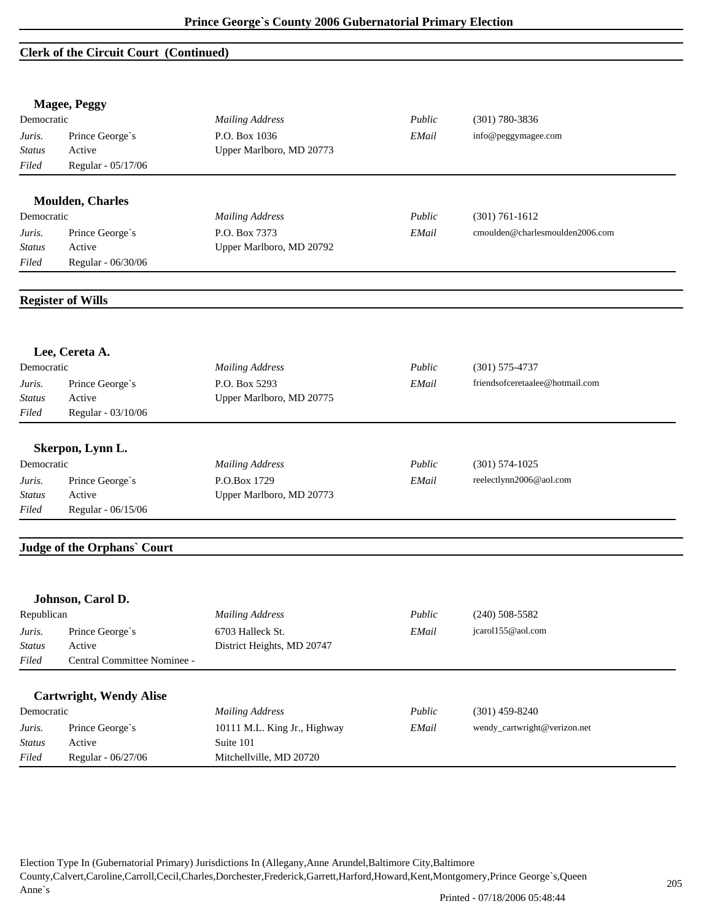#### **Clerk of the Circuit Court (Continued)**

|               | <b>Magee, Peggy</b>                |                              |        |                                 |
|---------------|------------------------------------|------------------------------|--------|---------------------------------|
| Democratic    |                                    | <b>Mailing Address</b>       | Public | $(301) 780 - 3836$              |
| Juris.        | Prince George's                    | P.O. Box 1036                | EMail  | info@peggymagee.com             |
| <b>Status</b> | Active                             | Upper Marlboro, MD 20773     |        |                                 |
| Filed         | Regular - 05/17/06                 |                              |        |                                 |
|               | <b>Moulden, Charles</b>            |                              |        |                                 |
| Democratic    |                                    | <b>Mailing Address</b>       | Public | $(301) 761 - 1612$              |
| Juris.        | Prince George's                    | P.O. Box 7373                | EMail  | cmoulden@charlesmoulden2006.com |
| <b>Status</b> | Active                             | Upper Marlboro, MD 20792     |        |                                 |
| Filed         | Regular - 06/30/06                 |                              |        |                                 |
|               |                                    |                              |        |                                 |
|               | <b>Register of Wills</b>           |                              |        |                                 |
|               |                                    |                              |        |                                 |
|               | Lee, Cereta A.                     |                              |        |                                 |
| Democratic    |                                    | <b>Mailing Address</b>       | Public | $(301) 575 - 4737$              |
| Juris.        | Prince George's                    | P.O. Box 5293                | EMail  | friendsofceretaalee@hotmail.com |
| <b>Status</b> | Active                             | Upper Marlboro, MD 20775     |        |                                 |
| Filed         | Regular - 03/10/06                 |                              |        |                                 |
|               | Skerpon, Lynn L.                   |                              |        |                                 |
| Democratic    |                                    | <b>Mailing Address</b>       | Public | $(301) 574 - 1025$              |
| Juris.        | Prince George's                    | P.O.Box 1729                 | EMail  | reelectlynn2006@aol.com         |
| Status        | Active                             | Upper Marlboro, MD 20773     |        |                                 |
| Filed         | Regular - 06/15/06                 |                              |        |                                 |
|               | <b>Judge of the Orphans' Court</b> |                              |        |                                 |
|               |                                    |                              |        |                                 |
|               | Johnson, Carol D.                  |                              |        |                                 |
| Republican    |                                    | <b>Mailing Address</b>       | Public | $(240)$ 508-5582                |
| Juris.        | Prince George's                    | 6703 Halleck St.             | EMail  | jcarol155@aol.com               |
| <b>Status</b> | Active                             | District Heights, MD 20747   |        |                                 |
| Filed         | Central Committee Nominee -        |                              |        |                                 |
|               |                                    |                              |        |                                 |
|               | <b>Cartwright, Wendy Alise</b>     |                              |        |                                 |
| Democratic    |                                    | <b>Mailing Address</b>       | Public | $(301)$ 459-8240                |
| Juris.        | Prince George's                    | 10111 M.L. King Jr., Highway | EMail  | wendy_cartwright@verizon.net    |
| <b>Status</b> | Active                             | Suite 101                    |        |                                 |
| Filed         | Regular - 06/27/06                 | Mitchellville, MD 20720      |        |                                 |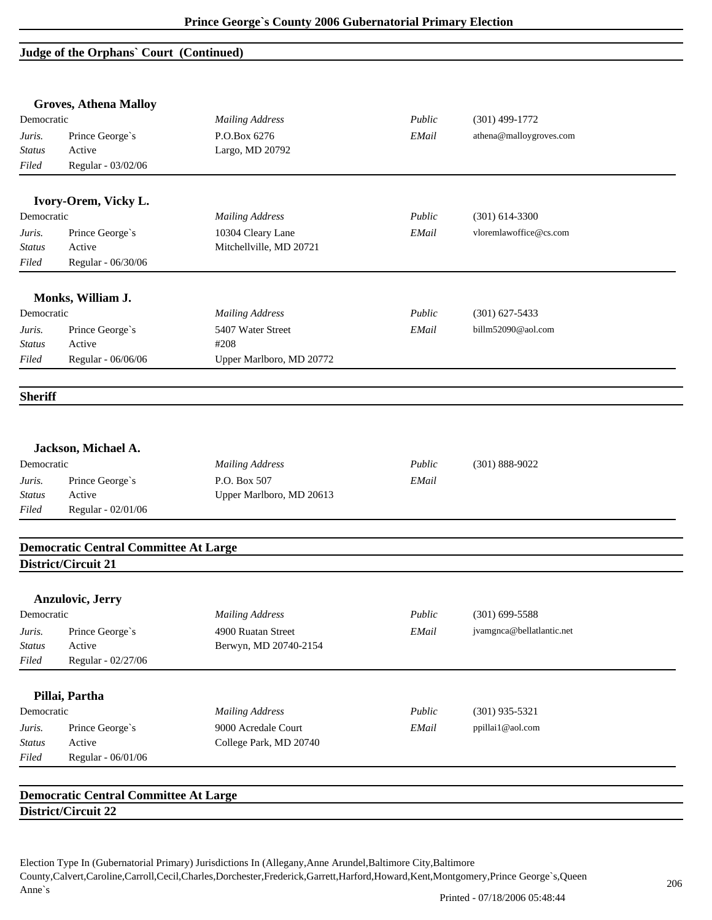### **Judge of the Orphans` Court (Continued)**

|                | <b>Groves, Athena Malloy</b>                 |                          |        |                           |  |
|----------------|----------------------------------------------|--------------------------|--------|---------------------------|--|
| Democratic     |                                              | <b>Mailing Address</b>   | Public | $(301)$ 499-1772          |  |
| Juris.         | Prince George's                              | P.O.Box 6276             | EMail  | athena@malloygroves.com   |  |
| <b>Status</b>  | Active                                       | Largo, MD 20792          |        |                           |  |
| Filed          | Regular - 03/02/06                           |                          |        |                           |  |
|                | Ivory-Orem, Vicky L.                         |                          |        |                           |  |
| Democratic     |                                              | <b>Mailing Address</b>   | Public | $(301)$ 614-3300          |  |
| Juris.         | Prince George's                              | 10304 Cleary Lane        | EMail  | vloremlawoffice@cs.com    |  |
| <i>Status</i>  | Active                                       | Mitchellville, MD 20721  |        |                           |  |
| Filed          | Regular - 06/30/06                           |                          |        |                           |  |
|                | Monks, William J.                            |                          |        |                           |  |
| Democratic     |                                              | <b>Mailing Address</b>   | Public | $(301)$ 627-5433          |  |
| Juris.         | Prince George's                              | 5407 Water Street        | EMail  | billm52090@aol.com        |  |
| <b>Status</b>  | Active                                       | #208                     |        |                           |  |
| Filed          | Regular - 06/06/06                           | Upper Marlboro, MD 20772 |        |                           |  |
| <b>Sheriff</b> |                                              |                          |        |                           |  |
|                | Jackson, Michael A.                          |                          |        |                           |  |
| Democratic     |                                              | <b>Mailing Address</b>   | Public | $(301) 888 - 9022$        |  |
| Juris.         | Prince George's                              | P.O. Box 507             | EMail  |                           |  |
| <b>Status</b>  | Active                                       | Upper Marlboro, MD 20613 |        |                           |  |
| Filed          | Regular - 02/01/06                           |                          |        |                           |  |
|                | <b>Democratic Central Committee At Large</b> |                          |        |                           |  |
|                | District/Circuit 21                          |                          |        |                           |  |
|                | <b>Anzulovic, Jerry</b>                      |                          |        |                           |  |
| Democratic     |                                              | <b>Mailing Address</b>   | Public | $(301)$ 699-5588          |  |
| Juris.         | Prince George's                              | 4900 Ruatan Street       | EMail  | jvamgnca@bellatlantic.net |  |
| Status         | Active                                       | Berwyn, MD 20740-2154    |        |                           |  |
| Filed          | Regular - 02/27/06                           |                          |        |                           |  |
|                | Pillai, Partha                               |                          |        |                           |  |
| Democratic     |                                              | <b>Mailing Address</b>   | Public | $(301)$ 935-5321          |  |
| Juris.         | Prince George's                              | 9000 Acredale Court      | EMail  | ppillai1@aol.com          |  |
| Status         | Active                                       | College Park, MD 20740   |        |                           |  |
| Filed          | Regular - 06/01/06                           |                          |        |                           |  |
|                |                                              |                          |        |                           |  |
|                | <b>Democratic Central Committee At Large</b> |                          |        |                           |  |
|                | District/Circuit 22                          |                          |        |                           |  |
|                |                                              |                          |        |                           |  |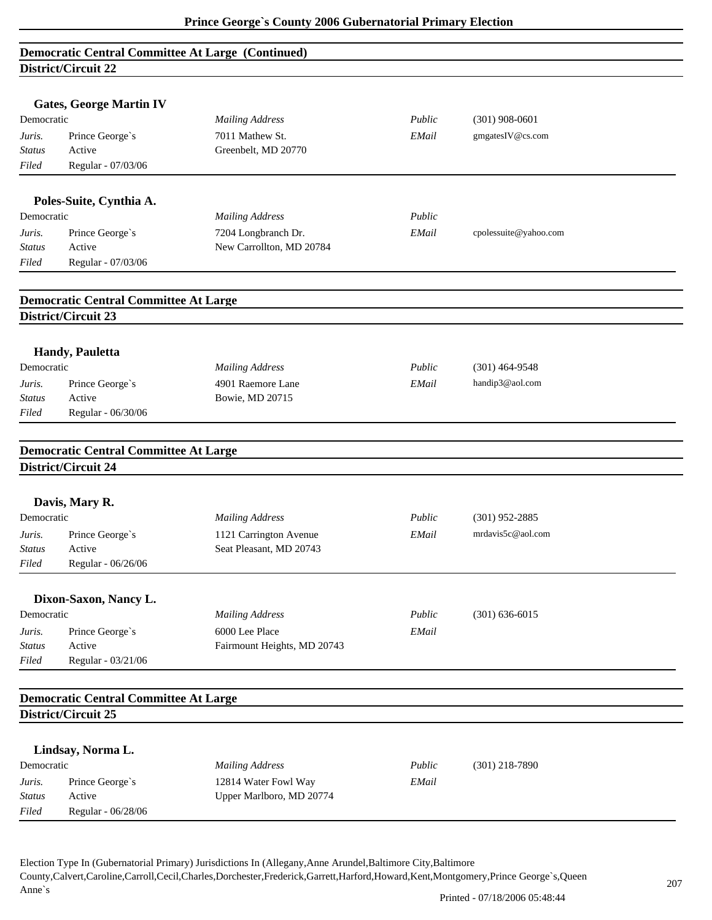|                     | <b>Democratic Central Committee At Large (Continued)</b> |                                      |        |                       |  |  |  |
|---------------------|----------------------------------------------------------|--------------------------------------|--------|-----------------------|--|--|--|
| District/Circuit 22 |                                                          |                                      |        |                       |  |  |  |
|                     |                                                          |                                      |        |                       |  |  |  |
|                     | <b>Gates, George Martin IV</b>                           |                                      |        |                       |  |  |  |
| Democratic          |                                                          | <b>Mailing Address</b>               | Public | $(301)$ 908-0601      |  |  |  |
| Juris.              | Prince George's                                          | 7011 Mathew St.                      | EMail  | gmgatesIV@cs.com      |  |  |  |
| <b>Status</b>       | Active                                                   | Greenbelt, MD 20770                  |        |                       |  |  |  |
| Filed               | Regular - 07/03/06                                       |                                      |        |                       |  |  |  |
|                     |                                                          |                                      |        |                       |  |  |  |
|                     | Poles-Suite, Cynthia A.                                  |                                      |        |                       |  |  |  |
| Democratic          |                                                          | <b>Mailing Address</b>               | Public |                       |  |  |  |
| Juris.              | Prince George's                                          | 7204 Longbranch Dr.                  | EMail  | cpolessuite@yahoo.com |  |  |  |
| <b>Status</b>       | Active                                                   | New Carrollton, MD 20784             |        |                       |  |  |  |
| Filed               | Regular - 07/03/06                                       |                                      |        |                       |  |  |  |
|                     |                                                          |                                      |        |                       |  |  |  |
|                     | <b>Democratic Central Committee At Large</b>             |                                      |        |                       |  |  |  |
|                     | District/Circuit 23                                      |                                      |        |                       |  |  |  |
|                     |                                                          |                                      |        |                       |  |  |  |
|                     |                                                          |                                      |        |                       |  |  |  |
| Democratic          | Handy, Pauletta                                          |                                      | Public |                       |  |  |  |
|                     |                                                          | <b>Mailing Address</b>               |        | $(301)$ 464-9548      |  |  |  |
| Juris.              | Prince George's<br>Active                                | 4901 Raemore Lane<br>Bowie, MD 20715 | EMail  | handip3@aol.com       |  |  |  |
| Status<br>Filed     | Regular - 06/30/06                                       |                                      |        |                       |  |  |  |
|                     |                                                          |                                      |        |                       |  |  |  |
|                     |                                                          |                                      |        |                       |  |  |  |
|                     | <b>Democratic Central Committee At Large</b>             |                                      |        |                       |  |  |  |
|                     | District/Circuit 24                                      |                                      |        |                       |  |  |  |
|                     |                                                          |                                      |        |                       |  |  |  |
|                     | Davis, Mary R.                                           |                                      |        |                       |  |  |  |
| Democratic          |                                                          | <b>Mailing Address</b>               | Public | $(301)$ 952-2885      |  |  |  |
| Juris.              | Prince George's                                          | 1121 Carrington Avenue               | EMail  | mrdavis5c@aol.com     |  |  |  |
| <b>Status</b>       | Active                                                   | Seat Pleasant, MD 20743              |        |                       |  |  |  |
| Filed               | Regular - 06/26/06                                       |                                      |        |                       |  |  |  |
|                     |                                                          |                                      |        |                       |  |  |  |
|                     | Dixon-Saxon, Nancy L.                                    |                                      |        |                       |  |  |  |
| Democratic          |                                                          | <b>Mailing Address</b>               | Public | $(301) 636 - 6015$    |  |  |  |
| Juris.              | Prince George's                                          | 6000 Lee Place                       | EMail  |                       |  |  |  |
| <b>Status</b>       | Active                                                   | Fairmount Heights, MD 20743          |        |                       |  |  |  |
| Filed               | Regular - 03/21/06                                       |                                      |        |                       |  |  |  |
|                     |                                                          |                                      |        |                       |  |  |  |
|                     | <b>Democratic Central Committee At Large</b>             |                                      |        |                       |  |  |  |
|                     | District/Circuit 25                                      |                                      |        |                       |  |  |  |
|                     |                                                          |                                      |        |                       |  |  |  |
|                     | Lindsay, Norma L.                                        |                                      |        |                       |  |  |  |
| Democratic          |                                                          | <b>Mailing Address</b>               | Public | $(301)$ 218-7890      |  |  |  |
| Juris.              | Prince George's                                          | 12814 Water Fowl Way                 | EMail  |                       |  |  |  |
| <b>Status</b>       | Active                                                   | Upper Marlboro, MD 20774             |        |                       |  |  |  |
| Filed               | Regular - 06/28/06                                       |                                      |        |                       |  |  |  |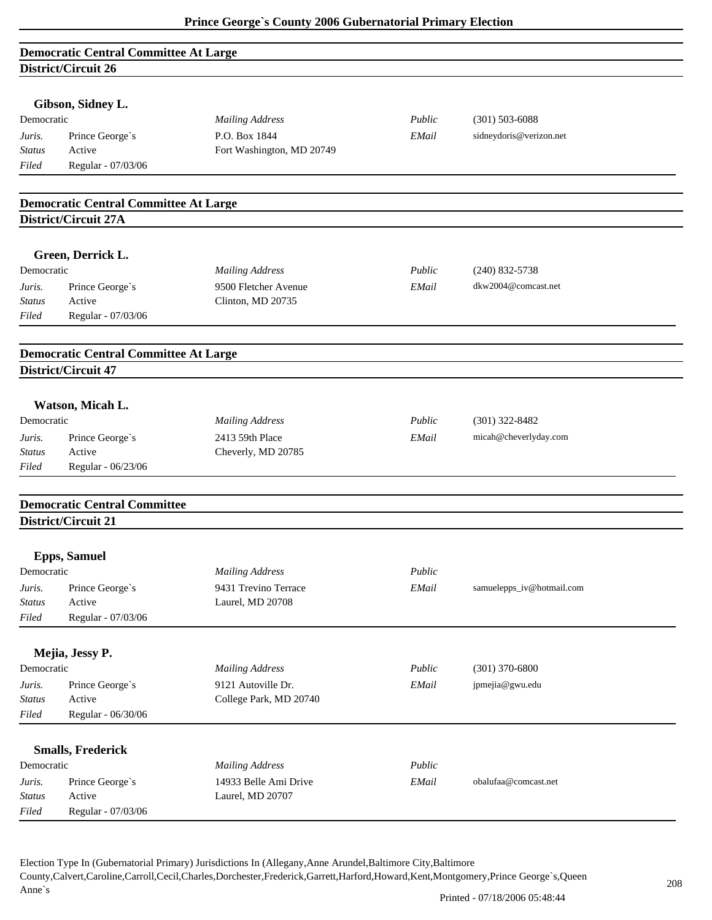| <b>Democratic Central Committee At Large</b> |  |
|----------------------------------------------|--|
| District/Circuit 26                          |  |

| Gibson, Sidney L. |  |
|-------------------|--|
|-------------------|--|

| Democratic    |                    | <b>Mailing Address</b>    | Public | $(301)$ 503-6088        |
|---------------|--------------------|---------------------------|--------|-------------------------|
| Juris.        | Prince George's    | P.O. Box 1844             | EMail  | sidneydoris@verizon.net |
| <b>Status</b> | Active             | Fort Washington, MD 20749 |        |                         |
| Filed         | Regular - 07/03/06 |                           |        |                         |

#### **Democratic Central Committee At Large District/Circuit 27A**

#### **Green, Derrick L.**

| Democratic    |                    | <b>Mailing Address</b> | Public | $(240)$ 832-5738    |
|---------------|--------------------|------------------------|--------|---------------------|
| Juris.        | Prince George's    | 9500 Fletcher Avenue   | EMail  | dkw2004@comcast.net |
| <b>Status</b> | Active             | Clinton, MD 20735      |        |                     |
| Filed         | Regular - 07/03/06 |                        |        |                     |

#### **Democratic Central Committee At Large District/Circuit 47**

#### **Watson, Micah L.**

| Democratic    |                    | Mailing Address    | Public | $(301)$ 322-8482      |
|---------------|--------------------|--------------------|--------|-----------------------|
| Juris.        | Prince George's    | 2413 59th Place    | EMail  | micah@cheverlyday.com |
| <b>Status</b> | Active             | Cheverly, MD 20785 |        |                       |
| Filed         | Regular - 06/23/06 |                    |        |                       |

# **Democratic Central Committee District/Circuit 21**

|               | <b>Epps, Samuel</b>      |                        |        |                           |  |
|---------------|--------------------------|------------------------|--------|---------------------------|--|
| Democratic    |                          | <b>Mailing Address</b> | Public |                           |  |
| Juris.        | Prince George's          | 9431 Trevino Terrace   | EMail  | samuelepps_iv@hotmail.com |  |
| <b>Status</b> | Active                   | Laurel, MD 20708       |        |                           |  |
| Filed         | Regular - 07/03/06       |                        |        |                           |  |
|               | Mejia, Jessy P.          |                        |        |                           |  |
| Democratic    |                          | <b>Mailing Address</b> | Public | $(301)$ 370-6800          |  |
| Juris.        | Prince George's          | 9121 Autoville Dr.     | EMail  | jpmejia@gwu.edu           |  |
| <b>Status</b> | Active                   | College Park, MD 20740 |        |                           |  |
| Filed         | Regular - 06/30/06       |                        |        |                           |  |
|               | <b>Smalls, Frederick</b> |                        |        |                           |  |
| Democratic    |                          | <b>Mailing Address</b> | Public |                           |  |
| Juris.        | Prince George's          | 14933 Belle Ami Drive  | EMail  | obalufaa@comcast.net      |  |
| <b>Status</b> | Active                   | Laurel, MD 20707       |        |                           |  |
| Filed         | Regular - 07/03/06       |                        |        |                           |  |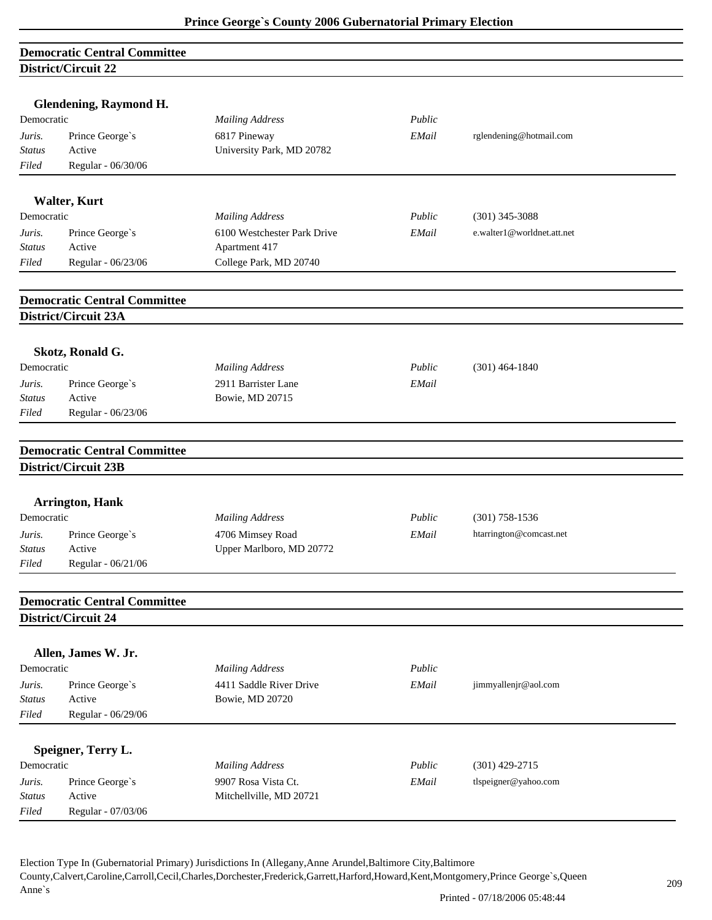|                         | <b>Democratic Central Committee</b> |                                              |        |                            |  |
|-------------------------|-------------------------------------|----------------------------------------------|--------|----------------------------|--|
|                         | District/Circuit 22                 |                                              |        |                            |  |
|                         |                                     |                                              |        |                            |  |
|                         | <b>Glendening, Raymond H.</b>       |                                              |        |                            |  |
| Democratic              |                                     | <b>Mailing Address</b>                       | Public |                            |  |
| Juris.                  | Prince George's                     | 6817 Pineway                                 | EMail  | rglendening@hotmail.com    |  |
| <b>Status</b>           | Active                              | University Park, MD 20782                    |        |                            |  |
| Filed                   | Regular - 06/30/06                  |                                              |        |                            |  |
|                         | <b>Walter, Kurt</b>                 |                                              |        |                            |  |
| Democratic              |                                     | <b>Mailing Address</b>                       | Public | $(301)$ 345-3088           |  |
| Juris.                  | Prince George's                     | 6100 Westchester Park Drive                  | EMail  | e.walter1@worldnet.att.net |  |
| <b>Status</b>           | Active                              | Apartment 417                                |        |                            |  |
| Filed                   | Regular - 06/23/06                  | College Park, MD 20740                       |        |                            |  |
|                         |                                     |                                              |        |                            |  |
|                         | <b>Democratic Central Committee</b> |                                              |        |                            |  |
|                         | District/Circuit 23A                |                                              |        |                            |  |
|                         | Skotz, Ronald G.                    |                                              |        |                            |  |
| Democratic              |                                     | <b>Mailing Address</b>                       | Public | $(301)$ 464-1840           |  |
| Juris.                  | Prince George's                     | 2911 Barrister Lane                          | EMail  |                            |  |
| <b>Status</b>           | Active                              | Bowie, MD 20715                              |        |                            |  |
| Filed                   | Regular - 06/23/06                  |                                              |        |                            |  |
|                         |                                     |                                              |        |                            |  |
|                         | <b>Democratic Central Committee</b> |                                              |        |                            |  |
|                         | District/Circuit 23B                |                                              |        |                            |  |
|                         | <b>Arrington, Hank</b>              |                                              |        |                            |  |
| Democratic              |                                     | <b>Mailing Address</b>                       | Public | $(301)$ 758-1536           |  |
|                         |                                     |                                              |        |                            |  |
| Juris.<br><i>Status</i> | Prince George's<br>Active           | 4706 Mimsey Road<br>Upper Marlboro, MD 20772 | EMail  | htarrington@comcast.net    |  |
| Filed                   | Regular - 06/21/06                  |                                              |        |                            |  |
|                         |                                     |                                              |        |                            |  |
|                         | <b>Democratic Central Committee</b> |                                              |        |                            |  |
|                         | District/Circuit 24                 |                                              |        |                            |  |
|                         | Allen, James W. Jr.                 |                                              |        |                            |  |
| Democratic              |                                     | <b>Mailing Address</b>                       | Public |                            |  |
| Juris.                  | Prince George's                     | 4411 Saddle River Drive                      | EMail  | jimmyallenjr@aol.com       |  |
| Status                  | Active                              | Bowie, MD 20720                              |        |                            |  |
| Filed                   | Regular - 06/29/06                  |                                              |        |                            |  |
|                         |                                     |                                              |        |                            |  |
|                         | Speigner, Terry L.                  |                                              |        |                            |  |
| Democratic              |                                     | <b>Mailing Address</b>                       | Public | $(301)$ 429-2715           |  |
| Juris.                  | Prince George's                     | 9907 Rosa Vista Ct.                          | EMail  | tlspeigner@yahoo.com       |  |
| Status                  | Active                              | Mitchellville, MD 20721                      |        |                            |  |
| Filed                   | Regular - 07/03/06                  |                                              |        |                            |  |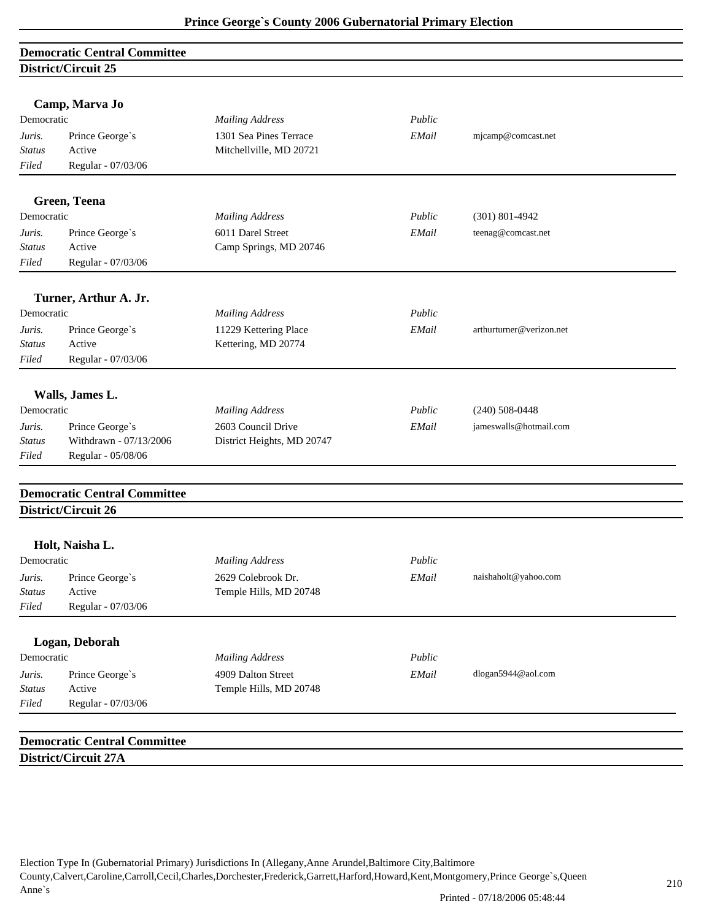# **Democratic Central Committee District/Circuit 25**

|               | Camp, Marva Jo                      |                            |        |                          |  |
|---------------|-------------------------------------|----------------------------|--------|--------------------------|--|
| Democratic    |                                     | <b>Mailing Address</b>     | Public |                          |  |
| Juris.        | Prince George's                     | 1301 Sea Pines Terrace     | EMail  | mjcamp@comcast.net       |  |
| Status        | Active                              | Mitchellville, MD 20721    |        |                          |  |
| Filed         | Regular - 07/03/06                  |                            |        |                          |  |
|               | Green, Teena                        |                            |        |                          |  |
| Democratic    |                                     | <b>Mailing Address</b>     | Public | $(301) 801 - 4942$       |  |
| Juris.        | Prince George's                     | 6011 Darel Street          | EMail  | teenag@comcast.net       |  |
| Status        | Active                              | Camp Springs, MD 20746     |        |                          |  |
| Filed         | Regular - 07/03/06                  |                            |        |                          |  |
|               |                                     |                            |        |                          |  |
|               | Turner, Arthur A. Jr.               |                            |        |                          |  |
| Democratic    |                                     | <b>Mailing Address</b>     | Public |                          |  |
| Juris.        | Prince George's                     | 11229 Kettering Place      | EMail  | arthurturner@verizon.net |  |
| <b>Status</b> | Active                              | Kettering, MD 20774        |        |                          |  |
| Filed         | Regular - 07/03/06                  |                            |        |                          |  |
|               | Walls, James L.                     |                            |        |                          |  |
| Democratic    |                                     | <b>Mailing Address</b>     | Public | $(240)$ 508-0448         |  |
| Juris.        | Prince George's                     | 2603 Council Drive         | EMail  | jameswalls@hotmail.com   |  |
| <b>Status</b> | Withdrawn - 07/13/2006              | District Heights, MD 20747 |        |                          |  |
| Filed         | Regular - 05/08/06                  |                            |        |                          |  |
|               | <b>Democratic Central Committee</b> |                            |        |                          |  |
|               | District/Circuit 26                 |                            |        |                          |  |
|               | Holt, Naisha L.                     |                            |        |                          |  |
| Democratic    |                                     | <b>Mailing Address</b>     | Public |                          |  |
| Juris.        | Prince George's                     | 2629 Colebrook Dr.         | EMail  | naishaholt@yahoo.com     |  |
| Status        | Active                              | Temple Hills, MD 20748     |        |                          |  |
| Filed         | Regular - 07/03/06                  |                            |        |                          |  |
|               |                                     |                            |        |                          |  |
|               | Logan, Deborah                      |                            |        |                          |  |
| Democratic    |                                     | <b>Mailing Address</b>     | Public |                          |  |
| Juris.        | Prince George's                     | 4909 Dalton Street         | EMail  | dlogan5944@aol.com       |  |
| <b>Status</b> | Active                              | Temple Hills, MD 20748     |        |                          |  |
| Filed         | Regular - 07/03/06                  |                            |        |                          |  |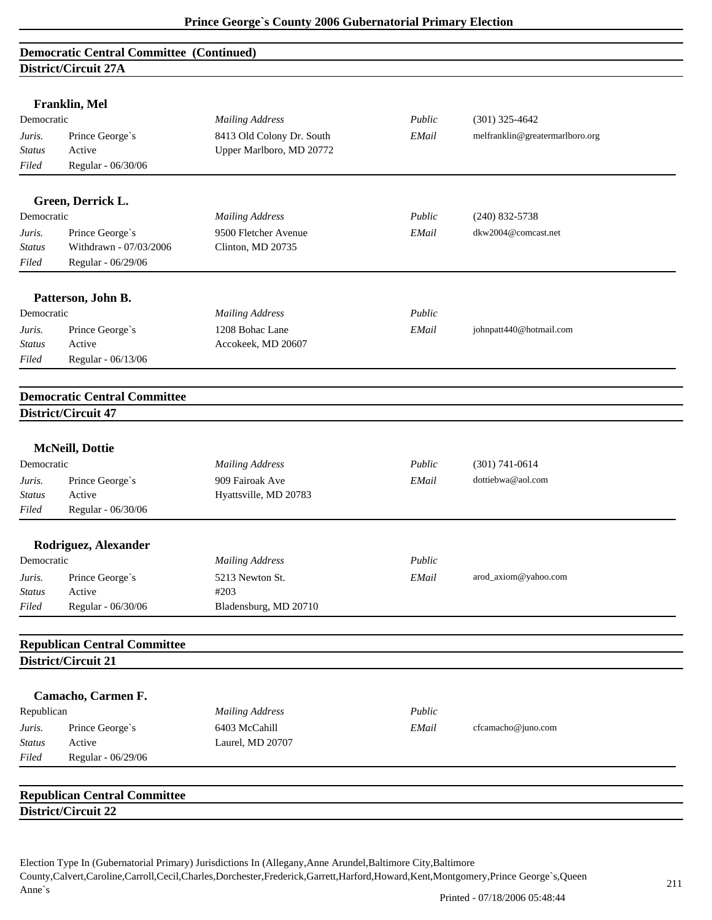### **Democratic Central Committee (Continued) District/Circuit 27A**

|                         | Franklin, Mel                       |                                          |        |                                 |
|-------------------------|-------------------------------------|------------------------------------------|--------|---------------------------------|
| Democratic              |                                     | <b>Mailing Address</b>                   | Public | $(301)$ 325-4642                |
| Juris.                  | Prince George's                     | 8413 Old Colony Dr. South                | EMail  | melfranklin@greatermarlboro.org |
| <b>Status</b>           | Active                              | Upper Marlboro, MD 20772                 |        |                                 |
| Filed                   | Regular - 06/30/06                  |                                          |        |                                 |
|                         | Green, Derrick L.                   |                                          |        |                                 |
| Democratic              |                                     | <b>Mailing Address</b>                   | Public | $(240)$ 832-5738                |
| Juris.                  | Prince George's                     | 9500 Fletcher Avenue                     | EMail  | dkw2004@comcast.net             |
| <b>Status</b>           | Withdrawn - 07/03/2006              | Clinton, MD 20735                        |        |                                 |
| Filed                   | Regular - 06/29/06                  |                                          |        |                                 |
|                         |                                     |                                          |        |                                 |
|                         | Patterson, John B.                  |                                          |        |                                 |
| Democratic              |                                     | <b>Mailing Address</b>                   | Public |                                 |
| Juris.                  | Prince George's                     | 1208 Bohac Lane                          | EMail  | johnpatt440@hotmail.com         |
| <b>Status</b>           | Active                              | Accokeek, MD 20607                       |        |                                 |
| Filed                   | Regular - 06/13/06                  |                                          |        |                                 |
|                         | <b>Democratic Central Committee</b> |                                          |        |                                 |
|                         | District/Circuit 47                 |                                          |        |                                 |
|                         |                                     |                                          |        |                                 |
| Democratic              | <b>McNeill</b> , Dottie             | <b>Mailing Address</b>                   | Public | $(301) 741 - 0614$              |
|                         |                                     |                                          |        | dottiebwa@aol.com               |
| Juris.<br><b>Status</b> | Prince George's<br>Active           | 909 Fairoak Ave<br>Hyattsville, MD 20783 | EMail  |                                 |
| Filed                   | Regular - 06/30/06                  |                                          |        |                                 |
|                         |                                     |                                          |        |                                 |
|                         | Rodriguez, Alexander                |                                          |        |                                 |
| Democratic              |                                     | <b>Mailing Address</b>                   | Public |                                 |
| Juris.                  | Prince George's                     | 5213 Newton St.                          | EMail  | arod_axiom@yahoo.com            |
| Status                  | Active                              | #203                                     |        |                                 |
| Filed                   | Regular - 06/30/06                  | Bladensburg, MD 20710                    |        |                                 |
|                         | <b>Republican Central Committee</b> |                                          |        |                                 |
|                         | District/Circuit 21                 |                                          |        |                                 |
|                         |                                     |                                          |        |                                 |
| Republican              | Camacho, Carmen F.                  |                                          | Public |                                 |
|                         |                                     | <b>Mailing Address</b>                   |        |                                 |
| Juris.                  | Prince George's                     | 6403 McCahill                            | EMail  | cfcamacho@juno.com              |
| <b>Status</b>           | Active                              | Laurel, MD 20707                         |        |                                 |
| Filed                   | Regular - 06/29/06                  |                                          |        |                                 |
|                         | <b>Republican Central Committee</b> |                                          |        |                                 |
|                         | District/Circuit 22                 |                                          |        |                                 |
|                         |                                     |                                          |        |                                 |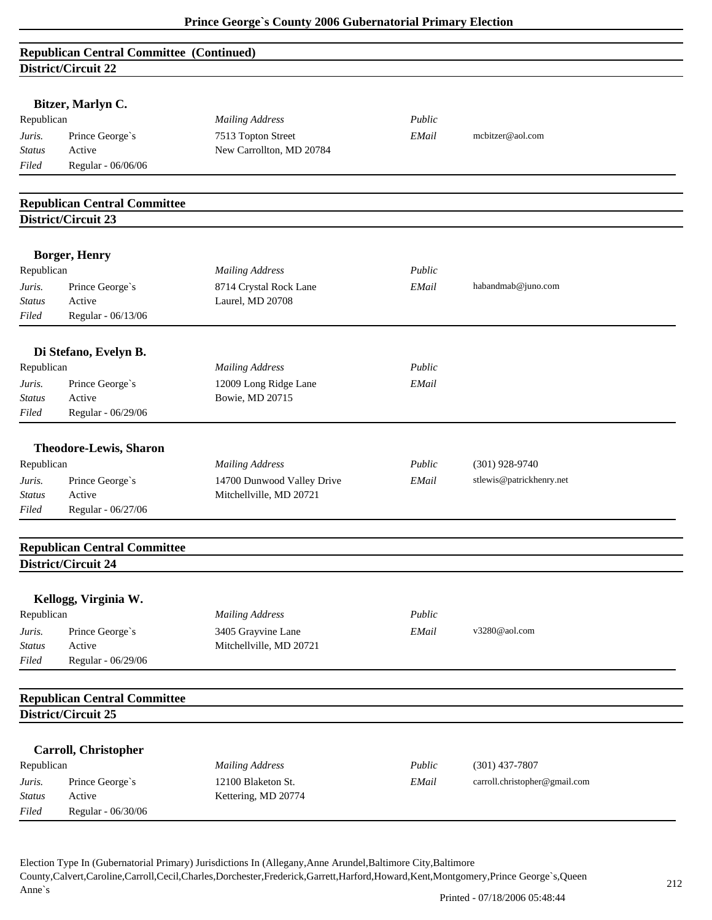| <b>Republican Central Committee (Continued)</b> |  |
|-------------------------------------------------|--|
| District/Circuit 22                             |  |

|                               | DISURTU CIRCUIT 44                                         |                                                |        |                               |
|-------------------------------|------------------------------------------------------------|------------------------------------------------|--------|-------------------------------|
|                               | Bitzer, Marlyn C.                                          |                                                |        |                               |
|                               |                                                            |                                                | Public |                               |
| Republican<br>Prince George's |                                                            | <b>Mailing Address</b>                         | EMail  | mcbitzer@aol.com              |
| Juris.<br>Status              | Active                                                     | 7513 Topton Street<br>New Carrollton, MD 20784 |        |                               |
| Filed                         | Regular - 06/06/06                                         |                                                |        |                               |
|                               |                                                            |                                                |        |                               |
|                               | <b>Republican Central Committee</b>                        |                                                |        |                               |
|                               | District/Circuit 23                                        |                                                |        |                               |
|                               | <b>Borger, Henry</b>                                       |                                                |        |                               |
| Republican                    |                                                            | <b>Mailing Address</b>                         | Public |                               |
|                               |                                                            |                                                | EMail  | habandmab@juno.com            |
| Juris.<br><b>Status</b>       | Prince George's<br>Active                                  | 8714 Crystal Rock Lane<br>Laurel, MD 20708     |        |                               |
| Filed                         | Regular - 06/13/06                                         |                                                |        |                               |
|                               |                                                            |                                                |        |                               |
|                               | Di Stefano, Evelyn B.                                      |                                                |        |                               |
| Republican                    |                                                            | <b>Mailing Address</b>                         | Public |                               |
| Juris.                        | Prince George's                                            | 12009 Long Ridge Lane                          | EMail  |                               |
| Status                        | Active                                                     | <b>Bowie, MD 20715</b>                         |        |                               |
| Filed                         | Regular - 06/29/06                                         |                                                |        |                               |
|                               |                                                            |                                                |        |                               |
|                               | <b>Theodore-Lewis, Sharon</b>                              |                                                |        |                               |
| Republican                    |                                                            | <b>Mailing Address</b>                         | Public | $(301)$ 928-9740              |
| Juris.                        | Prince George's                                            | 14700 Dunwood Valley Drive                     | EMail  | stlewis@patrickhenry.net      |
| Status                        | Active                                                     | Mitchellville, MD 20721                        |        |                               |
| Filed                         | Regular - 06/27/06                                         |                                                |        |                               |
|                               |                                                            |                                                |        |                               |
|                               | <b>Republican Central Committee</b><br>District/Circuit 24 |                                                |        |                               |
|                               |                                                            |                                                |        |                               |
|                               | Kellogg, Virginia W.                                       |                                                |        |                               |
| Republican                    |                                                            | <b>Mailing Address</b>                         | Public |                               |
| Juris.                        | Prince George's                                            | 3405 Grayvine Lane                             | EMail  | v3280@aol.com                 |
| <b>Status</b>                 | Active                                                     | Mitchellville, MD 20721                        |        |                               |
| Filed                         | Regular - 06/29/06                                         |                                                |        |                               |
|                               |                                                            |                                                |        |                               |
|                               | <b>Republican Central Committee</b>                        |                                                |        |                               |
|                               | District/Circuit 25                                        |                                                |        |                               |
|                               | <b>Carroll, Christopher</b>                                |                                                |        |                               |
| Republican                    |                                                            | <b>Mailing Address</b>                         | Public | $(301)$ 437-7807              |
| Juris.                        | Prince George's                                            | 12100 Blaketon St.                             | EMail  | carroll.christopher@gmail.com |
| <b>Status</b>                 | Active                                                     | Kettering, MD 20774                            |        |                               |
| Filed                         | Regular - 06/30/06                                         |                                                |        |                               |
|                               |                                                            |                                                |        |                               |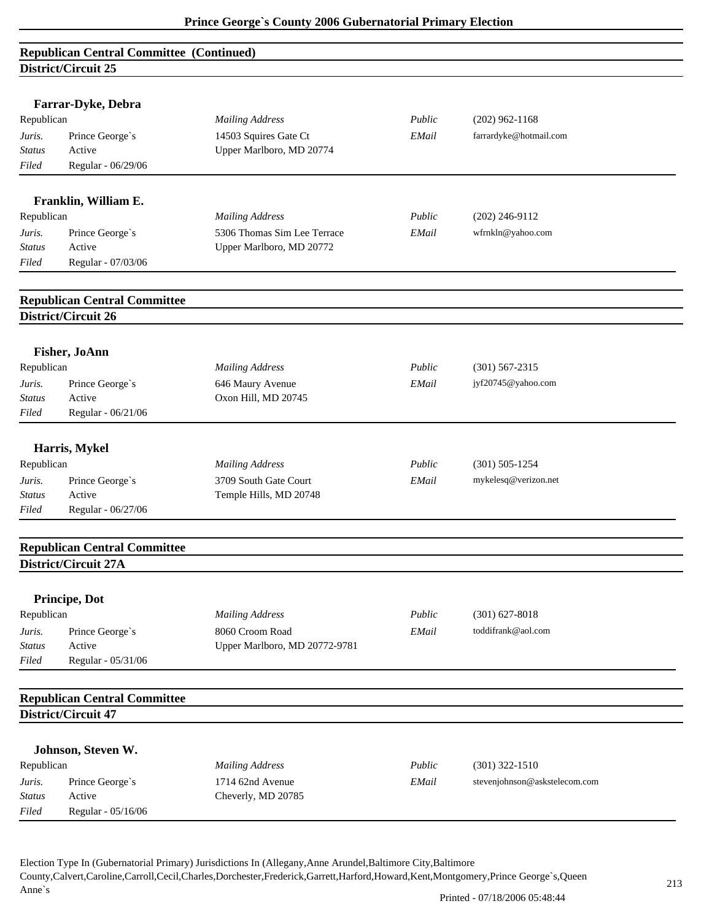| <b>Republican Central Committee (Continued)</b> |                                                            |                               |        |                        |  |
|-------------------------------------------------|------------------------------------------------------------|-------------------------------|--------|------------------------|--|
|                                                 | District/Circuit 25                                        |                               |        |                        |  |
|                                                 |                                                            |                               |        |                        |  |
|                                                 | Farrar-Dyke, Debra                                         |                               |        |                        |  |
| Republican                                      |                                                            | <b>Mailing Address</b>        | Public | $(202)$ 962-1168       |  |
| Juris.                                          | Prince George's                                            | 14503 Squires Gate Ct         | EMail  | farrardyke@hotmail.com |  |
| <b>Status</b>                                   | Active                                                     | Upper Marlboro, MD 20774      |        |                        |  |
| Filed                                           | Regular - 06/29/06                                         |                               |        |                        |  |
|                                                 | Franklin, William E.                                       |                               |        |                        |  |
| Republican                                      |                                                            | <b>Mailing Address</b>        | Public | $(202)$ 246-9112       |  |
| Juris.                                          | Prince George's                                            | 5306 Thomas Sim Lee Terrace   | EMail  | wfrnkln@yahoo.com      |  |
| Status                                          | Active                                                     | Upper Marlboro, MD 20772      |        |                        |  |
| Filed                                           | Regular - 07/03/06                                         |                               |        |                        |  |
|                                                 |                                                            |                               |        |                        |  |
|                                                 | <b>Republican Central Committee</b><br>District/Circuit 26 |                               |        |                        |  |
|                                                 |                                                            |                               |        |                        |  |
|                                                 | <b>Fisher, JoAnn</b>                                       |                               |        |                        |  |
| Republican                                      |                                                            | <b>Mailing Address</b>        | Public | $(301)$ 567-2315       |  |
| Juris.                                          | Prince George's                                            | 646 Maury Avenue              | EMail  | jyf20745@yahoo.com     |  |
| Status                                          | Active                                                     | Oxon Hill, MD 20745           |        |                        |  |
| Filed                                           | Regular - 06/21/06                                         |                               |        |                        |  |
|                                                 | Harris, Mykel                                              |                               |        |                        |  |
| Republican                                      |                                                            | <b>Mailing Address</b>        | Public | $(301) 505 - 1254$     |  |
| Juris.                                          | Prince George's                                            | 3709 South Gate Court         | EMail  | mykelesq@verizon.net   |  |
| Status                                          | Active                                                     | Temple Hills, MD 20748        |        |                        |  |
| Filed                                           | Regular - 06/27/06                                         |                               |        |                        |  |
|                                                 |                                                            |                               |        |                        |  |
|                                                 | <b>Republican Central Committee</b>                        |                               |        |                        |  |
|                                                 | District/Circuit 27A                                       |                               |        |                        |  |
|                                                 | Principe, Dot                                              |                               |        |                        |  |
| Republican                                      |                                                            | <b>Mailing Address</b>        | Public | $(301)$ 627-8018       |  |
| Juris.                                          | Prince George's                                            | 8060 Croom Road               | EMail  | toddifrank@aol.com     |  |
| <b>Status</b>                                   | Active                                                     | Upper Marlboro, MD 20772-9781 |        |                        |  |
| Filed                                           | Regular - 05/31/06                                         |                               |        |                        |  |
|                                                 | <b>Republican Central Committee</b>                        |                               |        |                        |  |
|                                                 | District/Circuit 47                                        |                               |        |                        |  |
|                                                 |                                                            |                               |        |                        |  |
|                                                 | Johnson, Steven W.                                         |                               |        |                        |  |

|               | <b>SOUTHSON'S DECISITIVE</b> |                        |        |                               |
|---------------|------------------------------|------------------------|--------|-------------------------------|
| Republican    |                              | <b>Mailing Address</b> | Public | $(301)$ 322-1510              |
| Juris.        | Prince George's              | 1714 62nd Avenue       | EMail  | stevenjohnson@askstelecom.com |
| <b>Status</b> | Active                       | Cheverly, MD 20785     |        |                               |
| Filed         | Regular - 05/16/06           |                        |        |                               |
|               |                              |                        |        |                               |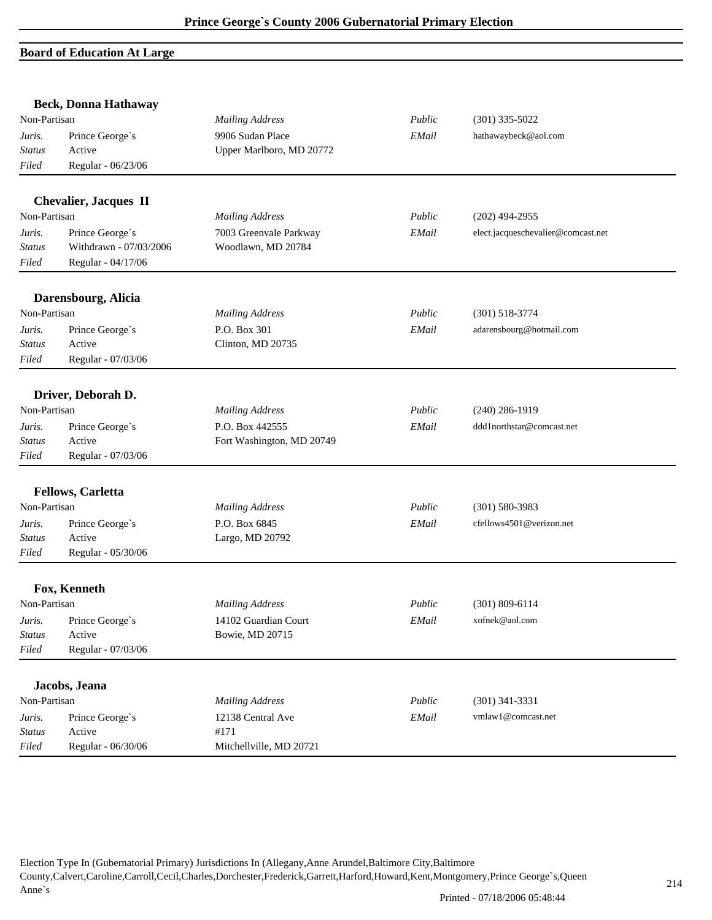#### **Board of Education At Large**

|               | <b>Beck, Donna Hathaway</b>  |                           |        |                                    |
|---------------|------------------------------|---------------------------|--------|------------------------------------|
| Non-Partisan  |                              | <b>Mailing Address</b>    | Public | $(301)$ 335-5022                   |
| Juris.        | Prince George's              | 9906 Sudan Place          | EMail  | hathawaybeck@aol.com               |
| Status        | Active                       | Upper Marlboro, MD 20772  |        |                                    |
| Filed         | Regular - 06/23/06           |                           |        |                                    |
|               | <b>Chevalier, Jacques II</b> |                           |        |                                    |
| Non-Partisan  |                              | <b>Mailing Address</b>    | Public | $(202)$ 494-2955                   |
| Juris.        | Prince George's              | 7003 Greenvale Parkway    | EMail  | elect.jacqueschevalier@comcast.net |
| <b>Status</b> | Withdrawn - 07/03/2006       | Woodlawn, MD 20784        |        |                                    |
| Filed         | Regular - 04/17/06           |                           |        |                                    |
|               | Darensbourg, Alicia          |                           |        |                                    |
| Non-Partisan  |                              | <b>Mailing Address</b>    | Public | $(301) 518 - 3774$                 |
| Juris.        | Prince George's              | P.O. Box 301              | EMail  | adarensbourg@hotmail.com           |
| <b>Status</b> | Active                       | Clinton, MD 20735         |        |                                    |
| Filed         | Regular - 07/03/06           |                           |        |                                    |
|               | Driver, Deborah D.           |                           |        |                                    |
| Non-Partisan  |                              | <b>Mailing Address</b>    | Public | $(240)$ 286-1919                   |
| Juris.        | Prince George's              | P.O. Box 442555           | EMail  | ddd1northstar@comcast.net          |
| <b>Status</b> | Active                       | Fort Washington, MD 20749 |        |                                    |
| Filed         | Regular - 07/03/06           |                           |        |                                    |
|               | <b>Fellows, Carletta</b>     |                           |        |                                    |
| Non-Partisan  |                              | <b>Mailing Address</b>    | Public | $(301) 580 - 3983$                 |
| Juris.        | Prince George's              | P.O. Box 6845             | EMail  | cfellows4501@verizon.net           |
| <b>Status</b> | Active                       | Largo, MD 20792           |        |                                    |
| Filed         | Regular - 05/30/06           |                           |        |                                    |
|               | Fox, Kenneth                 |                           |        |                                    |
| Non-Partisan  |                              | <b>Mailing Address</b>    | Public | $(301) 809 - 6114$                 |
| Juris.        | Prince George's              | 14102 Guardian Court      | EMail  | xofnek@aol.com                     |
| <b>Status</b> | Active                       | Bowie, MD 20715           |        |                                    |
| Filed         | Regular - 07/03/06           |                           |        |                                    |
|               |                              |                           |        |                                    |
|               | Jacobs, Jeana                |                           |        |                                    |
| Non-Partisan  |                              | <b>Mailing Address</b>    | Public | $(301)$ 341-3331                   |
| Juris.        | Prince George's              | 12138 Central Ave         | EMail  | vmlaw1@comcast.net                 |
| Status        | Active                       | #171                      |        |                                    |
| Filed         | Regular - 06/30/06           | Mitchellville, MD 20721   |        |                                    |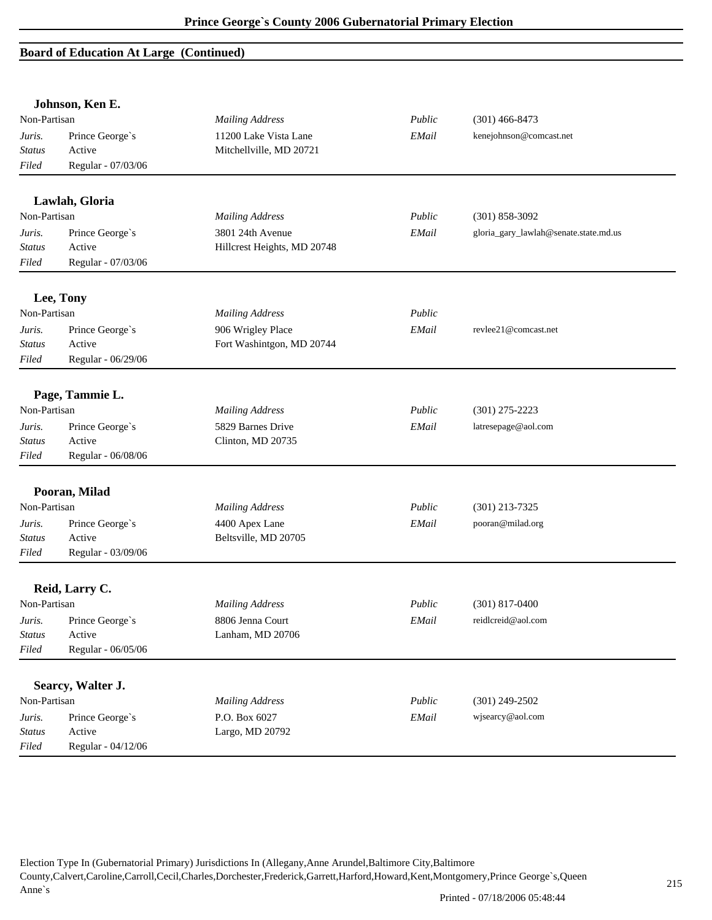#### **Board of Education At Large (Continued)**

|               | Johnson, Ken E.              |                             |        |                                       |
|---------------|------------------------------|-----------------------------|--------|---------------------------------------|
| Non-Partisan  |                              | <b>Mailing Address</b>      | Public | $(301)$ 466-8473                      |
| Juris.        | Prince George's              | 11200 Lake Vista Lane       | EMail  | kenejohnson@comcast.net               |
| <b>Status</b> | Active<br>Regular - 07/03/06 | Mitchellville, MD 20721     |        |                                       |
| Filed         |                              |                             |        |                                       |
|               | Lawlah, Gloria               |                             |        |                                       |
| Non-Partisan  |                              | <b>Mailing Address</b>      | Public | $(301) 858 - 3092$                    |
| Juris.        | Prince George's              | 3801 24th Avenue            | EMail  | gloria_gary_lawlah@senate.state.md.us |
| <b>Status</b> | Active                       | Hillcrest Heights, MD 20748 |        |                                       |
| Filed         | Regular - 07/03/06           |                             |        |                                       |
|               | Lee, Tony                    |                             |        |                                       |
| Non-Partisan  |                              | <b>Mailing Address</b>      | Public |                                       |
| Juris.        | Prince George's              | 906 Wrigley Place           | EMail  | revlee21@comcast.net                  |
| Status        | Active                       | Fort Washintgon, MD 20744   |        |                                       |
| Filed         | Regular - 06/29/06           |                             |        |                                       |
|               | Page, Tammie L.              |                             |        |                                       |
| Non-Partisan  |                              | <b>Mailing Address</b>      | Public | $(301)$ 275-2223                      |
| Juris.        | Prince George's              | 5829 Barnes Drive           | EMail  | latresepage@aol.com                   |
| <b>Status</b> | Active                       | Clinton, MD 20735           |        |                                       |
| Filed         | Regular - 06/08/06           |                             |        |                                       |
|               | Pooran, Milad                |                             |        |                                       |
| Non-Partisan  |                              | <b>Mailing Address</b>      | Public | $(301)$ 213-7325                      |
| Juris.        | Prince George's              | 4400 Apex Lane              | EMail  | pooran@milad.org                      |
| <b>Status</b> | Active                       | Beltsville, MD 20705        |        |                                       |
| Filed         | Regular - 03/09/06           |                             |        |                                       |
|               | Reid, Larry C.               |                             |        |                                       |
| Non-Partisan  |                              | <b>Mailing Address</b>      | Public | $(301)$ 817-0400                      |
| Juris.        | Prince George's              | 8806 Jenna Court            | EMail  | reidlcreid@aol.com                    |
| <b>Status</b> | Active                       | Lanham, MD 20706            |        |                                       |
| Filed         | Regular - 06/05/06           |                             |        |                                       |
|               | Searcy, Walter J.            |                             |        |                                       |
| Non-Partisan  |                              | <b>Mailing Address</b>      | Public | $(301)$ 249-2502                      |
| Juris.        | Prince George's              | P.O. Box 6027               | EMail  | wjsearcy@aol.com                      |
| Status        | Active                       | Largo, MD 20792             |        |                                       |
| Filed         | Regular - 04/12/06           |                             |        |                                       |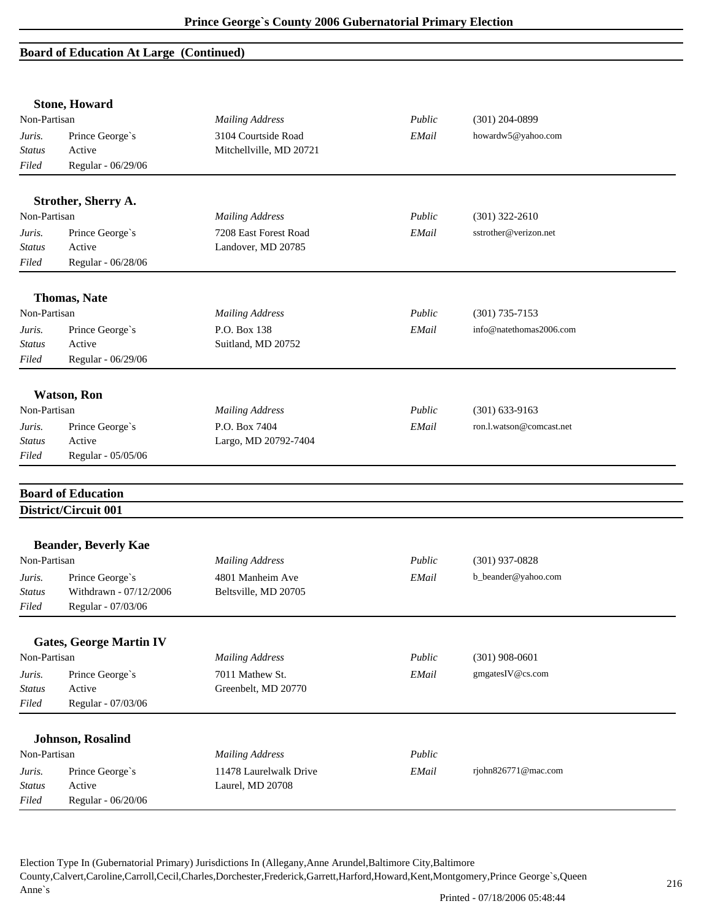#### **Board of Education At Large (Continued)**

|                                             | <b>Stone, Howard</b>           |                                                |        |                          |  |
|---------------------------------------------|--------------------------------|------------------------------------------------|--------|--------------------------|--|
| Non-Partisan                                |                                | <b>Mailing Address</b>                         | Public | $(301)$ 204-0899         |  |
| Juris.<br><b>Status</b>                     | Prince George's<br>Active      | 3104 Courtside Road<br>Mitchellville, MD 20721 | EMail  | howardw5@yahoo.com       |  |
| Filed                                       | Regular - 06/29/06             |                                                |        |                          |  |
|                                             | Strother, Sherry A.            |                                                |        |                          |  |
| Non-Partisan                                |                                | <b>Mailing Address</b>                         | Public | $(301)$ 322-2610         |  |
| Juris.                                      | Prince George's                | 7208 East Forest Road                          | EMail  | sstrother@verizon.net    |  |
| <b>Status</b>                               | Active                         | Landover, MD 20785                             |        |                          |  |
| Filed                                       | Regular - 06/28/06             |                                                |        |                          |  |
|                                             | <b>Thomas, Nate</b>            |                                                |        |                          |  |
| Non-Partisan                                |                                | <b>Mailing Address</b>                         | Public | $(301)$ 735-7153         |  |
| Juris.                                      | Prince George's                | P.O. Box 138                                   | EMail  | info@natethomas2006.com  |  |
| <b>Status</b>                               | Active                         | Suitland, MD 20752                             |        |                          |  |
| Filed                                       | Regular - 06/29/06             |                                                |        |                          |  |
|                                             | <b>Watson</b> , Ron            |                                                |        |                          |  |
| Non-Partisan                                |                                | <b>Mailing Address</b>                         | Public | $(301) 633 - 9163$       |  |
| Juris.                                      | Prince George's                | P.O. Box 7404                                  | EMail  | ron.l.watson@comcast.net |  |
| <b>Status</b>                               | Active                         | Largo, MD 20792-7404                           |        |                          |  |
| Filed                                       | Regular - 05/05/06             |                                                |        |                          |  |
|                                             | <b>Board of Education</b>      |                                                |        |                          |  |
|                                             | District/Circuit 001           |                                                |        |                          |  |
|                                             |                                |                                                |        |                          |  |
| <b>Beander, Beverly Kae</b><br>Non-Partisan |                                | <b>Mailing Address</b>                         | Public | $(301)$ 937-0828         |  |
|                                             | Prince George's                | 4801 Manheim Ave                               | EMail  | b_beander@yahoo.com      |  |
| Juris.<br>Status                            | Withdrawn - 07/12/2006         | Beltsville, MD 20705                           |        |                          |  |
| Filed                                       | Regular - 07/03/06             |                                                |        |                          |  |
|                                             | <b>Gates, George Martin IV</b> |                                                |        |                          |  |
| Non-Partisan                                |                                | <b>Mailing Address</b>                         | Public | $(301)$ 908-0601         |  |
| Juris.                                      | Prince George's                | 7011 Mathew St.                                | EMail  | gmgatesIV@cs.com         |  |
| <b>Status</b>                               | Active                         | Greenbelt, MD 20770                            |        |                          |  |
| Filed                                       | Regular - 07/03/06             |                                                |        |                          |  |
|                                             |                                |                                                |        |                          |  |
|                                             | <b>Johnson, Rosalind</b>       |                                                |        |                          |  |
| Non-Partisan                                |                                | <b>Mailing Address</b>                         | Public |                          |  |
| Juris.                                      | Prince George's                | 11478 Laurelwalk Drive                         | EMail  | rjohn826771@mac.com      |  |
| <b>Status</b>                               | Active                         | Laurel, MD 20708                               |        |                          |  |
| Filed                                       | Regular - 06/20/06             |                                                |        |                          |  |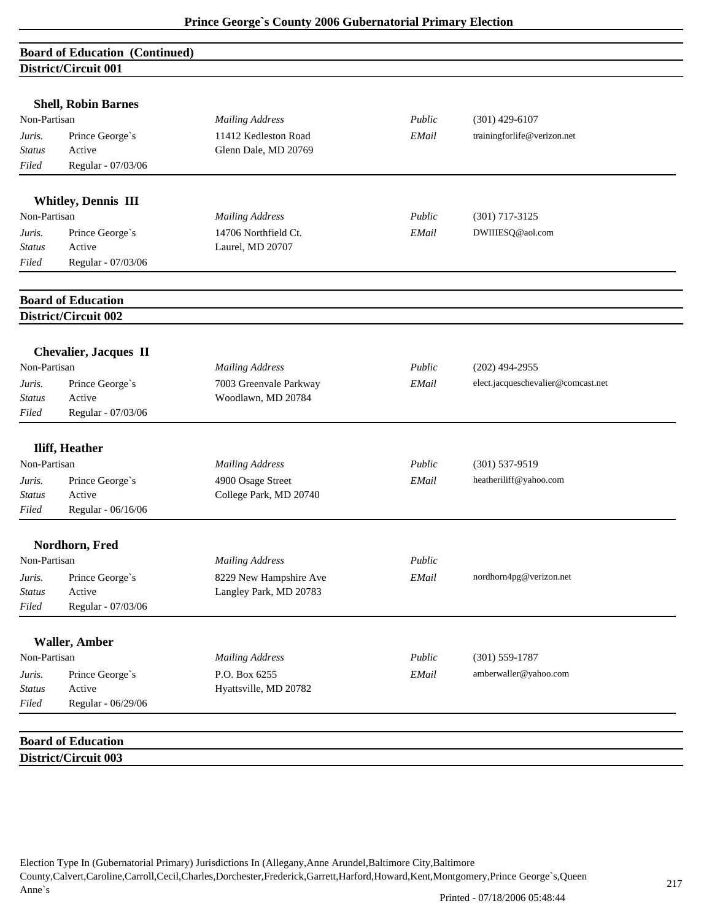|               | <b>Board of Education (Continued)</b> |                        |        |                                    |
|---------------|---------------------------------------|------------------------|--------|------------------------------------|
|               | District/Circuit 001                  |                        |        |                                    |
|               |                                       |                        |        |                                    |
|               | <b>Shell, Robin Barnes</b>            |                        |        |                                    |
| Non-Partisan  |                                       | <b>Mailing Address</b> | Public | $(301)$ 429-6107                   |
| Juris.        | Prince George's                       | 11412 Kedleston Road   | EMail  | trainingforlife@verizon.net        |
| <b>Status</b> | Active                                | Glenn Dale, MD 20769   |        |                                    |
| Filed         | Regular - 07/03/06                    |                        |        |                                    |
|               | <b>Whitley, Dennis III</b>            |                        |        |                                    |
| Non-Partisan  |                                       | <b>Mailing Address</b> | Public | $(301)$ 717-3125                   |
| Juris.        | Prince George's                       | 14706 Northfield Ct.   | EMail  | DWIIIESQ@aol.com                   |
| <b>Status</b> | Active                                | Laurel, MD 20707       |        |                                    |
| Filed         | Regular - 07/03/06                    |                        |        |                                    |
|               |                                       |                        |        |                                    |
|               | <b>Board of Education</b>             |                        |        |                                    |
|               | District/Circuit 002                  |                        |        |                                    |
|               | <b>Chevalier, Jacques II</b>          |                        |        |                                    |
| Non-Partisan  |                                       | <b>Mailing Address</b> | Public | $(202)$ 494-2955                   |
| Juris.        | Prince George's                       | 7003 Greenvale Parkway | EMail  | elect.jacqueschevalier@comcast.net |
| <b>Status</b> | Active                                | Woodlawn, MD 20784     |        |                                    |
| Filed         | Regular - 07/03/06                    |                        |        |                                    |
|               |                                       |                        |        |                                    |
|               | <b>Iliff, Heather</b>                 |                        |        |                                    |
| Non-Partisan  |                                       | <b>Mailing Address</b> | Public | $(301) 537 - 9519$                 |
| Juris.        | Prince George's                       | 4900 Osage Street      | EMail  | heatheriliff@yahoo.com             |
| <b>Status</b> | Active                                | College Park, MD 20740 |        |                                    |
| Filed         | Regular - 06/16/06                    |                        |        |                                    |
|               | Nordhorn, Fred                        |                        |        |                                    |
| Non-Partisan  |                                       | <b>Mailing Address</b> | Public |                                    |
| Juris.        | Prince George's                       | 8229 New Hampshire Ave | EMail  | nordhorn4pg@verizon.net            |
| <b>Status</b> | Active                                | Langley Park, MD 20783 |        |                                    |
| Filed         | Regular - 07/03/06                    |                        |        |                                    |
|               |                                       |                        |        |                                    |
|               | <b>Waller, Amber</b>                  |                        |        |                                    |
| Non-Partisan  |                                       | <b>Mailing Address</b> | Public | $(301) 559 - 1787$                 |
| Juris.        | Prince George's                       | P.O. Box 6255          | EMail  | amberwaller@yahoo.com              |
| <b>Status</b> | Active                                | Hyattsville, MD 20782  |        |                                    |
| Filed         | Regular - 06/29/06                    |                        |        |                                    |
|               |                                       |                        |        |                                    |
|               | <b>Board of Education</b>             |                        |        |                                    |
|               | District/Circuit 003                  |                        |        |                                    |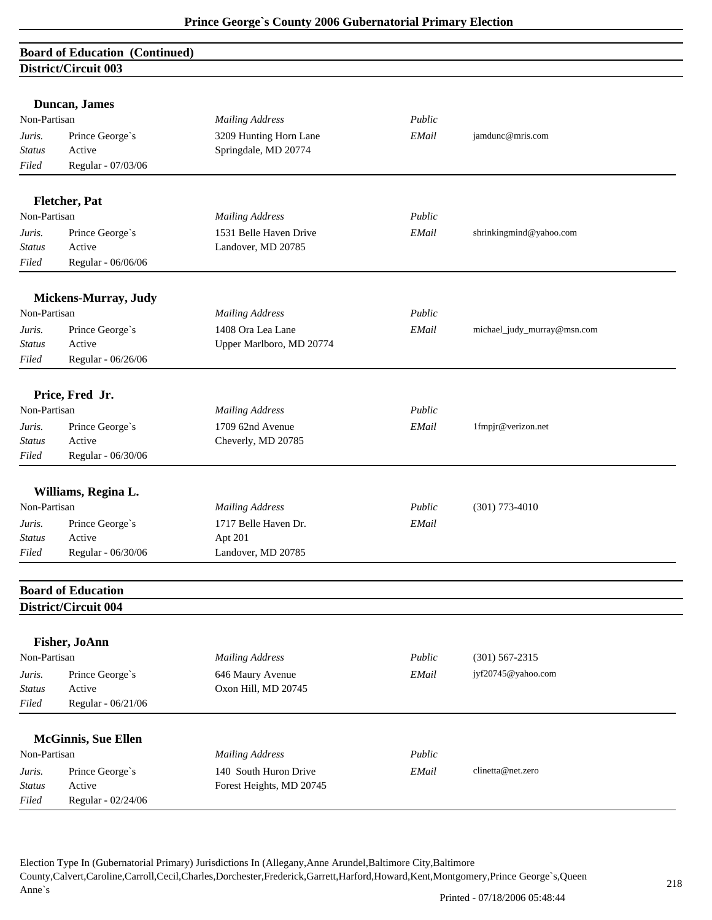## **Board of Education (Continued) District/Circuit 003**

|               | Duncan, James              |                          |        |                             |
|---------------|----------------------------|--------------------------|--------|-----------------------------|
| Non-Partisan  |                            | <b>Mailing Address</b>   | Public |                             |
| Juris.        | Prince George's            | 3209 Hunting Horn Lane   | EMail  | jamdunc@mris.com            |
| <b>Status</b> | Active                     | Springdale, MD 20774     |        |                             |
| Filed         | Regular - 07/03/06         |                          |        |                             |
|               | Fletcher, Pat              |                          |        |                             |
| Non-Partisan  |                            | <b>Mailing Address</b>   | Public |                             |
| Juris.        | Prince George's            | 1531 Belle Haven Drive   | EMail  | shrinkingmind@yahoo.com     |
| <b>Status</b> | Active                     | Landover, MD 20785       |        |                             |
| Filed         | Regular - 06/06/06         |                          |        |                             |
|               |                            |                          |        |                             |
|               | Mickens-Murray, Judy       |                          |        |                             |
| Non-Partisan  |                            | <b>Mailing Address</b>   | Public |                             |
| Juris.        | Prince George's            | 1408 Ora Lea Lane        | EMail  | michael_judy_murray@msn.com |
| <b>Status</b> | Active                     | Upper Marlboro, MD 20774 |        |                             |
| Filed         | Regular - 06/26/06         |                          |        |                             |
|               | Price, Fred Jr.            |                          |        |                             |
| Non-Partisan  |                            | <b>Mailing Address</b>   | Public |                             |
| Juris.        | Prince George's            | 1709 62nd Avenue         | EMail  | 1fmpjr@verizon.net          |
| <b>Status</b> | Active                     | Cheverly, MD 20785       |        |                             |
| Filed         | Regular - 06/30/06         |                          |        |                             |
|               |                            |                          |        |                             |
|               | Williams, Regina L.        |                          |        |                             |
| Non-Partisan  |                            | <b>Mailing Address</b>   | Public | $(301)$ 773-4010            |
| Juris.        | Prince George's            | 1717 Belle Haven Dr.     | EMail  |                             |
| <b>Status</b> | Active                     | Apt 201                  |        |                             |
| Filed         | Regular - 06/30/06         | Landover, MD 20785       |        |                             |
|               | <b>Board of Education</b>  |                          |        |                             |
|               | District/Circuit 004       |                          |        |                             |
|               |                            |                          |        |                             |
|               | Fisher, JoAnn              |                          |        |                             |
| Non-Partisan  |                            | <b>Mailing Address</b>   | Public | $(301) 567 - 2315$          |
| Juris.        | Prince George's            | 646 Maury Avenue         | EMail  | jyf20745@yahoo.com          |
| Status        | Active                     | Oxon Hill, MD 20745      |        |                             |
| Filed         | Regular - 06/21/06         |                          |        |                             |
|               | <b>McGinnis, Sue Ellen</b> |                          |        |                             |
| Non-Partisan  |                            | <b>Mailing Address</b>   | Public |                             |
| Juris.        | Prince George's            | 140 South Huron Drive    | EMail  | clinetta@net.zero           |
| <b>Status</b> | Active                     | Forest Heights, MD 20745 |        |                             |
| Filed         | Regular - 02/24/06         |                          |        |                             |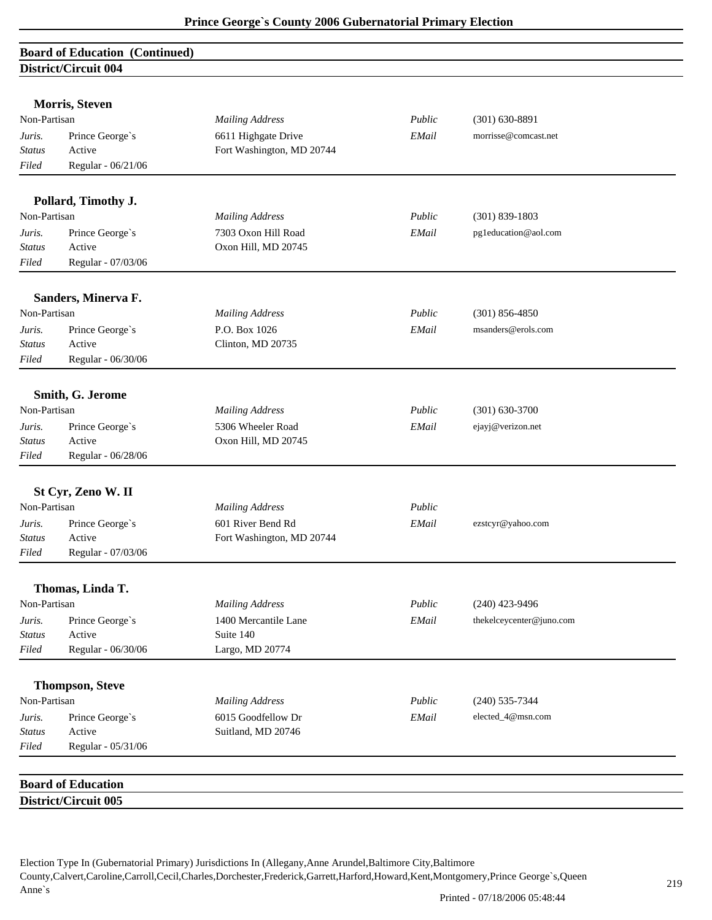| <b>Board of Education (Continued)</b> |  |
|---------------------------------------|--|
| District/Circuit 004                  |  |

|               | <b>Morris, Steven</b>     |                           |        |                          |  |
|---------------|---------------------------|---------------------------|--------|--------------------------|--|
| Non-Partisan  |                           | <b>Mailing Address</b>    | Public | $(301) 630 - 8891$       |  |
| Juris.        | Prince George's           | 6611 Highgate Drive       | EMail  | morrisse@comcast.net     |  |
| <b>Status</b> | Active                    | Fort Washington, MD 20744 |        |                          |  |
| Filed         | Regular - 06/21/06        |                           |        |                          |  |
|               | Pollard, Timothy J.       |                           |        |                          |  |
| Non-Partisan  |                           | <b>Mailing Address</b>    | Public | $(301) 839 - 1803$       |  |
| Juris.        | Prince George's           | 7303 Oxon Hill Road       | EMail  | pg1education@aol.com     |  |
| <b>Status</b> | Active                    | Oxon Hill, MD 20745       |        |                          |  |
| Filed         | Regular - 07/03/06        |                           |        |                          |  |
|               | Sanders, Minerva F.       |                           |        |                          |  |
| Non-Partisan  |                           | <b>Mailing Address</b>    | Public | $(301) 856 - 4850$       |  |
| Juris.        | Prince George's           | P.O. Box 1026             | EMail  | msanders@erols.com       |  |
| <b>Status</b> | Active                    | Clinton, MD 20735         |        |                          |  |
| Filed         | Regular - 06/30/06        |                           |        |                          |  |
|               | Smith, G. Jerome          |                           |        |                          |  |
| Non-Partisan  |                           | <b>Mailing Address</b>    | Public | $(301) 630 - 3700$       |  |
| Juris.        | Prince George's           | 5306 Wheeler Road         | EMail  | ejayj@verizon.net        |  |
| <b>Status</b> | Active                    | Oxon Hill, MD 20745       |        |                          |  |
| Filed         | Regular - 06/28/06        |                           |        |                          |  |
|               | St Cyr, Zeno W. II        |                           |        |                          |  |
| Non-Partisan  |                           | <b>Mailing Address</b>    | Public |                          |  |
| Juris.        | Prince George's           | 601 River Bend Rd         | EMail  | ezstcyr@yahoo.com        |  |
| <b>Status</b> | Active                    | Fort Washington, MD 20744 |        |                          |  |
| Filed         | Regular - 07/03/06        |                           |        |                          |  |
|               | Thomas, Linda T.          |                           |        |                          |  |
| Non-Partisan  |                           | <b>Mailing Address</b>    | Public | $(240)$ 423-9496         |  |
| Juris.        | Prince George's           | 1400 Mercantile Lane      | EMail  | thekelceycenter@juno.com |  |
| <b>Status</b> | Active                    | Suite 140                 |        |                          |  |
| Filed         | Regular - 06/30/06        | Largo, MD 20774           |        |                          |  |
|               | <b>Thompson, Steve</b>    |                           |        |                          |  |
| Non-Partisan  |                           | <b>Mailing Address</b>    | Public | $(240)$ 535-7344         |  |
| Juris.        | Prince George's           | 6015 Goodfellow Dr        | EMail  | elected_4@msn.com        |  |
| <b>Status</b> | Active                    | Suitland, MD 20746        |        |                          |  |
| Filed         | Regular - 05/31/06        |                           |        |                          |  |
|               | <b>Board of Education</b> |                           |        |                          |  |
|               | District/Circuit 005      |                           |        |                          |  |
|               |                           |                           |        |                          |  |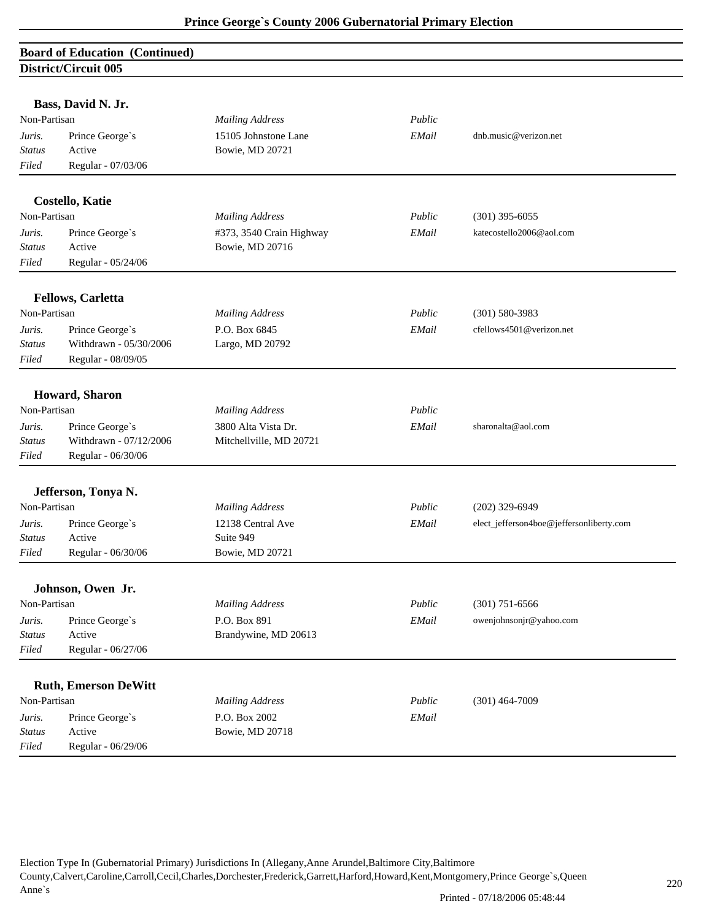# **Board of Education (Continued) District/Circuit 005**

|                         | Bass, David N. Jr.                        |                                                |        |                                          |
|-------------------------|-------------------------------------------|------------------------------------------------|--------|------------------------------------------|
| Non-Partisan            |                                           | <b>Mailing Address</b>                         | Public |                                          |
| Juris.                  | Prince George's                           | 15105 Johnstone Lane                           | EMail  | dnb.music@verizon.net                    |
| <b>Status</b>           | Active                                    | Bowie, MD 20721                                |        |                                          |
| Filed                   | Regular - 07/03/06                        |                                                |        |                                          |
|                         |                                           |                                                |        |                                          |
|                         | <b>Costello, Katie</b>                    |                                                |        |                                          |
| Non-Partisan            |                                           | <b>Mailing Address</b>                         | Public | $(301)$ 395-6055                         |
| Juris.                  | Prince George's                           | #373, 3540 Crain Highway                       | EMail  | katecostello2006@aol.com                 |
| <b>Status</b>           | Active                                    | Bowie, MD 20716                                |        |                                          |
| Filed                   | Regular - 05/24/06                        |                                                |        |                                          |
|                         | <b>Fellows, Carletta</b>                  |                                                |        |                                          |
| Non-Partisan            |                                           | <b>Mailing Address</b>                         | Public | $(301) 580 - 3983$                       |
| Juris.                  | Prince George's                           | P.O. Box 6845                                  | EMail  | cfellows4501@verizon.net                 |
| Status                  | Withdrawn - 05/30/2006                    | Largo, MD 20792                                |        |                                          |
| Filed                   | Regular - 08/09/05                        |                                                |        |                                          |
|                         | Howard, Sharon                            |                                                |        |                                          |
| Non-Partisan            |                                           | <b>Mailing Address</b>                         | Public |                                          |
|                         |                                           |                                                |        | sharonalta@aol.com                       |
| Juris.<br><b>Status</b> | Prince George's<br>Withdrawn - 07/12/2006 | 3800 Alta Vista Dr.<br>Mitchellville, MD 20721 | EMail  |                                          |
| Filed                   | Regular - 06/30/06                        |                                                |        |                                          |
|                         |                                           |                                                |        |                                          |
|                         | Jefferson, Tonya N.                       |                                                |        |                                          |
| Non-Partisan            |                                           | <b>Mailing Address</b>                         | Public | $(202)$ 329-6949                         |
| Juris.                  | Prince George's                           | 12138 Central Ave                              | EMail  | elect_jefferson4boe@jeffersonliberty.com |
| <b>Status</b>           | Active                                    | Suite 949                                      |        |                                          |
| Filed                   | Regular - 06/30/06                        | Bowie, MD 20721                                |        |                                          |
|                         | Johnson, Owen Jr.                         |                                                |        |                                          |
| Non-Partisan            |                                           | <b>Mailing Address</b>                         | Public | $(301)$ 751-6566                         |
| Juris.                  | Prince George's                           | P.O. Box 891                                   | EMail  | owenjohnsonjr@yahoo.com                  |
| <b>Status</b>           | Active                                    | Brandywine, MD 20613                           |        |                                          |
| Filed                   | Regular - 06/27/06                        |                                                |        |                                          |
|                         |                                           |                                                |        |                                          |
|                         | <b>Ruth, Emerson DeWitt</b>               |                                                |        |                                          |
| Non-Partisan            |                                           | <b>Mailing Address</b>                         | Public | $(301)$ 464-7009                         |
| Juris.                  | Prince George's                           | P.O. Box 2002                                  | EMail  |                                          |
| <b>Status</b>           | Active                                    | Bowie, MD 20718                                |        |                                          |
| Filed                   | Regular - 06/29/06                        |                                                |        |                                          |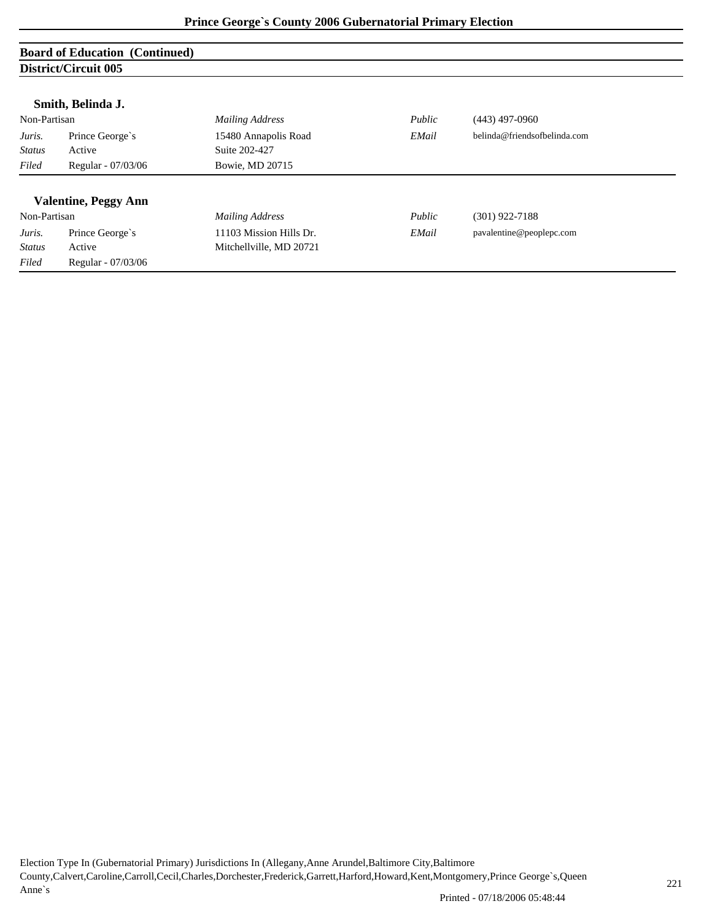## **Board of Education (Continued) District/Circuit 005**

|               | District Circuit voo        |                         |        |                              |
|---------------|-----------------------------|-------------------------|--------|------------------------------|
|               | Smith, Belinda J.           |                         |        |                              |
| Non-Partisan  |                             | <b>Mailing Address</b>  | Public | $(443)$ 497-0960             |
| Juris.        | Prince George's             | 15480 Annapolis Road    | EMail  | belinda@friendsofbelinda.com |
| <b>Status</b> | Active                      | Suite 202-427           |        |                              |
| Filed         | Regular - 07/03/06          | Bowie, MD 20715         |        |                              |
|               |                             |                         |        |                              |
|               | <b>Valentine, Peggy Ann</b> |                         |        |                              |
| Non-Partisan  |                             | <b>Mailing Address</b>  | Public | $(301)$ 922-7188             |
| Juris.        | Prince George's             | 11103 Mission Hills Dr. | EMail  | pavalentine@peoplepc.com     |
| <b>Status</b> | Active                      | Mitchellville, MD 20721 |        |                              |
| Filed         | Regular - 07/03/06          |                         |        |                              |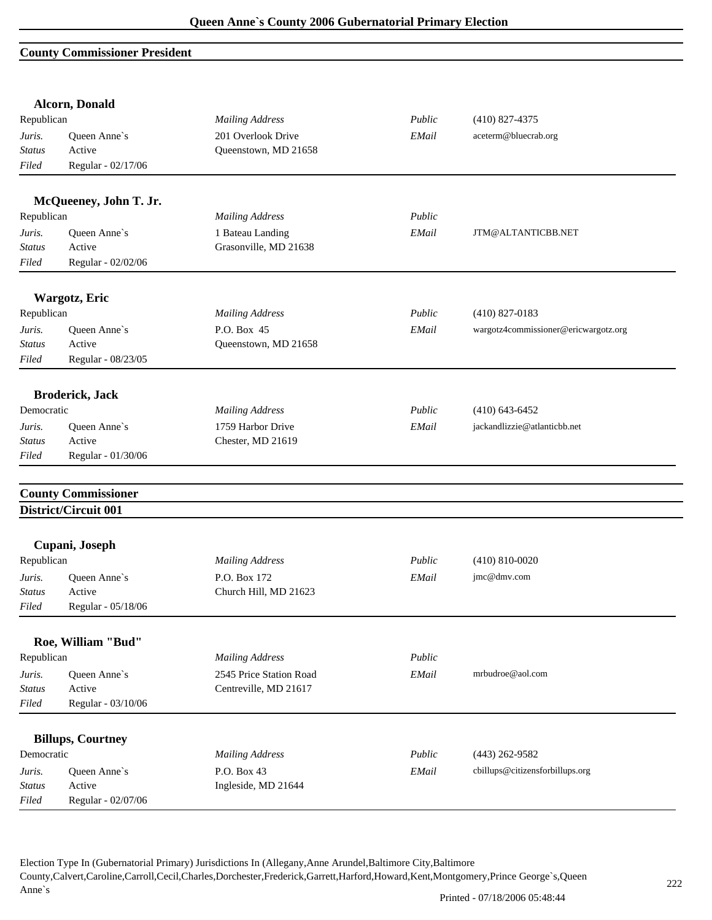### **County Commissioner President**

| Republican<br><b>Mailing Address</b><br>Public<br>$(410)$ 827-4375<br>201 Overlook Drive<br>EMail<br>aceterm@bluecrab.org<br>Queen Anne's<br>Juris.<br>Active<br>Status<br>Queenstown, MD 21658<br>Regular - 02/17/06<br>Filed<br>McQueeney, John T. Jr.<br>Republican<br><b>Mailing Address</b><br>Public<br>Queen Anne's<br>1 Bateau Landing<br>Juris.<br>EMail<br>JTM@ALTANTICBB.NET<br>Grasonville, MD 21638<br>Active<br><b>Status</b><br>Regular - 02/02/06<br>Filed<br>Wargotz, Eric<br>Republican<br><b>Mailing Address</b><br>Public<br>$(410)$ 827-0183<br>P.O. Box 45<br>Queen Anne's<br>EMail<br>wargotz4commissioner@ericwargotz.org<br>Juris.<br>Active<br>Queenstown, MD 21658<br><b>Status</b><br>Regular - 08/23/05<br>Filed<br><b>Broderick, Jack</b><br>Public<br>Democratic<br><b>Mailing Address</b><br>$(410)$ 643-6452<br>1759 Harbor Drive<br>jackandlizzie@atlanticbb.net<br>Queen Anne's<br>EMail<br>Juris.<br>Active<br>Chester, MD 21619<br>Regular - 01/30/06<br>Filed<br><b>County Commissioner</b><br>District/Circuit 001<br>Cupani, Joseph<br><b>Mailing Address</b><br>Public<br>$(410) 810 - 0020$<br>P.O. Box 172<br>Queen Anne's<br>EMail<br>jmc@dmv.com<br>Juris.<br>Church Hill, MD 21623<br>Active<br>Status<br>Regular - 05/18/06<br>Filed<br>Roe, William "Bud"<br>Public<br><b>Mailing Address</b><br>2545 Price Station Road<br>EMail<br>mrbudroe@aol.com<br>Queen Anne's<br>Centreville, MD 21617<br>Active<br><b>Status</b><br>Regular - 03/10/06<br>Filed<br><b>Billups, Courtney</b><br><b>Mailing Address</b><br>Public<br>$(443)$ 262-9582<br>P.O. Box 43<br>EMail<br>cbillups@citizensforbillups.org<br>Queen Anne's<br>Juris.<br>Ingleside, MD 21644<br>Active<br><b>Status</b> |        | <b>Alcorn, Donald</b> |  |  |
|-------------------------------------------------------------------------------------------------------------------------------------------------------------------------------------------------------------------------------------------------------------------------------------------------------------------------------------------------------------------------------------------------------------------------------------------------------------------------------------------------------------------------------------------------------------------------------------------------------------------------------------------------------------------------------------------------------------------------------------------------------------------------------------------------------------------------------------------------------------------------------------------------------------------------------------------------------------------------------------------------------------------------------------------------------------------------------------------------------------------------------------------------------------------------------------------------------------------------------------------------------------------------------------------------------------------------------------------------------------------------------------------------------------------------------------------------------------------------------------------------------------------------------------------------------------------------------------------------------------------------------------------------------------------------------------------------------------------------------------|--------|-----------------------|--|--|
|                                                                                                                                                                                                                                                                                                                                                                                                                                                                                                                                                                                                                                                                                                                                                                                                                                                                                                                                                                                                                                                                                                                                                                                                                                                                                                                                                                                                                                                                                                                                                                                                                                                                                                                                     |        |                       |  |  |
|                                                                                                                                                                                                                                                                                                                                                                                                                                                                                                                                                                                                                                                                                                                                                                                                                                                                                                                                                                                                                                                                                                                                                                                                                                                                                                                                                                                                                                                                                                                                                                                                                                                                                                                                     |        |                       |  |  |
|                                                                                                                                                                                                                                                                                                                                                                                                                                                                                                                                                                                                                                                                                                                                                                                                                                                                                                                                                                                                                                                                                                                                                                                                                                                                                                                                                                                                                                                                                                                                                                                                                                                                                                                                     |        |                       |  |  |
|                                                                                                                                                                                                                                                                                                                                                                                                                                                                                                                                                                                                                                                                                                                                                                                                                                                                                                                                                                                                                                                                                                                                                                                                                                                                                                                                                                                                                                                                                                                                                                                                                                                                                                                                     |        |                       |  |  |
|                                                                                                                                                                                                                                                                                                                                                                                                                                                                                                                                                                                                                                                                                                                                                                                                                                                                                                                                                                                                                                                                                                                                                                                                                                                                                                                                                                                                                                                                                                                                                                                                                                                                                                                                     |        |                       |  |  |
|                                                                                                                                                                                                                                                                                                                                                                                                                                                                                                                                                                                                                                                                                                                                                                                                                                                                                                                                                                                                                                                                                                                                                                                                                                                                                                                                                                                                                                                                                                                                                                                                                                                                                                                                     |        |                       |  |  |
|                                                                                                                                                                                                                                                                                                                                                                                                                                                                                                                                                                                                                                                                                                                                                                                                                                                                                                                                                                                                                                                                                                                                                                                                                                                                                                                                                                                                                                                                                                                                                                                                                                                                                                                                     |        |                       |  |  |
|                                                                                                                                                                                                                                                                                                                                                                                                                                                                                                                                                                                                                                                                                                                                                                                                                                                                                                                                                                                                                                                                                                                                                                                                                                                                                                                                                                                                                                                                                                                                                                                                                                                                                                                                     |        |                       |  |  |
|                                                                                                                                                                                                                                                                                                                                                                                                                                                                                                                                                                                                                                                                                                                                                                                                                                                                                                                                                                                                                                                                                                                                                                                                                                                                                                                                                                                                                                                                                                                                                                                                                                                                                                                                     |        |                       |  |  |
|                                                                                                                                                                                                                                                                                                                                                                                                                                                                                                                                                                                                                                                                                                                                                                                                                                                                                                                                                                                                                                                                                                                                                                                                                                                                                                                                                                                                                                                                                                                                                                                                                                                                                                                                     |        |                       |  |  |
|                                                                                                                                                                                                                                                                                                                                                                                                                                                                                                                                                                                                                                                                                                                                                                                                                                                                                                                                                                                                                                                                                                                                                                                                                                                                                                                                                                                                                                                                                                                                                                                                                                                                                                                                     |        |                       |  |  |
|                                                                                                                                                                                                                                                                                                                                                                                                                                                                                                                                                                                                                                                                                                                                                                                                                                                                                                                                                                                                                                                                                                                                                                                                                                                                                                                                                                                                                                                                                                                                                                                                                                                                                                                                     |        |                       |  |  |
| <b>Status</b><br>Republican<br>Republican<br>Democratic                                                                                                                                                                                                                                                                                                                                                                                                                                                                                                                                                                                                                                                                                                                                                                                                                                                                                                                                                                                                                                                                                                                                                                                                                                                                                                                                                                                                                                                                                                                                                                                                                                                                             |        |                       |  |  |
|                                                                                                                                                                                                                                                                                                                                                                                                                                                                                                                                                                                                                                                                                                                                                                                                                                                                                                                                                                                                                                                                                                                                                                                                                                                                                                                                                                                                                                                                                                                                                                                                                                                                                                                                     |        |                       |  |  |
|                                                                                                                                                                                                                                                                                                                                                                                                                                                                                                                                                                                                                                                                                                                                                                                                                                                                                                                                                                                                                                                                                                                                                                                                                                                                                                                                                                                                                                                                                                                                                                                                                                                                                                                                     |        |                       |  |  |
|                                                                                                                                                                                                                                                                                                                                                                                                                                                                                                                                                                                                                                                                                                                                                                                                                                                                                                                                                                                                                                                                                                                                                                                                                                                                                                                                                                                                                                                                                                                                                                                                                                                                                                                                     |        |                       |  |  |
|                                                                                                                                                                                                                                                                                                                                                                                                                                                                                                                                                                                                                                                                                                                                                                                                                                                                                                                                                                                                                                                                                                                                                                                                                                                                                                                                                                                                                                                                                                                                                                                                                                                                                                                                     |        |                       |  |  |
|                                                                                                                                                                                                                                                                                                                                                                                                                                                                                                                                                                                                                                                                                                                                                                                                                                                                                                                                                                                                                                                                                                                                                                                                                                                                                                                                                                                                                                                                                                                                                                                                                                                                                                                                     |        |                       |  |  |
|                                                                                                                                                                                                                                                                                                                                                                                                                                                                                                                                                                                                                                                                                                                                                                                                                                                                                                                                                                                                                                                                                                                                                                                                                                                                                                                                                                                                                                                                                                                                                                                                                                                                                                                                     |        |                       |  |  |
|                                                                                                                                                                                                                                                                                                                                                                                                                                                                                                                                                                                                                                                                                                                                                                                                                                                                                                                                                                                                                                                                                                                                                                                                                                                                                                                                                                                                                                                                                                                                                                                                                                                                                                                                     |        |                       |  |  |
|                                                                                                                                                                                                                                                                                                                                                                                                                                                                                                                                                                                                                                                                                                                                                                                                                                                                                                                                                                                                                                                                                                                                                                                                                                                                                                                                                                                                                                                                                                                                                                                                                                                                                                                                     |        |                       |  |  |
|                                                                                                                                                                                                                                                                                                                                                                                                                                                                                                                                                                                                                                                                                                                                                                                                                                                                                                                                                                                                                                                                                                                                                                                                                                                                                                                                                                                                                                                                                                                                                                                                                                                                                                                                     |        |                       |  |  |
|                                                                                                                                                                                                                                                                                                                                                                                                                                                                                                                                                                                                                                                                                                                                                                                                                                                                                                                                                                                                                                                                                                                                                                                                                                                                                                                                                                                                                                                                                                                                                                                                                                                                                                                                     |        |                       |  |  |
|                                                                                                                                                                                                                                                                                                                                                                                                                                                                                                                                                                                                                                                                                                                                                                                                                                                                                                                                                                                                                                                                                                                                                                                                                                                                                                                                                                                                                                                                                                                                                                                                                                                                                                                                     |        |                       |  |  |
|                                                                                                                                                                                                                                                                                                                                                                                                                                                                                                                                                                                                                                                                                                                                                                                                                                                                                                                                                                                                                                                                                                                                                                                                                                                                                                                                                                                                                                                                                                                                                                                                                                                                                                                                     |        |                       |  |  |
|                                                                                                                                                                                                                                                                                                                                                                                                                                                                                                                                                                                                                                                                                                                                                                                                                                                                                                                                                                                                                                                                                                                                                                                                                                                                                                                                                                                                                                                                                                                                                                                                                                                                                                                                     |        |                       |  |  |
|                                                                                                                                                                                                                                                                                                                                                                                                                                                                                                                                                                                                                                                                                                                                                                                                                                                                                                                                                                                                                                                                                                                                                                                                                                                                                                                                                                                                                                                                                                                                                                                                                                                                                                                                     |        |                       |  |  |
|                                                                                                                                                                                                                                                                                                                                                                                                                                                                                                                                                                                                                                                                                                                                                                                                                                                                                                                                                                                                                                                                                                                                                                                                                                                                                                                                                                                                                                                                                                                                                                                                                                                                                                                                     |        |                       |  |  |
|                                                                                                                                                                                                                                                                                                                                                                                                                                                                                                                                                                                                                                                                                                                                                                                                                                                                                                                                                                                                                                                                                                                                                                                                                                                                                                                                                                                                                                                                                                                                                                                                                                                                                                                                     |        |                       |  |  |
|                                                                                                                                                                                                                                                                                                                                                                                                                                                                                                                                                                                                                                                                                                                                                                                                                                                                                                                                                                                                                                                                                                                                                                                                                                                                                                                                                                                                                                                                                                                                                                                                                                                                                                                                     |        |                       |  |  |
|                                                                                                                                                                                                                                                                                                                                                                                                                                                                                                                                                                                                                                                                                                                                                                                                                                                                                                                                                                                                                                                                                                                                                                                                                                                                                                                                                                                                                                                                                                                                                                                                                                                                                                                                     | Juris. |                       |  |  |
|                                                                                                                                                                                                                                                                                                                                                                                                                                                                                                                                                                                                                                                                                                                                                                                                                                                                                                                                                                                                                                                                                                                                                                                                                                                                                                                                                                                                                                                                                                                                                                                                                                                                                                                                     |        |                       |  |  |
|                                                                                                                                                                                                                                                                                                                                                                                                                                                                                                                                                                                                                                                                                                                                                                                                                                                                                                                                                                                                                                                                                                                                                                                                                                                                                                                                                                                                                                                                                                                                                                                                                                                                                                                                     |        |                       |  |  |
|                                                                                                                                                                                                                                                                                                                                                                                                                                                                                                                                                                                                                                                                                                                                                                                                                                                                                                                                                                                                                                                                                                                                                                                                                                                                                                                                                                                                                                                                                                                                                                                                                                                                                                                                     |        |                       |  |  |
|                                                                                                                                                                                                                                                                                                                                                                                                                                                                                                                                                                                                                                                                                                                                                                                                                                                                                                                                                                                                                                                                                                                                                                                                                                                                                                                                                                                                                                                                                                                                                                                                                                                                                                                                     |        |                       |  |  |
|                                                                                                                                                                                                                                                                                                                                                                                                                                                                                                                                                                                                                                                                                                                                                                                                                                                                                                                                                                                                                                                                                                                                                                                                                                                                                                                                                                                                                                                                                                                                                                                                                                                                                                                                     |        |                       |  |  |
|                                                                                                                                                                                                                                                                                                                                                                                                                                                                                                                                                                                                                                                                                                                                                                                                                                                                                                                                                                                                                                                                                                                                                                                                                                                                                                                                                                                                                                                                                                                                                                                                                                                                                                                                     |        |                       |  |  |
|                                                                                                                                                                                                                                                                                                                                                                                                                                                                                                                                                                                                                                                                                                                                                                                                                                                                                                                                                                                                                                                                                                                                                                                                                                                                                                                                                                                                                                                                                                                                                                                                                                                                                                                                     | Filed  | Regular - 02/07/06    |  |  |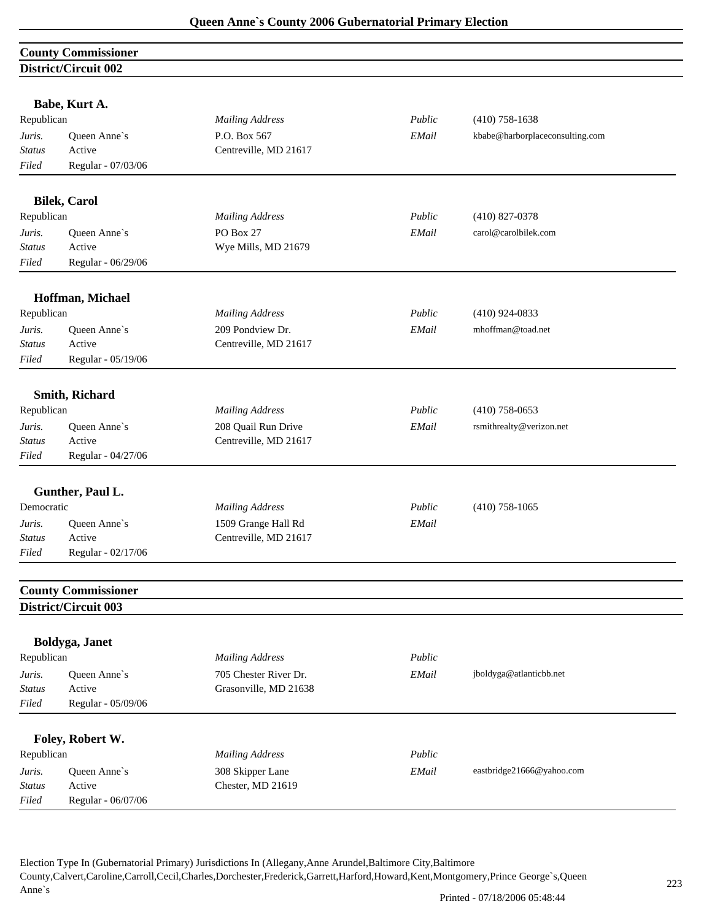|                         | <b>County Commissioner</b> |                                  |        |                                 |
|-------------------------|----------------------------|----------------------------------|--------|---------------------------------|
|                         | District/Circuit 002       |                                  |        |                                 |
|                         |                            |                                  |        |                                 |
|                         | Babe, Kurt A.              |                                  |        |                                 |
| Republican              |                            | <b>Mailing Address</b>           | Public | $(410)$ 758-1638                |
| Juris.                  | Queen Anne's               | P.O. Box 567                     | EMail  | kbabe@harborplaceconsulting.com |
| <b>Status</b>           | Active                     | Centreville, MD 21617            |        |                                 |
| Filed                   | Regular - 07/03/06         |                                  |        |                                 |
|                         | <b>Bilek, Carol</b>        |                                  |        |                                 |
| Republican              |                            | <b>Mailing Address</b>           | Public | $(410)$ 827-0378                |
|                         |                            |                                  |        | carol@carolbilek.com            |
| Juris.<br><b>Status</b> | Queen Anne's<br>Active     | PO Box 27<br>Wye Mills, MD 21679 | EMail  |                                 |
|                         |                            |                                  |        |                                 |
| Filed                   | Regular - 06/29/06         |                                  |        |                                 |
|                         | Hoffman, Michael           |                                  |        |                                 |
| Republican              |                            | <b>Mailing Address</b>           | Public | $(410)$ 924-0833                |
| Juris.                  | Queen Anne's               | 209 Pondview Dr.                 | EMail  | mhoffman@toad.net               |
| <b>Status</b>           | Active                     | Centreville, MD 21617            |        |                                 |
| Filed                   | Regular - 05/19/06         |                                  |        |                                 |
|                         |                            |                                  |        |                                 |
|                         | Smith, Richard             |                                  |        |                                 |
| Republican              |                            | <b>Mailing Address</b>           | Public | $(410)$ 758-0653                |
| Juris.                  | Queen Anne's               | 208 Quail Run Drive              | EMail  | rsmithrealty@verizon.net        |
| <b>Status</b>           | Active                     | Centreville, MD 21617            |        |                                 |
| Filed                   | Regular - 04/27/06         |                                  |        |                                 |
|                         |                            |                                  |        |                                 |
|                         | Gunther, Paul L.           |                                  |        |                                 |
| Democratic              |                            | <b>Mailing Address</b>           | Public | $(410)$ 758-1065                |
| Juris.                  | Queen Anne's               | 1509 Grange Hall Rd              | EMail  |                                 |
| <b>Status</b>           | Active                     | Centreville, MD 21617            |        |                                 |
| Filed                   | Regular - 02/17/06         |                                  |        |                                 |
|                         | <b>County Commissioner</b> |                                  |        |                                 |
|                         | District/Circuit 003       |                                  |        |                                 |
|                         |                            |                                  |        |                                 |
|                         | Boldyga, Janet             |                                  |        |                                 |
| Republican              |                            | <b>Mailing Address</b>           | Public |                                 |
| Juris.                  | Queen Anne's               | 705 Chester River Dr.            | EMail  | jboldyga@atlanticbb.net         |
| <b>Status</b>           | Active                     | Grasonville, MD 21638            |        |                                 |
| Filed                   | Regular - 05/09/06         |                                  |        |                                 |
|                         | Foley, Robert W.           |                                  |        |                                 |
| Republican              |                            | <b>Mailing Address</b>           | Public |                                 |
| Juris.                  | Queen Anne's               | 308 Skipper Lane                 | EMail  | eastbridge21666@yahoo.com       |
| <b>Status</b>           | Active                     | Chester, MD 21619                |        |                                 |
| Filed                   | Regular - 06/07/06         |                                  |        |                                 |
|                         |                            |                                  |        |                                 |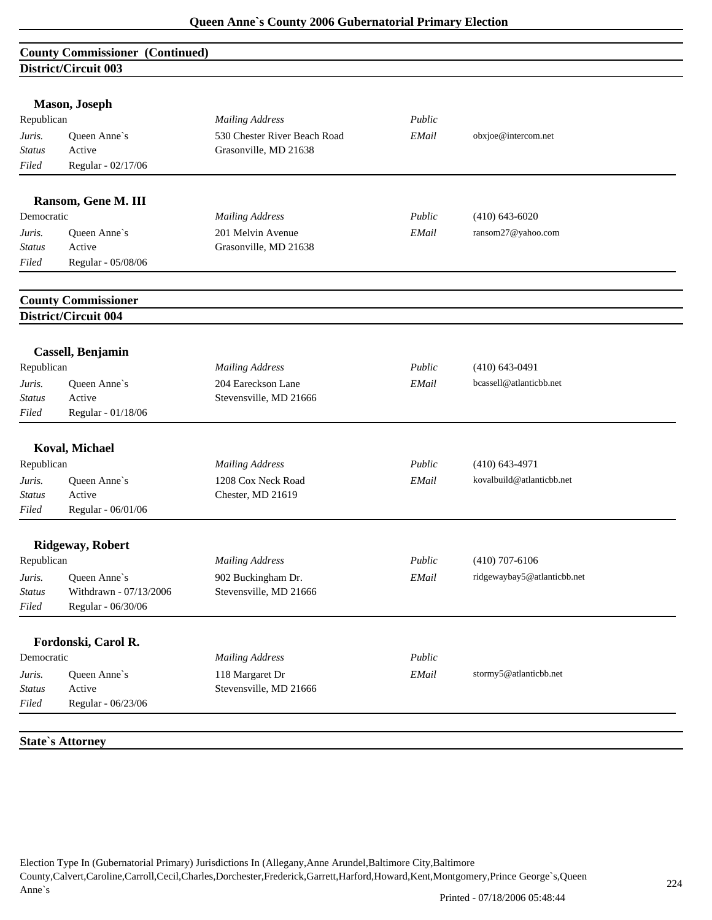# **County Commissioner (Continued) District/Circuit 003**

|               | <b>Mason</b> , Joseph      |                              |        |                             |
|---------------|----------------------------|------------------------------|--------|-----------------------------|
| Republican    |                            | <b>Mailing Address</b>       | Public |                             |
| Juris.        | Queen Anne's               | 530 Chester River Beach Road | EMail  | obxjoe@intercom.net         |
| Status        | Active                     | Grasonville, MD 21638        |        |                             |
| Filed         | Regular - 02/17/06         |                              |        |                             |
|               | Ransom, Gene M. III        |                              |        |                             |
| Democratic    |                            | <b>Mailing Address</b>       | Public | $(410)$ 643-6020            |
| Juris.        | Queen Anne's               | 201 Melvin Avenue            | EMail  | ransom27@yahoo.com          |
| <b>Status</b> | Active                     | Grasonville, MD 21638        |        |                             |
| Filed         | Regular - 05/08/06         |                              |        |                             |
|               | <b>County Commissioner</b> |                              |        |                             |
|               | District/Circuit 004       |                              |        |                             |
|               | Cassell, Benjamin          |                              |        |                             |
| Republican    |                            | <b>Mailing Address</b>       | Public | $(410)$ 643-0491            |
| Juris.        | Queen Anne's               | 204 Eareckson Lane           | EMail  | bcassell@atlanticbb.net     |
| <b>Status</b> | Active                     | Stevensville, MD 21666       |        |                             |
| Filed         | Regular - 01/18/06         |                              |        |                             |
|               | <b>Koval, Michael</b>      |                              |        |                             |
| Republican    |                            | <b>Mailing Address</b>       | Public | $(410)$ 643-4971            |
| Juris.        | Queen Anne's               | 1208 Cox Neck Road           | EMail  | kovalbuild@atlanticbb.net   |
| <b>Status</b> | Active                     | Chester, MD 21619            |        |                             |
| Filed         | Regular - 06/01/06         |                              |        |                             |
|               | <b>Ridgeway, Robert</b>    |                              |        |                             |
| Republican    |                            | <b>Mailing Address</b>       | Public | $(410)$ 707-6106            |
| Juris.        | Queen Anne's               | 902 Buckingham Dr.           | EMail  | ridgewaybay5@atlanticbb.net |
| Status        | Withdrawn - 07/13/2006     | Stevensville, MD 21666       |        |                             |
| Filed         | Regular - 06/30/06         |                              |        |                             |
|               | Fordonski, Carol R.        |                              |        |                             |
| Democratic    |                            | <b>Mailing Address</b>       | Public |                             |
| Juris.        | Queen Anne's               | 118 Margaret Dr              | EMail  | stormy5@atlanticbb.net      |
| <b>Status</b> | Active                     | Stevensville, MD 21666       |        |                             |
| Filed         | Regular - 06/23/06         |                              |        |                             |

**State`s Attorney**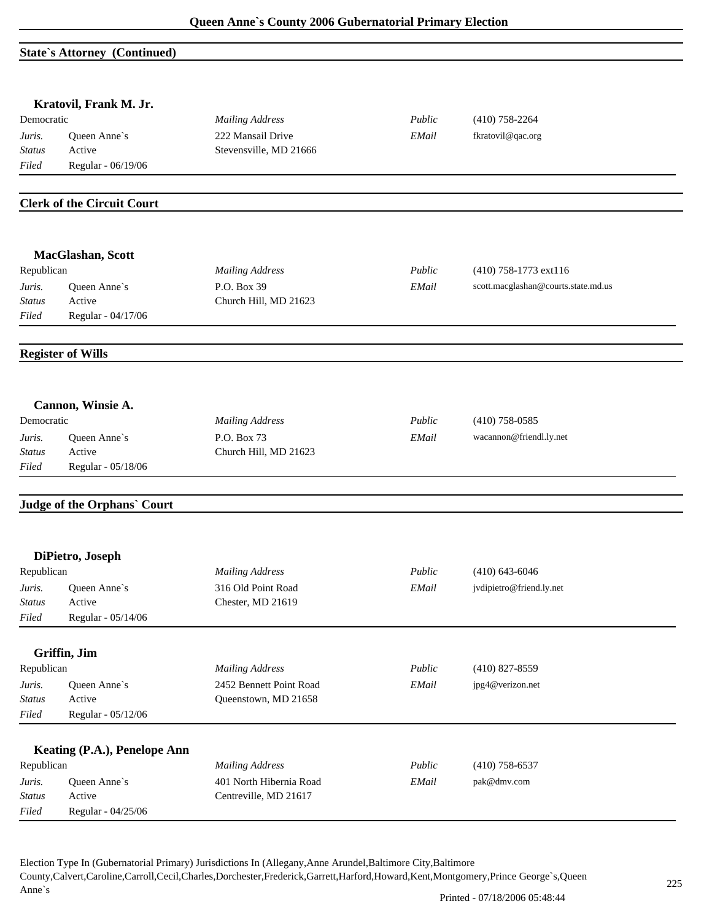#### **State`s Attorney (Continued)**

|                         | Kratovil, Frank M. Jr.            |                                      |        |                                     |
|-------------------------|-----------------------------------|--------------------------------------|--------|-------------------------------------|
| Democratic              |                                   | <b>Mailing Address</b>               | Public | $(410)$ 758-2264                    |
| Juris.                  | Queen Anne's                      | 222 Mansail Drive                    | EMail  | fkratovil@qac.org                   |
| Status                  | Active                            | Stevensville, MD 21666               |        |                                     |
| Filed                   | Regular - 06/19/06                |                                      |        |                                     |
|                         | <b>Clerk of the Circuit Court</b> |                                      |        |                                     |
|                         | MacGlashan, Scott                 |                                      |        |                                     |
| Republican              |                                   | <b>Mailing Address</b>               | Public | (410) 758-1773 ext116               |
| Juris.                  | Queen Anne's                      | P.O. Box 39                          | EMail  | scott.macglashan@courts.state.md.us |
| <b>Status</b><br>Filed  | Active<br>Regular - 04/17/06      | Church Hill, MD 21623                |        |                                     |
|                         | <b>Register of Wills</b>          |                                      |        |                                     |
|                         |                                   |                                      |        |                                     |
|                         | Cannon, Winsie A.                 |                                      |        |                                     |
| Democratic              |                                   | <b>Mailing Address</b>               | Public | $(410)$ 758-0585                    |
| Juris.<br><b>Status</b> | Queen Anne's<br>Active            | P.O. Box 73<br>Church Hill, MD 21623 | EMail  | wacannon@friendl.ly.net             |
| Filed                   | Regular - 05/18/06                |                                      |        |                                     |
|                         | Judge of the Orphans' Court       |                                      |        |                                     |
|                         |                                   |                                      |        |                                     |
|                         | DiPietro, Joseph                  |                                      |        |                                     |
| Republican              |                                   | <b>Mailing Address</b>               | Public | $(410)$ 643-6046                    |
| Juris.                  | Queen Anne's                      | 316 Old Point Road                   | EMail  | jvdipietro@friend.ly.net            |
| Status<br>Filed         | Active<br>Regular - 05/14/06      | Chester, MD 21619                    |        |                                     |
|                         | Griffin, Jim                      |                                      |        |                                     |
| Republican              |                                   | <b>Mailing Address</b>               | Public | $(410)$ 827-8559                    |
| Juris.                  | Queen Anne's                      | 2452 Bennett Point Road              | EMail  | jpg4@verizon.net                    |
| <b>Status</b>           | Active                            | Queenstown, MD 21658                 |        |                                     |
| Filed                   | Regular - 05/12/06                |                                      |        |                                     |
|                         | Keating (P.A.), Penelope Ann      |                                      |        |                                     |
| Republican              |                                   | <b>Mailing Address</b>               | Public | $(410)$ 758-6537                    |
| Juris.                  | Queen Anne's                      | 401 North Hibernia Road              | EMail  | pak@dmv.com                         |
| <b>Status</b>           | Active                            | Centreville, MD 21617                |        |                                     |
| Filed                   | Regular - 04/25/06                |                                      |        |                                     |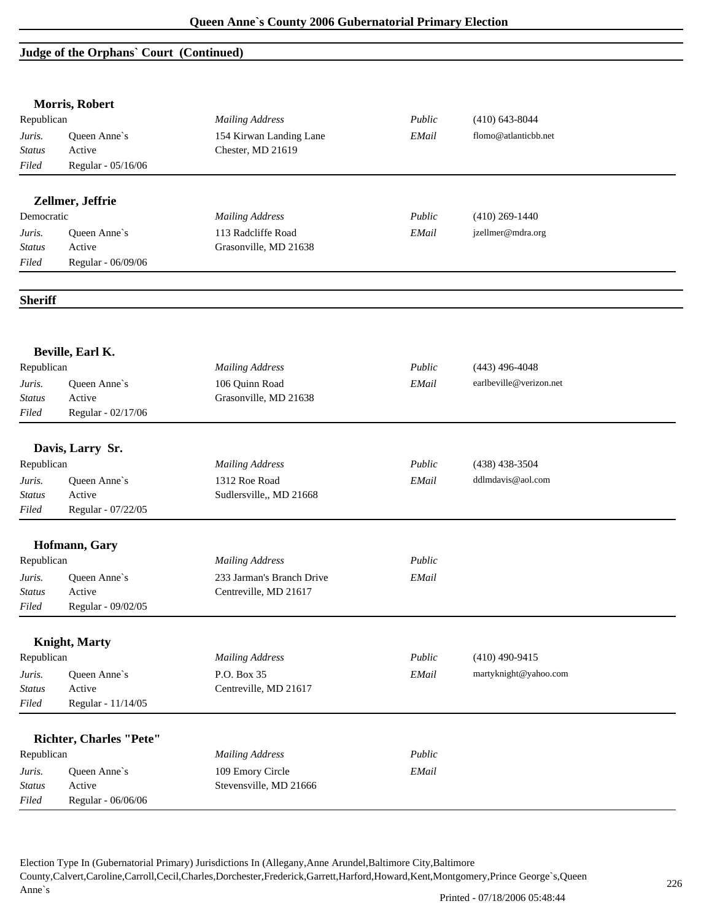# **Judge of the Orphans` Court (Continued)**

|                | Morris, Robert                 |                           |        |                         |  |
|----------------|--------------------------------|---------------------------|--------|-------------------------|--|
| Republican     |                                | <b>Mailing Address</b>    | Public | $(410)$ 643-8044        |  |
| Juris.         | Queen Anne's                   | 154 Kirwan Landing Lane   | EMail  | flomo@atlanticbb.net    |  |
| <b>Status</b>  | Active                         | Chester, MD 21619         |        |                         |  |
| Filed          | Regular - 05/16/06             |                           |        |                         |  |
|                | Zellmer, Jeffrie               |                           |        |                         |  |
| Democratic     |                                | <b>Mailing Address</b>    | Public | $(410)$ 269-1440        |  |
| Juris.         | Queen Anne's                   | 113 Radcliffe Road        | EMail  | jzellmer@mdra.org       |  |
| <b>Status</b>  | Active                         | Grasonville, MD 21638     |        |                         |  |
| Filed          | Regular - 06/09/06             |                           |        |                         |  |
| <b>Sheriff</b> |                                |                           |        |                         |  |
|                | Beville, Earl K.               |                           |        |                         |  |
| Republican     |                                | <b>Mailing Address</b>    | Public | $(443)$ 496-4048        |  |
| Juris.         | Queen Anne's                   | 106 Quinn Road            | EMail  | earlbeville@verizon.net |  |
| <b>Status</b>  | Active                         | Grasonville, MD 21638     |        |                         |  |
| Filed          | Regular - 02/17/06             |                           |        |                         |  |
|                |                                |                           |        |                         |  |
| Republican     | Davis, Larry Sr.               | <b>Mailing Address</b>    | Public | $(438)$ 438-3504        |  |
|                |                                |                           |        |                         |  |
| Juris.         | Queen Anne's                   | 1312 Roe Road             | EMail  | ddlmdavis@aol.com       |  |
| <b>Status</b>  | Active                         | Sudlersville,, MD 21668   |        |                         |  |
| Filed          | Regular - 07/22/05             |                           |        |                         |  |
|                | Hofmann, Gary                  |                           |        |                         |  |
| Republican     |                                | <b>Mailing Address</b>    | Public |                         |  |
| Juris.         | Queen Anne's                   | 233 Jarman's Branch Drive | EMail  |                         |  |
| Status         | Active                         | Centreville, MD 21617     |        |                         |  |
| Filed          | Regular - 09/02/05             |                           |        |                         |  |
|                | <b>Knight</b> , Marty          |                           |        |                         |  |
| Republican     |                                | <b>Mailing Address</b>    | Public | $(410)$ 490-9415        |  |
| Juris.         | Queen Anne's                   | P.O. Box 35               | EMail  | martyknight@yahoo.com   |  |
| <b>Status</b>  | Active                         | Centreville, MD 21617     |        |                         |  |
| Filed          | Regular - 11/14/05             |                           |        |                         |  |
|                | <b>Richter, Charles "Pete"</b> |                           |        |                         |  |
| Republican     |                                | <b>Mailing Address</b>    | Public |                         |  |
| Juris.         | Queen Anne's                   | 109 Emory Circle          | EMail  |                         |  |
| <b>Status</b>  | Active                         | Stevensville, MD 21666    |        |                         |  |
| Filed          | Regular - 06/06/06             |                           |        |                         |  |
|                |                                |                           |        |                         |  |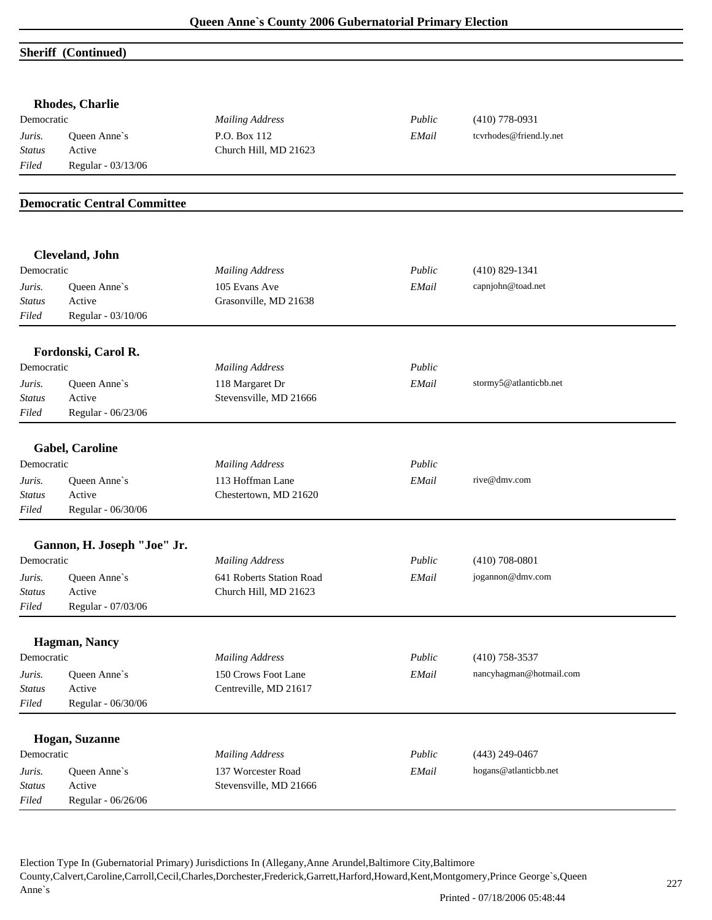#### **Sheriff (Continued)**

|                                  | Rhodes, Charlie                     |                                                                        |        |                         |  |
|----------------------------------|-------------------------------------|------------------------------------------------------------------------|--------|-------------------------|--|
| Democratic                       |                                     | <b>Mailing Address</b>                                                 | Public | $(410)$ 778-0931        |  |
| Juris.                           | Queen Anne's                        | P.O. Box 112                                                           | EMail  | tcvrhodes@friend.ly.net |  |
| <b>Status</b>                    | Active                              | Church Hill, MD 21623                                                  |        |                         |  |
| Filed                            | Regular - 03/13/06                  |                                                                        |        |                         |  |
|                                  | <b>Democratic Central Committee</b> |                                                                        |        |                         |  |
|                                  | Cleveland, John                     |                                                                        |        |                         |  |
| Democratic                       |                                     | <b>Mailing Address</b>                                                 | Public | $(410) 829 - 1341$      |  |
| Juris.                           | Queen Anne's                        | 105 Evans Ave                                                          | EMail  | capnjohn@toad.net       |  |
| <b>Status</b>                    | Active                              | Grasonville, MD 21638                                                  |        |                         |  |
| Filed                            | Regular - 03/10/06                  |                                                                        |        |                         |  |
|                                  | Fordonski, Carol R.                 |                                                                        |        |                         |  |
| Democratic                       |                                     | <b>Mailing Address</b>                                                 | Public |                         |  |
| Juris.                           | Queen Anne's                        | 118 Margaret Dr                                                        | EMail  | stormy5@atlanticbb.net  |  |
| Status                           | Active                              | Stevensville, MD 21666                                                 |        |                         |  |
| Filed                            | Regular - 06/23/06                  |                                                                        |        |                         |  |
|                                  | <b>Gabel, Caroline</b>              |                                                                        |        |                         |  |
| Democratic                       |                                     |                                                                        | Public |                         |  |
|                                  |                                     | <b>Mailing Address</b>                                                 |        |                         |  |
| Juris.<br><b>Status</b>          | Queen Anne's<br>Active              | 113 Hoffman Lane<br>Chestertown, MD 21620                              | EMail  | rive@dmv.com            |  |
| Filed                            | Regular - 06/30/06                  |                                                                        |        |                         |  |
|                                  |                                     |                                                                        |        |                         |  |
|                                  | Gannon, H. Joseph "Joe" Jr.         |                                                                        |        |                         |  |
| Democratic                       |                                     | <b>Mailing Address</b>                                                 | Public | $(410)$ 708-0801        |  |
| Juris.                           | Queen Anne's                        | 641 Roberts Station Road                                               | EMail  | jogannon@dmv.com        |  |
| <i>Status</i>                    | Active                              | Church Hill, MD 21623                                                  |        |                         |  |
| Filed                            | Regular - 07/03/06                  |                                                                        |        |                         |  |
|                                  | Hagman, Nancy                       |                                                                        |        |                         |  |
| Democratic                       |                                     | <b>Mailing Address</b>                                                 | Public | $(410)$ 758-3537        |  |
| Juris.                           | Queen Anne's                        | 150 Crows Foot Lane                                                    | EMail  | nancyhagman@hotmail.com |  |
| <b>Status</b>                    | Active                              | Centreville, MD 21617                                                  |        |                         |  |
| Filed                            | Regular - 06/30/06                  |                                                                        |        |                         |  |
|                                  | Hogan, Suzanne                      |                                                                        |        |                         |  |
| Democratic                       |                                     |                                                                        | Public | $(443)$ 249-0467        |  |
|                                  |                                     |                                                                        |        |                         |  |
|                                  | Active                              |                                                                        |        |                         |  |
|                                  | Regular - 06/26/06                  |                                                                        |        |                         |  |
| Juris.<br><b>Status</b><br>Filed | Queen Anne's                        | <b>Mailing Address</b><br>137 Worcester Road<br>Stevensville, MD 21666 | EMail  | hogans@atlanticbb.net   |  |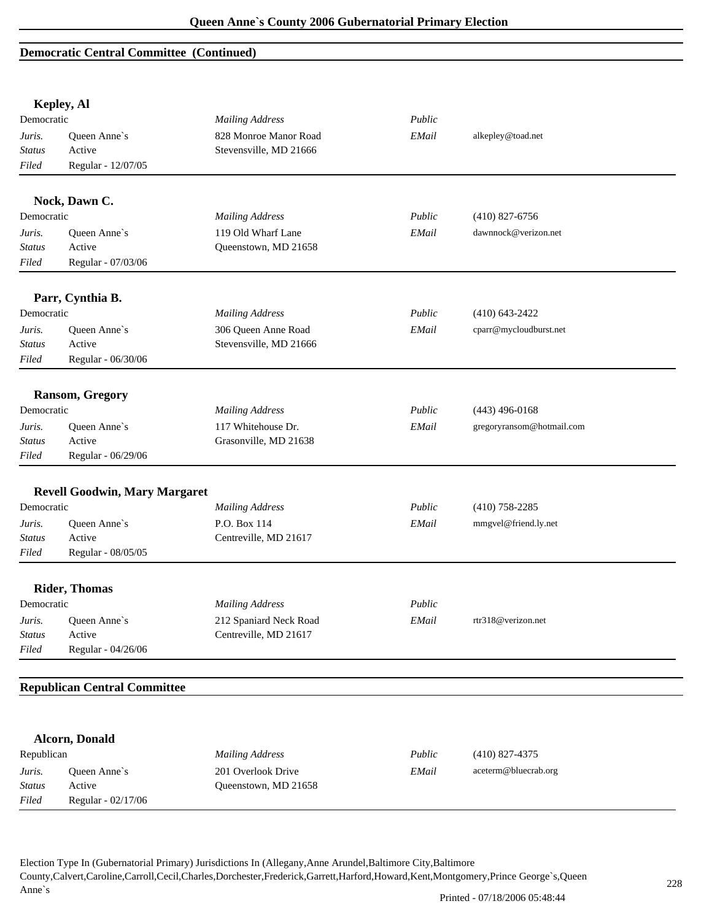### **Democratic Central Committee (Continued)**

**Kepley, Al** 

|                         | Repley, Al                           |                        |        |                           |  |
|-------------------------|--------------------------------------|------------------------|--------|---------------------------|--|
| Democratic              |                                      | <b>Mailing Address</b> | Public |                           |  |
| Juris.                  | Queen Anne's                         | 828 Monroe Manor Road  | EMail  | alkepley@toad.net         |  |
| Status                  | Active                               | Stevensville, MD 21666 |        |                           |  |
| Filed                   | Regular - 12/07/05                   |                        |        |                           |  |
|                         |                                      |                        |        |                           |  |
|                         | Nock, Dawn C.                        |                        |        |                           |  |
| Democratic              |                                      | <b>Mailing Address</b> | Public | $(410)$ 827-6756          |  |
| Juris.                  | Queen Anne's                         | 119 Old Wharf Lane     | EMail  | dawnnock@verizon.net      |  |
| Status                  | Active                               | Queenstown, MD 21658   |        |                           |  |
| Filed                   | Regular - 07/03/06                   |                        |        |                           |  |
|                         | Parr, Cynthia B.                     |                        |        |                           |  |
| Democratic              |                                      | <b>Mailing Address</b> | Public | $(410)$ 643-2422          |  |
| Juris.                  | Queen Anne's                         | 306 Queen Anne Road    | EMail  | cparr@mycloudburst.net    |  |
| <b>Status</b>           | Active                               | Stevensville, MD 21666 |        |                           |  |
| Filed                   | Regular - 06/30/06                   |                        |        |                           |  |
|                         | <b>Ransom, Gregory</b>               |                        |        |                           |  |
| Democratic              |                                      | <b>Mailing Address</b> | Public | $(443)$ 496-0168          |  |
| Juris.                  | Queen Anne's                         | 117 Whitehouse Dr.     | EMail  | gregoryransom@hotmail.com |  |
| Status                  | Active                               | Grasonville, MD 21638  |        |                           |  |
| Filed                   | Regular - 06/29/06                   |                        |        |                           |  |
|                         |                                      |                        |        |                           |  |
|                         | <b>Revell Goodwin, Mary Margaret</b> |                        |        |                           |  |
| Democratic              |                                      | <b>Mailing Address</b> | Public | $(410)$ 758-2285          |  |
| Juris.                  | Queen Anne's                         | P.O. Box 114           | EMail  | mmgvel@friend.ly.net      |  |
| Status                  | Active                               | Centreville, MD 21617  |        |                           |  |
| Filed                   | Regular - 08/05/05                   |                        |        |                           |  |
|                         | <b>Rider, Thomas</b>                 |                        |        |                           |  |
| Democratic              |                                      | <b>Mailing Address</b> | Public |                           |  |
| Juris.                  | Oueen Anne's                         | 212 Spaniard Neck Road | EMail  | rtr318@verizon.net        |  |
| Status                  | Active                               | Centreville, MD 21617  |        |                           |  |
| Filed                   | Regular - 04/26/06                   |                        |        |                           |  |
|                         | <b>Republican Central Committee</b>  |                        |        |                           |  |
|                         |                                      |                        |        |                           |  |
|                         | <b>Alcorn, Donald</b>                |                        |        |                           |  |
| Republican              |                                      | <b>Mailing Address</b> | Public | $(410)$ 827-4375          |  |
|                         |                                      | 201 Overlook Drive     | EMail  | aceterm@bluecrab.org      |  |
| Juris.<br><b>Status</b> | Queen Anne's<br>Active               | Queenstown, MD 21658   |        |                           |  |
| Filed                   | Regular - 02/17/06                   |                        |        |                           |  |
|                         |                                      |                        |        |                           |  |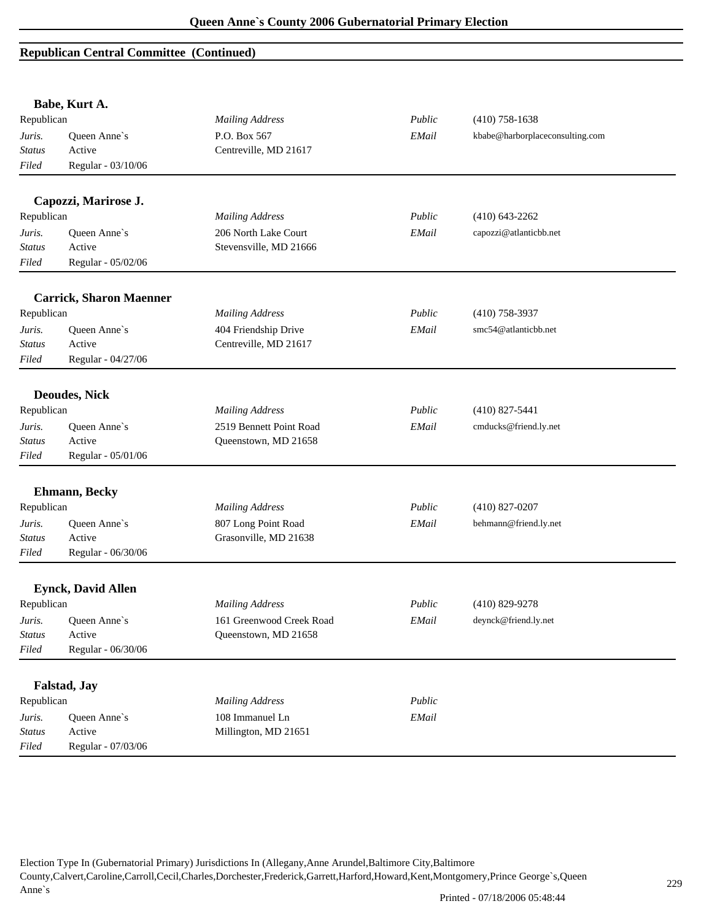|               | Babe, Kurt A.                  |                          |        |                                 |
|---------------|--------------------------------|--------------------------|--------|---------------------------------|
| Republican    |                                | <b>Mailing Address</b>   | Public | $(410)$ 758-1638                |
| Juris.        | Queen Anne's                   | P.O. Box 567             | EMail  | kbabe@harborplaceconsulting.com |
| <b>Status</b> | Active                         | Centreville, MD 21617    |        |                                 |
| Filed         | Regular - 03/10/06             |                          |        |                                 |
|               | Capozzi, Marirose J.           |                          |        |                                 |
| Republican    |                                | <b>Mailing Address</b>   | Public | $(410)$ 643-2262                |
| Juris.        | Queen Anne's                   | 206 North Lake Court     | EMail  | capozzi@atlanticbb.net          |
| <b>Status</b> | Active                         | Stevensville, MD 21666   |        |                                 |
| Filed         | Regular - 05/02/06             |                          |        |                                 |
|               | <b>Carrick, Sharon Maenner</b> |                          |        |                                 |
| Republican    |                                | <b>Mailing Address</b>   | Public | $(410)$ 758-3937                |
| Juris.        | Queen Anne's                   | 404 Friendship Drive     | EMail  | smc54@atlanticbb.net            |
| Status        | Active                         | Centreville, MD 21617    |        |                                 |
| Filed         | Regular - 04/27/06             |                          |        |                                 |
|               | <b>Deoudes, Nick</b>           |                          |        |                                 |
| Republican    |                                | <b>Mailing Address</b>   | Public | $(410)$ 827-5441                |
| Juris.        | Queen Anne's                   | 2519 Bennett Point Road  | EMail  | cmducks@friend.ly.net           |
| <b>Status</b> | Active                         | Queenstown, MD 21658     |        |                                 |
| Filed         | Regular - 05/01/06             |                          |        |                                 |
|               | Ehmann, Becky                  |                          |        |                                 |
| Republican    |                                | <b>Mailing Address</b>   | Public | $(410)$ 827-0207                |
| Juris.        | Queen Anne's                   | 807 Long Point Road      | EMail  | behmann@friend.ly.net           |
| <b>Status</b> | Active                         | Grasonville, MD 21638    |        |                                 |
| Filed         | Regular - 06/30/06             |                          |        |                                 |
|               | <b>Eynck, David Allen</b>      |                          |        |                                 |
| Republican    |                                | <b>Mailing Address</b>   | Public | $(410)$ 829-9278                |
| Juris.        | Queen Anne's                   | 161 Greenwood Creek Road | EMail  | deynck@friend.ly.net            |
| <b>Status</b> | Active                         | Queenstown, MD 21658     |        |                                 |
| Filed         | Regular - 06/30/06             |                          |        |                                 |
|               |                                |                          |        |                                 |
|               | Falstad, Jay                   |                          |        |                                 |
| Republican    |                                | <b>Mailing Address</b>   | Public |                                 |
| Juris.        | Queen Anne's                   | 108 Immanuel Ln          | EMail  |                                 |
| <b>Status</b> | Active                         | Millington, MD 21651     |        |                                 |
| Filed         | Regular - 07/03/06             |                          |        |                                 |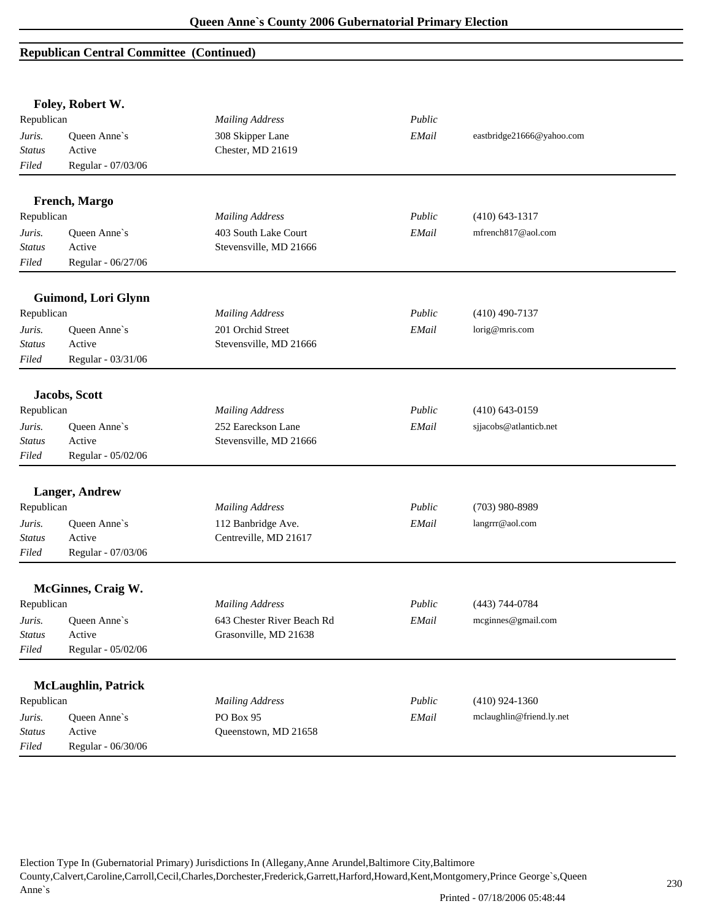|                                  | Foley, Robert W.                             |                                       |        |                           |  |
|----------------------------------|----------------------------------------------|---------------------------------------|--------|---------------------------|--|
| Republican                       |                                              | <b>Mailing Address</b>                | Public |                           |  |
| Juris.<br><b>Status</b><br>Filed | Queen Anne's<br>Active<br>Regular - 07/03/06 | 308 Skipper Lane<br>Chester, MD 21619 | EMail  | eastbridge21666@yahoo.com |  |
|                                  | French, Margo                                |                                       |        |                           |  |
| Republican                       |                                              | <b>Mailing Address</b>                | Public | $(410)$ 643-1317          |  |
| Juris.                           | Queen Anne's                                 | 403 South Lake Court                  | EMail  | mfrench817@aol.com        |  |
| <b>Status</b>                    | Active                                       | Stevensville, MD 21666                |        |                           |  |
| Filed                            | Regular - 06/27/06                           |                                       |        |                           |  |
|                                  | Guimond, Lori Glynn                          |                                       |        |                           |  |
| Republican                       |                                              | <b>Mailing Address</b>                | Public | $(410)$ 490-7137          |  |
| Juris.                           | Queen Anne's                                 | 201 Orchid Street                     | EMail  | lorig@mris.com            |  |
| <b>Status</b>                    | Active                                       | Stevensville, MD 21666                |        |                           |  |
| Filed                            | Regular - 03/31/06                           |                                       |        |                           |  |
|                                  | Jacobs, Scott                                |                                       |        |                           |  |
| Republican                       |                                              | <b>Mailing Address</b>                | Public | $(410)$ 643-0159          |  |
| Juris.                           | Queen Anne's                                 | 252 Eareckson Lane                    | EMail  | sjjacobs@atlanticb.net    |  |
| <b>Status</b>                    | Active                                       | Stevensville, MD 21666                |        |                           |  |
| Filed                            | Regular - 05/02/06                           |                                       |        |                           |  |
|                                  | <b>Langer, Andrew</b>                        |                                       |        |                           |  |
| Republican                       |                                              | <b>Mailing Address</b>                | Public | $(703)$ 980-8989          |  |
| Juris.                           | Queen Anne's                                 | 112 Banbridge Ave.                    | EMail  | langrrr@aol.com           |  |
| <b>Status</b>                    | Active                                       | Centreville, MD 21617                 |        |                           |  |
| Filed                            | Regular - 07/03/06                           |                                       |        |                           |  |
|                                  | <b>McGinnes, Craig W.</b>                    |                                       |        |                           |  |
| Republican                       |                                              | <b>Mailing Address</b>                | Public | (443) 744-0784            |  |
| Juris.                           | Queen Anne's                                 | 643 Chester River Beach Rd            | EMail  | mcginnes@gmail.com        |  |
| Status                           | Active                                       | Grasonville, MD 21638                 |        |                           |  |
| Filed                            | Regular - 05/02/06                           |                                       |        |                           |  |
|                                  | <b>McLaughlin, Patrick</b>                   |                                       |        |                           |  |
| Republican                       |                                              | <b>Mailing Address</b>                | Public | $(410)$ 924-1360          |  |
| Juris.                           | Queen Anne's                                 | PO Box 95                             | EMail  | mclaughlin@friend.ly.net  |  |
| <b>Status</b>                    | Active                                       | Queenstown, MD 21658                  |        |                           |  |
| Filed                            | Regular - 06/30/06                           |                                       |        |                           |  |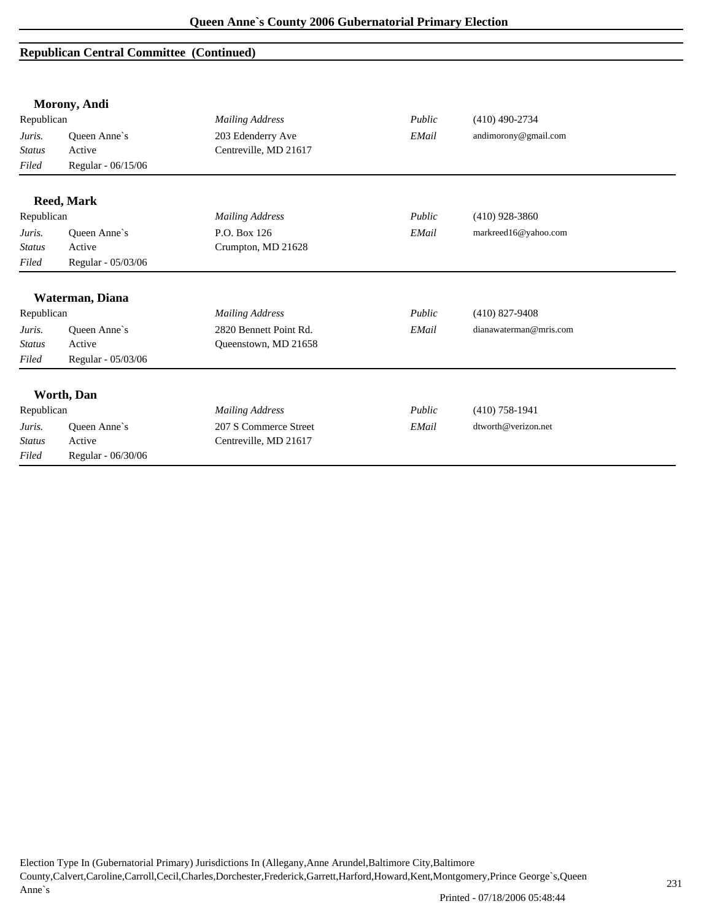|               | Morony, Andi        |                        |        |                        |
|---------------|---------------------|------------------------|--------|------------------------|
| Republican    |                     | <b>Mailing Address</b> | Public | $(410)$ 490-2734       |
| Juris.        | Queen Anne's        | 203 Edenderry Ave      | EMail  | andimorony@gmail.com   |
| <b>Status</b> | Active              | Centreville, MD 21617  |        |                        |
| Filed         | Regular - 06/15/06  |                        |        |                        |
|               | <b>Reed, Mark</b>   |                        |        |                        |
| Republican    |                     | <b>Mailing Address</b> | Public | $(410)$ 928-3860       |
| Juris.        | Queen Anne's        | P.O. Box 126           | EMail  | markreed16@yahoo.com   |
| <b>Status</b> | Active              | Crumpton, MD 21628     |        |                        |
| Filed         | Regular - 05/03/06  |                        |        |                        |
|               | Waterman, Diana     |                        |        |                        |
| Republican    |                     | <b>Mailing Address</b> | Public | $(410)$ 827-9408       |
| Juris.        | Queen Anne's        | 2820 Bennett Point Rd. | EMail  | dianawaterman@mris.com |
| <b>Status</b> | Active              | Queenstown, MD 21658   |        |                        |
| Filed         | Regular - 05/03/06  |                        |        |                        |
|               | Worth, Dan          |                        |        |                        |
| Republican    |                     | <b>Mailing Address</b> | Public | $(410)$ 758-1941       |
| Juris.        | <b>Oueen Anne's</b> | 207 S Commerce Street  | EMail  | dtworth@verizon.net    |
| <b>Status</b> | Active              | Centreville, MD 21617  |        |                        |
| Filed         | Regular - 06/30/06  |                        |        |                        |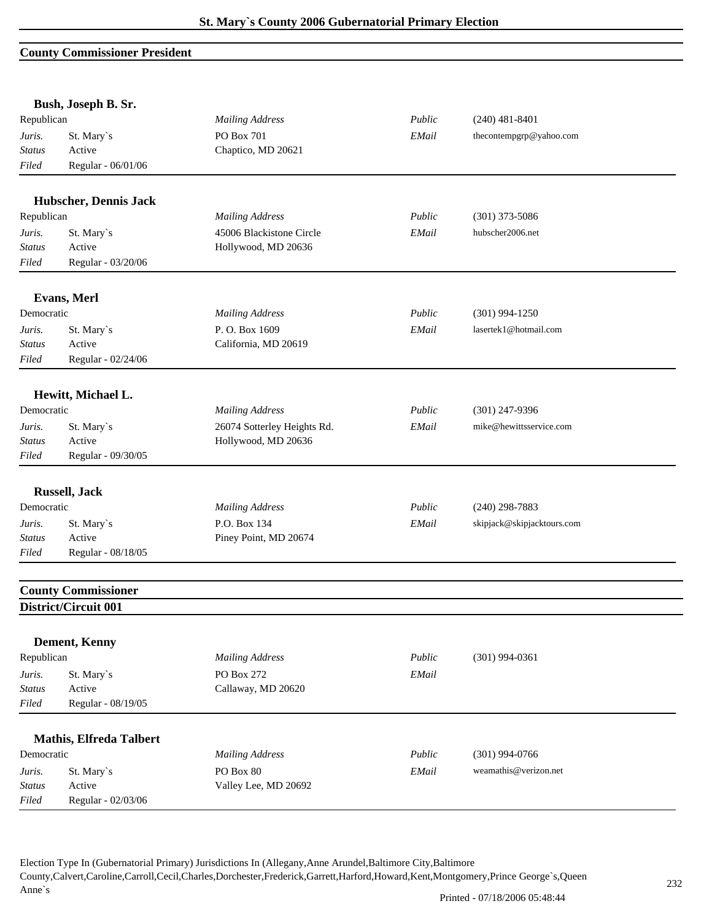#### **County Commissioner President**

|               | Bush, Joseph B. Sr.            |                             |        |                            |  |
|---------------|--------------------------------|-----------------------------|--------|----------------------------|--|
| Republican    |                                | <b>Mailing Address</b>      | Public | $(240)$ 481-8401           |  |
| Juris.        | St. Mary's                     | PO Box 701                  | EMail  | thecontempgrp@yahoo.com    |  |
| <b>Status</b> | Active                         | Chaptico, MD 20621          |        |                            |  |
| Filed         | Regular - 06/01/06             |                             |        |                            |  |
|               | Hubscher, Dennis Jack          |                             |        |                            |  |
| Republican    |                                | <b>Mailing Address</b>      | Public | $(301)$ 373-5086           |  |
| Juris.        | St. Mary's                     | 45006 Blackistone Circle    | EMail  | hubscher2006.net           |  |
| <b>Status</b> | Active                         | Hollywood, MD 20636         |        |                            |  |
| Filed         | Regular - 03/20/06             |                             |        |                            |  |
|               | Evans, Merl                    |                             |        |                            |  |
| Democratic    |                                | <b>Mailing Address</b>      | Public | $(301)$ 994-1250           |  |
| Juris.        | St. Mary's                     | P.O. Box 1609               | EMail  | lasertek1@hotmail.com      |  |
| Status        | Active                         | California, MD 20619        |        |                            |  |
| Filed         | Regular - 02/24/06             |                             |        |                            |  |
|               | Hewitt, Michael L.             |                             |        |                            |  |
| Democratic    |                                | <b>Mailing Address</b>      | Public | $(301)$ 247-9396           |  |
| Juris.        | St. Mary's                     | 26074 Sotterley Heights Rd. | EMail  | mike@hewittsservice.com    |  |
| <b>Status</b> | Active                         | Hollywood, MD 20636         |        |                            |  |
| Filed         | Regular - 09/30/05             |                             |        |                            |  |
|               |                                |                             |        |                            |  |
|               | <b>Russell</b> , Jack          |                             |        |                            |  |
| Democratic    |                                | <b>Mailing Address</b>      | Public | $(240)$ 298-7883           |  |
| Juris.        | St. Mary's                     | P.O. Box 134                | EMail  | skipjack@skipjacktours.com |  |
| <b>Status</b> | Active                         | Piney Point, MD 20674       |        |                            |  |
| Filed         | Regular - 08/18/05             |                             |        |                            |  |
|               | <b>County Commissioner</b>     |                             |        |                            |  |
|               | District/Circuit 001           |                             |        |                            |  |
|               | Dement, Kenny                  |                             |        |                            |  |
| Republican    |                                | <b>Mailing Address</b>      | Public | $(301)$ 994-0361           |  |
| Juris.        | St. Mary's                     | PO Box 272                  | EMail  |                            |  |
| <b>Status</b> | Active                         | Callaway, MD 20620          |        |                            |  |
| Filed         | Regular - 08/19/05             |                             |        |                            |  |
|               |                                |                             |        |                            |  |
|               | <b>Mathis, Elfreda Talbert</b> |                             |        |                            |  |
| Democratic    |                                | <b>Mailing Address</b>      | Public | $(301)$ 994-0766           |  |
| Juris.        | St. Mary's                     | PO Box 80                   | EMail  | weamathis@verizon.net      |  |
| <b>Status</b> | Active                         | Valley Lee, MD 20692        |        |                            |  |
| Filed         | Regular - 02/03/06             |                             |        |                            |  |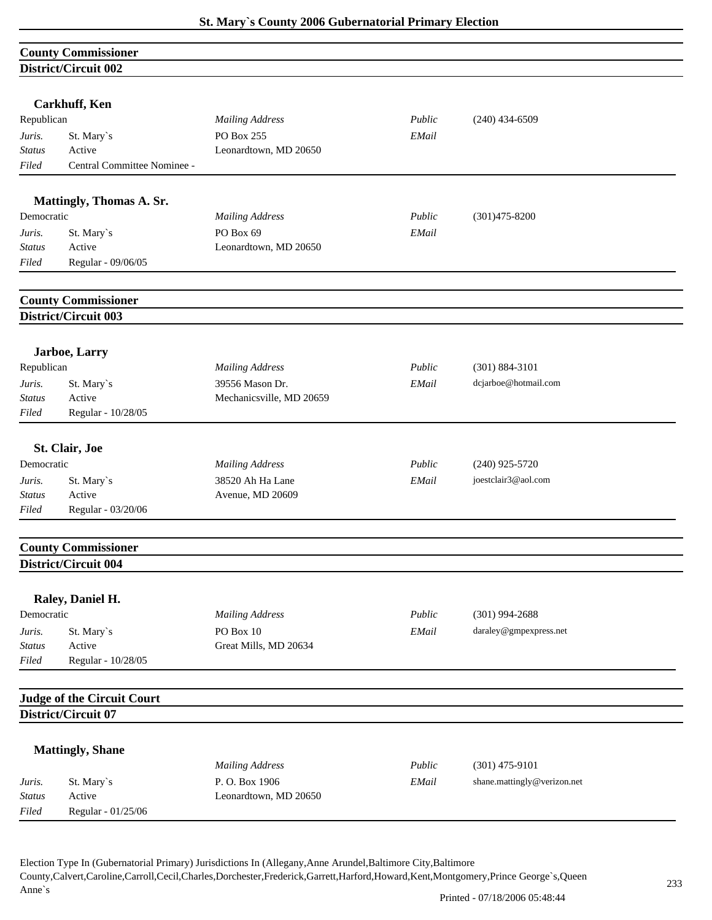|               | <b>County Commissioner</b>                               |                          |        |                             |
|---------------|----------------------------------------------------------|--------------------------|--------|-----------------------------|
|               | District/Circuit 002                                     |                          |        |                             |
|               |                                                          |                          |        |                             |
|               | <b>Carkhuff, Ken</b>                                     |                          |        |                             |
| Republican    |                                                          | <b>Mailing Address</b>   | Public | $(240)$ 434-6509            |
| Juris.        | St. Mary's                                               | PO Box 255               | EMail  |                             |
| <b>Status</b> | Active                                                   | Leonardtown, MD 20650    |        |                             |
| Filed         | Central Committee Nominee -                              |                          |        |                             |
|               |                                                          |                          |        |                             |
|               | Mattingly, Thomas A. Sr.                                 |                          |        |                             |
| Democratic    |                                                          | <b>Mailing Address</b>   | Public | $(301)475 - 8200$           |
| Juris.        | St. Mary's                                               | PO Box 69                | EMail  |                             |
| <b>Status</b> | Active                                                   | Leonardtown, MD 20650    |        |                             |
| Filed         | Regular - 09/06/05                                       |                          |        |                             |
|               | <b>County Commissioner</b>                               |                          |        |                             |
|               | District/Circuit 003                                     |                          |        |                             |
|               |                                                          |                          |        |                             |
|               | Jarboe, Larry                                            |                          |        |                             |
| Republican    |                                                          | <b>Mailing Address</b>   | Public | $(301) 884 - 3101$          |
| Juris.        | St. Mary's                                               | 39556 Mason Dr.          | EMail  | dcjarboe@hotmail.com        |
| <b>Status</b> | Active                                                   | Mechanicsville, MD 20659 |        |                             |
| Filed         | Regular - 10/28/05                                       |                          |        |                             |
|               | St. Clair, Joe                                           |                          |        |                             |
| Democratic    |                                                          | <b>Mailing Address</b>   | Public | $(240)$ 925-5720            |
| Juris.        | St. Mary's                                               | 38520 Ah Ha Lane         | EMail  | joestclair3@aol.com         |
| Status        | Active                                                   | Avenue, MD 20609         |        |                             |
| Filed         | Regular - 03/20/06                                       |                          |        |                             |
|               |                                                          |                          |        |                             |
|               | <b>County Commissioner</b><br>District/Circuit 004       |                          |        |                             |
|               |                                                          |                          |        |                             |
|               | Raley, Daniel H.                                         |                          |        |                             |
| Democratic    |                                                          | <b>Mailing Address</b>   | Public | $(301)$ 994-2688            |
| Juris.        | St. Mary's                                               | PO Box 10                | EMail  | daraley@gmpexpress.net      |
| <b>Status</b> | Active                                                   | Great Mills, MD 20634    |        |                             |
| Filed         | Regular - 10/28/05                                       |                          |        |                             |
|               |                                                          |                          |        |                             |
|               | <b>Judge of the Circuit Court</b><br>District/Circuit 07 |                          |        |                             |
|               |                                                          |                          |        |                             |
|               | <b>Mattingly, Shane</b>                                  |                          |        |                             |
|               |                                                          | <b>Mailing Address</b>   | Public | $(301)$ 475-9101            |
| Juris.        | St. Mary's                                               | P.O. Box 1906            | EMail  | shane.mattingly@verizon.net |
| <b>Status</b> | Active                                                   | Leonardtown, MD 20650    |        |                             |
| Filed         | Regular - 01/25/06                                       |                          |        |                             |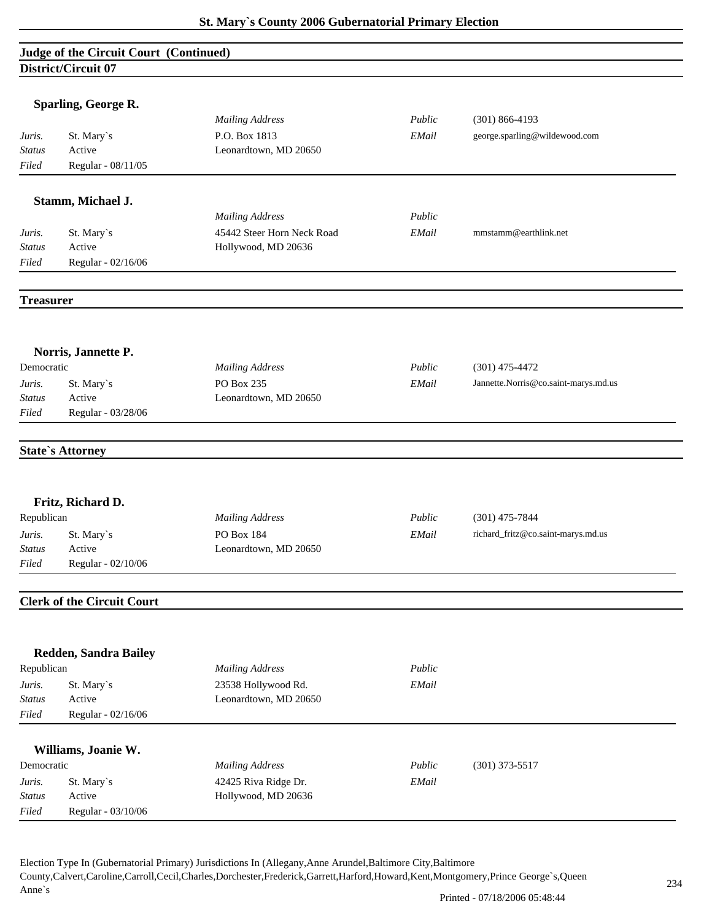# **Judge of the Circuit Court (Continued) District/Circuit 07**

|                         | Sparling, George R.               |                                             |        |                                      |
|-------------------------|-----------------------------------|---------------------------------------------|--------|--------------------------------------|
|                         |                                   | <b>Mailing Address</b>                      | Public | $(301) 866 - 4193$                   |
| Juris.<br><b>Status</b> | St. Mary's<br>Active              | P.O. Box 1813<br>Leonardtown, MD 20650      | EMail  | george.sparling@wildewood.com        |
| Filed                   | Regular - 08/11/05                |                                             |        |                                      |
|                         |                                   |                                             |        |                                      |
|                         | Stamm, Michael J.                 |                                             |        |                                      |
|                         |                                   | <b>Mailing Address</b>                      | Public |                                      |
| Juris.                  | St. Mary's                        | 45442 Steer Horn Neck Road                  | EMail  | mmstamm@earthlink.net                |
| Status                  | Active                            | Hollywood, MD 20636                         |        |                                      |
| Filed                   | Regular - 02/16/06                |                                             |        |                                      |
|                         |                                   |                                             |        |                                      |
| <b>Treasurer</b>        |                                   |                                             |        |                                      |
|                         |                                   |                                             |        |                                      |
| Democratic              | Norris, Jannette P.               | <b>Mailing Address</b>                      | Public | $(301)$ 475-4472                     |
| Juris.                  | St. Mary`s                        | PO Box 235                                  | EMail  | Jannette.Norris@co.saint-marys.md.us |
| <b>Status</b>           | Active                            | Leonardtown, MD 20650                       |        |                                      |
| Filed                   | Regular - 03/28/06                |                                             |        |                                      |
|                         |                                   |                                             |        |                                      |
|                         | <b>State's Attorney</b>           |                                             |        |                                      |
|                         |                                   |                                             |        |                                      |
|                         |                                   |                                             |        |                                      |
|                         | Fritz, Richard D.                 |                                             |        |                                      |
| Republican              |                                   | <b>Mailing Address</b>                      | Public | $(301)$ 475-7844                     |
| Juris.                  | St. Mary's                        | PO Box 184                                  | EMail  | richard_fritz@co.saint-marys.md.us   |
| <b>Status</b>           | Active                            | Leonardtown, MD 20650                       |        |                                      |
| Filed                   | Regular - 02/10/06                |                                             |        |                                      |
|                         | <b>Clerk of the Circuit Court</b> |                                             |        |                                      |
|                         |                                   |                                             |        |                                      |
|                         | <b>Redden, Sandra Bailey</b>      |                                             |        |                                      |
| Republican              |                                   | <b>Mailing Address</b>                      | Public |                                      |
| Juris.                  | St. Mary's                        | 23538 Hollywood Rd.                         | EMail  |                                      |
| <b>Status</b>           | Active                            | Leonardtown, MD 20650                       |        |                                      |
| Filed                   | Regular - 02/16/06                |                                             |        |                                      |
|                         |                                   |                                             |        |                                      |
|                         | Williams, Joanie W.               |                                             | Public |                                      |
| Democratic              |                                   | <b>Mailing Address</b>                      |        | $(301)$ 373-5517                     |
| Juris.<br><b>Status</b> | St. Mary`s<br>Active              | 42425 Riva Ridge Dr.<br>Hollywood, MD 20636 | EMail  |                                      |
| Filed                   | Regular - 03/10/06                |                                             |        |                                      |
|                         |                                   |                                             |        |                                      |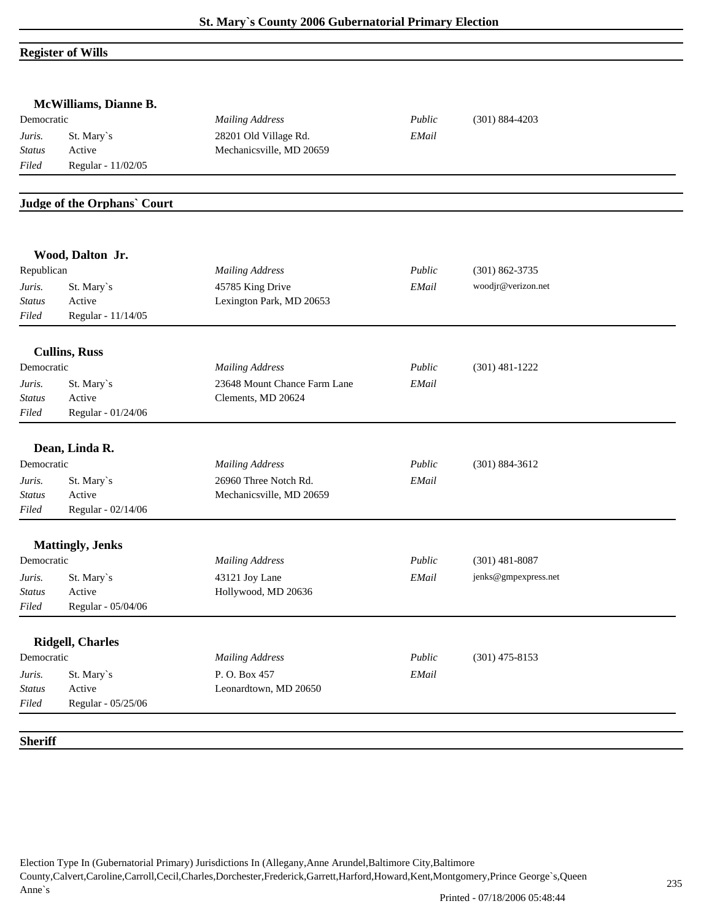# **Register of Wills**

| McWilliams, Dianne B. |                             |                              |        |                      |
|-----------------------|-----------------------------|------------------------------|--------|----------------------|
| Democratic            |                             | <b>Mailing Address</b>       | Public | $(301) 884 - 4203$   |
| Juris.                | St. Mary's                  | 28201 Old Village Rd.        | EMail  |                      |
| <b>Status</b>         | Active                      | Mechanicsville, MD 20659     |        |                      |
| Filed                 | Regular - 11/02/05          |                              |        |                      |
|                       |                             |                              |        |                      |
|                       | Judge of the Orphans' Court |                              |        |                      |
|                       | Wood, Dalton Jr.            |                              |        |                      |
| Republican            |                             | <b>Mailing Address</b>       | Public | $(301) 862 - 3735$   |
| Juris.                | St. Mary's                  | 45785 King Drive             | EMail  | woodjr@verizon.net   |
| <b>Status</b>         | Active                      | Lexington Park, MD 20653     |        |                      |
| Filed                 | Regular - 11/14/05          |                              |        |                      |
|                       | <b>Cullins, Russ</b>        |                              |        |                      |
| Democratic            |                             | <b>Mailing Address</b>       | Public | $(301)$ 481-1222     |
| Juris.                | St. Mary's                  | 23648 Mount Chance Farm Lane | EMail  |                      |
| <b>Status</b>         | Active                      | Clements, MD 20624           |        |                      |
| Filed                 | Regular - 01/24/06          |                              |        |                      |
|                       | Dean, Linda R.              |                              |        |                      |
| Democratic            |                             | <b>Mailing Address</b>       | Public | $(301) 884 - 3612$   |
| Juris.                | St. Mary's                  | 26960 Three Notch Rd.        | EMail  |                      |
| <b>Status</b>         | Active                      | Mechanicsville, MD 20659     |        |                      |
| Filed                 | Regular - 02/14/06          |                              |        |                      |
|                       | <b>Mattingly</b> , Jenks    |                              |        |                      |
| Democratic            |                             | <b>Mailing Address</b>       | Public | $(301)$ 481-8087     |
| Juris.                | St. Mary`s                  | 43121 Joy Lane               | EMail  | jenks@gmpexpress.net |
| <b>Status</b>         | Active                      | Hollywood, MD 20636          |        |                      |
| Filed                 | Regular - 05/04/06          |                              |        |                      |
|                       |                             |                              |        |                      |
|                       | <b>Ridgell, Charles</b>     |                              |        |                      |
| Democratic            |                             | <b>Mailing Address</b>       | Public | $(301)$ 475-8153     |
| Juris.                | St. Mary's                  | P.O. Box 457                 | EMail  |                      |
| <b>Status</b>         | Active                      | Leonardtown, MD 20650        |        |                      |
| Filed                 | Regular - 05/25/06          |                              |        |                      |
|                       |                             |                              |        |                      |
| <b>Sheriff</b>        |                             |                              |        |                      |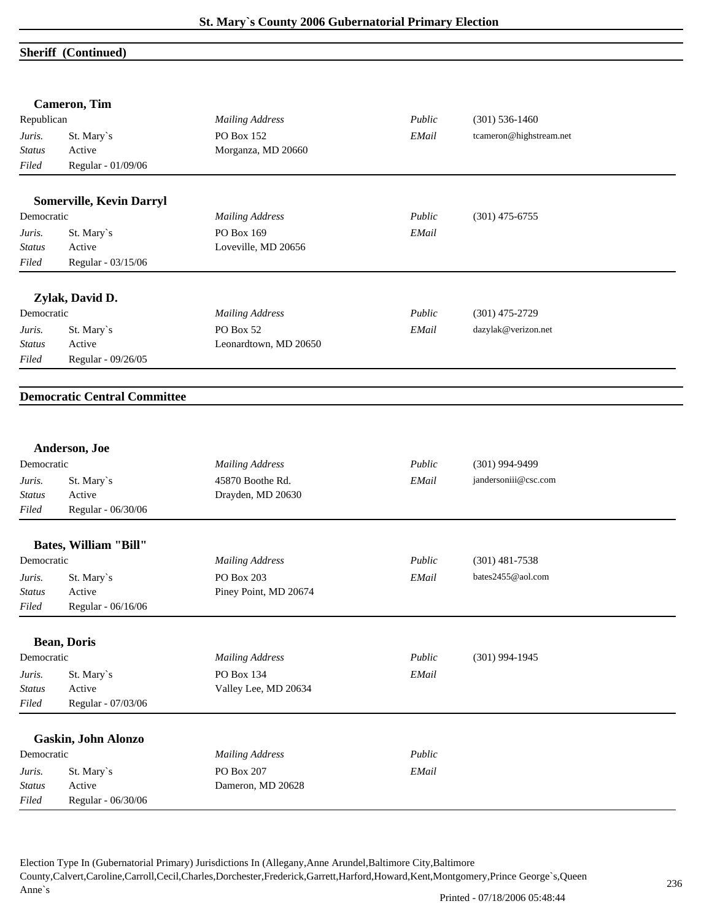### **Sheriff (Continued)**

|               | <b>Cameron</b> , Tim                |                        |        |                         |
|---------------|-------------------------------------|------------------------|--------|-------------------------|
| Republican    |                                     | <b>Mailing Address</b> | Public | $(301)$ 536-1460        |
| Juris.        | St. Mary's                          | PO Box 152             | EMail  | tcameron@highstream.net |
| <b>Status</b> | Active                              | Morganza, MD 20660     |        |                         |
| Filed         | Regular - 01/09/06                  |                        |        |                         |
|               | <b>Somerville, Kevin Darryl</b>     |                        |        |                         |
| Democratic    |                                     | <b>Mailing Address</b> | Public | $(301)$ 475-6755        |
| Juris.        | St. Mary's                          | PO Box 169             | EMail  |                         |
| <b>Status</b> | Active                              | Loveville, MD 20656    |        |                         |
| Filed         | Regular - 03/15/06                  |                        |        |                         |
|               | Zylak, David D.                     |                        |        |                         |
| Democratic    |                                     | <b>Mailing Address</b> | Public | $(301)$ 475-2729        |
| Juris.        | St. Mary's                          | PO Box 52              | EMail  | dazylak@verizon.net     |
| <b>Status</b> | Active                              | Leonardtown, MD 20650  |        |                         |
| Filed         | Regular - 09/26/05                  |                        |        |                         |
|               | <b>Democratic Central Committee</b> |                        |        |                         |
|               | Anderson, Joe                       |                        |        |                         |
| Democratic    |                                     | <b>Mailing Address</b> | Public | $(301)$ 994-9499        |
| Juris.        | St. Mary's                          | 45870 Boothe Rd.       | EMail  | jandersoniii@csc.com    |
| <b>Status</b> | Active                              | Drayden, MD 20630      |        |                         |
| Filed         | Regular - 06/30/06                  |                        |        |                         |
|               | <b>Bates, William "Bill"</b>        |                        |        |                         |
| Democratic    |                                     | <b>Mailing Address</b> | Public | $(301)$ 481-7538        |
| Juris.        | St. Mary's                          | PO Box 203             | EMail  | bates2455@aol.com       |
| <b>Status</b> | Active                              | Piney Point, MD 20674  |        |                         |
| $Filed$       | Regular - 06/16/06                  |                        |        |                         |
|               | <b>Bean, Doris</b>                  |                        |        |                         |
| Democratic    |                                     | <b>Mailing Address</b> | Public | $(301)$ 994-1945        |
| Juris.        | St. Mary's                          | PO Box 134             | EMail  |                         |
| <b>Status</b> | Active                              | Valley Lee, MD 20634   |        |                         |
| Filed         | Regular - 07/03/06                  |                        |        |                         |
|               | Gaskin, John Alonzo                 |                        |        |                         |
| Democratic    |                                     | <b>Mailing Address</b> | Public |                         |
| Juris.        | St. Mary's                          | PO Box 207             | EMail  |                         |
| <b>Status</b> | Active                              | Dameron, MD 20628      |        |                         |
| Filed         | Regular - 06/30/06                  |                        |        |                         |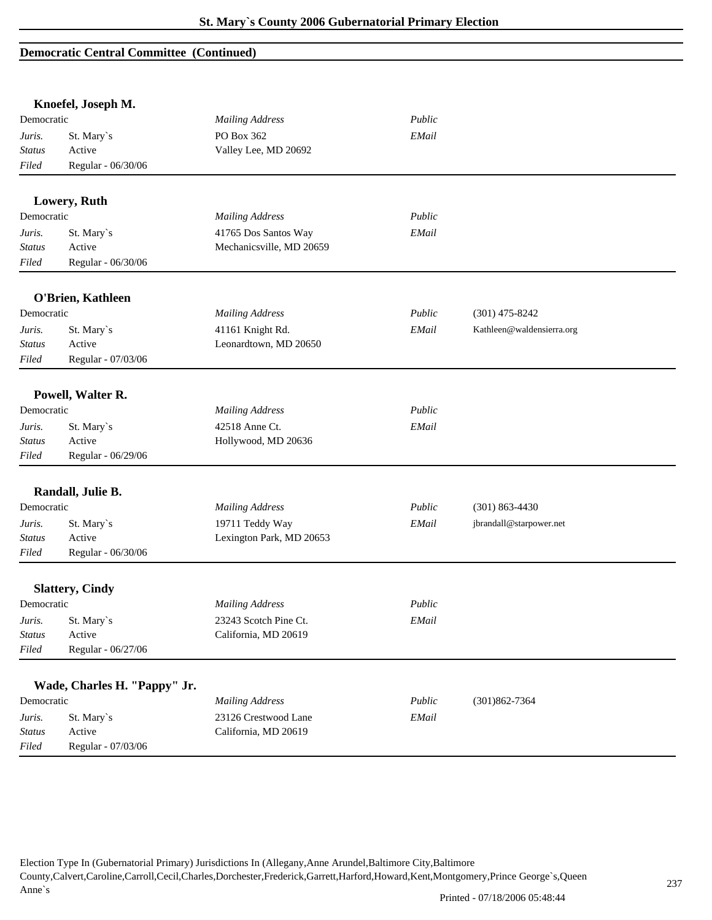#### **Democratic Central Committee (Continued)**

|               | Knoefel, Joseph M.           |                          |        |                           |
|---------------|------------------------------|--------------------------|--------|---------------------------|
| Democratic    |                              | <b>Mailing Address</b>   | Public |                           |
| Juris.        | St. Mary's                   | PO Box 362               | EMail  |                           |
| <b>Status</b> | Active                       | Valley Lee, MD 20692     |        |                           |
| Filed         | Regular - 06/30/06           |                          |        |                           |
|               |                              |                          |        |                           |
|               | Lowery, Ruth                 |                          |        |                           |
| Democratic    |                              | <b>Mailing Address</b>   | Public |                           |
| Juris.        | St. Mary's                   | 41765 Dos Santos Way     | EMail  |                           |
| <b>Status</b> | Active                       | Mechanicsville, MD 20659 |        |                           |
| Filed         | Regular - 06/30/06           |                          |        |                           |
|               | O'Brien, Kathleen            |                          |        |                           |
| Democratic    |                              | <b>Mailing Address</b>   | Public | $(301)$ 475-8242          |
| Juris.        | St. Mary's                   | 41161 Knight Rd.         | EMail  | Kathleen@waldensierra.org |
| <b>Status</b> | Active                       | Leonardtown, MD 20650    |        |                           |
| Filed         | Regular - 07/03/06           |                          |        |                           |
|               |                              |                          |        |                           |
|               | Powell, Walter R.            |                          |        |                           |
| Democratic    |                              | <b>Mailing Address</b>   | Public |                           |
| Juris.        | St. Mary's                   | 42518 Anne Ct.           | EMail  |                           |
| <b>Status</b> | Active                       | Hollywood, MD 20636      |        |                           |
| Filed         | Regular - 06/29/06           |                          |        |                           |
|               | Randall, Julie B.            |                          |        |                           |
| Democratic    |                              | <b>Mailing Address</b>   | Public | $(301) 863 - 4430$        |
| Juris.        | St. Mary's                   | 19711 Teddy Way          | EMail  | jbrandall@starpower.net   |
| <b>Status</b> | Active                       | Lexington Park, MD 20653 |        |                           |
| Filed         | Regular - 06/30/06           |                          |        |                           |
|               |                              |                          |        |                           |
|               | <b>Slattery, Cindy</b>       |                          |        |                           |
| Democratic    |                              | <b>Mailing Address</b>   | Public |                           |
| Juris.        | St. Mary's                   | 23243 Scotch Pine Ct.    | EMail  |                           |
| Status        | Active                       | California, MD 20619     |        |                           |
| Filed         | Regular - 06/27/06           |                          |        |                           |
|               | Wade, Charles H. "Pappy" Jr. |                          |        |                           |
| Democratic    |                              | <b>Mailing Address</b>   | Public | $(301)862 - 7364$         |
| Juris.        | St. Mary's                   | 23126 Crestwood Lane     | EMail  |                           |
| <b>Status</b> | Active                       | California, MD 20619     |        |                           |
| Filed         | Regular - 07/03/06           |                          |        |                           |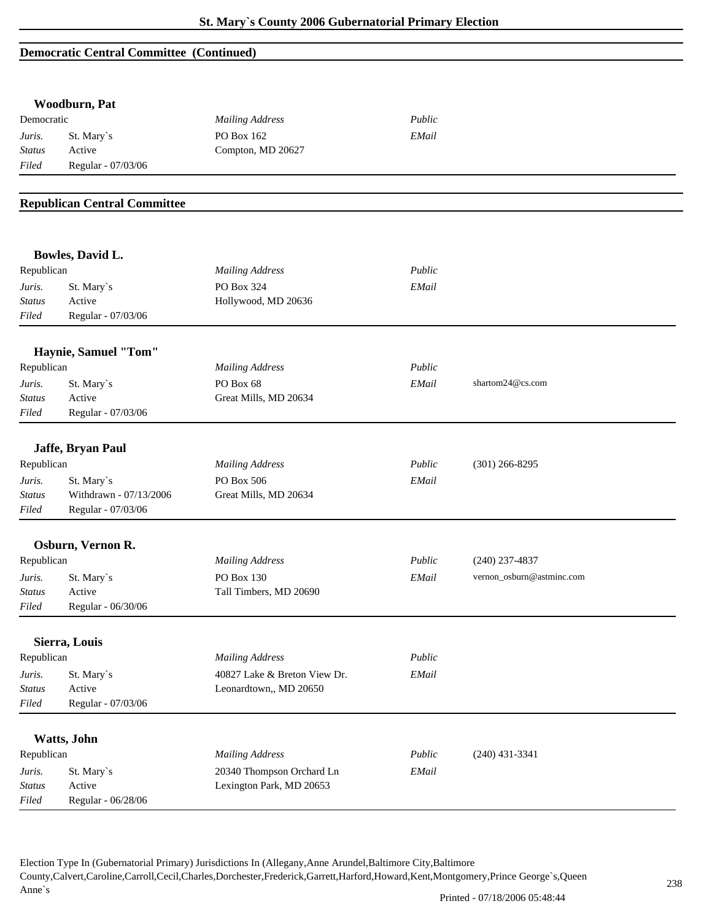#### **Democratic Central Committee (Continued)**

|                         | Woodburn, Pat                       |                              |        |                           |  |
|-------------------------|-------------------------------------|------------------------------|--------|---------------------------|--|
| Democratic              |                                     | <b>Mailing Address</b>       | Public |                           |  |
| Juris.                  | St. Mary's                          | PO Box 162                   | EMail  |                           |  |
| <b>Status</b>           | Active                              | Compton, MD 20627            |        |                           |  |
| Filed                   | Regular - 07/03/06                  |                              |        |                           |  |
|                         |                                     |                              |        |                           |  |
|                         | <b>Republican Central Committee</b> |                              |        |                           |  |
|                         |                                     |                              |        |                           |  |
|                         | Bowles, David L.                    |                              |        |                           |  |
| Republican              |                                     | <b>Mailing Address</b>       | Public |                           |  |
| Juris.                  | St. Mary's                          | PO Box 324                   | EMail  |                           |  |
| <b>Status</b>           | Active                              | Hollywood, MD 20636          |        |                           |  |
| Filed                   | Regular - 07/03/06                  |                              |        |                           |  |
|                         | Haynie, Samuel "Tom"                |                              |        |                           |  |
| Republican              |                                     | <b>Mailing Address</b>       | Public |                           |  |
| Juris.                  | St. Mary's                          | PO Box 68                    | EMail  | shartom24@cs.com          |  |
| <b>Status</b>           | Active                              | Great Mills, MD 20634        |        |                           |  |
| Filed                   | Regular - 07/03/06                  |                              |        |                           |  |
|                         |                                     |                              |        |                           |  |
|                         | Jaffe, Bryan Paul                   |                              |        |                           |  |
| Republican              |                                     | <b>Mailing Address</b>       | Public | $(301)$ 266-8295          |  |
| Juris.                  | St. Mary's                          | PO Box 506                   | EMail  |                           |  |
| <b>Status</b>           | Withdrawn - 07/13/2006              | Great Mills, MD 20634        |        |                           |  |
| Filed                   | Regular - 07/03/06                  |                              |        |                           |  |
|                         | Osburn, Vernon R.                   |                              |        |                           |  |
| Republican              |                                     | <b>Mailing Address</b>       | Public | $(240)$ 237-4837          |  |
|                         |                                     | PO Box 130                   |        | vernon_osburn@astminc.com |  |
| Juris.<br><b>Status</b> | St. Mary's<br>Active                | Tall Timbers, MD 20690       | EMail  |                           |  |
| Filed                   | Regular - 06/30/06                  |                              |        |                           |  |
|                         |                                     |                              |        |                           |  |
|                         | Sierra, Louis                       |                              |        |                           |  |
| Republican              |                                     | <b>Mailing Address</b>       | Public |                           |  |
| Juris.                  | St. Mary's                          | 40827 Lake & Breton View Dr. | EMail  |                           |  |
| <b>Status</b>           | Active                              | Leonardtown,, MD 20650       |        |                           |  |
| Filed                   | Regular - 07/03/06                  |                              |        |                           |  |
|                         | Watts, John                         |                              |        |                           |  |
| Republican              |                                     | <b>Mailing Address</b>       | Public | $(240)$ 431-3341          |  |
| Juris.                  | St. Mary's                          | 20340 Thompson Orchard Ln    | EMail  |                           |  |
| <b>Status</b>           | Active                              | Lexington Park, MD 20653     |        |                           |  |
| Filed                   | Regular - 06/28/06                  |                              |        |                           |  |
|                         |                                     |                              |        |                           |  |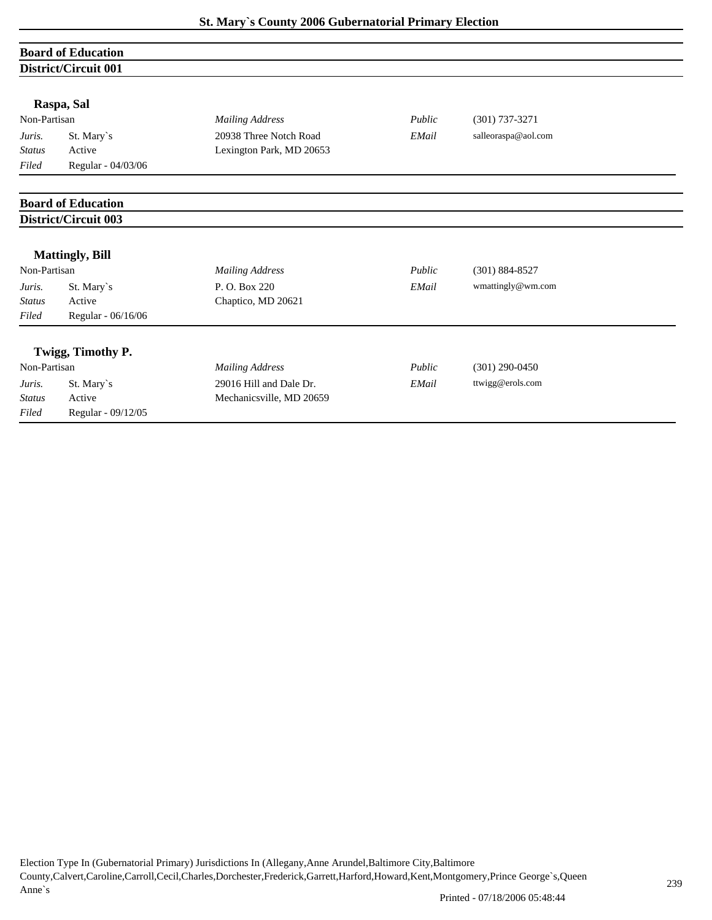|               | <b>Board of Education</b> |                          |        |                     |  |  |  |  |
|---------------|---------------------------|--------------------------|--------|---------------------|--|--|--|--|
|               | District/Circuit 001      |                          |        |                     |  |  |  |  |
|               | Raspa, Sal                |                          |        |                     |  |  |  |  |
| Non-Partisan  |                           | <b>Mailing Address</b>   | Public | $(301)$ 737-3271    |  |  |  |  |
| Juris.        | St. Mary's                | 20938 Three Notch Road   | EMail  | salleoraspa@aol.com |  |  |  |  |
| <b>Status</b> | Active                    | Lexington Park, MD 20653 |        |                     |  |  |  |  |
| Filed         | Regular - 04/03/06        |                          |        |                     |  |  |  |  |
|               | <b>Board of Education</b> |                          |        |                     |  |  |  |  |
|               | District/Circuit 003      |                          |        |                     |  |  |  |  |
|               | <b>Mattingly, Bill</b>    |                          |        |                     |  |  |  |  |
| Non-Partisan  |                           | <b>Mailing Address</b>   | Public | $(301) 884 - 8527$  |  |  |  |  |
| Juris.        | St. Mary's                | P.O. Box 220             | EMail  | wmattingly@wm.com   |  |  |  |  |
| <b>Status</b> | Active                    | Chaptico, MD 20621       |        |                     |  |  |  |  |
| Filed         | Regular - 06/16/06        |                          |        |                     |  |  |  |  |
|               | Twigg, Timothy P.         |                          |        |                     |  |  |  |  |
| Non-Partisan  |                           | <b>Mailing Address</b>   | Public | $(301)$ 290-0450    |  |  |  |  |
| Juris.        | St. Mary's                | 29016 Hill and Dale Dr.  | EMail  | ttwigg@erols.com    |  |  |  |  |
| <b>Status</b> | Active                    | Mechanicsville, MD 20659 |        |                     |  |  |  |  |

*Filed* Regular - 09/12/05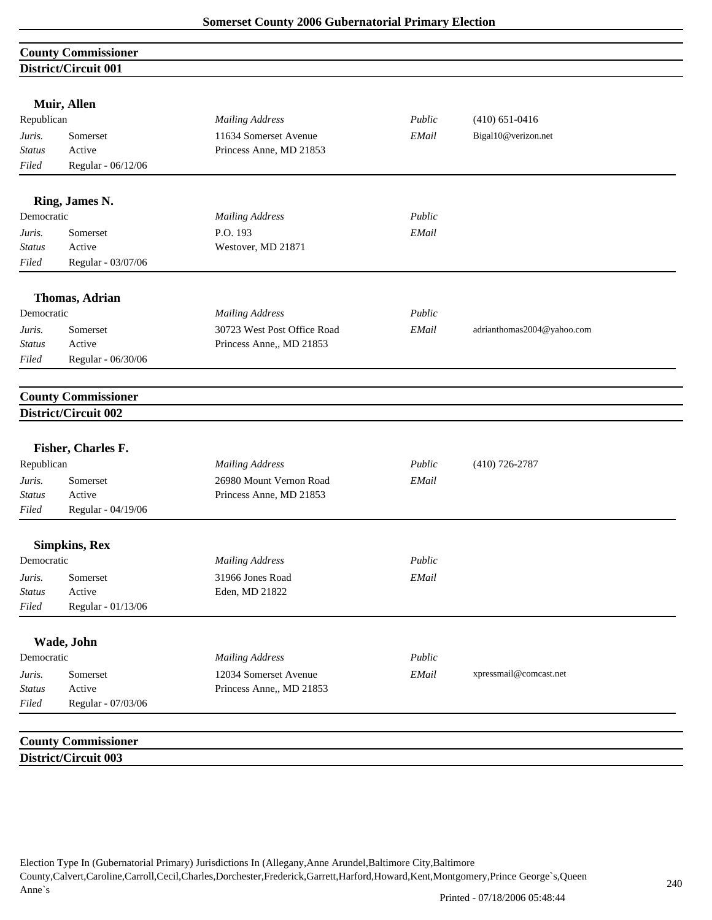|                         | <b>County Commissioner</b> |                             |        |                            |
|-------------------------|----------------------------|-----------------------------|--------|----------------------------|
|                         | District/Circuit 001       |                             |        |                            |
|                         |                            |                             |        |                            |
|                         | Muir, Allen                |                             |        |                            |
| Republican              |                            | <b>Mailing Address</b>      | Public | $(410) 651 - 0416$         |
| Juris.                  | Somerset                   | 11634 Somerset Avenue       | EMail  | Bigal10@verizon.net        |
| <b>Status</b>           | Active                     | Princess Anne, MD 21853     |        |                            |
| Filed                   | Regular - 06/12/06         |                             |        |                            |
|                         | Ring, James N.             |                             |        |                            |
| Democratic              |                            | <b>Mailing Address</b>      | Public |                            |
| Juris.                  | Somerset                   | P.O. 193                    | EMail  |                            |
| <b>Status</b>           | Active                     | Westover, MD 21871          |        |                            |
| Filed                   | Regular - 03/07/06         |                             |        |                            |
|                         |                            |                             |        |                            |
|                         | <b>Thomas, Adrian</b>      |                             |        |                            |
| Democratic              |                            | <b>Mailing Address</b>      | Public |                            |
| Juris.                  | Somerset                   | 30723 West Post Office Road | EMail  | adrianthomas2004@yahoo.com |
| <b>Status</b><br>Filed  | Active                     | Princess Anne,, MD 21853    |        |                            |
|                         | Regular - 06/30/06         |                             |        |                            |
|                         | <b>County Commissioner</b> |                             |        |                            |
|                         | District/Circuit 002       |                             |        |                            |
|                         |                            |                             |        |                            |
| Republican              | Fisher, Charles F.         | <b>Mailing Address</b>      | Public | $(410)$ 726-2787           |
|                         | Somerset                   | 26980 Mount Vernon Road     | EMail  |                            |
| Juris.<br><b>Status</b> | Active                     | Princess Anne, MD 21853     |        |                            |
| Filed                   | Regular - 04/19/06         |                             |        |                            |
|                         |                            |                             |        |                            |
|                         | <b>Simpkins, Rex</b>       |                             |        |                            |
| Democratic              |                            | <b>Mailing Address</b>      | Public |                            |
| Juris.                  | Somerset                   | 31966 Jones Road            | EMail  |                            |
| <b>Status</b>           | Active                     | Eden, MD 21822              |        |                            |
| Filed                   | Regular - 01/13/06         |                             |        |                            |
|                         | Wade, John                 |                             |        |                            |
| Democratic              |                            | <b>Mailing Address</b>      | Public |                            |
| Juris.                  | Somerset                   | 12034 Somerset Avenue       | EMail  | xpressmail@comcast.net     |
| <b>Status</b>           | Active                     | Princess Anne,, MD 21853    |        |                            |
| Filed                   | Regular - 07/03/06         |                             |        |                            |
|                         |                            |                             |        |                            |
|                         | <b>County Commissioner</b> |                             |        |                            |
|                         | District/Circuit 003       |                             |        |                            |
|                         |                            |                             |        |                            |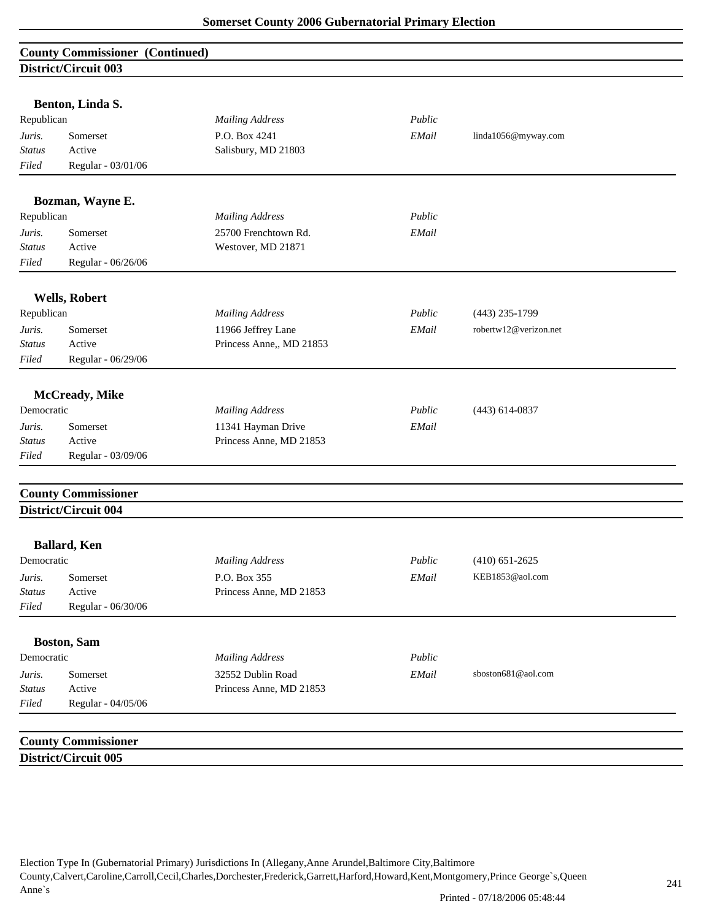### **County Commissioner (Continued) District/Circuit 003**

| Republican              | Benton, Linda S.            | <b>Mailing Address</b>                        | Public |                       |
|-------------------------|-----------------------------|-----------------------------------------------|--------|-----------------------|
|                         |                             |                                               |        |                       |
| Juris.<br><b>Status</b> | Somerset<br>Active          | P.O. Box 4241<br>Salisbury, MD 21803          | EMail  | linda1056@myway.com   |
| $Filed$                 | Regular - 03/01/06          |                                               |        |                       |
|                         |                             |                                               |        |                       |
|                         | Bozman, Wayne E.            |                                               |        |                       |
| Republican              |                             | <b>Mailing Address</b>                        | Public |                       |
| Juris.                  | Somerset                    | 25700 Frenchtown Rd.                          | EMail  |                       |
| <b>Status</b>           | Active                      | Westover, MD 21871                            |        |                       |
| Filed                   | Regular - 06/26/06          |                                               |        |                       |
|                         | <b>Wells, Robert</b>        |                                               |        |                       |
| Republican              |                             | <b>Mailing Address</b>                        | Public | $(443)$ 235-1799      |
| Juris.                  | Somerset                    | 11966 Jeffrey Lane                            | EMail  | robertw12@verizon.net |
| <b>Status</b>           | Active                      | Princess Anne,, MD 21853                      |        |                       |
| Filed                   | Regular - 06/29/06          |                                               |        |                       |
|                         | McCready, Mike              |                                               |        |                       |
| Democratic              |                             | <b>Mailing Address</b>                        | Public | $(443)$ 614-0837      |
|                         |                             |                                               | EMail  |                       |
| Juris.<br><b>Status</b> | Somerset<br>Active          | 11341 Hayman Drive<br>Princess Anne, MD 21853 |        |                       |
| Filed                   | Regular - 03/09/06          |                                               |        |                       |
|                         |                             |                                               |        |                       |
|                         | <b>County Commissioner</b>  |                                               |        |                       |
|                         | <b>District/Circuit 004</b> |                                               |        |                       |
|                         | <b>Ballard</b> , Ken        |                                               |        |                       |
| Democratic              |                             | <b>Mailing Address</b>                        | Public | $(410) 651 - 2625$    |
| Juris.                  | Somerset                    | P.O. Box 355                                  | EMail  | KEB1853@aol.com       |
| <b>Status</b>           | Active                      | Princess Anne, MD 21853                       |        |                       |
| Filed                   | Regular - 06/30/06          |                                               |        |                       |
|                         | <b>Boston, Sam</b>          |                                               |        |                       |
| Democratic              |                             | <b>Mailing Address</b>                        | Public |                       |
|                         | Somerset                    | 32552 Dublin Road                             | EMail  | sboston681@aol.com    |
|                         |                             |                                               |        |                       |
| Juris.<br><i>Status</i> | Active                      | Princess Anne, MD 21853                       |        |                       |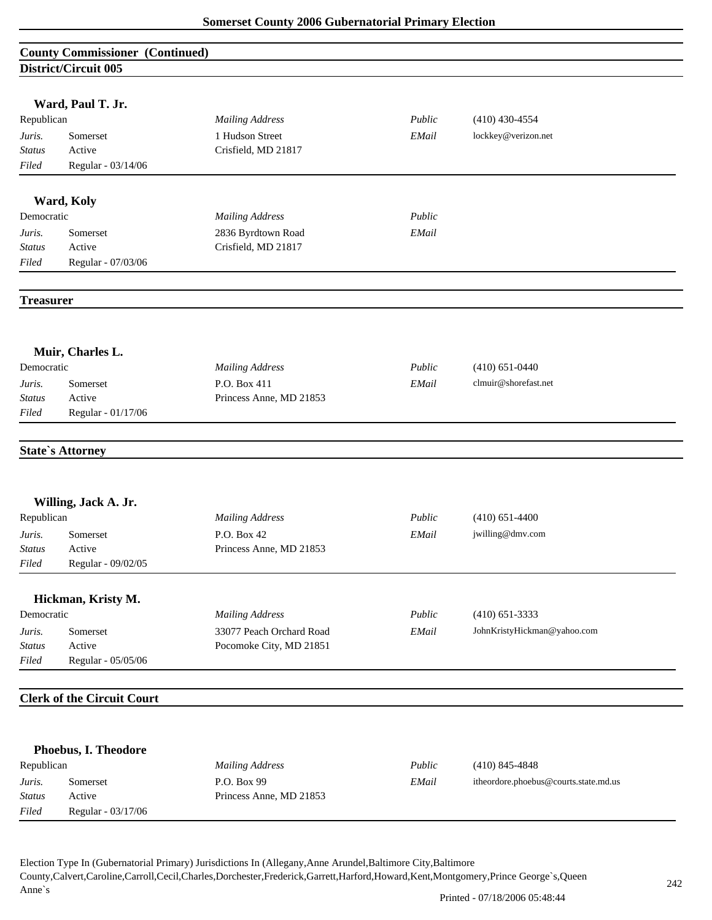|                  | <b>County Commissioner (Continued)</b> |                          |        |                             |  |  |  |
|------------------|----------------------------------------|--------------------------|--------|-----------------------------|--|--|--|
|                  | District/Circuit 005                   |                          |        |                             |  |  |  |
|                  |                                        |                          |        |                             |  |  |  |
|                  | Ward, Paul T. Jr.                      |                          |        |                             |  |  |  |
| Republican       |                                        | <b>Mailing Address</b>   | Public | $(410)$ 430-4554            |  |  |  |
| Juris.           | Somerset                               | 1 Hudson Street          | EMail  | lockkey@verizon.net         |  |  |  |
| <b>Status</b>    | Active                                 | Crisfield, MD 21817      |        |                             |  |  |  |
| Filed            | Regular - 03/14/06                     |                          |        |                             |  |  |  |
|                  |                                        |                          |        |                             |  |  |  |
|                  | Ward, Koly                             |                          |        |                             |  |  |  |
| Democratic       |                                        | <b>Mailing Address</b>   | Public |                             |  |  |  |
| Juris.           | Somerset                               | 2836 Byrdtown Road       | EMail  |                             |  |  |  |
| <b>Status</b>    | Active                                 | Crisfield, MD 21817      |        |                             |  |  |  |
| Filed            | Regular - 07/03/06                     |                          |        |                             |  |  |  |
|                  |                                        |                          |        |                             |  |  |  |
| <b>Treasurer</b> |                                        |                          |        |                             |  |  |  |
|                  |                                        |                          |        |                             |  |  |  |
|                  | Muir, Charles L.                       |                          |        |                             |  |  |  |
| Democratic       |                                        | <b>Mailing Address</b>   | Public | $(410) 651 - 0440$          |  |  |  |
| Juris.           | Somerset                               | P.O. Box 411             | EMail  | clmuir@shorefast.net        |  |  |  |
| <b>Status</b>    | Active                                 | Princess Anne, MD 21853  |        |                             |  |  |  |
| Filed            | Regular - 01/17/06                     |                          |        |                             |  |  |  |
|                  |                                        |                          |        |                             |  |  |  |
|                  | <b>State's Attorney</b>                |                          |        |                             |  |  |  |
|                  |                                        |                          |        |                             |  |  |  |
|                  |                                        |                          |        |                             |  |  |  |
|                  | Willing, Jack A. Jr.                   |                          |        |                             |  |  |  |
| Republican       |                                        | <b>Mailing Address</b>   | Public | $(410)$ 651-4400            |  |  |  |
| Juris.           | Somerset                               | P.O. Box 42              | EMail  | jwilling@dmv.com            |  |  |  |
| <b>Status</b>    | Active                                 | Princess Anne, MD 21853  |        |                             |  |  |  |
| Filed            | Regular - 09/02/05                     |                          |        |                             |  |  |  |
|                  | Hickman, Kristy M.                     |                          |        |                             |  |  |  |
| Democratic       |                                        | <b>Mailing Address</b>   | Public | $(410)$ 651-3333            |  |  |  |
| Juris.           | Somerset                               | 33077 Peach Orchard Road | EMail  | JohnKristyHickman@yahoo.com |  |  |  |
| <b>Status</b>    | Active                                 | Pocomoke City, MD 21851  |        |                             |  |  |  |
| Filed            | Regular - 05/05/06                     |                          |        |                             |  |  |  |
|                  |                                        |                          |        |                             |  |  |  |
|                  | <b>Clerk of the Circuit Court</b>      |                          |        |                             |  |  |  |
|                  |                                        |                          |        |                             |  |  |  |
|                  |                                        |                          |        |                             |  |  |  |
| Republican       | Phoebus, I. Theodore                   | <b>Mailing Address</b>   | Public | $(410)$ 845-4848            |  |  |  |
|                  |                                        |                          |        |                             |  |  |  |

*Juris.* Somerset P.O. Box 99 *EMail* itheordore.phoebus@courts.state.md.us *Status* Active Princess Anne, MD 21853

*Filed* Regular - 03/17/06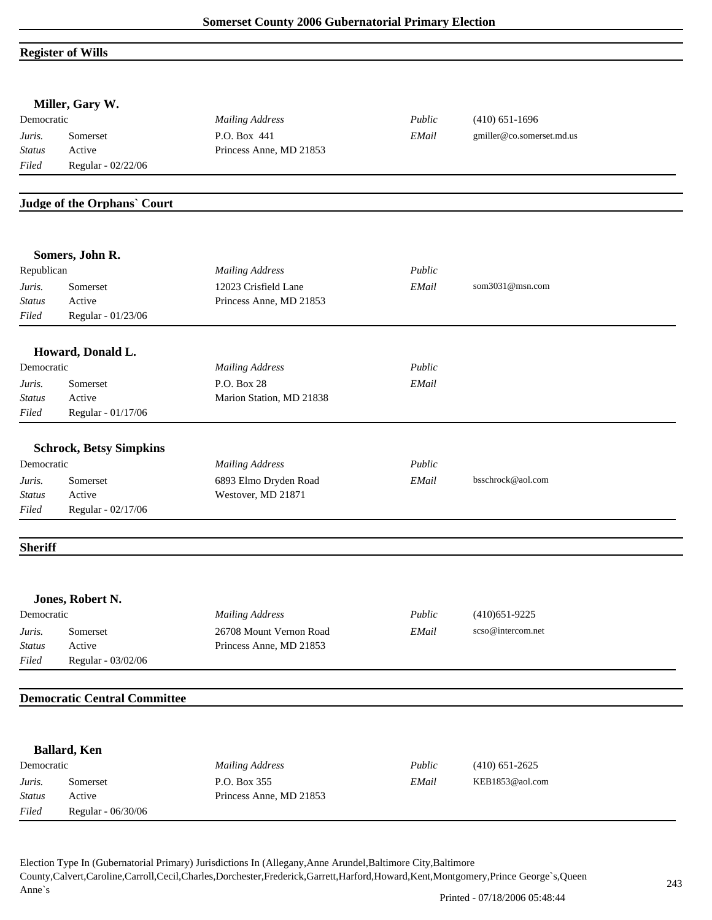# **Register of Wills**

|                | Miller, Gary W.                     |                          |        |                           |  |
|----------------|-------------------------------------|--------------------------|--------|---------------------------|--|
| Democratic     |                                     | <b>Mailing Address</b>   | Public | $(410) 651 - 1696$        |  |
| Juris.         | Somerset                            | P.O. Box 441             | EMail  | gmiller@co.somerset.md.us |  |
| <b>Status</b>  | Active                              | Princess Anne, MD 21853  |        |                           |  |
| Filed          | Regular - 02/22/06                  |                          |        |                           |  |
|                | Judge of the Orphans' Court         |                          |        |                           |  |
|                | Somers, John R.                     |                          |        |                           |  |
| Republican     |                                     | <b>Mailing Address</b>   | Public |                           |  |
| Juris.         | Somerset                            | 12023 Crisfield Lane     | EMail  | som3031@msn.com           |  |
| Status         | Active                              | Princess Anne, MD 21853  |        |                           |  |
| Filed          | Regular - 01/23/06                  |                          |        |                           |  |
|                | Howard, Donald L.                   |                          |        |                           |  |
| Democratic     |                                     | <b>Mailing Address</b>   | Public |                           |  |
| Juris.         | Somerset                            | P.O. Box 28              | EMail  |                           |  |
| <b>Status</b>  | Active                              | Marion Station, MD 21838 |        |                           |  |
| Filed          | Regular - 01/17/06                  |                          |        |                           |  |
|                | <b>Schrock, Betsy Simpkins</b>      |                          |        |                           |  |
| Democratic     |                                     | <b>Mailing Address</b>   | Public |                           |  |
| Juris.         | Somerset                            | 6893 Elmo Dryden Road    | EMail  | bsschrock@aol.com         |  |
| <b>Status</b>  | Active                              | Westover, MD 21871       |        |                           |  |
| Filed          | Regular - 02/17/06                  |                          |        |                           |  |
| <b>Sheriff</b> |                                     |                          |        |                           |  |
|                | Jones, Robert N.                    |                          |        |                           |  |
| Democratic     |                                     | <b>Mailing Address</b>   | Public | $(410)651-9225$           |  |
| Juris.         | Somerset                            | 26708 Mount Vernon Road  | EMail  | scso@intercom.net         |  |
| <b>Status</b>  | Active                              | Princess Anne, MD 21853  |        |                           |  |
| Filed          | Regular - 03/02/06                  |                          |        |                           |  |
|                | <b>Democratic Central Committee</b> |                          |        |                           |  |
|                |                                     |                          |        |                           |  |
|                | <b>Ballard</b> , Ken                |                          |        |                           |  |
| Democratic     |                                     | <b>Mailing Address</b>   | Public | $(410) 651 - 2625$        |  |
| Juris.         | Somerset                            | P.O. Box 355             | EMail  | KEB1853@aol.com           |  |
| <b>Status</b>  | Active                              | Princess Anne, MD 21853  |        |                           |  |
| Filed          | Regular - 06/30/06                  |                          |        |                           |  |
|                |                                     |                          |        |                           |  |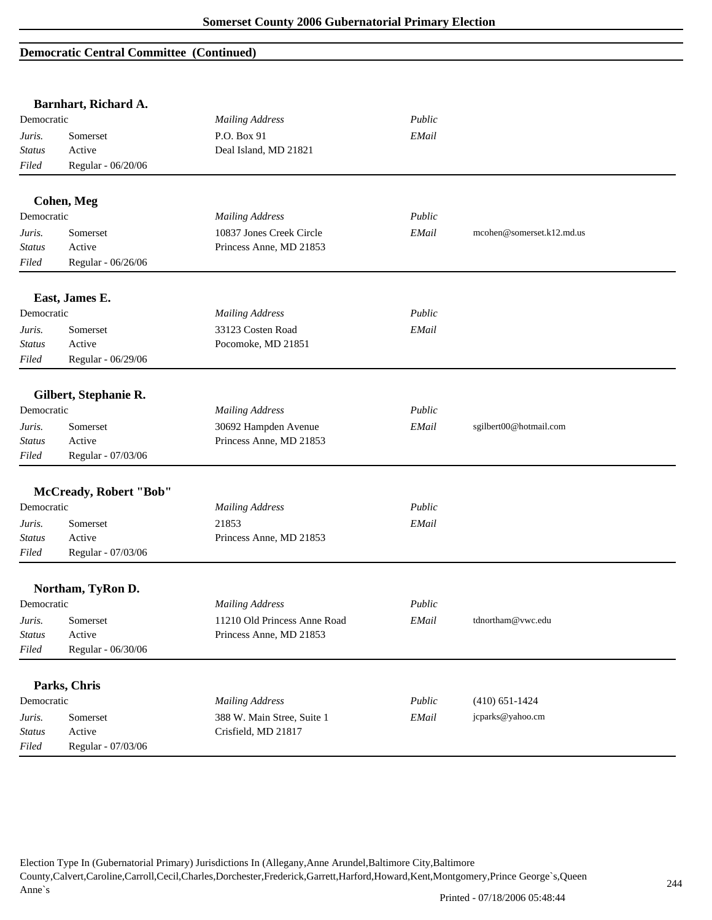#### **Democratic Central Committee (Continued)**

|               | Barnhart, Richard A.   |                              |        |                           |
|---------------|------------------------|------------------------------|--------|---------------------------|
| Democratic    |                        | <b>Mailing Address</b>       | Public |                           |
| Juris.        | Somerset               | P.O. Box 91                  | EMail  |                           |
| <b>Status</b> | Active                 | Deal Island, MD 21821        |        |                           |
| Filed         | Regular - 06/20/06     |                              |        |                           |
|               |                        |                              |        |                           |
| Democratic    | <b>Cohen, Meg</b>      |                              | Public |                           |
|               |                        | <b>Mailing Address</b>       |        |                           |
| Juris.        | Somerset               | 10837 Jones Creek Circle     | EMail  | mcohen@somerset.k12.md.us |
| <b>Status</b> | Active                 | Princess Anne, MD 21853      |        |                           |
| Filed         | Regular - 06/26/06     |                              |        |                           |
|               | East, James E.         |                              |        |                           |
| Democratic    |                        | <b>Mailing Address</b>       | Public |                           |
| Juris.        | Somerset               | 33123 Costen Road            | EMail  |                           |
| <b>Status</b> | Active                 | Pocomoke, MD 21851           |        |                           |
| Filed         | Regular - 06/29/06     |                              |        |                           |
|               |                        |                              |        |                           |
|               | Gilbert, Stephanie R.  |                              |        |                           |
| Democratic    |                        | <b>Mailing Address</b>       | Public |                           |
| Juris.        | Somerset               | 30692 Hampden Avenue         | EMail  | sgilbert00@hotmail.com    |
| Status        | Active                 | Princess Anne, MD 21853      |        |                           |
| Filed         | Regular - 07/03/06     |                              |        |                           |
|               | McCready, Robert "Bob" |                              |        |                           |
| Democratic    |                        | <b>Mailing Address</b>       | Public |                           |
| Juris.        | Somerset               | 21853                        | EMail  |                           |
| <i>Status</i> | Active                 | Princess Anne, MD 21853      |        |                           |
| Filed         | Regular - 07/03/06     |                              |        |                           |
|               | Northam, TyRon D.      |                              |        |                           |
| Democratic    |                        | <b>Mailing Address</b>       | Public |                           |
| Juris.        | Somerset               | 11210 Old Princess Anne Road | EMail  | tdnortham@vwc.edu         |
| <b>Status</b> | Active                 | Princess Anne, MD 21853      |        |                           |
| Filed         | Regular - 06/30/06     |                              |        |                           |
|               |                        |                              |        |                           |
|               | Parks, Chris           |                              |        |                           |
| Democratic    |                        | <b>Mailing Address</b>       | Public | $(410) 651 - 1424$        |
| Juris.        | Somerset               | 388 W. Main Stree, Suite 1   | EMail  | jcparks@yahoo.cm          |
| Status        | Active                 | Crisfield, MD 21817          |        |                           |
| Filed         | Regular - 07/03/06     |                              |        |                           |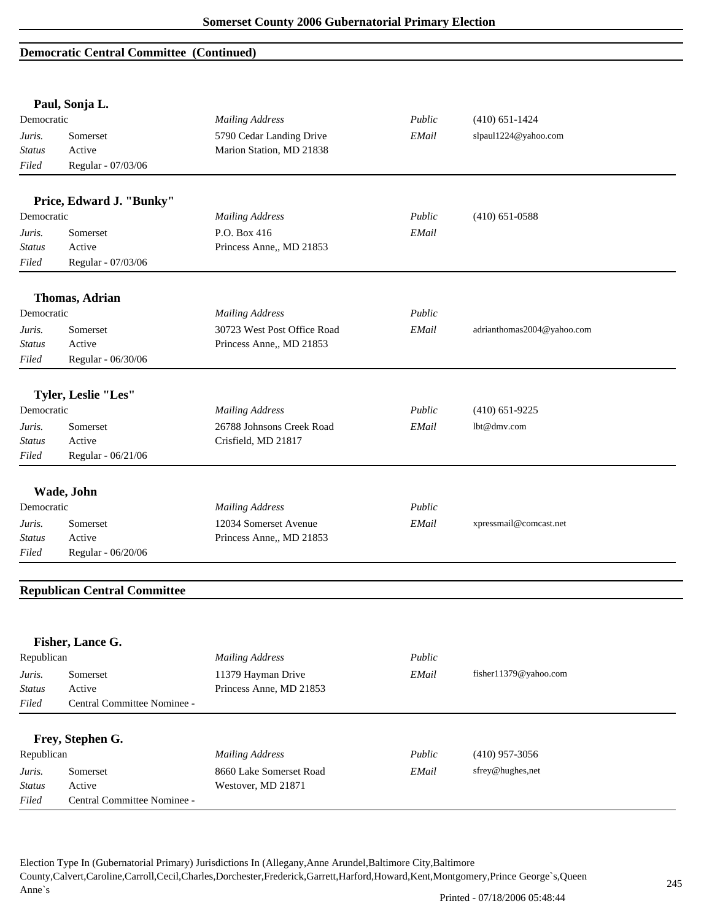### **Democratic Central Committee (Continued)**

|               | Paul, Sonja L.                      |                             |        |                            |
|---------------|-------------------------------------|-----------------------------|--------|----------------------------|
| Democratic    |                                     | <b>Mailing Address</b>      | Public | $(410) 651 - 1424$         |
| Juris.        | Somerset                            | 5790 Cedar Landing Drive    | EMail  | slpaul1224@yahoo.com       |
| Status        | Active                              | Marion Station, MD 21838    |        |                            |
| Filed         | Regular - 07/03/06                  |                             |        |                            |
|               | Price, Edward J. "Bunky"            |                             |        |                            |
| Democratic    |                                     | <b>Mailing Address</b>      | Public | $(410)$ 651-0588           |
| Juris.        | Somerset                            | P.O. Box 416                | EMail  |                            |
| <b>Status</b> | Active                              | Princess Anne,, MD 21853    |        |                            |
| Filed         | Regular - 07/03/06                  |                             |        |                            |
|               | <b>Thomas, Adrian</b>               |                             |        |                            |
| Democratic    |                                     | <b>Mailing Address</b>      | Public |                            |
| Juris.        | Somerset                            | 30723 West Post Office Road | EMail  | adrianthomas2004@yahoo.com |
| Status        | Active                              | Princess Anne,, MD 21853    |        |                            |
| Filed         | Regular - 06/30/06                  |                             |        |                            |
|               | Tyler, Leslie "Les"                 |                             |        |                            |
| Democratic    |                                     | <b>Mailing Address</b>      | Public | $(410) 651 - 9225$         |
| Juris.        | Somerset                            | 26788 Johnsons Creek Road   | EMail  | lbt@dmv.com                |
| Status        | Active                              | Crisfield, MD 21817         |        |                            |
| Filed         | Regular - 06/21/06                  |                             |        |                            |
|               |                                     |                             |        |                            |
|               | Wade, John                          |                             |        |                            |
| Democratic    |                                     | <b>Mailing Address</b>      | Public |                            |
| Juris.        | Somerset                            | 12034 Somerset Avenue       | EMail  | xpressmail@comcast.net     |
| Status        | Active                              | Princess Anne,, MD 21853    |        |                            |
| Filed         | Regular - 06/20/06                  |                             |        |                            |
|               | <b>Republican Central Committee</b> |                             |        |                            |
|               |                                     |                             |        |                            |
|               | Fisher, Lance G.                    |                             |        |                            |
| Republican    |                                     | <b>Mailing Address</b>      | Public |                            |
| Juris.        | Somerset                            | 11379 Hayman Drive          | EMail  | fisher11379@yahoo.com      |
| <b>Status</b> | Active                              | Princess Anne, MD 21853     |        |                            |
| Filed         | Central Committee Nominee -         |                             |        |                            |
|               |                                     |                             |        |                            |
|               | Frey, Stephen G.                    |                             |        |                            |
| Republican    |                                     | <b>Mailing Address</b>      | Public | $(410)$ 957-3056           |
| Juris.        | Somerset                            | 8660 Lake Somerset Road     | EMail  | sfrey@hughes,net           |
| <b>Status</b> | Active                              | Westover, MD 21871          |        |                            |
| Filed         | Central Committee Nominee -         |                             |        |                            |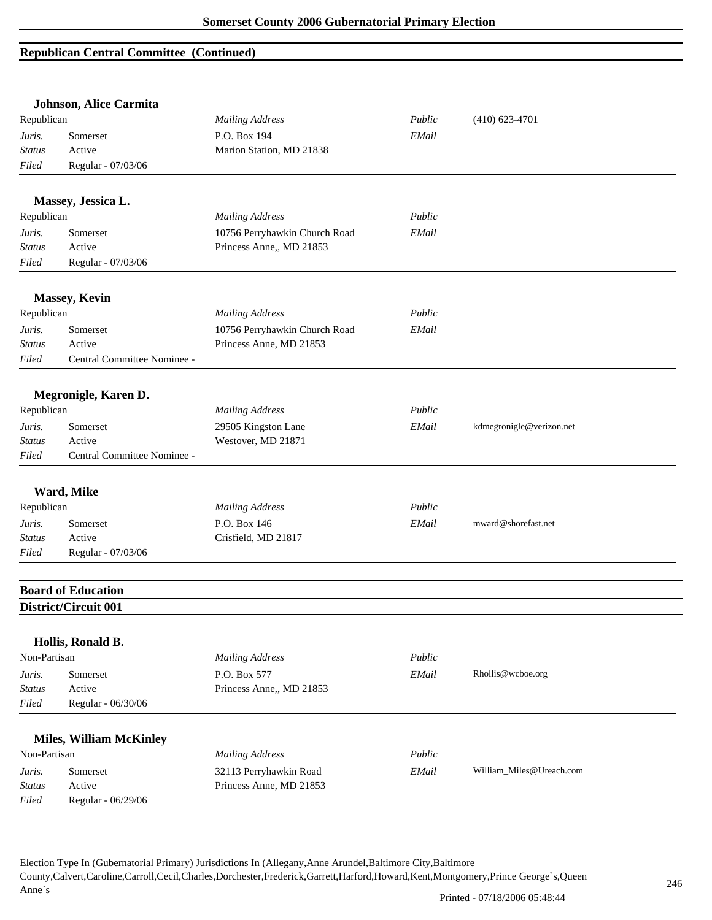|               | <b>Johnson, Alice Carmita</b>  |                               |        |                          |
|---------------|--------------------------------|-------------------------------|--------|--------------------------|
| Republican    |                                | <b>Mailing Address</b>        | Public | $(410)$ 623-4701         |
| Juris.        | Somerset                       | P.O. Box 194                  | EMail  |                          |
| <b>Status</b> | Active                         | Marion Station, MD 21838      |        |                          |
| Filed         | Regular - 07/03/06             |                               |        |                          |
|               | Massey, Jessica L.             |                               |        |                          |
| Republican    |                                | <b>Mailing Address</b>        | Public |                          |
| Juris.        | Somerset                       | 10756 Perryhawkin Church Road | EMail  |                          |
| Status        | Active                         | Princess Anne,, MD 21853      |        |                          |
| Filed         | Regular - 07/03/06             |                               |        |                          |
|               | <b>Massey, Kevin</b>           |                               |        |                          |
| Republican    |                                | <b>Mailing Address</b>        | Public |                          |
| Juris.        | Somerset                       | 10756 Perryhawkin Church Road | EMail  |                          |
| <b>Status</b> | Active                         | Princess Anne, MD 21853       |        |                          |
| Filed         | Central Committee Nominee -    |                               |        |                          |
|               | Megronigle, Karen D.           |                               |        |                          |
| Republican    |                                | <b>Mailing Address</b>        | Public |                          |
|               |                                |                               |        |                          |
| Juris.        | Somerset                       | 29505 Kingston Lane           | EMail  | kdmegronigle@verizon.net |
| <b>Status</b> | Active                         | Westover, MD 21871            |        |                          |
| Filed         | Central Committee Nominee -    |                               |        |                          |
|               | Ward, Mike                     |                               |        |                          |
| Republican    |                                | <b>Mailing Address</b>        | Public |                          |
| Juris.        | Somerset                       | P.O. Box 146                  | EMail  | mward@shorefast.net      |
| Status        | Active                         | Crisfield, MD 21817           |        |                          |
| Filed         | Regular - 07/03/06             |                               |        |                          |
|               | <b>Board of Education</b>      |                               |        |                          |
|               | District/Circuit 001           |                               |        |                          |
|               | Hollis, Ronald B.              |                               |        |                          |
| Non-Partisan  |                                | <b>Mailing Address</b>        | Public |                          |
|               |                                |                               |        |                          |
| Juris.        | Somerset                       | P.O. Box 577                  | EMail  | Rhollis@wcboe.org        |
| <b>Status</b> | Active                         | Princess Anne,, MD 21853      |        |                          |
| Filed         | Regular - 06/30/06             |                               |        |                          |
|               | <b>Miles, William McKinley</b> |                               |        |                          |
| Non-Partisan  |                                | <b>Mailing Address</b>        | Public |                          |
| Juris.        | Somerset                       | 32113 Perryhawkin Road        | EMail  | William_Miles@Ureach.com |
| <b>Status</b> | Active                         | Princess Anne, MD 21853       |        |                          |
| Filed         | Regular - 06/29/06             |                               |        |                          |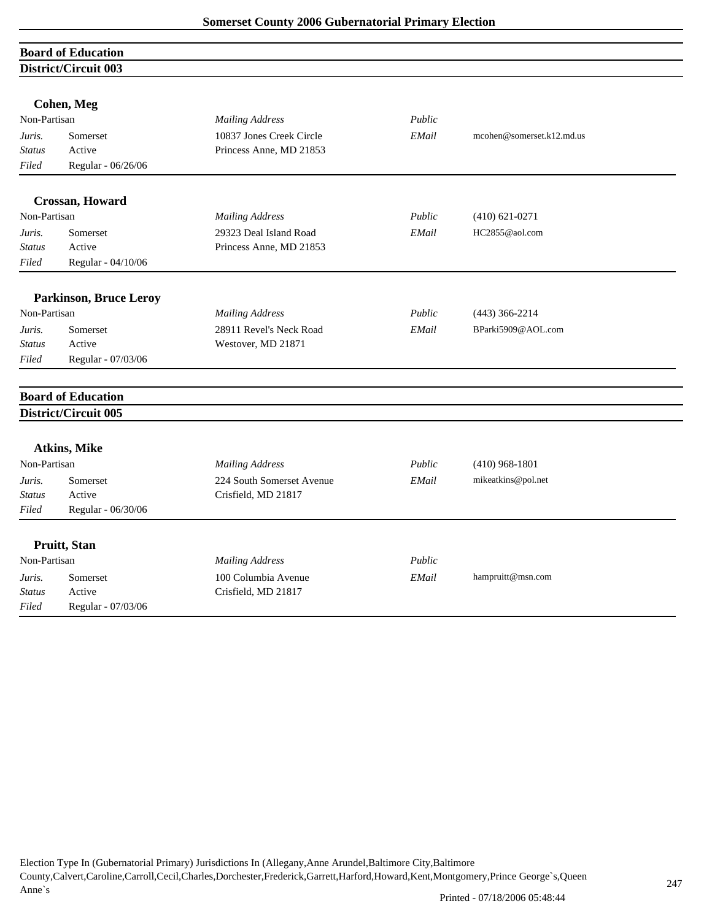| <b>Board of Education</b><br>District/Circuit 003<br><b>Cohen, Meg</b><br>Non-Partisan<br>Public<br><b>Mailing Address</b><br>10837 Jones Creek Circle<br>EMail<br>mcohen@somerset.k12.md.us<br>Somerset<br>Juris.<br>Princess Anne, MD 21853<br><b>Status</b><br>Active<br>Filed<br>Regular - 06/26/06<br>Crossan, Howard<br>Non-Partisan<br>Public<br><b>Mailing Address</b><br>$(410) 621 - 0271$<br>29323 Deal Island Road<br>EMail<br>HC2855@aol.com<br>Juris.<br>Somerset<br>Active<br>Status<br>Princess Anne, MD 21853<br>Regular - 04/10/06<br>Filed<br><b>Parkinson, Bruce Leroy</b><br>Non-Partisan<br><b>Mailing Address</b><br>Public<br>$(443)$ 366-2214<br>BParki5909@AOL.com<br>28911 Revel's Neck Road<br>EMail<br>Juris.<br>Somerset<br>Active<br><b>Status</b><br>Westover, MD 21871<br>Regular - 07/03/06<br>Filed<br><b>Board of Education</b><br>District/Circuit 005<br>Atkins, Mike<br>Non-Partisan<br><b>Mailing Address</b><br>Public<br>$(410)$ 968-1801<br>224 South Somerset Avenue<br>mikeatkins@pol.net<br>Somerset<br>EMail<br>Juris.<br>Crisfield, MD 21817<br>Active<br><b>Status</b><br>Filed<br>Regular - 06/30/06<br>Pruitt, Stan<br>Non-Partisan<br>Public<br><b>Mailing Address</b> |                    |                     |       |                   |
|----------------------------------------------------------------------------------------------------------------------------------------------------------------------------------------------------------------------------------------------------------------------------------------------------------------------------------------------------------------------------------------------------------------------------------------------------------------------------------------------------------------------------------------------------------------------------------------------------------------------------------------------------------------------------------------------------------------------------------------------------------------------------------------------------------------------------------------------------------------------------------------------------------------------------------------------------------------------------------------------------------------------------------------------------------------------------------------------------------------------------------------------------------------------------------------------------------------------------|--------------------|---------------------|-------|-------------------|
|                                                                                                                                                                                                                                                                                                                                                                                                                                                                                                                                                                                                                                                                                                                                                                                                                                                                                                                                                                                                                                                                                                                                                                                                                            |                    |                     |       |                   |
|                                                                                                                                                                                                                                                                                                                                                                                                                                                                                                                                                                                                                                                                                                                                                                                                                                                                                                                                                                                                                                                                                                                                                                                                                            |                    |                     |       |                   |
|                                                                                                                                                                                                                                                                                                                                                                                                                                                                                                                                                                                                                                                                                                                                                                                                                                                                                                                                                                                                                                                                                                                                                                                                                            |                    |                     |       |                   |
|                                                                                                                                                                                                                                                                                                                                                                                                                                                                                                                                                                                                                                                                                                                                                                                                                                                                                                                                                                                                                                                                                                                                                                                                                            |                    |                     |       |                   |
|                                                                                                                                                                                                                                                                                                                                                                                                                                                                                                                                                                                                                                                                                                                                                                                                                                                                                                                                                                                                                                                                                                                                                                                                                            |                    |                     |       |                   |
|                                                                                                                                                                                                                                                                                                                                                                                                                                                                                                                                                                                                                                                                                                                                                                                                                                                                                                                                                                                                                                                                                                                                                                                                                            |                    |                     |       |                   |
|                                                                                                                                                                                                                                                                                                                                                                                                                                                                                                                                                                                                                                                                                                                                                                                                                                                                                                                                                                                                                                                                                                                                                                                                                            |                    |                     |       |                   |
|                                                                                                                                                                                                                                                                                                                                                                                                                                                                                                                                                                                                                                                                                                                                                                                                                                                                                                                                                                                                                                                                                                                                                                                                                            |                    |                     |       |                   |
|                                                                                                                                                                                                                                                                                                                                                                                                                                                                                                                                                                                                                                                                                                                                                                                                                                                                                                                                                                                                                                                                                                                                                                                                                            |                    |                     |       |                   |
|                                                                                                                                                                                                                                                                                                                                                                                                                                                                                                                                                                                                                                                                                                                                                                                                                                                                                                                                                                                                                                                                                                                                                                                                                            |                    |                     |       |                   |
|                                                                                                                                                                                                                                                                                                                                                                                                                                                                                                                                                                                                                                                                                                                                                                                                                                                                                                                                                                                                                                                                                                                                                                                                                            |                    |                     |       |                   |
|                                                                                                                                                                                                                                                                                                                                                                                                                                                                                                                                                                                                                                                                                                                                                                                                                                                                                                                                                                                                                                                                                                                                                                                                                            |                    |                     |       |                   |
|                                                                                                                                                                                                                                                                                                                                                                                                                                                                                                                                                                                                                                                                                                                                                                                                                                                                                                                                                                                                                                                                                                                                                                                                                            |                    |                     |       |                   |
|                                                                                                                                                                                                                                                                                                                                                                                                                                                                                                                                                                                                                                                                                                                                                                                                                                                                                                                                                                                                                                                                                                                                                                                                                            |                    |                     |       |                   |
|                                                                                                                                                                                                                                                                                                                                                                                                                                                                                                                                                                                                                                                                                                                                                                                                                                                                                                                                                                                                                                                                                                                                                                                                                            |                    |                     |       |                   |
|                                                                                                                                                                                                                                                                                                                                                                                                                                                                                                                                                                                                                                                                                                                                                                                                                                                                                                                                                                                                                                                                                                                                                                                                                            |                    |                     |       |                   |
|                                                                                                                                                                                                                                                                                                                                                                                                                                                                                                                                                                                                                                                                                                                                                                                                                                                                                                                                                                                                                                                                                                                                                                                                                            |                    |                     |       |                   |
|                                                                                                                                                                                                                                                                                                                                                                                                                                                                                                                                                                                                                                                                                                                                                                                                                                                                                                                                                                                                                                                                                                                                                                                                                            |                    |                     |       |                   |
|                                                                                                                                                                                                                                                                                                                                                                                                                                                                                                                                                                                                                                                                                                                                                                                                                                                                                                                                                                                                                                                                                                                                                                                                                            |                    |                     |       |                   |
|                                                                                                                                                                                                                                                                                                                                                                                                                                                                                                                                                                                                                                                                                                                                                                                                                                                                                                                                                                                                                                                                                                                                                                                                                            |                    |                     |       |                   |
|                                                                                                                                                                                                                                                                                                                                                                                                                                                                                                                                                                                                                                                                                                                                                                                                                                                                                                                                                                                                                                                                                                                                                                                                                            |                    |                     |       |                   |
|                                                                                                                                                                                                                                                                                                                                                                                                                                                                                                                                                                                                                                                                                                                                                                                                                                                                                                                                                                                                                                                                                                                                                                                                                            |                    |                     |       |                   |
|                                                                                                                                                                                                                                                                                                                                                                                                                                                                                                                                                                                                                                                                                                                                                                                                                                                                                                                                                                                                                                                                                                                                                                                                                            |                    |                     |       |                   |
|                                                                                                                                                                                                                                                                                                                                                                                                                                                                                                                                                                                                                                                                                                                                                                                                                                                                                                                                                                                                                                                                                                                                                                                                                            |                    |                     |       |                   |
|                                                                                                                                                                                                                                                                                                                                                                                                                                                                                                                                                                                                                                                                                                                                                                                                                                                                                                                                                                                                                                                                                                                                                                                                                            |                    |                     |       |                   |
| Juris.                                                                                                                                                                                                                                                                                                                                                                                                                                                                                                                                                                                                                                                                                                                                                                                                                                                                                                                                                                                                                                                                                                                                                                                                                     | Somerset           | 100 Columbia Avenue | EMail | hampruitt@msn.com |
| <b>Status</b>                                                                                                                                                                                                                                                                                                                                                                                                                                                                                                                                                                                                                                                                                                                                                                                                                                                                                                                                                                                                                                                                                                                                                                                                              | Active             | Crisfield, MD 21817 |       |                   |
| Filed                                                                                                                                                                                                                                                                                                                                                                                                                                                                                                                                                                                                                                                                                                                                                                                                                                                                                                                                                                                                                                                                                                                                                                                                                      | Regular - 07/03/06 |                     |       |                   |
|                                                                                                                                                                                                                                                                                                                                                                                                                                                                                                                                                                                                                                                                                                                                                                                                                                                                                                                                                                                                                                                                                                                                                                                                                            |                    |                     |       |                   |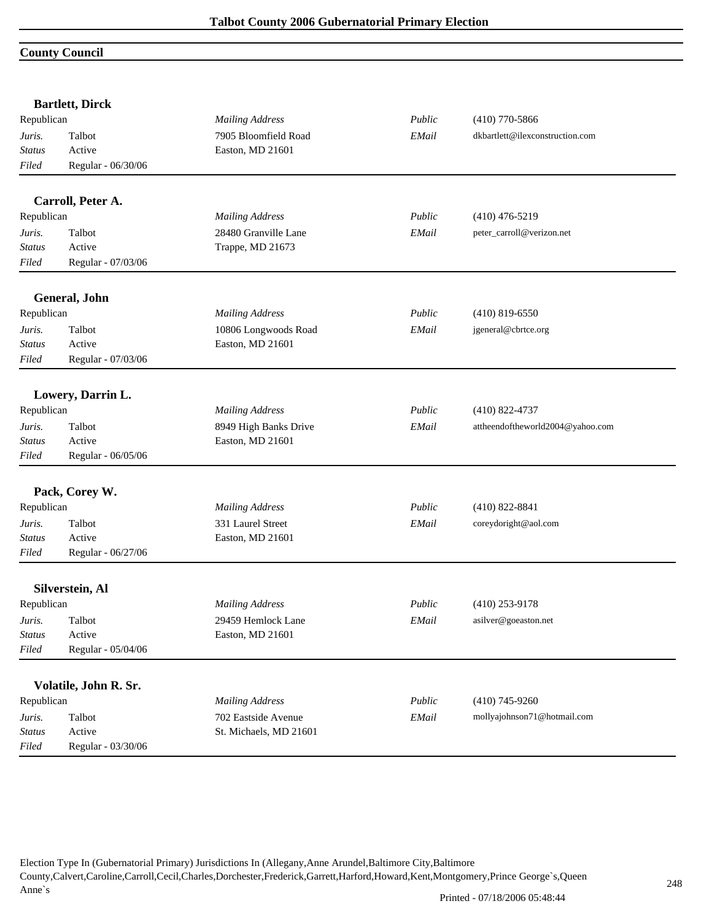#### **County Council**

|               | <b>Bartlett, Dirck</b> | <b>Mailing Address</b> |        |                                  |
|---------------|------------------------|------------------------|--------|----------------------------------|
| Republican    |                        |                        | Public | $(410)$ 770-5866                 |
| Juris.        | Talbot                 | 7905 Bloomfield Road   | EMail  | dkbartlett@ilexconstruction.com  |
| <b>Status</b> | Active                 | Easton, MD 21601       |        |                                  |
| Filed         | Regular - 06/30/06     |                        |        |                                  |
|               | Carroll, Peter A.      |                        |        |                                  |
| Republican    |                        | <b>Mailing Address</b> | Public | $(410)$ 476-5219                 |
| Juris.        | Talbot                 | 28480 Granville Lane   | EMail  | peter_carroll@verizon.net        |
| <b>Status</b> | Active                 | Trappe, MD 21673       |        |                                  |
| Filed         | Regular - 07/03/06     |                        |        |                                  |
|               | General, John          |                        |        |                                  |
| Republican    |                        | <b>Mailing Address</b> | Public | $(410)$ 819-6550                 |
| Juris.        | Talbot                 | 10806 Longwoods Road   | EMail  | jgeneral@cbrtce.org              |
| <b>Status</b> | Active                 | Easton, MD 21601       |        |                                  |
| Filed         | Regular - 07/03/06     |                        |        |                                  |
|               | Lowery, Darrin L.      |                        |        |                                  |
| Republican    |                        | <b>Mailing Address</b> | Public | $(410)$ 822-4737                 |
| Juris.        | Talbot                 | 8949 High Banks Drive  | EMail  | attheendoftheworld2004@yahoo.com |
| <b>Status</b> | Active                 | Easton, MD 21601       |        |                                  |
| Filed         | Regular - 06/05/06     |                        |        |                                  |
|               | Pack, Corey W.         |                        |        |                                  |
| Republican    |                        | <b>Mailing Address</b> | Public | $(410)$ 822-8841                 |
| Juris.        | Talbot                 | 331 Laurel Street      | EMail  | coreydoright@aol.com             |
| Status        | Active                 | Easton, MD 21601       |        |                                  |
| Filed         | Regular - 06/27/06     |                        |        |                                  |
|               | Silverstein, Al        |                        |        |                                  |
| Republican    |                        | <b>Mailing Address</b> | Public | $(410)$ 253-9178                 |
| Juris.        | Talbot                 | 29459 Hemlock Lane     | EMail  | asilver@goeaston.net             |
| Status        | Active                 | Easton, MD 21601       |        |                                  |
| Filed         | Regular - 05/04/06     |                        |        |                                  |
|               |                        |                        |        |                                  |
|               | Volatile, John R. Sr.  |                        |        |                                  |
| Republican    |                        | <b>Mailing Address</b> | Public | $(410)$ 745-9260                 |
| Juris.        | Talbot                 | 702 Eastside Avenue    | EMail  | mollyajohnson71@hotmail.com      |
| <b>Status</b> | Active                 | St. Michaels, MD 21601 |        |                                  |
| Filed         | Regular - 03/30/06     |                        |        |                                  |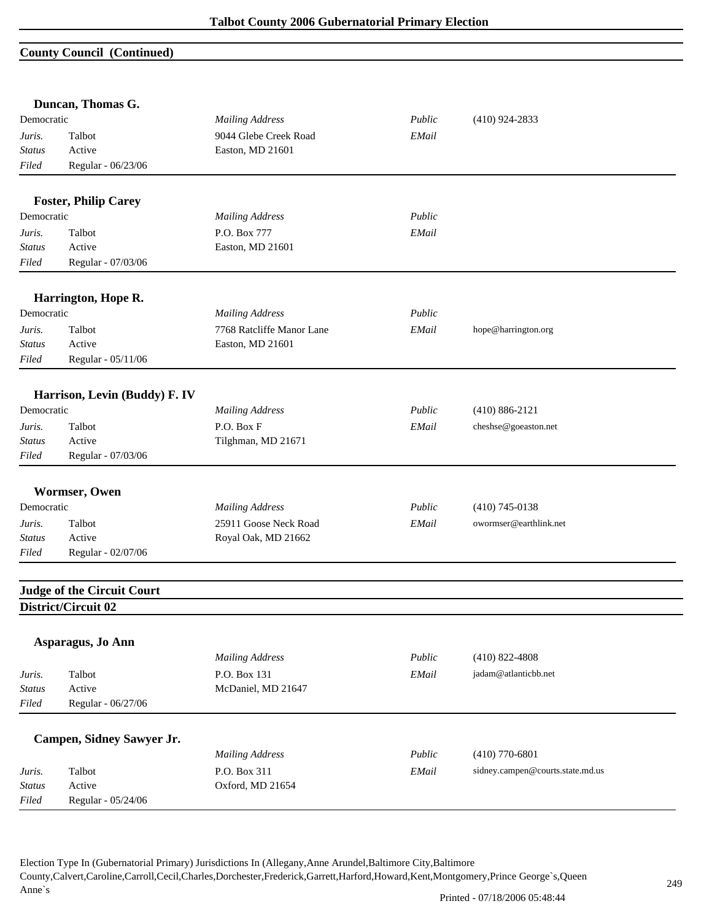### **County Council (Continued)**

|               | Duncan, Thomas G.                 |                           |        |                                  |
|---------------|-----------------------------------|---------------------------|--------|----------------------------------|
| Democratic    |                                   | <b>Mailing Address</b>    | Public | $(410)$ 924-2833                 |
| Juris.        | Talbot                            | 9044 Glebe Creek Road     | EMail  |                                  |
| Status        | Active                            | Easton, MD 21601          |        |                                  |
| Filed         | Regular - 06/23/06                |                           |        |                                  |
|               | <b>Foster, Philip Carey</b>       |                           |        |                                  |
| Democratic    |                                   | <b>Mailing Address</b>    | Public |                                  |
| Juris.        | Talbot                            | P.O. Box 777              | EMail  |                                  |
| Status        | Active                            | Easton, MD 21601          |        |                                  |
| Filed         | Regular - 07/03/06                |                           |        |                                  |
|               | Harrington, Hope R.               |                           |        |                                  |
| Democratic    |                                   | <b>Mailing Address</b>    | Public |                                  |
| Juris.        | Talbot                            | 7768 Ratcliffe Manor Lane | EMail  | hope@harrington.org              |
| Status        | Active                            | Easton, MD 21601          |        |                                  |
| Filed         | Regular - 05/11/06                |                           |        |                                  |
|               | Harrison, Levin (Buddy) F. IV     |                           |        |                                  |
| Democratic    |                                   | <b>Mailing Address</b>    | Public | $(410) 886 - 2121$               |
| Juris.        | Talbot                            | P.O. Box F                | EMail  | cheshse@goeaston.net             |
| Status        | Active                            | Tilghman, MD 21671        |        |                                  |
| Filed         | Regular - 07/03/06                |                           |        |                                  |
|               | Wormser, Owen                     |                           |        |                                  |
| Democratic    |                                   | <b>Mailing Address</b>    | Public | $(410)$ 745-0138                 |
| Juris.        | Talbot                            | 25911 Goose Neck Road     | EMail  | owormser@earthlink.net           |
| Status        | Active                            | Royal Oak, MD 21662       |        |                                  |
| Filed         | Regular - 02/07/06                |                           |        |                                  |
|               |                                   |                           |        |                                  |
|               | <b>Judge of the Circuit Court</b> |                           |        |                                  |
|               | District/Circuit 02               |                           |        |                                  |
|               | Asparagus, Jo Ann                 |                           |        |                                  |
|               |                                   | <b>Mailing Address</b>    | Public | $(410)$ 822-4808                 |
| Juris.        | Talbot                            | P.O. Box 131              | EMail  | jadam@atlanticbb.net             |
| <b>Status</b> | Active                            | McDaniel, MD 21647        |        |                                  |
| Filed         | Regular - 06/27/06                |                           |        |                                  |
|               | Campen, Sidney Sawyer Jr.         |                           |        |                                  |
|               |                                   | <b>Mailing Address</b>    | Public | $(410)$ 770-6801                 |
| Juris.        | Talbot                            | P.O. Box 311              | EMail  | sidney.campen@courts.state.md.us |
| <b>Status</b> | Active                            | Oxford, MD 21654          |        |                                  |
| Filed         | Regular - 05/24/06                |                           |        |                                  |
|               |                                   |                           |        |                                  |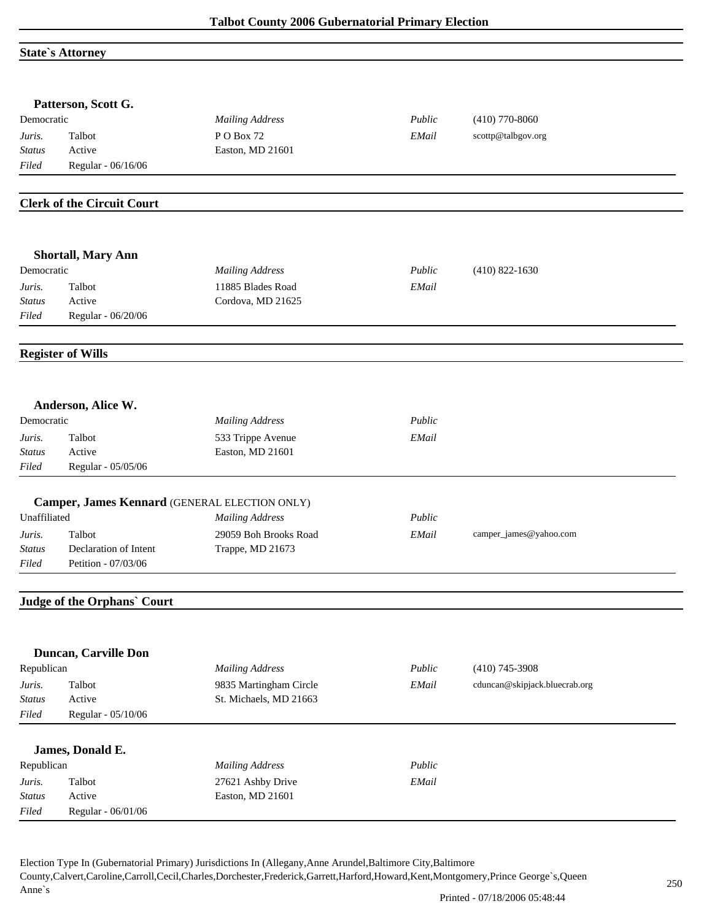#### **State`s Attorney**

|                        | Patterson, Scott G.                           |                        |        |                               |
|------------------------|-----------------------------------------------|------------------------|--------|-------------------------------|
| Democratic             |                                               | <b>Mailing Address</b> | Public | $(410)$ 770-8060              |
| Juris.                 | Talbot                                        | PO Box 72              | EMail  | scottp@talbgov.org            |
| <b>Status</b>          | Active                                        | Easton, MD 21601       |        |                               |
| Filed                  | Regular - 06/16/06                            |                        |        |                               |
|                        |                                               |                        |        |                               |
|                        | <b>Clerk of the Circuit Court</b>             |                        |        |                               |
|                        |                                               |                        |        |                               |
|                        | <b>Shortall, Mary Ann</b>                     |                        |        |                               |
| Democratic             |                                               | <b>Mailing Address</b> | Public | $(410)$ 822-1630              |
| Juris.                 | Talbot                                        | 11885 Blades Road      | EMail  |                               |
| Status<br>Filed        | Active<br>Regular - 06/20/06                  | Cordova, MD 21625      |        |                               |
|                        |                                               |                        |        |                               |
|                        | <b>Register of Wills</b>                      |                        |        |                               |
|                        |                                               |                        |        |                               |
|                        | Anderson, Alice W.                            |                        |        |                               |
| Democratic             |                                               | <b>Mailing Address</b> | Public |                               |
| Juris.                 | Talbot                                        | 533 Trippe Avenue      | EMail  |                               |
| <b>Status</b>          | Active                                        | Easton, MD 21601       |        |                               |
| Filed                  | Regular - 05/05/06                            |                        |        |                               |
|                        | Camper, James Kennard (GENERAL ELECTION ONLY) |                        |        |                               |
| Unaffiliated           |                                               | <b>Mailing Address</b> | Public |                               |
| Juris.                 | Talbot                                        | 29059 Boh Brooks Road  | EMail  | camper_james@yahoo.com        |
| <b>Status</b>          | Declaration of Intent                         | Trappe, MD 21673       |        |                               |
| Filed                  | Petition - 07/03/06                           |                        |        |                               |
|                        |                                               |                        |        |                               |
|                        | Judge of the Orphans' Court                   |                        |        |                               |
|                        |                                               |                        |        |                               |
|                        | Duncan, Carville Don                          |                        |        |                               |
| Republican             |                                               | <b>Mailing Address</b> | Public | $(410)$ 745-3908              |
| Juris.                 | Talbot                                        | 9835 Martingham Circle | EMail  | cduncan@skipjack.bluecrab.org |
| <b>Status</b>          | Active                                        | St. Michaels, MD 21663 |        |                               |
| Filed                  | Regular - 05/10/06                            |                        |        |                               |
|                        | James, Donald E.                              |                        |        |                               |
|                        |                                               | <b>Mailing Address</b> | Public |                               |
| Republican             |                                               |                        |        |                               |
| Juris.                 | Talbot                                        | 27621 Ashby Drive      | EMail  |                               |
| <b>Status</b><br>Filed | Active<br>Regular - 06/01/06                  | Easton, MD 21601       |        |                               |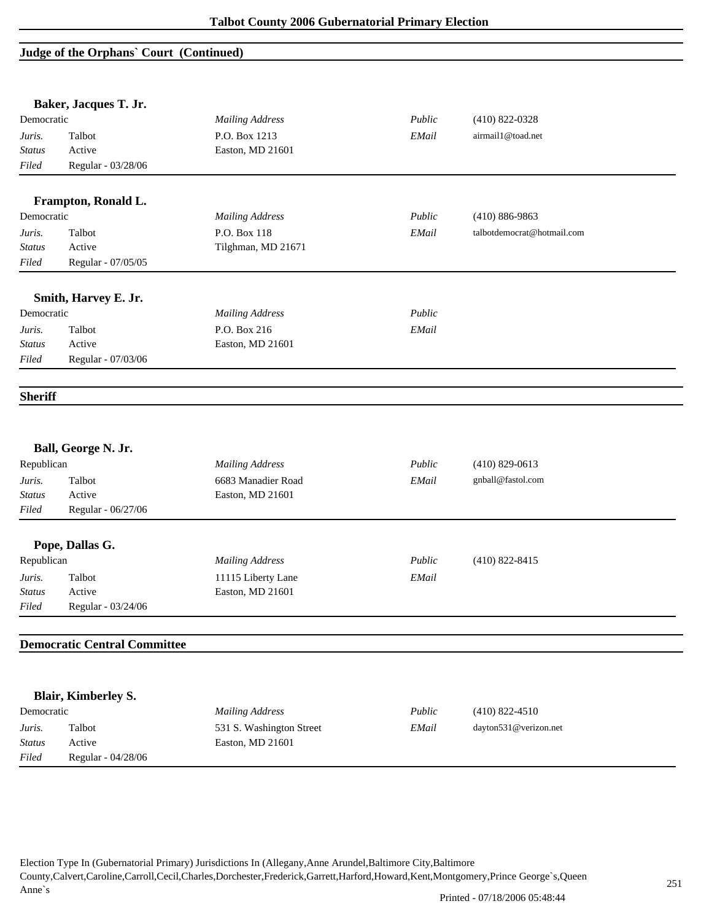#### **Judge of the Orphans` Court (Continued)**

*Status* Active Easton, MD 21601

*Filed* Regular - 04/28/06

|                | Baker, Jacques T. Jr.               |                          |             |                            |  |
|----------------|-------------------------------------|--------------------------|-------------|----------------------------|--|
| Democratic     |                                     | <b>Mailing Address</b>   | Public      | $(410)$ 822-0328           |  |
| Juris.         | Talbot                              | P.O. Box 1213            | EMail       | airmail1@toad.net          |  |
| <b>Status</b>  | Active                              | Easton, MD 21601         |             |                            |  |
| Filed          | Regular - 03/28/06                  |                          |             |                            |  |
|                |                                     |                          |             |                            |  |
|                | Frampton, Ronald L.                 |                          |             |                            |  |
| Democratic     |                                     | <b>Mailing Address</b>   | Public      | $(410) 886 - 9863$         |  |
| Juris.         | Talbot                              | P.O. Box 118             | EMail       | talbotdemocrat@hotmail.com |  |
| <b>Status</b>  | Active                              | Tilghman, MD 21671       |             |                            |  |
| Filed          | Regular - 07/05/05                  |                          |             |                            |  |
|                | Smith, Harvey E. Jr.                |                          |             |                            |  |
| Democratic     |                                     | <b>Mailing Address</b>   | Public      |                            |  |
| Juris.         | Talbot                              | P.O. Box 216             | EMail       |                            |  |
| <b>Status</b>  | Active                              | Easton, MD 21601         |             |                            |  |
| Filed          | Regular - 07/03/06                  |                          |             |                            |  |
| <b>Sheriff</b> |                                     |                          |             |                            |  |
|                |                                     |                          |             |                            |  |
|                | Ball, George N. Jr.                 |                          |             |                            |  |
| Republican     |                                     | <b>Mailing Address</b>   | Public      | $(410)$ 829-0613           |  |
| Juris.         | Talbot                              | 6683 Manadier Road       | EMail       | gnball@fastol.com          |  |
| <b>Status</b>  | Active                              | Easton, MD 21601         |             |                            |  |
| Filed          | Regular - 06/27/06                  |                          |             |                            |  |
|                | Pope, Dallas G.                     |                          |             |                            |  |
| Republican     |                                     | <b>Mailing Address</b>   | Public      | $(410) 822 - 8415$         |  |
| Juris.         | Talbot                              | 11115 Liberty Lane       | EMail       |                            |  |
| Status         | Active                              | Easton, MD 21601         |             |                            |  |
| Filed          | Regular - 03/24/06                  |                          |             |                            |  |
|                |                                     |                          |             |                            |  |
|                | <b>Democratic Central Committee</b> |                          |             |                            |  |
|                |                                     |                          |             |                            |  |
|                | Blair, Kimberley S.                 |                          |             |                            |  |
| Democratic     |                                     | <b>Mailing Address</b>   | Public      | $(410)$ 822-4510           |  |
| Juris.         | Talbot                              | 531 S. Washington Street | $\it EMail$ | dayton531@verizon.net      |  |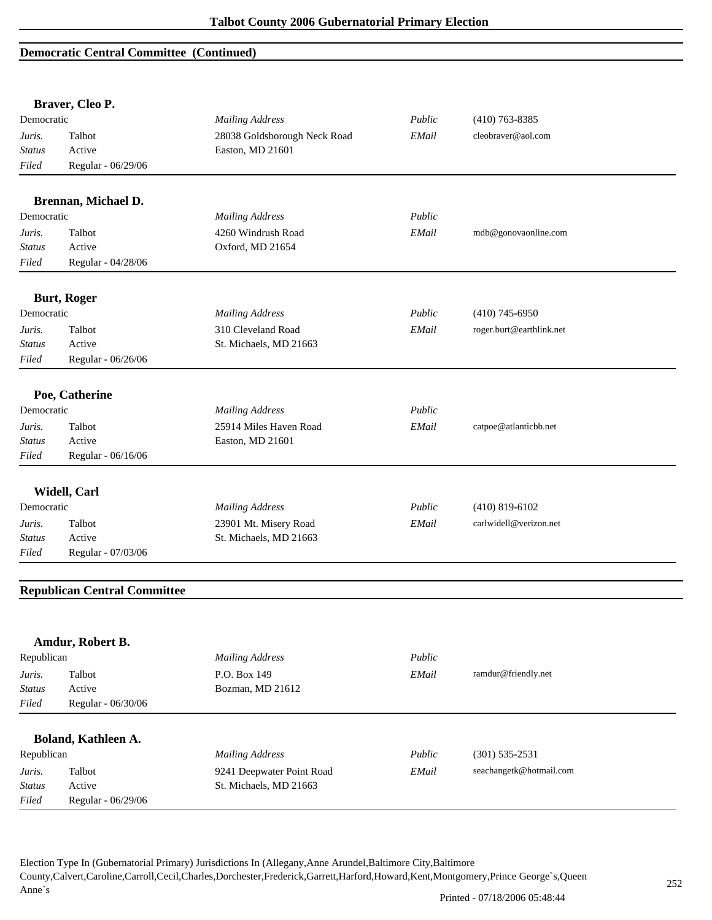### **Democratic Central Committee (Continued)**

|               | Braver, Cleo P.                     |                              |        |                          |  |
|---------------|-------------------------------------|------------------------------|--------|--------------------------|--|
| Democratic    |                                     | <b>Mailing Address</b>       | Public | $(410)$ 763-8385         |  |
| Juris.        | Talbot                              | 28038 Goldsborough Neck Road | EMail  | cleobraver@aol.com       |  |
| <b>Status</b> | Active                              | Easton, MD 21601             |        |                          |  |
| Filed         | Regular - 06/29/06                  |                              |        |                          |  |
|               | Brennan, Michael D.                 |                              |        |                          |  |
| Democratic    |                                     | <b>Mailing Address</b>       | Public |                          |  |
| Juris.        | Talbot                              | 4260 Windrush Road           | EMail  | mdb@gonovaonline.com     |  |
| <b>Status</b> | Active                              | Oxford, MD 21654             |        |                          |  |
| Filed         | Regular - 04/28/06                  |                              |        |                          |  |
|               | <b>Burt, Roger</b>                  |                              |        |                          |  |
| Democratic    |                                     | <b>Mailing Address</b>       | Public | $(410)$ 745-6950         |  |
| Juris.        | Talbot                              | 310 Cleveland Road           | EMail  | roger.burt@earthlink.net |  |
| <b>Status</b> | Active                              | St. Michaels, MD 21663       |        |                          |  |
| Filed         | Regular - 06/26/06                  |                              |        |                          |  |
|               | Poe, Catherine                      |                              |        |                          |  |
| Democratic    |                                     | <b>Mailing Address</b>       | Public |                          |  |
| Juris.        | Talbot                              | 25914 Miles Haven Road       | EMail  | catpoe@atlanticbb.net    |  |
| Status        | Active                              | Easton, MD 21601             |        |                          |  |
| Filed         | Regular - 06/16/06                  |                              |        |                          |  |
|               |                                     |                              |        |                          |  |
|               | Widell, Carl                        |                              |        |                          |  |
| Democratic    |                                     | <b>Mailing Address</b>       | Public | $(410)$ 819-6102         |  |
| Juris.        | Talbot                              | 23901 Mt. Misery Road        | EMail  | carlwidell@verizon.net   |  |
| <b>Status</b> | Active                              | St. Michaels, MD 21663       |        |                          |  |
| Filed         | Regular - 07/03/06                  |                              |        |                          |  |
|               | <b>Republican Central Committee</b> |                              |        |                          |  |
|               |                                     |                              |        |                          |  |
|               | Amdur, Robert B.                    |                              |        |                          |  |
| Republican    |                                     | <b>Mailing Address</b>       | Public |                          |  |
| Juris.        | Talbot                              | P.O. Box 149                 | EMail  | ramdur@friendly.net      |  |
| <b>Status</b> | Active                              | Bozman, MD 21612             |        |                          |  |
| Filed         | Regular - 06/30/06                  |                              |        |                          |  |
|               | Boland, Kathleen A.                 |                              |        |                          |  |
| Republican    |                                     | <b>Mailing Address</b>       | Public | $(301) 535 - 2531$       |  |
| Juris.        | Talbot                              | 9241 Deepwater Point Road    | EMail  | seachangetk@hotmail.com  |  |
| <b>Status</b> | Active                              | St. Michaels, MD 21663       |        |                          |  |
| Filed         | Regular - 06/29/06                  |                              |        |                          |  |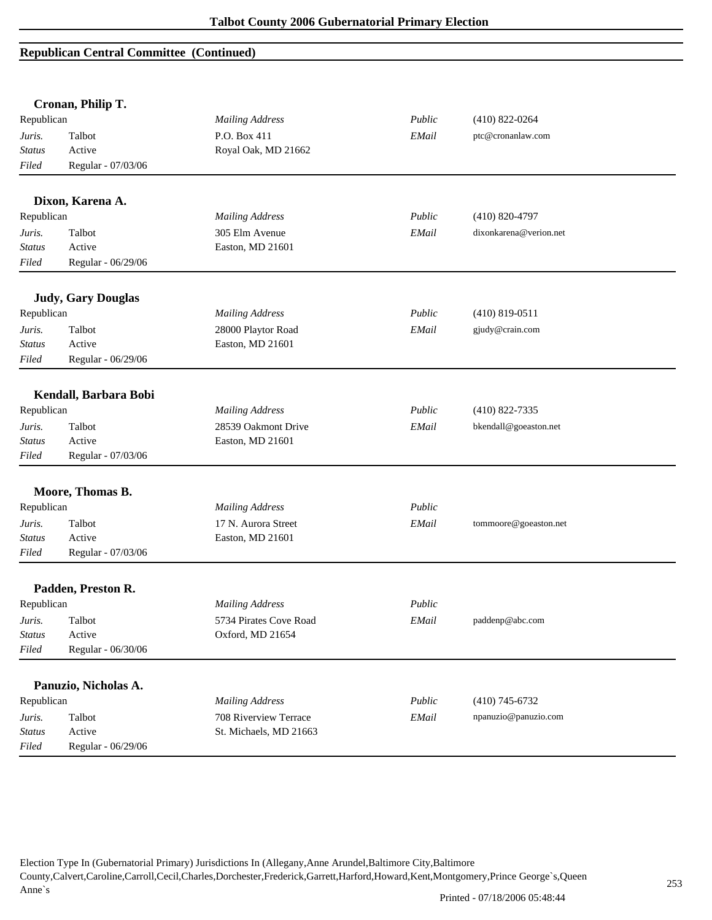### **Republican Central Committee (Continued)**

| Cronan, Philip T. |                           |                        |        |                        |  |
|-------------------|---------------------------|------------------------|--------|------------------------|--|
| Republican        |                           | <b>Mailing Address</b> | Public | $(410)$ 822-0264       |  |
| Juris.            | Talbot                    | P.O. Box 411           | EMail  | ptc@cronanlaw.com      |  |
| <b>Status</b>     | Active                    | Royal Oak, MD 21662    |        |                        |  |
| Filed             | Regular - 07/03/06        |                        |        |                        |  |
|                   | Dixon, Karena A.          |                        |        |                        |  |
| Republican        |                           | <b>Mailing Address</b> | Public | $(410)$ 820-4797       |  |
| Juris.            | Talbot                    | 305 Elm Avenue         | EMail  | dixonkarena@verion.net |  |
| <b>Status</b>     | Active                    | Easton, MD 21601       |        |                        |  |
| Filed             | Regular - 06/29/06        |                        |        |                        |  |
|                   | <b>Judy, Gary Douglas</b> |                        |        |                        |  |
| Republican        |                           | <b>Mailing Address</b> | Public | $(410)$ 819-0511       |  |
| Juris.            | Talbot                    | 28000 Playtor Road     | EMail  | gjudy@crain.com        |  |
| <b>Status</b>     | Active                    | Easton, MD 21601       |        |                        |  |
| Filed             | Regular - 06/29/06        |                        |        |                        |  |
|                   | Kendall, Barbara Bobi     |                        |        |                        |  |
| Republican        |                           | <b>Mailing Address</b> | Public | $(410)$ 822-7335       |  |
| Juris.            | Talbot                    | 28539 Oakmont Drive    | EMail  | bkendall@goeaston.net  |  |
| <b>Status</b>     | Active                    | Easton, MD 21601       |        |                        |  |
| Filed             | Regular - 07/03/06        |                        |        |                        |  |
|                   | Moore, Thomas B.          |                        |        |                        |  |
| Republican        |                           | <b>Mailing Address</b> | Public |                        |  |
| Juris.            | Talbot                    | 17 N. Aurora Street    | EMail  | tommoore@goeaston.net  |  |
| <b>Status</b>     | Active                    | Easton, MD 21601       |        |                        |  |
| Filed             | Regular - 07/03/06        |                        |        |                        |  |
|                   | Padden, Preston R.        |                        |        |                        |  |
| Republican        |                           | <b>Mailing Address</b> | Public |                        |  |
| Juris.            | Talbot                    | 5734 Pirates Cove Road | EMail  | paddenp@abc.com        |  |
| <b>Status</b>     | Active                    | Oxford, MD 21654       |        |                        |  |
| Filed             | Regular - 06/30/06        |                        |        |                        |  |
|                   | Panuzio, Nicholas A.      |                        |        |                        |  |
| Republican        |                           | <b>Mailing Address</b> | Public | $(410)$ 745-6732       |  |
| Juris.            | Talbot                    | 708 Riverview Terrace  | EMail  | npanuzio@panuzio.com   |  |
| <b>Status</b>     | Active                    | St. Michaels, MD 21663 |        |                        |  |
| Filed             | Regular - 06/29/06        |                        |        |                        |  |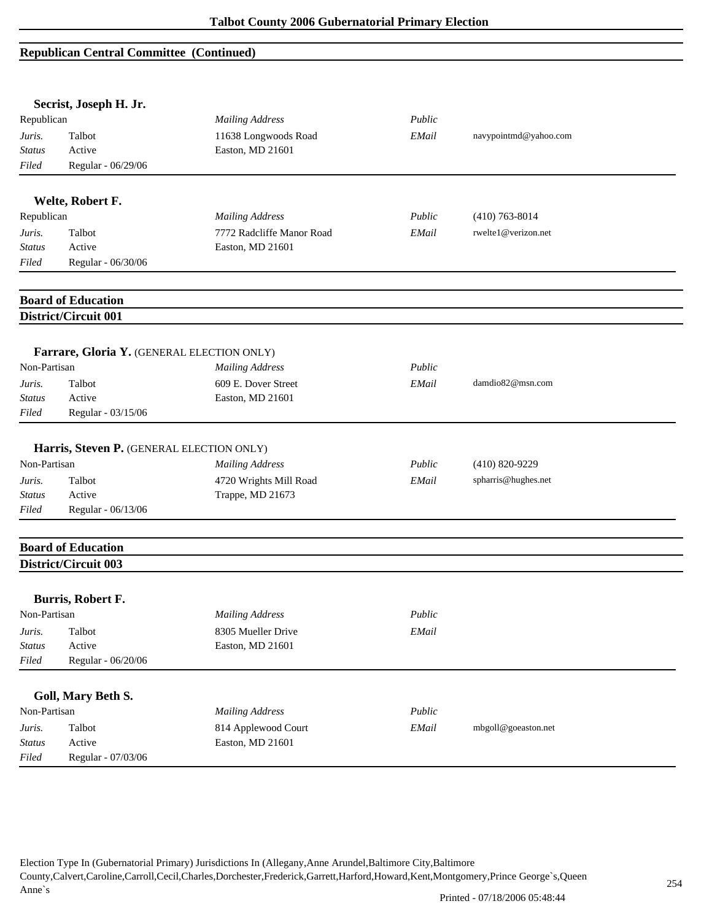#### **Republican Central Committee (Continued)**

|                                         | Secrist, Joseph H. Jr.                                        |                                                                      |                 |                                           |
|-----------------------------------------|---------------------------------------------------------------|----------------------------------------------------------------------|-----------------|-------------------------------------------|
| Republican                              |                                                               | <b>Mailing Address</b>                                               | Public          |                                           |
| Juris.                                  | Talbot                                                        | 11638 Longwoods Road                                                 | EMail           | navypointmd@yahoo.com                     |
| <b>Status</b>                           | Active                                                        | Easton, MD 21601                                                     |                 |                                           |
| Filed                                   | Regular - 06/29/06                                            |                                                                      |                 |                                           |
|                                         | Welte, Robert F.                                              |                                                                      |                 |                                           |
| Republican                              |                                                               | <b>Mailing Address</b>                                               | Public          | $(410)$ 763-8014                          |
| Juris.                                  | Talbot                                                        | 7772 Radcliffe Manor Road                                            | EMail           | rwelte1@verizon.net                       |
| <b>Status</b>                           | Active                                                        | Easton, MD 21601                                                     |                 |                                           |
| Filed                                   | Regular - 06/30/06                                            |                                                                      |                 |                                           |
|                                         | <b>Board of Education</b>                                     |                                                                      |                 |                                           |
|                                         | District/Circuit 001                                          |                                                                      |                 |                                           |
|                                         |                                                               |                                                                      |                 |                                           |
| Non-Partisan                            | Farrare, Gloria Y. (GENERAL ELECTION ONLY)                    | <b>Mailing Address</b>                                               | Public          |                                           |
| Juris.                                  | Talbot                                                        | 609 E. Dover Street                                                  | EMail           | damdio82@msn.com                          |
| <b>Status</b>                           | Active                                                        | Easton, MD 21601                                                     |                 |                                           |
| Filed                                   | Regular - 03/15/06                                            |                                                                      |                 |                                           |
| Non-Partisan<br>Juris.<br><b>Status</b> | Harris, Steven P. (GENERAL ELECTION ONLY)<br>Talbot<br>Active | <b>Mailing Address</b><br>4720 Wrights Mill Road<br>Trappe, MD 21673 | Public<br>EMail | $(410) 820 - 9229$<br>spharris@hughes.net |
| Filed                                   | Regular - 06/13/06                                            |                                                                      |                 |                                           |
|                                         | <b>Board of Education</b>                                     |                                                                      |                 |                                           |
|                                         | District/Circuit 003                                          |                                                                      |                 |                                           |
|                                         | Burris, Robert F.                                             |                                                                      |                 |                                           |
| Non-Partisan                            |                                                               | <b>Mailing Address</b>                                               | Public          |                                           |
| Juris.                                  | Talbot                                                        | 8305 Mueller Drive                                                   | EMail           |                                           |
| <b>Status</b>                           | Active                                                        | Easton, MD 21601                                                     |                 |                                           |
| Filed                                   | Regular - 06/20/06                                            |                                                                      |                 |                                           |
|                                         | Goll, Mary Beth S.                                            |                                                                      |                 |                                           |
| Non-Partisan                            |                                                               | <b>Mailing Address</b>                                               | Public          |                                           |
| Juris.                                  | Talbot                                                        | 814 Applewood Court                                                  | EMail           | mbgoll@goeaston.net                       |
|                                         | Active                                                        | Easton, MD 21601                                                     |                 |                                           |
| <b>Status</b>                           |                                                               |                                                                      |                 |                                           |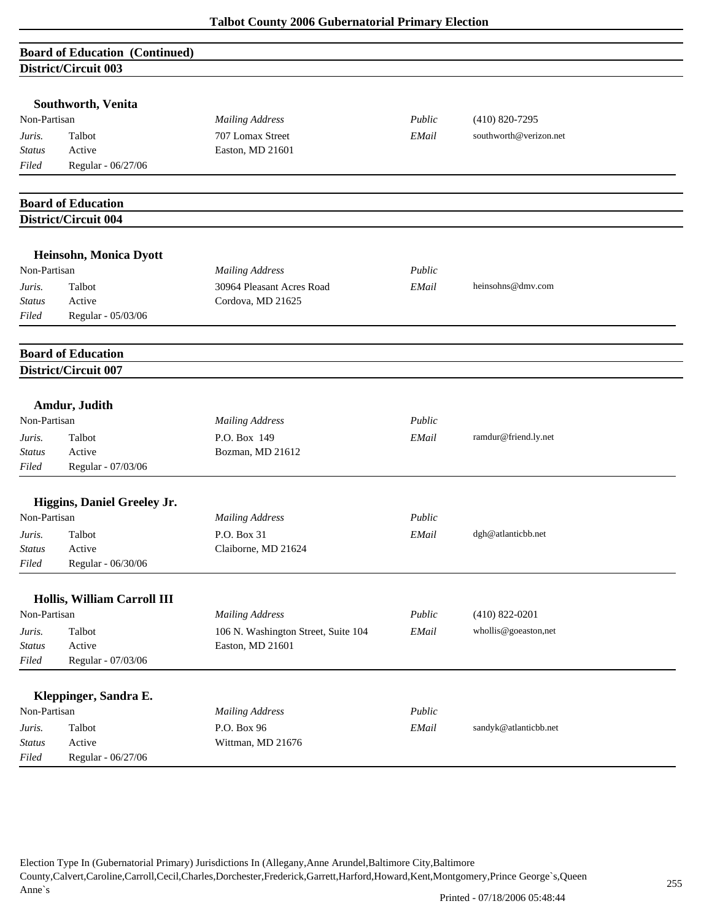| <b>Board of Education (Continued)</b> |  |
|---------------------------------------|--|
| District/Circuit 003                  |  |

|               | Southworth, Venita          |                                     |        |                        |
|---------------|-----------------------------|-------------------------------------|--------|------------------------|
| Non-Partisan  |                             | <b>Mailing Address</b>              | Public | $(410)$ 820-7295       |
| Juris.        | Talbot                      | 707 Lomax Street                    | EMail  | southworth@verizon.net |
| <b>Status</b> | Active                      | Easton, MD 21601                    |        |                        |
| Filed         | Regular - 06/27/06          |                                     |        |                        |
|               | <b>Board of Education</b>   |                                     |        |                        |
|               | District/Circuit 004        |                                     |        |                        |
|               |                             |                                     |        |                        |
|               | Heinsohn, Monica Dyott      |                                     |        |                        |
| Non-Partisan  |                             | <b>Mailing Address</b>              | Public |                        |
| Juris.        | Talbot                      | 30964 Pleasant Acres Road           | EMail  | heinsohns@dmv.com      |
| <b>Status</b> | Active                      | Cordova, MD 21625                   |        |                        |
| Filed         | Regular - 05/03/06          |                                     |        |                        |
|               | <b>Board of Education</b>   |                                     |        |                        |
|               | District/Circuit 007        |                                     |        |                        |
|               |                             |                                     |        |                        |
|               | Amdur, Judith               |                                     |        |                        |
| Non-Partisan  |                             | <b>Mailing Address</b>              | Public |                        |
| Juris.        | Talbot                      | P.O. Box 149                        | EMail  | ramdur@friend.ly.net   |
| <b>Status</b> | Active                      | Bozman, MD 21612                    |        |                        |
| Filed         | Regular - 07/03/06          |                                     |        |                        |
|               | Higgins, Daniel Greeley Jr. |                                     |        |                        |
| Non-Partisan  |                             | <b>Mailing Address</b>              | Public |                        |
| Juris.        | Talbot                      | P.O. Box 31                         | EMail  | dgh@atlanticbb.net     |
| <b>Status</b> | Active                      | Claiborne, MD 21624                 |        |                        |
| Filed         | Regular - 06/30/06          |                                     |        |                        |
|               | Hollis, William Carroll III |                                     |        |                        |
| Non-Partisan  |                             | <b>Mailing Address</b>              | Public | $(410) 822 - 0201$     |
| Juris.        | Talbot                      | 106 N. Washington Street, Suite 104 | EMail  | whollis@goeaston,net   |
| <b>Status</b> | Active                      | Easton, MD 21601                    |        |                        |
| Filed         | Regular - 07/03/06          |                                     |        |                        |
|               |                             |                                     |        |                        |
|               | Kleppinger, Sandra E.       |                                     |        |                        |
| Non-Partisan  |                             | <b>Mailing Address</b>              | Public |                        |
| Juris.        | Talbot                      | P.O. Box 96                         | EMail  | sandyk@atlanticbb.net  |
| <b>Status</b> | Active                      | Wittman, MD 21676                   |        |                        |
| Filed         | Regular - 06/27/06          |                                     |        |                        |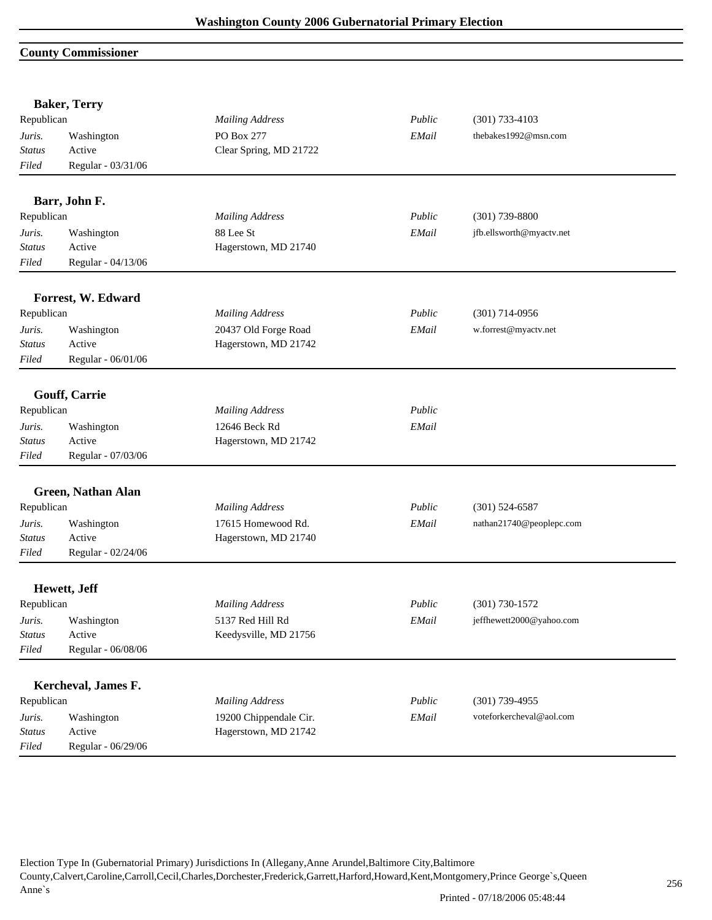#### **County Commissioner**

|                         | <b>Baker, Terry</b>  |                        |        |                          |  |
|-------------------------|----------------------|------------------------|--------|--------------------------|--|
| Republican              |                      | <b>Mailing Address</b> | Public | $(301)$ 733-4103         |  |
| Juris.                  | Washington           | PO Box 277             | EMail  | thebakes1992@msn.com     |  |
| Status                  | Active               | Clear Spring, MD 21722 |        |                          |  |
| Filed                   | Regular - 03/31/06   |                        |        |                          |  |
|                         | Barr, John F.        |                        |        |                          |  |
| Republican              |                      | <b>Mailing Address</b> | Public | $(301)$ 739-8800         |  |
| Juris.                  | Washington           | 88 Lee St              | EMail  | jfb.ellsworth@myactv.net |  |
| <b>Status</b>           | Active               | Hagerstown, MD 21740   |        |                          |  |
| Filed                   | Regular - 04/13/06   |                        |        |                          |  |
|                         |                      |                        |        |                          |  |
|                         | Forrest, W. Edward   |                        |        |                          |  |
| Republican              |                      | <b>Mailing Address</b> | Public | $(301)$ 714-0956         |  |
| Juris.                  | Washington           | 20437 Old Forge Road   | EMail  | w.forrest@myactv.net     |  |
| <b>Status</b>           | Active               | Hagerstown, MD 21742   |        |                          |  |
| Filed                   | Regular - 06/01/06   |                        |        |                          |  |
|                         |                      |                        |        |                          |  |
|                         | Gouff, Carrie        |                        |        |                          |  |
| Republican              |                      | <b>Mailing Address</b> | Public |                          |  |
| Juris.                  | Washington           | 12646 Beck Rd          | EMail  |                          |  |
| <b>Status</b>           | Active               | Hagerstown, MD 21742   |        |                          |  |
| Filed                   | Regular - 07/03/06   |                        |        |                          |  |
|                         | Green, Nathan Alan   |                        |        |                          |  |
| Republican              |                      | <b>Mailing Address</b> | Public | $(301)$ 524-6587         |  |
|                         |                      |                        |        |                          |  |
| Juris.<br><b>Status</b> | Washington<br>Active | 17615 Homewood Rd.     | EMail  | nathan21740@peoplepc.com |  |
| Filed                   | Regular - 02/24/06   | Hagerstown, MD 21740   |        |                          |  |
|                         |                      |                        |        |                          |  |
|                         | Hewett, Jeff         |                        |        |                          |  |
| Republican              |                      | <b>Mailing Address</b> | Public | $(301) 730 - 1572$       |  |
| Juris.                  | Washington           | 5137 Red Hill Rd       | EMail  | jeffhewett2000@yahoo.com |  |
| <b>Status</b>           | Active               | Keedysville, MD 21756  |        |                          |  |
| Filed                   | Regular - 06/08/06   |                        |        |                          |  |
|                         |                      |                        |        |                          |  |
|                         | Kercheval, James F.  |                        |        |                          |  |
| Republican              |                      | <b>Mailing Address</b> | Public | $(301)$ 739-4955         |  |
| Juris.                  | Washington           | 19200 Chippendale Cir. | EMail  | voteforkercheval@aol.com |  |
| <b>Status</b>           | Active               | Hagerstown, MD 21742   |        |                          |  |
| Filed                   | Regular - 06/29/06   |                        |        |                          |  |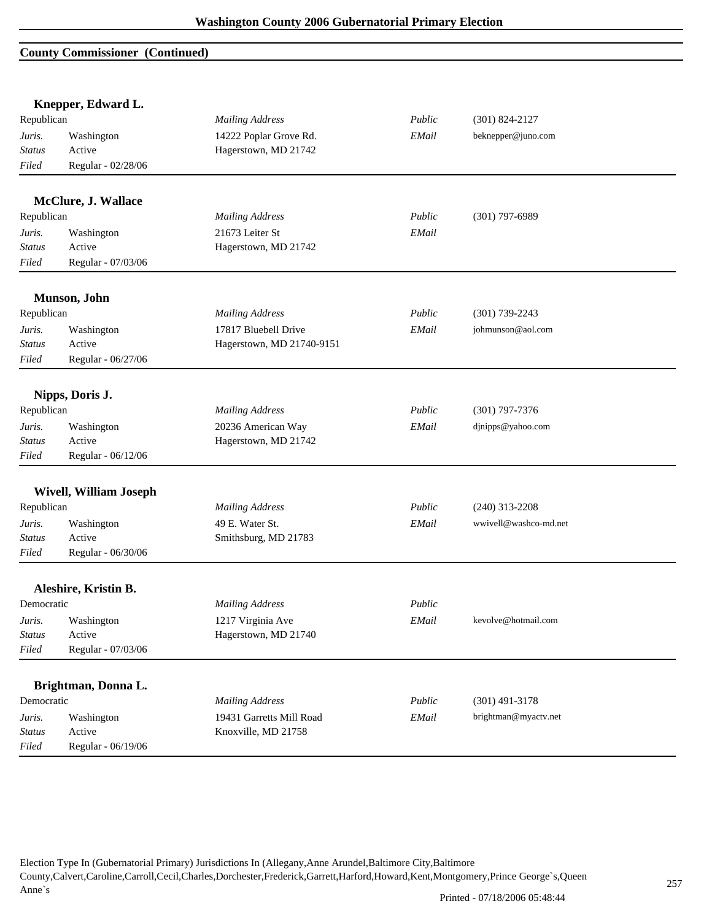### **County Commissioner (Continued)**

| Knepper, Edward L. |                               |                           |        |                       |
|--------------------|-------------------------------|---------------------------|--------|-----------------------|
| Republican         |                               | <b>Mailing Address</b>    | Public | $(301) 824 - 2127$    |
| Juris.             | Washington                    | 14222 Poplar Grove Rd.    | EMail  | beknepper@juno.com    |
| <b>Status</b>      | Active                        | Hagerstown, MD 21742      |        |                       |
| Filed              | Regular - 02/28/06            |                           |        |                       |
|                    | McClure, J. Wallace           |                           |        |                       |
| Republican         |                               | <b>Mailing Address</b>    | Public | $(301)$ 797-6989      |
| Juris.             | Washington                    | 21673 Leiter St           | EMail  |                       |
| <b>Status</b>      | Active                        | Hagerstown, MD 21742      |        |                       |
| Filed              | Regular - 07/03/06            |                           |        |                       |
|                    |                               |                           |        |                       |
|                    | Munson, John                  |                           |        |                       |
| Republican         |                               | <b>Mailing Address</b>    | Public | $(301)$ 739-2243      |
| Juris.             | Washington                    | 17817 Bluebell Drive      | EMail  | johmunson@aol.com     |
| <b>Status</b>      | Active                        | Hagerstown, MD 21740-9151 |        |                       |
| Filed              | Regular - 06/27/06            |                           |        |                       |
|                    | Nipps, Doris J.               |                           |        |                       |
| Republican         |                               | <b>Mailing Address</b>    | Public | $(301)$ 797-7376      |
| Juris.             | Washington                    | 20236 American Way        | EMail  | djnipps@yahoo.com     |
| <b>Status</b>      | Active                        | Hagerstown, MD 21742      |        |                       |
| Filed              | Regular - 06/12/06            |                           |        |                       |
|                    | <b>Wivell, William Joseph</b> |                           |        |                       |
| Republican         |                               | <b>Mailing Address</b>    | Public | $(240)$ 313-2208      |
| Juris.             | Washington                    | 49 E. Water St.           | EMail  | wwivell@washco-md.net |
| <b>Status</b>      | Active                        | Smithsburg, MD 21783      |        |                       |
| Filed              | Regular - 06/30/06            |                           |        |                       |
|                    | Aleshire, Kristin B.          |                           |        |                       |
| Democratic         |                               | <b>Mailing Address</b>    | Public |                       |
| Juris.             | Washington                    | 1217 Virginia Ave         | EMail  | kevolve@hotmail.com   |
| <b>Status</b>      | Active                        | Hagerstown, MD 21740      |        |                       |
| Filed              | Regular - 07/03/06            |                           |        |                       |
|                    |                               |                           |        |                       |
|                    | Brightman, Donna L.           |                           |        |                       |
| Democratic         |                               | <b>Mailing Address</b>    | Public | $(301)$ 491-3178      |
| Juris.             | Washington                    | 19431 Garretts Mill Road  | EMail  | brightman@myactv.net  |
| <b>Status</b>      | Active                        | Knoxville, MD 21758       |        |                       |
| Filed              | Regular - 06/19/06            |                           |        |                       |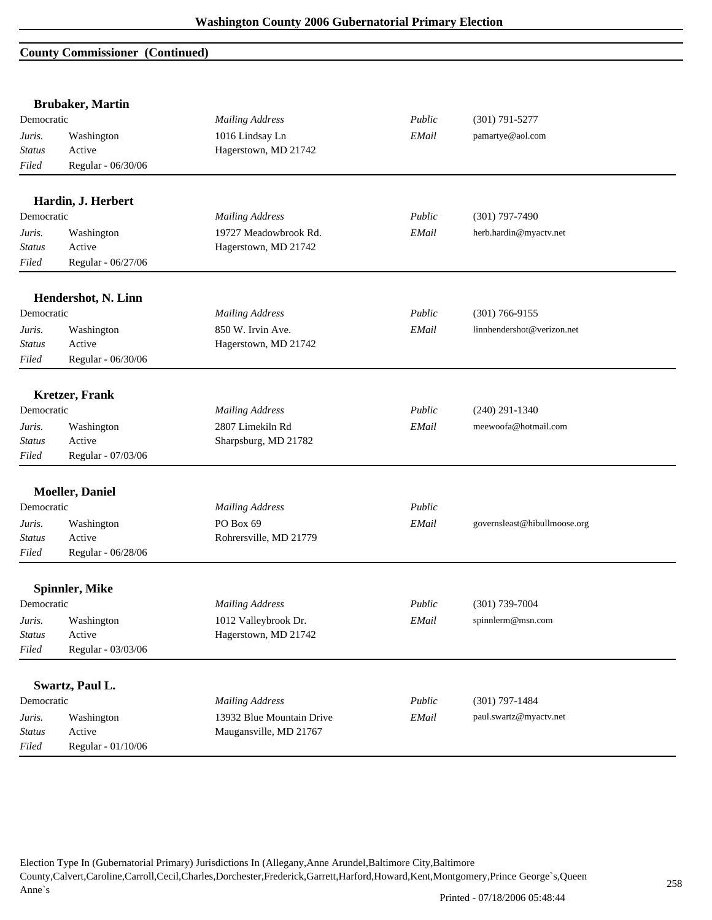#### **County Commissioner (Continued)**

|               | <b>Brubaker</b> , Martin |                           |        |                              |
|---------------|--------------------------|---------------------------|--------|------------------------------|
| Democratic    |                          | <b>Mailing Address</b>    | Public | $(301) 791 - 5277$           |
| Juris.        | Washington               | 1016 Lindsay Ln           | EMail  | pamartye@aol.com             |
| <b>Status</b> | Active                   | Hagerstown, MD 21742      |        |                              |
| Filed         | Regular - 06/30/06       |                           |        |                              |
|               | Hardin, J. Herbert       |                           |        |                              |
| Democratic    |                          | <b>Mailing Address</b>    | Public | $(301)$ 797-7490             |
| Juris.        | Washington               | 19727 Meadowbrook Rd.     | EMail  | herb.hardin@myactv.net       |
| <b>Status</b> | Active                   | Hagerstown, MD 21742      |        |                              |
| Filed         | Regular - 06/27/06       |                           |        |                              |
|               |                          |                           |        |                              |
| Democratic    | Hendershot, N. Linn      | <b>Mailing Address</b>    | Public | $(301) 766 - 9155$           |
|               |                          | 850 W. Irvin Ave.         |        |                              |
| Juris.        | Washington               |                           | EMail  | linnhendershot@verizon.net   |
| <b>Status</b> | Active                   | Hagerstown, MD 21742      |        |                              |
| Filed         | Regular - 06/30/06       |                           |        |                              |
|               | <b>Kretzer</b> , Frank   |                           |        |                              |
| Democratic    |                          | <b>Mailing Address</b>    | Public | $(240)$ 291-1340             |
| Juris.        | Washington               | 2807 Limekiln Rd          | EMail  | meewoofa@hotmail.com         |
| <b>Status</b> | Active                   | Sharpsburg, MD 21782      |        |                              |
| Filed         | Regular - 07/03/06       |                           |        |                              |
|               | <b>Moeller</b> , Daniel  |                           |        |                              |
| Democratic    |                          | <b>Mailing Address</b>    | Public |                              |
| Juris.        | Washington               | PO Box 69                 | EMail  | governsleast@hibullmoose.org |
| <b>Status</b> | Active                   | Rohrersville, MD 21779    |        |                              |
| Filed         | Regular - 06/28/06       |                           |        |                              |
|               | <b>Spinnler, Mike</b>    |                           |        |                              |
| Democratic    |                          | <b>Mailing Address</b>    | Public | $(301)$ 739-7004             |
| Juris.        | Washington               | 1012 Valleybrook Dr.      | EMail  | spinnlerm@msn.com            |
| <b>Status</b> | Active                   | Hagerstown, MD 21742      |        |                              |
| Filed         | Regular - 03/03/06       |                           |        |                              |
|               |                          |                           |        |                              |
|               | Swartz, Paul L.          |                           |        |                              |
| Democratic    |                          | <b>Mailing Address</b>    | Public | $(301) 797 - 1484$           |
| Juris.        | Washington               | 13932 Blue Mountain Drive | EMail  | paul.swartz@myactv.net       |
| <b>Status</b> | Active                   | Maugansville, MD 21767    |        |                              |
| Filed         | Regular - 01/10/06       |                           |        |                              |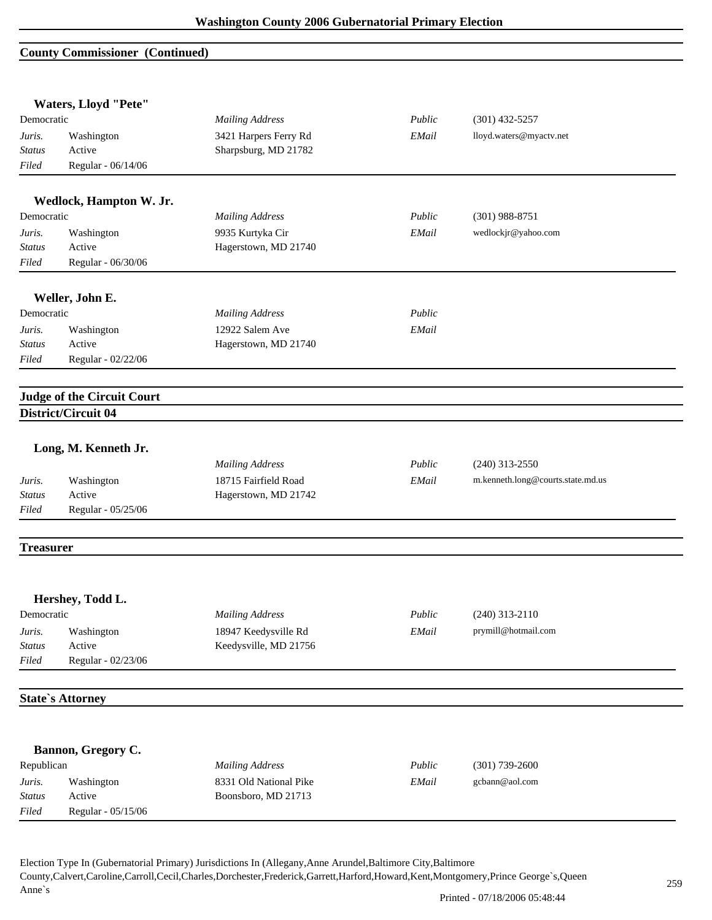#### **County Commissioner (Continued)**

|                  | Waters, Lloyd "Pete"              |                        |        |                                   |
|------------------|-----------------------------------|------------------------|--------|-----------------------------------|
| Democratic       |                                   | <b>Mailing Address</b> | Public | $(301)$ 432-5257                  |
| Juris.           | Washington                        | 3421 Harpers Ferry Rd  | EMail  | lloyd.waters@myactv.net           |
| <b>Status</b>    | Active                            | Sharpsburg, MD 21782   |        |                                   |
| Filed            | Regular - 06/14/06                |                        |        |                                   |
|                  | Wedlock, Hampton W. Jr.           |                        |        |                                   |
| Democratic       |                                   | <b>Mailing Address</b> | Public | $(301)$ 988-8751                  |
| Juris.           | Washington                        | 9935 Kurtyka Cir       | EMail  | wedlockjr@yahoo.com               |
| Status           | Active                            | Hagerstown, MD 21740   |        |                                   |
| Filed            | Regular - 06/30/06                |                        |        |                                   |
|                  | Weller, John E.                   |                        |        |                                   |
| Democratic       |                                   | <b>Mailing Address</b> | Public |                                   |
| Juris.           | Washington                        | 12922 Salem Ave        | EMail  |                                   |
| Status           | Active                            | Hagerstown, MD 21740   |        |                                   |
| Filed            | Regular - 02/22/06                |                        |        |                                   |
|                  | <b>Judge of the Circuit Court</b> |                        |        |                                   |
|                  | District/Circuit 04               |                        |        |                                   |
|                  | Long, M. Kenneth Jr.              |                        |        |                                   |
|                  |                                   | <b>Mailing Address</b> | Public | $(240)$ 313-2550                  |
| Juris.           | Washington                        | 18715 Fairfield Road   | EMail  | m.kenneth.long@courts.state.md.us |
| <b>Status</b>    | Active                            | Hagerstown, MD 21742   |        |                                   |
| Filed            | Regular - 05/25/06                |                        |        |                                   |
| <b>Treasurer</b> |                                   |                        |        |                                   |
|                  | Hershey, Todd L.                  |                        |        |                                   |
| Democratic       |                                   | <b>Mailing Address</b> | Public | $(240)$ 313-2110                  |
| Juris.           | Washington                        | 18947 Keedysville Rd   | EMail  | prymill@hotmail.com               |
| <b>Status</b>    | Active                            | Keedysville, MD 21756  |        |                                   |
| Filed            | Regular - 02/23/06                |                        |        |                                   |
|                  | <b>State's Attorney</b>           |                        |        |                                   |
|                  |                                   |                        |        |                                   |
|                  | Bannon, Gregory C.                |                        |        |                                   |
| Republican       |                                   | <b>Mailing Address</b> | Public | $(301)$ 739-2600                  |
| Juris.           | Washington                        | 8331 Old National Pike | EMail  | gcbann@aol.com                    |
| <b>Status</b>    | Active                            | Boonsboro, MD 21713    |        |                                   |
| Filed            | Regular - 05/15/06                |                        |        |                                   |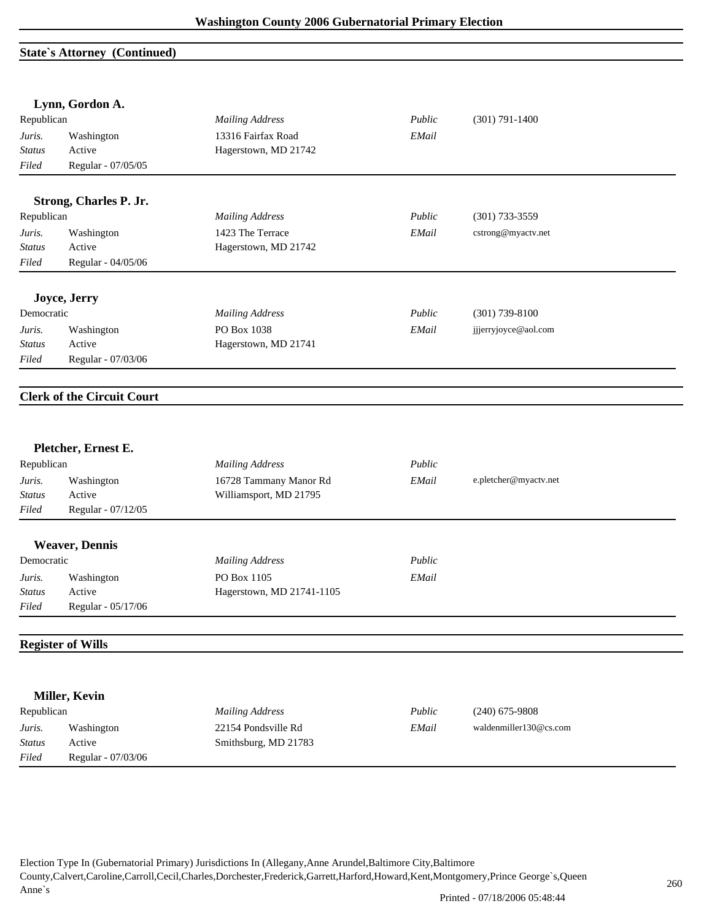# **State`s Attorney (Continued)**

|                        | Lynn, Gordon A.                   |                           |        |                        |
|------------------------|-----------------------------------|---------------------------|--------|------------------------|
| Republican             |                                   | <b>Mailing Address</b>    | Public | $(301) 791 - 1400$     |
| Juris.                 | Washington                        | 13316 Fairfax Road        | EMail  |                        |
| <b>Status</b>          | Active                            | Hagerstown, MD 21742      |        |                        |
| Filed                  | Regular - 07/05/05                |                           |        |                        |
|                        |                                   |                           |        |                        |
|                        | Strong, Charles P. Jr.            |                           |        |                        |
| Republican             |                                   | <b>Mailing Address</b>    | Public | $(301)$ 733-3559       |
| Juris.                 | Washington                        | 1423 The Terrace          | EMail  | cstrong@myactv.net     |
| <b>Status</b>          | Active                            | Hagerstown, MD 21742      |        |                        |
| Filed                  | Regular - 04/05/06                |                           |        |                        |
|                        | Joyce, Jerry                      |                           |        |                        |
| Democratic             |                                   | <b>Mailing Address</b>    | Public | $(301)$ 739-8100       |
|                        |                                   | PO Box 1038               | EMail  | jjjerryjoyce@aol.com   |
| Juris.                 | Washington                        |                           |        |                        |
| <b>Status</b><br>Filed | Active<br>Regular - 07/03/06      | Hagerstown, MD 21741      |        |                        |
|                        |                                   |                           |        |                        |
|                        | <b>Clerk of the Circuit Court</b> |                           |        |                        |
|                        |                                   |                           |        |                        |
|                        | Pletcher, Ernest E.               |                           |        |                        |
| Republican             |                                   | <b>Mailing Address</b>    | Public |                        |
| Juris.                 | Washington                        | 16728 Tammany Manor Rd    | EMail  | e.pletcher@myactv.net  |
| <i>Status</i>          | Active                            | Williamsport, MD 21795    |        |                        |
| Filed                  | Regular - 07/12/05                |                           |        |                        |
|                        | <b>Weaver, Dennis</b>             |                           |        |                        |
| Democratic             |                                   | <b>Mailing Address</b>    | Public |                        |
| Juris.                 | Washington                        | PO Box 1105               | EMail  |                        |
| <b>Status</b>          | Active                            | Hagerstown, MD 21741-1105 |        |                        |
| $Filed$                | Regular - 05/17/06                |                           |        |                        |
|                        |                                   |                           |        |                        |
|                        | <b>Register of Wills</b>          |                           |        |                        |
|                        |                                   |                           |        |                        |
|                        | Miller, Kevin                     |                           |        |                        |
| Republican             |                                   | <b>Mailing Address</b>    | Public | $(240)$ 675-9808       |
| Juris.                 | Washington                        | 22154 Pondsville Rd       | EMail  | waldenmiller130@cs.com |
| <b>Status</b>          | Active                            | Smithsburg, MD 21783      |        |                        |
| Filed                  | Regular - 07/03/06                |                           |        |                        |
|                        |                                   |                           |        |                        |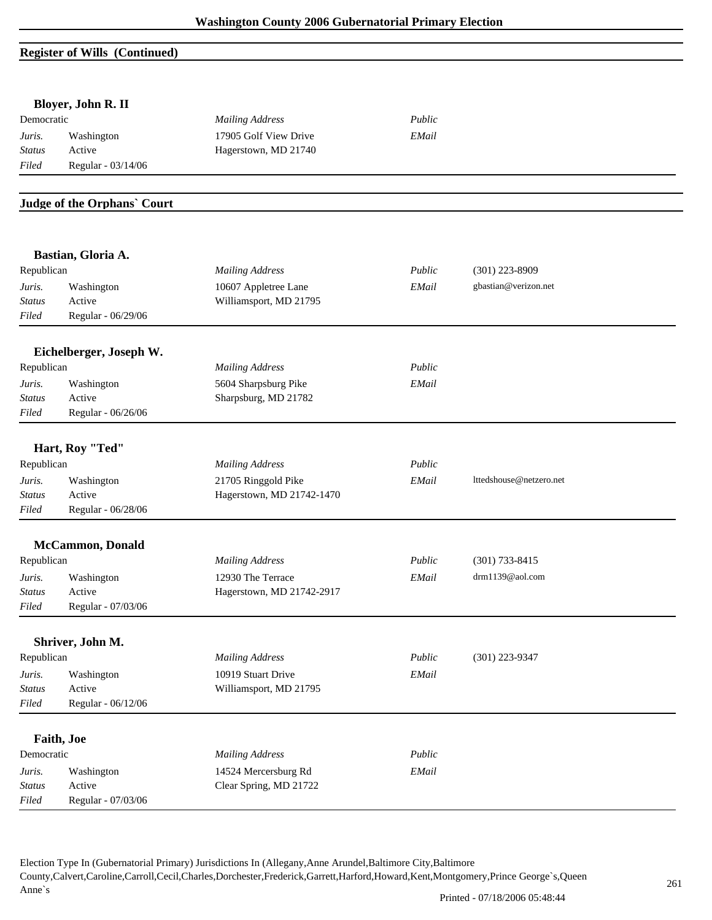# **Register of Wills (Continued)**

|               | Bloyer, John R. II          |                           |        |                         |  |
|---------------|-----------------------------|---------------------------|--------|-------------------------|--|
| Democratic    |                             | <b>Mailing Address</b>    | Public |                         |  |
| Juris.        | Washington                  | 17905 Golf View Drive     | EMail  |                         |  |
| Status        | Active                      | Hagerstown, MD 21740      |        |                         |  |
| Filed         | Regular - 03/14/06          |                           |        |                         |  |
|               | Judge of the Orphans' Court |                           |        |                         |  |
|               | Bastian, Gloria A.          |                           |        |                         |  |
| Republican    |                             | <b>Mailing Address</b>    | Public | $(301)$ 223-8909        |  |
| Juris.        | Washington                  | 10607 Appletree Lane      | EMail  | gbastian@verizon.net    |  |
| <b>Status</b> | Active                      | Williamsport, MD 21795    |        |                         |  |
| Filed         | Regular - 06/29/06          |                           |        |                         |  |
|               | Eichelberger, Joseph W.     |                           |        |                         |  |
| Republican    |                             | <b>Mailing Address</b>    | Public |                         |  |
| Juris.        | Washington                  | 5604 Sharpsburg Pike      | EMail  |                         |  |
| <b>Status</b> | Active                      | Sharpsburg, MD 21782      |        |                         |  |
| Filed         | Regular - 06/26/06          |                           |        |                         |  |
|               | Hart, Roy "Ted"             |                           |        |                         |  |
| Republican    |                             | <b>Mailing Address</b>    | Public |                         |  |
| Juris.        | Washington                  | 21705 Ringgold Pike       | EMail  | lttedshouse@netzero.net |  |
| <b>Status</b> | Active                      | Hagerstown, MD 21742-1470 |        |                         |  |
| Filed         | Regular - 06/28/06          |                           |        |                         |  |
|               | <b>McCammon</b> , Donald    |                           |        |                         |  |
| Republican    |                             | <b>Mailing Address</b>    | Public | $(301) 733 - 8415$      |  |
| Juris.        | Washington                  | 12930 The Terrace         | EMail  | drm1139@aol.com         |  |
| <i>Status</i> | Active                      | Hagerstown, MD 21742-2917 |        |                         |  |
| Filed         | Regular - 07/03/06          |                           |        |                         |  |
|               |                             |                           |        |                         |  |
| Republican    | Shriver, John M.            | <b>Mailing Address</b>    | Public | (301) 223-9347          |  |
| Juris.        | Washington                  | 10919 Stuart Drive        | EMail  |                         |  |
| <b>Status</b> | Active                      | Williamsport, MD 21795    |        |                         |  |
| Filed         | Regular - 06/12/06          |                           |        |                         |  |
|               |                             |                           |        |                         |  |
|               | Faith, Joe                  |                           |        |                         |  |
| Democratic    |                             | <b>Mailing Address</b>    | Public |                         |  |
| Juris.        | Washington                  | 14524 Mercersburg Rd      | EMail  |                         |  |
| <b>Status</b> | Active                      | Clear Spring, MD 21722    |        |                         |  |
| $Filed$       | Regular - 07/03/06          |                           |        |                         |  |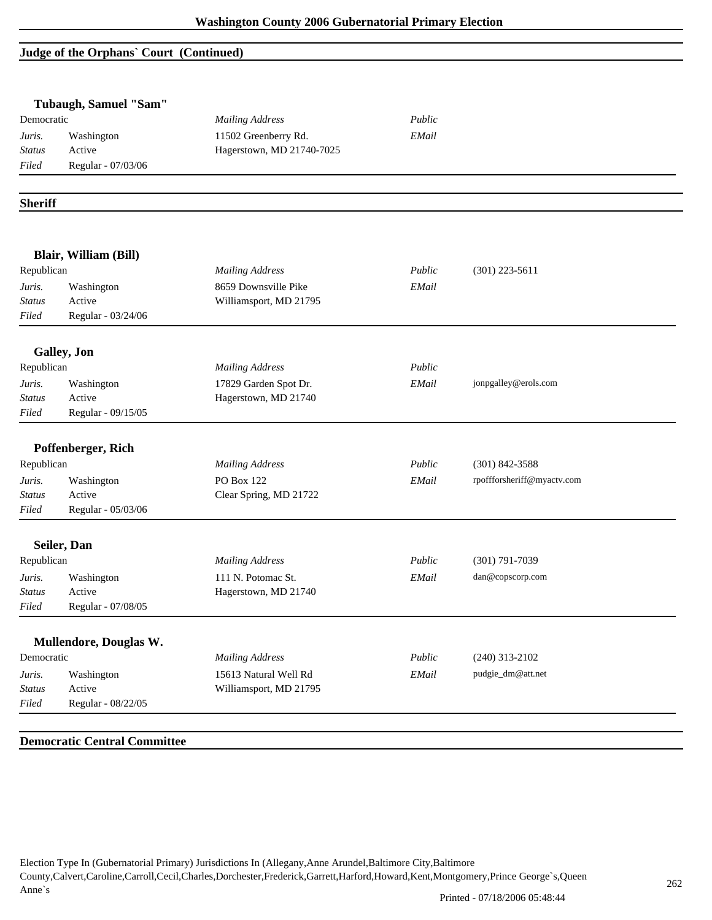#### **Judge of the Orphans` Court (Continued)**

|                | Tubaugh, Samuel "Sam"        |                           |        |                            |  |
|----------------|------------------------------|---------------------------|--------|----------------------------|--|
| Democratic     |                              | <b>Mailing Address</b>    | Public |                            |  |
| Juris.         | Washington                   | 11502 Greenberry Rd.      | EMail  |                            |  |
| <b>Status</b>  | Active                       | Hagerstown, MD 21740-7025 |        |                            |  |
| Filed          | Regular - 07/03/06           |                           |        |                            |  |
|                |                              |                           |        |                            |  |
| <b>Sheriff</b> |                              |                           |        |                            |  |
|                | <b>Blair, William (Bill)</b> |                           |        |                            |  |
| Republican     |                              | <b>Mailing Address</b>    | Public | $(301)$ 223-5611           |  |
| Juris.         | Washington                   | 8659 Downsville Pike      | EMail  |                            |  |
| <b>Status</b>  | Active                       | Williamsport, MD 21795    |        |                            |  |
| Filed          | Regular - 03/24/06           |                           |        |                            |  |
|                |                              |                           |        |                            |  |
|                | Galley, Jon                  |                           |        |                            |  |
| Republican     |                              | <b>Mailing Address</b>    | Public |                            |  |
| Juris.         | Washington                   | 17829 Garden Spot Dr.     | EMail  | jonpgalley@erols.com       |  |
| <b>Status</b>  | Active                       | Hagerstown, MD 21740      |        |                            |  |
| Filed          | Regular - 09/15/05           |                           |        |                            |  |
|                | Poffenberger, Rich           |                           |        |                            |  |
| Republican     |                              | <b>Mailing Address</b>    | Public | $(301) 842 - 3588$         |  |
| Juris.         | Washington                   | PO Box 122                | EMail  | rpoffforsheriff@myactv.com |  |
| <b>Status</b>  | Active                       | Clear Spring, MD 21722    |        |                            |  |
| Filed          | Regular - 05/03/06           |                           |        |                            |  |
|                |                              |                           |        |                            |  |
|                | Seiler, Dan                  |                           |        |                            |  |
| Republican     |                              | <b>Mailing Address</b>    | Public | $(301)$ 791-7039           |  |
| Juris.         | Washington                   | 111 N. Potomac St.        | EMail  | dan@copscorp.com           |  |
| <i>Status</i>  | Active                       | Hagerstown, MD 21740      |        |                            |  |
| $Filed$        | Regular - 07/08/05           |                           |        |                            |  |
|                | Mullendore, Douglas W.       |                           |        |                            |  |
| Democratic     |                              | <b>Mailing Address</b>    | Public | $(240)$ 313-2102           |  |
| Juris.         | Washington                   | 15613 Natural Well Rd     | EMail  | pudgie_dm@att.net          |  |
| Status         | Active                       | Williamsport, MD 21795    |        |                            |  |
| Filed          | Regular - 08/22/05           |                           |        |                            |  |

# **Democratic Central Committee**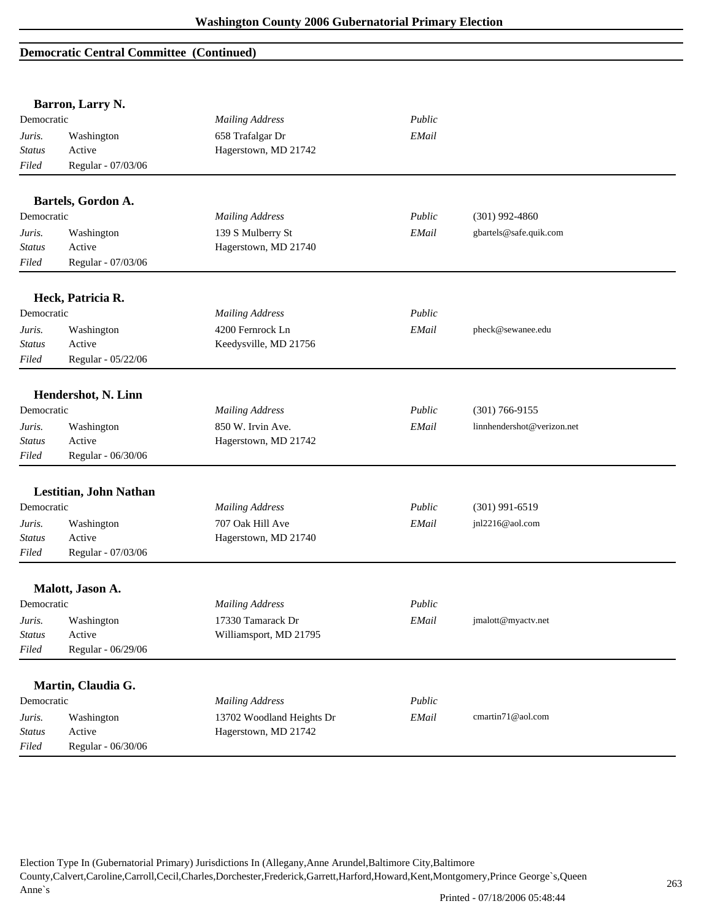## **Democratic Central Committee (Continued)**

|                        | Barron, Larry N.             |                           |        |                            |
|------------------------|------------------------------|---------------------------|--------|----------------------------|
| Democratic             |                              | <b>Mailing Address</b>    | Public |                            |
| Juris.                 | Washington                   | 658 Trafalgar Dr          | EMail  |                            |
| <b>Status</b>          | Active                       | Hagerstown, MD 21742      |        |                            |
| Filed                  | Regular - 07/03/06           |                           |        |                            |
|                        |                              |                           |        |                            |
|                        | Bartels, Gordon A.           |                           |        |                            |
| Democratic             |                              | <b>Mailing Address</b>    | Public | $(301)$ 992-4860           |
| Juris.                 | Washington                   | 139 S Mulberry St         | EMail  | gbartels@safe.quik.com     |
| <b>Status</b>          | Active                       | Hagerstown, MD 21740      |        |                            |
| Filed                  | Regular - 07/03/06           |                           |        |                            |
|                        | Heck, Patricia R.            |                           |        |                            |
| Democratic             |                              | <b>Mailing Address</b>    | Public |                            |
|                        |                              | 4200 Fernrock Ln          | EMail  | pheck@sewanee.edu          |
| Juris.                 | Washington                   |                           |        |                            |
| <b>Status</b><br>Filed | Active<br>Regular - 05/22/06 | Keedysville, MD 21756     |        |                            |
|                        |                              |                           |        |                            |
|                        | Hendershot, N. Linn          |                           |        |                            |
| Democratic             |                              | <b>Mailing Address</b>    | Public | $(301) 766 - 9155$         |
| Juris.                 | Washington                   | 850 W. Irvin Ave.         | EMail  | linnhendershot@verizon.net |
| <b>Status</b>          | Active                       | Hagerstown, MD 21742      |        |                            |
| Filed                  | Regular - 06/30/06           |                           |        |                            |
|                        |                              |                           |        |                            |
| Democratic             | Lestitian, John Nathan       |                           | Public | $(301)$ 991-6519           |
|                        |                              | <b>Mailing Address</b>    |        |                            |
| Juris.                 | Washington                   | 707 Oak Hill Ave          | EMail  | jnl2216@aol.com            |
| <b>Status</b>          | Active                       | Hagerstown, MD 21740      |        |                            |
| Filed                  | Regular - 07/03/06           |                           |        |                            |
|                        | Malott, Jason A.             |                           |        |                            |
| Democratic             |                              | <b>Mailing Address</b>    | Public |                            |
| Juris.                 | Washington                   | 17330 Tamarack Dr         | EMail  | jmalott@myactv.net         |
| <b>Status</b>          | Active                       | Williamsport, MD 21795    |        |                            |
| Filed                  | Regular - 06/29/06           |                           |        |                            |
|                        |                              |                           |        |                            |
|                        | Martin, Claudia G.           |                           |        |                            |
| Democratic             |                              | <b>Mailing Address</b>    | Public |                            |
| Juris.                 | Washington                   | 13702 Woodland Heights Dr | EMail  | cmartin71@aol.com          |
| <b>Status</b>          | Active                       | Hagerstown, MD 21742      |        |                            |
| Filed                  | Regular - 06/30/06           |                           |        |                            |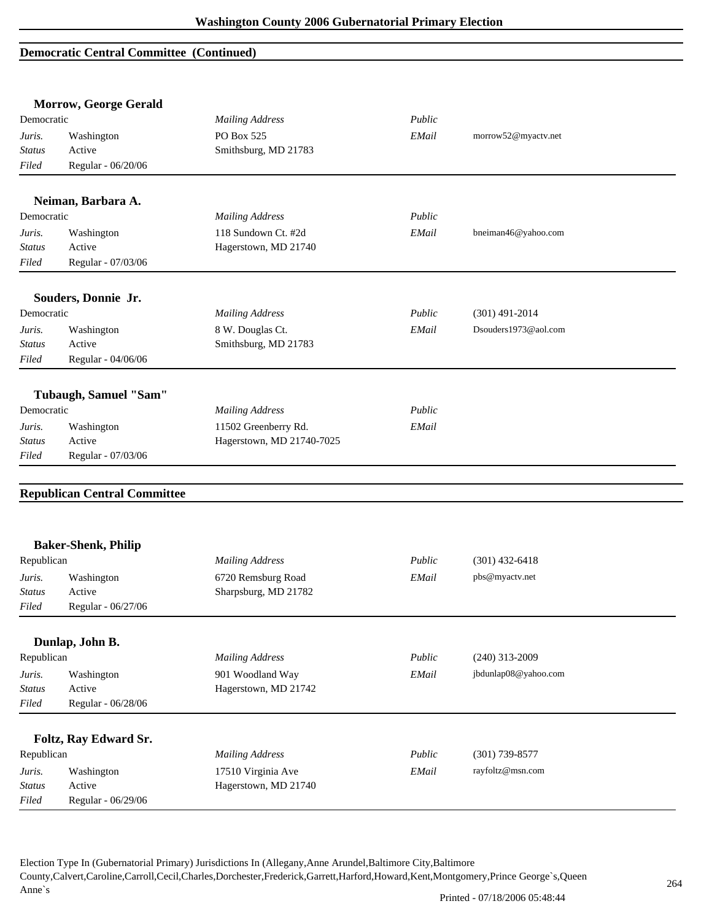## **Democratic Central Committee (Continued)**

|                  | <b>Morrow, George Gerald</b>        |                                             |        |                      |
|------------------|-------------------------------------|---------------------------------------------|--------|----------------------|
| Democratic       |                                     | <b>Mailing Address</b>                      | Public |                      |
| Juris.           | Washington                          | PO Box 525                                  | EMail  | morrow52@myactv.net  |
| Status           | Active                              | Smithsburg, MD 21783                        |        |                      |
| Filed            | Regular - 06/20/06                  |                                             |        |                      |
|                  | Neiman, Barbara A.                  |                                             |        |                      |
| Democratic       |                                     | <b>Mailing Address</b>                      | Public |                      |
|                  |                                     |                                             | EMail  | bneiman46@yahoo.com  |
| Juris.<br>Status | Washington<br>Active                | 118 Sundown Ct. #2d<br>Hagerstown, MD 21740 |        |                      |
| Filed            | Regular - 07/03/06                  |                                             |        |                      |
|                  |                                     |                                             |        |                      |
| Democratic       | Souders, Donnie Jr.                 |                                             | Public |                      |
|                  |                                     | <b>Mailing Address</b>                      |        | $(301)$ 491-2014     |
| Juris.           | Washington                          | 8 W. Douglas Ct.                            | EMail  | Dsouders1973@aol.com |
| Status           | Active                              | Smithsburg, MD 21783                        |        |                      |
| Filed            | Regular - 04/06/06                  |                                             |        |                      |
|                  | Tubaugh, Samuel "Sam"               |                                             |        |                      |
| Democratic       |                                     | <b>Mailing Address</b>                      | Public |                      |
| Juris.           | Washington                          | 11502 Greenberry Rd.                        | EMail  |                      |
| <b>Status</b>    | Active                              | Hagerstown, MD 21740-7025                   |        |                      |
| Filed            | Regular - 07/03/06                  |                                             |        |                      |
|                  |                                     |                                             |        |                      |
|                  | <b>Republican Central Committee</b> |                                             |        |                      |
|                  |                                     |                                             |        |                      |
|                  | <b>Baker-Shenk, Philip</b>          |                                             |        |                      |
| Republican       |                                     | <b>Mailing Address</b>                      | Public | $(301)$ 432-6418     |
| Juris.           | Washington                          | 6720 Remsburg Road                          | EMail  | pbs@myactv.net       |
| Status           | Active                              | Sharpsburg, MD 21782                        |        |                      |
| Filed            | Regular - $06/27/06$                |                                             |        |                      |
|                  | Dunlap, John B.                     |                                             |        |                      |
| Republican       |                                     | <b>Mailing Address</b>                      | Public | $(240)$ 313-2009     |
| Juris.           | Washington                          | 901 Woodland Way                            | EMail  | jbdunlap08@yahoo.com |
| <b>Status</b>    | Active                              | Hagerstown, MD 21742                        |        |                      |
| Filed            | Regular - 06/28/06                  |                                             |        |                      |
|                  |                                     |                                             |        |                      |
|                  | Foltz, Ray Edward Sr.               |                                             |        |                      |
| Republican       |                                     | <b>Mailing Address</b>                      | Public | $(301)$ 739-8577     |
| Juris.           | Washington                          | 17510 Virginia Ave                          | EMail  | rayfoltz@msn.com     |
| <b>Status</b>    | Active                              | Hagerstown, MD 21740                        |        |                      |
| Filed            | Regular - 06/29/06                  |                                             |        |                      |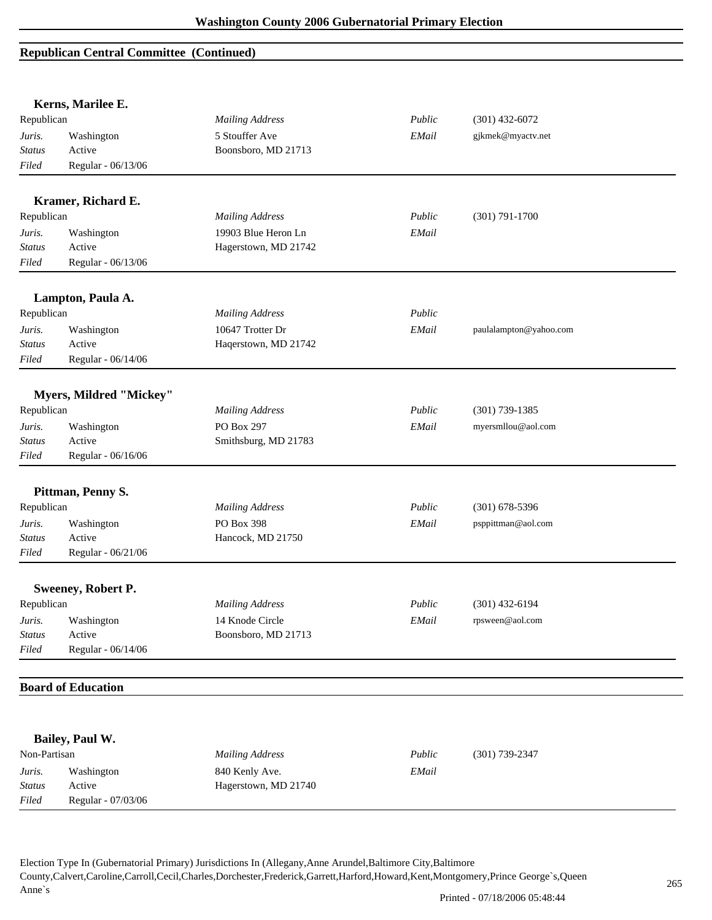# **Republican Central Committee (Continued)**

|               | Kerns, Marilee E.         |                        |        |                        |  |
|---------------|---------------------------|------------------------|--------|------------------------|--|
| Republican    |                           | <b>Mailing Address</b> | Public | $(301)$ 432-6072       |  |
| Juris.        | Washington                | 5 Stouffer Ave         | EMail  | gjkmek@myactv.net      |  |
| <b>Status</b> | Active                    | Boonsboro, MD 21713    |        |                        |  |
| Filed         | Regular - 06/13/06        |                        |        |                        |  |
|               | Kramer, Richard E.        |                        |        |                        |  |
| Republican    |                           | <b>Mailing Address</b> | Public | $(301) 791 - 1700$     |  |
| Juris.        | Washington                | 19903 Blue Heron Ln    | EMail  |                        |  |
| <b>Status</b> | Active                    | Hagerstown, MD 21742   |        |                        |  |
| Filed         | Regular - 06/13/06        |                        |        |                        |  |
|               | Lampton, Paula A.         |                        |        |                        |  |
| Republican    |                           | <b>Mailing Address</b> | Public |                        |  |
| Juris.        | Washington                | 10647 Trotter Dr       | EMail  | paulalampton@yahoo.com |  |
| Status        | Active                    | Haqerstown, MD 21742   |        |                        |  |
| Filed         | Regular - 06/14/06        |                        |        |                        |  |
|               | Myers, Mildred "Mickey"   |                        |        |                        |  |
| Republican    |                           | <b>Mailing Address</b> | Public | $(301)$ 739-1385       |  |
| Juris.        | Washington                | PO Box 297             | EMail  | myersmllou@aol.com     |  |
| Status        | Active                    | Smithsburg, MD 21783   |        |                        |  |
| Filed         | Regular - 06/16/06        |                        |        |                        |  |
|               | Pittman, Penny S.         |                        |        |                        |  |
| Republican    |                           | <b>Mailing Address</b> | Public | $(301) 678 - 5396$     |  |
| Juris.        | Washington                | PO Box 398             | EMail  | psppittman@aol.com     |  |
| <b>Status</b> | Active                    | Hancock, MD 21750      |        |                        |  |
| Filed         | Regular - 06/21/06        |                        |        |                        |  |
|               |                           |                        |        |                        |  |
|               | <b>Sweeney, Robert P.</b> |                        |        |                        |  |
| Republican    |                           | <b>Mailing Address</b> | Public | $(301)$ 432-6194       |  |
| Juris.        | Washington                | 14 Knode Circle        | EMail  | rpsween@aol.com        |  |
| <b>Status</b> | Active                    | Boonsboro, MD 21713    |        |                        |  |
| Filed         | Regular - 06/14/06        |                        |        |                        |  |
|               | <b>Board of Education</b> |                        |        |                        |  |
|               |                           |                        |        |                        |  |
|               | Bailey, Paul W.           |                        |        |                        |  |
| Non-Partisan  |                           | <b>Mailing Address</b> | Public | $(301) 739 - 2347$     |  |
| Juris.        | Washington                | 840 Kenly Ave.         | EMail  |                        |  |
| <b>Status</b> | Active                    | Hagerstown, MD 21740   |        |                        |  |
| Filed         | Regular - 07/03/06        |                        |        |                        |  |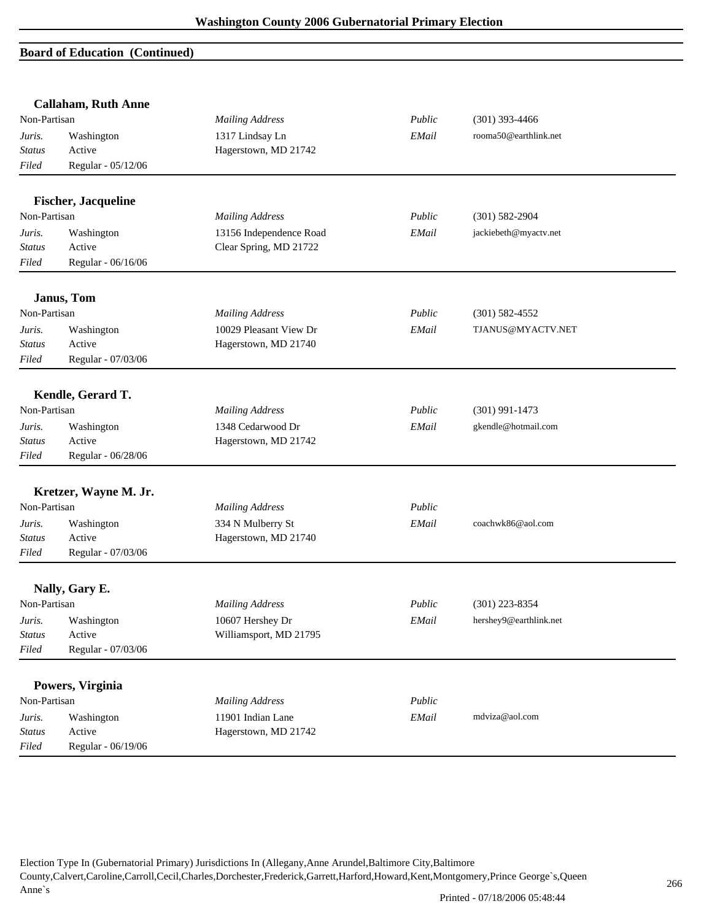## **Board of Education (Continued)**

|               | <b>Callaham, Ruth Anne</b> |                         |        |                        |  |
|---------------|----------------------------|-------------------------|--------|------------------------|--|
| Non-Partisan  |                            | <b>Mailing Address</b>  | Public | $(301)$ 393-4466       |  |
| Juris.        | Washington                 | 1317 Lindsay Ln         | EMail  | rooma50@earthlink.net  |  |
| <b>Status</b> | Active                     | Hagerstown, MD 21742    |        |                        |  |
| Filed         | Regular - 05/12/06         |                         |        |                        |  |
|               | <b>Fischer, Jacqueline</b> |                         |        |                        |  |
| Non-Partisan  |                            | <b>Mailing Address</b>  | Public | $(301) 582 - 2904$     |  |
| Juris.        | Washington                 | 13156 Independence Road | EMail  | jackiebeth@myactv.net  |  |
| <b>Status</b> | Active                     | Clear Spring, MD 21722  |        |                        |  |
| Filed         | Regular - 06/16/06         |                         |        |                        |  |
|               | Janus, Tom                 |                         |        |                        |  |
| Non-Partisan  |                            | <b>Mailing Address</b>  | Public | $(301) 582 - 4552$     |  |
| Juris.        | Washington                 | 10029 Pleasant View Dr  | EMail  | TJANUS@MYACTV.NET      |  |
| <b>Status</b> | Active                     | Hagerstown, MD 21740    |        |                        |  |
| Filed         | Regular - 07/03/06         |                         |        |                        |  |
|               | Kendle, Gerard T.          |                         |        |                        |  |
| Non-Partisan  |                            | <b>Mailing Address</b>  | Public | $(301)$ 991-1473       |  |
| Juris.        | Washington                 | 1348 Cedarwood Dr       | EMail  | gkendle@hotmail.com    |  |
| <b>Status</b> | Active                     | Hagerstown, MD 21742    |        |                        |  |
| Filed         | Regular - 06/28/06         |                         |        |                        |  |
|               | Kretzer, Wayne M. Jr.      |                         |        |                        |  |
| Non-Partisan  |                            | <b>Mailing Address</b>  | Public |                        |  |
| Juris.        | Washington                 | 334 N Mulberry St       | EMail  | coachwk86@aol.com      |  |
| <b>Status</b> | Active                     | Hagerstown, MD 21740    |        |                        |  |
| Filed         | Regular - 07/03/06         |                         |        |                        |  |
|               | Nally, Gary E.             |                         |        |                        |  |
| Non-Partisan  |                            | <b>Mailing Address</b>  | Public | $(301)$ 223-8354       |  |
| Juris.        | Washington                 | 10607 Hershey Dr        | EMail  | hershey9@earthlink.net |  |
| <b>Status</b> | Active                     | Williamsport, MD 21795  |        |                        |  |
| Filed         | Regular - 07/03/06         |                         |        |                        |  |
|               | Powers, Virginia           |                         |        |                        |  |
| Non-Partisan  |                            | <b>Mailing Address</b>  | Public |                        |  |
| Juris.        | Washington                 | 11901 Indian Lane       | EMail  | mdviza@aol.com         |  |
| <b>Status</b> | Active                     | Hagerstown, MD 21742    |        |                        |  |
| Filed         | Regular - 06/19/06         |                         |        |                        |  |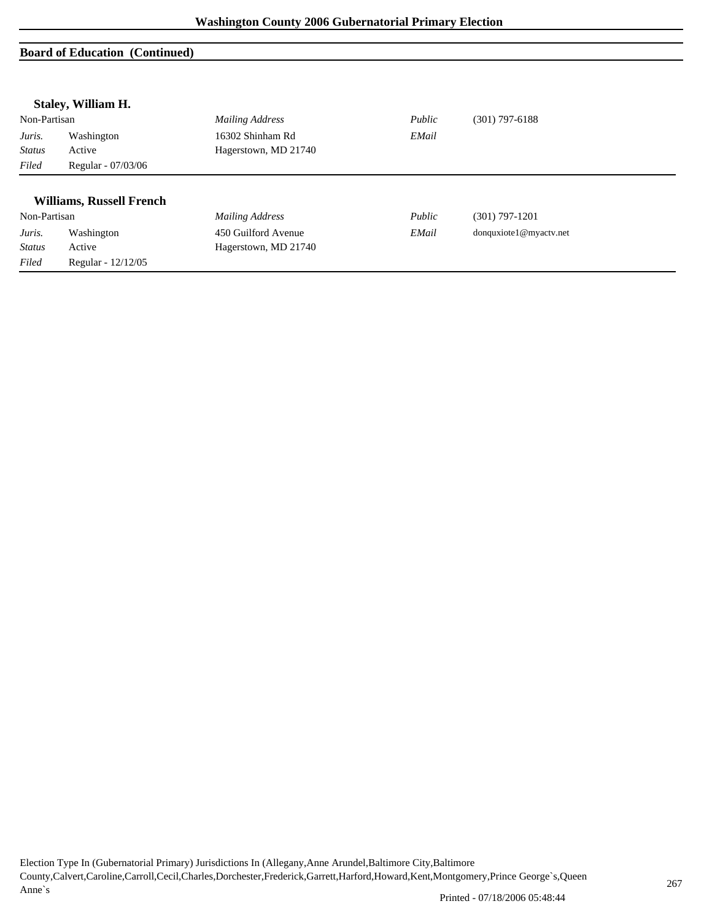## **Board of Education (Continued)**

|               | Staley, William H.              |                        |        |                        |
|---------------|---------------------------------|------------------------|--------|------------------------|
| Non-Partisan  |                                 | Mailing Address        | Public | $(301)$ 797-6188       |
| Juris.        | Washington                      | 16302 Shinham Rd       | EMail  |                        |
| <b>Status</b> | Active                          | Hagerstown, MD 21740   |        |                        |
| Filed         | Regular - 07/03/06              |                        |        |                        |
|               | <b>Williams, Russell French</b> |                        |        |                        |
| Non-Partisan  |                                 | <b>Mailing Address</b> | Public | $(301)$ 797-1201       |
| Juris.        | Washington                      | 450 Guilford Avenue    | EMail  | donquxiote1@myactv.net |
| <b>Status</b> | Active                          | Hagerstown, MD 21740   |        |                        |
| Filed         | Regular - 12/12/05              |                        |        |                        |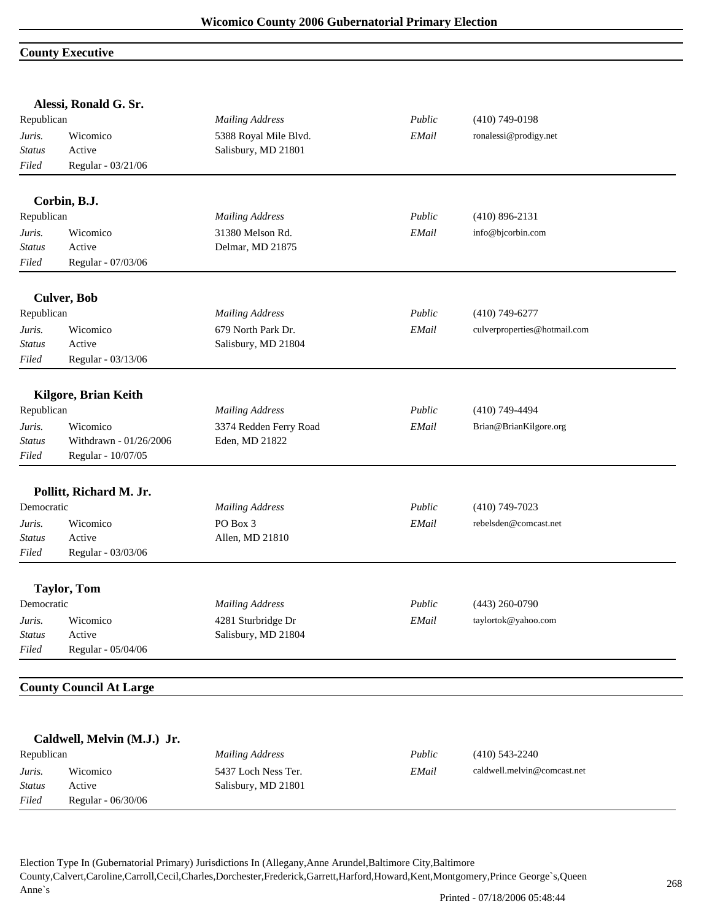## **County Executive**

|               | Alessi, Ronald G. Sr.          |                        |        |                              |  |
|---------------|--------------------------------|------------------------|--------|------------------------------|--|
| Republican    |                                | <b>Mailing Address</b> | Public | $(410)$ 749-0198             |  |
| Juris.        | Wicomico                       | 5388 Royal Mile Blvd.  | EMail  | ronalessi@prodigy.net        |  |
| <b>Status</b> | Active                         | Salisbury, MD 21801    |        |                              |  |
| Filed         | Regular - 03/21/06             |                        |        |                              |  |
|               | Corbin, B.J.                   |                        |        |                              |  |
| Republican    |                                | <b>Mailing Address</b> | Public | $(410)$ 896-2131             |  |
| Juris.        | Wicomico                       | 31380 Melson Rd.       | EMail  | info@bjcorbin.com            |  |
| Status        | Active                         | Delmar, MD 21875       |        |                              |  |
| Filed         | Regular - 07/03/06             |                        |        |                              |  |
|               | <b>Culver, Bob</b>             |                        |        |                              |  |
| Republican    |                                | <b>Mailing Address</b> | Public | $(410)$ 749-6277             |  |
| Juris.        | Wicomico                       | 679 North Park Dr.     | EMail  | culverproperties@hotmail.com |  |
| <b>Status</b> | Active                         | Salisbury, MD 21804    |        |                              |  |
| Filed         | Regular - 03/13/06             |                        |        |                              |  |
|               | <b>Kilgore, Brian Keith</b>    |                        |        |                              |  |
| Republican    |                                | <b>Mailing Address</b> | Public | $(410)$ 749-4494             |  |
| Juris.        | Wicomico                       | 3374 Redden Ferry Road | EMail  | Brian@BrianKilgore.org       |  |
| <b>Status</b> | Withdrawn - 01/26/2006         | Eden, MD 21822         |        |                              |  |
| Filed         | Regular - 10/07/05             |                        |        |                              |  |
|               |                                |                        |        |                              |  |
|               | Pollitt, Richard M. Jr.        |                        |        |                              |  |
| Democratic    |                                | <b>Mailing Address</b> | Public | $(410)$ 749-7023             |  |
| Juris.        | Wicomico                       | PO Box 3               | EMail  | rebelsden@comcast.net        |  |
| Status        | Active                         | Allen, MD 21810        |        |                              |  |
| Filed         | Regular - 03/03/06             |                        |        |                              |  |
|               | <b>Taylor, Tom</b>             |                        |        |                              |  |
| Democratic    |                                | <b>Mailing Address</b> | Public | $(443)$ 260-0790             |  |
| Juris.        | Wicomico                       | 4281 Sturbridge Dr     | EMail  | taylortok@yahoo.com          |  |
| <b>Status</b> | Active                         | Salisbury, MD 21804    |        |                              |  |
| Filed         | Regular - 05/04/06             |                        |        |                              |  |
|               | <b>County Council At Large</b> |                        |        |                              |  |
|               |                                |                        |        |                              |  |
|               | Caldwell, Melvin (M.J.) Jr.    |                        |        |                              |  |
| Republican    |                                | <b>Mailing Address</b> | Public | $(410)$ 543-2240             |  |
| Juris.        | Wicomico                       | 5437 Loch Ness Ter.    | EMail  | caldwell.melvin@comcast.net  |  |

Election Type In (Gubernatorial Primary) Jurisdictions In (Allegany,Anne Arundel,Baltimore City,Baltimore County,Calvert,Caroline,Carroll,Cecil,Charles,Dorchester,Frederick,Garrett,Harford,Howard,Kent,Montgomery,Prince George`s,Queen Anne`s

*Status* Active Salisbury, MD 21801

*Filed* Regular - 06/30/06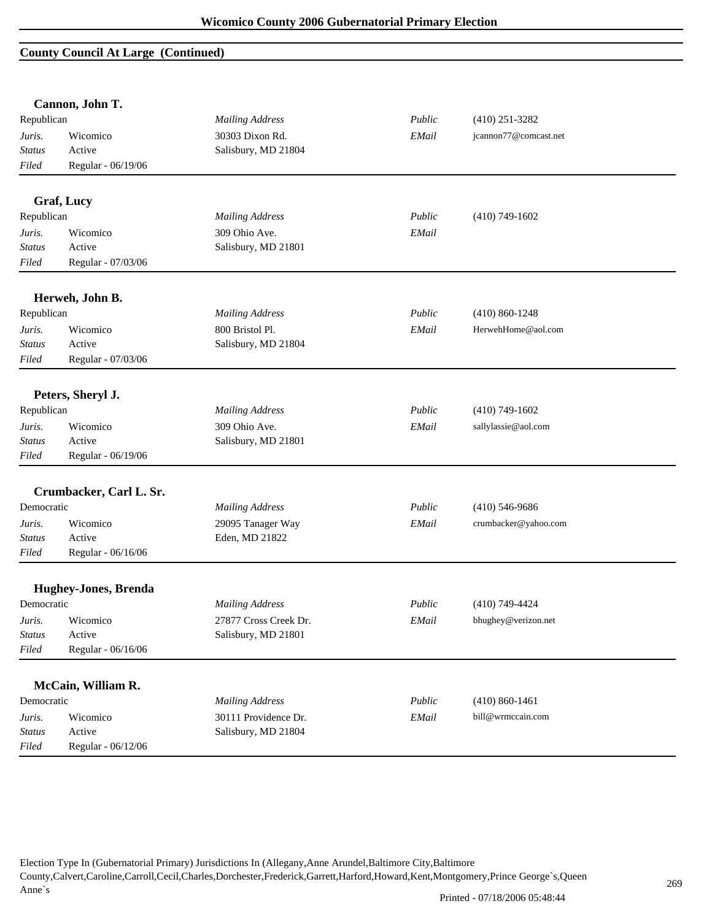#### **County Council At Large (Continued)**

|               | Cannon, John T.             |                        |        |                       |  |
|---------------|-----------------------------|------------------------|--------|-----------------------|--|
| Republican    |                             | <b>Mailing Address</b> | Public | $(410)$ 251-3282      |  |
| Juris.        | Wicomico                    | 30303 Dixon Rd.        | EMail  | jcannon77@comcast.net |  |
| <b>Status</b> | Active                      | Salisbury, MD 21804    |        |                       |  |
| Filed         | Regular - 06/19/06          |                        |        |                       |  |
|               | <b>Graf, Lucy</b>           |                        |        |                       |  |
| Republican    |                             | <b>Mailing Address</b> | Public | $(410)$ 749-1602      |  |
| Juris.        | Wicomico                    | 309 Ohio Ave.          | EMail  |                       |  |
| <b>Status</b> | Active                      | Salisbury, MD 21801    |        |                       |  |
| Filed         | Regular - 07/03/06          |                        |        |                       |  |
|               | Herweh, John B.             |                        |        |                       |  |
| Republican    |                             | <b>Mailing Address</b> | Public | $(410) 860 - 1248$    |  |
| Juris.        | Wicomico                    | 800 Bristol Pl.        | EMail  | HerwehHome@aol.com    |  |
| <b>Status</b> | Active                      | Salisbury, MD 21804    |        |                       |  |
| Filed         | Regular - 07/03/06          |                        |        |                       |  |
|               | Peters, Sheryl J.           |                        |        |                       |  |
| Republican    |                             | <b>Mailing Address</b> | Public | $(410)$ 749-1602      |  |
| Juris.        | Wicomico                    | 309 Ohio Ave.          | EMail  | sallylassie@aol.com   |  |
| <b>Status</b> | Active                      | Salisbury, MD 21801    |        |                       |  |
| Filed         | Regular - 06/19/06          |                        |        |                       |  |
|               | Crumbacker, Carl L. Sr.     |                        |        |                       |  |
| Democratic    |                             | <b>Mailing Address</b> | Public | $(410)$ 546-9686      |  |
| Juris.        | Wicomico                    | 29095 Tanager Way      | EMail  | crumbacker@yahoo.com  |  |
| Status        | Active                      | Eden, MD 21822         |        |                       |  |
| Filed         | Regular - 06/16/06          |                        |        |                       |  |
|               | <b>Hughey-Jones, Brenda</b> |                        |        |                       |  |
| Democratic    |                             | <b>Mailing Address</b> | Public | $(410)$ 749-4424      |  |
| Juris.        | Wicomico                    | 27877 Cross Creek Dr.  | EMail  | bhughey@verizon.net   |  |
| <b>Status</b> | Active                      | Salisbury, MD 21801    |        |                       |  |
| Filed         | Regular - 06/16/06          |                        |        |                       |  |
|               |                             |                        |        |                       |  |
|               | McCain, William R.          |                        |        |                       |  |
| Democratic    |                             | <b>Mailing Address</b> | Public | $(410) 860 - 1461$    |  |
| Juris.        | Wicomico                    | 30111 Providence Dr.   | EMail  | bill@wrmccain.com     |  |
| Status        | Active                      | Salisbury, MD 21804    |        |                       |  |
| Filed         | Regular - 06/12/06          |                        |        |                       |  |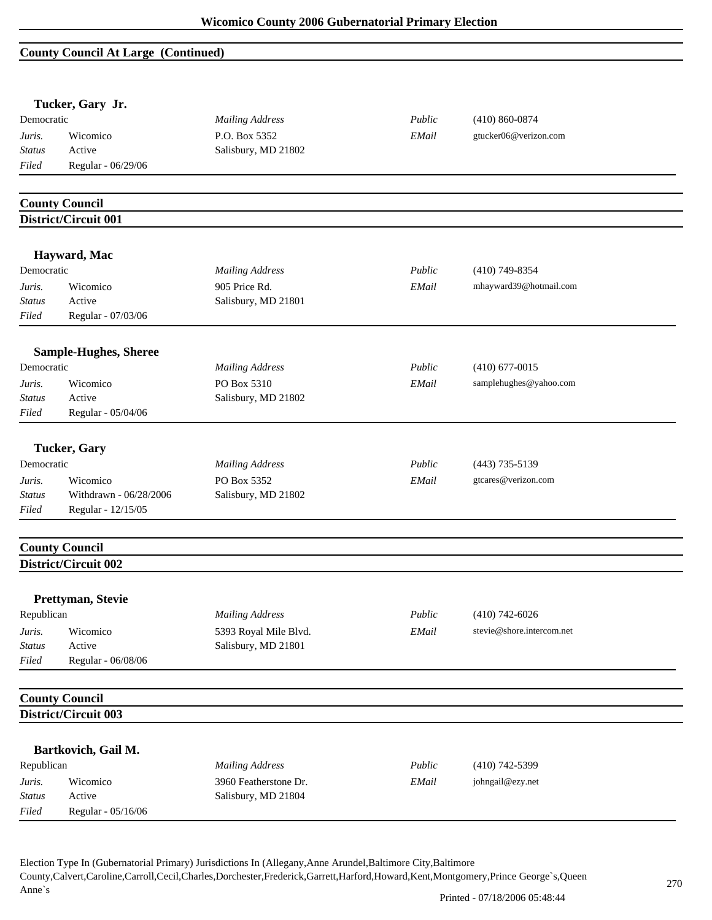# **County Council At Large (Continued)**

|               | Tucker, Gary Jr.             |                        |        |                           |  |
|---------------|------------------------------|------------------------|--------|---------------------------|--|
| Democratic    |                              | <b>Mailing Address</b> | Public | $(410) 860 - 0874$        |  |
| Juris.        | Wicomico                     | P.O. Box 5352          | EMail  | gtucker06@verizon.com     |  |
| <b>Status</b> | Active                       | Salisbury, MD 21802    |        |                           |  |
| Filed         | Regular - 06/29/06           |                        |        |                           |  |
|               | <b>County Council</b>        |                        |        |                           |  |
|               | District/Circuit 001         |                        |        |                           |  |
|               | Hayward, Mac                 |                        |        |                           |  |
| Democratic    |                              | <b>Mailing Address</b> | Public | $(410)$ 749-8354          |  |
| Juris.        | Wicomico                     | 905 Price Rd.          | EMail  | mhayward39@hotmail.com    |  |
| <b>Status</b> | Active                       | Salisbury, MD 21801    |        |                           |  |
| Filed         | Regular - 07/03/06           |                        |        |                           |  |
|               | <b>Sample-Hughes, Sheree</b> |                        |        |                           |  |
| Democratic    |                              | <b>Mailing Address</b> | Public | $(410)$ 677-0015          |  |
| Juris.        | Wicomico                     | PO Box 5310            | EMail  | samplehughes@yahoo.com    |  |
| Status        | Active                       | Salisbury, MD 21802    |        |                           |  |
| Filed         | Regular - 05/04/06           |                        |        |                           |  |
|               | <b>Tucker, Gary</b>          |                        |        |                           |  |
| Democratic    |                              | <b>Mailing Address</b> | Public | $(443)$ 735-5139          |  |
| Juris.        | Wicomico                     | PO Box 5352            | EMail  | gtcares@verizon.com       |  |
| Status        | Withdrawn - 06/28/2006       | Salisbury, MD 21802    |        |                           |  |
| Filed         | Regular - 12/15/05           |                        |        |                           |  |
|               | <b>County Council</b>        |                        |        |                           |  |
|               | District/Circuit 002         |                        |        |                           |  |
|               | Prettyman, Stevie            |                        |        |                           |  |
| Republican    |                              | <b>Mailing Address</b> | Public | $(410)$ 742-6026          |  |
| Juris.        | Wicomico                     | 5393 Royal Mile Blvd.  | EMail  | stevie@shore.intercom.net |  |
| Status        | Active                       | Salisbury, MD 21801    |        |                           |  |
| Filed         | Regular - 06/08/06           |                        |        |                           |  |
|               | <b>County Council</b>        |                        |        |                           |  |
|               | District/Circuit 003         |                        |        |                           |  |
|               | Bartkovich, Gail M.          |                        |        |                           |  |
| Republican    |                              | <b>Mailing Address</b> | Public | $(410)$ 742-5399          |  |
| Juris.        | Wicomico                     | 3960 Featherstone Dr.  | EMail  | johngail@ezy.net          |  |
|               |                              | Salisbury, MD 21804    |        |                           |  |
| <b>Status</b> | Active                       |                        |        |                           |  |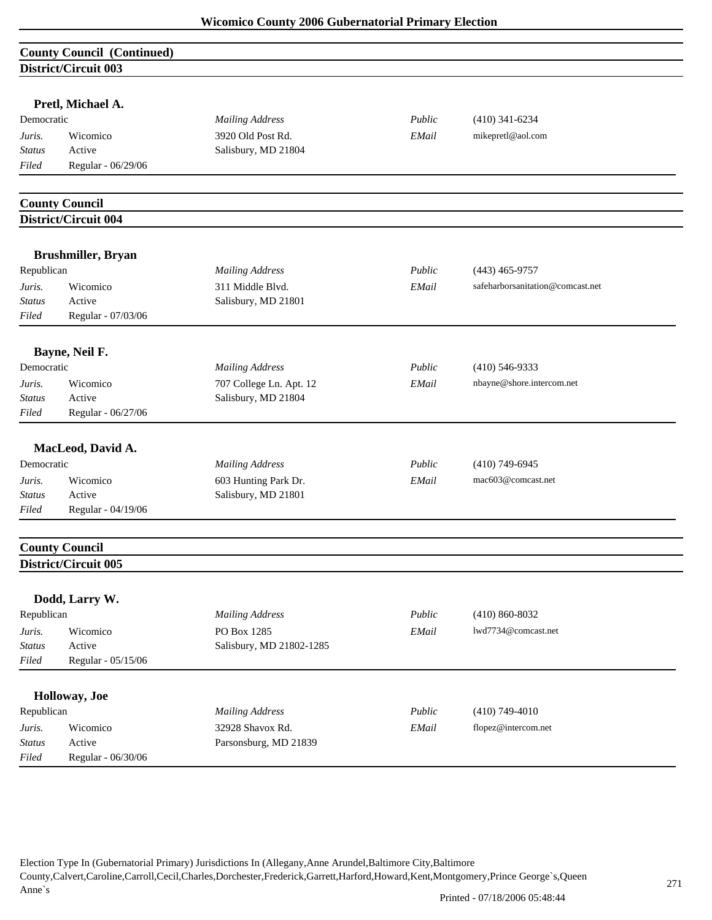|                         | <b>County Council (Continued)</b>             |                          |        |                                  |
|-------------------------|-----------------------------------------------|--------------------------|--------|----------------------------------|
|                         | District/Circuit 003                          |                          |        |                                  |
|                         |                                               |                          |        |                                  |
|                         | Pretl, Michael A.                             |                          |        |                                  |
| Democratic              |                                               | <b>Mailing Address</b>   | Public | $(410)$ 341-6234                 |
| Juris.                  | Wicomico                                      | 3920 Old Post Rd.        | EMail  | mikepretl@aol.com                |
| <b>Status</b>           | Active                                        | Salisbury, MD 21804      |        |                                  |
| Filed                   | Regular - 06/29/06                            |                          |        |                                  |
|                         |                                               |                          |        |                                  |
|                         | <b>County Council</b>                         |                          |        |                                  |
|                         | <b>District/Circuit 004</b>                   |                          |        |                                  |
|                         | <b>Brushmiller, Bryan</b>                     |                          |        |                                  |
| Republican              |                                               | <b>Mailing Address</b>   | Public | $(443)$ 465-9757                 |
| Juris.                  | Wicomico                                      | 311 Middle Blvd.         | EMail  | safeharborsanitation@comcast.net |
| Status                  | Active                                        | Salisbury, MD 21801      |        |                                  |
| Filed                   | Regular - 07/03/06                            |                          |        |                                  |
|                         |                                               |                          |        |                                  |
|                         | Bayne, Neil F.                                |                          |        |                                  |
| Democratic              |                                               | <b>Mailing Address</b>   | Public | $(410)$ 546-9333                 |
| Juris.                  | Wicomico                                      | 707 College Ln. Apt. 12  | EMail  | nbayne@shore.intercom.net        |
| <b>Status</b>           | Active                                        | Salisbury, MD 21804      |        |                                  |
| Filed                   | Regular - 06/27/06                            |                          |        |                                  |
|                         | MacLeod, David A.                             |                          |        |                                  |
| Democratic              |                                               | <b>Mailing Address</b>   | Public | $(410)$ 749-6945                 |
| Juris.                  | Wicomico                                      | 603 Hunting Park Dr.     | EMail  | mac603@comcast.net               |
| <b>Status</b>           | Active                                        | Salisbury, MD 21801      |        |                                  |
| Filed                   | Regular - 04/19/06                            |                          |        |                                  |
|                         |                                               |                          |        |                                  |
|                         | <b>County Council</b><br>District/Circuit 005 |                          |        |                                  |
|                         |                                               |                          |        |                                  |
|                         | Dodd, Larry W.                                |                          |        |                                  |
| Republican              |                                               | <b>Mailing Address</b>   | Public | $(410) 860 - 8032$               |
| Juris.                  | Wicomico                                      | PO Box 1285              | EMail  | lwd7734@comcast.net              |
| <b>Status</b>           | Active                                        | Salisbury, MD 21802-1285 |        |                                  |
| Filed                   | Regular - 05/15/06                            |                          |        |                                  |
|                         |                                               |                          |        |                                  |
|                         | Holloway, Joe                                 |                          |        |                                  |
| Republican              |                                               | <b>Mailing Address</b>   | Public | $(410)$ 749-4010                 |
| Juris.<br><b>Status</b> | Wicomico<br>Active                            | 32928 Shavox Rd.         | EMail  | flopez@intercom.net              |
| Filed                   | Regular - 06/30/06                            | Parsonsburg, MD 21839    |        |                                  |
|                         |                                               |                          |        |                                  |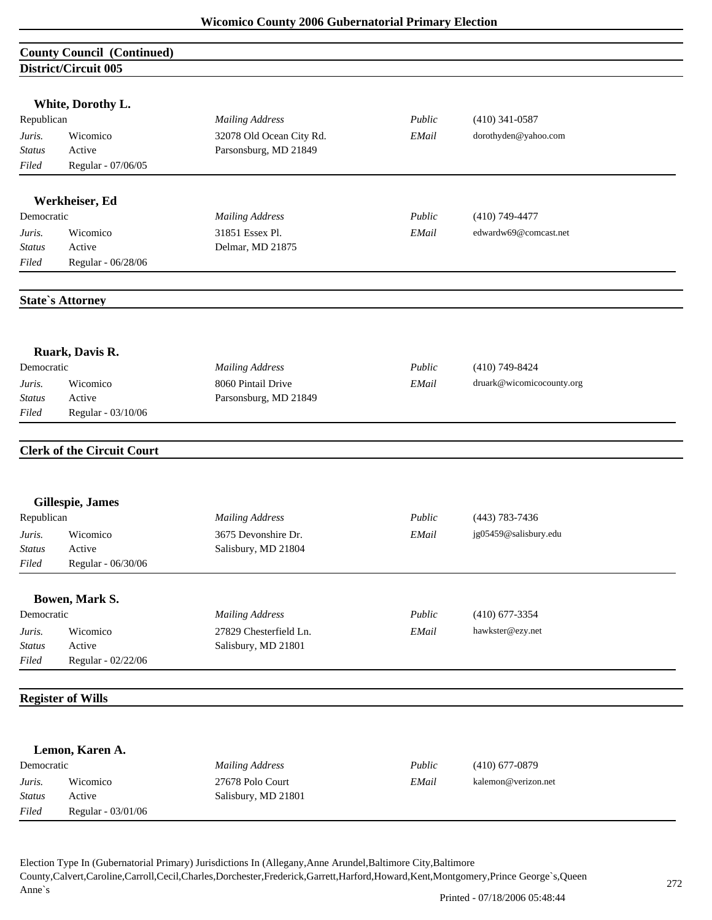|                        | <b>County Council (Continued)</b> |                          |        |                           |
|------------------------|-----------------------------------|--------------------------|--------|---------------------------|
|                        | <b>District/Circuit 005</b>       |                          |        |                           |
|                        |                                   |                          |        |                           |
| Republican             | White, Dorothy L.                 | <b>Mailing Address</b>   | Public | $(410)$ 341-0587          |
|                        |                                   |                          |        |                           |
| Juris.                 | Wicomico                          | 32078 Old Ocean City Rd. | EMail  | dorothyden@yahoo.com      |
| <b>Status</b><br>Filed | Active<br>Regular - 07/06/05      | Parsonsburg, MD 21849    |        |                           |
|                        |                                   |                          |        |                           |
|                        | Werkheiser, Ed                    |                          |        |                           |
| Democratic             |                                   | <b>Mailing Address</b>   | Public | $(410)$ 749-4477          |
| Juris.                 | Wicomico                          | 31851 Essex Pl.          | EMail  | edwardw69@comcast.net     |
| <b>Status</b>          | Active                            | Delmar, MD 21875         |        |                           |
| Filed                  | Regular - 06/28/06                |                          |        |                           |
|                        |                                   |                          |        |                           |
|                        | <b>State's Attorney</b>           |                          |        |                           |
|                        |                                   |                          |        |                           |
|                        |                                   |                          |        |                           |
|                        | Ruark, Davis R.                   |                          |        |                           |
| Democratic             |                                   | <b>Mailing Address</b>   | Public | $(410)$ 749-8424          |
| Juris.                 | Wicomico                          | 8060 Pintail Drive       | EMail  | druark@wicomicocounty.org |
| Status                 | Active                            | Parsonsburg, MD 21849    |        |                           |
| Filed                  | Regular - 03/10/06                |                          |        |                           |
|                        |                                   |                          |        |                           |
|                        | <b>Clerk of the Circuit Court</b> |                          |        |                           |
|                        |                                   |                          |        |                           |
|                        | Gillespie, James                  |                          |        |                           |
| Republican             |                                   | <b>Mailing Address</b>   | Public | $(443) 783 - 7436$        |
| Juris.                 | Wicomico                          | 3675 Devonshire Dr.      | EMail  | jg05459@salisbury.edu     |
| Status                 | Active                            | Salisbury, MD 21804      |        |                           |
| Filed                  | Regular - 06/30/06                |                          |        |                           |
|                        |                                   |                          |        |                           |
| Democratic             | Bowen, Mark S.                    |                          | Public | $(410)$ 677-3354          |
|                        |                                   | <b>Mailing Address</b>   |        |                           |
| Juris.                 | Wicomico                          | 27829 Chesterfield Ln.   | EMail  | hawkster@ezy.net          |
| <b>Status</b>          | Active                            | Salisbury, MD 21801      |        |                           |
| Filed                  | Regular - 02/22/06                |                          |        |                           |
|                        | <b>Register of Wills</b>          |                          |        |                           |
|                        |                                   |                          |        |                           |
|                        | Lemon, Karen A.                   |                          |        |                           |
| Democratic             |                                   | <b>Mailing Address</b>   | Public | $(410)$ 677-0879          |
| Juris.                 | Wicomico                          | 27678 Polo Court         | EMail  | kalemon@verizon.net       |
| <b>Status</b>          | Active                            | Salisbury, MD 21801      |        |                           |

Election Type In (Gubernatorial Primary) Jurisdictions In (Allegany,Anne Arundel,Baltimore City,Baltimore County,Calvert,Caroline,Carroll,Cecil,Charles,Dorchester,Frederick,Garrett,Harford,Howard,Kent,Montgomery,Prince George`s,Queen Anne`s

*Filed* Regular - 03/01/06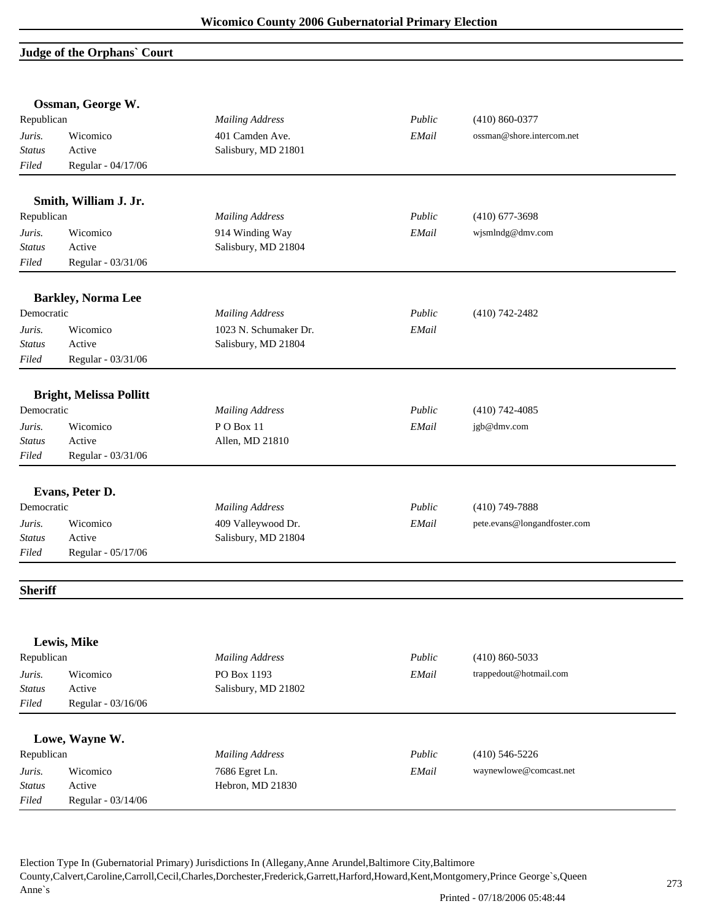### **Judge of the Orphans` Court**

|                | Ossman, George W.              |                        |        |                              |  |
|----------------|--------------------------------|------------------------|--------|------------------------------|--|
| Republican     |                                | <b>Mailing Address</b> | Public | $(410) 860 - 0377$           |  |
| Juris.         | Wicomico                       | 401 Camden Ave.        | EMail  | ossman@shore.intercom.net    |  |
| <b>Status</b>  | Active                         | Salisbury, MD 21801    |        |                              |  |
| Filed          | Regular - 04/17/06             |                        |        |                              |  |
|                | Smith, William J. Jr.          |                        |        |                              |  |
| Republican     |                                | <b>Mailing Address</b> | Public | $(410)$ 677-3698             |  |
| Juris.         | Wicomico                       | 914 Winding Way        | EMail  | wjsmlndg@dmv.com             |  |
| <b>Status</b>  | Active                         | Salisbury, MD 21804    |        |                              |  |
| Filed          | Regular - 03/31/06             |                        |        |                              |  |
|                | <b>Barkley, Norma Lee</b>      |                        |        |                              |  |
| Democratic     |                                | <b>Mailing Address</b> | Public | $(410)$ 742-2482             |  |
| Juris.         | Wicomico                       | 1023 N. Schumaker Dr.  | EMail  |                              |  |
| <b>Status</b>  | Active                         | Salisbury, MD 21804    |        |                              |  |
| Filed          | Regular - 03/31/06             |                        |        |                              |  |
|                | <b>Bright, Melissa Pollitt</b> |                        |        |                              |  |
| Democratic     |                                | <b>Mailing Address</b> | Public | $(410)$ 742-4085             |  |
| Juris.         | Wicomico                       | PO Box 11              | EMail  | jgb@dmv.com                  |  |
| <b>Status</b>  | Active                         | Allen, MD 21810        |        |                              |  |
| Filed          | Regular - 03/31/06             |                        |        |                              |  |
|                |                                |                        |        |                              |  |
|                | Evans, Peter D.                |                        |        |                              |  |
| Democratic     |                                | <b>Mailing Address</b> | Public | $(410)$ 749-7888             |  |
| Juris.         | Wicomico                       | 409 Valleywood Dr.     | EMail  | pete.evans@longandfoster.com |  |
| Status         | Active                         | Salisbury, MD 21804    |        |                              |  |
| Filed          | Regular - 05/17/06             |                        |        |                              |  |
| <b>Sheriff</b> |                                |                        |        |                              |  |
|                |                                |                        |        |                              |  |
|                | Lewis, Mike                    |                        |        |                              |  |
| Republican     |                                | <b>Mailing Address</b> | Public | $(410) 860 - 5033$           |  |
| Juris.         | Wicomico                       | PO Box 1193            | EMail  | trappedout@hotmail.com       |  |
| Status         | Active                         | Salisbury, MD 21802    |        |                              |  |
| Filed          | Regular - 03/16/06             |                        |        |                              |  |
|                | Lowe, Wayne W.                 |                        |        |                              |  |
| Republican     |                                | <b>Mailing Address</b> | Public | $(410)$ 546-5226             |  |
| Juris.         | Wicomico                       | 7686 Egret Ln.         | EMail  | waynewlowe@comcast.net       |  |
| Status         | Active                         | Hebron, MD 21830       |        |                              |  |
| Filed          | Regular - 03/14/06             |                        |        |                              |  |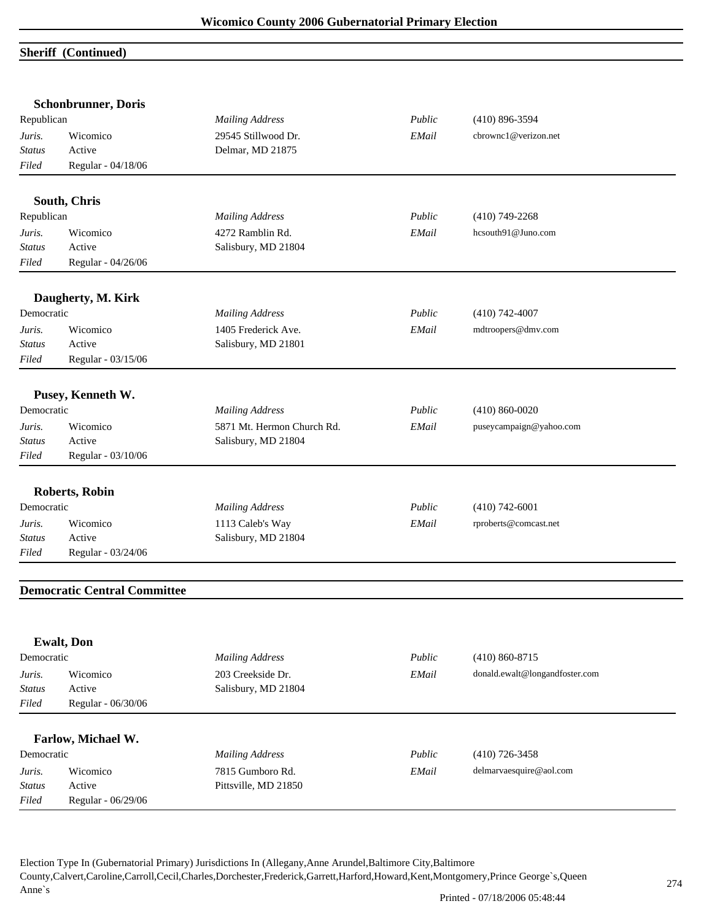# **Sheriff (Continued)**

|                    | <b>Mailing Address</b>                                                                                                                                                                                                                                                                                                                                                         | Public                                                                                                                                                                                                                                                                                                          | $(410)$ 896-3594                                      |
|--------------------|--------------------------------------------------------------------------------------------------------------------------------------------------------------------------------------------------------------------------------------------------------------------------------------------------------------------------------------------------------------------------------|-----------------------------------------------------------------------------------------------------------------------------------------------------------------------------------------------------------------------------------------------------------------------------------------------------------------|-------------------------------------------------------|
| Wicomico           | 29545 Stillwood Dr.                                                                                                                                                                                                                                                                                                                                                            | EMail                                                                                                                                                                                                                                                                                                           | cbrownc1@verizon.net                                  |
| Active             | Delmar, MD 21875                                                                                                                                                                                                                                                                                                                                                               |                                                                                                                                                                                                                                                                                                                 |                                                       |
| Regular - 04/18/06 |                                                                                                                                                                                                                                                                                                                                                                                |                                                                                                                                                                                                                                                                                                                 |                                                       |
|                    |                                                                                                                                                                                                                                                                                                                                                                                |                                                                                                                                                                                                                                                                                                                 |                                                       |
|                    |                                                                                                                                                                                                                                                                                                                                                                                |                                                                                                                                                                                                                                                                                                                 |                                                       |
|                    |                                                                                                                                                                                                                                                                                                                                                                                |                                                                                                                                                                                                                                                                                                                 | $(410)$ 749-2268                                      |
|                    |                                                                                                                                                                                                                                                                                                                                                                                |                                                                                                                                                                                                                                                                                                                 | hcsouth91@Juno.com                                    |
|                    |                                                                                                                                                                                                                                                                                                                                                                                |                                                                                                                                                                                                                                                                                                                 |                                                       |
|                    |                                                                                                                                                                                                                                                                                                                                                                                |                                                                                                                                                                                                                                                                                                                 |                                                       |
|                    |                                                                                                                                                                                                                                                                                                                                                                                |                                                                                                                                                                                                                                                                                                                 |                                                       |
|                    | <b>Mailing Address</b>                                                                                                                                                                                                                                                                                                                                                         | Public                                                                                                                                                                                                                                                                                                          | $(410)$ 742-4007                                      |
| Wicomico           |                                                                                                                                                                                                                                                                                                                                                                                | EMail                                                                                                                                                                                                                                                                                                           | mdtroopers@dmv.com                                    |
| Active             |                                                                                                                                                                                                                                                                                                                                                                                |                                                                                                                                                                                                                                                                                                                 |                                                       |
| Regular - 03/15/06 |                                                                                                                                                                                                                                                                                                                                                                                |                                                                                                                                                                                                                                                                                                                 |                                                       |
|                    |                                                                                                                                                                                                                                                                                                                                                                                |                                                                                                                                                                                                                                                                                                                 |                                                       |
|                    |                                                                                                                                                                                                                                                                                                                                                                                |                                                                                                                                                                                                                                                                                                                 |                                                       |
|                    |                                                                                                                                                                                                                                                                                                                                                                                |                                                                                                                                                                                                                                                                                                                 | $(410) 860 - 0020$                                    |
|                    |                                                                                                                                                                                                                                                                                                                                                                                |                                                                                                                                                                                                                                                                                                                 | puseycampaign@yahoo.com                               |
|                    |                                                                                                                                                                                                                                                                                                                                                                                |                                                                                                                                                                                                                                                                                                                 |                                                       |
|                    |                                                                                                                                                                                                                                                                                                                                                                                |                                                                                                                                                                                                                                                                                                                 |                                                       |
|                    |                                                                                                                                                                                                                                                                                                                                                                                |                                                                                                                                                                                                                                                                                                                 |                                                       |
|                    | <b>Mailing Address</b>                                                                                                                                                                                                                                                                                                                                                         | Public                                                                                                                                                                                                                                                                                                          | $(410)$ 742-6001                                      |
| Wicomico           |                                                                                                                                                                                                                                                                                                                                                                                | EMail                                                                                                                                                                                                                                                                                                           | rproberts@comcast.net                                 |
| Active             |                                                                                                                                                                                                                                                                                                                                                                                |                                                                                                                                                                                                                                                                                                                 |                                                       |
| Regular - 03/24/06 |                                                                                                                                                                                                                                                                                                                                                                                |                                                                                                                                                                                                                                                                                                                 |                                                       |
|                    |                                                                                                                                                                                                                                                                                                                                                                                |                                                                                                                                                                                                                                                                                                                 |                                                       |
|                    |                                                                                                                                                                                                                                                                                                                                                                                |                                                                                                                                                                                                                                                                                                                 |                                                       |
|                    |                                                                                                                                                                                                                                                                                                                                                                                |                                                                                                                                                                                                                                                                                                                 |                                                       |
|                    |                                                                                                                                                                                                                                                                                                                                                                                |                                                                                                                                                                                                                                                                                                                 |                                                       |
|                    |                                                                                                                                                                                                                                                                                                                                                                                |                                                                                                                                                                                                                                                                                                                 | $(410) 860 - 8715$                                    |
|                    |                                                                                                                                                                                                                                                                                                                                                                                |                                                                                                                                                                                                                                                                                                                 | donald.ewalt@longandfoster.com                        |
|                    |                                                                                                                                                                                                                                                                                                                                                                                |                                                                                                                                                                                                                                                                                                                 |                                                       |
| Regular - 06/30/06 |                                                                                                                                                                                                                                                                                                                                                                                |                                                                                                                                                                                                                                                                                                                 |                                                       |
|                    |                                                                                                                                                                                                                                                                                                                                                                                |                                                                                                                                                                                                                                                                                                                 |                                                       |
| Farlow, Michael W. |                                                                                                                                                                                                                                                                                                                                                                                |                                                                                                                                                                                                                                                                                                                 |                                                       |
| Democratic         | <b>Mailing Address</b>                                                                                                                                                                                                                                                                                                                                                         | Public                                                                                                                                                                                                                                                                                                          | $(410)$ 726-3458                                      |
| Wicomico           | 7815 Gumboro Rd.                                                                                                                                                                                                                                                                                                                                                               | EMail                                                                                                                                                                                                                                                                                                           | delmarvaesquire@aol.com                               |
| Active             | Pittsville, MD 21850                                                                                                                                                                                                                                                                                                                                                           |                                                                                                                                                                                                                                                                                                                 |                                                       |
|                    | <b>Schonbrunner</b> , Doris<br>Republican<br>South, Chris<br>Republican<br>Wicomico<br>Active<br>Regular - 04/26/06<br>Daugherty, M. Kirk<br>Democratic<br>Pusey, Kenneth W.<br>Democratic<br>Wicomico<br>Active<br>Regular - 03/10/06<br><b>Roberts, Robin</b><br>Democratic<br><b>Democratic Central Committee</b><br><b>Ewalt</b> , Don<br>Democratic<br>Wicomico<br>Active | <b>Mailing Address</b><br>4272 Ramblin Rd.<br>Salisbury, MD 21804<br>1405 Frederick Ave.<br>Salisbury, MD 21801<br><b>Mailing Address</b><br>5871 Mt. Hermon Church Rd.<br>Salisbury, MD 21804<br>1113 Caleb's Way<br>Salisbury, MD 21804<br><b>Mailing Address</b><br>203 Creekside Dr.<br>Salisbury, MD 21804 | Public<br>EMail<br>Public<br>EMail<br>Public<br>EMail |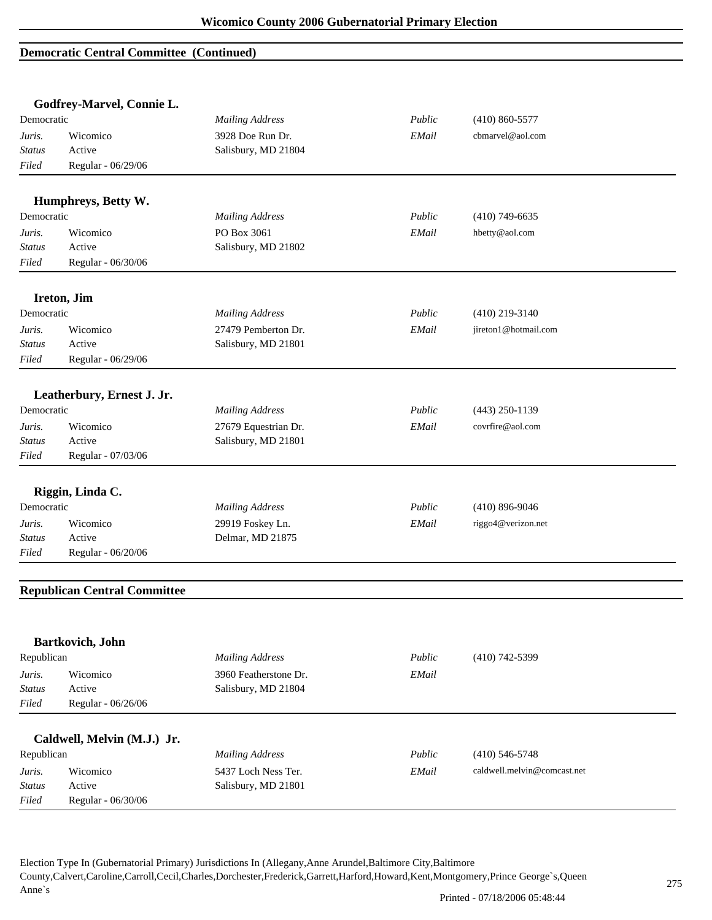#### **Democratic Central Committee (Continued)**

|               | Godfrey-Marvel, Connie L.           |                        |        |                             |
|---------------|-------------------------------------|------------------------|--------|-----------------------------|
| Democratic    |                                     | <b>Mailing Address</b> | Public | $(410) 860 - 5577$          |
| Juris.        | Wicomico                            | 3928 Doe Run Dr.       | EMail  | cbmarvel@aol.com            |
| <b>Status</b> | Active                              | Salisbury, MD 21804    |        |                             |
| Filed         | Regular - 06/29/06                  |                        |        |                             |
|               | Humphreys, Betty W.                 |                        |        |                             |
| Democratic    |                                     | <b>Mailing Address</b> | Public | $(410)$ 749-6635            |
| Juris.        | Wicomico                            | PO Box 3061            | EMail  | hbetty@aol.com              |
| <b>Status</b> | Active                              | Salisbury, MD 21802    |        |                             |
| Filed         | Regular - 06/30/06                  |                        |        |                             |
|               | Ireton, Jim                         |                        |        |                             |
| Democratic    |                                     | <b>Mailing Address</b> | Public | $(410)$ 219-3140            |
| Juris.        | Wicomico                            | 27479 Pemberton Dr.    | EMail  | jireton1@hotmail.com        |
| Status        | Active                              | Salisbury, MD 21801    |        |                             |
| Filed         | Regular - 06/29/06                  |                        |        |                             |
|               | Leatherbury, Ernest J. Jr.          |                        |        |                             |
| Democratic    |                                     | <b>Mailing Address</b> | Public | $(443)$ 250-1139            |
| Juris.        | Wicomico                            | 27679 Equestrian Dr.   | EMail  | covrfire@aol.com            |
| Status        | Active                              | Salisbury, MD 21801    |        |                             |
| Filed         | Regular - 07/03/06                  |                        |        |                             |
|               | Riggin, Linda C.                    |                        |        |                             |
| Democratic    |                                     | <b>Mailing Address</b> | Public | $(410)$ 896-9046            |
| Juris.        | Wicomico                            | 29919 Foskey Ln.       | EMail  | riggo4@verizon.net          |
| Status        | Active                              | Delmar, MD 21875       |        |                             |
| Filed         | Regular - 06/20/06                  |                        |        |                             |
|               | <b>Republican Central Committee</b> |                        |        |                             |
|               |                                     |                        |        |                             |
|               | Bartkovich, John                    |                        |        |                             |
| Republican    |                                     | <b>Mailing Address</b> | Public | $(410)$ 742-5399            |
| Juris.        | Wicomico                            | 3960 Featherstone Dr.  | EMail  |                             |
| <b>Status</b> | Active                              | Salisbury, MD 21804    |        |                             |
| Filed         | Regular - 06/26/06                  |                        |        |                             |
|               | Caldwell, Melvin (M.J.) Jr.         |                        |        |                             |
| Republican    |                                     | <b>Mailing Address</b> | Public | $(410)$ 546-5748            |
| Juris.        | Wicomico                            | 5437 Loch Ness Ter.    | EMail  | caldwell.melvin@comcast.net |
| <b>Status</b> | Active                              | Salisbury, MD 21801    |        |                             |
| Filed         | Regular - 06/30/06                  |                        |        |                             |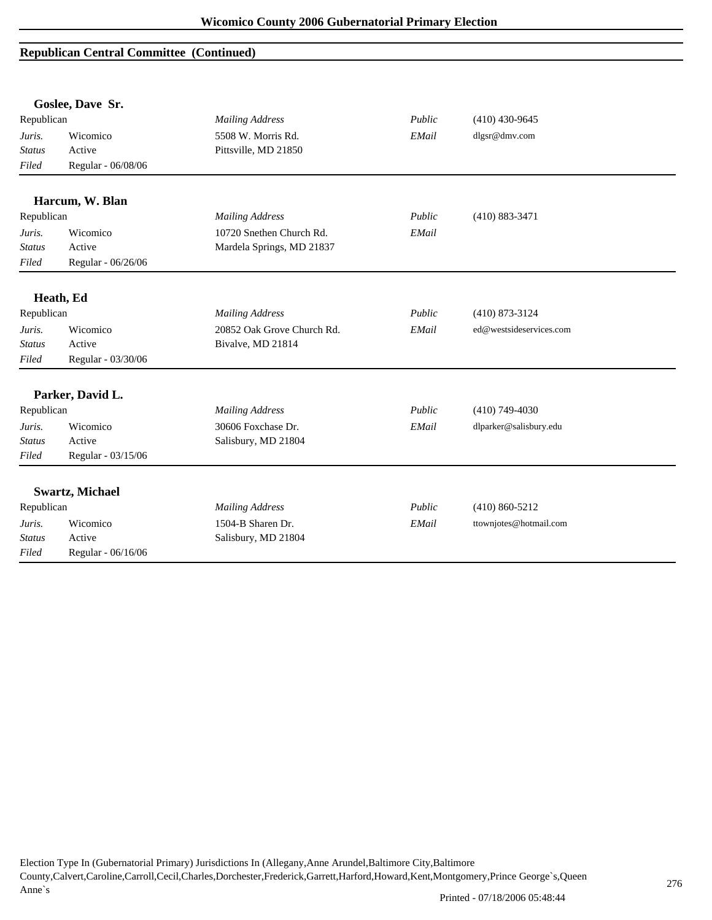## **Republican Central Committee (Continued)**

|               | Goslee, Dave Sr.       |                            |        |                         |  |
|---------------|------------------------|----------------------------|--------|-------------------------|--|
| Republican    |                        | <b>Mailing Address</b>     | Public | $(410)$ 430-9645        |  |
| Juris.        | Wicomico               | 5508 W. Morris Rd.         | EMail  | dlgsr@dmv.com           |  |
| <b>Status</b> | Active                 | Pittsville, MD 21850       |        |                         |  |
| Filed         | Regular - 06/08/06     |                            |        |                         |  |
|               | Harcum, W. Blan        |                            |        |                         |  |
| Republican    |                        | <b>Mailing Address</b>     | Public | $(410) 883 - 3471$      |  |
| Juris.        | Wicomico               | 10720 Snethen Church Rd.   | EMail  |                         |  |
| <b>Status</b> | Active                 | Mardela Springs, MD 21837  |        |                         |  |
| Filed         | Regular - 06/26/06     |                            |        |                         |  |
|               |                        |                            |        |                         |  |
|               | Heath, Ed              |                            |        |                         |  |
| Republican    |                        | <b>Mailing Address</b>     | Public | $(410)$ 873-3124        |  |
| Juris.        | Wicomico               | 20852 Oak Grove Church Rd. | EMail  | ed@westsideservices.com |  |
| Status        | Active                 | Bivalve, MD 21814          |        |                         |  |
| Filed         | Regular - 03/30/06     |                            |        |                         |  |
|               |                        |                            |        |                         |  |
|               | Parker, David L.       |                            |        |                         |  |
| Republican    |                        | <b>Mailing Address</b>     | Public | $(410)$ 749-4030        |  |
| Juris.        | Wicomico               | 30606 Foxchase Dr.         | EMail  | dlparker@salisbury.edu  |  |
| <b>Status</b> | Active                 | Salisbury, MD 21804        |        |                         |  |
| Filed         | Regular - 03/15/06     |                            |        |                         |  |
|               |                        |                            |        |                         |  |
|               | <b>Swartz, Michael</b> |                            |        |                         |  |
| Republican    |                        | <b>Mailing Address</b>     | Public | $(410) 860 - 5212$      |  |
| Juris.        | Wicomico               | 1504-B Sharen Dr.          | EMail  | ttownjotes@hotmail.com  |  |
| <b>Status</b> | Active                 | Salisbury, MD 21804        |        |                         |  |
| Filed         | Regular - 06/16/06     |                            |        |                         |  |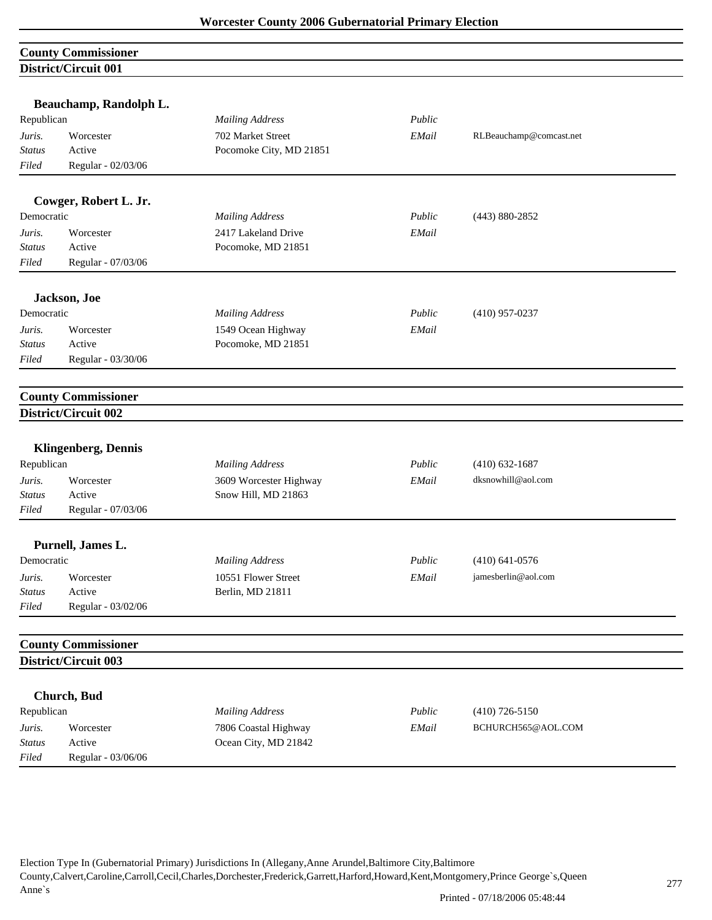|               | <b>County Commissioner</b>  |                         |        |                         |
|---------------|-----------------------------|-------------------------|--------|-------------------------|
|               | <b>District/Circuit 001</b> |                         |        |                         |
|               |                             |                         |        |                         |
|               | Beauchamp, Randolph L.      |                         |        |                         |
| Republican    |                             | <b>Mailing Address</b>  | Public |                         |
| Juris.        | Worcester                   | 702 Market Street       | EMail  | RLBeauchamp@comcast.net |
| <b>Status</b> | Active                      | Pocomoke City, MD 21851 |        |                         |
| Filed         | Regular - 02/03/06          |                         |        |                         |
|               | Cowger, Robert L. Jr.       |                         |        |                         |
| Democratic    |                             | <b>Mailing Address</b>  | Public | $(443) 880 - 2852$      |
| Juris.        | Worcester                   | 2417 Lakeland Drive     | EMail  |                         |
| Status        | Active                      | Pocomoke, MD 21851      |        |                         |
| Filed         | Regular - 07/03/06          |                         |        |                         |
|               | Jackson, Joe                |                         |        |                         |
| Democratic    |                             | <b>Mailing Address</b>  | Public | $(410)$ 957-0237        |
| Juris.        | Worcester                   | 1549 Ocean Highway      | EMail  |                         |
| Status        | Active                      | Pocomoke, MD 21851      |        |                         |
| Filed         | Regular - 03/30/06          |                         |        |                         |
|               |                             |                         |        |                         |
|               | <b>County Commissioner</b>  |                         |        |                         |
|               | District/Circuit 002        |                         |        |                         |
|               | <b>Klingenberg, Dennis</b>  |                         |        |                         |
| Republican    |                             | <b>Mailing Address</b>  | Public | $(410)$ 632-1687        |
| Juris.        | Worcester                   | 3609 Worcester Highway  | EMail  | dksnowhill@aol.com      |
| Status        | Active                      | Snow Hill, MD 21863     |        |                         |
| Filed         | Regular - 07/03/06          |                         |        |                         |
|               | Purnell, James L.           |                         |        |                         |
| Democratic    |                             | <b>Mailing Address</b>  | Public | $(410)$ 641-0576        |
| Juris.        | Worcester                   | 10551 Flower Street     | EMail  | jamesberlin@aol.com     |
| Status        | Active                      | Berlin, MD 21811        |        |                         |
| Filed         | Regular - 03/02/06          |                         |        |                         |
|               | <b>County Commissioner</b>  |                         |        |                         |
|               | District/Circuit 003        |                         |        |                         |
|               |                             |                         |        |                         |
|               | Church, Bud                 |                         |        |                         |
| Republican    |                             | <b>Mailing Address</b>  | Public | $(410)$ 726-5150        |
| Juris.        | Worcester                   | 7806 Coastal Highway    | EMail  | BCHURCH565@AOL.COM      |
| <b>Status</b> | Active                      | Ocean City, MD 21842    |        |                         |
| Filed         | Regular - 03/06/06          |                         |        |                         |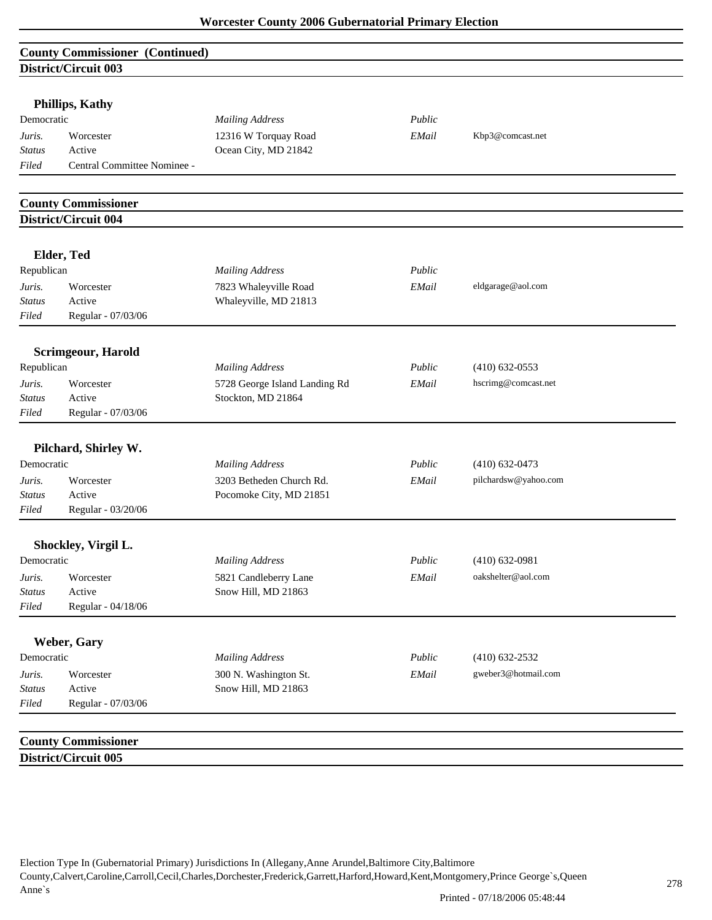# **County Commissioner (Continued) District/Circuit 003**

| <b>Phillips, Kathy</b> |  |
|------------------------|--|
|------------------------|--|

| Democratic    |                             | <b>Mailing Address</b> | Public |                  |
|---------------|-----------------------------|------------------------|--------|------------------|
| Juris.        | Worcester                   | 12316 W Torquay Road   | EMail  | Kbp3@comcast.net |
| <b>Status</b> | Active                      | Ocean City, MD 21842   |        |                  |
| Filed         | Central Committee Nominee - |                        |        |                  |

# **County Commissioner District/Circuit 004**

**District/Circuit 005**

|               | Elder, Ted                |                               |        |                      |  |
|---------------|---------------------------|-------------------------------|--------|----------------------|--|
| Republican    |                           | <b>Mailing Address</b>        | Public |                      |  |
| Juris.        | Worcester                 | 7823 Whaleyville Road         | EMail  | eldgarage@aol.com    |  |
| <b>Status</b> | Active                    | Whaleyville, MD 21813         |        |                      |  |
| Filed         | Regular - 07/03/06        |                               |        |                      |  |
|               | <b>Scrimgeour, Harold</b> |                               |        |                      |  |
| Republican    |                           | <b>Mailing Address</b>        | Public | $(410)$ 632-0553     |  |
| Juris.        | Worcester                 | 5728 George Island Landing Rd | EMail  | hscrimg@comcast.net  |  |
| <b>Status</b> | Active                    | Stockton, MD 21864            |        |                      |  |
| Filed         | Regular - 07/03/06        |                               |        |                      |  |
|               | Pilchard, Shirley W.      |                               |        |                      |  |
| Democratic    |                           | <b>Mailing Address</b>        | Public | $(410) 632 - 0473$   |  |
| Juris.        | Worcester                 | 3203 Betheden Church Rd.      | EMail  | pilchardsw@yahoo.com |  |
| <b>Status</b> | Active                    | Pocomoke City, MD 21851       |        |                      |  |
| Filed         | Regular - 03/20/06        |                               |        |                      |  |
|               | Shockley, Virgil L.       |                               |        |                      |  |
| Democratic    |                           | <b>Mailing Address</b>        | Public | $(410) 632 - 0981$   |  |
| Juris.        | Worcester                 | 5821 Candleberry Lane         | EMail  | oakshelter@aol.com   |  |
| <b>Status</b> | Active                    | Snow Hill, MD 21863           |        |                      |  |
| Filed         | Regular - 04/18/06        |                               |        |                      |  |
|               | Weber, Gary               |                               |        |                      |  |
| Democratic    |                           | <b>Mailing Address</b>        | Public | $(410) 632 - 2532$   |  |
| Juris.        | Worcester                 | 300 N. Washington St.         | EMail  | gweber3@hotmail.com  |  |
| <b>Status</b> | Active                    | Snow Hill, MD 21863           |        |                      |  |
| Filed         | Regular - 07/03/06        |                               |        |                      |  |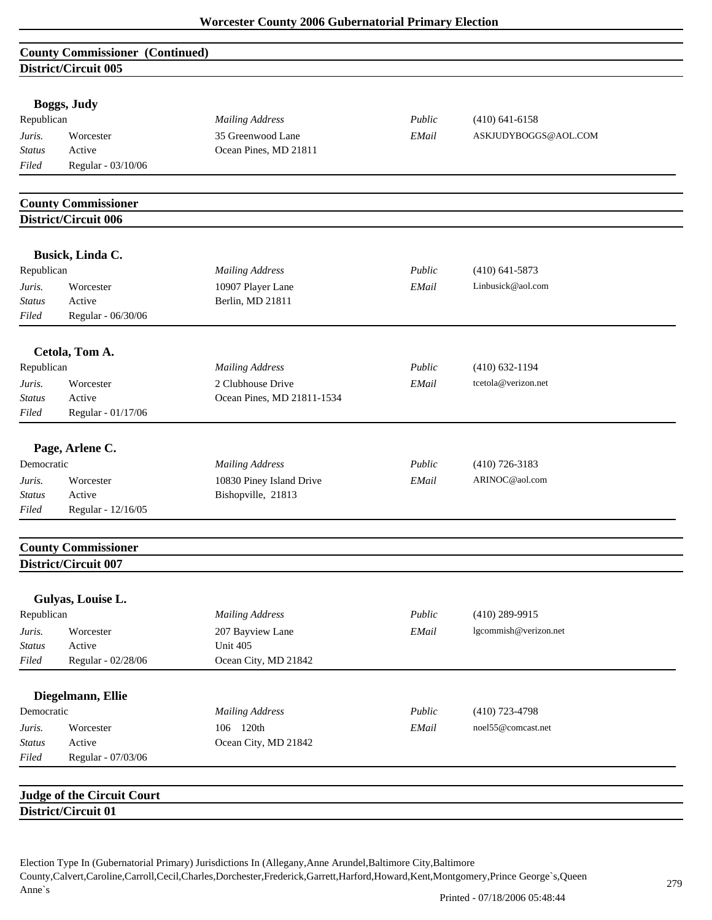| <b>County Commissioner (Continued)</b> |  |
|----------------------------------------|--|
| District/Circuit 005                   |  |

| Boggs, Judy |  |  |
|-------------|--|--|
|-------------|--|--|

| Republican    |                    | <b>Mailing Address</b> | Public | $(410)$ 641-6158     |
|---------------|--------------------|------------------------|--------|----------------------|
| Juris.        | Worcester          | 35 Greenwood Lane      | EMail  | ASKJUDYBOGGS@AOL.COM |
| <b>Status</b> | Active             | Ocean Pines, MD 21811  |        |                      |
| Filed         | Regular - 03/10/06 |                        |        |                      |

# **County Commissioner District/Circuit 006**

|                                  | Busick, Linda C.                                         |                                                 |        |                       |  |
|----------------------------------|----------------------------------------------------------|-------------------------------------------------|--------|-----------------------|--|
| Republican                       |                                                          | <b>Mailing Address</b>                          | Public | $(410)$ 641-5873      |  |
| Juris.<br><b>Status</b><br>Filed | Worcester<br>Active<br>Regular - 06/30/06                | 10907 Player Lane<br>Berlin, MD 21811           | EMail  | Linbusick@aol.com     |  |
|                                  | Cetola, Tom A.                                           |                                                 |        |                       |  |
| Republican                       |                                                          | <b>Mailing Address</b>                          | Public | $(410)$ 632-1194      |  |
| Juris.<br><b>Status</b><br>Filed | Worcester<br>Active<br>Regular - 01/17/06                | 2 Clubhouse Drive<br>Ocean Pines, MD 21811-1534 | EMail  | tcetola@verizon.net   |  |
|                                  | Page, Arlene C.                                          |                                                 |        |                       |  |
| Democratic                       |                                                          | <b>Mailing Address</b>                          | Public | $(410)$ 726-3183      |  |
| Juris.                           | Worcester                                                | 10830 Piney Island Drive                        | EMail  | ARINOC@aol.com        |  |
| <b>Status</b>                    | Active                                                   | Bishopville, 21813                              |        |                       |  |
| Filed                            | Regular - 12/16/05                                       |                                                 |        |                       |  |
|                                  | <b>County Commissioner</b>                               |                                                 |        |                       |  |
|                                  | District/Circuit 007                                     |                                                 |        |                       |  |
|                                  | Gulyas, Louise L.                                        |                                                 |        |                       |  |
| Republican                       |                                                          | <b>Mailing Address</b>                          | Public | $(410)$ 289-9915      |  |
| Juris.                           | Worcester                                                | 207 Bayview Lane                                | EMail  | lgcommish@verizon.net |  |
| <b>Status</b>                    | Active                                                   | Unit 405                                        |        |                       |  |
| Filed                            | Regular - 02/28/06                                       | Ocean City, MD 21842                            |        |                       |  |
|                                  | Diegelmann, Ellie                                        |                                                 |        |                       |  |
| Democratic                       |                                                          | <b>Mailing Address</b>                          | Public | $(410)$ 723-4798      |  |
| Juris.                           | Worcester                                                | 106 120th                                       | EMail  | noel55@comcast.net    |  |
| <b>Status</b>                    | Active                                                   | Ocean City, MD 21842                            |        |                       |  |
| Filed                            | Regular - 07/03/06                                       |                                                 |        |                       |  |
|                                  |                                                          |                                                 |        |                       |  |
|                                  | <b>Judge of the Circuit Court</b><br>District/Circuit 01 |                                                 |        |                       |  |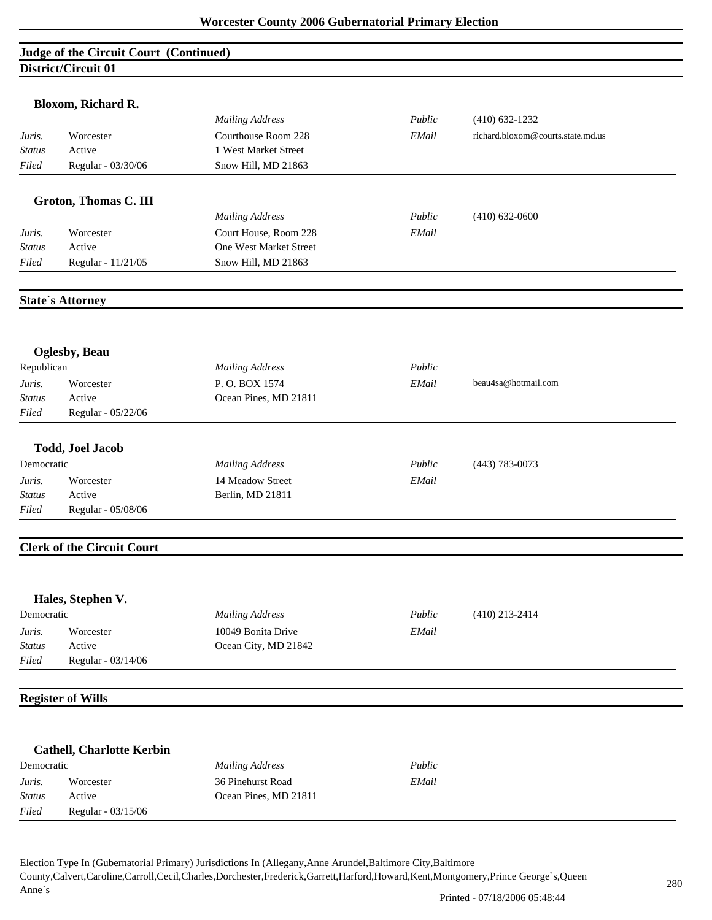# **Judge of the Circuit Court (Continued) District/Circuit 01**

|               | Bloxom, Richard R.                |                        |        |                                   |
|---------------|-----------------------------------|------------------------|--------|-----------------------------------|
|               |                                   | <b>Mailing Address</b> | Public | $(410) 632 - 1232$                |
| Juris.        | Worcester                         | Courthouse Room 228    | EMail  | richard.bloxom@courts.state.md.us |
| Status        | Active                            | 1 West Market Street   |        |                                   |
| Filed         | Regular - 03/30/06                | Snow Hill, MD 21863    |        |                                   |
|               | <b>Groton, Thomas C. III</b>      |                        |        |                                   |
|               |                                   | <b>Mailing Address</b> | Public | $(410) 632 - 0600$                |
| Juris.        | Worcester                         | Court House, Room 228  | EMail  |                                   |
| <b>Status</b> | Active                            | One West Market Street |        |                                   |
| Filed         | Regular - 11/21/05                | Snow Hill, MD 21863    |        |                                   |
|               | <b>State's Attorney</b>           |                        |        |                                   |
|               |                                   |                        |        |                                   |
| Republican    | <b>Oglesby</b> , Beau             | <b>Mailing Address</b> | Public |                                   |
| Juris.        | Worcester                         | P.O. BOX 1574          | EMail  | beau4sa@hotmail.com               |
| <b>Status</b> | Active                            | Ocean Pines, MD 21811  |        |                                   |
| Filed         | Regular - 05/22/06                |                        |        |                                   |
|               | <b>Todd, Joel Jacob</b>           |                        |        |                                   |
| Democratic    |                                   | <b>Mailing Address</b> | Public | $(443) 783 - 0073$                |
| Juris.        | Worcester                         | 14 Meadow Street       | EMail  |                                   |
| <b>Status</b> | Active                            | Berlin, MD 21811       |        |                                   |
| Filed         | Regular - 05/08/06                |                        |        |                                   |
|               | <b>Clerk of the Circuit Court</b> |                        |        |                                   |
|               | Hales, Stephen V.                 |                        |        |                                   |
| Democratic    |                                   | <b>Mailing Address</b> | Public | $(410)$ 213-2414                  |
| Juris.        | Worcester                         | 10049 Bonita Drive     | EMail  |                                   |
| Status        | Active                            | Ocean City, MD 21842   |        |                                   |
| Filed         | Regular - 03/14/06                |                        |        |                                   |
|               | <b>Register of Wills</b>          |                        |        |                                   |
|               |                                   |                        |        |                                   |
|               | <b>Cathell, Charlotte Kerbin</b>  |                        |        |                                   |
| Democratic    |                                   | <b>Mailing Address</b> | Public |                                   |
| Juris.        | Worcester                         | 36 Pinehurst Road      | EMail  |                                   |
| <b>Status</b> | Active                            | Ocean Pines, MD 21811  |        |                                   |
| Filed         | Regular - 03/15/06                |                        |        |                                   |
|               |                                   |                        |        |                                   |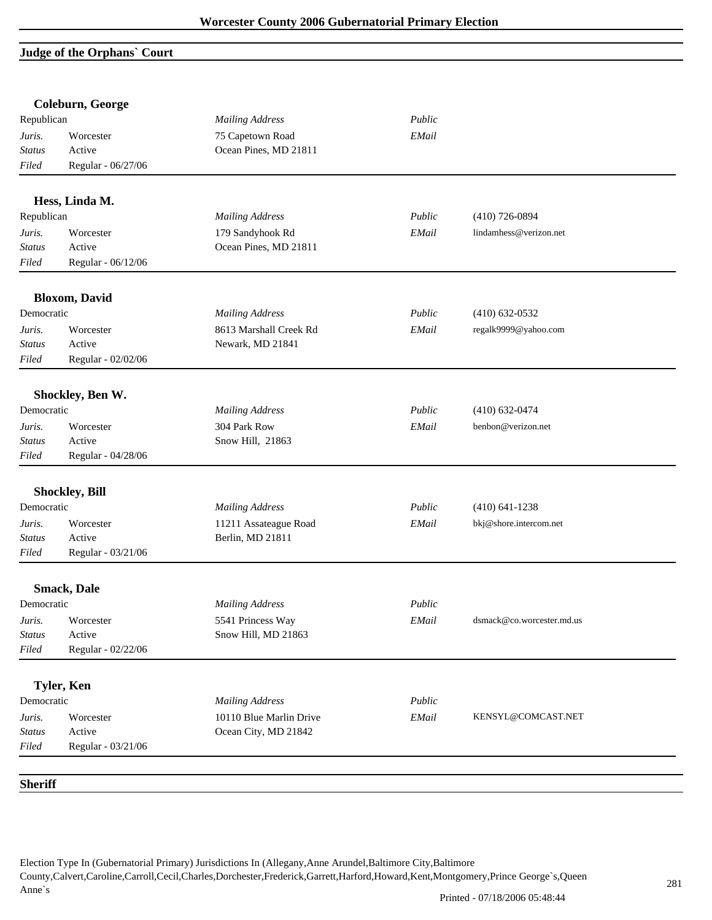# **Judge of the Orphans` Court**

|                | Coleburn, George      |                         |        |                           |
|----------------|-----------------------|-------------------------|--------|---------------------------|
| Republican     |                       | <b>Mailing Address</b>  | Public |                           |
| Juris.         | Worcester             | 75 Capetown Road        | EMail  |                           |
| <b>Status</b>  | Active                | Ocean Pines, MD 21811   |        |                           |
| Filed          | Regular - 06/27/06    |                         |        |                           |
|                | Hess, Linda M.        |                         |        |                           |
| Republican     |                       | <b>Mailing Address</b>  | Public | $(410)$ 726-0894          |
| Juris.         | Worcester             | 179 Sandyhook Rd        | EMail  | lindamhess@verizon.net    |
| <b>Status</b>  | Active                | Ocean Pines, MD 21811   |        |                           |
| Filed          | Regular - 06/12/06    |                         |        |                           |
|                | <b>Bloxom, David</b>  |                         |        |                           |
| Democratic     |                       | <b>Mailing Address</b>  | Public | $(410) 632 - 0532$        |
| Juris.         | Worcester             | 8613 Marshall Creek Rd  | EMail  | regalk9999@yahoo.com      |
| <i>Status</i>  | Active                | Newark, MD 21841        |        |                           |
| Filed          | Regular - 02/02/06    |                         |        |                           |
|                | Shockley, Ben W.      |                         |        |                           |
| Democratic     |                       | <b>Mailing Address</b>  | Public | $(410) 632 - 0474$        |
| Juris.         | Worcester             | 304 Park Row            | EMail  | benbon@verizon.net        |
| Status         | Active                | Snow Hill, 21863        |        |                           |
| Filed          | Regular - 04/28/06    |                         |        |                           |
|                |                       |                         |        |                           |
| Democratic     | <b>Shockley, Bill</b> |                         | Public |                           |
|                |                       | <b>Mailing Address</b>  |        | $(410) 641 - 1238$        |
| Juris.         | Worcester             | 11211 Assateague Road   | EMail  | bkj@shore.intercom.net    |
| Status         | Active                | Berlin, MD 21811        |        |                           |
| Filed          | Regular - 03/21/06    |                         |        |                           |
|                | <b>Smack, Dale</b>    |                         |        |                           |
| Democratic     |                       | <b>Mailing Address</b>  | Public |                           |
| Juris.         | Worcester             | 5541 Princess Way       | EMail  | dsmack@co.worcester.md.us |
| <b>Status</b>  | Active                | Snow Hill, MD 21863     |        |                           |
| Filed          | Regular - 02/22/06    |                         |        |                           |
|                | <b>Tyler, Ken</b>     |                         |        |                           |
| Democratic     |                       | <b>Mailing Address</b>  | Public |                           |
| Juris.         | Worcester             | 10110 Blue Marlin Drive | EMail  | KENSYL@COMCAST.NET        |
| <b>Status</b>  | Active                | Ocean City, MD 21842    |        |                           |
| Filed          | Regular - 03/21/06    |                         |        |                           |
|                |                       |                         |        |                           |
| <b>Sheriff</b> |                       |                         |        |                           |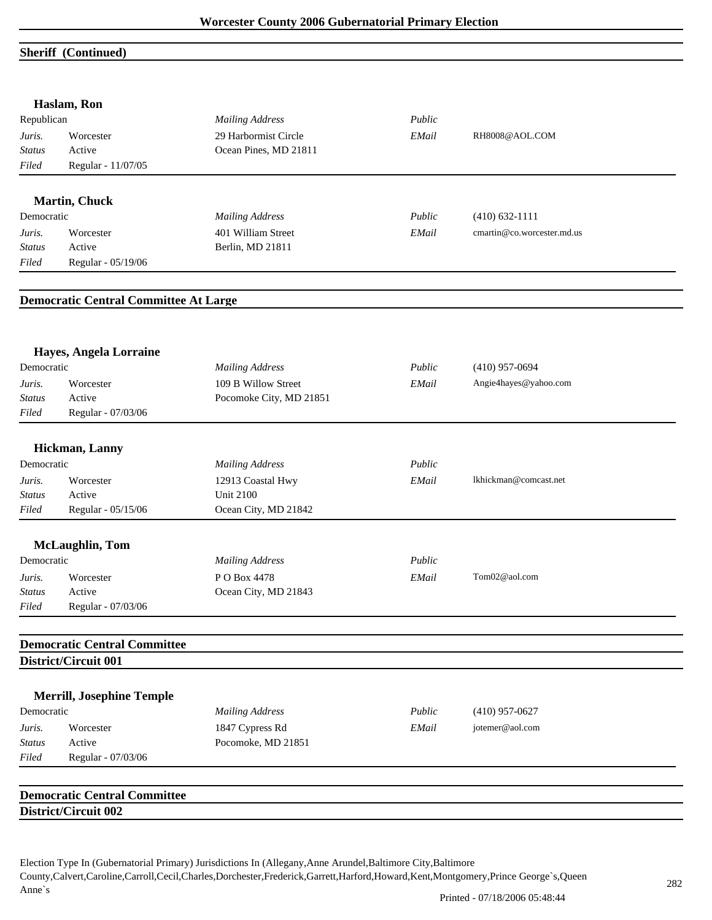## **Sheriff (Continued)**

|               | Haslam, Ron                                  |                         |        |                            |
|---------------|----------------------------------------------|-------------------------|--------|----------------------------|
| Republican    |                                              | <b>Mailing Address</b>  | Public |                            |
| Juris.        | Worcester                                    | 29 Harbormist Circle    | EMail  | RH8008@AOL.COM             |
| <b>Status</b> | Active                                       | Ocean Pines, MD 21811   |        |                            |
| Filed         | Regular - 11/07/05                           |                         |        |                            |
|               | <b>Martin, Chuck</b>                         |                         |        |                            |
| Democratic    |                                              | <b>Mailing Address</b>  | Public | $(410) 632 - 1111$         |
| Juris.        | Worcester                                    | 401 William Street      | EMail  | cmartin@co.worcester.md.us |
| <b>Status</b> | Active                                       | Berlin, MD 21811        |        |                            |
| Filed         | Regular - 05/19/06                           |                         |        |                            |
|               | <b>Democratic Central Committee At Large</b> |                         |        |                            |
|               |                                              |                         |        |                            |
| Democratic    | Hayes, Angela Lorraine                       | <b>Mailing Address</b>  | Public | $(410)$ 957-0694           |
| Juris.        | Worcester                                    | 109 B Willow Street     | EMail  | Angie4hayes@yahoo.com      |
| <b>Status</b> | Active                                       | Pocomoke City, MD 21851 |        |                            |
| Filed         | Regular - 07/03/06                           |                         |        |                            |
|               | Hickman, Lanny                               |                         |        |                            |
| Democratic    |                                              | <b>Mailing Address</b>  | Public |                            |
| Juris.        | Worcester                                    | 12913 Coastal Hwy       | EMail  | lkhickman@comcast.net      |
| <b>Status</b> | Active                                       | <b>Unit 2100</b>        |        |                            |
| Filed         | Regular - 05/15/06                           | Ocean City, MD 21842    |        |                            |
|               | <b>McLaughlin</b> , Tom                      |                         |        |                            |
| Democratic    |                                              | <b>Mailing Address</b>  | Public |                            |
| Juris.        | Worcester                                    | PO Box 4478             | EMail  | Tom02@aol.com              |
| <i>Status</i> | Active                                       | Ocean City, MD 21843    |        |                            |
| Filed         | Regular - 07/03/06                           |                         |        |                            |
|               | <b>Democratic Central Committee</b>          |                         |        |                            |
|               | District/Circuit 001                         |                         |        |                            |
|               | <b>Merrill, Josephine Temple</b>             |                         |        |                            |
| Democratic    |                                              | <b>Mailing Address</b>  | Public | $(410)$ 957-0627           |
| Juris.        | Worcester                                    | 1847 Cypress Rd         | EMail  | jotemer@aol.com            |
| <b>Status</b> | Active                                       | Pocomoke, MD 21851      |        |                            |
| Filed         | Regular - 07/03/06                           |                         |        |                            |
|               | <b>Democratic Central Committee</b>          |                         |        |                            |
|               | District/Circuit 002                         |                         |        |                            |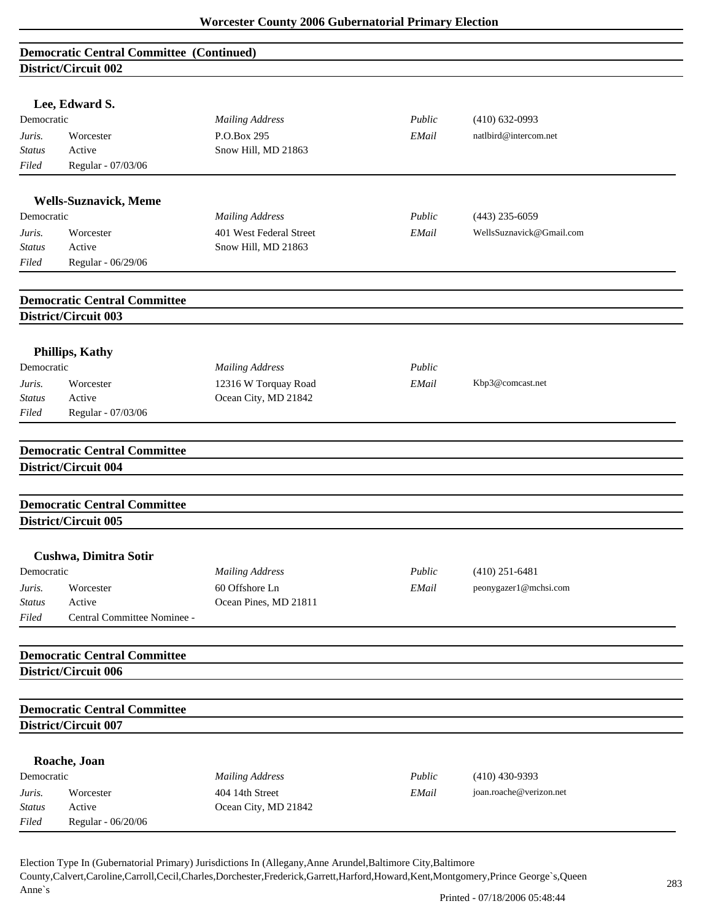| <b>Democratic Central Committee (Continued)</b><br>District/Circuit 002 |                                                                    |                                         |        |                          |  |  |  |  |
|-------------------------------------------------------------------------|--------------------------------------------------------------------|-----------------------------------------|--------|--------------------------|--|--|--|--|
|                                                                         |                                                                    |                                         |        |                          |  |  |  |  |
|                                                                         | Lee, Edward S.                                                     |                                         |        |                          |  |  |  |  |
| Democratic                                                              |                                                                    | <b>Mailing Address</b>                  | Public | $(410) 632 - 0993$       |  |  |  |  |
| Juris.                                                                  | Worcester                                                          | P.O.Box 295                             | EMail  | natlbird@intercom.net    |  |  |  |  |
| Status                                                                  | Active                                                             | Snow Hill, MD 21863                     |        |                          |  |  |  |  |
| Filed                                                                   | Regular - 07/03/06                                                 |                                         |        |                          |  |  |  |  |
|                                                                         | <b>Wells-Suznavick, Meme</b>                                       |                                         |        |                          |  |  |  |  |
| Democratic                                                              |                                                                    | <b>Mailing Address</b>                  | Public | $(443)$ 235-6059         |  |  |  |  |
| Juris.                                                                  | Worcester                                                          | 401 West Federal Street                 | EMail  | WellsSuznavick@Gmail.com |  |  |  |  |
| Status                                                                  | Active                                                             | Snow Hill, MD 21863                     |        |                          |  |  |  |  |
| Filed                                                                   | Regular - 06/29/06                                                 |                                         |        |                          |  |  |  |  |
|                                                                         |                                                                    |                                         |        |                          |  |  |  |  |
|                                                                         | <b>Democratic Central Committee</b><br><b>District/Circuit 003</b> |                                         |        |                          |  |  |  |  |
|                                                                         |                                                                    |                                         |        |                          |  |  |  |  |
|                                                                         | <b>Phillips, Kathy</b>                                             |                                         |        |                          |  |  |  |  |
| Democratic                                                              |                                                                    | <b>Mailing Address</b>                  | Public |                          |  |  |  |  |
| Juris.                                                                  | Worcester                                                          | 12316 W Torquay Road                    | EMail  | Kbp3@comcast.net         |  |  |  |  |
| Status                                                                  | Active                                                             | Ocean City, MD 21842                    |        |                          |  |  |  |  |
| Filed                                                                   | Regular - 07/03/06                                                 |                                         |        |                          |  |  |  |  |
|                                                                         | <b>Democratic Central Committee</b>                                |                                         |        |                          |  |  |  |  |
|                                                                         | District/Circuit 004                                               |                                         |        |                          |  |  |  |  |
|                                                                         |                                                                    |                                         |        |                          |  |  |  |  |
|                                                                         | <b>Democratic Central Committee</b>                                |                                         |        |                          |  |  |  |  |
|                                                                         | District/Circuit 005                                               |                                         |        |                          |  |  |  |  |
|                                                                         | Cushwa, Dimitra Sotir                                              |                                         |        |                          |  |  |  |  |
| Democratic                                                              |                                                                    | <b>Mailing Address</b>                  | Public | $(410)$ 251-6481         |  |  |  |  |
| Juris.                                                                  | Worcester                                                          | 60 Offshore Ln                          | EMail  | peonygazer1@mchsi.com    |  |  |  |  |
| <b>Status</b>                                                           | Active                                                             | Ocean Pines, MD 21811                   |        |                          |  |  |  |  |
| Filed                                                                   | Central Committee Nominee -                                        |                                         |        |                          |  |  |  |  |
|                                                                         | <b>Democratic Central Committee</b>                                |                                         |        |                          |  |  |  |  |
|                                                                         | District/Circuit 006                                               |                                         |        |                          |  |  |  |  |
|                                                                         |                                                                    |                                         |        |                          |  |  |  |  |
|                                                                         | <b>Democratic Central Committee</b>                                |                                         |        |                          |  |  |  |  |
|                                                                         | District/Circuit 007                                               |                                         |        |                          |  |  |  |  |
|                                                                         | Roache, Joan                                                       |                                         |        |                          |  |  |  |  |
|                                                                         |                                                                    | <b>Mailing Address</b>                  | Public | $(410)$ 430-9393         |  |  |  |  |
| Democratic                                                              |                                                                    |                                         |        |                          |  |  |  |  |
|                                                                         |                                                                    |                                         |        |                          |  |  |  |  |
| Juris.<br><b>Status</b>                                                 | Worcester<br>Active                                                | 404 14th Street<br>Ocean City, MD 21842 | EMail  | joan.roache@verizon.net  |  |  |  |  |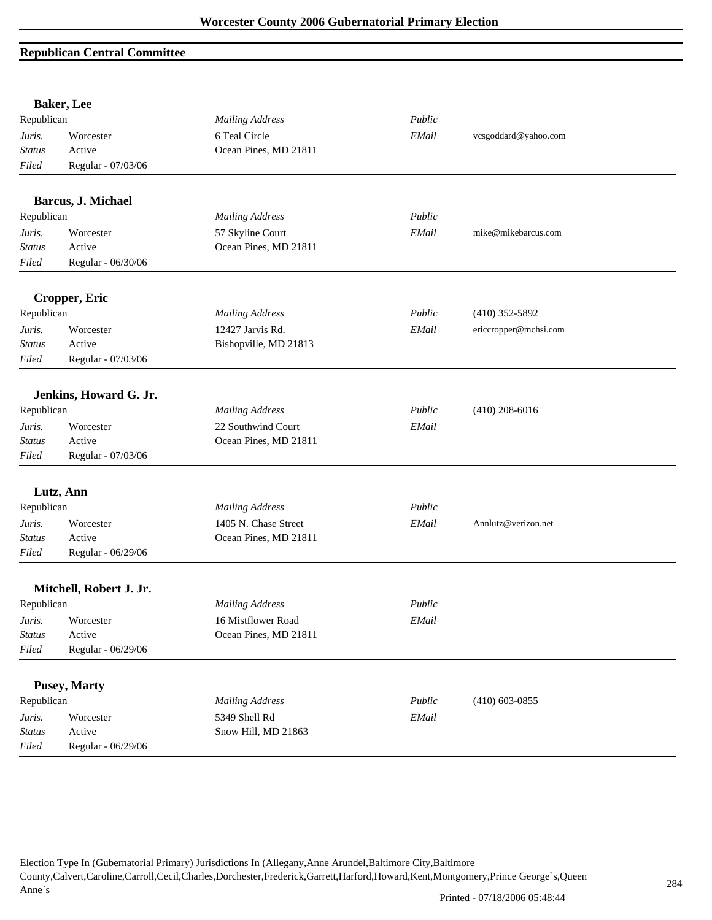# **Republican Central Committee**

|               | <b>Baker</b> , Lee      |                        |        |                       |
|---------------|-------------------------|------------------------|--------|-----------------------|
| Republican    |                         | <b>Mailing Address</b> | Public |                       |
| Juris.        | Worcester               | 6 Teal Circle          | EMail  | vcsgoddard@yahoo.com  |
| <b>Status</b> | Active                  | Ocean Pines, MD 21811  |        |                       |
| Filed         | Regular - 07/03/06      |                        |        |                       |
|               | Barcus, J. Michael      |                        |        |                       |
| Republican    |                         | <b>Mailing Address</b> | Public |                       |
| Juris.        | Worcester               | 57 Skyline Court       | EMail  | mike@mikebarcus.com   |
| <b>Status</b> | Active                  | Ocean Pines, MD 21811  |        |                       |
| Filed         | Regular - 06/30/06      |                        |        |                       |
|               | Cropper, Eric           |                        |        |                       |
| Republican    |                         | <b>Mailing Address</b> | Public | $(410)$ 352-5892      |
| Juris.        | Worcester               | 12427 Jarvis Rd.       | EMail  | ericcropper@mchsi.com |
| <b>Status</b> | Active                  | Bishopville, MD 21813  |        |                       |
| Filed         | Regular - 07/03/06      |                        |        |                       |
|               | Jenkins, Howard G. Jr.  |                        |        |                       |
| Republican    |                         | <b>Mailing Address</b> | Public | $(410)$ 208-6016      |
| Juris.        | Worcester               | 22 Southwind Court     | EMail  |                       |
| <b>Status</b> | Active                  | Ocean Pines, MD 21811  |        |                       |
| Filed         | Regular - 07/03/06      |                        |        |                       |
|               |                         |                        |        |                       |
|               | Lutz, Ann               |                        |        |                       |
| Republican    |                         | <b>Mailing Address</b> | Public |                       |
| Juris.        | Worcester               | 1405 N. Chase Street   | EMail  | Annlutz@verizon.net   |
| <b>Status</b> | Active                  | Ocean Pines, MD 21811  |        |                       |
| Filed         | Regular - 06/29/06      |                        |        |                       |
|               | Mitchell, Robert J. Jr. |                        |        |                       |
| Republican    |                         | <b>Mailing Address</b> | Public |                       |
| Juris.        | Worcester               | 16 Mistflower Road     | EMail  |                       |
| <b>Status</b> | Active                  | Ocean Pines, MD 21811  |        |                       |
| Filed         | Regular - 06/29/06      |                        |        |                       |
|               | <b>Pusey, Marty</b>     |                        |        |                       |
| Republican    |                         | <b>Mailing Address</b> | Public | $(410)$ 603-0855      |
| Juris.        | Worcester               | 5349 Shell Rd          | EMail  |                       |
| Status        | Active                  | Snow Hill, MD 21863    |        |                       |
| Filed         | Regular - 06/29/06      |                        |        |                       |